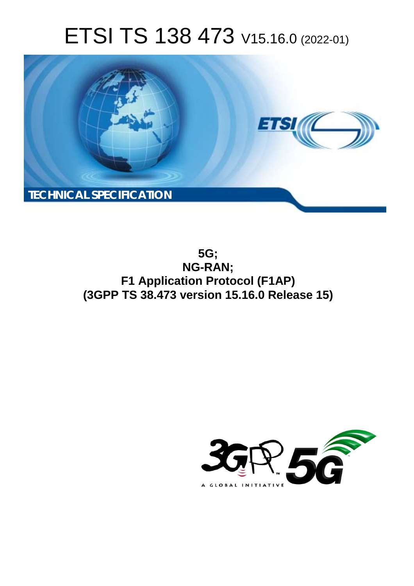# ETSI TS 138 473 V15.16.0 (2022-01)



**5G; NG-RAN; F1 Application Protocol (F1AP) (3GPP TS 38.473 version 15.16.0 Release 15)** 

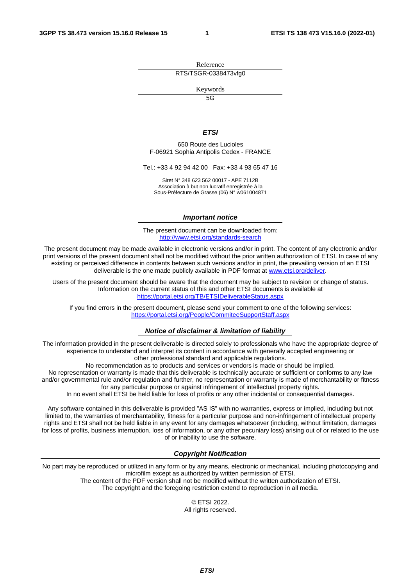Reference RTS/TSGR-0338473vfg0

Keywords

 $\overline{5G}$ 

#### *ETSI*

650 Route des Lucioles F-06921 Sophia Antipolis Cedex - FRANCE

Tel.: +33 4 92 94 42 00 Fax: +33 4 93 65 47 16

Siret N° 348 623 562 00017 - APE 7112B Association à but non lucratif enregistrée à la Sous-Préfecture de Grasse (06) N° w061004871

#### *Important notice*

The present document can be downloaded from: <http://www.etsi.org/standards-search>

The present document may be made available in electronic versions and/or in print. The content of any electronic and/or print versions of the present document shall not be modified without the prior written authorization of ETSI. In case of any existing or perceived difference in contents between such versions and/or in print, the prevailing version of an ETSI deliverable is the one made publicly available in PDF format at [www.etsi.org/deliver](http://www.etsi.org/deliver).

Users of the present document should be aware that the document may be subject to revision or change of status. Information on the current status of this and other ETSI documents is available at <https://portal.etsi.org/TB/ETSIDeliverableStatus.aspx>

If you find errors in the present document, please send your comment to one of the following services: <https://portal.etsi.org/People/CommiteeSupportStaff.aspx>

#### *Notice of disclaimer & limitation of liability*

The information provided in the present deliverable is directed solely to professionals who have the appropriate degree of experience to understand and interpret its content in accordance with generally accepted engineering or other professional standard and applicable regulations.

No recommendation as to products and services or vendors is made or should be implied.

No representation or warranty is made that this deliverable is technically accurate or sufficient or conforms to any law and/or governmental rule and/or regulation and further, no representation or warranty is made of merchantability or fitness for any particular purpose or against infringement of intellectual property rights.

In no event shall ETSI be held liable for loss of profits or any other incidental or consequential damages.

Any software contained in this deliverable is provided "AS IS" with no warranties, express or implied, including but not limited to, the warranties of merchantability, fitness for a particular purpose and non-infringement of intellectual property rights and ETSI shall not be held liable in any event for any damages whatsoever (including, without limitation, damages for loss of profits, business interruption, loss of information, or any other pecuniary loss) arising out of or related to the use of or inability to use the software.

#### *Copyright Notification*

No part may be reproduced or utilized in any form or by any means, electronic or mechanical, including photocopying and microfilm except as authorized by written permission of ETSI. The content of the PDF version shall not be modified without the written authorization of ETSI.

The copyright and the foregoing restriction extend to reproduction in all media.

© ETSI 2022. All rights reserved.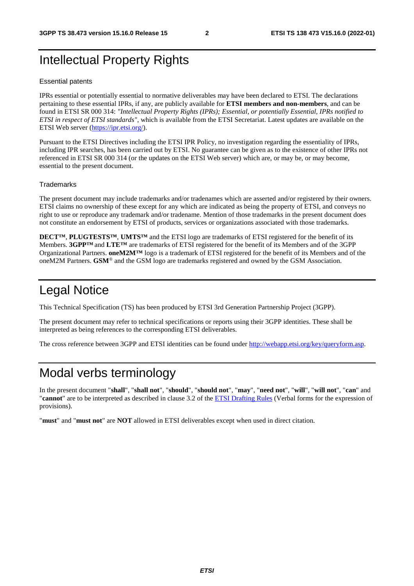# Intellectual Property Rights

#### Essential patents

IPRs essential or potentially essential to normative deliverables may have been declared to ETSI. The declarations pertaining to these essential IPRs, if any, are publicly available for **ETSI members and non-members**, and can be found in ETSI SR 000 314: *"Intellectual Property Rights (IPRs); Essential, or potentially Essential, IPRs notified to ETSI in respect of ETSI standards"*, which is available from the ETSI Secretariat. Latest updates are available on the ETSI Web server ([https://ipr.etsi.org/\)](https://ipr.etsi.org/).

Pursuant to the ETSI Directives including the ETSI IPR Policy, no investigation regarding the essentiality of IPRs, including IPR searches, has been carried out by ETSI. No guarantee can be given as to the existence of other IPRs not referenced in ETSI SR 000 314 (or the updates on the ETSI Web server) which are, or may be, or may become, essential to the present document.

#### **Trademarks**

The present document may include trademarks and/or tradenames which are asserted and/or registered by their owners. ETSI claims no ownership of these except for any which are indicated as being the property of ETSI, and conveys no right to use or reproduce any trademark and/or tradename. Mention of those trademarks in the present document does not constitute an endorsement by ETSI of products, services or organizations associated with those trademarks.

**DECT™**, **PLUGTESTS™**, **UMTS™** and the ETSI logo are trademarks of ETSI registered for the benefit of its Members. **3GPP™** and **LTE™** are trademarks of ETSI registered for the benefit of its Members and of the 3GPP Organizational Partners. **oneM2M™** logo is a trademark of ETSI registered for the benefit of its Members and of the oneM2M Partners. **GSM**® and the GSM logo are trademarks registered and owned by the GSM Association.

# Legal Notice

This Technical Specification (TS) has been produced by ETSI 3rd Generation Partnership Project (3GPP).

The present document may refer to technical specifications or reports using their 3GPP identities. These shall be interpreted as being references to the corresponding ETSI deliverables.

The cross reference between 3GPP and ETSI identities can be found under<http://webapp.etsi.org/key/queryform.asp>.

# Modal verbs terminology

In the present document "**shall**", "**shall not**", "**should**", "**should not**", "**may**", "**need not**", "**will**", "**will not**", "**can**" and "**cannot**" are to be interpreted as described in clause 3.2 of the [ETSI Drafting Rules](https://portal.etsi.org/Services/editHelp!/Howtostart/ETSIDraftingRules.aspx) (Verbal forms for the expression of provisions).

"**must**" and "**must not**" are **NOT** allowed in ETSI deliverables except when used in direct citation.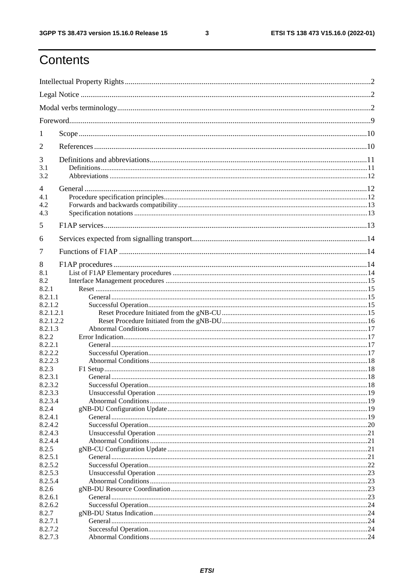$\mathbf{3}$ 

# Contents

| 1                    |  |  |  |
|----------------------|--|--|--|
| 2                    |  |  |  |
| 3                    |  |  |  |
| 3.1<br>3.2           |  |  |  |
| $\overline{4}$       |  |  |  |
| 4.1                  |  |  |  |
| 4.2                  |  |  |  |
| 4.3                  |  |  |  |
| 5                    |  |  |  |
| 6                    |  |  |  |
| 7                    |  |  |  |
| 8                    |  |  |  |
| 8.1                  |  |  |  |
| 8.2                  |  |  |  |
| 8.2.1                |  |  |  |
| 8.2.1.1              |  |  |  |
| 8.2.1.2              |  |  |  |
| 8.2.1.2.1            |  |  |  |
| 8.2.1.2.2<br>8.2.1.3 |  |  |  |
| 8.2.2                |  |  |  |
| 8.2.2.1              |  |  |  |
| 8.2.2.2              |  |  |  |
| 8.2.2.3              |  |  |  |
| 8.2.3                |  |  |  |
| 8.2.3.1              |  |  |  |
| 8.2.3.2              |  |  |  |
| 8.2.3.3              |  |  |  |
| 8.2.3.4              |  |  |  |
| 8.2.4                |  |  |  |
| 8.2.4.1<br>8.2.4.2   |  |  |  |
| 8.2.4.3              |  |  |  |
| 8.2.4.4              |  |  |  |
| 8.2.5                |  |  |  |
| 8.2.5.1              |  |  |  |
| 8.2.5.2              |  |  |  |
| 8.2.5.3              |  |  |  |
| 8.2.5.4              |  |  |  |
| 8.2.6                |  |  |  |
| 8.2.6.1              |  |  |  |
| 8.2.6.2              |  |  |  |
| 8.2.7<br>8.2.7.1     |  |  |  |
| 8.2.7.2              |  |  |  |
| 8.2.7.3              |  |  |  |
|                      |  |  |  |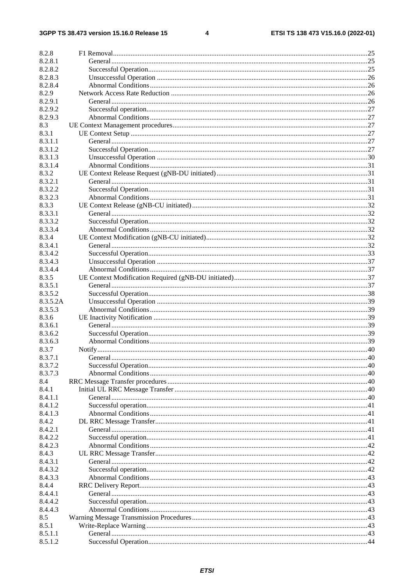$\overline{\mathbf{4}}$ 

| 8.2.8    |  |
|----------|--|
| 8.2.8.1  |  |
| 8.2.8.2  |  |
| 8.2.8.3  |  |
| 8.2.8.4  |  |
| 8.2.9    |  |
| 8.2.9.1  |  |
| 8.2.9.2  |  |
| 8.2.9.3  |  |
| 8.3      |  |
| 8.3.1    |  |
| 8.3.1.1  |  |
| 8.3.1.2  |  |
| 8.3.1.3  |  |
| 8.3.1.4  |  |
| 8.3.2    |  |
| 8.3.2.1  |  |
| 8.3.2.2  |  |
| 8.3.2.3  |  |
| 8.3.3    |  |
| 8.3.3.1  |  |
| 8.3.3.2  |  |
| 8.3.3.4  |  |
| 8.3.4    |  |
| 8.3.4.1  |  |
| 8.3.4.2  |  |
| 8.3.4.3  |  |
| 8.3.4.4  |  |
| 8.3.5    |  |
| 8.3.5.1  |  |
| 8.3.5.2  |  |
| 8.3.5.2A |  |
| 8.3.5.3  |  |
| 8.3.6    |  |
| 8.3.6.1  |  |
| 8.3.6.2  |  |
| 8.3.6.3  |  |
| 8.3.7    |  |
| 8.3.7.1  |  |
| 8.3.7.2  |  |
| 8.3.7.3  |  |
| 8.4      |  |
| 8.4.1    |  |
| 8.4.1.1  |  |
| 8.4.1.2  |  |
| 8.4.1.3  |  |
| 8.4.2    |  |
| 8.4.2.1  |  |
| 8.4.2.2  |  |
| 8.4.2.3  |  |
| 8.4.3    |  |
| 8.4.3.1  |  |
| 8.4.3.2  |  |
| 8.4.3.3  |  |
| 8.4.4    |  |
| 8.4.4.1  |  |
| 8.4.4.2  |  |
| 8.4.4.3  |  |
| 8.5      |  |
| 8.5.1    |  |
| 8.5.1.1  |  |
| 8.5.1.2  |  |
|          |  |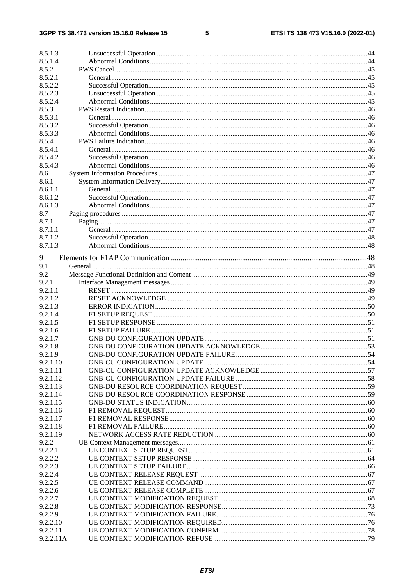#### $5\phantom{a}$

| 8.5.1.3   |  |  |
|-----------|--|--|
| 8.5.1.4   |  |  |
| 8.5.2     |  |  |
| 8.5.2.1   |  |  |
| 8.5.2.2   |  |  |
| 8.5.2.3   |  |  |
| 8.5.2.4   |  |  |
| 8.5.3     |  |  |
| 8.5.3.1   |  |  |
| 8.5.3.2   |  |  |
| 8.5.3.3   |  |  |
| 8.5.4     |  |  |
| 8.5.4.1   |  |  |
| 8.5.4.2   |  |  |
| 8.5.4.3   |  |  |
| 8.6       |  |  |
| 8.6.1     |  |  |
| 8.6.1.1   |  |  |
| 8.6.1.2   |  |  |
| 8.6.1.3   |  |  |
| 8.7       |  |  |
| 8.7.1     |  |  |
| 8.7.1.1   |  |  |
| 8.7.1.2   |  |  |
| 8.7.1.3   |  |  |
|           |  |  |
| 9         |  |  |
| 9.1       |  |  |
| 9.2       |  |  |
| 9.2.1     |  |  |
| 9.2.1.1   |  |  |
| 9.2.1.2   |  |  |
| 9.2.1.3   |  |  |
| 9.2.1.4   |  |  |
| 9.2.1.5   |  |  |
| 9.2.1.6   |  |  |
| 9.2.1.7   |  |  |
| 9.2.1.8   |  |  |
| 9.2.1.9   |  |  |
| 9.2.1.10  |  |  |
| 9.2.1.11  |  |  |
| 9.2.1.12  |  |  |
| 9.2.1.13  |  |  |
| 9.2.1.14  |  |  |
| 9.2.1.15  |  |  |
| 9.2.1.16  |  |  |
| 9.2.1.17  |  |  |
| 9.2.1.18  |  |  |
| 9.2.1.19  |  |  |
| 9.2.2     |  |  |
| 9.2.2.1   |  |  |
| 9.2.2.2   |  |  |
| 9.2.2.3   |  |  |
| 9.2.2.4   |  |  |
| 9.2.2.5   |  |  |
| 9.2.2.6   |  |  |
| 9.2.2.7   |  |  |
| 9.2.2.8   |  |  |
| 9.2.2.9   |  |  |
| 9.2.2.10  |  |  |
| 9.2.2.11  |  |  |
| 9.2.2.11A |  |  |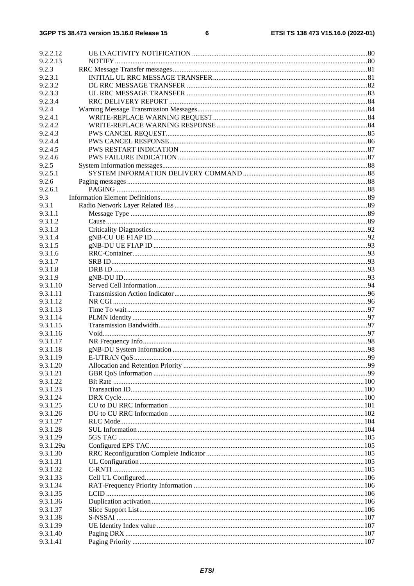| 9.2.2.12             |  |
|----------------------|--|
| 9.2.2.13             |  |
| 9.2.3                |  |
| 9.2.3.1              |  |
| 9.2.3.2              |  |
| 9.2.3.3              |  |
| 9.2.3.4              |  |
| 9.2.4                |  |
| 9.2.4.1              |  |
| 9.2.4.2              |  |
| 9.2.4.3              |  |
| 9.2.4.4              |  |
| 9.2.4.5              |  |
| 9.2.4.6              |  |
| 9.2.5                |  |
| 9.2.5.1              |  |
| 9.2.6                |  |
| 9.2.6.1              |  |
| 9.3                  |  |
| 9.3.1                |  |
| 9.3.1.1              |  |
| 9.3.1.2              |  |
| 9.3.1.3              |  |
| 9.3.1.4<br>9.3.1.5   |  |
| 9.3.1.6              |  |
| 9.3.1.7              |  |
| 9.3.1.8              |  |
| 9.3.1.9              |  |
| 9.3.1.10             |  |
| 9.3.1.11             |  |
| 9.3.1.12             |  |
| 9.3.1.13             |  |
| 9.3.1.14             |  |
| 9.3.1.15             |  |
| 9.3.1.16             |  |
| 9.3.1.17             |  |
| 9.3.1.18             |  |
| 9.3.1.19             |  |
| 9.3.1.20             |  |
| 9.3.1.21             |  |
| 9.3.1.22             |  |
| 9.3.1.23             |  |
| 9.3.1.24             |  |
| 9.3.1.25             |  |
| 9.3.1.26             |  |
| 9.3.1.27             |  |
| 9.3.1.28<br>9.3.1.29 |  |
| 9.3.1.29a            |  |
| 9.3.1.30             |  |
| 9.3.1.31             |  |
| 9.3.1.32             |  |
| 9.3.1.33             |  |
| 9.3.1.34             |  |
| 9.3.1.35             |  |
| 9.3.1.36             |  |
| 9.3.1.37             |  |
| 9.3.1.38             |  |
| 9.3.1.39             |  |
| 9.3.1.40             |  |
| 9.3.1.41             |  |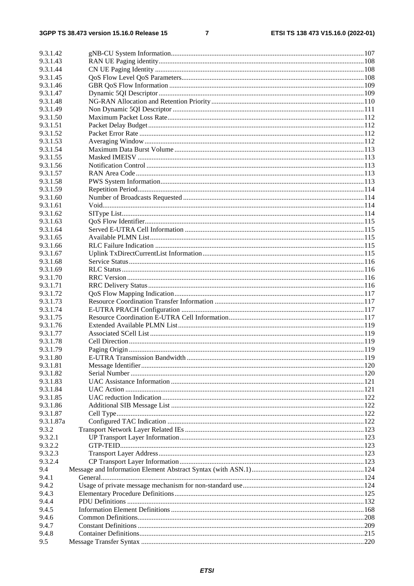$\overline{7}$ 

| 9.3.1.42  |  |  |  |  |  |
|-----------|--|--|--|--|--|
| 9.3.1.43  |  |  |  |  |  |
| 9.3.1.44  |  |  |  |  |  |
| 9.3.1.45  |  |  |  |  |  |
| 9.3.1.46  |  |  |  |  |  |
| 9.3.1.47  |  |  |  |  |  |
| 9.3.1.48  |  |  |  |  |  |
| 9.3.1.49  |  |  |  |  |  |
| 9.3.1.50  |  |  |  |  |  |
| 9.3.1.51  |  |  |  |  |  |
| 9.3.1.52  |  |  |  |  |  |
| 9.3.1.53  |  |  |  |  |  |
| 9.3.1.54  |  |  |  |  |  |
| 9.3.1.55  |  |  |  |  |  |
| 9.3.1.56  |  |  |  |  |  |
| 9.3.1.57  |  |  |  |  |  |
| 9.3.1.58  |  |  |  |  |  |
| 9.3.1.59  |  |  |  |  |  |
| 9.3.1.60  |  |  |  |  |  |
| 9.3.1.61  |  |  |  |  |  |
| 9.3.1.62  |  |  |  |  |  |
| 9.3.1.63  |  |  |  |  |  |
| 9.3.1.64  |  |  |  |  |  |
| 9.3.1.65  |  |  |  |  |  |
| 9.3.1.66  |  |  |  |  |  |
| 9.3.1.67  |  |  |  |  |  |
| 9.3.1.68  |  |  |  |  |  |
| 9.3.1.69  |  |  |  |  |  |
| 9.3.1.70  |  |  |  |  |  |
| 9.3.1.71  |  |  |  |  |  |
| 9.3.1.72  |  |  |  |  |  |
| 9.3.1.73  |  |  |  |  |  |
| 9.3.1.74  |  |  |  |  |  |
| 9.3.1.75  |  |  |  |  |  |
| 9.3.1.76  |  |  |  |  |  |
| 9.3.1.77  |  |  |  |  |  |
| 9.3.1.78  |  |  |  |  |  |
| 9.3.1.79  |  |  |  |  |  |
| 9.3.1.80  |  |  |  |  |  |
| 9.3.1.81  |  |  |  |  |  |
| 9.3.1.82  |  |  |  |  |  |
| 9.3.1.83  |  |  |  |  |  |
| 9.3.1.84  |  |  |  |  |  |
| 9.3.1.85  |  |  |  |  |  |
| 9.3.1.86  |  |  |  |  |  |
| 9.3.1.87  |  |  |  |  |  |
| 9.3.1.87a |  |  |  |  |  |
| 9.3.2     |  |  |  |  |  |
| 9.3.2.1   |  |  |  |  |  |
| 9.3.2.2   |  |  |  |  |  |
| 9.3.2.3   |  |  |  |  |  |
| 9.3.2.4   |  |  |  |  |  |
| 9.4       |  |  |  |  |  |
| 9.4.1     |  |  |  |  |  |
| 9.4.2     |  |  |  |  |  |
| 9.4.3     |  |  |  |  |  |
| 9.4.4     |  |  |  |  |  |
| 9.4.5     |  |  |  |  |  |
| 9.4.6     |  |  |  |  |  |
| 9.4.7     |  |  |  |  |  |
| 9.4.8     |  |  |  |  |  |
| 9.5       |  |  |  |  |  |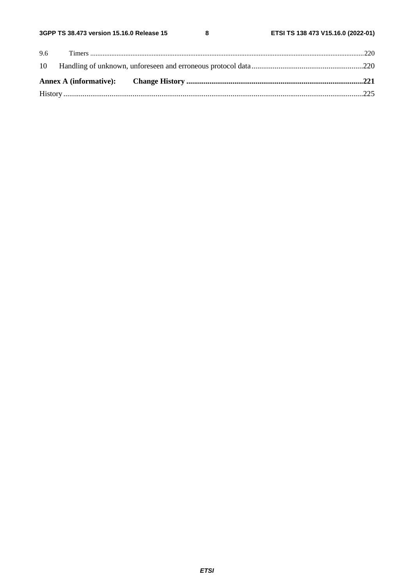$\bf{8}$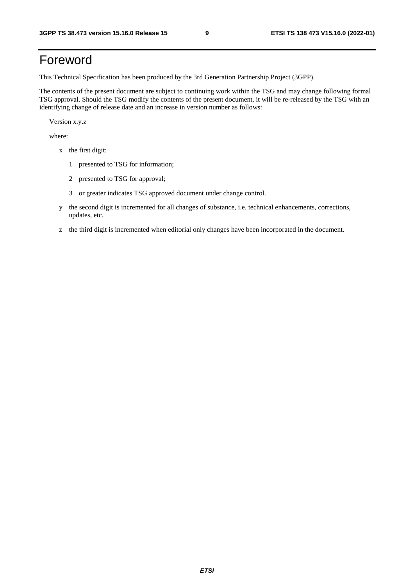# Foreword

This Technical Specification has been produced by the 3rd Generation Partnership Project (3GPP).

The contents of the present document are subject to continuing work within the TSG and may change following formal TSG approval. Should the TSG modify the contents of the present document, it will be re-released by the TSG with an identifying change of release date and an increase in version number as follows:

Version x.y.z

where:

- x the first digit:
	- 1 presented to TSG for information;
	- 2 presented to TSG for approval;
	- 3 or greater indicates TSG approved document under change control.
- y the second digit is incremented for all changes of substance, i.e. technical enhancements, corrections, updates, etc.
- z the third digit is incremented when editorial only changes have been incorporated in the document.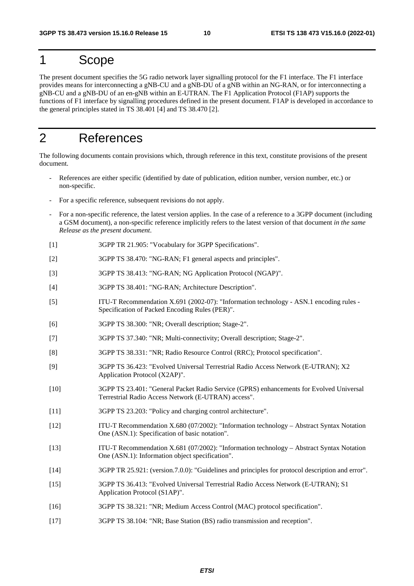# 1 Scope

The present document specifies the 5G radio network layer signalling protocol for the F1 interface. The F1 interface provides means for interconnecting a gNB-CU and a gNB-DU of a gNB within an NG-RAN, or for interconnecting a gNB-CU and a gNB-DU of an en-gNB within an E-UTRAN. The F1 Application Protocol (F1AP) supports the functions of F1 interface by signalling procedures defined in the present document. F1AP is developed in accordance to the general principles stated in TS 38.401 [4] and TS 38.470 [2].

# 2 References

The following documents contain provisions which, through reference in this text, constitute provisions of the present document.

- References are either specific (identified by date of publication, edition number, version number, etc.) or non-specific.
- For a specific reference, subsequent revisions do not apply.
- For a non-specific reference, the latest version applies. In the case of a reference to a 3GPP document (including a GSM document), a non-specific reference implicitly refers to the latest version of that document *in the same Release as the present document*.
- [1] 3GPP TR 21.905: "Vocabulary for 3GPP Specifications".
- [2] 3GPP TS 38.470: "NG-RAN; F1 general aspects and principles".
- [3] 3GPP TS 38.413: "NG-RAN; NG Application Protocol (NGAP)".
- [4] 3GPP TS 38.401: "NG-RAN; Architecture Description".
- [5] ITU-T Recommendation X.691 (2002-07): "Information technology ASN.1 encoding rules Specification of Packed Encoding Rules (PER)".
- [6] 3GPP TS 38.300: "NR; Overall description; Stage-2".
- [7] 3GPP TS 37.340: "NR; Multi-connectivity; Overall description; Stage-2".
- [8] 3GPP TS 38.331: "NR; Radio Resource Control (RRC); Protocol specification".
- [9] 3GPP TS 36.423: "Evolved Universal Terrestrial Radio Access Network (E-UTRAN); X2 Application Protocol (X2AP)".
- [10] 3GPP TS 23.401: "General Packet Radio Service (GPRS) enhancements for Evolved Universal Terrestrial Radio Access Network (E-UTRAN) access".
- [11] 3GPP TS 23.203: "Policy and charging control architecture".
- [12] ITU-T Recommendation X.680 (07/2002): "Information technology Abstract Syntax Notation One (ASN.1): Specification of basic notation".
- [13] ITU-T Recommendation X.681 (07/2002): "Information technology Abstract Syntax Notation One (ASN.1): Information object specification".
- [14] 3GPP TR 25.921: (version.7.0.0): "Guidelines and principles for protocol description and error".
- [15] 3GPP TS 36.413: "Evolved Universal Terrestrial Radio Access Network (E-UTRAN); S1 Application Protocol (S1AP)".
- [16] 3GPP TS 38.321: "NR; Medium Access Control (MAC) protocol specification".
- [17] 3GPP TS 38.104: "NR; Base Station (BS) radio transmission and reception".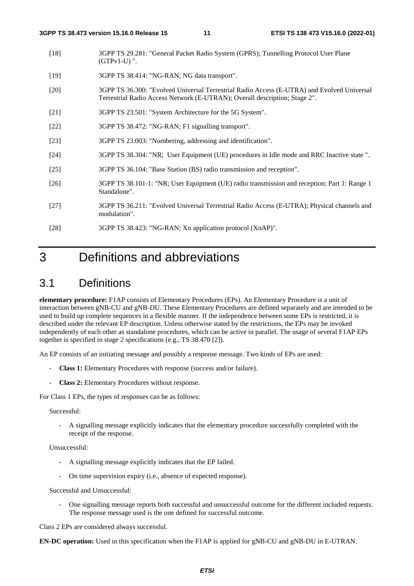- [18] 3GPP TS 29.281: "General Packet Radio System (GPRS); Tunnelling Protocol User Plane (GTPv1-U) ".
- [19] 3GPP TS 38.414: "NG-RAN; NG data transport".
- [20] 3GPP TS 36.300: "Evolved Universal Terrestrial Radio Access (E-UTRA) and Evolved Universal Terrestrial Radio Access Network (E-UTRAN); Overall description; Stage 2".
- [21] 3GPP TS 23.501: "System Architecture for the 5G System".
- [22] 3GPP TS 38.472: "NG-RAN; F1 signalling transport".
- [23] 3GPP TS 23.003: "Numbering, addressing and identification".
- [24] 3GPP TS 38.304: "NR; User Equipment (UE) procedures in Idle mode and RRC Inactive state ".
- [25] 3GPP TS 36.104: "Base Station (BS) radio transmission and reception".
- [26] 3GPP TS 38.101-1: "NR; User Equipment (UE) radio transmission and reception; Part 1: Range 1 Standalone".
- [27] 3GPP TS 36.211: "Evolved Universal Terrestrial Radio Access (E-UTRA); Physical channels and modulation".
- [28] 3GPP TS 38.423: "NG-RAN; Xn application protocol (XnAP)".

# 3 Definitions and abbreviations

# 3.1 Definitions

**elementary procedure:** F1AP consists of Elementary Procedures (EPs). An Elementary Procedure is a unit of interaction between gNB-CU and gNB-DU. These Elementary Procedures are defined separately and are intended to be used to build up complete sequences in a flexible manner. If the independence between some EPs is restricted, it is described under the relevant EP description. Unless otherwise stated by the restrictions, the EPs may be invoked independently of each other as standalone procedures, which can be active in parallel. The usage of several F1AP EPs together is specified in stage 2 specifications (e.g., TS 38.470 [2]).

An EP consists of an initiating message and possibly a response message. Two kinds of EPs are used:

- **Class 1:** Elementary Procedures with response (success and/or failure).
- Class 2: Elementary Procedures without response.

For Class 1 EPs, the types of responses can be as follows:

Successful:

- A signalling message explicitly indicates that the elementary procedure successfully completed with the receipt of the response.

Unsuccessful:

- A signalling message explicitly indicates that the EP failed.
- On time supervision expiry (i.e., absence of expected response).

Successful and Unsuccessful:

- One signalling message reports both successful and unsuccessful outcome for the different included requests. The response message used is the one defined for successful outcome.

Class 2 EPs are considered always successful.

**EN-DC operation:** Used in this specification when the F1AP is applied for gNB-CU and gNB-DU in E-UTRAN.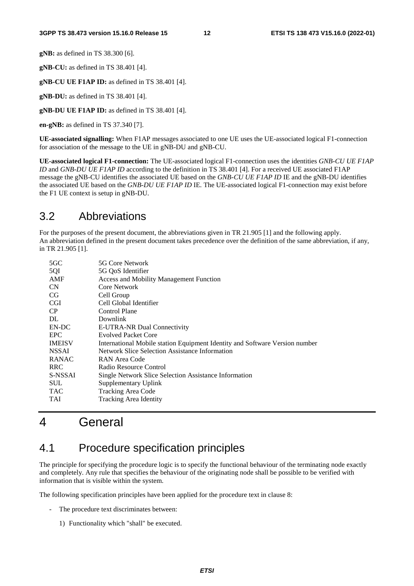**gNB:** as defined in TS 38.300 [6].

**gNB-CU:** as defined in TS 38.401 [4].

**gNB-CU UE F1AP ID:** as defined in TS 38.401 [4].

**gNB-DU:** as defined in TS 38.401 [4].

**gNB-DU UE F1AP ID:** as defined in TS 38.401 [4].

**en-gNB:** as defined in TS 37.340 [7].

**UE-associated signalling:** When F1AP messages associated to one UE uses the UE-associated logical F1-connection for association of the message to the UE in gNB-DU and gNB-CU.

**UE-associated logical F1-connection:** The UE-associated logical F1-connection uses the identities *GNB-CU UE F1AP ID* and *GNB-DU UE F1AP ID* according to the definition in TS 38.401 [4]. For a received UE associated F1AP message the gNB-CU identifies the associated UE based on the *GNB-CU UE F1AP ID* IE and the gNB-DU identifies the associated UE based on the *GNB-DU UE F1AP ID* IE*.* The UE-associated logical F1-connection may exist before the F1 UE context is setup in gNB-DU.

# 3.2 Abbreviations

For the purposes of the present document, the abbreviations given in TR 21.905 [1] and the following apply. An abbreviation defined in the present document takes precedence over the definition of the same abbreviation, if any, in TR 21.905 [1].

| $5 \text{GC}$ | 5G Core Network                                                             |
|---------------|-----------------------------------------------------------------------------|
| 5QI           | 5G QoS Identifier                                                           |
| AMF           | <b>Access and Mobility Management Function</b>                              |
| <b>CN</b>     | Core Network                                                                |
| CG            | Cell Group                                                                  |
| <b>CGI</b>    | Cell Global Identifier                                                      |
| CP            | Control Plane                                                               |
| DL            | Downlink                                                                    |
| EN-DC         | <b>E-UTRA-NR Dual Connectivity</b>                                          |
| <b>EPC</b>    | <b>Evolved Packet Core</b>                                                  |
| <b>IMEISV</b> | International Mobile station Equipment Identity and Software Version number |
| <b>NSSAI</b>  | Network Slice Selection Assistance Information                              |
| <b>RANAC</b>  | RAN Area Code                                                               |
| <b>RRC</b>    | Radio Resource Control                                                      |
| S-NSSAI       | Single Network Slice Selection Assistance Information                       |
| <b>SUL</b>    | Supplementary Uplink                                                        |
| <b>TAC</b>    | Tracking Area Code                                                          |
| TAI           | <b>Tracking Area Identity</b>                                               |
|               |                                                                             |

# 4 General

# 4.1 Procedure specification principles

The principle for specifying the procedure logic is to specify the functional behaviour of the terminating node exactly and completely. Any rule that specifies the behaviour of the originating node shall be possible to be verified with information that is visible within the system.

The following specification principles have been applied for the procedure text in clause 8:

- The procedure text discriminates between:
	- 1) Functionality which "shall" be executed.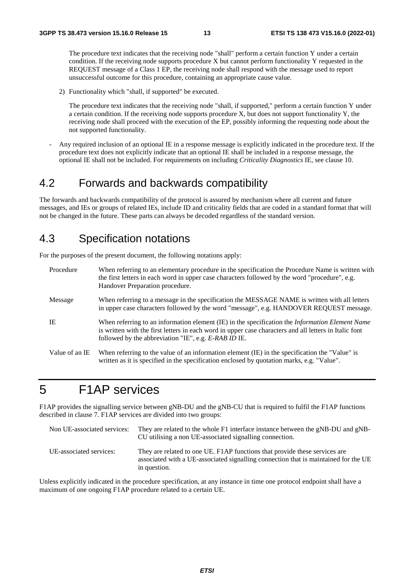The procedure text indicates that the receiving node "shall" perform a certain function Y under a certain condition. If the receiving node supports procedure X but cannot perform functionality Y requested in the REQUEST message of a Class 1 EP, the receiving node shall respond with the message used to report unsuccessful outcome for this procedure, containing an appropriate cause value.

2) Functionality which "shall, if supported" be executed.

 The procedure text indicates that the receiving node "shall, if supported," perform a certain function Y under a certain condition. If the receiving node supports procedure X, but does not support functionality Y, the receiving node shall proceed with the execution of the EP, possibly informing the requesting node about the not supported functionality.

- Any required inclusion of an optional IE in a response message is explicitly indicated in the procedure text. If the procedure text does not explicitly indicate that an optional IE shall be included in a response message, the optional IE shall not be included. For requirements on including *Criticality Diagnostics* IE, see clause 10.

# 4.2 Forwards and backwards compatibility

The forwards and backwards compatibility of the protocol is assured by mechanism where all current and future messages, and IEs or groups of related IEs, include ID and criticality fields that are coded in a standard format that will not be changed in the future. These parts can always be decoded regardless of the standard version.

# 4.3 Specification notations

For the purposes of the present document, the following notations apply:

| Procedure      | When referring to an elementary procedure in the specification the Procedure Name is written with<br>the first letters in each word in upper case characters followed by the word "procedure", e.g.<br>Handover Preparation procedure.                                   |
|----------------|--------------------------------------------------------------------------------------------------------------------------------------------------------------------------------------------------------------------------------------------------------------------------|
| Message        | When referring to a message in the specification the MESSAGE NAME is written with all letters<br>in upper case characters followed by the word "message", e.g. HANDOVER REQUEST message.                                                                                 |
| IE             | When referring to an information element (IE) in the specification the <i>Information Element Name</i><br>is written with the first letters in each word in upper case characters and all letters in Italic font<br>followed by the abbreviation "IE", e.g. E-RAB ID IE. |
| Value of an IE | When referring to the value of an information element (IE) in the specification the "Value" is<br>written as it is specified in the specification enclosed by quotation marks, e.g. "Value".                                                                             |

# 5 F1AP services

F1AP provides the signalling service between gNB-DU and the gNB-CU that is required to fulfil the F1AP functions described in clause 7. F1AP services are divided into two groups:

| Non UE-associated services: | They are related to the whole F1 interface instance between the gNB-DU and gNB-<br>CU utilising a non UE-associated signalling connection.                                        |
|-----------------------------|-----------------------------------------------------------------------------------------------------------------------------------------------------------------------------------|
| UE-associated services:     | They are related to one UE. F1AP functions that provide these services are<br>associated with a UE-associated signalling connection that is maintained for the UE<br>in question. |

Unless explicitly indicated in the procedure specification, at any instance in time one protocol endpoint shall have a maximum of one ongoing F1AP procedure related to a certain UE.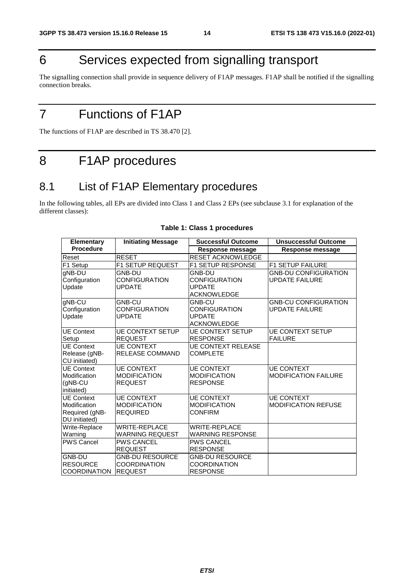# 6 Services expected from signalling transport

The signalling connection shall provide in sequence delivery of F1AP messages. F1AP shall be notified if the signalling connection breaks.

# 7 Functions of F1AP

The functions of F1AP are described in TS 38.470 [2].

# 8 F1AP procedures

# 8.1 List of F1AP Elementary procedures

In the following tables, all EPs are divided into Class 1 and Class 2 EPs (see subclause 3.1 for explanation of the different classes):

| <b>Elementary</b>                 | <b>Initiating Message</b>                | <b>Successful Outcome</b>                | <b>Unsuccessful Outcome</b>                      |
|-----------------------------------|------------------------------------------|------------------------------------------|--------------------------------------------------|
| <b>Procedure</b>                  |                                          | Response message                         | Response message                                 |
| Reset                             | <b>RESET</b>                             | <b>RESET ACKNOWLEDGE</b>                 |                                                  |
| F1 Setup                          | <b>F1 SETUP REQUEST</b>                  | <b>F1 SETUP RESPONSE</b>                 | F1 SETUP FAILURE                                 |
| gNB-DU                            | <b>GNB-DU</b>                            | <b>GNB-DU</b>                            | <b>GNB-DU CONFIGURATION</b>                      |
| Configuration                     | <b>CONFIGURATION</b>                     | <b>CONFIGURATION</b>                     | <b>UPDATE FAILURE</b>                            |
| Update                            | <b>UPDATE</b>                            | <b>UPDATE</b>                            |                                                  |
|                                   |                                          | <b>ACKNOWLEDGE</b>                       |                                                  |
| gNB-CU                            | <b>GNB-CU</b>                            | GNB-CU                                   | <b>GNB-CU CONFIGURATION</b>                      |
| Configuration                     | <b>CONFIGURATION</b>                     | <b>CONFIGURATION</b>                     | <b>UPDATE FAILURE</b>                            |
| Update                            | <b>UPDATE</b>                            | <b>UPDATE</b>                            |                                                  |
|                                   |                                          | <b>ACKNOWLEDGE</b>                       |                                                  |
| <b>UE Context</b>                 | <b>UE CONTEXT SETUP</b>                  | <b>UE CONTEXT SETUP</b>                  | <b>UE CONTEXT SETUP</b>                          |
| Setup                             | <b>REQUEST</b>                           | <b>RESPONSE</b>                          | <b>FAILURE</b>                                   |
| <b>UE Context</b>                 | <b>UE CONTEXT</b>                        | <b>UE CONTEXT RELEASE</b>                |                                                  |
| Release (gNB-                     | <b>RELEASE COMMAND</b>                   | <b>COMPLETE</b>                          |                                                  |
| CU initiated)                     |                                          |                                          |                                                  |
| <b>UE Context</b><br>Modification | <b>UE CONTEXT</b><br><b>MODIFICATION</b> | <b>UE CONTEXT</b><br><b>MODIFICATION</b> | <b>UE CONTEXT</b><br><b>MODIFICATION FAILURE</b> |
| (gNB-CU                           | <b>REQUEST</b>                           | <b>RESPONSE</b>                          |                                                  |
| initiated)                        |                                          |                                          |                                                  |
| <b>UE</b> Context                 | <b>UE CONTEXT</b>                        | <b>UE CONTEXT</b>                        | <b>UE CONTEXT</b>                                |
| Modification                      | <b>MODIFICATION</b>                      | <b>MODIFICATION</b>                      | <b>MODIFICATION REFUSE</b>                       |
| Required (gNB-                    | <b>REQUIRED</b>                          | <b>CONFIRM</b>                           |                                                  |
| DU initiated)                     |                                          |                                          |                                                  |
| Write-Replace                     | <b>WRITE-REPLACE</b>                     | <b>WRITE-REPLACE</b>                     |                                                  |
| Warning                           | <b>WARNING REQUEST</b>                   | <b>WARNING RESPONSE</b>                  |                                                  |
| <b>PWS Cancel</b>                 | <b>PWS CANCEL</b>                        | <b>PWS CANCEL</b>                        |                                                  |
|                                   | <b>REQUEST</b>                           | <b>RESPONSE</b>                          |                                                  |
| <b>GNB-DU</b>                     | <b>GNB-DU RESOURCE</b>                   | <b>GNB-DU RESOURCE</b>                   |                                                  |
| <b>RESOURCE</b>                   | <b>COORDINATION</b>                      | <b>COORDINATION</b>                      |                                                  |
| <b>COORDINATION</b>               | <b>REQUEST</b>                           | <b>RESPONSE</b>                          |                                                  |

#### **Table 1: Class 1 procedures**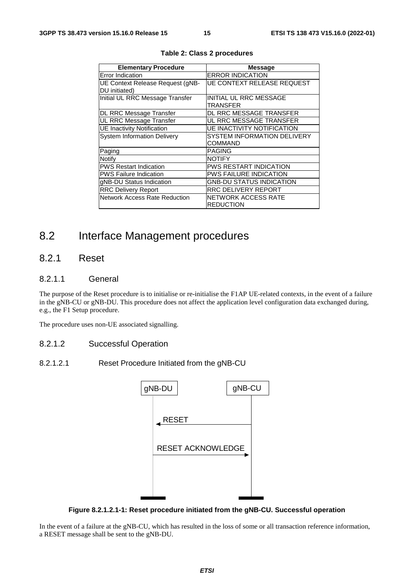| <b>Elementary Procedure</b>          | <b>Message</b>                     |
|--------------------------------------|------------------------------------|
| <b>Error Indication</b>              | <b>ERROR INDICATION</b>            |
| UE Context Release Request (gNB-     | UE CONTEXT RELEASE REQUEST         |
| DU initiated)                        |                                    |
| Initial UL RRC Message Transfer      | <b>INITIAL UL RRC MESSAGE</b>      |
|                                      | TRANSFER                           |
| DL RRC Message Transfer              | DL RRC MESSAGE TRANSFER            |
| UL RRC Message Transfer              | UL RRC MESSAGE TRANSFER            |
| <b>UE Inactivity Notification</b>    | <b>UE INACTIVITY NOTIFICATION</b>  |
| <b>System Information Delivery</b>   | <b>SYSTEM INFORMATION DELIVERY</b> |
|                                      | COMMAND                            |
| Paging                               | <b>PAGING</b>                      |
| Notify                               | <b>NOTIFY</b>                      |
| <b>PWS Restart Indication</b>        | <b>PWS RESTART INDICATION</b>      |
| <b>PWS Failure Indication</b>        | <b>PWS FAILURE INDICATION</b>      |
| gNB-DU Status Indication             | <b>GNB-DU STATUS INDICATION</b>    |
| <b>RRC Delivery Report</b>           | <b>RRC DELIVERY REPORT</b>         |
| <b>Network Access Rate Reduction</b> | <b>NETWORK ACCESS RATE</b>         |
|                                      | <b>REDUCTION</b>                   |

**Table 2: Class 2 procedures** 

# 8.2 Interface Management procedures

# 8.2.1 Reset

#### 8.2.1.1 General

The purpose of the Reset procedure is to initialise or re-initialise the F1AP UE-related contexts, in the event of a failure in the gNB-CU or gNB-DU. This procedure does not affect the application level configuration data exchanged during, e.g., the F1 Setup procedure.

The procedure uses non-UE associated signalling.

- 8.2.1.2 Successful Operation
- 8.2.1.2.1 Reset Procedure Initiated from the gNB-CU



**Figure 8.2.1.2.1-1: Reset procedure initiated from the gNB-CU. Successful operation** 

In the event of a failure at the gNB-CU, which has resulted in the loss of some or all transaction reference information, a RESET message shall be sent to the gNB-DU.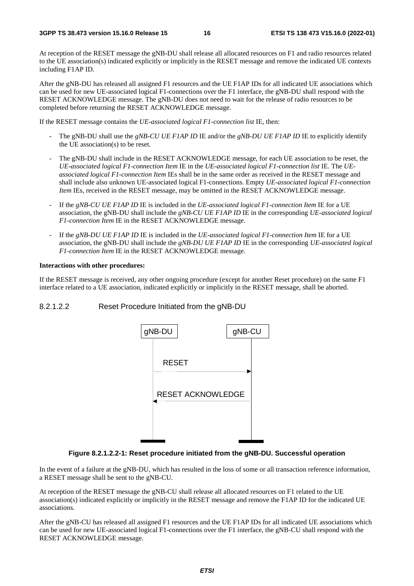At reception of the RESET message the gNB-DU shall release all allocated resources on F1 and radio resources related to the UE association(s) indicated explicitly or implicitly in the RESET message and remove the indicated UE contexts including F1AP ID.

After the gNB-DU has released all assigned F1 resources and the UE F1AP IDs for all indicated UE associations which can be used for new UE-associated logical F1-connections over the F1 interface, the gNB-DU shall respond with the RESET ACKNOWLEDGE message. The gNB-DU does not need to wait for the release of radio resources to be completed before returning the RESET ACKNOWLEDGE message.

If the RESET message contains the *UE-associated logical F1-connection list* IE, then:

- The gNB-DU shall use the *gNB-CU UE F1AP ID* IE and/or the *gNB-DU UE F1AP ID* IE to explicitly identify the UE association(s) to be reset.
- The gNB-DU shall include in the RESET ACKNOWLEDGE message, for each UE association to be reset, the *UE-associated logical F1-connection Item* IE in the *UE-associated logical F1-connection list* IE. The *UEassociated logical F1-connection Item* IEs shall be in the same order as received in the RESET message and shall include also unknown UE-associated logical F1-connections. Empty *UE-associated logical F1-connection Item* IEs, received in the RESET message, may be omitted in the RESET ACKNOWLEDGE message.
- If the *gNB-CU UE F1AP ID* IE is included in the *UE-associated logical F1-connection Item* IE for a UE association, the gNB-DU shall include the *gNB-CU UE F1AP ID* IE in the corresponding *UE-associated logical F1-connection Item* IE in the RESET ACKNOWLEDGE message.
- If the *gNB-DU UE F1AP ID* IE is included in the *UE-associated logical F1-connection Item* IE for a UE association, the gNB-DU shall include the *gNB-DU UE F1AP ID* IE in the corresponding *UE-associated logical F1-connection Item* IE in the RESET ACKNOWLEDGE message.

#### **Interactions with other procedures:**

If the RESET message is received, any other ongoing procedure (except for another Reset procedure) on the same F1 interface related to a UE association, indicated explicitly or implicitly in the RESET message, shall be aborted.

8.2.1.2.2 Reset Procedure Initiated from the gNB-DU



#### **Figure 8.2.1.2.2-1: Reset procedure initiated from the gNB-DU. Successful operation**

In the event of a failure at the gNB-DU, which has resulted in the loss of some or all transaction reference information, a RESET message shall be sent to the gNB-CU.

At reception of the RESET message the gNB-CU shall release all allocated resources on F1 related to the UE association(s) indicated explicitly or implicitly in the RESET message and remove the F1AP ID for the indicated UE associations.

After the gNB-CU has released all assigned F1 resources and the UE F1AP IDs for all indicated UE associations which can be used for new UE-associated logical F1-connections over the F1 interface, the gNB-CU shall respond with the RESET ACKNOWLEDGE message.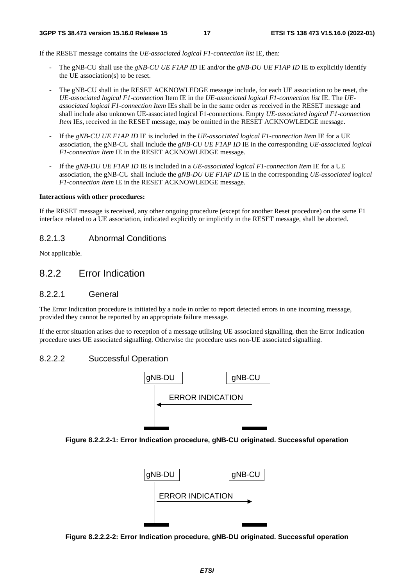If the RESET message contains the *UE-associated logical F1-connection list* IE, then:

- The gNB-CU shall use the *gNB-CU UE F1AP ID* IE and/or the *gNB-DU UE F1AP ID* IE to explicitly identify the UE association(s) to be reset.
- The gNB-CU shall in the RESET ACKNOWLEDGE message include, for each UE association to be reset, the *UE-associated logical F1-connection* Item IE in the *UE-associated logical F1-connection list* IE. The *UEassociated logical F1-connection Item* IEs shall be in the same order as received in the RESET message and shall include also unknown UE-associated logical F1-connections. Empty *UE-associated logical F1-connection Item* IEs, received in the RESET message, may be omitted in the RESET ACKNOWLEDGE message.
- If the *gNB-CU UE F1AP ID* IE is included in the *UE-associated logical F1-connection Item* IE for a UE association, the gNB-CU shall include the *gNB-CU UE F1AP ID* IE in the corresponding *UE-associated logical F1-connection Item* IE in the RESET ACKNOWLEDGE message.
- If the *gNB-DU UE F1AP ID* IE is included in a *UE-associated logical F1-connection Item* IE for a UE association, the gNB-CU shall include the *gNB-DU UE F1AP ID* IE in the corresponding *UE-associated logical F1-connection Item* IE in the RESET ACKNOWLEDGE message.

#### **Interactions with other procedures:**

If the RESET message is received, any other ongoing procedure (except for another Reset procedure) on the same F1 interface related to a UE association, indicated explicitly or implicitly in the RESET message, shall be aborted.

#### 8.2.1.3 Abnormal Conditions

Not applicable.

### 8.2.2 Error Indication

#### 8.2.2.1 General

The Error Indication procedure is initiated by a node in order to report detected errors in one incoming message, provided they cannot be reported by an appropriate failure message.

If the error situation arises due to reception of a message utilising UE associated signalling, then the Error Indication procedure uses UE associated signalling. Otherwise the procedure uses non-UE associated signalling.

#### 8.2.2.2 Successful Operation



#### **Figure 8.2.2.2-1: Error Indication procedure, gNB-CU originated. Successful operation**



**Figure 8.2.2.2-2: Error Indication procedure, gNB-DU originated. Successful operation**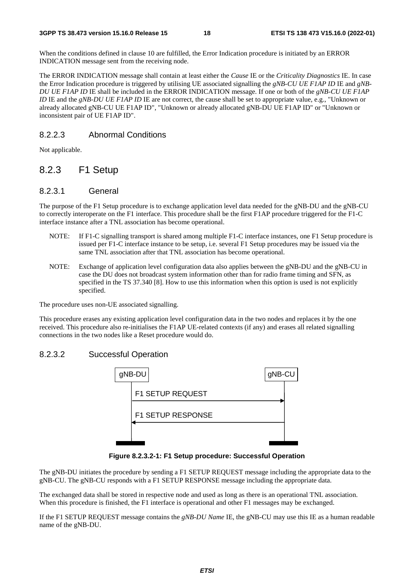When the conditions defined in clause 10 are fulfilled, the Error Indication procedure is initiated by an ERROR INDICATION message sent from the receiving node.

The ERROR INDICATION message shall contain at least either the *Cause* IE or the *Criticality Diagnostics* IE. In case the Error Indication procedure is triggered by utilising UE associated signalling the *gNB-CU UE F1AP ID* IE and *gNB-DU UE F1AP ID* IE shall be included in the ERROR INDICATION message. If one or both of the *gNB-CU UE F1AP ID* IE and the *gNB-DU UE F1AP ID* IE are not correct, the cause shall be set to appropriate value, e.g., "Unknown or already allocated gNB-CU UE F1AP ID", "Unknown or already allocated gNB-DU UE F1AP ID" or "Unknown or inconsistent pair of UE F1AP ID".

#### 8.2.2.3 Abnormal Conditions

Not applicable.

### 8.2.3 F1 Setup

#### 8.2.3.1 General

The purpose of the F1 Setup procedure is to exchange application level data needed for the gNB-DU and the gNB-CU to correctly interoperate on the F1 interface. This procedure shall be the first F1AP procedure triggered for the F1-C interface instance after a TNL association has become operational.

- NOTE: If F1-C signalling transport is shared among multiple F1-C interface instances, one F1 Setup procedure is issued per F1-C interface instance to be setup, i.e. several F1 Setup procedures may be issued via the same TNL association after that TNL association has become operational.
- NOTE: Exchange of application level configuration data also applies between the gNB-DU and the gNB-CU in case the DU does not broadcast system information other than for radio frame timing and SFN, as specified in the TS 37.340 [8]. How to use this information when this option is used is not explicitly specified.

The procedure uses non-UE associated signalling.

This procedure erases any existing application level configuration data in the two nodes and replaces it by the one received. This procedure also re-initialises the F1AP UE-related contexts (if any) and erases all related signalling connections in the two nodes like a Reset procedure would do.

#### 8.2.3.2 Successful Operation



**Figure 8.2.3.2-1: F1 Setup procedure: Successful Operation** 

The gNB-DU initiates the procedure by sending a F1 SETUP REQUEST message including the appropriate data to the gNB-CU. The gNB-CU responds with a F1 SETUP RESPONSE message including the appropriate data.

The exchanged data shall be stored in respective node and used as long as there is an operational TNL association. When this procedure is finished, the F1 interface is operational and other F1 messages may be exchanged.

If the F1 SETUP REQUEST message contains the *gNB-DU Name* IE, the gNB-CU may use this IE as a human readable name of the gNB-DU.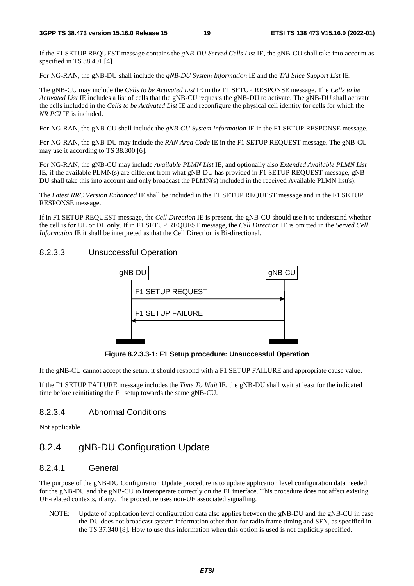If the F1 SETUP REQUEST message contains the *gNB-DU Served Cells List* IE, the gNB-CU shall take into account as specified in TS 38.401 [4].

For NG-RAN, the gNB-DU shall include the *gNB-DU System Information* IE and the *TAI Slice Support List* IE.

The gNB-CU may include the *Cells to be Activated List* IE in the F1 SETUP RESPONSE message. The *Cells to be Activated List* IE includes a list of cells that the gNB-CU requests the gNB-DU to activate. The gNB-DU shall activate the cells included in the *Cells to be Activated List* IE and reconfigure the physical cell identity for cells for which the *NR PCI* IE is included.

For NG-RAN, the gNB-CU shall include the *gNB-CU System Information* IE in the F1 SETUP RESPONSE message.

For NG-RAN, the gNB-DU may include the *RAN Area Code* IE in the F1 SETUP REQUEST message. The gNB-CU may use it according to TS 38.300 [6].

For NG-RAN, the gNB-CU may include *Available PLMN List* IE, and optionally also *Extended Available PLMN List* IE, if the available PLMN(s) are different from what gNB-DU has provided in F1 SETUP REQUEST message, gNB-DU shall take this into account and only broadcast the PLMN(s) included in the received Available PLMN list(s).

The *Latest RRC Version Enhanced* IE shall be included in the F1 SETUP REQUEST message and in the F1 SETUP RESPONSE message.

If in F1 SETUP REQUEST message, the *Cell Direction* IE is present, the gNB-CU should use it to understand whether the cell is for UL or DL only. If in F1 SETUP REQUEST message, the *Cell Direction* IE is omitted in the *Served Cell Information* IE it shall be interpreted as that the Cell Direction is Bi-directional.

#### 8.2.3.3 Unsuccessful Operation



**Figure 8.2.3.3-1: F1 Setup procedure: Unsuccessful Operation** 

If the gNB-CU cannot accept the setup, it should respond with a F1 SETUP FAILURE and appropriate cause value.

If the F1 SETUP FAILURE message includes the *Time To Wait* IE, the gNB-DU shall wait at least for the indicated time before reinitiating the F1 setup towards the same gNB-CU.

#### 8.2.3.4 Abnormal Conditions

Not applicable.

# 8.2.4 gNB-DU Configuration Update

### 8.2.4.1 General

The purpose of the gNB-DU Configuration Update procedure is to update application level configuration data needed for the gNB-DU and the gNB-CU to interoperate correctly on the F1 interface. This procedure does not affect existing UE-related contexts, if any. The procedure uses non-UE associated signalling.

NOTE: Update of application level configuration data also applies between the gNB-DU and the gNB-CU in case the DU does not broadcast system information other than for radio frame timing and SFN, as specified in the TS 37.340 [8]. How to use this information when this option is used is not explicitly specified.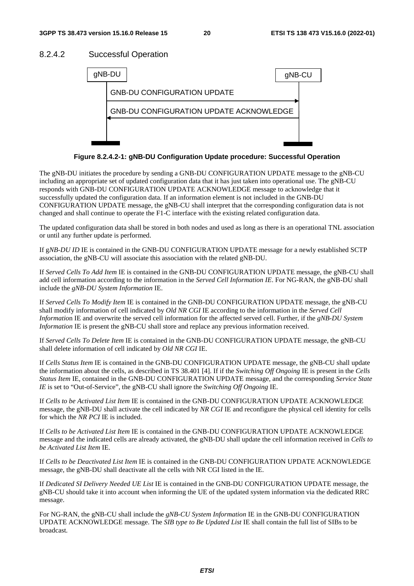#### 8.2.4.2 Successful Operation



**Figure 8.2.4.2-1: gNB-DU Configuration Update procedure: Successful Operation** 

The gNB-DU initiates the procedure by sending a GNB-DU CONFIGURATION UPDATE message to the gNB-CU including an appropriate set of updated configuration data that it has just taken into operational use. The gNB-CU responds with GNB-DU CONFIGURATION UPDATE ACKNOWLEDGE message to acknowledge that it successfully updated the configuration data. If an information element is not included in the GNB-DU CONFIGURATION UPDATE message, the gNB-CU shall interpret that the corresponding configuration data is not changed and shall continue to operate the F1-C interface with the existing related configuration data.

The updated configuration data shall be stored in both nodes and used as long as there is an operational TNL association or until any further update is performed.

If g*NB-DU ID* IE is contained in the GNB-DU CONFIGURATION UPDATE message for a newly established SCTP association, the gNB-CU will associate this association with the related gNB-DU.

If *Served Cells To Add Item* IE is contained in the GNB-DU CONFIGURATION UPDATE message, the gNB-CU shall add cell information according to the information in the *Served Cell Information IE*. For NG-RAN, the gNB-DU shall include the *gNB-DU System Information* IE.

If *Served Cells To Modify Item* IE is contained in the GNB-DU CONFIGURATION UPDATE message, the gNB-CU shall modify information of cell indicated by *Old NR CGI* IE according to the information in the *Served Cell Informatio*n IE and overwrite the served cell information for the affected served cell. Further, if the *gNB-DU System Information* IE is present the gNB-CU shall store and replace any previous information received.

If *Served Cells To Delete Item* IE is contained in the GNB-DU CONFIGURATION UPDATE message, the gNB-CU shall delete information of cell indicated by *Old NR CGI* IE.

If *Cells Status Item* IE is contained in the GNB-DU CONFIGURATION UPDATE message, the gNB-CU shall update the information about the cells, as described in TS 38.401 [4]. If if the *Switching Off Ongoing* IE is present in the *Cells Status Item* IE, contained in the GNB-DU CONFIGURATION UPDATE message, and the corresponding *Service State IE* is set to "Out-of-Service", the gNB-CU shall ignore the *Switching Off Ongoing* IE.

If *Cells to be Activated List Item* IE is contained in the GNB-DU CONFIGURATION UPDATE ACKNOWLEDGE message, the gNB-DU shall activate the cell indicated by *NR CGI* IE and reconfigure the physical cell identity for cells for which the *NR PCI* IE is included.

If *Cells to be Activated List Item* IE is contained in the GNB-DU CONFIGURATION UPDATE ACKNOWLEDGE message and the indicated cells are already activated, the gNB-DU shall update the cell information received in *Cells to be Activated List Item* IE.

If *Cells to be Deactivated List Item* IE is contained in the GNB-DU CONFIGURATION UPDATE ACKNOWLEDGE message, the gNB-DU shall deactivate all the cells with NR CGI listed in the IE.

If *Dedicated SI Delivery Needed UE List* IE is contained in the GNB-DU CONFIGURATION UPDATE message, the gNB-CU should take it into account when informing the UE of the updated system information via the dedicated RRC message.

For NG-RAN, the gNB-CU shall include the *gNB-CU System Information* IE in the GNB-DU CONFIGURATION UPDATE ACKNOWLEDGE message. The *SIB type to Be Updated List* IE shall contain the full list of SIBs to be broadcast*.*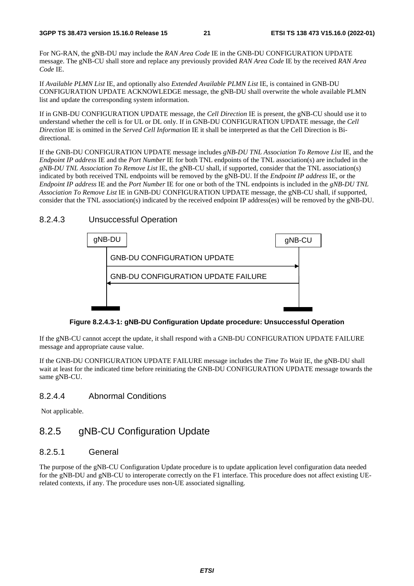For NG-RAN, the gNB-DU may include the *RAN Area Code* IE in the GNB-DU CONFIGURATION UPDATE message. The gNB-CU shall store and replace any previously provided *RAN Area Code* IE by the received *RAN Area Code* IE.

If *Available PLMN List* IE, and optionally also *Extended Available PLMN List* IE, is contained in GNB-DU CONFIGURATION UPDATE ACKNOWLEDGE message, the gNB-DU shall overwrite the whole available PLMN list and update the corresponding system information.

If in GNB-DU CONFIGURATION UPDATE message, the *Cell Direction* IE is present, the gNB-CU should use it to understand whether the cell is for UL or DL only. If in GNB-DU CONFIGURATION UPDATE message, the *Cell Direction* IE is omitted in the *Served Cell Information* IE it shall be interpreted as that the Cell Direction is Bidirectional.

If the GNB-DU CONFIGURATION UPDATE message includes *gNB-DU TNL Association To Remove List* IE, and the *Endpoint IP address* IE and the *Port Number* IE for both TNL endpoints of the TNL association(s) are included in the *gNB-DU TNL Association To Remove List* IE, the gNB-CU shall, if supported, consider that the TNL association(s) indicated by both received TNL endpoints will be removed by the gNB-DU. If the *Endpoint IP address* IE, or the *Endpoint IP address* IE and the *Port Number* IE for one or both of the TNL endpoints is included in the *gNB-DU TNL Association To Remove List* IE in GNB-DU CONFIGURATION UPDATE message, the gNB-CU shall, if supported, consider that the TNL association(s) indicated by the received endpoint IP address(es) will be removed by the gNB-DU.

#### 8.2.4.3 Unsuccessful Operation



**Figure 8.2.4.3-1: gNB-DU Configuration Update procedure: Unsuccessful Operation** 

If the gNB-CU cannot accept the update, it shall respond with a GNB-DU CONFIGURATION UPDATE FAILURE message and appropriate cause value.

If the GNB-DU CONFIGURATION UPDATE FAILURE message includes the *Time To Wait* IE, the gNB-DU shall wait at least for the indicated time before reinitiating the GNB-DU CONFIGURATION UPDATE message towards the same gNB-CU.

#### 8.2.4.4 Abnormal Conditions

Not applicable.

# 8.2.5 gNB-CU Configuration Update

#### 8.2.5.1 General

The purpose of the gNB-CU Configuration Update procedure is to update application level configuration data needed for the gNB-DU and gNB-CU to interoperate correctly on the F1 interface. This procedure does not affect existing UErelated contexts, if any. The procedure uses non-UE associated signalling.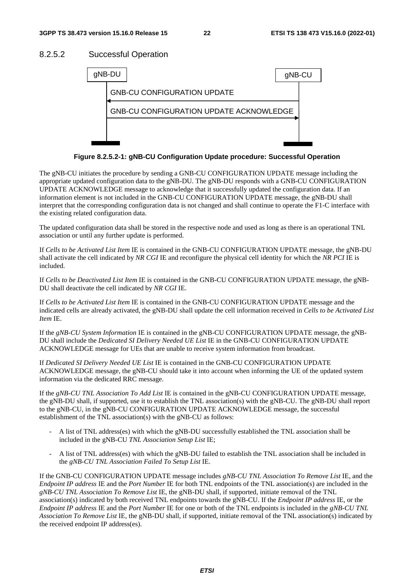#### 8.2.5.2 Successful Operation



**Figure 8.2.5.2-1: gNB-CU Configuration Update procedure: Successful Operation** 

The gNB-CU initiates the procedure by sending a GNB-CU CONFIGURATION UPDATE message including the appropriate updated configuration data to the gNB-DU. The gNB-DU responds with a GNB-CU CONFIGURATION UPDATE ACKNOWLEDGE message to acknowledge that it successfully updated the configuration data. If an information element is not included in the GNB-CU CONFIGURATION UPDATE message, the gNB-DU shall interpret that the corresponding configuration data is not changed and shall continue to operate the F1-C interface with the existing related configuration data.

The updated configuration data shall be stored in the respective node and used as long as there is an operational TNL association or until any further update is performed.

If *Cells to be Activated List Item* IE is contained in the GNB-CU CONFIGURATION UPDATE message, the gNB-DU shall activate the cell indicated by *NR CGI* IE and reconfigure the physical cell identity for which the *NR PCI* IE is included.

If *Cells to be Deactivated List Item* IE is contained in the GNB-CU CONFIGURATION UPDATE message, the gNB-DU shall deactivate the cell indicated by *NR CGI* IE.

If *Cells to be Activated List Item* IE is contained in the GNB-CU CONFIGURATION UPDATE message and the indicated cells are already activated, the gNB-DU shall update the cell information received in *Cells to be Activated List Item* IE.

If the *gNB-CU System Information* IE is contained in the gNB-CU CONFIGURATION UPDATE message, the gNB-DU shall include the *Dedicated SI Delivery Needed UE List* IE in the GNB-CU CONFIGURATION UPDATE ACKNOWLEDGE message for UEs that are unable to receive system information from broadcast.

If *Dedicated SI Delivery Needed UE List* IE is contained in the GNB-CU CONFIGURATION UPDATE ACKNOWLEDGE message, the gNB-CU should take it into account when informing the UE of the updated system information via the dedicated RRC message.

If the *gNB-CU TNL Association To Add List* IE is contained in the gNB-CU CONFIGURATION UPDATE message, the gNB-DU shall, if supported, use it to establish the TNL association(s) with the gNB-CU. The gNB-DU shall report to the gNB-CU, in the gNB-CU CONFIGURATION UPDATE ACKNOWLEDGE message, the successful establishment of the TNL association(s) with the gNB-CU as follows:

- A list of TNL address(es) with which the gNB-DU successfully established the TNL association shall be included in the gNB-CU *TNL Association Setup List* IE;
- A list of TNL address(es) with which the gNB-DU failed to establish the TNL association shall be included in the *gNB-CU TNL Association Failed To Setup List* IE.

If the GNB-CU CONFIGURATION UPDATE message includes *gNB-CU TNL Association To Remove List* IE, and the *Endpoint IP address* IE and the *Port Number* IE for both TNL endpoints of the TNL association(s) are included in the *gNB-CU TNL Association To Remove List* IE, the gNB-DU shall, if supported, initiate removal of the TNL association(s) indicated by both received TNL endpoints towards the gNB-CU. If the *Endpoint IP address* IE, or the *Endpoint IP address* IE and the *Port Number* IE for one or both of the TNL endpoints is included in the *gNB-CU TNL Association To Remove List* IE, the gNB-DU shall, if supported, initiate removal of the TNL association(s) indicated by the received endpoint IP address(es).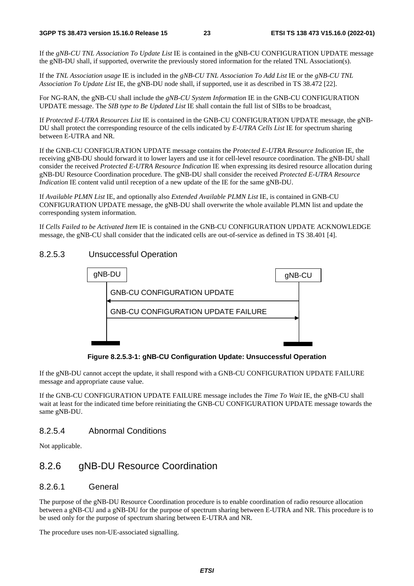If the *gNB-CU TNL Association To Update List* IE is contained in the gNB-CU CONFIGURATION UPDATE message the gNB-DU shall, if supported, overwrite the previously stored information for the related TNL Association(s).

If the *TNL Association usage* IE is included in the *gNB-CU TNL Association To Add List* IE or the *gNB-CU TNL Association To Update List* IE, the gNB-DU node shall, if supported, use it as described in TS 38.472 [22].

For NG-RAN, the gNB-CU shall include the *gNB-CU System Information* IE in the GNB-CU CONFIGURATION UPDATE message. The *SIB type to Be Updated List* IE shall contain the full list of SIBs to be broadcast*.*

If *Protected E-UTRA Resources List* IE is contained in the GNB-CU CONFIGURATION UPDATE message, the gNB-DU shall protect the corresponding resource of the cells indicated by *E-UTRA Cells List* IE for spectrum sharing between E-UTRA and NR.

If the GNB-CU CONFIGURATION UPDATE message contains the *Protected E-UTRA Resource Indication* IE, the receiving gNB-DU should forward it to lower layers and use it for cell-level resource coordination. The gNB-DU shall consider the received *Protected E-UTRA Resource Indication* IE when expressing its desired resource allocation during gNB-DU Resource Coordination procedure. The gNB-DU shall consider the received *Protected E-UTRA Resource Indication* IE content valid until reception of a new update of the IE for the same gNB-DU.

If *Available PLMN List* IE, and optionally also *Extended Available PLMN List* IE, is contained in GNB-CU CONFIGURATION UPDATE message, the gNB-DU shall overwrite the whole available PLMN list and update the corresponding system information.

If *Cells Failed to be Activated Item* IE is contained in the GNB-CU CONFIGURATION UPDATE ACKNOWLEDGE message, the gNB-CU shall consider that the indicated cells are out-of-service as defined in TS 38.401 [4].

#### 8.2.5.3 Unsuccessful Operation



**Figure 8.2.5.3-1: gNB-CU Configuration Update: Unsuccessful Operation** 

If the gNB-DU cannot accept the update, it shall respond with a GNB-CU CONFIGURATION UPDATE FAILURE message and appropriate cause value.

If the GNB-CU CONFIGURATION UPDATE FAILURE message includes the *Time To Wait* IE, the gNB-CU shall wait at least for the indicated time before reinitiating the GNB-CU CONFIGURATION UPDATE message towards the same gNB-DU.

#### 8.2.5.4 Abnormal Conditions

Not applicable.

### 8.2.6 gNB-DU Resource Coordination

#### 8.2.6.1 General

The purpose of the gNB-DU Resource Coordination procedure is to enable coordination of radio resource allocation between a gNB-CU and a gNB-DU for the purpose of spectrum sharing between E-UTRA and NR. This procedure is to be used only for the purpose of spectrum sharing between E-UTRA and NR.

The procedure uses non-UE-associated signalling.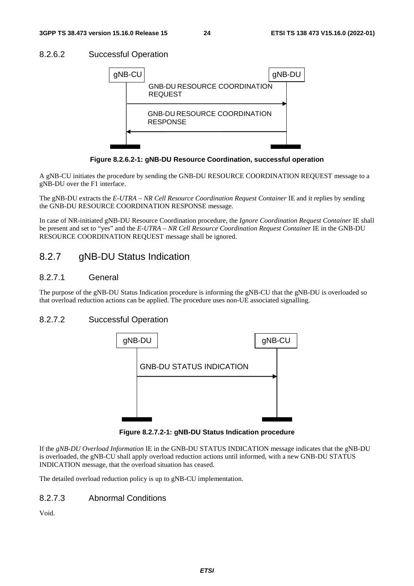### 8.2.6.2 Successful Operation



**Figure 8.2.6.2-1: gNB-DU Resource Coordination, successful operation** 

A gNB-CU initiates the procedure by sending the GNB-DU RESOURCE COORDINATION REQUEST message to a gNB-DU over the F1 interface.

The gNB-DU extracts the *E-UTRA – NR Cell Resource Coordination Request Container* IE and it replies by sending the GNB-DU RESOURCE COORDINATION RESPONSE message.

In case of NR-initiated gNB-DU Resource Coordination procedure, the *Ignore Coordination Request Container* IE shall be present and set to "yes" and the *E-UTRA – NR Cell Resource Coordination Request Container* IE in the GNB-DU RESOURCE COORDINATION REQUEST message shall be ignored.

# 8.2.7 gNB-DU Status Indication

#### 8.2.7.1 General

The purpose of the gNB-DU Status Indication procedure is informing the gNB-CU that the gNB-DU is overloaded so that overload reduction actions can be applied. The procedure uses non-UE associated signalling.

### 8.2.7.2 Successful Operation



**Figure 8.2.7.2-1: gNB-DU Status Indication procedure** 

If the *gNB-DU Overload Information* IE in the GNB-DU STATUS INDICATION message indicates that the gNB-DU is overloaded, the gNB-CU shall apply overload reduction actions until informed, with a new GNB-DU STATUS INDICATION message, that the overload situation has ceased.

The detailed overload reduction policy is up to gNB-CU implementation.

#### 8.2.7.3 Abnormal Conditions

Void.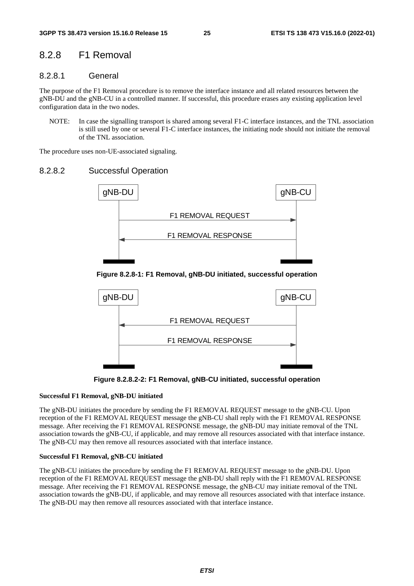### 8.2.8 F1 Removal

#### 8.2.8.1 General

The purpose of the F1 Removal procedure is to remove the interface instance and all related resources between the gNB-DU and the gNB-CU in a controlled manner. If successful, this procedure erases any existing application level configuration data in the two nodes.

NOTE: In case the signalling transport is shared among several F1-C interface instances, and the TNL association is still used by one or several F1-C interface instances, the initiating node should not initiate the removal of the TNL association.

The procedure uses non-UE-associated signaling.

#### 8.2.8.2 Successful Operation



#### **Figure 8.2.8-1: F1 Removal, gNB-DU initiated, successful operation**



**Figure 8.2.8.2-2: F1 Removal, gNB-CU initiated, successful operation** 

#### **Successful F1 Removal, gNB-DU initiated**

The gNB-DU initiates the procedure by sending the F1 REMOVAL REQUEST message to the gNB-CU. Upon reception of the F1 REMOVAL REQUEST message the gNB-CU shall reply with the F1 REMOVAL RESPONSE message. After receiving the F1 REMOVAL RESPONSE message, the gNB-DU may initiate removal of the TNL association towards the gNB-CU, if applicable, and may remove all resources associated with that interface instance. The gNB-CU may then remove all resources associated with that interface instance.

#### **Successful F1 Removal, gNB-CU initiated**

The gNB-CU initiates the procedure by sending the F1 REMOVAL REQUEST message to the gNB-DU. Upon reception of the F1 REMOVAL REQUEST message the gNB-DU shall reply with the F1 REMOVAL RESPONSE message. After receiving the F1 REMOVAL RESPONSE message, the gNB-CU may initiate removal of the TNL association towards the gNB-DU, if applicable, and may remove all resources associated with that interface instance. The gNB-DU may then remove all resources associated with that interface instance.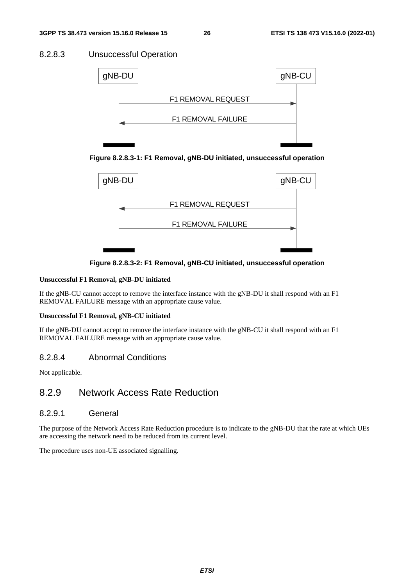### 8.2.8.3 Unsuccessful Operation







**Figure 8.2.8.3-2: F1 Removal, gNB-CU initiated, unsuccessful operation** 

#### **Unsuccessful F1 Removal, gNB-DU initiated**

If the gNB-CU cannot accept to remove the interface instance with the gNB-DU it shall respond with an F1 REMOVAL FAILURE message with an appropriate cause value.

#### **Unsuccessful F1 Removal, gNB-CU initiated**

If the gNB-DU cannot accept to remove the interface instance with the gNB-CU it shall respond with an F1 REMOVAL FAILURE message with an appropriate cause value.

#### 8.2.8.4 Abnormal Conditions

Not applicable.

# 8.2.9 Network Access Rate Reduction

#### 8.2.9.1 General

The purpose of the Network Access Rate Reduction procedure is to indicate to the gNB-DU that the rate at which UEs are accessing the network need to be reduced from its current level.

The procedure uses non-UE associated signalling.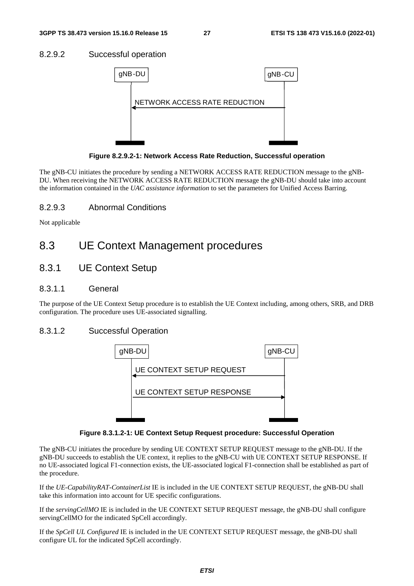#### 8.2.9.2 Successful operation



**Figure 8.2.9.2-1: Network Access Rate Reduction, Successful operation** 

The gNB-CU initiates the procedure by sending a NETWORK ACCESS RATE REDUCTION message to the gNB-DU. When receiving the NETWORK ACCESS RATE REDUCTION message the gNB-DU should take into account the information contained in the *UAC assistance information* to set the parameters for Unified Access Barring.

#### 8.2.9.3 Abnormal Conditions

Not applicable

# 8.3 UE Context Management procedures

### 8.3.1 UE Context Setup

#### 8.3.1.1 General

The purpose of the UE Context Setup procedure is to establish the UE Context including, among others, SRB, and DRB configuration. The procedure uses UE-associated signalling.

#### 8.3.1.2 Successful Operation



**Figure 8.3.1.2-1: UE Context Setup Request procedure: Successful Operation** 

The gNB-CU initiates the procedure by sending UE CONTEXT SETUP REQUEST message to the gNB-DU. If the gNB-DU succeeds to establish the UE context, it replies to the gNB-CU with UE CONTEXT SETUP RESPONSE. If no UE-associated logical F1-connection exists, the UE-associated logical F1-connection shall be established as part of the procedure.

If the *UE-CapabilityRAT-ContainerList* IE is included in the UE CONTEXT SETUP REQUEST, the gNB-DU shall take this information into account for UE specific configurations.

If the *servingCellMO* IE is included in the UE CONTEXT SETUP REQUEST message, the gNB-DU shall configure servingCellMO for the indicated SpCell accordingly.

If the *SpCell UL Configured* IE is included in the UE CONTEXT SETUP REQUEST message, the gNB-DU shall configure UL for the indicated SpCell accordingly.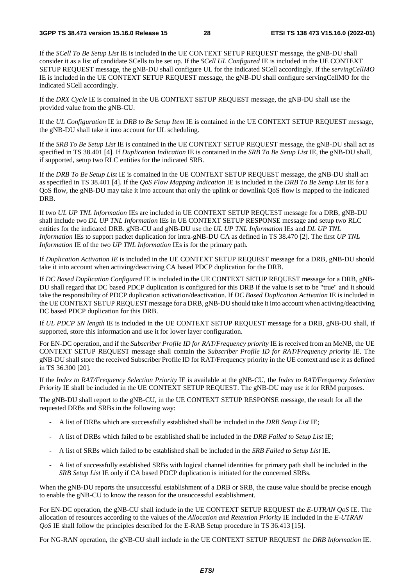If the *SCell To Be Setup List* IE is included in the UE CONTEXT SETUP REQUEST message, the gNB-DU shall consider it as a list of candidate SCells to be set up. If the *SCell UL Configured* IE is included in the UE CONTEXT SETUP REQUEST message, the gNB-DU shall configure UL for the indicated SCell accordingly. If the *servingCellMO*  IE is included in the UE CONTEXT SETUP REQUEST message, the gNB-DU shall configure servingCellMO for the indicated SCell accordingly.

If the *DRX Cycle* IE is contained in the UE CONTEXT SETUP REQUEST message, the gNB-DU shall use the provided value from the gNB-CU.

If the *UL Configuration* IE in *DRB to Be Setup Item* IE is contained in the UE CONTEXT SETUP REQUEST message, the gNB-DU shall take it into account for UL scheduling.

If the *SRB To Be Setup List* IE is contained in the UE CONTEXT SETUP REQUEST message, the gNB-DU shall act as specified in TS 38.401 [4]. If *Duplication Indication* IE is contained in the *SRB To Be Setup List* IE, the gNB-DU shall, if supported, setup two RLC entities for the indicated SRB.

If the *DRB To Be Setup List* IE is contained in the UE CONTEXT SETUP REQUEST message, the gNB-DU shall act as specified in TS 38.401 [4]. If the *QoS Flow Mapping Indication* IE is included in the *DRB To Be Setup List* IE for a QoS flow, the gNB-DU may take it into account that only the uplink or downlink QoS flow is mapped to the indicated DRB.

If two *UL UP TNL Information* IEs are included in UE CONTEXT SETUP REQUEST message for a DRB, gNB-DU shall include two *DL UP TNL Information* IEs in UE CONTEXT SETUP RESPONSE message and setup two RLC entities for the indicated DRB. gNB-CU and gNB-DU use the *UL UP TNL Information* IEs and *DL UP TNL Information* IEs to support packet duplication for intra-gNB-DU CA as defined in TS 38.470 [2]. The first *UP TNL Information* IE of the two *UP TNL Information* IEs is for the primary path*.* 

If *Duplication Activation IE* is included in the UE CONTEXT SETUP REQUEST message for a DRB, gNB-DU should take it into account when activing/deactiving CA based PDCP duplication for the DRB.

If *DC Based Duplication Configured* IE is included in the UE CONTEXT SETUP REQUEST message for a DRB, gNB-DU shall regard that DC based PDCP duplication is configured for this DRB if the value is set to be "true" and it should take the responsibility of PDCP duplication activation/deactivation. If *DC Based Duplication Activation* IE is included in the UE CONTEXT SETUP REQUEST message for a DRB, gNB-DU should take it into account when activing/deactiving DC based PDCP duplication for this DRB.

If *UL PDCP SN length* IE is included in the UE CONTEXT SETUP REQUEST message for a DRB, gNB-DU shall, if supported, store this information and use it for lower layer configuration.

For EN-DC operation, and if the *Subscriber Profile ID for RAT/Frequency priority* IE is received from an MeNB, the UE CONTEXT SETUP REQUEST message shall contain the *Subscriber Profile ID for RAT/Frequency priority* IE. The gNB-DU shall store the received Subscriber Profile ID for RAT/Frequency priority in the UE context and use it as defined in TS 36.300 [20].

If the *Index to RAT/Frequency Selection Priority* IE is available at the gNB-CU, the *Index to RAT/Frequency Selection Priority* IE shall be included in the UE CONTEXT SETUP REQUEST. The gNB-DU may use it for RRM purposes.

The gNB-DU shall report to the gNB-CU, in the UE CONTEXT SETUP RESPONSE message, the result for all the requested DRBs and SRBs in the following way:

- A list of DRBs which are successfully established shall be included in the *DRB Setup List* IE;
- A list of DRBs which failed to be established shall be included in the *DRB Failed to Setup List* IE;
- A list of SRBs which failed to be established shall be included in the *SRB Failed to Setup List* IE.
- A list of successfully established SRBs with logical channel identities for primary path shall be included in the *SRB Setup List* IE only if CA based PDCP duplication is initiated for the concerned SRBs.

When the gNB-DU reports the unsuccessful establishment of a DRB or SRB, the cause value should be precise enough to enable the gNB-CU to know the reason for the unsuccessful establishment.

For EN-DC operation, the gNB-CU shall include in the UE CONTEXT SETUP REQUEST the *E-UTRAN QoS* IE. The allocation of resources according to the values of the *Allocation and Retention Priority* IE included in the *E-UTRAN QoS* IE shall follow the principles described for the E-RAB Setup procedure in TS 36.413 [15].

For NG-RAN operation, the gNB-CU shall include in the UE CONTEXT SETUP REQUEST the *DRB Information* IE.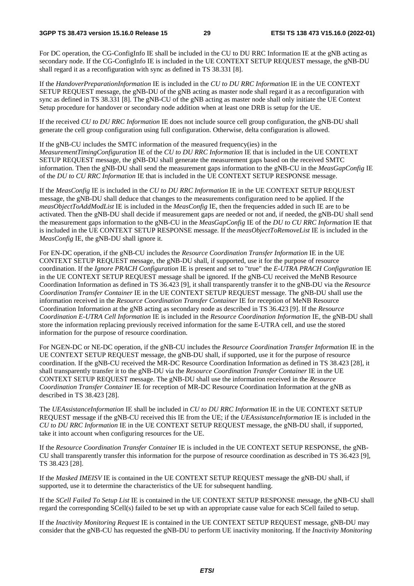For DC operation, the CG-ConfigInfo IE shall be included in the CU to DU RRC Information IE at the gNB acting as secondary node. If the CG-ConfigInfo IE is included in the UE CONTEXT SETUP REQUEST message, the gNB-DU shall regard it as a reconfiguration with sync as defined in TS 38.331 [8].

If the *HandoverPreparationInformation* IE is included in the *CU to DU RRC Information* IE in the UE CONTEXT SETUP REQUEST message, the gNB-DU of the gNB acting as master node shall regard it as a reconfiguration with sync as defined in TS 38.331 [8]. The gNB-CU of the gNB acting as master node shall only initiate the UE Context Setup procedure for handover or secondary node addition when at least one DRB is setup for the UE.

If the received *CU to DU RRC Information* IE does not include source cell group configuration, the gNB-DU shall generate the cell group configuration using full configuration. Otherwise, delta configuration is allowed.

If the gNB-CU includes the SMTC information of the measured frequency(ies) in the

*MeasurementTimingConfiguration* IE of the *CU to DU RRC Information* IE that is included in the UE CONTEXT SETUP REQUEST message, the gNB-DU shall generate the measurement gaps based on the received SMTC information. Then the gNB-DU shall send the measurement gaps information to the gNB-CU in the *MeasGapConfig* IE of the *DU to CU RRC Information* IE that is included in the UE CONTEXT SETUP RESPONSE message.

If the *MeasConfig* IE is included in the *CU to DU RRC Information* IE in the UE CONTEXT SETUP REQUEST message, the gNB-DU shall deduce that changes to the measurements configuration need to be applied. If the *measObjectToAddModList* IE is included in the *MeasConfig* IE, then the frequencies added in such IE are to be activated. Then the gNB-DU shall decide if measurement gaps are needed or not and, if needed, the gNB-DU shall send the measurement gaps information to the gNB-CU in the *MeasGapConfig* IE of the *DU to CU RRC Information* IE that is included in the UE CONTEXT SETUP RESPONSE message. If the *measObjectToRemoveList* IE is included in the *MeasConfig* IE, the gNB-DU shall ignore it.

For EN-DC operation, if the gNB-CU includes the *Resource Coordination Transfer Information* IE in the UE CONTEXT SETUP REQUEST message, the gNB-DU shall, if supported, use it for the purpose of resource coordination. If the *Ignore PRACH Configuration* IE is present and set to "true" the *E-UTRA PRACH Configuration* IE in the UE CONTEXT SETUP REQUEST message shall be ignored. If the gNB-CU received the MeNB Resource Coordination Information as defined in TS 36.423 [9], it shall transparently transfer it to the gNB-DU via the *Resource Coordination Transfer Container* IE in the UE CONTEXT SETUP REQUEST message. The gNB-DU shall use the information received in the *Resource Coordination Transfer Container* IE for reception of MeNB Resource Coordination Information at the gNB acting as secondary node as described in TS 36.423 [9]. If the *Resource Coordination E-UTRA Cell Information* IE is included in the *Resource Coordination Information* IE, the gNB-DU shall store the information replacing previously received information for the same E-UTRA cell, and use the stored information for the purpose of resource coordination.

For NGEN-DC or NE-DC operation, if the gNB-CU includes the *Resource Coordination Transfer Information* IE in the UE CONTEXT SETUP REQUEST message, the gNB-DU shall, if supported, use it for the purpose of resource coordination. If the gNB-CU received the MR-DC Resource Coordination Information as defined in TS 38.423 [28], it shall transparently transfer it to the gNB-DU via the *Resource Coordination Transfer Container* IE in the UE CONTEXT SETUP REQUEST message. The gNB-DU shall use the information received in the *Resource Coordination Transfer Container* IE for reception of MR-DC Resource Coordination Information at the gNB as described in TS 38.423 [28].

The *UEAssistanceInformation* IE shall be included in *CU to DU RRC Information* IE in the UE CONTEXT SETUP REQUEST message if the gNB-CU received this IE from the UE; if the *UEAssistanceInformation* IE is included in the *CU to DU RRC Information* IE in the UE CONTEXT SETUP REQUEST message, the gNB-DU shall, if supported, take it into account when configuring resources for the UE.

If the *Resource Coordination Transfer Container* IE is included in the UE CONTEXT SETUP RESPONSE, the gNB-CU shall transparently transfer this information for the purpose of resource coordination as described in TS 36.423 [9], TS 38.423 [28].

If the *Masked IMEISV* IE is contained in the UE CONTEXT SETUP REQUEST message the gNB-DU shall, if supported, use it to determine the characteristics of the UE for subsequent handling.

If the *SCell Failed To Setup List* IE is contained in the UE CONTEXT SETUP RESPONSE message, the gNB-CU shall regard the corresponding SCell(s) failed to be set up with an appropriate cause value for each SCell failed to setup.

If the *Inactivity Monitoring Request* IE is contained in the UE CONTEXT SETUP REQUEST message, gNB-DU may consider that the gNB-CU has requested the gNB-DU to perform UE inactivity monitoring. If the *Inactivity Monitoring*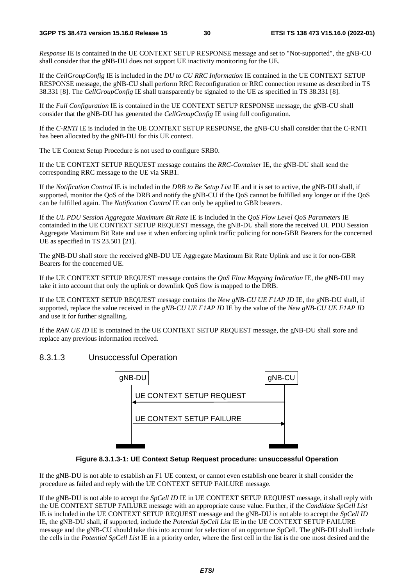*Response* IE is contained in the UE CONTEXT SETUP RESPONSE message and set to "Not-supported", the gNB-CU shall consider that the gNB-DU does not support UE inactivity monitoring for the UE.

If the *CellGroupConfig* IE is included in the *DU to CU RRC Information* IE contained in the UE CONTEXT SETUP RESPONSE message, the gNB-CU shall perform RRC Reconfiguration or RRC connection resume as described in TS 38.331 [8]. The *CellGroupConfig* IE shall transparently be signaled to the UE as specified in TS 38.331 [8].

If the *Full Configuration* IE is contained in the UE CONTEXT SETUP RESPONSE message, the gNB-CU shall consider that the gNB-DU has generated the *CellGroupConfig* IE using full configuration.

If the *C-RNTI* IE is included in the UE CONTEXT SETUP RESPONSE, the gNB-CU shall consider that the C-RNTI has been allocated by the gNB-DU for this UE context.

The UE Context Setup Procedure is not used to configure SRB0.

If the UE CONTEXT SETUP REQUEST message contains the *RRC-Container* IE, the gNB-DU shall send the corresponding RRC message to the UE via SRB1.

If the *Notification Control* IE is included in the *DRB to Be Setup List* IE and it is set to active, the gNB-DU shall, if supported, monitor the OoS of the DRB and notify the gNB-CU if the OoS cannot be fulfilled any longer or if the OoS can be fulfilled again. The *Notification Control* IE can only be applied to GBR bearers.

If the *UL PDU Session Aggregate Maximum Bit Rate* IE is included in the *QoS Flow Level QoS Parameters* IE containded in the UE CONTEXT SETUP REQUEST message, the gNB-DU shall store the received UL PDU Session Aggregate Maximum Bit Rate and use it when enforcing uplink traffic policing for non-GBR Bearers for the concerned UE as specified in TS 23.501 [21].

The gNB-DU shall store the received gNB-DU UE Aggregate Maximum Bit Rate Uplink and use it for non-GBR Bearers for the concerned UE.

If the UE CONTEXT SETUP REQUEST message contains the *QoS Flow Mapping Indication* IE, the gNB-DU may take it into account that only the uplink or downlink QoS flow is mapped to the DRB.

If the UE CONTEXT SETUP REQUEST message contains the *New gNB-CU UE F1AP ID* IE, the gNB-DU shall, if supported, replace the value received in the *gNB-CU UE F1AP ID* IE by the value of the *New gNB-CU UE F1AP ID* and use it for further signalling.

If the *RAN UE ID* IE is contained in the UE CONTEXT SETUP REQUEST message, the gNB-DU shall store and replace any previous information received.

#### 8.3.1.3 Unsuccessful Operation



#### **Figure 8.3.1.3-1: UE Context Setup Request procedure: unsuccessful Operation**

If the gNB-DU is not able to establish an F1 UE context, or cannot even establish one bearer it shall consider the procedure as failed and reply with the UE CONTEXT SETUP FAILURE message.

If the gNB-DU is not able to accept the *SpCell ID* IE in UE CONTEXT SETUP REQUEST message, it shall reply with the UE CONTEXT SETUP FAILURE message with an appropriate cause value. Further, if the *Candidate SpCell List*  IE is included in the UE CONTEXT SETUP REQUEST message and the gNB-DU is not able to accept the *SpCell ID* IE, the gNB-DU shall, if supported, include the *Potential SpCell List* IE in the UE CONTEXT SETUP FAILURE message and the gNB-CU should take this into account for selection of an opportune SpCell. The gNB-DU shall include the cells in the *Potential SpCell List* IE in a priority order, where the first cell in the list is the one most desired and the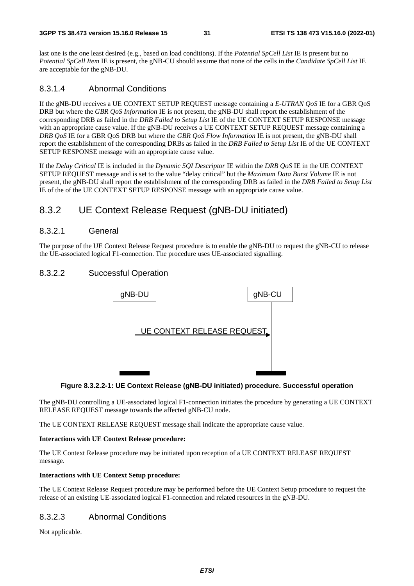last one is the one least desired (e.g., based on load conditions). If the *Potential SpCell List* IE is present but no *Potential SpCell Item* IE is present, the gNB-CU should assume that none of the cells in the *Candidate SpCell List* IE are acceptable for the gNB-DU.

### 8.3.1.4 Abnormal Conditions

If the gNB-DU receives a UE CONTEXT SETUP REQUEST message containing a *E-UTRAN QoS* IE for a GBR QoS DRB but where the *GBR QoS Information* IE is not present, the gNB-DU shall report the establishment of the corresponding DRB as failed in the *DRB Failed to Setup List* IE of the UE CONTEXT SETUP RESPONSE message with an appropriate cause value. If the gNB-DU receives a UE CONTEXT SETUP REQUEST message containing a *DRB QoS* IE for a GBR QoS DRB but where the *GBR QoS Flow Information* IE is not present, the gNB-DU shall report the establishment of the corresponding DRBs as failed in the *DRB Failed to Setup List* IE of the UE CONTEXT SETUP RESPONSE message with an appropriate cause value.

If the *Delay Critical* IE is included in the *Dynamic 5QI Descriptor* IE within the *DRB QoS* IE in the UE CONTEXT SETUP REQUEST message and is set to the value "delay critical" but the *Maximum Data Burst Volume* IE is not present, the gNB-DU shall report the establishment of the corresponding DRB as failed in the *DRB Failed to Setup List* IE of the of the UE CONTEXT SETUP RESPONSE message with an appropriate cause value.

# 8.3.2 UE Context Release Request (gNB-DU initiated)

### 8.3.2.1 General

The purpose of the UE Context Release Request procedure is to enable the gNB-DU to request the gNB-CU to release the UE-associated logical F1-connection. The procedure uses UE-associated signalling.

# 8.3.2.2 Successful Operation





The gNB-DU controlling a UE-associated logical F1-connection initiates the procedure by generating a UE CONTEXT RELEASE REQUEST message towards the affected gNB-CU node.

The UE CONTEXT RELEASE REQUEST message shall indicate the appropriate cause value.

#### **Interactions with UE Context Release procedure:**

The UE Context Release procedure may be initiated upon reception of a UE CONTEXT RELEASE REQUEST message.

#### **Interactions with UE Context Setup procedure:**

The UE Context Release Request procedure may be performed before the UE Context Setup procedure to request the release of an existing UE-associated logical F1-connection and related resources in the gNB-DU.

### 8.3.2.3 Abnormal Conditions

Not applicable.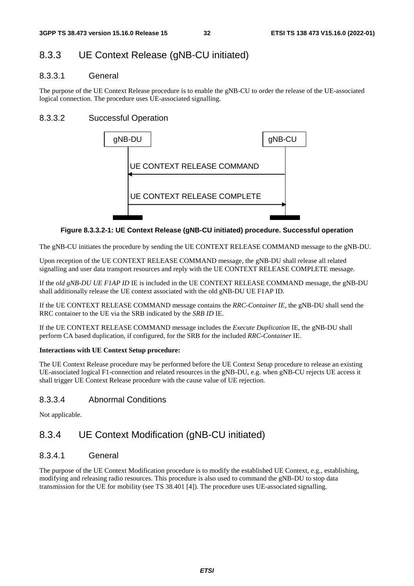# 8.3.3 UE Context Release (gNB-CU initiated)

#### 8.3.3.1 General

The purpose of the UE Context Release procedure is to enable the gNB-CU to order the release of the UE-associated logical connection. The procedure uses UE-associated signalling.

### 8.3.3.2 Successful Operation



#### **Figure 8.3.3.2-1: UE Context Release (gNB-CU initiated) procedure. Successful operation**

The gNB-CU initiates the procedure by sending the UE CONTEXT RELEASE COMMAND message to the gNB-DU.

Upon reception of the UE CONTEXT RELEASE COMMAND message, the gNB-DU shall release all related signalling and user data transport resources and reply with the UE CONTEXT RELEASE COMPLETE message.

If the *old gNB-DU UE F1AP ID* IE is included in the UE CONTEXT RELEASE COMMAND message, the gNB-DU shall additionally release the UE context associated with the old gNB-DU UE F1AP ID.

If the UE CONTEXT RELEASE COMMAND message contains the *RRC-Container IE*, the gNB-DU shall send the RRC container to the UE via the SRB indicated by the *SRB ID* IE.

If the UE CONTEXT RELEASE COMMAND message includes the *Execute Duplication* IE, the gNB-DU shall perform CA based duplication, if configured, for the SRB for the included *RRC-Container* IE.

#### **Interactions with UE Context Setup procedure:**

The UE Context Release procedure may be performed before the UE Context Setup procedure to release an existing UE-associated logical F1-connection and related resources in the gNB-DU, e.g. when gNB-CU rejects UE access it shall trigger UE Context Release procedure with the cause value of UE rejection.

### 8.3.3.4 Abnormal Conditions

Not applicable.

# 8.3.4 UE Context Modification (gNB-CU initiated)

#### 8.3.4.1 General

The purpose of the UE Context Modification procedure is to modify the established UE Context, e.g., establishing, modifying and releasing radio resources. This procedure is also used to command the gNB-DU to stop data transmission for the UE for mobility (see TS 38.401 [4]). The procedure uses UE-associated signalling.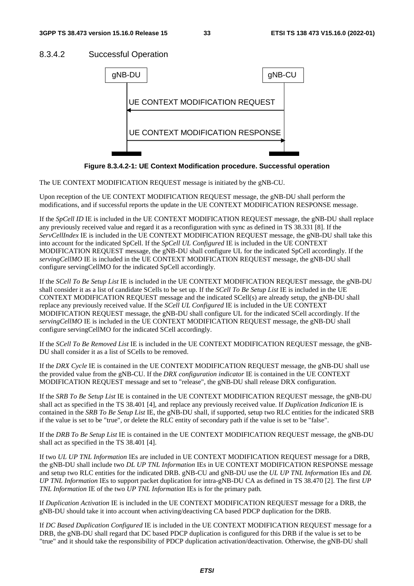### 8.3.4.2 Successful Operation



**Figure 8.3.4.2-1: UE Context Modification procedure. Successful operation** 

The UE CONTEXT MODIFICATION REQUEST message is initiated by the gNB-CU.

Upon reception of the UE CONTEXT MODIFICATION REQUEST message, the gNB-DU shall perform the modifications, and if successful reports the update in the UE CONTEXT MODIFICATION RESPONSE message.

If the *SpCell ID* IE is included in the UE CONTEXT MODIFICATION REQUEST message, the gNB-DU shall replace any previously received value and regard it as a reconfiguration with sync as defined in TS 38.331 [8]. If the *ServCellIndex* IE is included in the UE CONTEXT MODIFICATION REQUEST message, the gNB-DU shall take this into account for the indicated SpCell. If the *SpCell UL Configured* IE is included in the UE CONTEXT MODIFICATION REQUEST message, the gNB-DU shall configure UL for the indicated SpCell accordingly. If the *servingCellMO* IE is included in the UE CONTEXT MODIFICATION REQUEST message, the gNB-DU shall configure servingCellMO for the indicated SpCell accordingly.

If the *SCell To Be Setup List* IE is included in the UE CONTEXT MODIFICATION REQUEST message, the gNB-DU shall consider it as a list of candidate SCells to be set up. If the *SCell To Be Setup List* IE is included in the UE CONTEXT MODIFICATION REQUEST message and the indicated SCell(s) are already setup, the gNB-DU shall replace any previously received value. If the *SCell UL Configured* IE is included in the UE CONTEXT MODIFICATION REQUEST message, the gNB-DU shall configure UL for the indicated SCell accordingly. If the *servingCellMO* IE is included in the UE CONTEXT MODIFICATION REQUEST message, the gNB-DU shall configure servingCellMO for the indicated SCell accordingly.

If the *SCell To Be Removed List* IE is included in the UE CONTEXT MODIFICATION REQUEST message, the gNB-DU shall consider it as a list of SCells to be removed.

If the *DRX Cycle* IE is contained in the UE CONTEXT MODIFICATION REQUEST message, the gNB-DU shall use the provided value from the gNB-CU. If the *DRX configuration indicator* IE is contained in the UE CONTEXT MODIFICATION REQUEST message and set to "release", the gNB-DU shall release DRX configuration.

If the *SRB To Be Setup List* IE is contained in the UE CONTEXT MODIFICATION REQUEST message, the gNB-DU shall act as specified in the TS 38.401 [4], and replace any previously received value. If *Duplication Indication* IE is contained in the *SRB To Be Setup List* IE, the gNB-DU shall, if supported, setup two RLC entities for the indicated SRB if the value is set to be "true", or delete the RLC entity of secondary path if the value is set to be "false".

If the *DRB To Be Setup List* IE is contained in the UE CONTEXT MODIFICATION REQUEST message, the gNB-DU shall act as specified in the TS 38.401 [4].

If two *UL UP TNL Information* IEs are included in UE CONTEXT MODIFICATION REQUEST message for a DRB, the gNB-DU shall include two *DL UP TNL Information* IEs in UE CONTEXT MODIFICATION RESPONSE message and setup two RLC entities for the indicated DRB. gNB-CU and gNB-DU use the *UL UP TNL Information* IEs and *DL UP TNL Information* IEs to support packet duplication for intra-gNB-DU CA as defined in TS 38.470 [2]. The first *UP TNL Information* IE of the two *UP TNL Information* IEs is for the primary path*.* 

If *Duplication Activation* IE is included in the UE CONTEXT MODIFICATION REQUEST message for a DRB, the gNB-DU should take it into account when activing/deactiving CA based PDCP duplication for the DRB.

If *DC Based Duplication Configured* IE is included in the UE CONTEXT MODIFICATION REQUEST message for a DRB, the gNB-DU shall regard that DC based PDCP duplication is configured for this DRB if the value is set to be "true" and it should take the responsibility of PDCP duplication activation/deactivation. Otherwise, the gNB-DU shall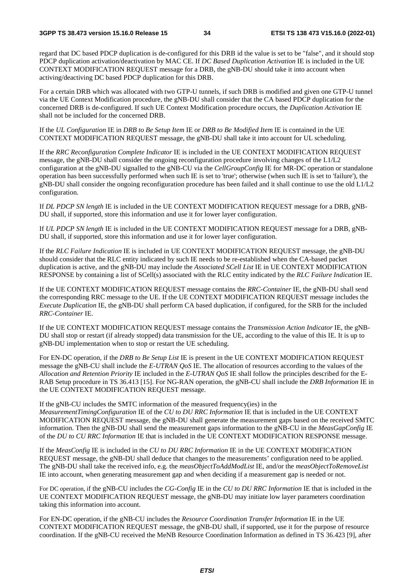regard that DC based PDCP duplication is de-configured for this DRB id the value is set to be "false", and it should stop PDCP duplication activation/deactivation by MAC CE. If *DC Based Duplication Activation* IE is included in the UE CONTEXT MODIFICATION REQUEST message for a DRB, the gNB-DU should take it into account when activing/deactiving DC based PDCP duplication for this DRB.

For a certain DRB which was allocated with two GTP-U tunnels, if such DRB is modified and given one GTP-U tunnel via the UE Context Modification procedure, the gNB-DU shall consider that the CA based PDCP duplication for the concerned DRB is de-configured. If such UE Context Modification procedure occurs, the *Duplication Activation* IE shall not be included for the concerned DRB.

If the *UL Configuration* IE in *DRB to Be Setup Item* IE or *DRB to Be Modified Item* IE is contained in the UE CONTEXT MODIFICATION REQUEST message, the gNB-DU shall take it into account for UL scheduling.

If the *RRC Reconfiguration Complete Indicator* IE is included in the UE CONTEXT MODIFICATION REQUEST message, the gNB-DU shall consider the ongoing reconfiguration procedure involving changes of the L1/L2 configuration at the gNB-DU signalled to the gNB-CU via the *CellGroupConfig* IE for MR-DC operation or standalone operation has been successfully performed when such IE is set to 'true'; otherwise (when such IE is set to 'failure'), the gNB-DU shall consider the ongoing reconfiguration procedure has been failed and it shall continue to use the old L1/L2 configuration.

If *DL PDCP SN length* IE is included in the UE CONTEXT MODIFICATION REQUEST message for a DRB, gNB-DU shall, if supported, store this information and use it for lower layer configuration.

If *UL PDCP SN length* IE is included in the UE CONTEXT MODIFICATION REQUEST message for a DRB, gNB-DU shall, if supported, store this information and use it for lower layer configuration.

If the *RLC Failure Indication* IE is included in UE CONTEXT MODIFICATION REQUEST message, the gNB-DU should consider that the RLC entity indicated by such IE needs to be re-established when the CA-based packet duplication is active, and the gNB-DU may include the *Associated SCell List* IE in UE CONTEXT MODIFICATION RESPONSE by containing a list of SCell(s) associated with the RLC entity indicated by the *RLC Failure Indication* IE.

If the UE CONTEXT MODIFICATION REQUEST message contains the *RRC-Container* IE, the gNB-DU shall send the corresponding RRC message to the UE. If the UE CONTEXT MODIFICATION REQUEST message includes the *Execute Duplication* IE, the gNB-DU shall perform CA based duplication, if configured, for the SRB for the included *RRC-Container* IE.

If the UE CONTEXT MODIFICATION REQUEST message contains the *Transmission Action Indicator* IE, the gNB-DU shall stop or restart (if already stopped) data transmission for the UE, according to the value of this IE. It is up to gNB-DU implementation when to stop or restart the UE scheduling.

For EN-DC operation, if the *DRB to Be Setup List* IE is present in the UE CONTEXT MODIFICATION REQUEST message the gNB-CU shall include the *E-UTRAN QoS* IE. The allocation of resources according to the values of the *Allocation and Retention Priority* IE included in the *E-UTRAN QoS* IE shall follow the principles described for the E-RAB Setup procedure in TS 36.413 [15]. For NG-RAN operation, the gNB-CU shall include the *DRB Information* IE in the UE CONTEXT MODIFICATION REQUEST message.

If the gNB-CU includes the SMTC information of the measured frequency(ies) in the

*MeasurementTimingConfiguration* IE of the *CU to DU RRC Information* IE that is included in the UE CONTEXT MODIFICATION REQUEST message, the gNB-DU shall generate the measurement gaps based on the received SMTC information. Then the gNB-DU shall send the measurement gaps information to the gNB-CU in the *MeasGapConfig* IE of the *DU to CU RRC Information* IE that is included in the UE CONTEXT MODIFICATION RESPONSE message.

If the *MeasConfig* IE is included in the *CU to DU RRC Information* IE in the UE CONTEXT MODIFICATION REQUEST message, the gNB-DU shall deduce that changes to the measurements' configuration need to be applied. The gNB-DU shall take the received info, e.g. the *measObjectToAddModList* IE, and/or the *measObjectToRemoveList*  IE into account, when generating measurement gap and when deciding if a measurement gap is needed or not.

For DC operation, if the gNB-CU includes the *CG-Config* IE in the *CU to DU RRC Information* IE that is included in the UE CONTEXT MODIFICATION REQUEST message, the gNB-DU may initiate low layer parameters coordination taking this information into account.

For EN-DC operation, if the gNB-CU includes the *Resource Coordination Transfer Information* IE in the UE CONTEXT MODIFICATION REQUEST message, the gNB-DU shall, if supported, use it for the purpose of resource coordination. If the gNB-CU received the MeNB Resource Coordination Information as defined in TS 36.423 [9], after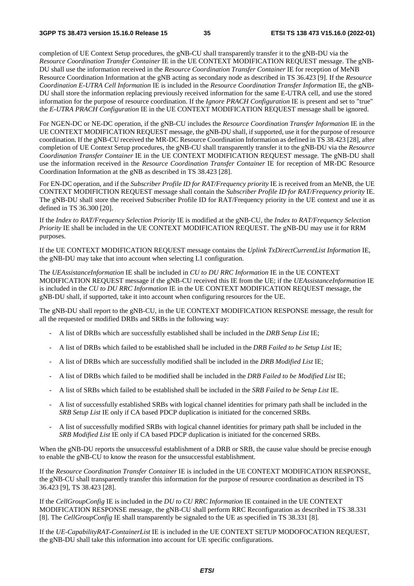completion of UE Context Setup procedures, the gNB-CU shall transparently transfer it to the gNB-DU via the *Resource Coordination Transfer Container* IE in the UE CONTEXT MODIFICATION REQUEST message. The gNB-DU shall use the information received in the *Resource Coordination Transfer Container* IE for reception of MeNB Resource Coordination Information at the gNB acting as secondary node as described in TS 36.423 [9]. If the *Resource Coordination E-UTRA Cell Information* IE is included in the *Resource Coordination Transfer Information* IE, the gNB-DU shall store the information replacing previously received information for the same E-UTRA cell, and use the stored information for the purpose of resource coordination. If the *Ignore PRACH Configuration* IE is present and set to "true" the *E-UTRA PRACH Configuration* IE in the UE CONTEXT MODIFICATION REQUEST message shall be ignored.

For NGEN-DC or NE-DC operation, if the gNB-CU includes the *Resource Coordination Transfer Information* IE in the UE CONTEXT MODIFICATION REQUEST message, the gNB-DU shall, if supported, use it for the purpose of resource coordination. If the gNB-CU received the MR-DC Resource Coordination Information as defined in TS 38.423 [28], after completion of UE Context Setup procedures, the gNB-CU shall transparently transfer it to the gNB-DU via the *Resource Coordination Transfer Container* IE in the UE CONTEXT MODIFICATION REQUEST message. The gNB-DU shall use the information received in the *Resource Coordination Transfer Container* IE for reception of MR-DC Resource Coordination Information at the gNB as described in TS 38.423 [28].

For EN-DC operation, and if the *Subscriber Profile ID for RAT/Frequency priority* IE is received from an MeNB, the UE CONTEXT MODIFICTION REQUEST message shall contain the *Subscriber Profile ID for RAT/Frequency priority* IE. The gNB-DU shall store the received Subscriber Profile ID for RAT/Frequency priority in the UE context and use it as defined in TS 36.300 [20].

If the *Index to RAT/Frequency Selection Priority* IE is modified at the gNB-CU, the *Index to RAT/Frequency Selection Priority* IE shall be included in the UE CONTEXT MODIFICATION REQUEST. The gNB-DU may use it for RRM purposes.

If the UE CONTEXT MODIFICATION REQUEST message contains the *Uplink TxDirectCurrentList Information* IE, the gNB-DU may take that into account when selecting L1 configuration.

The *UEAssistanceInformation* IE shall be included in *CU to DU RRC Information* IE in the UE CONTEXT MODIFICATION REQUEST message if the gNB-CU received this IE from the UE; if the *UEAssistanceInformation* IE is included in the *CU to DU RRC Information* IE in the UE CONTEXT MODIFICATION REQUEST message, the gNB-DU shall, if supported, take it into account when configuring resources for the UE.

The gNB-DU shall report to the gNB-CU, in the UE CONTEXT MODIFICATION RESPONSE message, the result for all the requested or modified DRBs and SRBs in the following way:

- A list of DRBs which are successfully established shall be included in the *DRB Setup List* IE;
- A list of DRBs which failed to be established shall be included in the *DRB Failed to be Setup List* IE;
- A list of DRBs which are successfully modified shall be included in the *DRB Modified List* IE;
- A list of DRBs which failed to be modified shall be included in the *DRB Failed to be Modified List* IE;
- A list of SRBs which failed to be established shall be included in the *SRB Failed to be Setup List* IE.
- A list of successfully established SRBs with logical channel identities for primary path shall be included in the *SRB Setup List* IE only if CA based PDCP duplication is initiated for the concerned SRBs.
- A list of successfully modified SRBs with logical channel identities for primary path shall be included in the *SRB Modified List* IE only if CA based PDCP duplication is initiated for the concerned SRBs.

When the gNB-DU reports the unsuccessful establishment of a DRB or SRB, the cause value should be precise enough to enable the gNB-CU to know the reason for the unsuccessful establishment.

If the *Resource Coordination Transfer Container* IE is included in the UE CONTEXT MODIFICATION RESPONSE, the gNB-CU shall transparently transfer this information for the purpose of resource coordination as described in TS 36.423 [9], TS 38.423 [28].

If the *CellGroupConfig* IE is included in the *DU to CU RRC Information* IE contained in the UE CONTEXT MODIFICATION RESPONSE message, the gNB-CU shall perform RRC Reconfiguration as described in TS 38.331 [8]. The *CellGroupConfig* IE shall transparently be signaled to the UE as specified in TS 38.331 [8].

If the *UE-CapabilityRAT-ContainerList* IE is included in the UE CONTEXT SETUP MODOFOCATION REQUEST, the gNB-DU shall take this information into account for UE specific configurations.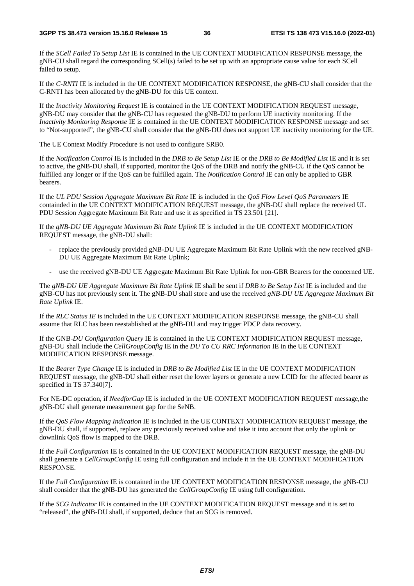If the *SCell Failed To Setup List* IE is contained in the UE CONTEXT MODIFICATION RESPONSE message, the gNB-CU shall regard the corresponding SCell(s) failed to be set up with an appropriate cause value for each SCell failed to setup.

If the *C-RNTI* IE is included in the UE CONTEXT MODIFICATION RESPONSE, the gNB-CU shall consider that the C-RNTI has been allocated by the gNB-DU for this UE context.

If the *Inactivity Monitoring Request* IE is contained in the UE CONTEXT MODIFICATION REQUEST message, gNB-DU may consider that the gNB-CU has requested the gNB-DU to perform UE inactivity monitoring. If the *Inactivity Monitoring Response* IE is contained in the UE CONTEXT MODIFICATION RESPONSE message and set to "Not-supported", the gNB-CU shall consider that the gNB-DU does not support UE inactivity monitoring for the UE.

The UE Context Modify Procedure is not used to configure SRB0.

If the *Notification Control* IE is included in the *DRB to Be Setup List* IE or the *DRB to Be Modified List* IE and it is set to active, the gNB-DU shall, if supported, monitor the QoS of the DRB and notify the gNB-CU if the QoS cannot be fulfilled any longer or if the QoS can be fulfilled again. The *Notification Control* IE can only be applied to GBR bearers.

If the *UL PDU Session Aggregate Maximum Bit Rate* IE is included in the *QoS Flow Level QoS Parameters* IE containded in the UE CONTEXT MODIFICATION REQUEST message, the gNB-DU shall replace the received UL PDU Session Aggregate Maximum Bit Rate and use it as specified in TS 23.501 [21].

If the *gNB-DU UE Aggregate Maximum Bit Rate Uplink* IE is included in the UE CONTEXT MODIFICATION REQUEST message, the gNB-DU shall:

- replace the previously provided gNB-DU UE Aggregate Maximum Bit Rate Uplink with the new received gNB-DU UE Aggregate Maximum Bit Rate Uplink;
- use the received gNB-DU UE Aggregate Maximum Bit Rate Uplink for non-GBR Bearers for the concerned UE.

The *gNB-DU UE Aggregate Maximum Bit Rate Uplink* IE shall be sent if *DRB to Be Setup List* IE is included and the gNB-CU has not previously sent it. The gNB-DU shall store and use the received *gNB-DU UE Aggregate Maximum Bit Rate Uplink* IE.

If the *RLC Status IE* is included in the UE CONTEXT MODIFICATION RESPONSE message, the gNB-CU shall assume that RLC has been reestablished at the gNB-DU and may trigger PDCP data recovery.

If the GNB-*DU Configuration Query* IE is contained in the UE CONTEXT MODIFICATION REQUEST message, gNB-DU shall include the *CellGroupConfig* IE in the *DU To CU RRC Information* IE in the UE CONTEXT MODIFICATION RESPONSE message.

If the *Bearer Type Change* IE is included in *DRB to Be Modified List* IE in the UE CONTEXT MODIFICATION REQUEST message, the gNB-DU shall either reset the lower layers or generate a new LCID for the affected bearer as specified in TS 37.340[7].

For NE-DC operation, if *NeedforGap* IE is included in the UE CONTEXT MODIFICATION REQUEST message,the gNB-DU shall generate measurement gap for the SeNB.

If the *QoS Flow Mapping Indication* IE is included in the UE CONTEXT MODIFICATION REQUEST message, the gNB-DU shall, if supported, replace any previously received value and take it into account that only the uplink or downlink QoS flow is mapped to the DRB.

If the *Full Configuration* IE is contained in the UE CONTEXT MODIFICATION REQUEST message, the gNB-DU shall generate a *CellGroupConfig* IE using full configuration and include it in the UE CONTEXT MODIFICATION RESPONSE.

If the *Full Configuration* IE is contained in the UE CONTEXT MODIFICATION RESPONSE message, the gNB-CU shall consider that the gNB-DU has generated the *CellGroupConfig* IE using full configuration.

If the *SCG Indicator* IE is contained in the UE CONTEXT MODIFICATION REQUEST message and it is set to "released", the gNB-DU shall, if supported, deduce that an SCG is removed.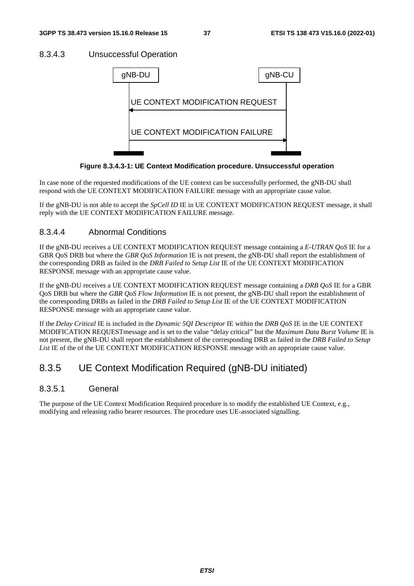#### 8.3.4.3 Unsuccessful Operation



**Figure 8.3.4.3-1: UE Context Modification procedure. Unsuccessful operation** 

In case none of the requested modifications of the UE context can be successfully performed, the gNB-DU shall respond with the UE CONTEXT MODIFICATION FAILURE message with an appropriate cause value.

If the gNB-DU is not able to accept the *SpCell ID* IE in UE CONTEXT MODIFICATION REQUEST message, it shall reply with the UE CONTEXT MODIFICATION FAILURE message.

#### 8.3.4.4 Abnormal Conditions

If the gNB-DU receives a UE CONTEXT MODIFICATION REQUEST message containing a *E-UTRAN QoS* IE for a GBR QoS DRB but where the *GBR QoS Information* IE is not present, the gNB-DU shall report the establishment of the corresponding DRB as failed in the *DRB Failed to Setup List* IE of the UE CONTEXT MODIFICATION RESPONSE message with an appropriate cause value.

If the gNB-DU receives a UE CONTEXT MODIFICATION REQUEST message containing a *DRB QoS* IE for a GBR QoS DRB but where the *GBR QoS Flow Information* IE is not present, the gNB-DU shall report the establishment of the corresponding DRBs as failed in the *DRB Failed to Setup List* IE of the UE CONTEXT MODIFICATION RESPONSE message with an appropriate cause value.

If the *Delay Critical* IE is included in the *Dynamic 5QI Descriptor* IE within the *DRB QoS* IE in the UE CONTEXT MODIFICATION REQUESTmessage and is set to the value "delay critical" but the *Maximum Data Burst Volume* IE is not present, the gNB-DU shall report the establishment of the corresponding DRB as failed in the *DRB Failed to Setup List* IE of the of the UE CONTEXT MODIFICATION RESPONSE message with an appropriate cause value.

### 8.3.5 UE Context Modification Required (gNB-DU initiated)

#### 8.3.5.1 General

The purpose of the UE Context Modification Required procedure is to modify the established UE Context, e.g., modifying and releasing radio bearer resources. The procedure uses UE-associated signalling.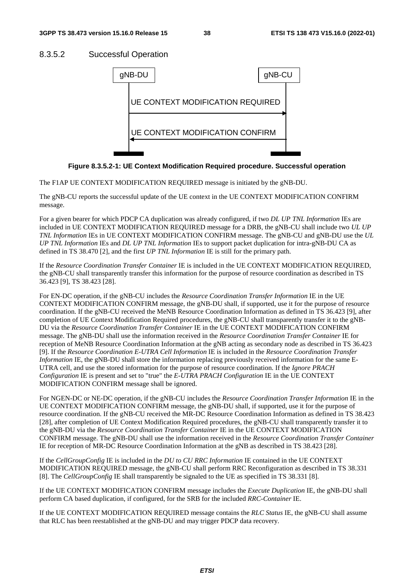#### 8.3.5.2 Successful Operation



**Figure 8.3.5.2-1: UE Context Modification Required procedure. Successful operation** 

The F1AP UE CONTEXT MODIFICATION REQUIRED message is initiated by the gNB-DU.

The gNB-CU reports the successful update of the UE context in the UE CONTEXT MODIFICATION CONFIRM message.

For a given bearer for which PDCP CA duplication was already configured, if two *DL UP TNL Information* IEs are included in UE CONTEXT MODIFICATION REQUIRED message for a DRB, the gNB-CU shall include two *UL UP TNL Information* IEs in UE CONTEXT MODIFICATION CONFIRM message. The gNB-CU and gNB-DU use the *UL UP TNL Information* IEs and *DL UP TNL Information* IEs to support packet duplication for intra-gNB-DU CA as defined in TS 38.470 [2], and the first *UP TNL Information* IE is still for the primary path.

If the *Resource Coordination Transfer Container* IE is included in the UE CONTEXT MODIFICATION REQUIRED, the gNB-CU shall transparently transfer this information for the purpose of resource coordination as described in TS 36.423 [9], TS 38.423 [28].

For EN-DC operation, if the gNB-CU includes the *Resource Coordination Transfer Information* IE in the UE CONTEXT MODIFICATION CONFIRM message, the gNB-DU shall, if supported, use it for the purpose of resource coordination. If the gNB-CU received the MeNB Resource Coordination Information as defined in TS 36.423 [9], after completion of UE Context Modification Required procedures, the gNB-CU shall transparently transfer it to the gNB-DU via the *Resource Coordination Transfer Container* IE in the UE CONTEXT MODIFICATION CONFIRM message. The gNB-DU shall use the information received in the *Resource Coordination Transfer Container* IE for reception of MeNB Resource Coordination Information at the gNB acting as secondary node as described in TS 36.423 [9]. If the *Resource Coordination E-UTRA Cell Information* IE is included in the *Resource Coordination Transfer Information* IE, the gNB-DU shall store the information replacing previously received information for the same E-UTRA cell, and use the stored information for the purpose of resource coordination. If the *Ignore PRACH Configuration* IE is present and set to "true" the *E-UTRA PRACH Configuration* IE in the UE CONTEXT MODIFICATION CONFIRM message shall be ignored.

For NGEN-DC or NE-DC operation, if the gNB-CU includes the *Resource Coordination Transfer Information* IE in the UE CONTEXT MODIFICATION CONFIRM message, the gNB-DU shall, if supported, use it for the purpose of resource coordination. If the gNB-CU received the MR-DC Resource Coordination Information as defined in TS 38.423 [28], after completion of UE Context Modification Required procedures, the gNB-CU shall transparently transfer it to the gNB-DU via the *Resource Coordination Transfer Container* IE in the UE CONTEXT MODIFICATION CONFIRM message. The gNB-DU shall use the information received in the *Resource Coordination Transfer Container*  IE for reception of MR-DC Resource Coordination Information at the gNB as described in TS 38.423 [28].

If the *CellGroupConfig* IE is included in the *DU to CU RRC Information* IE contained in the UE CONTEXT MODIFICATION REQUIRED message, the gNB-CU shall perform RRC Reconfiguration as described in TS 38.331 [8]. The *CellGroupConfig* IE shall transparently be signaled to the UE as specified in TS 38.331 [8].

If the UE CONTEXT MODIFICATION CONFIRM message includes the *Execute Duplication* IE, the gNB-DU shall perform CA based duplication, if configured, for the SRB for the included *RRC-Container* IE.

If the UE CONTEXT MODIFICATION REQUIRED message contains the *RLC Status* IE, the gNB-CU shall assume that RLC has been reestablished at the gNB-DU and may trigger PDCP data recovery.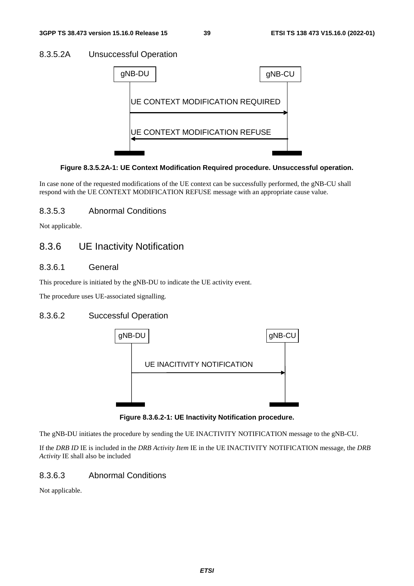#### 8.3.5.2A Unsuccessful Operation



#### **Figure 8.3.5.2A-1: UE Context Modification Required procedure. Unsuccessful operation.**

In case none of the requested modifications of the UE context can be successfully performed, the gNB-CU shall respond with the UE CONTEXT MODIFICATION REFUSE message with an appropriate cause value.

#### 8.3.5.3 Abnormal Conditions

Not applicable.

### 8.3.6 UE Inactivity Notification

#### 8.3.6.1 General

This procedure is initiated by the gNB-DU to indicate the UE activity event.

The procedure uses UE-associated signalling.

#### 8.3.6.2 Successful Operation



**Figure 8.3.6.2-1: UE Inactivity Notification procedure.** 

The gNB-DU initiates the procedure by sending the UE INACTIVITY NOTIFICATION message to the gNB-CU.

If the *DRB ID* IE is included in the *DRB Activity Item* IE in the UE INACTIVITY NOTIFICATION message, the *DRB Activity* IE shall also be included

#### 8.3.6.3 Abnormal Conditions

Not applicable.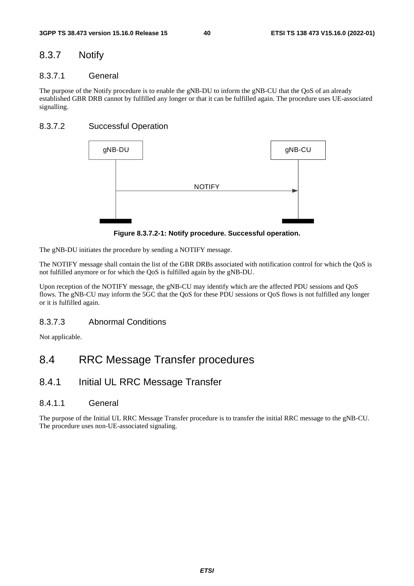### 8.3.7 Notify

#### 8.3.7.1 General

The purpose of the Notify procedure is to enable the gNB-DU to inform the gNB-CU that the QoS of an already established GBR DRB cannot by fulfilled any longer or that it can be fulfilled again. The procedure uses UE-associated signalling.

#### 8.3.7.2 Successful Operation



**Figure 8.3.7.2-1: Notify procedure. Successful operation.** 

The gNB-DU initiates the procedure by sending a NOTIFY message.

The NOTIFY message shall contain the list of the GBR DRBs associated with notification control for which the QoS is not fulfilled anymore or for which the QoS is fulfilled again by the gNB-DU.

Upon reception of the NOTIFY message, the gNB-CU may identify which are the affected PDU sessions and QoS flows. The gNB-CU may inform the 5GC that the QoS for these PDU sessions or QoS flows is not fulfilled any longer or it is fulfilled again.

#### 8.3.7.3 Abnormal Conditions

Not applicable.

# 8.4 RRC Message Transfer procedures

### 8.4.1 Initial UL RRC Message Transfer

#### 8.4.1.1 General

The purpose of the Initial UL RRC Message Transfer procedure is to transfer the initial RRC message to the gNB-CU. The procedure uses non-UE-associated signaling.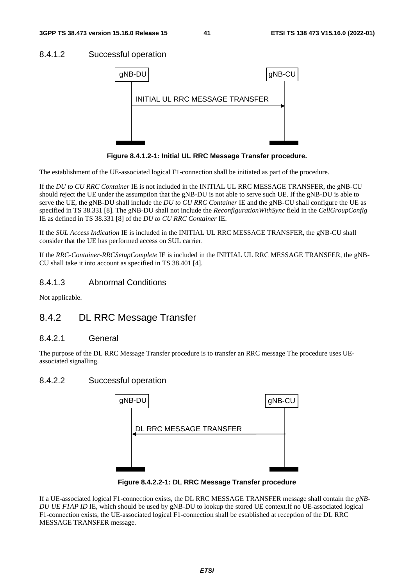#### 8.4.1.2 Successful operation



**Figure 8.4.1.2-1: Initial UL RRC Message Transfer procedure.** 

The establishment of the UE-associated logical F1-connection shall be initiated as part of the procedure.

If the *DU to CU RRC Container* IE is not included in the INITIAL UL RRC MESSAGE TRANSFER, the gNB-CU should reject the UE under the assumption that the gNB-DU is not able to serve such UE. If the gNB-DU is able to serve the UE, the gNB-DU shall include the *DU to CU RRC Container* IE and the gNB-CU shall configure the UE as specified in TS 38.331 [8]. The gNB-DU shall not include the *ReconfigurationWithSync* field in the *CellGroupConfig* IE as defined in TS 38.331 [8] of the *DU to CU RRC Container* IE.

If the *SUL Access Indication* IE is included in the INITIAL UL RRC MESSAGE TRANSFER, the gNB-CU shall consider that the UE has performed access on SUL carrier.

If the *RRC-Container-RRCSetupComplete* IE is included in the INITIAL UL RRC MESSAGE TRANSFER, the gNB-CU shall take it into account as specified in TS 38.401 [4].

#### 8.4.1.3 Abnormal Conditions

Not applicable.

### 8.4.2 DL RRC Message Transfer

#### 8.4.2.1 General

The purpose of the DL RRC Message Transfer procedure is to transfer an RRC message The procedure uses UEassociated signalling.

#### 8.4.2.2 Successful operation



**Figure 8.4.2.2-1: DL RRC Message Transfer procedure** 

If a UE-associated logical F1-connection exists, the DL RRC MESSAGE TRANSFER message shall contain the *gNB-DU UE F1AP ID* IE, which should be used by gNB-DU to lookup the stored UE context.If no UE-associated logical F1-connection exists, the UE-associated logical F1-connection shall be established at reception of the DL RRC MESSAGE TRANSFER message.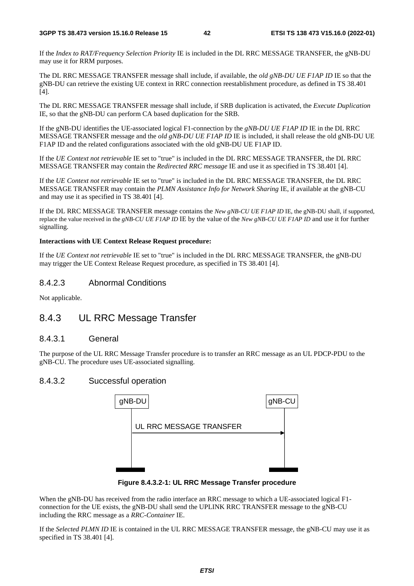If the *Index to RAT/Frequency Selection Priority* IE is included in the DL RRC MESSAGE TRANSFER, the gNB-DU may use it for RRM purposes.

The DL RRC MESSAGE TRANSFER message shall include, if available, the *old gNB-DU UE F1AP ID* IE so that the gNB-DU can retrieve the existing UE context in RRC connection reestablishment procedure, as defined in TS 38.401 [4].

The DL RRC MESSAGE TRANSFER message shall include, if SRB duplication is activated, the *Execute Duplication* IE, so that the gNB-DU can perform CA based duplication for the SRB.

If the gNB-DU identifies the UE-associated logical F1-connection by the *gNB-DU UE F1AP ID* IE in the DL RRC MESSAGE TRANSFER message and the *old gNB-DU UE F1AP ID* IE is included, it shall release the old gNB-DU UE F1AP ID and the related configurations associated with the old gNB-DU UE F1AP ID.

If the *UE Context not retrievable* IE set to "true" is included in the DL RRC MESSAGE TRANSFER, the DL RRC MESSAGE TRANSFER may contain the *Redirected RRC message* IE and use it as specified in TS 38.401 [4].

If the *UE Context not retrievable* IE set to "true" is included in the DL RRC MESSAGE TRANSFER, the DL RRC MESSAGE TRANSFER may contain the *PLMN Assistance Info for Network Sharing* IE, if available at the gNB-CU and may use it as specified in TS 38.401 [4].

If the DL RRC MESSAGE TRANSFER message contains the *New gNB-CU UE F1AP ID* IE, the gNB-DU shall, if supported, replace the value received in the *gNB-CU UE F1AP ID* IE by the value of the *New gNB-CU UE F1AP ID* and use it for further signalling.

#### **Interactions with UE Context Release Request procedure:**

If the *UE Context not retrievable* IE set to "true" is included in the DL RRC MESSAGE TRANSFER, the gNB-DU may trigger the UE Context Release Request procedure, as specified in TS 38.401 [4].

#### 8.4.2.3 Abnormal Conditions

Not applicable.

#### 8.4.3 UL RRC Message Transfer

#### 8.4.3.1 General

The purpose of the UL RRC Message Transfer procedure is to transfer an RRC message as an UL PDCP-PDU to the gNB-CU. The procedure uses UE-associated signalling.

#### 8.4.3.2 Successful operation



**Figure 8.4.3.2-1: UL RRC Message Transfer procedure** 

When the gNB-DU has received from the radio interface an RRC message to which a UE-associated logical F1 connection for the UE exists, the gNB-DU shall send the UPLINK RRC TRANSFER message to the gNB-CU including the RRC message as a *RRC-Container* IE.

If the *Selected PLMN ID* IE is contained in the UL RRC MESSAGE TRANSFER message, the gNB-CU may use it as specified in TS 38.401 [4].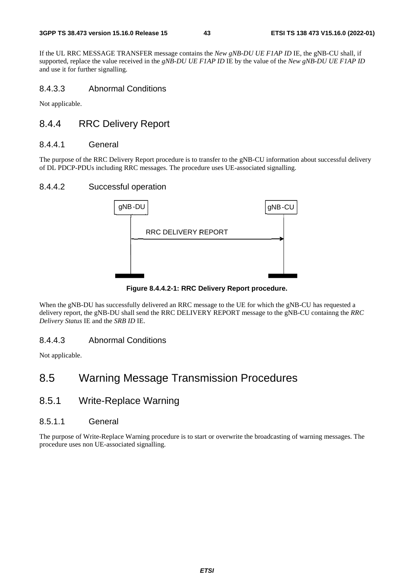If the UL RRC MESSAGE TRANSFER message contains the *New gNB-DU UE F1AP ID* IE, the gNB-CU shall, if supported, replace the value received in the *gNB-DU UE F1AP ID* IE by the value of the *New gNB-DU UE F1AP ID* and use it for further signalling.

#### 8.4.3.3 Abnormal Conditions

Not applicable.

### 8.4.4 RRC Delivery Report

#### 8.4.4.1 General

The purpose of the RRC Delivery Report procedure is to transfer to the gNB-CU information about successful delivery of DL PDCP-PDUs including RRC messages. The procedure uses UE-associated signalling.

#### 8.4.4.2 Successful operation



**Figure 8.4.4.2-1: RRC Delivery Report procedure.** 

When the gNB-DU has successfully delivered an RRC message to the UE for which the gNB-CU has requested a delivery report, the gNB-DU shall send the RRC DELIVERY REPORT message to the gNB-CU containng the *RRC Delivery Status* IE and the *SRB ID* IE.

#### 8.4.4.3 Abnormal Conditions

Not applicable.

# 8.5 Warning Message Transmission Procedures

### 8.5.1 Write-Replace Warning

#### 8.5.1.1 General

The purpose of Write-Replace Warning procedure is to start or overwrite the broadcasting of warning messages. The procedure uses non UE-associated signalling.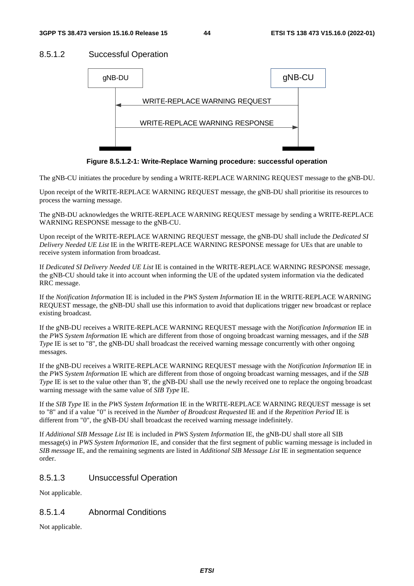#### 8.5.1.2 Successful Operation



**Figure 8.5.1.2-1: Write-Replace Warning procedure: successful operation** 

The gNB-CU initiates the procedure by sending a WRITE-REPLACE WARNING REQUEST message to the gNB-DU.

Upon receipt of the WRITE-REPLACE WARNING REQUEST message, the gNB-DU shall prioritise its resources to process the warning message.

The gNB-DU acknowledges the WRITE-REPLACE WARNING REQUEST message by sending a WRITE-REPLACE WARNING RESPONSE message to the gNB-CU.

Upon receipt of the WRITE-REPLACE WARNING REQUEST message, the gNB-DU shall include the *Dedicated SI Delivery Needed UE List* IE in the WRITE-REPLACE WARNING RESPONSE message for UEs that are unable to receive system information from broadcast.

If *Dedicated SI Delivery Needed UE List* IE is contained in the WRITE-REPLACE WARNING RESPONSE message, the gNB-CU should take it into account when informing the UE of the updated system information via the dedicated RRC message.

If the *Notification Information* IE is included in the *PWS System Information* IE in the WRITE-REPLACE WARNING REQUEST message, the gNB-DU shall use this information to avoid that duplications trigger new broadcast or replace existing broadcast.

If the gNB-DU receives a WRITE-REPLACE WARNING REQUEST message with the *Notification Information* IE in the *PWS System Information* IE which are different from those of ongoing broadcast warning messages, and if the *SIB Type* IE is set to "8", the gNB-DU shall broadcast the received warning message concurrently with other ongoing messages.

If the gNB-DU receives a WRITE-REPLACE WARNING REQUEST message with the *Notification Information* IE in the *PWS System Information* IE which are different from those of ongoing broadcast warning messages, and if the *SIB Type* IE is set to the value other than '8', the gNB-DU shall use the newly received one to replace the ongoing broadcast warning message with the same value of *SIB Type* IE.

If the *SIB Type* IE in the *PWS System Information* IE in the WRITE-REPLACE WARNING REQUEST message is set to "8" and if a value "0" is received in the *Number of Broadcast Requested* IE and if the *Repetition Period* IE is different from "0", the gNB-DU shall broadcast the received warning message indefinitely.

If *Additional SIB Message List* IE is included in *PWS System Information* IE, the gNB-DU shall store all SIB message(s) in *PWS System Information* IE, and consider that the first segment of public warning message is included in *SIB message* IE, and the remaining segments are listed in *Additional SIB Message List* IE in segmentation sequence order.

#### 8.5.1.3 Unsuccessful Operation

Not applicable.

#### 8.5.1.4 Abnormal Conditions

Not applicable.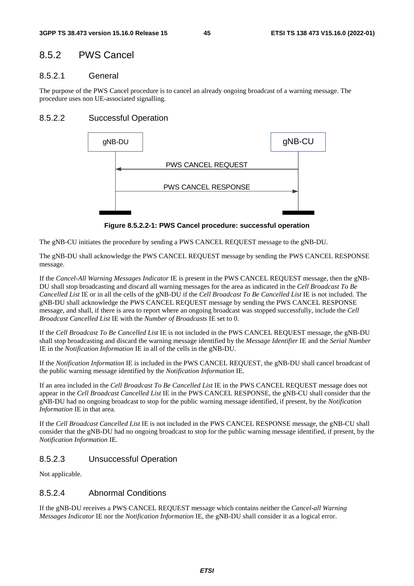### 8.5.2 PWS Cancel

#### 8.5.2.1 General

The purpose of the PWS Cancel procedure is to cancel an already ongoing broadcast of a warning message. The procedure uses non UE-associated signalling.

#### 8.5.2.2 Successful Operation



**Figure 8.5.2.2-1: PWS Cancel procedure: successful operation** 

The gNB-CU initiates the procedure by sending a PWS CANCEL REQUEST message to the gNB-DU.

The gNB-DU shall acknowledge the PWS CANCEL REQUEST message by sending the PWS CANCEL RESPONSE message.

If the *Cancel-All Warning Messages Indicator* IE is present in the PWS CANCEL REQUEST message, then the gNB-DU shall stop broadcasting and discard all warning messages for the area as indicated in the *Cell Broadcast To Be Cancelled List* IE or in all the cells of the gNB-DU if the *Cell Broadcast To Be Cancelled List* IE is not included. The gNB-DU shall acknowledge the PWS CANCEL REQUEST message by sending the PWS CANCEL RESPONSE message, and shall, if there is area to report where an ongoing broadcast was stopped successfully, include the *Cell Broadcast Cancelled List* IE with the *Number of Broadcasts* IE set to 0.

If the *Cell Broadcast To Be Cancelled List* IE is not included in the PWS CANCEL REQUEST message, the gNB-DU shall stop broadcasting and discard the warning message identified by the *Message Identifier* IE and the *Serial Number*  IE in the *Notification Information* IE in all of the cells in the gNB-DU.

If the *Notification Information* IE is included in the PWS CANCEL REQUEST, the gNB-DU shall cancel broadcast of the public warning message identified by the *Notification Information* IE.

If an area included in the *Cell Broadcast To Be Cancelled List* IE in the PWS CANCEL REQUEST message does not appear in the *Cell Broadcast Cancelled List* IE in the PWS CANCEL RESPONSE, the gNB-CU shall consider that the gNB-DU had no ongoing broadcast to stop for the public warning message identified, if present, by the *Notification Information* IE in that area.

If the *Cell Broadcast Cancelled List* IE is not included in the PWS CANCEL RESPONSE message, the gNB-CU shall consider that the gNB-DU had no ongoing broadcast to stop for the public warning message identified, if present, by the *Notification Information* IE.

#### 8.5.2.3 Unsuccessful Operation

Not applicable.

#### 8.5.2.4 Abnormal Conditions

If the gNB-DU receives a PWS CANCEL REQUEST message which contains neither the *Cancel-all Warning Messages Indicator* IE nor the *Notification Information* IE, the gNB-DU shall consider it as a logical error.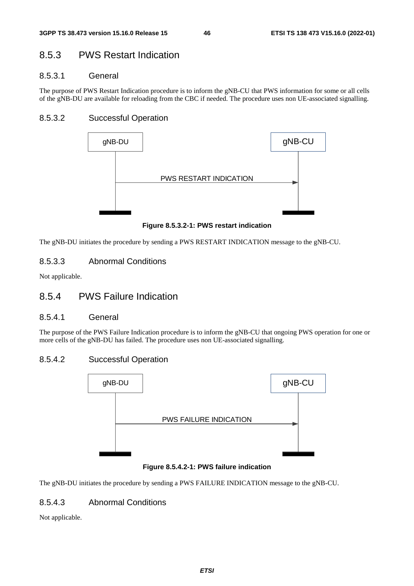## 8.5.3 PWS Restart Indication

#### 8.5.3.1 General

The purpose of PWS Restart Indication procedure is to inform the gNB-CU that PWS information for some or all cells of the gNB-DU are available for reloading from the CBC if needed. The procedure uses non UE-associated signalling.

#### 8.5.3.2 Successful Operation



**Figure 8.5.3.2-1: PWS restart indication** 

The gNB-DU initiates the procedure by sending a PWS RESTART INDICATION message to the gNB-CU.

#### 8.5.3.3 Abnormal Conditions

Not applicable.

### 8.5.4 PWS Failure Indication

#### 8.5.4.1 General

The purpose of the PWS Failure Indication procedure is to inform the gNB-CU that ongoing PWS operation for one or more cells of the gNB-DU has failed. The procedure uses non UE-associated signalling.

#### 8.5.4.2 Successful Operation



#### **Figure 8.5.4.2-1: PWS failure indication**

The gNB-DU initiates the procedure by sending a PWS FAILURE INDICATION message to the gNB-CU.

#### 8.5.4.3 Abnormal Conditions

Not applicable.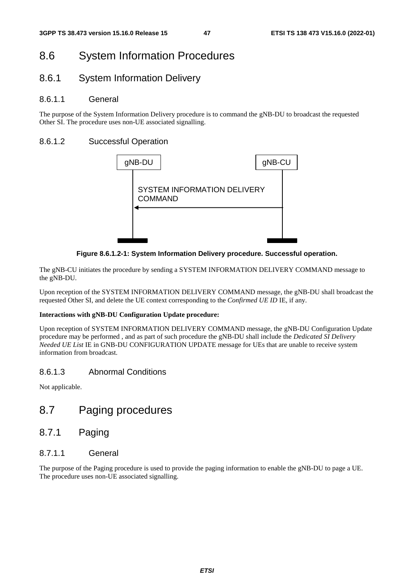# 8.6 System Information Procedures

### 8.6.1 System Information Delivery

#### 8.6.1.1 General

The purpose of the System Information Delivery procedure is to command the gNB-DU to broadcast the requested Other SI. The procedure uses non-UE associated signalling.

#### 8.6.1.2 Successful Operation



**Figure 8.6.1.2-1: System Information Delivery procedure. Successful operation.** 

The gNB-CU initiates the procedure by sending a SYSTEM INFORMATION DELIVERY COMMAND message to the gNB-DU.

Upon reception of the SYSTEM INFORMATION DELIVERY COMMAND message, the gNB-DU shall broadcast the requested Other SI, and delete the UE context corresponding to the *Confirmed UE ID* IE, if any.

#### **Interactions with gNB-DU Configuration Update procedure:**

Upon reception of SYSTEM INFORMATION DELIVERY COMMAND message, the gNB-DU Configuration Update procedure may be performed , and as part of such procedure the gNB-DU shall include the *Dedicated SI Delivery Needed UE List* IE in GNB-DU CONFIGURATION UPDATE message for UEs that are unable to receive system information from broadcast.

#### 8.6.1.3 Abnormal Conditions

Not applicable.

# 8.7 Paging procedures

8.7.1 Paging

#### 8.7.1.1 General

The purpose of the Paging procedure is used to provide the paging information to enable the gNB-DU to page a UE. The procedure uses non-UE associated signalling.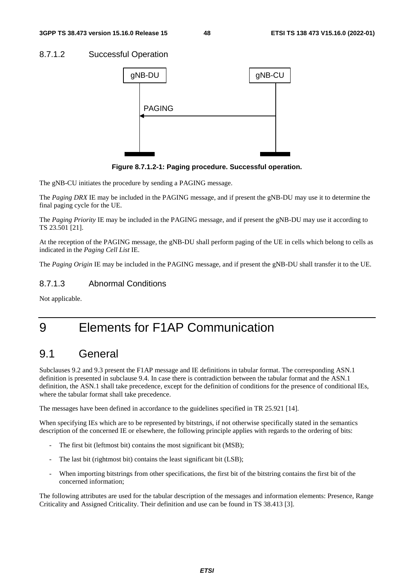#### 8.7.1.2 Successful Operation



**Figure 8.7.1.2-1: Paging procedure. Successful operation.** 

The gNB-CU initiates the procedure by sending a PAGING message.

The *Paging DRX* IE may be included in the PAGING message, and if present the gNB-DU may use it to determine the final paging cycle for the UE.

The *Paging Priority* IE may be included in the PAGING message, and if present the gNB-DU may use it according to TS 23.501 [21].

At the reception of the PAGING message, the gNB-DU shall perform paging of the UE in cells which belong to cells as indicated in the *Paging Cell List* IE.

The *Paging Origin* IE may be included in the PAGING message, and if present the gNB-DU shall transfer it to the UE.

#### 8.7.1.3 Abnormal Conditions

Not applicable.

# 9 Elements for F1AP Communication

## 9.1 General

Subclauses 9.2 and 9.3 present the F1AP message and IE definitions in tabular format. The corresponding ASN.1 definition is presented in subclause 9.4. In case there is contradiction between the tabular format and the ASN.1 definition, the ASN.1 shall take precedence, except for the definition of conditions for the presence of conditional IEs, where the tabular format shall take precedence.

The messages have been defined in accordance to the guidelines specified in TR 25.921 [14].

When specifying IEs which are to be represented by bitstrings, if not otherwise specifically stated in the semantics description of the concerned IE or elsewhere, the following principle applies with regards to the ordering of bits:

- The first bit (leftmost bit) contains the most significant bit (MSB);
- The last bit (rightmost bit) contains the least significant bit (LSB);
- When importing bitstrings from other specifications, the first bit of the bitstring contains the first bit of the concerned information;

The following attributes are used for the tabular description of the messages and information elements: Presence, Range Criticality and Assigned Criticality. Their definition and use can be found in TS 38.413 [3].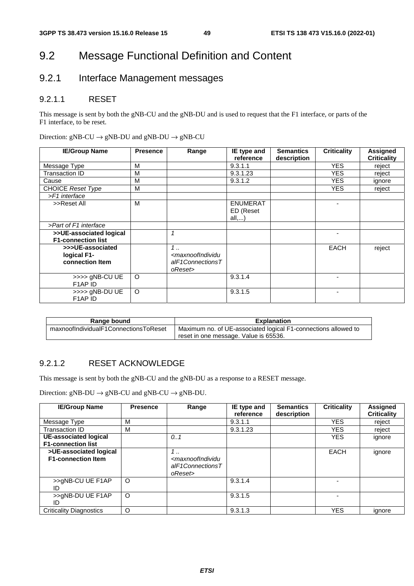# 9.2 Message Functional Definition and Content

# 9.2.1 Interface Management messages

### 9.2.1.1 RESET

This message is sent by both the gNB-CU and the gNB-DU and is used to request that the F1 interface, or parts of the F1 interface, to be reset.

|  |  |  | Direction: $gNB-CU \rightarrow gNB-DU$ and $gNB-DU \rightarrow gNB-CU$ |  |
|--|--|--|------------------------------------------------------------------------|--|
|--|--|--|------------------------------------------------------------------------|--|

| <b>IE/Group Name</b>                              | <b>Presence</b> | Range                                                                           | IE type and        | <b>Semantics</b> | <b>Criticality</b> | <b>Assigned</b>    |
|---------------------------------------------------|-----------------|---------------------------------------------------------------------------------|--------------------|------------------|--------------------|--------------------|
|                                                   |                 |                                                                                 | reference          | description      |                    | <b>Criticality</b> |
| Message Type                                      | м               |                                                                                 | 9.3.1.1            |                  | <b>YES</b>         | reject             |
| Transaction ID                                    | M               |                                                                                 | 9.3.1.23           |                  | <b>YES</b>         | reject             |
| Cause                                             | M               |                                                                                 | 9.3.1.2            |                  | <b>YES</b>         | ignore             |
| <b>CHOICE Reset Type</b>                          | M               |                                                                                 |                    |                  | <b>YES</b>         | reject             |
| >F1 interface                                     |                 |                                                                                 |                    |                  |                    |                    |
| >>Reset All                                       | м               |                                                                                 | <b>ENUMERAT</b>    |                  |                    |                    |
|                                                   |                 |                                                                                 | ED (Reset<br>all,) |                  |                    |                    |
| >Part of F1 interface                             |                 |                                                                                 |                    |                  |                    |                    |
| >>UE-associated logical                           |                 |                                                                                 |                    |                  |                    |                    |
| <b>F1-connection list</b>                         |                 |                                                                                 |                    |                  |                    |                    |
| >>>UE-associated                                  |                 | 1.1                                                                             |                    |                  | <b>EACH</b>        | reject             |
| logical F1-                                       |                 | <maxnoofindividu< td=""><td></td><td></td><td></td><td></td></maxnoofindividu<> |                    |                  |                    |                    |
| connection Item                                   |                 | alF1ConnectionsT                                                                |                    |                  |                    |                    |
|                                                   |                 | oReset>                                                                         |                    |                  |                    |                    |
| >>>> gNB-CU UE                                    | $\circ$         |                                                                                 | 9.3.1.4            |                  |                    |                    |
| F1AP ID                                           |                 |                                                                                 |                    |                  |                    |                    |
| >>>> gNB-DU UE<br>F <sub>1</sub> AP <sub>ID</sub> | $\circ$         |                                                                                 | 9.3.1.5            |                  | ٠                  |                    |

| Range bound                           | <b>Explanation</b>                                             |
|---------------------------------------|----------------------------------------------------------------|
| maxnoofIndividualF1ConnectionsToReset | Maximum no. of UE-associated logical F1-connections allowed to |
|                                       | reset in one message. Value is 65536.                          |

#### 9.2.1.2 RESET ACKNOWLEDGE

This message is sent by both the gNB-CU and the gNB-DU as a response to a RESET message.

Direction:  $gNB-DU \rightarrow gNB-CU$  and  $gNB-CU \rightarrow gNB-DU$ .

| <b>IE/Group Name</b>                                | <b>Presence</b> | Range                                                                         | IE type and<br>reference | <b>Semantics</b><br>description | <b>Criticality</b> | Assigned<br><b>Criticality</b> |
|-----------------------------------------------------|-----------------|-------------------------------------------------------------------------------|--------------------------|---------------------------------|--------------------|--------------------------------|
| Message Type                                        | М               |                                                                               | 9.3.1.1                  |                                 | <b>YES</b>         | reject                         |
| Transaction ID                                      | М               |                                                                               | 9.3.1.23                 |                                 | <b>YES</b>         | reject                         |
| UE-associated logical<br><b>F1-connection list</b>  |                 | 0.1                                                                           |                          |                                 | <b>YES</b>         | ignore                         |
| >UE-associated logical<br><b>F1-connection Item</b> |                 | 1<br><maxnoofindividu<br>alF1ConnectionsT<br/>oReset&gt;</maxnoofindividu<br> |                          |                                 | EACH               | ignore                         |
| >>gNB-CU UE F1AP<br>ID                              | $\circ$         |                                                                               | 9.3.1.4                  |                                 |                    |                                |
| >>gNB-DU UE F1AP<br>ID                              | O               |                                                                               | 9.3.1.5                  |                                 |                    |                                |
| <b>Criticality Diagnostics</b>                      | O               |                                                                               | 9.3.1.3                  |                                 | <b>YES</b>         | ignore                         |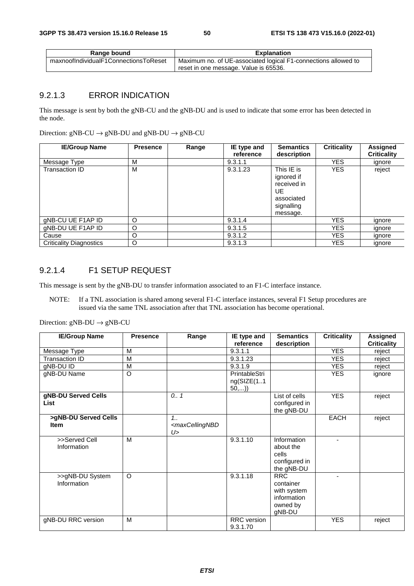| Range bound                           | <b>Explanation</b>                                             |
|---------------------------------------|----------------------------------------------------------------|
| maxnoofIndividualF1ConnectionsToReset | Maximum no. of UE-associated logical F1-connections allowed to |
|                                       | reset in one message. Value is 65536.                          |

### 9.2.1.3 ERROR INDICATION

This message is sent by both the gNB-CU and the gNB-DU and is used to indicate that some error has been detected in the node.

Direction:  $gNB-CU \rightarrow gNB-DU$  and  $gNB-DU \rightarrow gNB-CU$ 

| <b>IE/Group Name</b>           | <b>Presence</b> | Range | IE type and<br>reference | <b>Semantics</b><br>description                                                        | <b>Criticality</b> | <b>Assigned</b><br><b>Criticality</b> |
|--------------------------------|-----------------|-------|--------------------------|----------------------------------------------------------------------------------------|--------------------|---------------------------------------|
| Message Type                   | M               |       | 9.3.1.1                  |                                                                                        | <b>YES</b>         | ignore                                |
| Transaction ID                 | M               |       | 9.3.1.23                 | This IE is<br>ignored if<br>received in<br>UE.<br>associated<br>signalling<br>message. | <b>YES</b>         | reject                                |
| gNB-CU UE F1AP ID              | O               |       | 9.3.1.4                  |                                                                                        | <b>YES</b>         | ignore                                |
| gNB-DU UE F1AP ID              | O               |       | 9.3.1.5                  |                                                                                        | YES.               | ignore                                |
| Cause                          | O               |       | 9.3.1.2                  |                                                                                        | YES.               | ignore                                |
| <b>Criticality Diagnostics</b> | O               |       | 9.3.1.3                  |                                                                                        | <b>YES</b>         | ignore                                |

#### 9.2.1.4 F1 SETUP REQUEST

This message is sent by the gNB-DU to transfer information associated to an F1-C interface instance.

NOTE: If a TNL association is shared among several F1-C interface instances, several F1 Setup procedures are issued via the same TNL association after that TNL association has become operational.

| <b>IE/Group Name</b>                | <b>Presence</b> | Range                                             | IE type and                          | <b>Semantics</b>                                                            | <b>Criticality</b>       | <b>Assigned</b>    |
|-------------------------------------|-----------------|---------------------------------------------------|--------------------------------------|-----------------------------------------------------------------------------|--------------------------|--------------------|
|                                     |                 |                                                   | reference                            | description                                                                 |                          | <b>Criticality</b> |
| Message Type                        | M               |                                                   | 9.3.1.1                              |                                                                             | <b>YES</b>               | reject             |
| Transaction ID                      | M               |                                                   | 9.3.1.23                             |                                                                             | <b>YES</b>               | reject             |
| gNB-DU ID                           | M               |                                                   | 9.3.1.9                              |                                                                             | <b>YES</b>               | reject             |
| gNB-DU Name                         | $\circ$         |                                                   | PrintableStri<br>ng(SIZE(11)<br>50,) |                                                                             | <b>YES</b>               | ignore             |
| gNB-DU Served Cells<br><b>List</b>  |                 | 0.1                                               |                                      | List of cells<br>configured in<br>the gNB-DU                                | <b>YES</b>               | reject             |
| >gNB-DU Served Cells<br><b>Item</b> |                 | 1.1<br><maxcellingnbd<br>U&gt;</maxcellingnbd<br> |                                      |                                                                             | <b>EACH</b>              | reject             |
| >>Served Cell<br>Information        | M               |                                                   | 9.3.1.10                             | Information<br>about the<br>cells<br>configured in<br>the gNB-DU            | ٠                        |                    |
| >>gNB-DU System<br>Information      | $\circ$         |                                                   | 9.3.1.18                             | <b>RRC</b><br>container<br>with system<br>information<br>owned by<br>gNB-DU | $\overline{\phantom{0}}$ |                    |
| gNB-DU RRC version                  | M               |                                                   | <b>RRC</b> version<br>9.3.1.70       |                                                                             | <b>YES</b>               | reject             |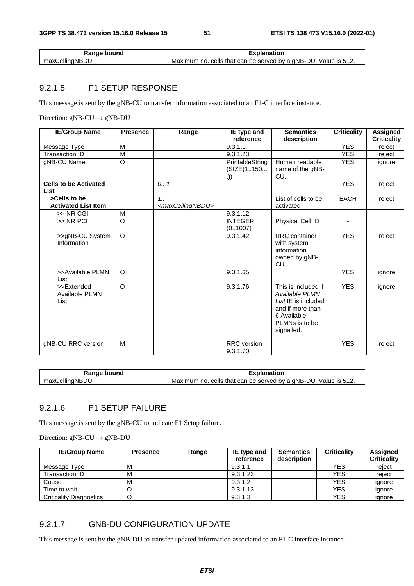| bound<br>kange        | .planatior                                                                         |
|-----------------------|------------------------------------------------------------------------------------|
| ' ellingNBIب.<br>max0 | Value is 512.<br>by a gNB-DU.<br>ੇ that can be served .<br>cells<br>Maximum<br>no. |

#### 9.2.1.5 F1 SETUP RESPONSE

This message is sent by the gNB-CU to transfer information associated to an F1-C interface instance.

Direction:  $gNB-CU \rightarrow gNB-DU$ 

| <b>IE/Group Name</b>                        | <b>Presence</b> | Range                                    | IE type and               | <b>Semantics</b>                                                                                                                                    | <b>Criticality</b> | Assigned           |
|---------------------------------------------|-----------------|------------------------------------------|---------------------------|-----------------------------------------------------------------------------------------------------------------------------------------------------|--------------------|--------------------|
|                                             |                 |                                          | reference                 | description                                                                                                                                         |                    | <b>Criticality</b> |
| Message Type                                | M               |                                          | 9.3.1.1                   |                                                                                                                                                     | <b>YES</b>         | reject             |
| <b>Transaction ID</b>                       | M               |                                          | 9.3.1.23                  |                                                                                                                                                     | <b>YES</b>         | reject             |
| gNB-CU Name                                 | $\Omega$        |                                          | PrintableString           | Human readable                                                                                                                                      | <b>YES</b>         | ignore             |
|                                             |                 |                                          | (SIZE(1150,<br>.))        | name of the gNB-<br>CU.                                                                                                                             |                    |                    |
| <b>Cells to be Activated</b><br>List        |                 | 0.7                                      |                           |                                                                                                                                                     | <b>YES</b>         | reject             |
| >Cells to be<br><b>Activated List Item</b>  |                 | 1.1<br><maxcellingnbdu></maxcellingnbdu> |                           | List of cells to be<br>activated                                                                                                                    | <b>EACH</b>        | reject             |
| >> NR CGI                                   | M               |                                          | 9.3.1.12                  |                                                                                                                                                     | $\blacksquare$     |                    |
| >> NR PCI                                   | $\circ$         |                                          | <b>INTEGER</b><br>(01007) | Physical Cell ID                                                                                                                                    |                    |                    |
| >>gNB-CU System<br>Information              | $\Omega$        |                                          | 9.3.1.42                  | RRC container<br>with system<br>information<br>owned by gNB-<br>CU                                                                                  | <b>YES</b>         | reject             |
| >>Available PLMN<br>List                    | $\Omega$        |                                          | 9.3.1.65                  |                                                                                                                                                     | <b>YES</b>         | ignore             |
| >>Extended<br><b>Available PLMN</b><br>List | $\Omega$        |                                          | 9.3.1.76                  | $\overline{\text{This}}$ is included if<br>Available PLMN<br>List IE is included<br>and if more than<br>6 Available<br>PLMNs is to be<br>signalled. | <b>YES</b>         | ignore             |
| gNB-CU RRC version                          | M               |                                          | RRC version<br>9.3.1.70   |                                                                                                                                                     | <b>YES</b>         | reject             |

| <b>Danne</b><br>bound<br>Range | '<br>lanation                                                                                |  |  |
|--------------------------------|----------------------------------------------------------------------------------------------|--|--|
| $\cdots$<br>∴ellingNP'         | l bv a ɑNB-DU<br>Value<br>512.<br>cells<br>be served<br>Maximum<br>that<br>can<br>no.<br>IS. |  |  |

### 9.2.1.6 F1 SETUP FAILURE

This message is sent by the gNB-CU to indicate F1 Setup failure.

Direction:  $gNB-CU \rightarrow gNB-DU$ 

| <b>IE/Group Name</b>           | <b>Presence</b> | Range | IE type and<br>reference | <b>Semantics</b><br>description | <b>Criticality</b> | <b>Assigned</b><br><b>Criticality</b> |
|--------------------------------|-----------------|-------|--------------------------|---------------------------------|--------------------|---------------------------------------|
| Message Type                   | M               |       | 9.3.1.1                  |                                 | YES                | reject                                |
| Transaction ID                 | M               |       | 9.3.1.23                 |                                 | YES                | reject                                |
| Cause                          | M               |       | 9.3.1.2                  |                                 | YES                | ignore                                |
| Time to wait                   | Ő               |       | 9.3.1.13                 |                                 | YES                | ignore                                |
| <b>Criticality Diagnostics</b> |                 |       | 9.3.1.3                  |                                 | <b>YES</b>         | ignore                                |

### 9.2.1.7 GNB-DU CONFIGURATION UPDATE

This message is sent by the gNB-DU to transfer updated information associated to an F1-C interface instance.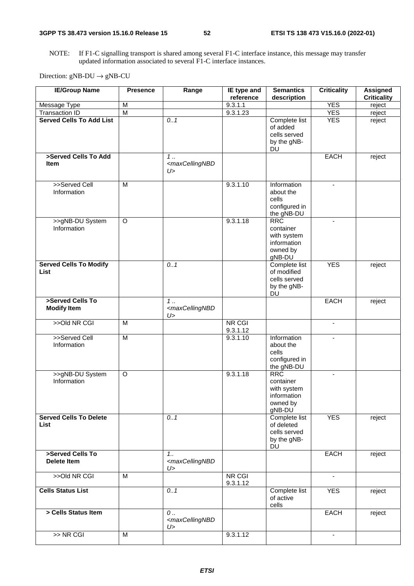NOTE: If F1-C signalling transport is shared among several F1-C interface instance, this message may transfer updated information associated to several F1-C interface instances.

| <b>IE/Group Name</b>                         | <b>Presence</b> | Range                                             | IE type and<br>reference  | <b>Semantics</b><br>description                                             | <b>Criticality</b>       | <b>Assigned</b><br><b>Criticality</b> |
|----------------------------------------------|-----------------|---------------------------------------------------|---------------------------|-----------------------------------------------------------------------------|--------------------------|---------------------------------------|
| Message Type                                 | M               |                                                   | 9.3.1.1                   |                                                                             | <b>YES</b>               | reject                                |
| <b>Transaction ID</b>                        | $\overline{M}$  |                                                   | 9.3.1.23                  |                                                                             | <b>YES</b>               | reject                                |
| <b>Served Cells To Add List</b>              |                 | 0.1                                               |                           | Complete list                                                               | <b>YES</b>               | reject                                |
|                                              |                 |                                                   |                           | of added<br>cells served<br>by the gNB-<br><b>DU</b>                        |                          |                                       |
| >Served Cells To Add                         |                 | $\overline{1}$                                    |                           |                                                                             | <b>EACH</b>              | reject                                |
| <b>Item</b>                                  |                 | <maxcellingnbd<br>U&gt;</maxcellingnbd<br>        |                           |                                                                             |                          |                                       |
| >>Served Cell<br>Information                 | $\overline{M}$  |                                                   | 9.3.1.10                  | Information<br>about the<br>cells<br>configured in<br>the gNB-DU            | $\blacksquare$           |                                       |
| >>gNB-DU System<br>Information               | O               |                                                   | 9.3.1.18                  | <b>RRC</b><br>container<br>with system<br>information<br>owned by<br>gNB-DU | $\blacksquare$           |                                       |
| <b>Served Cells To Modify</b><br><b>List</b> |                 | 0.1                                               |                           | Complete list<br>of modified<br>cells served<br>by the gNB-<br><b>DU</b>    | <b>YES</b>               | reject                                |
| >Served Cells To<br><b>Modify Item</b>       |                 | $1$<br><maxcellingnbd<br>U&gt;</maxcellingnbd<br> |                           |                                                                             | <b>EACH</b>              | reject                                |
| >>Old NR CGI                                 | M               |                                                   | <b>NR CGI</b><br>9.3.1.12 |                                                                             | $\blacksquare$           |                                       |
| >>Served Cell<br>Information                 | M               |                                                   | 9.3.1.10                  | Information<br>about the<br>cells<br>configured in<br>the gNB-DU            | Ξ.                       |                                       |
| >>gNB-DU System<br>Information               | O               |                                                   | 9.3.1.18                  | <b>RRC</b><br>container<br>with system<br>information<br>owned by<br>gNB-DU |                          |                                       |
| <b>Served Cells To Delete</b><br>List        |                 | 0.1                                               |                           | Complete list<br>of deleted<br>cells served<br>by the gNB-<br>DU            | <b>YES</b>               | reject                                |
| >Served Cells To<br><b>Delete Item</b>       |                 | 1.1<br><maxcellingnbd<br>U&gt;</maxcellingnbd<br> |                           |                                                                             | <b>EACH</b>              | reject                                |
| >>Old NR CGI                                 | M               |                                                   | <b>NR CGI</b><br>9.3.1.12 |                                                                             | $\blacksquare$           |                                       |
| <b>Cells Status List</b>                     |                 | 0.1                                               |                           | Complete list<br>of active<br>cells                                         | <b>YES</b>               | reject                                |
| > Cells Status Item                          |                 | $0$<br><maxcellingnbd<br>U&gt;</maxcellingnbd<br> |                           |                                                                             | <b>EACH</b>              | reject                                |
| >> NR CGI                                    | M               |                                                   | 9.3.1.12                  |                                                                             | $\overline{\phantom{a}}$ |                                       |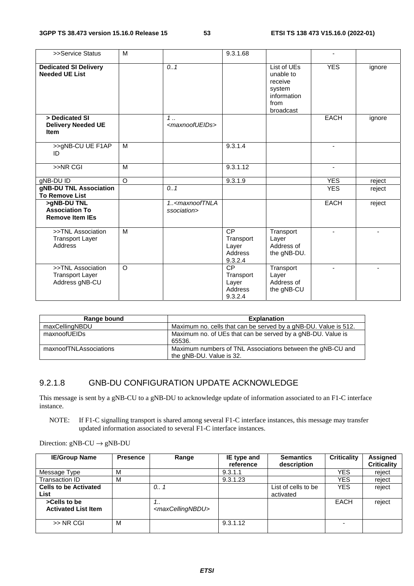| >>Service Status                                               | M              |                                                   | 9.3.1.68                                              |                                                                                   |                |                          |
|----------------------------------------------------------------|----------------|---------------------------------------------------|-------------------------------------------------------|-----------------------------------------------------------------------------------|----------------|--------------------------|
| <b>Dedicated SI Delivery</b><br><b>Needed UE List</b>          |                | 0.1                                               |                                                       | List of UEs<br>unable to<br>receive<br>system<br>information<br>from<br>broadcast | <b>YES</b>     | ignore                   |
| > Dedicated SI<br><b>Delivery Needed UE</b><br><b>Item</b>     |                | $1 \ldots$<br><maxnoofueids></maxnoofueids>       |                                                       |                                                                                   | <b>EACH</b>    | ignore                   |
| >>gNB-CU UE F1AP<br>ID                                         | M              |                                                   | 9.3.1.4                                               |                                                                                   |                |                          |
| >>NR CGI                                                       | $\overline{M}$ |                                                   | 9.3.1.12                                              |                                                                                   |                |                          |
| gNB-DU ID                                                      | $\overline{O}$ |                                                   | 9.3.1.9                                               |                                                                                   | <b>YES</b>     | reject                   |
| gNB-DU TNL Association<br><b>To Remove List</b>                |                | 0.1                                               |                                                       |                                                                                   | <b>YES</b>     | reject                   |
| >gNB-DU TNL<br><b>Association To</b><br><b>Remove Item IEs</b> |                | 1 <maxnooftnla<br>ssociation&gt;</maxnooftnla<br> |                                                       |                                                                                   | <b>EACH</b>    | reject                   |
| >>TNL Association<br><b>Transport Layer</b><br>Address         | M              |                                                   | <b>CP</b><br>Transport<br>Layer<br>Address<br>9.3.2.4 | Transport<br>Layer<br>Address of<br>the gNB-DU.                                   | $\blacksquare$ | $\overline{\phantom{a}}$ |
| >>TNL Association<br><b>Transport Layer</b><br>Address gNB-CU  | $\Omega$       |                                                   | <b>CP</b><br>Transport<br>Layer<br>Address<br>9.3.2.4 | Transport<br>Layer<br>Address of<br>the gNB-CU                                    |                |                          |

| Range bound            | <b>Explanation</b>                                                                     |
|------------------------|----------------------------------------------------------------------------------------|
| maxCellingNBDU         | Maximum no. cells that can be served by a gNB-DU. Value is 512.                        |
| maxnoofUEIDs           | Maximum no. of UEs that can be served by a gNB-DU. Value is<br>65536.                  |
| maxnoofTNLAssociations | Maximum numbers of TNL Associations between the gNB-CU and<br>the gNB-DU. Value is 32. |

#### 9.2.1.8 GNB-DU CONFIGURATION UPDATE ACKNOWLEDGE

This message is sent by a gNB-CU to a gNB-DU to acknowledge update of information associated to an F1-C interface instance.

NOTE: If F1-C signalling transport is shared among several F1-C interface instances, this message may transfer updated information associated to several F1-C interface instances.

| Direction: $gNB-CU \rightarrow gNB-DU$ |  |
|----------------------------------------|--|
|----------------------------------------|--|

| <b>IE/Group Name</b>                       | <b>Presence</b> | Range                                 | IE type and<br>reference | <b>Semantics</b><br>description  | <b>Criticality</b> | <b>Assigned</b><br><b>Criticality</b> |
|--------------------------------------------|-----------------|---------------------------------------|--------------------------|----------------------------------|--------------------|---------------------------------------|
| Message Type                               | м               |                                       | 9.3.1.1                  |                                  | YES                | reject                                |
| Transaction ID                             | м               |                                       | 9.3.1.23                 |                                  | YES                | reject                                |
| <b>Cells to be Activated</b><br>List       |                 | 0                                     |                          | List of cells to be<br>activated | <b>YES</b>         | reject                                |
| >Cells to be<br><b>Activated List Item</b> |                 | <br><maxcellingnbdu></maxcellingnbdu> |                          |                                  | <b>EACH</b>        | reject                                |
| $>>$ NR CGI                                | M               |                                       | 9.3.1.12                 |                                  |                    |                                       |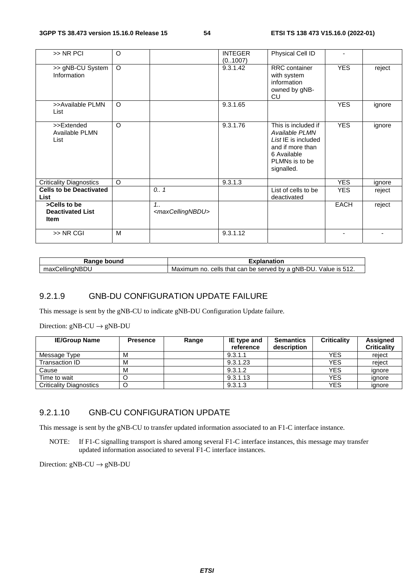| >> NR PCI                                              | $\Omega$ |                                          | <b>INTEGER</b><br>(0.1007) | Physical Cell ID                                                                                                                |             |        |
|--------------------------------------------------------|----------|------------------------------------------|----------------------------|---------------------------------------------------------------------------------------------------------------------------------|-------------|--------|
| >> gNB-CU System<br>Information                        | $\circ$  |                                          | 9.3.1.42                   | RRC container<br>with system<br>information<br>owned by gNB-<br>CU                                                              | <b>YES</b>  | reject |
| >>Available PLMN<br>List                               | $\circ$  |                                          | 9.3.1.65                   |                                                                                                                                 | <b>YES</b>  | ignore |
| >>Extended<br>Available PLMN<br>List                   | $\Omega$ |                                          | 9.3.1.76                   | This is included if<br>Available PLMN<br>List IE is included<br>and if more than<br>6 Available<br>PLMNs is to be<br>signalled. | <b>YES</b>  | ignore |
| <b>Criticality Diagnostics</b>                         | $\circ$  |                                          | 9.3.1.3                    |                                                                                                                                 | <b>YES</b>  | ignore |
| <b>Cells to be Deactivated</b><br>List                 |          | 0.1                                      |                            | List of cells to be<br>deactivated                                                                                              | <b>YES</b>  | reject |
| >Cells to be<br><b>Deactivated List</b><br><b>Item</b> |          | 1.1<br><maxcellingnbdu></maxcellingnbdu> |                            |                                                                                                                                 | <b>EACH</b> | reject |
| >> NR CGI                                              | M        |                                          | 9.3.1.12                   |                                                                                                                                 |             |        |

| ้วนทด<br>na.             | ıtion                                                                                                        |
|--------------------------|--------------------------------------------------------------------------------------------------------------|
| <br>$\sim$<br>۵۱۱۱<br>υL | αNR-.<br>ור<br>he served<br>that car<br>cells<br>no<br>Maximum<br>hv a<br>value<br>$\sim$<br>◡⊢∠<br>. .<br>ີ |

#### 9.2.1.9 GNB-DU CONFIGURATION UPDATE FAILURE

This message is sent by the gNB-CU to indicate gNB-DU Configuration Update failure.

Direction:  $gNB-CU \rightarrow gNB-DU$ 

| <b>IE/Group Name</b>           | <b>Presence</b> | Range | IE type and | <b>Semantics</b> | <b>Criticality</b> | Assigned           |
|--------------------------------|-----------------|-------|-------------|------------------|--------------------|--------------------|
|                                |                 |       | reference   | description      |                    | <b>Criticality</b> |
| Message Type                   | М               |       | 9.3.1.1     |                  | <b>YES</b>         | reject             |
| Transaction ID                 | М               |       | 9.3.1.23    |                  | <b>YES</b>         | reiect             |
| Cause                          | М               |       | 9.3.1.2     |                  | <b>YES</b>         | ignore             |
| Time to wait                   |                 |       | 9.3.1.13    |                  | <b>YES</b>         | ignore             |
| <b>Criticality Diagnostics</b> |                 |       | 9.3.1.3     |                  | <b>YES</b>         | ignore             |

#### 9.2.1.10 GNB-CU CONFIGURATION UPDATE

This message is sent by the gNB-CU to transfer updated information associated to an F1-C interface instance.

NOTE: If F1-C signalling transport is shared among several F1-C interface instances, this message may transfer updated information associated to several F1-C interface instances.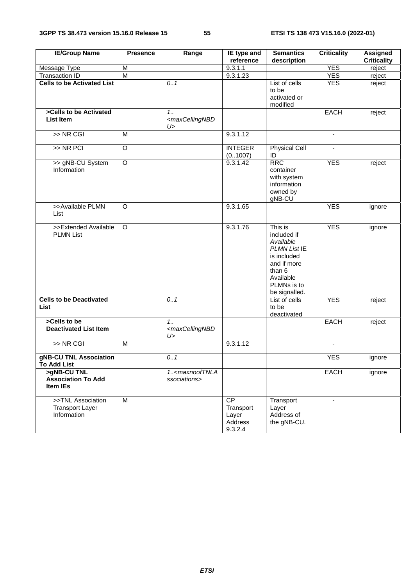| <b>IE/Group Name</b>                                        | <b>Presence</b> | Range                                                 | IE type and                                           | <b>Semantics</b>                                                                                                                         | <b>Criticality</b>       | <b>Assigned</b>    |
|-------------------------------------------------------------|-----------------|-------------------------------------------------------|-------------------------------------------------------|------------------------------------------------------------------------------------------------------------------------------------------|--------------------------|--------------------|
|                                                             | M               |                                                       | reference<br>9.3.1.1                                  | description                                                                                                                              | <b>YES</b>               | <b>Criticality</b> |
| Message Type<br><b>Transaction ID</b>                       | $\overline{M}$  |                                                       | 9.3.1.23                                              |                                                                                                                                          | <b>YES</b>               | reject<br>reject   |
| <b>Cells to be Activated List</b>                           |                 | 0.1                                                   |                                                       | List of cells                                                                                                                            | <b>YES</b>               |                    |
|                                                             |                 |                                                       |                                                       | to be<br>activated or<br>modified                                                                                                        |                          | reject             |
| >Cells to be Activated<br><b>List Item</b>                  |                 | $1_{1}$<br><maxcellingnbd<br>U&gt;</maxcellingnbd<br> |                                                       |                                                                                                                                          | <b>EACH</b>              | reject             |
| $>>$ NR CGI                                                 | $\overline{M}$  |                                                       | 9.3.1.12                                              |                                                                                                                                          | $\blacksquare$           |                    |
| $>>$ NR PCI                                                 | $\overline{O}$  |                                                       | <b>INTEGER</b><br>(0.1007)                            | <b>Physical Cell</b><br>ID                                                                                                               |                          |                    |
| >> gNB-CU System<br>Information                             | $\overline{O}$  |                                                       | 9.3.1.42                                              | <b>RRC</b><br>container<br>with system<br>information<br>owned by<br>gNB-CU                                                              | <b>YES</b>               | reject             |
| >>Available PLMN<br>List                                    | O               |                                                       | 9.3.1.65                                              |                                                                                                                                          | <b>YES</b>               | ignore             |
| >>Extended Available<br><b>PLMN List</b>                    | $\circ$         |                                                       | 9.3.1.76                                              | This is<br>included if<br>Available<br>PLMN List IE<br>is included<br>and if more<br>than 6<br>Available<br>PLMNs is to<br>be signalled. | <b>YES</b>               | ignore             |
| <b>Cells to be Deactivated</b><br><b>List</b>               |                 | 0.1                                                   |                                                       | List of cells<br>to be<br>deactivated                                                                                                    | <b>YES</b>               | reject             |
| >Cells to be<br><b>Deactivated List Item</b>                |                 | 1.1<br><maxcellingnbd<br>U&gt;</maxcellingnbd<br>     |                                                       |                                                                                                                                          | <b>EACH</b>              | reject             |
| $>>$ NR CGI                                                 | M               |                                                       | 9.3.1.12                                              |                                                                                                                                          |                          |                    |
| gNB-CU TNL Association<br><b>To Add List</b>                |                 | $\overline{0.1}$                                      |                                                       |                                                                                                                                          | <b>YES</b>               | ignore             |
| >gNB-CU TNL<br><b>Association To Add</b><br><b>Item IEs</b> |                 | 1 <maxnooftnla<br>ssociations&gt;</maxnooftnla<br>    |                                                       |                                                                                                                                          | <b>EACH</b>              | ignore             |
| >>TNL Association<br><b>Transport Layer</b><br>Information  | M               |                                                       | <b>CP</b><br>Transport<br>Layer<br>Address<br>9.3.2.4 | Transport<br>Layer<br>Address of<br>the gNB-CU.                                                                                          | $\overline{\phantom{a}}$ |                    |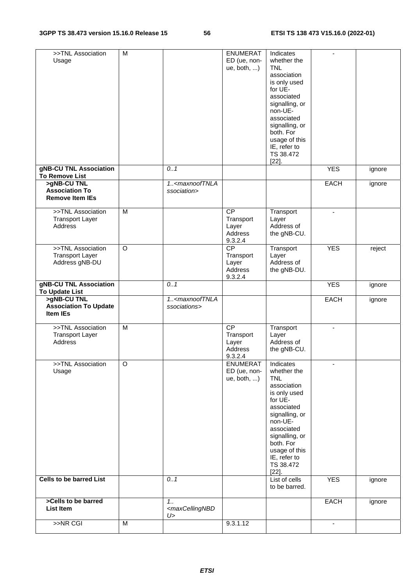| >>TNL Association<br>Usage                                     | M              |                                                    | <b>ENUMERAT</b><br>ED (ue, non-<br>ue, both, )              | Indicates<br>whether the<br><b>TNL</b><br>association<br>is only used<br>for UE-<br>associated<br>signalling, or<br>non-UE-<br>associated<br>signalling, or<br>both. For<br>usage of this                                                           |                          |        |
|----------------------------------------------------------------|----------------|----------------------------------------------------|-------------------------------------------------------------|-----------------------------------------------------------------------------------------------------------------------------------------------------------------------------------------------------------------------------------------------------|--------------------------|--------|
|                                                                |                |                                                    |                                                             | IE, refer to<br>TS 38.472<br>$[22]$ .                                                                                                                                                                                                               |                          |        |
| gNB-CU TNL Association<br><b>To Remove List</b>                |                | 0.1                                                |                                                             |                                                                                                                                                                                                                                                     | <b>YES</b>               | ignore |
| >gNB-CU TNL<br><b>Association To</b><br><b>Remove Item IEs</b> |                | 1 <maxnooftnla<br>ssociation&gt;</maxnooftnla<br>  |                                                             |                                                                                                                                                                                                                                                     | <b>EACH</b>              | ignore |
| >>TNL Association<br><b>Transport Layer</b><br>Address         | M              |                                                    | <b>CP</b><br>Transport<br>Layer<br>Address<br>9.3.2.4       | Transport<br>Layer<br>Address of<br>the gNB-CU.                                                                                                                                                                                                     | $\overline{\phantom{a}}$ |        |
| >>TNL Association<br><b>Transport Layer</b><br>Address gNB-DU  | O              |                                                    | $\overline{CP}$<br>Transport<br>Layer<br>Address<br>9.3.2.4 | Transport<br>Layer<br>Address of<br>the gNB-DU.                                                                                                                                                                                                     | <b>YES</b>               | reject |
| gNB-CU TNL Association<br>To Update List                       |                | 0.1                                                |                                                             |                                                                                                                                                                                                                                                     | <b>YES</b>               | ignore |
| >gNB-CU TNL<br><b>Association To Update</b><br><b>Item IEs</b> |                | 1 <maxnooftnla<br>ssociations&gt;</maxnooftnla<br> |                                                             |                                                                                                                                                                                                                                                     | <b>EACH</b>              | ignore |
| >>TNL Association<br><b>Transport Layer</b><br>Address         | $\overline{M}$ |                                                    | $\overline{CP}$<br>Transport<br>Layer<br>Address<br>9.3.2.4 | Transport<br>Layer<br>Address of<br>the gNB-CU.                                                                                                                                                                                                     | $\blacksquare$           |        |
| >>TNL Association<br>Usage<br><b>Cells to be barred List</b>   | O              | 0.1                                                | <b>ENUMERAT</b><br>ED (ue, non-<br>ue, both, )              | Indicates<br>whether the<br><b>TNL</b><br>association<br>is only used<br>for UE-<br>associated<br>signalling, or<br>non-UE-<br>associated<br>signalling, or<br>both. For<br>usage of this<br>IE, refer to<br>TS 38.472<br>$[22]$ .<br>List of cells | <b>YES</b>               | ignore |
| >Cells to be barred                                            |                | 1.1                                                |                                                             | to be barred.                                                                                                                                                                                                                                       | <b>EACH</b>              | ignore |
| <b>List Item</b>                                               |                | <maxcellingnbd<br>U&gt;</maxcellingnbd<br>         |                                                             |                                                                                                                                                                                                                                                     |                          |        |
| $>>NR$ CGI                                                     | M              |                                                    | 9.3.1.12                                                    |                                                                                                                                                                                                                                                     |                          |        |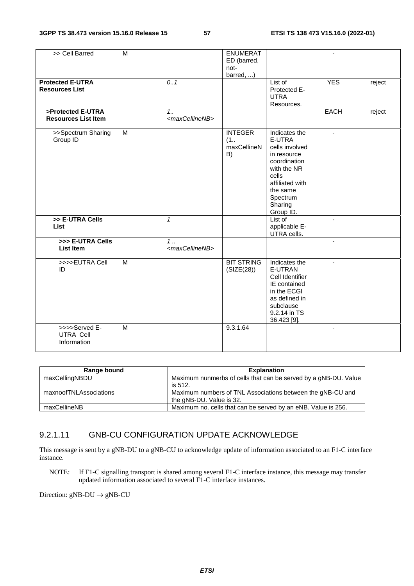| >> Cell Barred                                   | $\overline{M}$ |                                      | <b>ENUMERAT</b><br>ED (barred,<br>not-<br>barred, ) |                                                                                                                                                                     | $\blacksquare$           |        |
|--------------------------------------------------|----------------|--------------------------------------|-----------------------------------------------------|---------------------------------------------------------------------------------------------------------------------------------------------------------------------|--------------------------|--------|
| <b>Protected E-UTRA</b><br><b>Resources List</b> |                | 0.1                                  |                                                     | List of<br>Protected E-<br><b>UTRA</b><br>Resources.                                                                                                                | <b>YES</b>               | reject |
| >Protected E-UTRA<br><b>Resources List Item</b>  |                | 1.1<br><maxcellinenb></maxcellinenb> |                                                     |                                                                                                                                                                     | <b>EACH</b>              | reject |
| >>Spectrum Sharing<br>Group ID                   | M              |                                      | <b>INTEGER</b><br>(1<br>maxCellineN<br>B)           | Indicates the<br>E-UTRA<br>cells involved<br>in resource<br>coordination<br>with the NR<br>cells<br>affiliated with<br>the same<br>Spectrum<br>Sharing<br>Group ID. | $\blacksquare$           |        |
| >> E-UTRA Cells<br>List                          |                | $\mathbf{1}$                         |                                                     | List of<br>applicable E-<br>UTRA cells.                                                                                                                             | $\overline{\phantom{a}}$ |        |
| >>> E-UTRA Cells<br><b>List Item</b>             |                | $1$<br><maxcellinenb></maxcellinenb> |                                                     |                                                                                                                                                                     | $\overline{a}$           |        |
| >>>>EUTRA Cell<br>ID                             | $\overline{M}$ |                                      | <b>BIT STRING</b><br>(SIZE(28))                     | Indicates the<br>E-UTRAN<br>Cell Identifier<br>IE contained<br>in the ECGI<br>as defined in<br>subclause<br>9.2.14 in TS<br>36.423 [9].                             | ÷.                       |        |
| >>>>Served E-<br><b>UTRA Cell</b><br>Information | M              |                                      | 9.3.1.64                                            |                                                                                                                                                                     |                          |        |

| Range bound            | <b>Explanation</b>                                              |
|------------------------|-----------------------------------------------------------------|
| maxCellingNBDU         | Maximum nunmerbs of cells that can be served by a gNB-DU. Value |
|                        | is 512.                                                         |
| maxnoofTNLAssociations | Maximum numbers of TNL Associations between the gNB-CU and      |
|                        | the gNB-DU. Value is 32.                                        |
| maxCellineNB           | Maximum no. cells that can be served by an eNB. Value is 256.   |

### 9.2.1.11 GNB-CU CONFIGURATION UPDATE ACKNOWLEDGE

This message is sent by a gNB-DU to a gNB-CU to acknowledge update of information associated to an F1-C interface instance.

NOTE: If F1-C signalling transport is shared among several F1-C interface instance, this message may transfer updated information associated to several F1-C interface instances.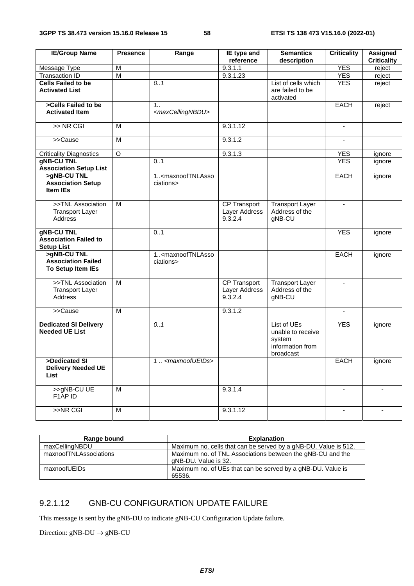| <b>IE/Group Name</b>                                                   | <b>Presence</b>         | Range                                                 | IE type and                              | <b>Semantics</b>                                                            | <b>Criticality</b> | <b>Assigned</b>    |
|------------------------------------------------------------------------|-------------------------|-------------------------------------------------------|------------------------------------------|-----------------------------------------------------------------------------|--------------------|--------------------|
|                                                                        | M                       |                                                       | reference<br>9.3.1.1                     | description                                                                 | <b>YES</b>         | <b>Criticality</b> |
| Message Type<br><b>Transaction ID</b>                                  | $\overline{\mathsf{M}}$ |                                                       | 9.3.1.23                                 |                                                                             | <b>YES</b>         | reject<br>reject   |
| <b>Cells Failed to be</b>                                              |                         | 0.1                                                   |                                          | List of cells which                                                         | <b>YES</b>         | reject             |
| <b>Activated List</b>                                                  |                         |                                                       |                                          | are failed to be<br>activated                                               |                    |                    |
| >Cells Failed to be                                                    |                         | $1_{1}$                                               |                                          |                                                                             | <b>EACH</b>        | reject             |
| <b>Activated Item</b>                                                  |                         | <maxcellingnbdu></maxcellingnbdu>                     |                                          |                                                                             |                    |                    |
| $\gt$ NR CGI                                                           | M                       |                                                       | 9.3.1.12                                 |                                                                             | $\blacksquare$     |                    |
| >>Cause                                                                | $\overline{M}$          |                                                       | 9.3.1.2                                  |                                                                             |                    |                    |
| <b>Criticality Diagnostics</b>                                         | $\circ$                 |                                                       | 9.3.1.3                                  |                                                                             | <b>YES</b>         | ignore             |
| <b>gNB-CU TNL</b><br><b>Association Setup List</b>                     |                         | 0.1                                                   |                                          |                                                                             | <b>YES</b>         | ignore             |
| >gNB-CU TNL<br><b>Association Setup</b><br><b>Item IEs</b>             |                         | 1 <maxnooftnlasso<br>ciations&gt;</maxnooftnlasso<br> |                                          |                                                                             | EACH               | ignore             |
| >>TNL Association<br><b>Transport Layer</b><br><b>Address</b>          | м                       |                                                       | CP Transport<br>Layer Address<br>9.3.2.4 | <b>Transport Layer</b><br>Address of the<br>gNB-CU                          | $\blacksquare$     |                    |
| <b>gNB-CU TNL</b><br><b>Association Failed to</b><br><b>Setup List</b> |                         | 0.1                                                   |                                          |                                                                             | <b>YES</b>         | ignore             |
| >gNB-CU TNL<br><b>Association Failed</b><br>To Setup Item IEs          |                         | 1 <maxnooftnlasso<br>ciations&gt;</maxnooftnlasso<br> |                                          |                                                                             | <b>EACH</b>        | ignore             |
| >>TNL Association<br><b>Transport Layer</b><br><b>Address</b>          | M                       |                                                       | CP Transport<br>Layer Address<br>9.3.2.4 | <b>Transport Layer</b><br>Address of the<br>gNB-CU                          |                    |                    |
| >>Cause                                                                | M                       |                                                       | 9.3.1.2                                  |                                                                             |                    |                    |
| <b>Dedicated SI Delivery</b><br><b>Needed UE List</b>                  |                         | 0.1                                                   |                                          | List of UEs<br>unable to receive<br>system<br>information from<br>broadcast | <b>YES</b>         | ignore             |
| >Dedicated SI<br><b>Delivery Needed UE</b><br>List                     |                         | 1. <maxnoofueids></maxnoofueids>                      |                                          |                                                                             | <b>EACH</b>        | ignore             |
| >>gNB-CU UE<br>F1AP ID                                                 | M                       |                                                       | 9.3.1.4                                  |                                                                             |                    |                    |
| >>NR CGI                                                               | М                       |                                                       | 9.3.1.12                                 |                                                                             |                    |                    |

| Range bound            | <b>Explanation</b>                                                                 |
|------------------------|------------------------------------------------------------------------------------|
| maxCellingNBDU         | Maximum no. cells that can be served by a gNB-DU. Value is 512.                    |
| maxnoofTNLAssociations | Maximum no. of TNL Associations between the gNB-CU and the<br>gNB-DU. Value is 32. |
| maxnoofUEIDs           | Maximum no. of UEs that can be served by a gNB-DU. Value is<br>65536.              |

### 9.2.1.12 GNB-CU CONFIGURATION UPDATE FAILURE

This message is sent by the gNB-DU to indicate gNB-CU Configuration Update failure.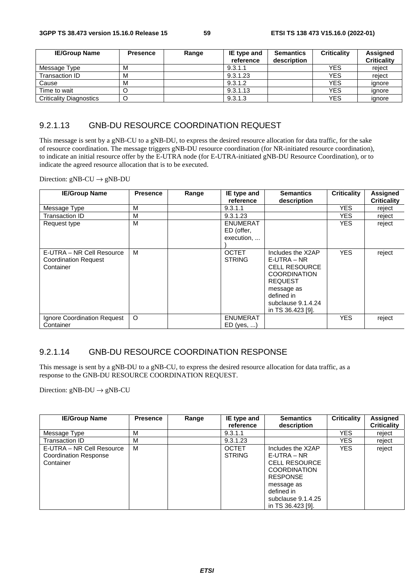| <b>IE/Group Name</b>           | <b>Presence</b> | Range | IE type and | <b>Semantics</b> | <b>Criticality</b> | <b>Assigned</b>    |
|--------------------------------|-----------------|-------|-------------|------------------|--------------------|--------------------|
|                                |                 |       | reference   | description      |                    | <b>Criticality</b> |
| Message Type                   | м               |       | 9.3.1.1     |                  | <b>YES</b>         | reject             |
| Transaction ID                 | M               |       | 9.3.1.23    |                  | <b>YES</b>         | reiect             |
| Cause                          | M               |       | 9.3.1.2     |                  | <b>YES</b>         | ignore             |
| Time to wait                   |                 |       | 9.3.1.13    |                  | <b>YES</b>         | ignore             |
| <b>Criticality Diagnostics</b> | O               |       | 9.3.1.3     |                  | YES                | ignore             |

#### 9.2.1.13 GNB-DU RESOURCE COORDINATION REQUEST

This message is sent by a gNB-CU to a gNB-DU, to express the desired resource allocation for data traffic, for the sake of resource coordination. The message triggers gNB-DU resource coordination (for NR-initiated resource coordination), to indicate an initial resource offer by the E-UTRA node (for E-UTRA-initiated gNB-DU Resource Coordination), or to indicate the agreed resource allocation that is to be executed.

Direction:  $gNB-CU \rightarrow gNB-DU$ 

| <b>IE/Group Name</b>                                                  | <b>Presence</b> | Range | IE type and<br>reference                    | <b>Semantics</b><br>description                                                                                                                                            | <b>Criticality</b> | <b>Assigned</b><br><b>Criticality</b> |
|-----------------------------------------------------------------------|-----------------|-------|---------------------------------------------|----------------------------------------------------------------------------------------------------------------------------------------------------------------------------|--------------------|---------------------------------------|
| Message Type                                                          | M               |       | 9.3.1.1                                     |                                                                                                                                                                            | YES.               | reject                                |
| Transaction ID                                                        | M               |       | 9.3.1.23                                    |                                                                                                                                                                            | <b>YES</b>         | reject                                |
| Request type                                                          | м               |       | <b>ENUMERAT</b><br>ED (offer,<br>execution, |                                                                                                                                                                            | <b>YES</b>         | reject                                |
| E-UTRA – NR Cell Resource<br><b>Coordination Request</b><br>Container | м               |       | <b>OCTET</b><br><b>STRING</b>               | Includes the X2AP<br>$E-UTRA - NR$<br><b>CELL RESOURCE</b><br><b>COORDINATION</b><br><b>REQUEST</b><br>message as<br>defined in<br>subclause 9.1.4.24<br>in TS 36.423 [9]. | <b>YES</b>         | reject                                |
| Ignore Coordination Request                                           | $\circ$         |       | <b>ENUMERAT</b>                             |                                                                                                                                                                            | <b>YES</b>         | reject                                |
| Container                                                             |                 |       | $ED$ (yes, )                                |                                                                                                                                                                            |                    |                                       |

#### 9.2.1.14 GNB-DU RESOURCE COORDINATION RESPONSE

This message is sent by a gNB-DU to a gNB-CU, to express the desired resource allocation for data traffic, as a response to the GNB-DU RESOURCE COORDINATION REQUEST.

| <b>IE/Group Name</b>                                                   | <b>Presence</b> | Range | IE type and<br>reference      | <b>Semantics</b><br>description                                                                      | <b>Criticality</b> | Assigned<br><b>Criticality</b> |
|------------------------------------------------------------------------|-----------------|-------|-------------------------------|------------------------------------------------------------------------------------------------------|--------------------|--------------------------------|
| Message Type                                                           | м               |       | 9.3.1.1                       |                                                                                                      | YES.               | reject                         |
| Transaction ID                                                         | М               |       | 9.3.1.23                      |                                                                                                      | <b>YES</b>         | reject                         |
| E-UTRA – NR Cell Resource<br><b>Coordination Response</b><br>Container | м               |       | <b>OCTET</b><br><b>STRING</b> | Includes the X2AP<br>$E-UTRA - NR$<br><b>CELL RESOURCE</b><br><b>COORDINATION</b><br><b>RESPONSE</b> | <b>YES</b>         | reject                         |
|                                                                        |                 |       |                               | message as<br>defined in<br>subclause 9.1.4.25<br>in TS 36.423 [9].                                  |                    |                                |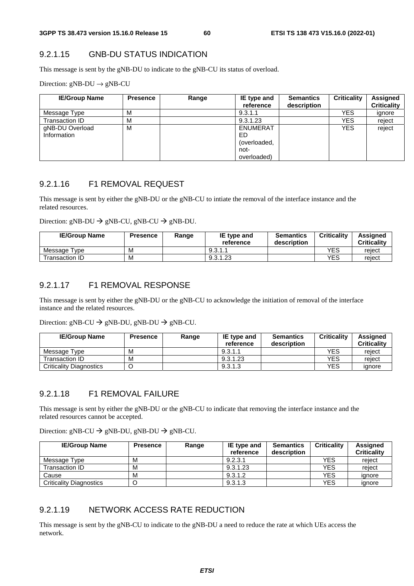### 9.2.1.15 GNB-DU STATUS INDICATION

This message is sent by the gNB-DU to indicate to the gNB-CU its status of overload.

Direction:  $gNB-DU \rightarrow gNB-CU$ 

| <b>IE/Group Name</b> | <b>Presence</b> | Range | IE type and     | <b>Semantics</b> | <b>Criticality</b> | Assigned           |
|----------------------|-----------------|-------|-----------------|------------------|--------------------|--------------------|
|                      |                 |       | reference       | description      |                    | <b>Criticality</b> |
| Message Type         | М               |       | 9.3.1.1         |                  | YES.               | ignore             |
| Transaction ID       | М               |       | 9.3.1.23        |                  | YES                | reject             |
| gNB-DU Overload      | м               |       | <b>ENUMERAT</b> |                  | YES.               | reject             |
| Information          |                 |       | ED.             |                  |                    |                    |
|                      |                 |       | (overloaded,    |                  |                    |                    |
|                      |                 |       | not-            |                  |                    |                    |
|                      |                 |       | overloaded)     |                  |                    |                    |

#### 9.2.1.16 F1 REMOVAL REQUEST

This message is sent by either the gNB-DU or the gNB-CU to intiate the removal of the interface instance and the related resources.

Direction: gNB-DU  $\rightarrow$  gNB-CU, gNB-CU  $\rightarrow$  gNB-DU.

| <b>IE/Group Name</b> | <b>Presence</b> | Range | <b>IE</b> type and<br>reference | <b>Semantics</b><br>description | <b>Criticality</b> | Assianed<br><b>Criticality</b> |
|----------------------|-----------------|-------|---------------------------------|---------------------------------|--------------------|--------------------------------|
| Message Type         | м               |       | 9.3.1.1                         |                                 | YES                | reject                         |
| Transaction ID       | М               |       | 9.3.1.23                        |                                 | YES                | reject                         |

#### 9.2.1.17 F1 REMOVAL RESPONSE

This message is sent by either the gNB-DU or the gNB-CU to acknowledge the initiation of removal of the interface instance and the related resources.

Direction:  $gNB-CU \rightarrow gNB-DU$ ,  $gNB-DU \rightarrow gNB-CU$ .

| <b>IE/Group Name</b>           | <b>Presence</b> | Range | IE type and<br>reference | <b>Semantics</b><br>description | <b>Criticality</b> | Assigned<br><b>Criticality</b> |
|--------------------------------|-----------------|-------|--------------------------|---------------------------------|--------------------|--------------------------------|
| Message Type                   | M               |       | 9.3.1.1                  |                                 | YES                | reject                         |
| Transaction ID.                | M               |       | 9.3.1.23                 |                                 | YES                | reject                         |
| <b>Criticality Diagnostics</b> |                 |       | 9.3.1.3                  |                                 | YES                | ignore                         |

### 9.2.1.18 F1 REMOVAL FAILURE

This message is sent by either the gNB-DU or the gNB-CU to indicate that removing the interface instance and the related resources cannot be accepted.

Direction: gNB-CU  $\rightarrow$  gNB-DU, gNB-DU  $\rightarrow$  gNB-CU.

| <b>IE/Group Name</b>           | <b>Presence</b> | Range | IE type and<br>reference | <b>Semantics</b><br>description | <b>Criticality</b> | <b>Assigned</b><br><b>Criticality</b> |
|--------------------------------|-----------------|-------|--------------------------|---------------------------------|--------------------|---------------------------------------|
| Message Type                   | M               |       | 9.2.3.1                  |                                 | YES                | reject                                |
| Transaction ID                 | M               |       | 9.3.1.23                 |                                 | YES                | reject                                |
| Cause                          | M               |       | 9.3.1.2                  |                                 | YES                | ignore                                |
| <b>Criticality Diagnostics</b> |                 |       | 9.3.1.3                  |                                 | <b>YES</b>         | ignore                                |

#### 9.2.1.19 NETWORK ACCESS RATE REDUCTION

This message is sent by the gNB-CU to indicate to the gNB-DU a need to reduce the rate at which UEs access the network.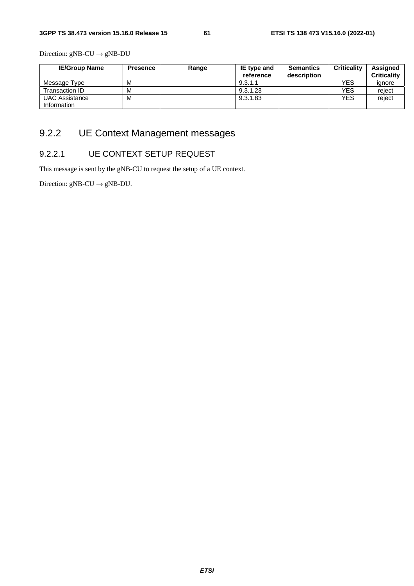Direction:  $gNB-CU \rightarrow gNB-DU$ 

| <b>IE/Group Name</b>                 | <b>Presence</b> | Range | IE type and<br>reference | <b>Semantics</b><br>description | <b>Criticality</b> | <b>Assigned</b><br><b>Criticality</b> |
|--------------------------------------|-----------------|-------|--------------------------|---------------------------------|--------------------|---------------------------------------|
| Message Type                         | м               |       | 9.3.1.1                  |                                 | YES                | ignore                                |
| Transaction ID                       | M               |       | 9.3.1.23                 |                                 | YES                | reject                                |
| <b>UAC Assistance</b><br>Information | м               |       | 9.3.1.83                 |                                 | <b>YES</b>         | reject                                |

## 9.2.2 UE Context Management messages

### 9.2.2.1 UE CONTEXT SETUP REQUEST

This message is sent by the gNB-CU to request the setup of a UE context.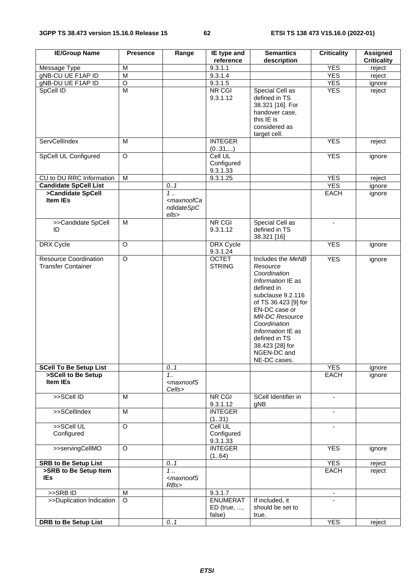| <b>IE/Group Name</b>                                      | <b>Presence</b> | Range                                                                    | IE type and<br>reference                 | <b>Semantics</b><br>description                                                                                                                                                                                                                                                 | <b>Criticality</b> | <b>Assigned</b><br><b>Criticality</b> |
|-----------------------------------------------------------|-----------------|--------------------------------------------------------------------------|------------------------------------------|---------------------------------------------------------------------------------------------------------------------------------------------------------------------------------------------------------------------------------------------------------------------------------|--------------------|---------------------------------------|
|                                                           |                 |                                                                          | 9.3.1.1                                  |                                                                                                                                                                                                                                                                                 | <b>YES</b>         |                                       |
| Message Type                                              | M               |                                                                          |                                          |                                                                                                                                                                                                                                                                                 |                    | reject                                |
| gNB-CU UE F1AP ID                                         | M               |                                                                          | 9.3.1.4                                  |                                                                                                                                                                                                                                                                                 | <b>YES</b>         | reject                                |
| gNB-DU UE F1AP ID                                         | $\circ$         |                                                                          | 9.3.1.5                                  |                                                                                                                                                                                                                                                                                 | <b>YES</b>         | ignore                                |
| SpCell ID                                                 | $\overline{M}$  |                                                                          | NR CGI<br>9.3.1.12                       | Special Cell as<br>defined in TS<br>38.321 [16]. For<br>handover case,<br>this IE is<br>considered as<br>target cell.                                                                                                                                                           | <b>YES</b>         | reject                                |
| ServCellIndex                                             | M               |                                                                          | <b>INTEGER</b><br>(031,)                 |                                                                                                                                                                                                                                                                                 | <b>YES</b>         | reject                                |
| SpCell UL Configured                                      | $\overline{O}$  |                                                                          | Cell UL<br>Configured<br>9.3.1.33        |                                                                                                                                                                                                                                                                                 | <b>YES</b>         | ignore                                |
| CU to DU RRC Information                                  | ${\sf M}$       |                                                                          | 9.3.1.25                                 |                                                                                                                                                                                                                                                                                 | <b>YES</b>         | reject                                |
| <b>Candidate SpCell List</b>                              |                 | 0.1                                                                      |                                          |                                                                                                                                                                                                                                                                                 | <b>YES</b>         | ignore                                |
| >Candidate SpCell<br><b>Item IEs</b>                      |                 | $\overline{1}$ .<br><maxnoofca<br>ndidateSpC<br/>ells&gt;</maxnoofca<br> |                                          |                                                                                                                                                                                                                                                                                 | <b>EACH</b>        | ignore                                |
| >>Candidate SpCell<br>ID                                  | M               |                                                                          | NR CGI<br>9.3.1.12                       | Special Cell as<br>defined in TS<br>38.321 [16]                                                                                                                                                                                                                                 | $\blacksquare$     |                                       |
| DRX Cycle                                                 | O               |                                                                          | DRX Cycle<br>9.3.1.24                    |                                                                                                                                                                                                                                                                                 | <b>YES</b>         | ignore                                |
| <b>Resource Coordination</b><br><b>Transfer Container</b> | $\overline{O}$  |                                                                          | <b>OCTET</b><br><b>STRING</b>            | Includes the MeNB<br>Resource<br>Coordination<br>Information IE as<br>defined in<br>subclause 9.2.116<br>of TS 36.423 [9] for<br>EN-DC case or<br><b>MR-DC Resource</b><br>Coordination<br>Information IE as<br>defined in TS<br>38.423 [28] for<br>NGEN-DC and<br>NE-DC cases. | <b>YES</b>         | ignore                                |
| <b>SCell To Be Setup List</b>                             |                 | 0.1                                                                      |                                          |                                                                                                                                                                                                                                                                                 | <b>YES</b>         | ignore                                |
| >SCell to Be Setup<br>Item IEs                            |                 | $1_{1}$<br><maxnoofs<br>Cells&gt;</maxnoofs<br>                          |                                          |                                                                                                                                                                                                                                                                                 | EACH               | ignore                                |
| >>SCell ID                                                | M               |                                                                          | <b>NR CGI</b><br>9.3.1.12                | SCell Identifier in<br>qNB                                                                                                                                                                                                                                                      | $\blacksquare$     |                                       |
| >>SCellIndex                                              | M               |                                                                          | <b>INTEGER</b><br>(131)                  |                                                                                                                                                                                                                                                                                 | ٠                  |                                       |
| >>SCell UL<br>Configured                                  | O               |                                                                          | Cell UL<br>Configured<br>9.3.1.33        |                                                                                                                                                                                                                                                                                 | -                  |                                       |
| >>servingCellMO                                           | O               |                                                                          | <b>INTEGER</b><br>(164)                  |                                                                                                                                                                                                                                                                                 | <b>YES</b>         | ignore                                |
| <b>SRB to Be Setup List</b>                               |                 | 0.1                                                                      |                                          |                                                                                                                                                                                                                                                                                 | <b>YES</b>         | reject                                |
| >SRB to Be Setup Item<br><b>IEs</b>                       |                 | 1.<br><maxnoofs<br>RBs&gt;</maxnoofs<br>                                 |                                          |                                                                                                                                                                                                                                                                                 | <b>EACH</b>        | reject                                |
| >>SRBID                                                   | M               |                                                                          | 9.3.1.7                                  |                                                                                                                                                                                                                                                                                 | $\blacksquare$     |                                       |
| >>Duplication Indication                                  | $\overline{O}$  |                                                                          | <b>ENUMERAT</b><br>ED (true, ,<br>false) | If included, it<br>should be set to<br>true.                                                                                                                                                                                                                                    |                    |                                       |
| <b>DRB to Be Setup List</b>                               |                 | 0.1                                                                      |                                          |                                                                                                                                                                                                                                                                                 | <b>YES</b>         | reject                                |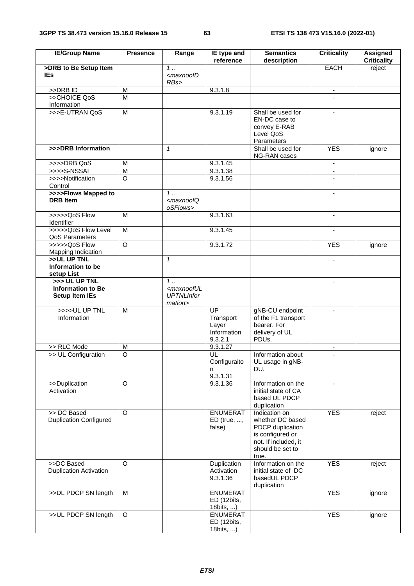| <b>IE/Group Name</b>                                               | <b>Presence</b> | Range                                                                | IE type and<br>reference                                  | <b>Semantics</b><br>description                                                                                                | <b>Criticality</b>       | <b>Assigned</b><br><b>Criticality</b> |
|--------------------------------------------------------------------|-----------------|----------------------------------------------------------------------|-----------------------------------------------------------|--------------------------------------------------------------------------------------------------------------------------------|--------------------------|---------------------------------------|
| >DRB to Be Setup Item                                              |                 | $\overline{1}$ .                                                     |                                                           |                                                                                                                                | <b>EACH</b>              | reject                                |
| <b>IEs</b>                                                         |                 | <maxnoofd<br>RBs&gt;</maxnoofd<br>                                   |                                                           |                                                                                                                                |                          |                                       |
| >>DRB ID                                                           | M               |                                                                      | 9.3.1.8                                                   |                                                                                                                                | $\overline{\phantom{a}}$ |                                       |
| >>CHOICE QoS<br>Information                                        | M               |                                                                      |                                                           |                                                                                                                                |                          |                                       |
| >>>E-UTRAN QoS                                                     | $\overline{M}$  |                                                                      | 9.3.1.19                                                  | Shall be used for<br>EN-DC case to<br>convey E-RAB<br>Level QoS<br>Parameters                                                  | $\blacksquare$           |                                       |
| >>>DRB Information                                                 |                 | $\mathbf{1}$                                                         |                                                           | Shall be used for<br>NG-RAN cases                                                                                              | <b>YES</b>               | ignore                                |
| >>>>DRB QoS                                                        | M               |                                                                      | 9.3.1.45                                                  |                                                                                                                                | $\blacksquare$           |                                       |
| $>>>S-NSSAI$                                                       | $\overline{M}$  |                                                                      | 9.3.1.38                                                  |                                                                                                                                | $\blacksquare$           |                                       |
| >>>>Notification<br>Control                                        | $\Omega$        |                                                                      | 9.3.1.56                                                  |                                                                                                                                | $\overline{\phantom{m}}$ |                                       |
| >>>>Flows Mapped to                                                |                 | $1$                                                                  |                                                           |                                                                                                                                |                          |                                       |
| <b>DRB</b> Item                                                    |                 | <maxnoofq<br>oSFlows&gt;</maxnoofq<br>                               |                                                           |                                                                                                                                |                          |                                       |
| >>>>>QoS Flow<br>Identifier                                        | M               |                                                                      | 9.3.1.63                                                  |                                                                                                                                | $\overline{\phantom{a}}$ |                                       |
| >>>>>QoS Flow Level<br>QoS Parameters                              | $\overline{M}$  |                                                                      | 9.3.1.45                                                  |                                                                                                                                | $\blacksquare$           |                                       |
| >>>>>QoS Flow<br>Mapping Indication                                | $\overline{O}$  |                                                                      | 9.3.1.72                                                  |                                                                                                                                | <b>YES</b>               | ignore                                |
| >>UL UP TNL<br>Information to be<br>setup List                     |                 | $\mathbf{1}$                                                         |                                                           |                                                                                                                                | $\blacksquare$           |                                       |
| >>> UL UP TNL<br><b>Information to Be</b><br><b>Setup Item IEs</b> |                 | $1$<br><maxnooful<br><b>UPTNLInfor</b><br/>mation&gt;</maxnooful<br> |                                                           |                                                                                                                                |                          |                                       |
| >>>>UL UP TNL<br>Information                                       | M               |                                                                      | <b>UP</b><br>Transport<br>Layer<br>Information<br>9.3.2.1 | gNB-CU endpoint<br>of the F1 transport<br>bearer. For<br>delivery of UL<br>PDUs.                                               |                          |                                       |
| >> RLC Mode                                                        | M               |                                                                      | 9.3.1.27                                                  |                                                                                                                                | $\overline{\phantom{a}}$ |                                       |
| >> UL Configuration                                                | $\overline{O}$  |                                                                      | UL<br>Configuraito<br>n<br>9.3.1.31                       | Information about<br>UL usage in gNB-<br>DU.                                                                                   | $\blacksquare$           |                                       |
| >>Duplication<br>Activation                                        | $\circ$         |                                                                      | $9.\overline{3.1.36}$                                     | Information on the<br>initial state of CA<br>based UL PDCP<br>duplication                                                      | $\blacksquare$           |                                       |
| >> DC Based<br><b>Duplication Configured</b>                       | $\circ$         |                                                                      | <b>ENUMERAT</b><br>$ED$ (true, ,<br>false)                | Indication on<br>whether DC based<br>PDCP duplication<br>is configured or<br>not. If included, it<br>should be set to<br>true. | <b>YES</b>               | reject                                |
| >>DC Based<br><b>Duplication Activation</b>                        | $\circ$         |                                                                      | Duplication<br>Activation<br>9.3.1.36                     | Information on the<br>initial state of DC<br>basedUL PDCP<br>duplication                                                       | <b>YES</b>               | reject                                |
| >>DL PDCP SN length                                                | M               |                                                                      | <b>ENUMERAT</b><br>ED (12bits,<br>18bits, )               |                                                                                                                                | <b>YES</b>               | ignore                                |
| >>UL PDCP SN length                                                | $\circ$         |                                                                      | <b>ENUMERAT</b><br>ED (12bits,<br>18bits, )               |                                                                                                                                | <b>YES</b>               | ignore                                |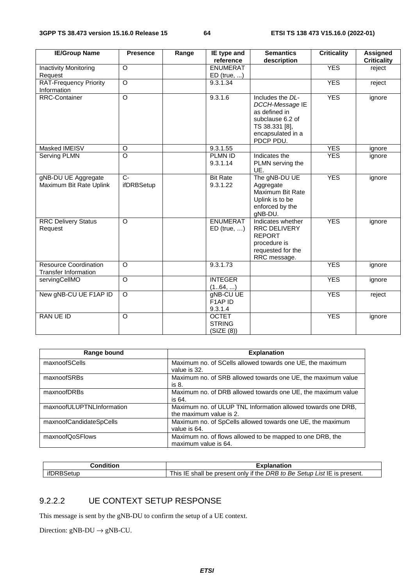| <b>IE/Group Name</b>                                        | <b>Presence</b> | Range | IE type and                                 | <b>Semantics</b>                                                                                                             | <b>Criticality</b> | <b>Assigned</b>    |
|-------------------------------------------------------------|-----------------|-------|---------------------------------------------|------------------------------------------------------------------------------------------------------------------------------|--------------------|--------------------|
|                                                             |                 |       | reference                                   | description                                                                                                                  |                    | <b>Criticality</b> |
| <b>Inactivity Monitoring</b>                                | O               |       | <b>ENUMERAT</b>                             |                                                                                                                              | <b>YES</b>         | reject             |
| Request                                                     |                 |       | $ED$ (true, )                               |                                                                                                                              |                    |                    |
| <b>RAT-Frequency Priority</b>                               | $\circ$         |       | 9.3.1.34                                    |                                                                                                                              | <b>YES</b>         | reject             |
| Information                                                 |                 |       |                                             |                                                                                                                              |                    |                    |
| <b>RRC-Container</b>                                        | $\circ$         |       | 9.3.1.6                                     | Includes the DL-<br>DCCH-Message IE<br>as defined in<br>subclause 6.2 of<br>TS 38.331 [8],<br>encapsulated in a<br>PDCP PDU. | <b>YES</b>         | ignore             |
| Masked IMEISV                                               | $\circ$         |       | 9.3.1.55                                    |                                                                                                                              | <b>YES</b>         | ignore             |
| Serving PLMN                                                | $\circ$         |       | PLMN ID                                     | Indicates the                                                                                                                | <b>YES</b>         | ignore             |
|                                                             |                 |       | 9.3.1.14                                    | PLMN serving the<br>UE.                                                                                                      |                    |                    |
| gNB-DU UE Aggregate                                         | $C -$           |       | <b>Bit Rate</b>                             | The gNB-DU UE                                                                                                                | <b>YES</b>         | ignore             |
| Maximum Bit Rate Uplink                                     | ifDRBSetup      |       | 9.3.1.22                                    | Aggregate<br>Maximum Bit Rate<br>Uplink is to be<br>enforced by the<br>gNB-DU.                                               |                    |                    |
| <b>RRC Delivery Status</b><br>Request                       | $\Omega$        |       | <b>ENUMERAT</b><br>$ED$ (true, )            | Indicates whether<br>RRC DELIVERY<br><b>REPORT</b><br>procedure is<br>requested for the<br>RRC message.                      | <b>YES</b>         | ignore             |
| <b>Resource Coordination</b><br><b>Transfer Information</b> | O               |       | 9.3.1.73                                    |                                                                                                                              | <b>YES</b>         | ignore             |
| servingCellMO                                               | O               |       | <b>INTEGER</b><br>(164, )                   |                                                                                                                              | <b>YES</b>         | ignore             |
| New gNB-CU UE F1AP ID                                       | O               |       | gNB-CU UE<br>F1AP ID<br>9.3.1.4             |                                                                                                                              | <b>YES</b>         | reject             |
| RAN UE ID                                                   | $\Omega$        |       | <b>OCTET</b><br><b>STRING</b><br>(SIZE (8)) |                                                                                                                              | <b>YES</b>         | ignore             |

| Range bound               | <b>Explanation</b>                                                                      |
|---------------------------|-----------------------------------------------------------------------------------------|
| maxnoofSCells             | Maximum no. of SCells allowed towards one UE, the maximum<br>value is 32.               |
| maxnoofSRBs               | Maximum no. of SRB allowed towards one UE, the maximum value<br>is 8.                   |
| maxnoofDRBs               | Maximum no. of DRB allowed towards one UE, the maximum value<br>is 64.                  |
| maxnoofULUPTNLInformation | Maximum no. of ULUP TNL Information allowed towards one DRB,<br>the maximum value is 2. |
| maxnoofCandidateSpCells   | Maximum no. of SpCells allowed towards one UE, the maximum<br>value is 64.              |
| maxnoofQoSFlows           | Maximum no. of flows allowed to be mapped to one DRB, the<br>maximum value is 64.       |

| <b>Condition</b> | Explanation                                                                           |
|------------------|---------------------------------------------------------------------------------------|
| ifDRBSetup       | <b>This</b><br>shall be present only if the DRB to Be Setup List IE is present.<br>'⊢ |

### 9.2.2.2 UE CONTEXT SETUP RESPONSE

This message is sent by the gNB-DU to confirm the setup of a UE context.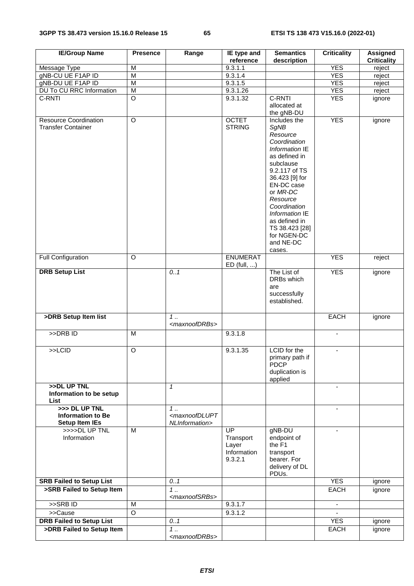| <b>IE/Group Name</b>                                               | <b>Presence</b>         | Range                                                              | IE type and<br>reference                           | <b>Semantics</b><br>description                                                                                                                                                                                                                                                      | <b>Criticality</b>       | <b>Assigned</b><br><b>Criticality</b> |
|--------------------------------------------------------------------|-------------------------|--------------------------------------------------------------------|----------------------------------------------------|--------------------------------------------------------------------------------------------------------------------------------------------------------------------------------------------------------------------------------------------------------------------------------------|--------------------------|---------------------------------------|
| Message Type                                                       | M                       |                                                                    | 9.3.1.1                                            |                                                                                                                                                                                                                                                                                      | <b>YES</b>               | reject                                |
| gNB-CU UE F1AP ID                                                  | $\overline{M}$          |                                                                    | 9.3.1.4                                            |                                                                                                                                                                                                                                                                                      | <b>YES</b>               | reject                                |
| gNB-DU UE F1AP ID                                                  | M                       |                                                                    | 9.3.1.5                                            |                                                                                                                                                                                                                                                                                      | <b>YES</b>               | reject                                |
| DU To CU RRC Information                                           | $\overline{\mathsf{M}}$ |                                                                    | 9.3.1.26                                           |                                                                                                                                                                                                                                                                                      | <b>YES</b>               | reject                                |
| C-RNTI                                                             | $\overline{O}$          |                                                                    | 9.3.1.32                                           | C-RNTI                                                                                                                                                                                                                                                                               | <b>YES</b>               |                                       |
|                                                                    |                         |                                                                    |                                                    | allocated at<br>the gNB-DU                                                                                                                                                                                                                                                           |                          | ignore                                |
| <b>Resource Coordination</b><br><b>Transfer Container</b>          | $\overline{O}$          |                                                                    | <b>OCTET</b><br><b>STRING</b>                      | Includes the<br>SgNB<br>Resource<br>Coordination<br>Information IE<br>as defined in<br>subclause<br>9.2.117 of TS<br>36.423 [9] for<br>EN-DC case<br>or MR-DC<br>Resource<br>Coordination<br>Information IE<br>as defined in<br>TS 38.423 [28]<br>for NGEN-DC<br>and NE-DC<br>cases. | <b>YES</b>               | ignore                                |
| <b>Full Configuration</b>                                          | $\circ$                 |                                                                    | <b>ENUMERAT</b><br>$ED$ (full, )                   |                                                                                                                                                                                                                                                                                      | <b>YES</b>               | reject                                |
| <b>DRB Setup List</b>                                              |                         | 0.1                                                                |                                                    | The List of<br>DRBs which<br>are<br>successfully<br>established.                                                                                                                                                                                                                     | <b>YES</b>               | ignore                                |
| >DRB Setup Item list                                               |                         | $1 \ldots$<br><maxnoofdrbs></maxnoofdrbs>                          |                                                    |                                                                                                                                                                                                                                                                                      | <b>EACH</b>              | ignore                                |
| >DRBID                                                             | M                       |                                                                    | 9.3.1.8                                            |                                                                                                                                                                                                                                                                                      | ٠                        |                                       |
| >>LCID                                                             | O                       |                                                                    | 9.3.1.35                                           | <b>LCID</b> for the<br>primary path if<br>PDCP<br>duplication is<br>applied                                                                                                                                                                                                          | $\overline{\phantom{a}}$ |                                       |
| >>DL UP TNL<br>Information to be setup<br>List                     |                         | $\mathbf{1}$                                                       |                                                    |                                                                                                                                                                                                                                                                                      | $\blacksquare$           |                                       |
| >>> DL UP TNL<br><b>Information to Be</b><br><b>Setup Item IEs</b> |                         | $1 \ldots$<br><maxnoofdlupt<br>NLInformation&gt;</maxnoofdlupt<br> |                                                    |                                                                                                                                                                                                                                                                                      | $\blacksquare$           |                                       |
| >>>>DLUPTNL<br>Information                                         | M                       |                                                                    | UP<br>Transport<br>Layer<br>Information<br>9.3.2.1 | gNB-DU<br>endpoint of<br>the F1<br>transport<br>bearer. For<br>delivery of DL<br>PDUs.                                                                                                                                                                                               | $\overline{a}$           |                                       |
| <b>SRB Failed to Setup List</b>                                    |                         | 0.1                                                                |                                                    |                                                                                                                                                                                                                                                                                      | <b>YES</b>               | ignore                                |
| >SRB Failed to Setup Item                                          |                         | 1<br><maxnoofsrbs></maxnoofsrbs>                                   |                                                    |                                                                                                                                                                                                                                                                                      | <b>EACH</b>              | ignore                                |
| $>$ SRB ID                                                         | M                       |                                                                    | 9.3.1.7                                            |                                                                                                                                                                                                                                                                                      | $\blacksquare$           |                                       |
| >>Cause                                                            | O                       |                                                                    | 9.3.1.2                                            |                                                                                                                                                                                                                                                                                      |                          |                                       |
| <b>DRB Failed to Setup List</b>                                    |                         | 0.1                                                                |                                                    |                                                                                                                                                                                                                                                                                      | <b>YES</b>               |                                       |
|                                                                    |                         |                                                                    |                                                    |                                                                                                                                                                                                                                                                                      |                          | ignore                                |
| >DRB Failed to Setup Item                                          |                         | $1 \ldots$<br><maxnoofdrbs></maxnoofdrbs>                          |                                                    |                                                                                                                                                                                                                                                                                      | EACH                     | ignore                                |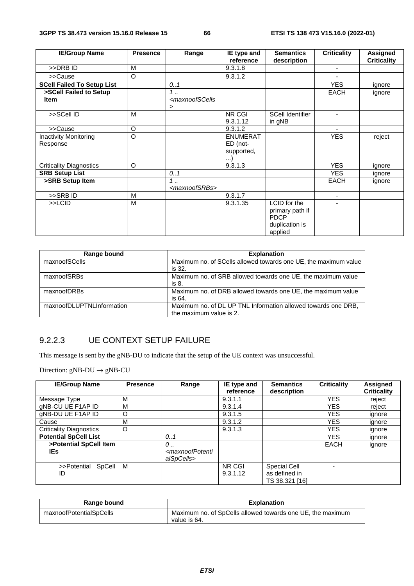| <b>IE/Group Name</b>              | <b>Presence</b> | Range                                                                       | IE type and     | <b>Semantics</b>        | <b>Criticality</b> | Assigned           |
|-----------------------------------|-----------------|-----------------------------------------------------------------------------|-----------------|-------------------------|--------------------|--------------------|
|                                   |                 |                                                                             | reference       | description             |                    | <b>Criticality</b> |
| >>DRB ID                          | M               |                                                                             | 9.3.1.8         |                         |                    |                    |
| >>Cause                           | O               |                                                                             | 9.3.1.2         |                         |                    |                    |
| <b>SCell Failed To Setup List</b> |                 | 0.1                                                                         |                 |                         | <b>YES</b>         | ignore             |
| >SCell Failed to Setup            |                 | $1$                                                                         |                 |                         | <b>EACH</b>        | ignore             |
| <b>Item</b>                       |                 | <maxnoofscells< td=""><td></td><td></td><td></td><td></td></maxnoofscells<> |                 |                         |                    |                    |
|                                   |                 | >                                                                           |                 |                         |                    |                    |
| >>SCell ID                        | M               |                                                                             | NR CGI          | <b>SCell Identifier</b> |                    |                    |
|                                   |                 |                                                                             | 9.3.1.12        | in gNB                  |                    |                    |
| >>Cause                           | O               |                                                                             | 9.3.1.2         |                         |                    |                    |
| <b>Inactivity Monitoring</b>      | O               |                                                                             | <b>ENUMERAT</b> |                         | <b>YES</b>         | reject             |
| Response                          |                 |                                                                             | ED (not-        |                         |                    |                    |
|                                   |                 |                                                                             | supported,      |                         |                    |                    |
|                                   |                 |                                                                             |                 |                         |                    |                    |
| <b>Criticality Diagnostics</b>    | O               |                                                                             | 9.3.1.3         |                         | <b>YES</b>         | ignore             |
| <b>SRB Setup List</b>             |                 | 0.1                                                                         |                 |                         | <b>YES</b>         | ignore             |
| >SRB Setup Item                   |                 | $1 \ldots$                                                                  |                 |                         | <b>EACH</b>        | ignore             |
|                                   |                 | <maxnoofsrbs></maxnoofsrbs>                                                 |                 |                         |                    |                    |
| >>SRBID                           | M               |                                                                             | 9.3.1.7         |                         | ÷.                 |                    |
| $>>$ LCID                         | M               |                                                                             | 9.3.1.35        | LCID for the            |                    |                    |
|                                   |                 |                                                                             |                 | primary path if         |                    |                    |
|                                   |                 |                                                                             |                 | <b>PDCP</b>             |                    |                    |
|                                   |                 |                                                                             |                 | duplication is          |                    |                    |
|                                   |                 |                                                                             |                 | applied                 |                    |                    |

| Range bound               | <b>Explanation</b>                                              |
|---------------------------|-----------------------------------------------------------------|
| maxnoofSCells             | Maximum no. of SCells allowed towards one UE, the maximum value |
|                           | is 32.                                                          |
| maxnoofSRBs               | Maximum no. of SRB allowed towards one UE, the maximum value    |
|                           | is 8.                                                           |
| maxnoofDRBs               | Maximum no. of DRB allowed towards one UE, the maximum value    |
|                           | is 64.                                                          |
| maxnoofDLUPTNLInformation | Maximum no. of DL UP TNL Information allowed towards one DRB,   |
|                           | the maximum value is 2.                                         |

### 9.2.2.3 UE CONTEXT SETUP FAILURE

This message is sent by the gNB-DU to indicate that the setup of the UE context was unsuccessful.

| <b>IE/Group Name</b>           | <b>Presence</b> | Range                                                                                                 | IE type and<br>reference | <b>Semantics</b><br>description                 | <b>Criticality</b> | <b>Assigned</b><br><b>Criticality</b> |
|--------------------------------|-----------------|-------------------------------------------------------------------------------------------------------|--------------------------|-------------------------------------------------|--------------------|---------------------------------------|
| Message Type                   | м               |                                                                                                       | 9.3.1.1                  |                                                 | <b>YES</b>         | reject                                |
| gNB-CU UE F1AP ID              | M               |                                                                                                       | 9.3.1.4                  |                                                 | <b>YES</b>         | reject                                |
| gNB-DU UE F1AP ID              | O               |                                                                                                       | 9.3.1.5                  |                                                 | <b>YES</b>         | ignore                                |
| Cause                          | M               |                                                                                                       | 9.3.1.2                  |                                                 | <b>YES</b>         | ignore                                |
| <b>Criticality Diagnostics</b> | O               |                                                                                                       | 9.3.1.3                  |                                                 | <b>YES</b>         | ignore                                |
| <b>Potential SpCell List</b>   |                 | 0.1                                                                                                   |                          |                                                 | <b>YES</b>         | ignore                                |
| >Potential SpCell Item<br>IEs. |                 | 0.,<br><maxnoofpotenti< th=""><th></th><th></th><th><b>EACH</b></th><th>ignore</th></maxnoofpotenti<> |                          |                                                 | <b>EACH</b>        | ignore                                |
|                                |                 | alSpCells>                                                                                            |                          |                                                 |                    |                                       |
| >>Potential SpCell<br>ID       | м               |                                                                                                       | NR CGI<br>9.3.1.12       | Special Cell<br>as defined in<br>TS 38.321 [16] |                    |                                       |

| Range bound             | <b>Explanation</b>                                                         |
|-------------------------|----------------------------------------------------------------------------|
| maxnoofPotentialSpCells | Maximum no. of SpCells allowed towards one UE, the maximum<br>value is 64. |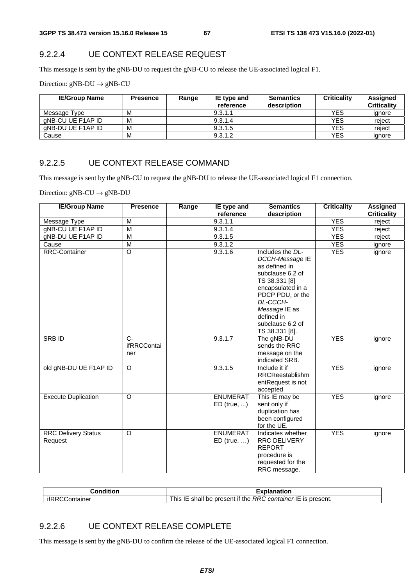### 9.2.2.4 UE CONTEXT RELEASE REQUEST

This message is sent by the gNB-DU to request the gNB-CU to release the UE-associated logical F1.

Direction:  $gNB-DU \rightarrow gNB-CU$ 

| <b>IE/Group Name</b> | <b>Presence</b> | Range | IE type and<br>reference | <b>Semantics</b><br>description | <b>Criticality</b> | Assigned<br><b>Criticality</b> |
|----------------------|-----------------|-------|--------------------------|---------------------------------|--------------------|--------------------------------|
| Message Type         | M               |       | 9.3.1.1                  |                                 | <b>YES</b>         | ignore                         |
| aNB-CU UE F1AP ID    | м               |       | 9.3.1.4                  |                                 | <b>YES</b>         | reiect                         |
| aNB-DU UE F1AP ID    | м               |       | 9.3.1.5                  |                                 | <b>YES</b>         | reiect                         |
| Cause                | М               |       | 9.3.1.2                  |                                 | <b>YES</b>         | ignore                         |

#### 9.2.2.5 UE CONTEXT RELEASE COMMAND

This message is sent by the gNB-CU to request the gNB-DU to release the UE-associated logical F1 connection.

Direction:  $gNB-CU \rightarrow gNB-DU$ 

| <b>IE/Group Name</b>                  | <b>Presence</b>             | Range | IE type and                      | <b>Semantics</b>                                                                                                                                                                                                    | <b>Criticality</b> | <b>Assigned</b>    |
|---------------------------------------|-----------------------------|-------|----------------------------------|---------------------------------------------------------------------------------------------------------------------------------------------------------------------------------------------------------------------|--------------------|--------------------|
|                                       |                             |       | reference                        | description                                                                                                                                                                                                         |                    | <b>Criticality</b> |
| Message Type                          | M                           |       | 9.3.1.1                          |                                                                                                                                                                                                                     | <b>YES</b>         | reject             |
| gNB-CU UE F1AP ID                     | M                           |       | 9.3.1.4                          |                                                                                                                                                                                                                     | <b>YES</b>         | reject             |
| gNB-DU UE F1AP ID                     | M                           |       | 9.3.1.5                          |                                                                                                                                                                                                                     | <b>YES</b>         | reject             |
| Cause                                 | $\overline{M}$              |       | 9.3.1.2                          |                                                                                                                                                                                                                     | <b>YES</b>         | ignore             |
| <b>RRC-Container</b>                  | $\circ$                     |       | 9.3.1.6                          | Includes the DL-<br>DCCH-Message IE<br>as defined in<br>subclause 6.2 of<br>TS 38.331 [8]<br>encapsulated in a<br>PDCP PDU, or the<br>DL-CCCH-<br>Message IE as<br>defined in<br>subclause 6.2 of<br>TS 38.331 [8]. | <b>YES</b>         | ignore             |
| SRB ID                                | $C -$<br>ifRRCContai<br>ner |       | 9.3.1.7                          | The gNB-DU<br>sends the RRC<br>message on the<br>indicated SRB.                                                                                                                                                     | <b>YES</b>         | ignore             |
| old gNB-DU UE F1AP ID                 | $\circ$                     |       | 9.3.1.5                          | Include it if<br>RRCReestablishm<br>entRequest is not<br>accepted                                                                                                                                                   | <b>YES</b>         | ignore             |
| <b>Execute Duplication</b>            | $\Omega$                    |       | <b>ENUMERAT</b><br>$ED$ (true, ) | This IE may be<br>sent only if<br>duplication has<br>been configured<br>for the UE.                                                                                                                                 | <b>YES</b>         | ignore             |
| <b>RRC Delivery Status</b><br>Request | $\Omega$                    |       | <b>ENUMERAT</b><br>$ED$ (true, ) | Indicates whether<br>RRC DELIVERY<br><b>REPORT</b><br>procedure is<br>requested for the<br>RRC message.                                                                                                             | <b>YES</b>         | ignore             |

| Condition                           | Explanation                                                           |
|-------------------------------------|-----------------------------------------------------------------------|
| ifRRCC<br>;ontainer<br>$\mathbf{H}$ | RRC container IE is present.<br>l be present if the<br>' his<br>shall |

### 9.2.2.6 UE CONTEXT RELEASE COMPLETE

This message is sent by the gNB-DU to confirm the release of the UE-associated logical F1 connection.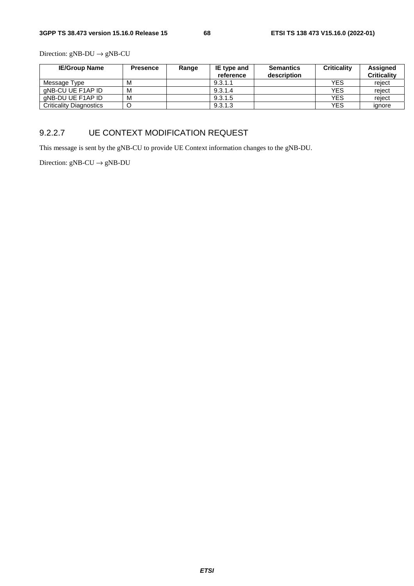Direction:  $gNB-DU \rightarrow gNB-CU$ 

| <b>IE/Group Name</b>           | <b>Presence</b> | Range | IE type and | <b>Semantics</b> | <b>Criticality</b> | Assigned           |
|--------------------------------|-----------------|-------|-------------|------------------|--------------------|--------------------|
|                                |                 |       | reference   | description      |                    | <b>Criticality</b> |
| Message Type                   | м               |       | 9.3.1.1     |                  | <b>YES</b>         | reiect             |
| aNB-CU UE F1AP ID              | M               |       | 9.3.1.4     |                  | <b>YES</b>         | reiect             |
| aNB-DU UE F1AP ID              | M               |       | 9.3.1.5     |                  | <b>YES</b>         | reiect             |
| <b>Criticality Diagnostics</b> |                 |       | 9.3.1.3     |                  | <b>YES</b>         | ignore             |

### 9.2.2.7 UE CONTEXT MODIFICATION REQUEST

This message is sent by the gNB-CU to provide UE Context information changes to the gNB-DU.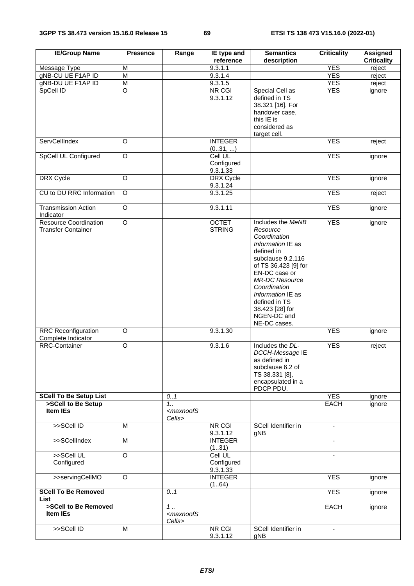| <b>IE/Group Name</b>                                      | <b>Presence</b> | Range                                                    | IE type and<br>reference                 | <b>Semantics</b><br>description                                                                                                                                                                                                                                                 | <b>Criticality</b>       | <b>Assigned</b><br><b>Criticality</b> |
|-----------------------------------------------------------|-----------------|----------------------------------------------------------|------------------------------------------|---------------------------------------------------------------------------------------------------------------------------------------------------------------------------------------------------------------------------------------------------------------------------------|--------------------------|---------------------------------------|
| Message Type                                              | M               |                                                          | 9.3.1.1                                  |                                                                                                                                                                                                                                                                                 | <b>YES</b>               | reject                                |
| gNB-CU UE F1AP ID                                         | M               |                                                          | 9.3.1.4                                  |                                                                                                                                                                                                                                                                                 | <b>YES</b>               | reject                                |
| gNB-DU UE F1AP ID                                         | M               |                                                          | 9.3.1.5                                  |                                                                                                                                                                                                                                                                                 | <b>YES</b>               | reject                                |
| SpCell ID                                                 | $\overline{O}$  |                                                          | NR CGI<br>9.3.1.12                       | Special Cell as<br>defined in TS<br>38.321 [16]. For<br>handover case,<br>this IE is<br>considered as<br>target cell.                                                                                                                                                           | <b>YES</b>               | ignore                                |
| ServCellIndex                                             | $\circ$         |                                                          | <b>INTEGER</b><br>(031, )                |                                                                                                                                                                                                                                                                                 | <b>YES</b>               | reject                                |
| <b>SpCell UL Configured</b>                               | $\overline{O}$  |                                                          | Cell UL<br>Configured<br>9.3.1.33        |                                                                                                                                                                                                                                                                                 | <b>YES</b>               | ignore                                |
| DRX Cycle                                                 | $\circ$         |                                                          | DRX Cycle<br>9.3.1.24                    |                                                                                                                                                                                                                                                                                 | <b>YES</b>               | ignore                                |
| CU to DU RRC Information                                  | $\overline{O}$  |                                                          | 9.3.1.25                                 |                                                                                                                                                                                                                                                                                 | <b>YES</b>               | reject                                |
| <b>Transmission Action</b><br>Indicator                   | $\circ$         |                                                          | 9.3.1.11                                 |                                                                                                                                                                                                                                                                                 | <b>YES</b>               | ignore                                |
| <b>Resource Coordination</b><br><b>Transfer Container</b> | $\overline{O}$  |                                                          | <b>OCTET</b><br><b>STRING</b>            | Includes the MeNB<br>Resource<br>Coordination<br>Information IE as<br>defined in<br>subclause 9.2.116<br>of TS 36.423 [9] for<br>EN-DC case or<br><b>MR-DC Resource</b><br>Coordination<br>Information IE as<br>defined in TS<br>38.423 [28] for<br>NGEN-DC and<br>NE-DC cases. | <b>YES</b>               | ignore                                |
| <b>RRC</b> Reconfiguration<br>Complete Indicator          | $\circ$         |                                                          | 9.3.1.30                                 |                                                                                                                                                                                                                                                                                 | <b>YES</b>               | ignore                                |
| <b>RRC-Container</b>                                      | $\overline{O}$  |                                                          | 9.3.1.6                                  | Includes the DL-<br>DCCH-Message IE<br>as defined in<br>subclause 6.2 of<br>TS 38.331 [8],<br>encapsulated in a<br>PDCP PDU.                                                                                                                                                    | <b>YES</b>               | reject                                |
| <b>SCell To Be Setup List</b>                             |                 | 0.1                                                      |                                          |                                                                                                                                                                                                                                                                                 | <b>YES</b>               | ignore                                |
| >SCell to Be Setup<br>Item IEs                            |                 | 1.1<br><maxnoofs<br>Cells&gt;</maxnoofs<br>              |                                          |                                                                                                                                                                                                                                                                                 | EACH                     | ignore                                |
| >>SCell ID                                                | M               |                                                          | NR CGI<br>9.3.1.12                       | SCell Identifier in<br>gNB                                                                                                                                                                                                                                                      | $\blacksquare$           |                                       |
| >>SCellIndex                                              | M               |                                                          | <b>INTEGER</b><br>(131)                  |                                                                                                                                                                                                                                                                                 |                          |                                       |
| >>SCell UL<br>Configured                                  | $\circ$         |                                                          | <b>Cell UL</b><br>Configured<br>9.3.1.33 |                                                                                                                                                                                                                                                                                 | $\blacksquare$           |                                       |
| >>servingCellMO                                           | $\Omega$        |                                                          | <b>INTEGER</b><br>(164)                  |                                                                                                                                                                                                                                                                                 | <b>YES</b>               | ignore                                |
| <b>SCell To Be Removed</b><br><b>List</b>                 |                 | 0.1                                                      |                                          |                                                                                                                                                                                                                                                                                 | <b>YES</b>               | ignore                                |
| >SCell to Be Removed<br>Item IEs                          |                 | $\overline{1}$ .<br><maxnoofs<br>Cells&gt;</maxnoofs<br> |                                          |                                                                                                                                                                                                                                                                                 | <b>EACH</b>              | ignore                                |
| >>SCell ID                                                | M               |                                                          | <b>NR CGI</b><br>9.3.1.12                | SCell Identifier in<br>gNB                                                                                                                                                                                                                                                      | $\overline{\phantom{a}}$ |                                       |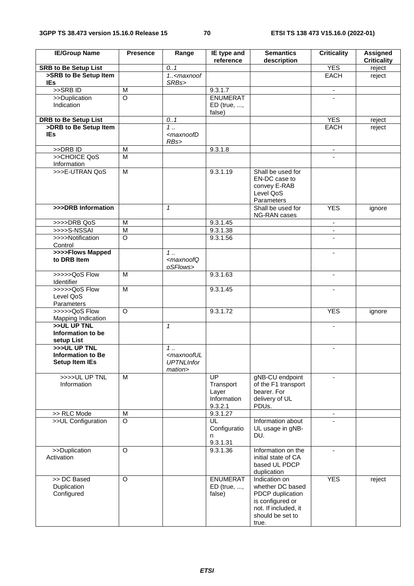| <b>IE/Group Name</b>                                                     | <b>Presence</b>         | Range                                                                                  | IE type and<br>reference                                        | <b>Semantics</b><br>description                                                                                                | <b>Criticality</b>       | <b>Assigned</b><br><b>Criticality</b> |
|--------------------------------------------------------------------------|-------------------------|----------------------------------------------------------------------------------------|-----------------------------------------------------------------|--------------------------------------------------------------------------------------------------------------------------------|--------------------------|---------------------------------------|
| <b>SRB to Be Setup List</b>                                              |                         | 0.1                                                                                    |                                                                 |                                                                                                                                | <b>YES</b>               | reject                                |
| >SRB to Be Setup Item                                                    |                         | $1.5$ <maxnoof< td=""><td></td><td></td><td><b>EACH</b></td><td>reject</td></maxnoof<> |                                                                 |                                                                                                                                | <b>EACH</b>              | reject                                |
| <b>IEs</b>                                                               |                         | SRBs>                                                                                  |                                                                 |                                                                                                                                |                          |                                       |
| $>$ SRB ID                                                               | М                       |                                                                                        | 9.3.1.7                                                         |                                                                                                                                | $\blacksquare$           |                                       |
| >>Duplication<br>Indication                                              | $\overline{\circ}$      |                                                                                        | <b>ENUMERAT</b><br>$ED$ (true, ,                                |                                                                                                                                |                          |                                       |
| <b>DRB to Be Setup List</b>                                              |                         | 0.1                                                                                    | false)                                                          |                                                                                                                                | <b>YES</b>               |                                       |
| >DRB to Be Setup Item                                                    |                         | $1$                                                                                    |                                                                 |                                                                                                                                | <b>EACH</b>              | reject<br>reject                      |
| <b>IEs</b>                                                               |                         | <maxnoofd<br>RBs</maxnoofd<br>                                                         |                                                                 |                                                                                                                                |                          |                                       |
| >>DRB ID                                                                 | M                       |                                                                                        | 9.3.1.8                                                         |                                                                                                                                | $\blacksquare$           |                                       |
| >>CHOICE QoS                                                             | $\overline{\mathsf{M}}$ |                                                                                        |                                                                 |                                                                                                                                |                          |                                       |
| Information<br>>>>E-UTRAN QoS                                            | M                       |                                                                                        | 9.3.1.19                                                        | Shall be used for                                                                                                              |                          |                                       |
|                                                                          |                         |                                                                                        |                                                                 | EN-DC case to<br>convey E-RAB<br>Level QoS<br>Parameters                                                                       |                          |                                       |
| >>>DRB Information                                                       |                         | $\mathbf{1}$                                                                           |                                                                 | Shall be used for<br>NG-RAN cases                                                                                              | <b>YES</b>               | ignore                                |
| >>>>DRB QoS                                                              | M                       |                                                                                        | 9.3.1.45                                                        |                                                                                                                                | $\blacksquare$           |                                       |
| $>>>S-NSSAI$                                                             | $\overline{\mathsf{M}}$ |                                                                                        | 9.3.1.38                                                        |                                                                                                                                | $\blacksquare$           |                                       |
| >>>>Notification<br>Control                                              | $\overline{\circ}$      |                                                                                        | 9.3.1.56                                                        |                                                                                                                                |                          |                                       |
| >>>>Flows Mapped<br>to DRB Item                                          |                         | $1$<br><maxnoofq<br>oSFlows&gt;</maxnoofq<br>                                          |                                                                 |                                                                                                                                | -                        |                                       |
| >>>>>QoS Flow<br>Identifier                                              | M                       |                                                                                        | 9.3.1.63                                                        |                                                                                                                                | $\overline{\phantom{a}}$ |                                       |
| >>>>>QoS Flow<br>Level QoS<br>Parameters                                 | $\overline{\mathsf{M}}$ |                                                                                        | 9.3.1.45                                                        |                                                                                                                                | $\blacksquare$           |                                       |
| >>>>>QoS Flow<br><b>Mapping Indication</b>                               | $\overline{O}$          |                                                                                        | 9.3.1.72                                                        |                                                                                                                                | <b>YES</b>               | ignore                                |
| >>UL UP TNL<br>Information to be<br>setup List                           |                         | $\mathbf{1}$                                                                           |                                                                 |                                                                                                                                |                          |                                       |
| $>$ > $>$ UL UP TNL<br><b>Information to Be</b><br><b>Setup Item IEs</b> |                         | 1.<br><maxnooful<br><b>UPTNLInfor</b><br/>mation&gt;</maxnooful<br>                    |                                                                 |                                                                                                                                | ä,                       |                                       |
| >>>>UL UP TNL<br>Information                                             | M                       |                                                                                        | $\overline{UP}$<br>Transport<br>Layer<br>Information<br>9.3.2.1 | gNB-CU endpoint<br>of the F1 transport<br>bearer. For<br>delivery of UL<br>PDUs.                                               | -                        |                                       |
| >> RLC Mode                                                              | M                       |                                                                                        | 9.3.1.27                                                        |                                                                                                                                |                          |                                       |
| >>UL Configuration                                                       | $\overline{\circ}$      |                                                                                        | UL<br>Configuratio<br>n<br>9.3.1.31                             | Information about<br>UL usage in gNB-<br>DU.                                                                                   |                          |                                       |
| >>Duplication<br>Activation                                              | $\circ$                 |                                                                                        | 9.3.1.36                                                        | Information on the<br>initial state of CA<br>based UL PDCP<br>duplication                                                      | $\blacksquare$           |                                       |
| >> DC Based<br>Duplication<br>Configured                                 | $\circ$                 |                                                                                        | <b>ENUMERAT</b><br>ED (true, ,<br>false)                        | Indication on<br>whether DC based<br>PDCP duplication<br>is configured or<br>not. If included, it<br>should be set to<br>true. | <b>YES</b>               | reject                                |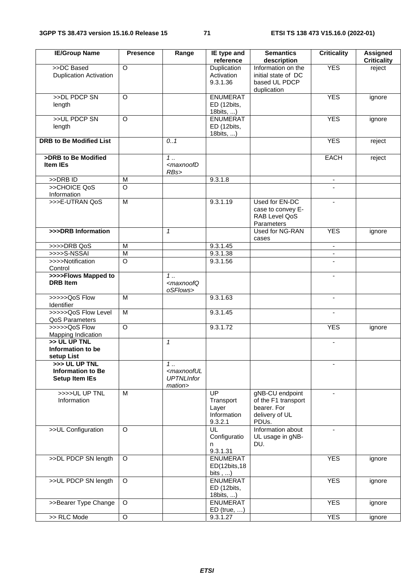| <b>IE/Group Name</b>                                               | <b>Presence</b> | Range                                                                           | IE type and<br>reference                                        | <b>Semantics</b><br>description                                                  | <b>Criticality</b>       | <b>Assigned</b><br><b>Criticality</b> |
|--------------------------------------------------------------------|-----------------|---------------------------------------------------------------------------------|-----------------------------------------------------------------|----------------------------------------------------------------------------------|--------------------------|---------------------------------------|
| >>DC Based<br><b>Duplication Activation</b>                        | $\overline{O}$  |                                                                                 | <b>Duplication</b><br>Activation<br>9.3.1.36                    | Information on the<br>initial state of DC<br>based UL PDCP<br>duplication        | <b>YES</b>               | reject                                |
| >>DL PDCP SN<br>length                                             | O               |                                                                                 | <b>ENUMERAT</b><br>ED (12bits,<br>18bits, )                     |                                                                                  | <b>YES</b>               | ignore                                |
| >>UL PDCP SN<br>length                                             | $\overline{O}$  |                                                                                 | <b>ENUMERAT</b><br>ED (12bits,<br>18bits, )                     |                                                                                  | <b>YES</b>               | ignore                                |
| <b>DRB to Be Modified List</b>                                     |                 | 0.1                                                                             |                                                                 |                                                                                  | <b>YES</b>               | reject                                |
| >DRB to Be Modified<br><b>Item IEs</b>                             |                 | $1 \ldots$<br><maxnoofd<br>RBs&gt;</maxnoofd<br>                                |                                                                 |                                                                                  | <b>EACH</b>              | reject                                |
| $>>DRB$ ID                                                         | M               |                                                                                 | 9.3.1.8                                                         |                                                                                  |                          |                                       |
| >>CHOICE QoS<br>Information                                        | $\Omega$        |                                                                                 |                                                                 |                                                                                  |                          |                                       |
| >>>E-UTRAN QoS                                                     | $\overline{M}$  |                                                                                 | 9.3.1.19                                                        | Used for EN-DC<br>case to convey E-<br>RAB Level QoS<br>Parameters               |                          |                                       |
| >>>DRB Information                                                 |                 | $\mathbf{1}$                                                                    |                                                                 | Used for NG-RAN<br>cases                                                         | <b>YES</b>               | ignore                                |
| >>>>DRB QoS                                                        | M               |                                                                                 | 9.3.1.45                                                        |                                                                                  | $\blacksquare$           |                                       |
| >>>>S-NSSAI                                                        | M               |                                                                                 | 9.3.1.38                                                        |                                                                                  | ۰.                       |                                       |
| >>>>Notification<br>Control                                        | $\circ$         |                                                                                 | 9.3.1.56                                                        |                                                                                  | $\blacksquare$           |                                       |
| >>>>Flows Mapped to<br><b>DRB</b> Item                             |                 | $1 \ldots$<br><maxnoofq<br>oSFlows&gt;</maxnoofq<br>                            |                                                                 |                                                                                  |                          |                                       |
| >>>>>QoS Flow<br>Identifier                                        | M               |                                                                                 | 9.3.1.63                                                        |                                                                                  | $\overline{\phantom{0}}$ |                                       |
| >>>>>QoS Flow Level<br>QoS Parameters                              | M               |                                                                                 | 9.3.1.45                                                        |                                                                                  | $\blacksquare$           |                                       |
| >>>>>QoS Flow<br>Mapping Indication                                | $\circ$         |                                                                                 | 9.3.1.72                                                        |                                                                                  | <b>YES</b>               | ignore                                |
| >> UL UP TNL<br>Information to be<br>setup List                    |                 | $\mathcal I$                                                                    |                                                                 |                                                                                  | ٠                        |                                       |
| >>> UL UP TNL<br><b>Information to Be</b><br><b>Setup Item IEs</b> |                 | $\overline{1}$<br><maxnooful<br><b>UPTNLInfor</b><br/>mation&gt;</maxnooful<br> |                                                                 |                                                                                  |                          |                                       |
| >>>>UL UP TNL<br>Information                                       | M               |                                                                                 | $\overline{UP}$<br>Transport<br>Layer<br>Information<br>9.3.2.1 | gNB-CU endpoint<br>of the F1 transport<br>bearer. For<br>delivery of UL<br>PDUs. |                          |                                       |
| >>UL Configuration                                                 | $\Omega$        |                                                                                 | UL<br>Configuratio<br>n<br>9.3.1.31                             | Information about<br>UL usage in gNB-<br>DU.                                     | -                        |                                       |
| >>DL PDCP SN length                                                | $\circ$         |                                                                                 | <b>ENUMERAT</b><br>ED(12bits, 18<br>bits $, \ldots)$            |                                                                                  | <b>YES</b>               | ignore                                |
| >>UL PDCP SN length                                                | $\Omega$        |                                                                                 | <b>ENUMERAT</b><br>ED (12bits,<br>18bits, $\dots$ )             |                                                                                  | <b>YES</b>               | ignore                                |
| >>Bearer Type Change                                               | $\circ$         |                                                                                 | <b>ENUMERAT</b><br>$ED$ (true, )                                |                                                                                  | <b>YES</b>               | ignore                                |
| >> RLC Mode                                                        | $\circ$         |                                                                                 | 9.3.1.27                                                        |                                                                                  | <b>YES</b>               | ignore                                |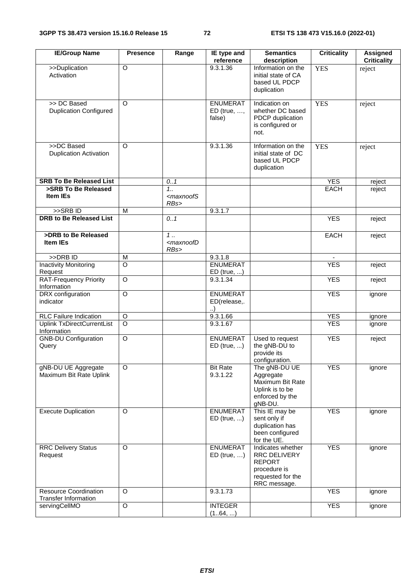| <b>IE/Group Name</b>                                        | <b>Presence</b> | Range                                            | IE type and<br>reference                    | <b>Semantics</b><br>description                                                                         | <b>Criticality</b> | <b>Assigned</b><br><b>Criticality</b> |
|-------------------------------------------------------------|-----------------|--------------------------------------------------|---------------------------------------------|---------------------------------------------------------------------------------------------------------|--------------------|---------------------------------------|
| >>Duplication<br>Activation                                 | $\overline{O}$  |                                                  | 9.3.1.36                                    | Information on the<br>initial state of CA<br>based UL PDCP<br>duplication                               | <b>YES</b>         | reject                                |
| >> DC Based<br><b>Duplication Configured</b>                | $\Omega$        |                                                  | <b>ENUMERAT</b><br>$ED$ (true, ,<br>false)  | Indication on<br>whether DC based<br>PDCP duplication<br>is configured or<br>not.                       | <b>YES</b>         | reject                                |
| >>DC Based<br><b>Duplication Activation</b>                 | $\Omega$        |                                                  | 9.3.1.36                                    | Information on the<br>initial state of DC<br>based UL PDCP<br>duplication                               | <b>YES</b>         | reject                                |
| <b>SRB To Be Released List</b>                              |                 | 0.1                                              |                                             |                                                                                                         | <b>YES</b>         | reject                                |
| >SRB To Be Released<br><b>Item IEs</b>                      |                 | 1.1<br><maxnoofs<br>RBs</maxnoofs<br>            |                                             |                                                                                                         | <b>EACH</b>        | reject                                |
| >>SRBID                                                     | M               |                                                  | 9.3.1.7                                     |                                                                                                         |                    |                                       |
| <b>DRB to Be Released List</b>                              |                 | 0.1                                              |                                             |                                                                                                         | <b>YES</b>         | reject                                |
| >DRB to Be Released<br><b>Item IEs</b>                      |                 | $\overline{1}$<br><maxnoofd<br>RBs</maxnoofd<br> |                                             |                                                                                                         | <b>EACH</b>        | reject                                |
| >>DRB ID                                                    | M               |                                                  | 9.3.1.8                                     |                                                                                                         |                    |                                       |
| <b>Inactivity Monitoring</b><br>Request                     | $\overline{O}$  |                                                  | <b>ENUMERAT</b><br>$ED$ (true, )            |                                                                                                         | <b>YES</b>         | reject                                |
| <b>RAT-Frequency Priority</b><br>Information                | $\overline{O}$  |                                                  | 9.3.1.34                                    |                                                                                                         | <b>YES</b>         | reject                                |
| DRX configuration<br>indicator                              | $\overline{O}$  |                                                  | <b>ENUMERAT</b><br>ED(release,.<br>$\ldots$ |                                                                                                         | <b>YES</b>         | ignore                                |
| <b>RLC Failure Indication</b>                               | O               |                                                  | 9.3.1.66                                    |                                                                                                         | <b>YES</b>         | ignore                                |
| Uplink TxDirectCurrentList<br>Information                   | $\circ$         |                                                  | 9.3.1.67                                    |                                                                                                         | <b>YES</b>         | ignore                                |
| <b>GNB-DU Configuration</b><br>Query                        | $\overline{O}$  |                                                  | <b>ENUMERAT</b><br>$ED$ (true, )            | Used to request<br>the gNB-DU to<br>provide its<br>configuration.                                       | <b>YES</b>         | reject                                |
| gNB-DU UE Aggregate<br>Maximum Bit Rate Uplink              | O               |                                                  | <b>Bit Rate</b><br>9.3.1.22                 | The gNB-DU UE<br>Aggregate<br>Maximum Bit Rate<br>Uplink is to be<br>enforced by the<br>gNB-DU.         | <b>YES</b>         | ignore                                |
| <b>Execute Duplication</b>                                  | O               |                                                  | <b>ENUMERAT</b><br>$ED$ (true, )            | This IE may be<br>sent only if<br>duplication has<br>been configured<br>for the UE.                     | <b>YES</b>         | ignore                                |
| <b>RRC Delivery Status</b><br>Request                       | O               |                                                  | <b>ENUMERAT</b><br>$ED$ (true, )            | Indicates whether<br>RRC DELIVERY<br><b>REPORT</b><br>procedure is<br>requested for the<br>RRC message. | <b>YES</b>         | ignore                                |
| <b>Resource Coordination</b><br><b>Transfer Information</b> | O               |                                                  | 9.3.1.73                                    |                                                                                                         | <b>YES</b>         | ignore                                |
| servingCellMO                                               | $\mathsf O$     |                                                  | <b>INTEGER</b><br>(164, )                   |                                                                                                         | <b>YES</b>         | ignore                                |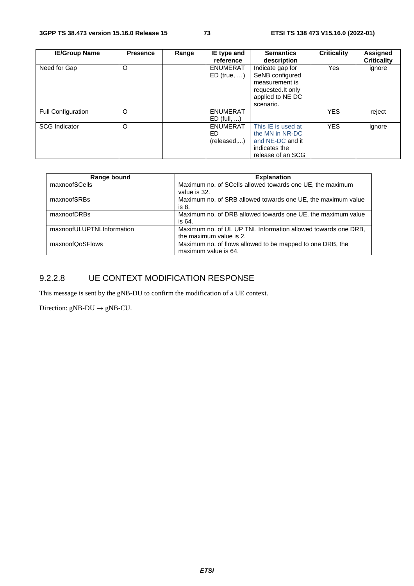| <b>IE/Group Name</b>      | <b>Presence</b> | Range | IE type and     | <b>Semantics</b>   | <b>Criticality</b> | Assigned           |
|---------------------------|-----------------|-------|-----------------|--------------------|--------------------|--------------------|
|                           |                 |       | reference       | description        |                    | <b>Criticality</b> |
| Need for Gap              | $\circ$         |       | <b>ENUMERAT</b> | Indicate gap for   | Yes                | ignore             |
|                           |                 |       | $ED$ (true, )   | SeNB configured    |                    |                    |
|                           |                 |       |                 | measurement is     |                    |                    |
|                           |                 |       |                 | requested. It only |                    |                    |
|                           |                 |       |                 | applied to NE DC   |                    |                    |
|                           |                 |       |                 | scenario.          |                    |                    |
| <b>Full Configuration</b> | O               |       | <b>ENUMERAT</b> |                    | <b>YES</b>         | reject             |
|                           |                 |       | $ED$ (full, )   |                    |                    |                    |
| <b>SCG Indicator</b>      | $\circ$         |       | <b>ENUMERAT</b> | This IE is used at | <b>YES</b>         | ignore             |
|                           |                 |       | ED.             | the MN in NR-DC    |                    |                    |
|                           |                 |       | (released)      | and NE-DC and it   |                    |                    |
|                           |                 |       |                 | indicates the      |                    |                    |
|                           |                 |       |                 | release of an SCG  |                    |                    |

| Range bound               | <b>Explanation</b>                                            |
|---------------------------|---------------------------------------------------------------|
| maxnoofSCells             | Maximum no. of SCells allowed towards one UE, the maximum     |
|                           | value is 32.                                                  |
| maxnoofSRBs               | Maximum no. of SRB allowed towards one UE, the maximum value  |
|                           | is 8.                                                         |
| maxnoofDRBs               | Maximum no. of DRB allowed towards one UE, the maximum value  |
|                           | is 64.                                                        |
| maxnoofULUPTNLInformation | Maximum no. of UL UP TNL Information allowed towards one DRB, |
|                           | the maximum value is 2.                                       |
| maxnoofQoSFlows           | Maximum no. of flows allowed to be mapped to one DRB, the     |
|                           | maximum value is 64.                                          |

# 9.2.2.8 UE CONTEXT MODIFICATION RESPONSE

This message is sent by the gNB-DU to confirm the modification of a UE context.

Direction:  $gNB-DU \rightarrow gNB-CU$ .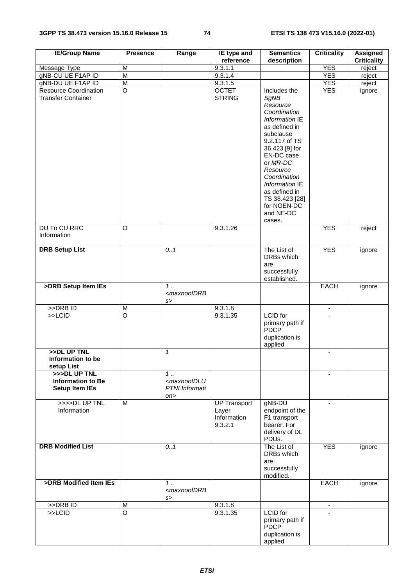| <b>IE/Group Name</b>                                      | <b>Presence</b>         | Range                                               | IE type and<br>reference                               | <b>Semantics</b><br>description                                                                                                                                                                                                                                                      | <b>Criticality</b> | <b>Assigned</b><br><b>Criticality</b> |
|-----------------------------------------------------------|-------------------------|-----------------------------------------------------|--------------------------------------------------------|--------------------------------------------------------------------------------------------------------------------------------------------------------------------------------------------------------------------------------------------------------------------------------------|--------------------|---------------------------------------|
| Message Type                                              | M                       |                                                     | 9.3.1.1                                                |                                                                                                                                                                                                                                                                                      | <b>YES</b>         | reject                                |
| gNB-CU UE F1AP ID                                         | $\overline{\mathsf{M}}$ |                                                     | 9.3.1.4                                                |                                                                                                                                                                                                                                                                                      | <b>YES</b>         | reject                                |
| gNB-DU UE F1AP ID                                         | $\overline{\mathsf{M}}$ |                                                     | 9.3.1.5                                                |                                                                                                                                                                                                                                                                                      | <b>YES</b>         |                                       |
|                                                           |                         |                                                     |                                                        |                                                                                                                                                                                                                                                                                      |                    | reject                                |
| <b>Resource Coordination</b><br><b>Transfer Container</b> | $\overline{O}$          |                                                     | <b>OCTET</b><br><b>STRING</b>                          | Includes the<br>SgNB<br>Resource<br>Coordination<br>Information IE<br>as defined in<br>subclause<br>9.2.117 of TS<br>36.423 [9] for<br>EN-DC case<br>or MR-DC<br>Resource<br>Coordination<br>Information IE<br>as defined in<br>TS 38.423 [28]<br>for NGEN-DC<br>and NE-DC<br>cases. | <b>YES</b>         | ignore                                |
| <b>DU To CU RRC</b><br>Information                        | O                       |                                                     | 9.3.1.26                                               |                                                                                                                                                                                                                                                                                      | <b>YES</b>         | reject                                |
| <b>DRB Setup List</b>                                     |                         | 0.1                                                 |                                                        | The List of<br>DRBs which                                                                                                                                                                                                                                                            | <b>YES</b>         | ignore                                |
|                                                           |                         |                                                     |                                                        | are<br>successfully<br>established.                                                                                                                                                                                                                                                  |                    |                                       |
| >DRB Setup Item IEs                                       |                         | $1 \ldots$<br><maxnoofdrb<br>s</maxnoofdrb<br>      |                                                        |                                                                                                                                                                                                                                                                                      | <b>EACH</b>        | ignore                                |
| $>>DRB$ ID                                                | M                       |                                                     | 9.3.1.8                                                |                                                                                                                                                                                                                                                                                      | $\blacksquare$     |                                       |
| $>>$ LCID                                                 | $\circ$                 |                                                     | 9.3.1.35                                               | <b>LCID</b> for<br>primary path if<br><b>PDCP</b><br>duplication is<br>applied                                                                                                                                                                                                       |                    |                                       |
| >>DL UP TNL<br>Information to be                          |                         | $\mathbf{1}$                                        |                                                        |                                                                                                                                                                                                                                                                                      | $\blacksquare$     |                                       |
| setup List<br>>>>DL UP TNL                                |                         | $1$                                                 |                                                        |                                                                                                                                                                                                                                                                                      |                    |                                       |
| <b>Information to Be</b><br><b>Setup Item IEs</b>         |                         | <maxnoofdlu<br>PTNLInformati<br/>on</maxnoofdlu<br> |                                                        |                                                                                                                                                                                                                                                                                      |                    |                                       |
| >>>>DL UP TNL<br>Information                              | M                       |                                                     | <b>UP Transport</b><br>Layer<br>Information<br>9.3.2.1 | gNB-DU<br>endpoint of the<br>F1 transport<br>bearer. For<br>delivery of DL<br>PDUs.                                                                                                                                                                                                  | $\blacksquare$     |                                       |
| <b>DRB Modified List</b>                                  |                         | 0.1                                                 |                                                        | The List of<br>DRBs which<br>are<br>successfully<br>modified.                                                                                                                                                                                                                        | <b>YES</b>         | ignore                                |
| >DRB Modified Item IEs                                    |                         | 1<br><maxnoofdrb<br>s</maxnoofdrb<br>               |                                                        |                                                                                                                                                                                                                                                                                      | <b>EACH</b>        | ignore                                |
| $>$ DRB ID                                                | M                       |                                                     | 9.3.1.8                                                |                                                                                                                                                                                                                                                                                      |                    |                                       |
| $>>$ LCID                                                 | $\overline{\circ}$      |                                                     | 9.3.1.35                                               | <b>LCID</b> for<br>primary path if<br>PDCP<br>duplication is<br>applied                                                                                                                                                                                                              |                    |                                       |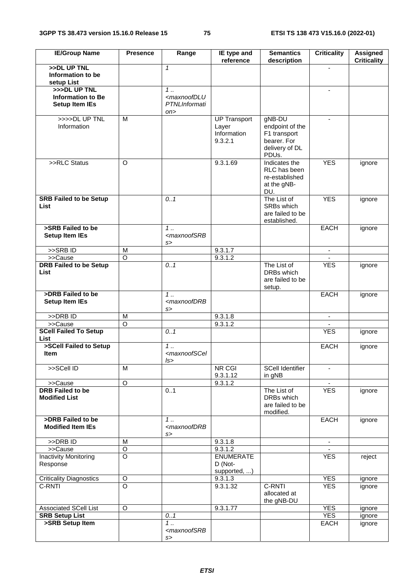| <b>IE/Group Name</b>                                              | <b>Presence</b>    | Range                                                      | IE type and<br>reference                               | <b>Semantics</b><br>description                                                     | <b>Criticality</b>       | Assigned<br><b>Criticality</b> |
|-------------------------------------------------------------------|--------------------|------------------------------------------------------------|--------------------------------------------------------|-------------------------------------------------------------------------------------|--------------------------|--------------------------------|
| >>DL UP TNL<br>Information to be<br>setup List                    |                    | $\mathbf{1}$                                               |                                                        |                                                                                     |                          |                                |
| >>>DL UP TNL<br><b>Information to Be</b><br><b>Setup Item IEs</b> |                    | $1$<br><maxnoofdlu<br>PTNLInformati<br/>on</maxnoofdlu<br> |                                                        |                                                                                     | $\overline{\phantom{a}}$ |                                |
| >>>>DL UP TNL<br>Information                                      | M                  |                                                            | <b>UP Transport</b><br>Layer<br>Information<br>9.3.2.1 | gNB-DU<br>endpoint of the<br>F1 transport<br>bearer. For<br>delivery of DL<br>PDUs. | $\blacksquare$           |                                |
| >>RLC Status                                                      | $\Omega$           |                                                            | 9.3.1.69                                               | Indicates the<br>RLC has been<br>re-established<br>at the gNB-<br>DU.               | <b>YES</b>               | ignore                         |
| <b>SRB Failed to be Setup</b><br>List                             |                    | 0.1                                                        |                                                        | The List of<br>SRBs which<br>are failed to be<br>established.                       | <b>YES</b>               | ignore                         |
| >SRB Failed to be<br><b>Setup Item IEs</b>                        |                    | $1 \ldots$<br><maxnoofsrb<br>s</maxnoofsrb<br>             |                                                        |                                                                                     | <b>EACH</b>              | ignore                         |
| >>SRBID                                                           | M                  |                                                            | 9.3.1.7                                                |                                                                                     | $\blacksquare$           |                                |
| >>Cause                                                           | O                  |                                                            | 9.3.1.2                                                |                                                                                     |                          |                                |
| <b>DRB Failed to be Setup</b><br><b>List</b>                      |                    | 0.1                                                        |                                                        | The List of<br>DRBs which<br>are failed to be<br>setup.                             | <b>YES</b>               | ignore                         |
| >DRB Failed to be<br><b>Setup Item IEs</b>                        |                    | $\overline{1}$<br><maxnoofdrb<br>s</maxnoofdrb<br>         |                                                        |                                                                                     | <b>EACH</b>              | ignore                         |
| $>>DRB$ ID                                                        | M                  |                                                            | 9.3.1.8                                                |                                                                                     | $\blacksquare$           |                                |
| >>Cause                                                           | $\circ$            |                                                            | 9.3.1.2                                                |                                                                                     |                          |                                |
| <b>SCell Failed To Setup</b><br>List                              |                    | 0.1                                                        |                                                        |                                                                                     | <b>YES</b>               | ignore                         |
| >SCell Failed to Setup<br><b>Item</b>                             |                    | $1 \ldots$<br><maxnoofscel<br>ls&gt;</maxnoofscel<br>      |                                                        |                                                                                     | <b>EACH</b>              | ignore                         |
| >>SCell ID                                                        | M                  |                                                            | NR CGI<br>9.3.1.12                                     | <b>SCell Identifier</b><br>in gNB                                                   |                          |                                |
| >>Cause                                                           | $\circ$            |                                                            | $9.\overline{3.1.2}$                                   |                                                                                     | $\blacksquare$           |                                |
| <b>DRB</b> Failed to be<br><b>Modified List</b>                   |                    | 0.1                                                        |                                                        | The List of<br>DRBs which<br>are failed to be<br>modified.                          | <b>YES</b>               | ignore                         |
| >DRB Failed to be<br><b>Modified Item IEs</b>                     |                    | 1.<br><maxnoofdrb<br>S&gt;</maxnoofdrb<br>                 |                                                        |                                                                                     | <b>EACH</b>              | ignore                         |
| >>DRB ID                                                          | M                  |                                                            | 9.3.1.8                                                |                                                                                     | $\blacksquare$           |                                |
| >>Cause                                                           | $\circ$            |                                                            | 9.3.1.2                                                |                                                                                     |                          |                                |
| <b>Inactivity Monitoring</b><br>Response                          | $\overline{\circ}$ |                                                            | <b>ENUMERATE</b><br>D (Not-<br>supported, )            |                                                                                     | <b>YES</b>               | reject                         |
| Criticality Diagnostics                                           | O                  |                                                            | 9.3.1.3                                                |                                                                                     | <b>YES</b>               | ignore                         |
| C-RNTI                                                            | $\overline{\circ}$ |                                                            | 9.3.1.32                                               | C-RNTI<br>allocated at<br>the gNB-DU                                                | <b>YES</b>               | ignore                         |
| <b>Associated SCell List</b>                                      | O                  |                                                            | 9.3.1.77                                               |                                                                                     | <b>YES</b>               | ignore                         |
| <b>SRB Setup List</b>                                             |                    | 0.1                                                        |                                                        |                                                                                     | <b>YES</b>               | ignore                         |
| >SRB Setup Item                                                   |                    | $1 \ldots$<br><maxnoofsrb<br>s</maxnoofsrb<br>             |                                                        |                                                                                     | <b>EACH</b>              | ignore                         |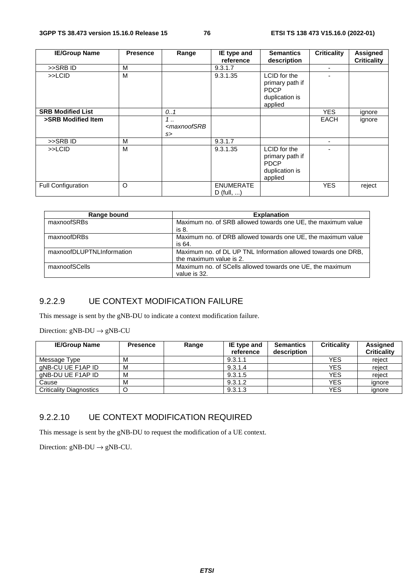| <b>IE/Group Name</b>     | <b>Presence</b> | Range                                  | IE type and                      | <b>Semantics</b>                                                            | <b>Criticality</b> | Assigned           |
|--------------------------|-----------------|----------------------------------------|----------------------------------|-----------------------------------------------------------------------------|--------------------|--------------------|
|                          |                 |                                        | reference                        | description                                                                 |                    | <b>Criticality</b> |
| >>SRBID                  | M               |                                        | 9.3.1.7                          |                                                                             | ۰                  |                    |
| >>LCID                   | м               |                                        | 9.3.1.35                         | LCID for the<br>primary path if<br>PDCP<br>duplication is<br>applied        |                    |                    |
| <b>SRB Modified List</b> |                 | 0.1                                    |                                  |                                                                             | <b>YES</b>         | ignore             |
| >SRB Modified Item       |                 | 1.<br><maxnoofsrb<br>s</maxnoofsrb<br> |                                  |                                                                             | <b>EACH</b>        | ignore             |
| >>SRBID                  | M               |                                        | 9.3.1.7                          |                                                                             | ٠                  |                    |
| >>LCID                   | М               |                                        | 9.3.1.35                         | LCID for the<br>primary path if<br><b>PDCP</b><br>duplication is<br>applied |                    |                    |
| Full Configuration       | O               |                                        | <b>ENUMERATE</b><br>$D$ (full, ) |                                                                             | <b>YES</b>         | reject             |

| Range bound               | <b>Explanation</b>                                                                       |
|---------------------------|------------------------------------------------------------------------------------------|
| maxnoofSRBs               | Maximum no. of SRB allowed towards one UE, the maximum value<br>is 8.                    |
| maxnoofDRBs               | Maximum no. of DRB allowed towards one UE, the maximum value<br>is 64.                   |
| maxnoofDLUPTNLInformation | Maximum no. of DL UP TNL Information allowed towards one DRB,<br>the maximum value is 2. |
| maxnoofSCells             | Maximum no. of SCells allowed towards one UE, the maximum<br>value is 32.                |

## 9.2.2.9 UE CONTEXT MODIFICATION FAILURE

This message is sent by the gNB-DU to indicate a context modification failure.

Direction:  $gNB-DU \rightarrow gNB-CU$ 

| <b>IE/Group Name</b>    | <b>Presence</b> | Range | IE type and | <b>Semantics</b> | <b>Criticality</b> | Assigned           |
|-------------------------|-----------------|-------|-------------|------------------|--------------------|--------------------|
|                         |                 |       | reference   | description      |                    | <b>Criticality</b> |
| Message Type            | м               |       | 9.3.1.1     |                  | <b>YES</b>         | reject             |
| aNB-CU UE F1AP ID       | м               |       | 9.3.1.4     |                  | <b>YES</b>         | reject             |
| aNB-DU UE F1AP ID       | м               |       | 9.3.1.5     |                  | <b>YES</b>         | reiect             |
| Cause                   | м               |       | 9.3.1.2     |                  | <b>YES</b>         | ignore             |
| Criticality Diagnostics |                 |       | 9.3.1.3     |                  | <b>YES</b>         | ignore             |

## 9.2.2.10 UE CONTEXT MODIFICATION REQUIRED

This message is sent by the gNB-DU to request the modification of a UE context.

Direction:  $gNB-DU \rightarrow gNB-CU$ .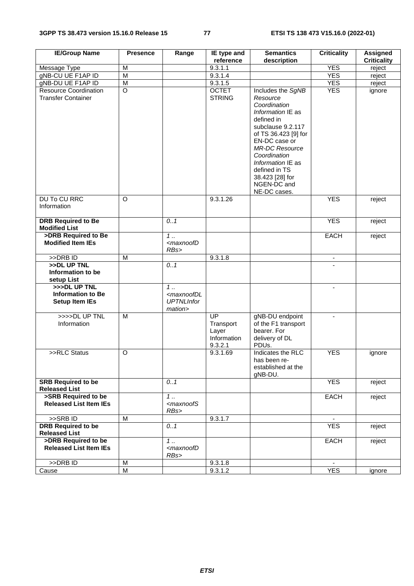| <b>IE/Group Name</b>                                              | <b>Presence</b> | Range                                                                       | IE type and                                        | <b>Semantics</b>                                                                                                                                                                                                                                                                | <b>Criticality</b>       | <b>Assigned</b>    |
|-------------------------------------------------------------------|-----------------|-----------------------------------------------------------------------------|----------------------------------------------------|---------------------------------------------------------------------------------------------------------------------------------------------------------------------------------------------------------------------------------------------------------------------------------|--------------------------|--------------------|
|                                                                   |                 |                                                                             | reference                                          | description                                                                                                                                                                                                                                                                     |                          | <b>Criticality</b> |
| Message Type                                                      | M               |                                                                             | 9.3.1.1                                            |                                                                                                                                                                                                                                                                                 | <b>YES</b>               | reject             |
| gNB-CU UE F1AP ID                                                 | $\overline{M}$  |                                                                             | 9.3.1.4                                            |                                                                                                                                                                                                                                                                                 | <b>YES</b>               | reject             |
| gNB-DU UE F1AP ID                                                 | M               |                                                                             | 9.3.1.5                                            |                                                                                                                                                                                                                                                                                 | <b>YES</b>               | reject             |
| <b>Resource Coordination</b><br><b>Transfer Container</b>         | $\overline{O}$  |                                                                             | <b>OCTET</b><br><b>STRING</b>                      | Includes the SgNB<br>Resource<br>Coordination<br>Information IE as<br>defined in<br>subclause 9.2.117<br>of TS 36.423 [9] for<br>EN-DC case or<br><b>MR-DC Resource</b><br>Coordination<br>Information IE as<br>defined in TS<br>38.423 [28] for<br>NGEN-DC and<br>NE-DC cases. | <b>YES</b>               | ignore             |
| DU To CU RRC<br>Information                                       | $\circ$         |                                                                             | 9.3.1.26                                           |                                                                                                                                                                                                                                                                                 | <b>YES</b>               | reject             |
| <b>DRB Required to Be</b><br><b>Modified List</b>                 |                 | 0.1                                                                         |                                                    |                                                                                                                                                                                                                                                                                 | <b>YES</b>               | reject             |
| >DRB Required to Be<br><b>Modified Item IEs</b>                   |                 | $1$<br><maxnoofd<br>RBs&gt;</maxnoofd<br>                                   |                                                    |                                                                                                                                                                                                                                                                                 | <b>EACH</b>              | reject             |
| >>DRB ID                                                          | M               |                                                                             | 9.3.1.8                                            |                                                                                                                                                                                                                                                                                 | ۰                        |                    |
| >>DL UP TNL<br>Information to be<br>setup List                    |                 | 0.1                                                                         |                                                    |                                                                                                                                                                                                                                                                                 |                          |                    |
| >>>DL UP TNL<br><b>Information to Be</b><br><b>Setup Item IEs</b> |                 | $1 \ldots$<br><maxnoofdl<br><b>UPTNLInfor</b><br/>mation&gt;</maxnoofdl<br> |                                                    |                                                                                                                                                                                                                                                                                 | $\overline{\phantom{a}}$ |                    |
| >>>>DL UP TNL<br>Information                                      | M               |                                                                             | UP<br>Transport<br>Layer<br>Information<br>9.3.2.1 | gNB-DU endpoint<br>of the F1 transport<br>bearer. For<br>delivery of DL<br>PDUs.                                                                                                                                                                                                | $\blacksquare$           |                    |
| >>RLC Status                                                      | O               |                                                                             | 9.3.1.69                                           | Indicates the RLC<br>has been re-<br>established at the<br>gNB-DU.                                                                                                                                                                                                              | <b>YES</b>               | ignore             |
| <b>SRB Required to be</b><br><b>Released List</b>                 |                 | 0.1                                                                         |                                                    |                                                                                                                                                                                                                                                                                 | <b>YES</b>               | reject             |
| >SRB Required to be<br><b>Released List Item IEs</b>              |                 | 1<br><maxnoofs<br>RBs&gt;</maxnoofs<br>                                     |                                                    |                                                                                                                                                                                                                                                                                 | <b>EACH</b>              | reject             |
| >>SRBID                                                           | M               |                                                                             | 9.3.1.7                                            |                                                                                                                                                                                                                                                                                 |                          |                    |
| <b>DRB Required to be</b><br><b>Released List</b>                 |                 | 0.1                                                                         |                                                    |                                                                                                                                                                                                                                                                                 | <b>YES</b>               | reject             |
| >DRB Required to be<br><b>Released List Item IEs</b>              |                 | 1.<br><maxnoofd<br>RBs&gt;</maxnoofd<br>                                    |                                                    |                                                                                                                                                                                                                                                                                 | <b>EACH</b>              | reject             |
| >>DRB ID                                                          | M               |                                                                             | 9.3.1.8                                            |                                                                                                                                                                                                                                                                                 |                          |                    |
| Cause                                                             | M               |                                                                             | 9.3.1.2                                            |                                                                                                                                                                                                                                                                                 | <b>YES</b>               | ignore             |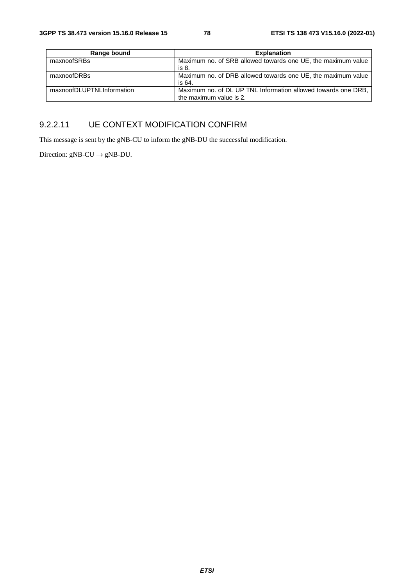| Range bound               | <b>Explanation</b>                                            |
|---------------------------|---------------------------------------------------------------|
| maxnoofSRBs               | Maximum no. of SRB allowed towards one UE, the maximum value  |
|                           | is 8.                                                         |
| maxnoofDRBs               | Maximum no. of DRB allowed towards one UE, the maximum value  |
|                           | is 64.                                                        |
| maxnoofDLUPTNLInformation | Maximum no. of DL UP TNL Information allowed towards one DRB. |
|                           | the maximum value is 2.                                       |

# 9.2.2.11 UE CONTEXT MODIFICATION CONFIRM

This message is sent by the gNB-CU to inform the gNB-DU the successful modification.

Direction:  $gNB-CU \rightarrow gNB-DU$ .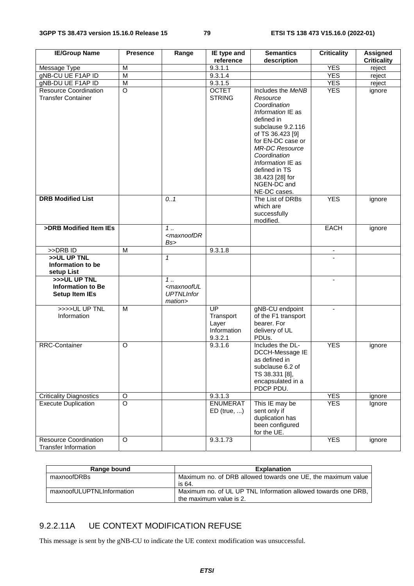| <b>IE/Group Name</b>                                              | <b>Presence</b> | Range                                                                       | IE type and                                               | <b>Semantics</b>                                                                                                                                                                                                                           | <b>Criticality</b>       | <b>Assigned</b>    |
|-------------------------------------------------------------------|-----------------|-----------------------------------------------------------------------------|-----------------------------------------------------------|--------------------------------------------------------------------------------------------------------------------------------------------------------------------------------------------------------------------------------------------|--------------------------|--------------------|
|                                                                   |                 |                                                                             | reference                                                 | description                                                                                                                                                                                                                                |                          | <b>Criticality</b> |
| Message Type                                                      | M               |                                                                             | 9.3.1.1                                                   |                                                                                                                                                                                                                                            | <b>YES</b>               | reject             |
| gNB-CU UE F1AP ID<br>gNB-DU UE F1AP ID                            | M<br>M          |                                                                             | 9.3.1.4<br>9.3.1.5                                        |                                                                                                                                                                                                                                            | <b>YES</b><br><b>YES</b> | reject             |
| <b>Resource Coordination</b>                                      | $\overline{O}$  |                                                                             | <b>OCTET</b>                                              | Includes the MeNB                                                                                                                                                                                                                          | <b>YES</b>               | reject             |
| <b>Transfer Container</b>                                         |                 |                                                                             | <b>STRING</b>                                             | Resource<br>Coordination<br>Information IE as<br>defined in<br>subclause 9.2.116<br>of TS 36.423 [9]<br>for EN-DC case or<br><b>MR-DC Resource</b><br>Coordination<br>Information IE as<br>defined in TS<br>38.423 [28] for<br>NGEN-DC and |                          | ignore             |
| <b>DRB Modified List</b>                                          |                 | 0.1                                                                         |                                                           | NE-DC cases.<br>The List of DRBs<br>which are<br>successfully<br>modified.                                                                                                                                                                 | <b>YES</b>               | ignore             |
| >DRB Modified Item IEs                                            |                 | $1 \ldots$<br><maxnoofdr<br>Bs&gt;</maxnoofdr<br>                           |                                                           |                                                                                                                                                                                                                                            | <b>EACH</b>              | ignore             |
| >>DRB ID                                                          | M               |                                                                             | 9.3.1.8                                                   |                                                                                                                                                                                                                                            | $\overline{\phantom{a}}$ |                    |
| >>UL UP TNL<br>Information to be<br>setup List                    |                 | $\mathcal I$                                                                |                                                           |                                                                                                                                                                                                                                            |                          |                    |
| >>>UL UP TNL<br><b>Information to Be</b><br><b>Setup Item IEs</b> |                 | $1 \ldots$<br><maxnooful<br><b>UPTNLInfor</b><br/>mation&gt;</maxnooful<br> |                                                           |                                                                                                                                                                                                                                            |                          |                    |
| >>>>UL UP TNL<br>Information                                      | M               |                                                                             | <b>UP</b><br>Transport<br>Layer<br>Information<br>9.3.2.1 | gNB-CU endpoint<br>of the F1 transport<br>bearer. For<br>delivery of UL<br>PDU <sub>s</sub> .                                                                                                                                              | $\blacksquare$           |                    |
| <b>RRC-Container</b>                                              | $\circ$         |                                                                             | 9.3.1.6                                                   | Includes the DL-<br>DCCH-Message IE<br>as defined in<br>subclause 6.2 of<br>TS 38.331 [8],<br>encapsulated in a<br>PDCP PDU.                                                                                                               | <b>YES</b>               | ignore             |
| <b>Criticality Diagnostics</b>                                    | $\circ$         |                                                                             | 9.3.1.3                                                   |                                                                                                                                                                                                                                            | <b>YES</b>               | ignore             |
| <b>Execute Duplication</b>                                        | $\overline{O}$  |                                                                             | <b>ENUMERAT</b><br>$ED$ (true, )                          | This IE may be<br>sent only if<br>duplication has<br>been configured<br>for the UE.                                                                                                                                                        | <b>YES</b>               | Ignore             |
| <b>Resource Coordination</b><br><b>Transfer Information</b>       | O               |                                                                             | 9.3.1.73                                                  |                                                                                                                                                                                                                                            | <b>YES</b>               | ignore             |

| Range bound               | <b>Explanation</b>                                            |
|---------------------------|---------------------------------------------------------------|
| maxnoofDRBs               | Maximum no. of DRB allowed towards one UE, the maximum value  |
|                           | is 64.                                                        |
| maxnoofULUPTNLInformation | Maximum no. of UL UP TNL Information allowed towards one DRB. |
|                           | the maximum value is 2.                                       |

# 9.2.2.11A UE CONTEXT MODIFICATION REFUSE

This message is sent by the gNB-CU to indicate the UE context modification was unsuccessful.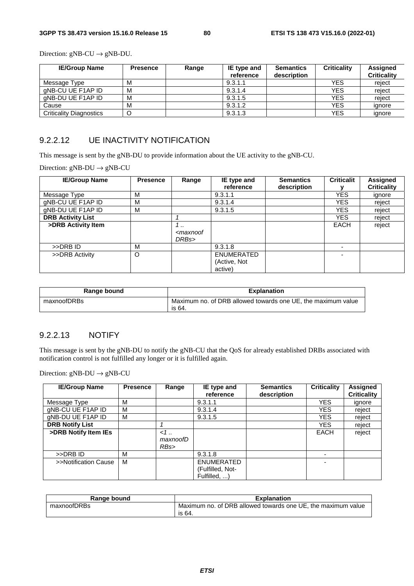Direction:  $gNB-CU \rightarrow gNB-DU$ .

| <b>IE/Group Name</b>           | <b>Presence</b> | Range | IE type and | <b>Semantics</b> | <b>Criticality</b> | Assigned           |
|--------------------------------|-----------------|-------|-------------|------------------|--------------------|--------------------|
|                                |                 |       | reference   | description      |                    | <b>Criticality</b> |
| Message Type                   | M               |       | 9.3.1.1     |                  | <b>YES</b>         | reiect             |
| gNB-CU UE F1AP ID              | M               |       | 9.3.1.4     |                  | <b>YES</b>         | reiect             |
| aNB-DU UE F1AP ID              | M               |       | 9.3.1.5     |                  | <b>YES</b>         | reiect             |
| Cause                          | M               |       | 9.3.1.2     |                  | <b>YES</b>         | ignore             |
| <b>Criticality Diagnostics</b> | O               |       | 9.3.1.3     |                  | <b>YES</b>         | ignore             |

## 9.2.2.12 UE INACTIVITY NOTIFICATION

This message is sent by the gNB-DU to provide information about the UE activity to the gNB-CU.

Direction:  $gNB-DU \rightarrow gNB-CU$ 

| <b>IE/Group Name</b>     | <b>Presence</b> | Range                                  | IE type and                | <b>Semantics</b> | <b>Criticalit</b> | <b>Assigned</b>    |
|--------------------------|-----------------|----------------------------------------|----------------------------|------------------|-------------------|--------------------|
|                          |                 |                                        | reference                  | description      |                   | <b>Criticality</b> |
| Message Type             | M               |                                        | 9.3.1.1                    |                  | <b>YES</b>        | ignore             |
| gNB-CU UE F1AP ID        | M               |                                        | 9.3.1.4                    |                  | <b>YES</b>        | reject             |
| gNB-DU UE F1AP ID        | M               |                                        | 9.3.1.5                    |                  | <b>YES</b>        | reject             |
| <b>DRB Activity List</b> |                 |                                        |                            |                  | <b>YES</b>        | reject             |
| >DRB Activity Item       |                 | 1<br><maxnoof<br>DRBs&gt;</maxnoof<br> |                            |                  | <b>EACH</b>       | reject             |
| >>DRB ID                 | M               |                                        | 9.3.1.8                    |                  |                   |                    |
| >>DRB Activity           | O               |                                        | ENUMERATED<br>(Active, Not |                  |                   |                    |
|                          |                 |                                        | active)                    |                  |                   |                    |

| Range bound | <b>Explanation</b>                                                     |
|-------------|------------------------------------------------------------------------|
| maxnoofDRBs | Maximum no. of DRB allowed towards one UE, the maximum value<br>is 64. |

#### 9.2.2.13 NOTIFY

This message is sent by the gNB-DU to notify the gNB-CU that the QoS for already established DRBs associated with notification control is not fulfilled any longer or it is fulfilled again.

Direction:  $gNB-DU \rightarrow gNB-CU$ 

| <b>IE/Group Name</b>   | <b>Presence</b> | Range                  | IE type and<br>reference                              | <b>Semantics</b><br>description | <b>Criticality</b>       | <b>Assigned</b><br><b>Criticality</b> |
|------------------------|-----------------|------------------------|-------------------------------------------------------|---------------------------------|--------------------------|---------------------------------------|
| Message Type           | М               |                        | 9.3.1.1                                               |                                 | <b>YES</b>               | ignore                                |
| gNB-CU UE F1AP ID      | M               |                        | 9.3.1.4                                               |                                 | <b>YES</b>               | reject                                |
| gNB-DU UE F1AP ID      | м               |                        | 9.3.1.5                                               |                                 | <b>YES</b>               | reject                                |
| <b>DRB Notify List</b> |                 |                        |                                                       |                                 | <b>YES</b>               | reject                                |
| >DRB Notify Item IEs   |                 | 1.1<br>maxnoofD<br>RBs |                                                       |                                 | <b>EACH</b>              | reject                                |
| >>DRB ID               | M               |                        | 9.3.1.8                                               |                                 |                          |                                       |
| >>Notification Cause   | M               |                        | <b>ENUMERATED</b><br>(Fulfilled, Not-<br>Fulfilled, ) |                                 | $\overline{\phantom{0}}$ |                                       |

| Range bound | <b>Explanation</b>                                                     |  |  |  |  |
|-------------|------------------------------------------------------------------------|--|--|--|--|
| maxnoofDRBs | Maximum no. of DRB allowed towards one UE, the maximum value<br>is 64. |  |  |  |  |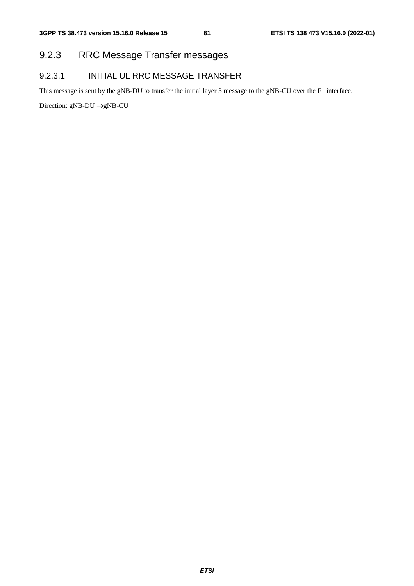# 9.2.3 RRC Message Transfer messages

# 9.2.3.1 INITIAL UL RRC MESSAGE TRANSFER

This message is sent by the gNB-DU to transfer the initial layer 3 message to the gNB-CU over the F1 interface.

Direction: gNB-DU →gNB-CU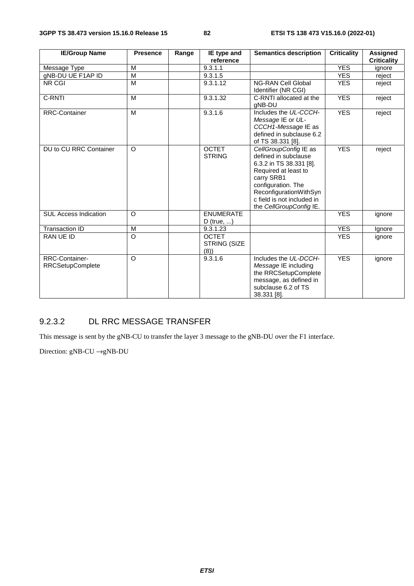| <b>IE/Group Name</b>                      | <b>Presence</b> | Range | IE type and<br>reference               | <b>Semantics description</b>                                                                                                                                                                                            | <b>Criticality</b> | Assigned<br><b>Criticality</b> |
|-------------------------------------------|-----------------|-------|----------------------------------------|-------------------------------------------------------------------------------------------------------------------------------------------------------------------------------------------------------------------------|--------------------|--------------------------------|
| Message Type                              | M               |       | 9.3.1.1                                |                                                                                                                                                                                                                         | <b>YES</b>         | ignore                         |
| gNB-DU UE F1AP ID                         | M               |       | 9.3.1.5                                |                                                                                                                                                                                                                         | <b>YES</b>         | reject                         |
| NR CGI                                    | M               |       | 9.3.1.12                               | <b>NG-RAN Cell Global</b><br>Identifier (NR CGI)                                                                                                                                                                        | <b>YES</b>         | reject                         |
| C-RNTI                                    | M               |       | 9.3.1.32                               | C-RNTI allocated at the<br>gNB-DU                                                                                                                                                                                       | <b>YES</b>         | reject                         |
| <b>RRC-Container</b>                      | M               |       | 9.3.1.6                                | Includes the UL-CCCH-<br>Message IE or UL-<br>CCCH1-Message IE as<br>defined in subclause 6.2<br>of TS 38.331 [8].                                                                                                      | <b>YES</b>         | reject                         |
| DU to CU RRC Container                    | $\circ$         |       | <b>OCTET</b><br><b>STRING</b>          | CellGroupConfig IE as<br>defined in subclause<br>6.3.2 in TS 38.331 [8].<br>Required at least to<br>carry SRB1<br>configuration. The<br>ReconfigurationWithSyn<br>c field is not included in<br>the CellGroupConfig IE. | <b>YES</b>         | reject                         |
| <b>SUL Access Indication</b>              | $\Omega$        |       | <b>ENUMERATE</b><br>D (true, $\dots$ ) |                                                                                                                                                                                                                         | <b>YES</b>         | ignore                         |
| <b>Transaction ID</b>                     | M               |       | 9.3.1.23                               |                                                                                                                                                                                                                         | <b>YES</b>         | Ignore                         |
| RAN UE ID                                 | $\circ$         |       | <b>OCTET</b><br>STRING (SIZE<br>(8)    |                                                                                                                                                                                                                         | <b>YES</b>         | ignore                         |
| RRC-Container-<br><b>RRCSetupComplete</b> | $\Omega$        |       | $9.3.1.\overline{6}$                   | Includes the UL-DCCH-<br>Message IE including<br>the RRCSetupComplete<br>message, as defined in<br>subclause 6.2 of TS<br>38.331 [8].                                                                                   | <b>YES</b>         | ignore                         |

# 9.2.3.2 DL RRC MESSAGE TRANSFER

This message is sent by the gNB-CU to transfer the layer 3 message to the gNB-DU over the F1 interface.

Direction: gNB-CU →gNB-DU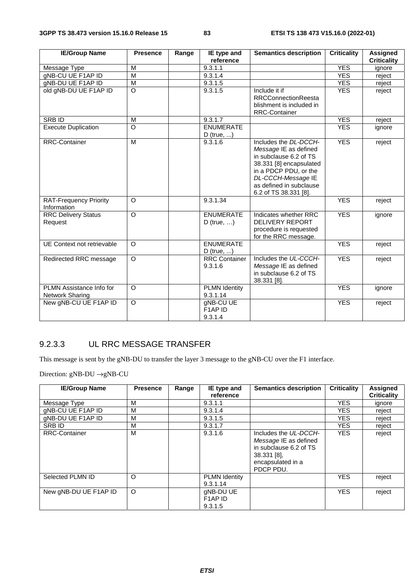| <b>IE/Group Name</b>                         | <b>Presence</b> | Range | IE type and                            | <b>Semantics description</b>                                                                                                                                                                           | <b>Criticality</b> | <b>Assigned</b>    |
|----------------------------------------------|-----------------|-------|----------------------------------------|--------------------------------------------------------------------------------------------------------------------------------------------------------------------------------------------------------|--------------------|--------------------|
|                                              |                 |       | reference                              |                                                                                                                                                                                                        |                    | <b>Criticality</b> |
| Message Type                                 | M               |       | 9.3.1.1                                |                                                                                                                                                                                                        | <b>YES</b>         | ignore             |
| gNB-CU UE F1AP ID                            | M               |       | 9.3.1.4                                |                                                                                                                                                                                                        | <b>YES</b>         | reject             |
| gNB-DU UE F1AP ID                            | $\overline{M}$  |       | 9.3.1.5                                |                                                                                                                                                                                                        | <b>YES</b>         | reject             |
| old gNB-DU UE F1AP ID                        | $\Omega$        |       | 9.3.1.5                                | Include it if<br><b>RRCConnectionReesta</b><br>blishment is included in<br><b>RRC-Container</b>                                                                                                        | <b>YES</b>         | reject             |
| <b>SRBID</b>                                 | M               |       | 9.3.1.7                                |                                                                                                                                                                                                        | <b>YES</b>         | reject             |
| <b>Execute Duplication</b>                   | $\Omega$        |       | <b>ENUMERATE</b>                       |                                                                                                                                                                                                        | <b>YES</b>         |                    |
|                                              |                 |       | $D$ (true, )                           |                                                                                                                                                                                                        |                    | ignore             |
| <b>RRC-Container</b>                         | M               |       | 9.3.1.6                                | Includes the DL-DCCH-<br>Message IE as defined<br>in subclause 6.2 of TS<br>38.331 [8] encapsulated<br>in a PDCP PDU, or the<br>DL-CCCH-Message IE<br>as defined in subclause<br>6.2 of TS 38.331 [8]. | <b>YES</b>         | reject             |
| <b>RAT-Frequency Priority</b><br>Information | $\Omega$        |       | 9.3.1.34                               |                                                                                                                                                                                                        | <b>YES</b>         | reject             |
| <b>RRC Delivery Status</b><br>Request        | $\circ$         |       | <b>ENUMERATE</b><br>D (true, $\dots$ ) | Indicates whether RRC<br><b>DELIVERY REPORT</b><br>procedure is requested<br>for the RRC message.                                                                                                      | <b>YES</b>         | ignore             |
| UE Context not retrievable                   | $\circ$         |       | <b>ENUMERATE</b><br>$D$ (true, )       |                                                                                                                                                                                                        | <b>YES</b>         | reject             |
| Redirected RRC message                       | $\Omega$        |       | <b>RRC</b> Container<br>9.3.1.6        | Includes the UL-CCCH-<br>Message IE as defined<br>in subclause 6.2 of TS<br>38.331 [8].                                                                                                                | <b>YES</b>         | reject             |
| PLMN Assistance Info for<br>Network Sharing  | $\Omega$        |       | <b>PLMN Identity</b><br>9.3.1.14       |                                                                                                                                                                                                        | <b>YES</b>         | ignore             |
| New gNB-CU UE F1AP ID                        | $\overline{O}$  |       | gNB-CU UE<br>F1AP ID<br>9.3.1.4        |                                                                                                                                                                                                        | <b>YES</b>         | reject             |

# 9.2.3.3 UL RRC MESSAGE TRANSFER

This message is sent by the gNB-DU to transfer the layer 3 message to the gNB-CU over the F1 interface.

Direction: gNB-DU →gNB-CU

| <b>IE/Group Name</b>  | <b>Presence</b> | Range | IE type and<br>reference                                | <b>Semantics description</b>                                                                                              | <b>Criticality</b> | <b>Assigned</b><br><b>Criticality</b> |
|-----------------------|-----------------|-------|---------------------------------------------------------|---------------------------------------------------------------------------------------------------------------------------|--------------------|---------------------------------------|
| Message Type          | M               |       | 9.3.1.1                                                 |                                                                                                                           | <b>YES</b>         | ignore                                |
| gNB-CU UE F1AP ID     | M               |       | 9.3.1.4                                                 |                                                                                                                           | <b>YES</b>         | reject                                |
| gNB-DU UE F1AP ID     | M               |       | 9.3.1.5                                                 |                                                                                                                           | YES.               | reject                                |
| SRB ID                | M               |       | 9.3.1.7                                                 |                                                                                                                           | <b>YES</b>         | reject                                |
| <b>RRC-Container</b>  | M               |       | 9.3.1.6                                                 | Includes the UL-DCCH-<br>Message IE as defined<br>in subclause 6.2 of TS<br>38.331 [8],<br>encapsulated in a<br>PDCP PDU. | <b>YES</b>         | reject                                |
| Selected PLMN ID      | $\circ$         |       | <b>PLMN Identity</b><br>9.3.1.14                        |                                                                                                                           | <b>YES</b>         | reject                                |
| New gNB-DU UE F1AP ID | O               |       | gNB-DU UE<br>F <sub>1</sub> AP <sub>ID</sub><br>9.3.1.5 |                                                                                                                           | <b>YES</b>         | reject                                |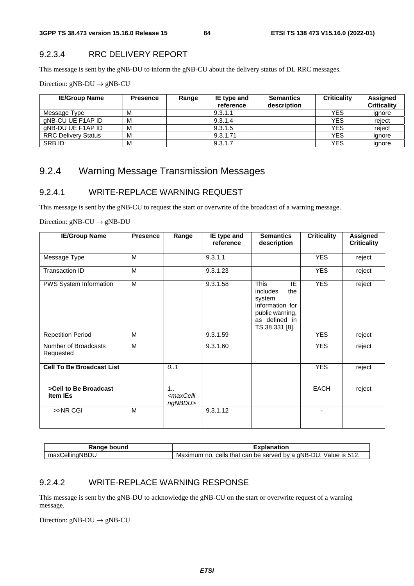# 9.2.3.4 RRC DELIVERY REPORT

This message is sent by the gNB-DU to inform the gNB-CU about the delivery status of DL RRC messages.

Direction:  $gNB-DU \rightarrow gNB-CU$ 

| <b>IE/Group Name</b>       | <b>Presence</b> | Range | IE type and<br>reference | <b>Semantics</b><br>description | <b>Criticality</b> | Assigned<br><b>Criticality</b> |
|----------------------------|-----------------|-------|--------------------------|---------------------------------|--------------------|--------------------------------|
| Message Type               | M               |       | 9.3.1.1                  |                                 | <b>YES</b>         | ignore                         |
| aNB-CU UE F1AP ID          | M               |       | 9.3.1.4                  |                                 | <b>YES</b>         | reject                         |
| aNB-DU UE F1AP ID          | M               |       | 9.3.1.5                  |                                 | <b>YES</b>         | reiect                         |
| <b>RRC Delivery Status</b> | M               |       | 9.3.1.71                 |                                 | <b>YES</b>         | ignore                         |
| <b>SRB ID</b>              | M               |       | 9.3.1.7                  |                                 | <b>YES</b>         | ianore                         |

# 9.2.4 Warning Message Transmission Messages

## 9.2.4.1 WRITE-REPLACE WARNING REQUEST

This message is sent by the gNB-CU to request the start or overwrite of the broadcast of a warning message.

Direction:  $gNB-CU \rightarrow gNB-DU$ 

| <b>IE/Group Name</b>              | <b>Presence</b> | Range                                        | IE type and<br>reference | <b>Semantics</b><br>description                                                                                  | <b>Criticality</b> | <b>Assigned</b><br><b>Criticality</b> |
|-----------------------------------|-----------------|----------------------------------------------|--------------------------|------------------------------------------------------------------------------------------------------------------|--------------------|---------------------------------------|
| Message Type                      | M               |                                              | 9.3.1.1                  |                                                                                                                  | <b>YES</b>         | reject                                |
| Transaction ID                    | M               |                                              | 9.3.1.23                 |                                                                                                                  | <b>YES</b>         | reject                                |
| PWS System Information            | M               |                                              | 9.3.1.58                 | This<br>IE<br>includes<br>the<br>system<br>information for<br>public warning,<br>as defined in<br>TS 38.331 [8]. | <b>YES</b>         | reject                                |
| <b>Repetition Period</b>          | M               |                                              | 9.3.1.59                 |                                                                                                                  | <b>YES</b>         | reject                                |
| Number of Broadcasts<br>Requested | M               |                                              | 9.3.1.60                 |                                                                                                                  | <b>YES</b>         | reject                                |
| <b>Cell To Be Broadcast List</b>  |                 | 0.1                                          |                          |                                                                                                                  | <b>YES</b>         | reject                                |
| >Cell to Be Broadcast<br>Item IEs |                 | 1.1<br><maxcelli<br>ngNBDU&gt;</maxcelli<br> |                          |                                                                                                                  | <b>EACH</b>        | reject                                |
| >>NR CGI                          | M               |                                              | 9.3.1.12                 |                                                                                                                  |                    |                                       |

| Range bound    | Explanation                                                           |  |  |  |  |
|----------------|-----------------------------------------------------------------------|--|--|--|--|
| maxCellingNBDU | cells that can be served by a gNB-DU.<br>Value is 512.<br>Maximum no. |  |  |  |  |

## 9.2.4.2 WRITE-REPLACE WARNING RESPONSE

This message is sent by the gNB-DU to acknowledge the gNB-CU on the start or overwrite request of a warning message.

Direction:  $gNB-DU \rightarrow gNB-CU$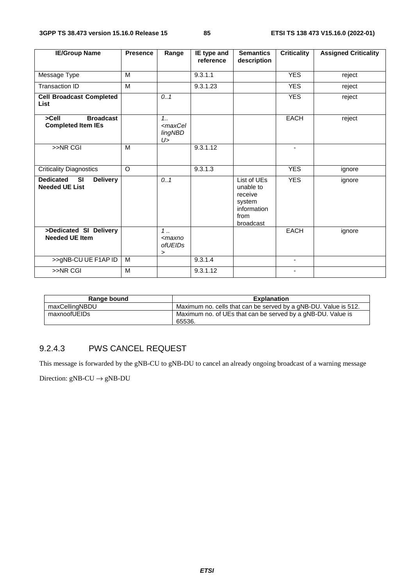| <b>IE/Group Name</b>                                                      | <b>Presence</b> | Range                                                   | IE type and<br>reference | <b>Semantics</b><br>description                                                   | <b>Criticality</b> | <b>Assigned Criticality</b> |
|---------------------------------------------------------------------------|-----------------|---------------------------------------------------------|--------------------------|-----------------------------------------------------------------------------------|--------------------|-----------------------------|
|                                                                           |                 |                                                         |                          |                                                                                   |                    |                             |
| Message Type                                                              | M               |                                                         | 9.3.1.1                  |                                                                                   | <b>YES</b>         | reject                      |
| <b>Transaction ID</b>                                                     | M               |                                                         | 9.3.1.23                 |                                                                                   | <b>YES</b>         | reject                      |
| <b>Cell Broadcast Completed</b><br>List                                   |                 | 0.1                                                     |                          |                                                                                   | <b>YES</b>         | reject                      |
| >Cell<br><b>Broadcast</b><br><b>Completed Item IEs</b>                    |                 | 1.1<br><maxcel<br><b>lingNBD</b><br/>U &gt;</maxcel<br> |                          |                                                                                   | <b>EACH</b>        | reject                      |
| $>>$ NR CGI                                                               | M               |                                                         | 9.3.1.12                 |                                                                                   | $\blacksquare$     |                             |
| <b>Criticality Diagnostics</b>                                            | O               |                                                         | 9.3.1.3                  |                                                                                   | <b>YES</b>         | ignore                      |
| <b>Dedicated</b><br><b>Delivery</b><br><b>SI</b><br><b>Needed UE List</b> |                 | 0.1                                                     |                          | List of UEs<br>unable to<br>receive<br>system<br>information<br>from<br>broadcast | <b>YES</b>         | ignore                      |
| >Dedicated SI Delivery<br><b>Needed UE Item</b>                           |                 | $1$ .<br><maxno<br>ofUEIDs<br/>&gt;</maxno<br>          |                          |                                                                                   | <b>EACH</b>        | ignore                      |
| >>gNB-CU UE F1AP ID                                                       | M               |                                                         | 9.3.1.4                  |                                                                                   | $\blacksquare$     |                             |
| >>NR CGI                                                                  | M               |                                                         | 9.3.1.12                 |                                                                                   |                    |                             |

| Range bound    | <b>Explanation</b>                                              |
|----------------|-----------------------------------------------------------------|
| maxCellingNBDU | Maximum no. cells that can be served by a gNB-DU. Value is 512. |
| maxnoofUEIDs   | Maximum no. of UEs that can be served by a gNB-DU. Value is     |
|                | 65536.                                                          |

# 9.2.4.3 PWS CANCEL REQUEST

This message is forwarded by the gNB-CU to gNB-DU to cancel an already ongoing broadcast of a warning message

Direction:  $gNB-CU \rightarrow gNB-DU$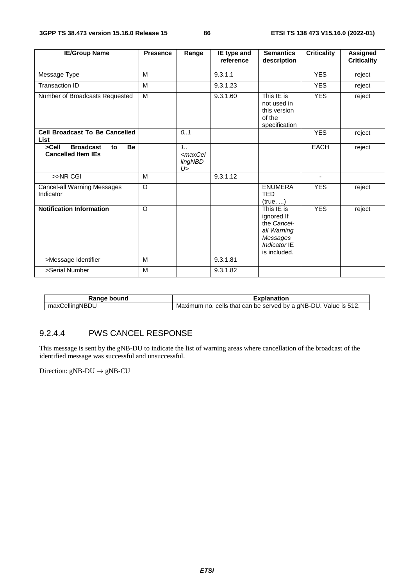| <b>IE/Group Name</b>                                                      | <b>Presence</b> | Range                                                  | IE type and<br>reference | <b>Semantics</b><br>description                                                                    | <b>Criticality</b> | <b>Assigned</b><br><b>Criticality</b> |
|---------------------------------------------------------------------------|-----------------|--------------------------------------------------------|--------------------------|----------------------------------------------------------------------------------------------------|--------------------|---------------------------------------|
| Message Type                                                              | M               |                                                        | 9.3.1.1                  |                                                                                                    | <b>YES</b>         | reject                                |
| Transaction ID                                                            | M               |                                                        | 9.3.1.23                 |                                                                                                    | <b>YES</b>         | reject                                |
| Number of Broadcasts Requested                                            | M               |                                                        | 9.3.1.60                 | This IE is<br>not used in<br>this version<br>of the<br>specification                               | <b>YES</b>         | reject                                |
| <b>Cell Broadcast To Be Cancelled</b><br>List                             |                 | 0.1                                                    |                          |                                                                                                    | <b>YES</b>         | reject                                |
| >Cell<br><b>Broadcast</b><br><b>Be</b><br>to<br><b>Cancelled Item IEs</b> |                 | 1.1<br><maxcel<br><b>lingNBD</b><br/>U&gt;</maxcel<br> |                          |                                                                                                    | <b>EACH</b>        | reject                                |
| $>>NR$ CGI                                                                | M               |                                                        | 9.3.1.12                 |                                                                                                    | $\blacksquare$     |                                       |
| <b>Cancel-all Warning Messages</b><br>Indicator                           | O               |                                                        |                          | <b>ENUMERA</b><br><b>TED</b><br>(true, )                                                           | <b>YES</b>         | reject                                |
| <b>Notification Information</b>                                           | $\Omega$        |                                                        |                          | This IE is<br>ignored If<br>the Cancel-<br>all Warning<br>Messages<br>Indicator IE<br>is included. | <b>YES</b>         | reject                                |
| >Message Identifier                                                       | M               |                                                        | 9.3.1.81                 |                                                                                                    |                    |                                       |
| >Serial Number                                                            | M               |                                                        | 9.3.1.82                 |                                                                                                    |                    |                                       |

| Janaa<br>ound<br>naı               | anation                                                                                                          |
|------------------------------------|------------------------------------------------------------------------------------------------------------------|
| $\cdots$<br>aNRD'.<br>ellır<br>max | by a gNB-<br>`/alue :<br>ור<br>served<br>cells<br>that<br>can<br>Maximum<br>be<br>ıs<br>no<br><u>.</u><br>، ۲۰۱۷ |

# 9.2.4.4 PWS CANCEL RESPONSE

This message is sent by the gNB-DU to indicate the list of warning areas where cancellation of the broadcast of the identified message was successful and unsuccessful.

Direction:  $gNB-DU \rightarrow gNB-CU$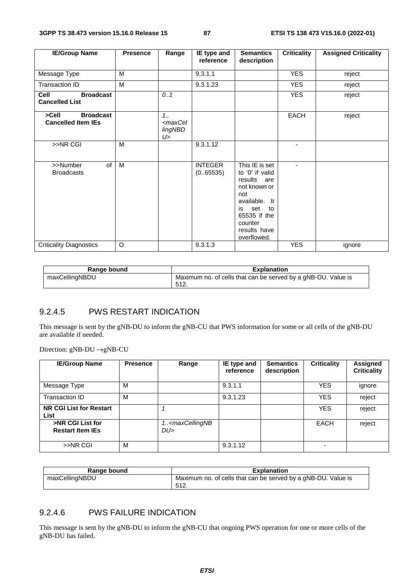| <b>IE/Group Name</b>                                      | <b>Presence</b> | Range                                                      | IE type and<br>reference    | <b>Semantics</b><br>description                                                                                                                                       | <b>Criticality</b> | <b>Assigned Criticality</b> |
|-----------------------------------------------------------|-----------------|------------------------------------------------------------|-----------------------------|-----------------------------------------------------------------------------------------------------------------------------------------------------------------------|--------------------|-----------------------------|
| Message Type                                              | M               |                                                            | 9.3.1.1                     |                                                                                                                                                                       | <b>YES</b>         | reject                      |
| <b>Transaction ID</b>                                     | M               |                                                            | 9.3.1.23                    |                                                                                                                                                                       | <b>YES</b>         | reject                      |
| <b>Cell</b><br><b>Broadcast</b><br><b>Cancelled List</b>  |                 | 0.1                                                        |                             |                                                                                                                                                                       | <b>YES</b>         | reject                      |
| $>$ Cell<br><b>Broadcast</b><br><b>Cancelled Item IEs</b> |                 | $1_{1}$<br><maxcel<br><b>lingNBD</b><br/>U&gt;</maxcel<br> |                             |                                                                                                                                                                       | <b>EACH</b>        | reject                      |
| >>NR CGI                                                  | M               |                                                            | 9.3.1.12                    |                                                                                                                                                                       | ٠                  |                             |
| of<br>>>Number<br><b>Broadcasts</b>                       | M               |                                                            | <b>INTEGER</b><br>(0.65535) | This IE is set<br>to '0' if valid<br>results<br>are<br>not known or<br>not<br>available. It<br>set to<br>is<br>65535 if the<br>counter<br>results have<br>overflowed. | ٠                  |                             |
| <b>Criticality Diagnostics</b>                            | O               |                                                            | 9.3.1.3                     |                                                                                                                                                                       | <b>YES</b>         | ignore                      |

| Range bound    | <b>Explanation</b>                                            |
|----------------|---------------------------------------------------------------|
| maxCellingNBDU | Maximum no. of cells that can be served by a gNB-DU. Value is |
|                | -512.                                                         |

## 9.2.4.5 PWS RESTART INDICATION

This message is sent by the gNB-DU to inform the gNB-CU that PWS information for some or all cells of the gNB-DU are available if needed.

Direction: gNB-DU →gNB-CU

| <b>IE/Group Name</b>                        | <b>Presence</b> | Range                                   | IE type and<br>reference | <b>Semantics</b><br>description | <b>Criticality</b> | Assigned<br><b>Criticality</b> |
|---------------------------------------------|-----------------|-----------------------------------------|--------------------------|---------------------------------|--------------------|--------------------------------|
| Message Type                                | M               |                                         | 9.3.1.1                  |                                 | <b>YES</b>         | ignore                         |
| Transaction ID                              | M               |                                         | 9.3.1.23                 |                                 | <b>YES</b>         | reject                         |
| NR CGI List for Restart<br>List             |                 |                                         |                          |                                 | <b>YES</b>         | reject                         |
| >NR CGI List for<br><b>Restart Item IEs</b> |                 | 1 <maxcellingnb<br>DU</maxcellingnb<br> |                          |                                 | <b>EACH</b>        | reject                         |
| $>>$ NR CGI                                 | M               |                                         | 9.3.1.12                 |                                 |                    |                                |

| Range bound    | <b>Explanation</b>                                            |
|----------------|---------------------------------------------------------------|
| maxCellingNBDU | Maximum no. of cells that can be served by a gNB-DU. Value is |
|                | -512.                                                         |

## 9.2.4.6 PWS FAILURE INDICATION

This message is sent by the gNB-DU to inform the gNB-CU that ongoing PWS operation for one or more cells of the gNB-DU has failed.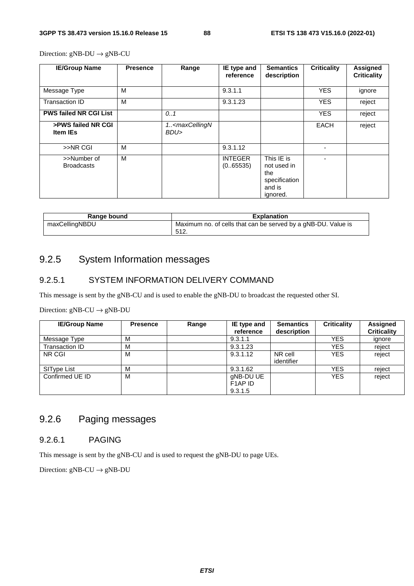Direction:  $gNB-DU \rightarrow gNB-CU$ 

| <b>IE/Group Name</b>                  | <b>Presence</b> | Range                                      | IE type and<br>reference    | <b>Semantics</b><br>description                                         | <b>Criticality</b> | <b>Assigned</b><br><b>Criticality</b> |
|---------------------------------------|-----------------|--------------------------------------------|-----------------------------|-------------------------------------------------------------------------|--------------------|---------------------------------------|
| Message Type                          | м               |                                            | 9.3.1.1                     |                                                                         | <b>YES</b>         | ignore                                |
| Transaction ID                        | м               |                                            | 9.3.1.23                    |                                                                         | <b>YES</b>         | reject                                |
| <b>PWS failed NR CGI List</b>         |                 | 0.1                                        |                             |                                                                         | <b>YES</b>         | reject                                |
| >PWS failed NR CGI<br><b>Item IEs</b> |                 | 1 <maxcellingn<br>BDU&gt;</maxcellingn<br> |                             |                                                                         | <b>EACH</b>        | reject                                |
| >>NR CGI                              | M               |                                            | 9.3.1.12                    |                                                                         |                    |                                       |
| >>Number of<br><b>Broadcasts</b>      | М               |                                            | <b>INTEGER</b><br>(0.65535) | This IE is<br>not used in<br>the<br>specification<br>and is<br>ignored. |                    |                                       |

| Range bound    | <b>Explanation</b>                                            |
|----------------|---------------------------------------------------------------|
| maxCellingNBDU | Maximum no. of cells that can be served by a gNB-DU. Value is |
|                | -512.                                                         |

# 9.2.5 System Information messages

## 9.2.5.1 SYSTEM INFORMATION DELIVERY COMMAND

This message is sent by the gNB-CU and is used to enable the gNB-DU to broadcast the requested other SI.

#### Direction:  $gNB-CU \rightarrow gNB-DU$

| <b>IE/Group Name</b> | <b>Presence</b> | Range | IE type and<br>reference                                | <b>Semantics</b><br>description | <b>Criticality</b> | <b>Assigned</b><br><b>Criticality</b> |
|----------------------|-----------------|-------|---------------------------------------------------------|---------------------------------|--------------------|---------------------------------------|
| Message Type         | M               |       | 9.3.1.1                                                 |                                 | <b>YES</b>         | ignore                                |
| Transaction ID       | м               |       | 9.3.1.23                                                |                                 | <b>YES</b>         | reject                                |
| NR CGI               | M               |       | 9.3.1.12                                                | NR cell<br>identifier           | <b>YES</b>         | reject                                |
| SIType List          | M               |       | 9.3.1.62                                                |                                 | <b>YES</b>         | reject                                |
| Confirmed UE ID      | M               |       | gNB-DU UE<br>F <sub>1</sub> AP <sub>ID</sub><br>9.3.1.5 |                                 | <b>YES</b>         | reject                                |

# 9.2.6 Paging messages

## 9.2.6.1 PAGING

This message is sent by the gNB-CU and is used to request the gNB-DU to page UEs.

Direction:  $gNB-CU \rightarrow gNB-DU$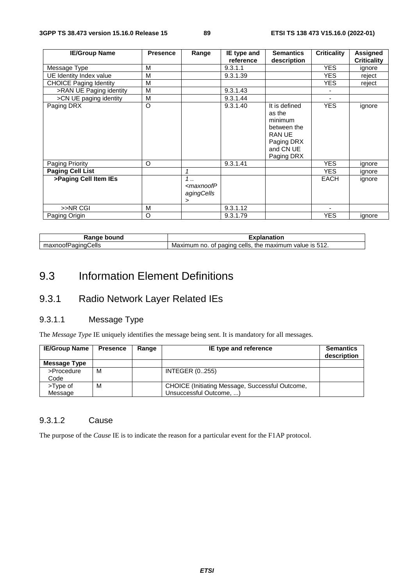| <b>IE/Group Name</b>          | <b>Presence</b> | Range                                            | IE type and | <b>Semantics</b>                                                                                     | <b>Criticality</b> | Assigned           |
|-------------------------------|-----------------|--------------------------------------------------|-------------|------------------------------------------------------------------------------------------------------|--------------------|--------------------|
|                               |                 |                                                  | reference   | description                                                                                          |                    | <b>Criticality</b> |
| Message Type                  | M               |                                                  | 9.3.1.1     |                                                                                                      | <b>YES</b>         | ignore             |
| UE Identity Index value       | M               |                                                  | 9.3.1.39    |                                                                                                      | YES.               | reject             |
| <b>CHOICE Paging Identity</b> | M               |                                                  |             |                                                                                                      | YES.               | reject             |
| >RAN UE Paging identity       | M               |                                                  | 9.3.1.43    |                                                                                                      |                    |                    |
| >CN UE paging identity        | M               |                                                  | 9.3.1.44    |                                                                                                      | ٠                  |                    |
| Paging DRX                    | $\circ$         |                                                  | 9.3.1.40    | It is defined<br>as the<br>minimum<br>between the<br>RAN UE<br>Paging DRX<br>and CN UE<br>Paging DRX | <b>YES</b>         | ignore             |
| Paging Priority               | O               |                                                  | 9.3.1.41    |                                                                                                      | <b>YES</b>         | ignore             |
| <b>Paging Cell List</b>       |                 | 1                                                |             |                                                                                                      | YES.               | ignore             |
| >Paging Cell Item IEs         |                 | 1<br><maxnoofp<br>agingCells<br/>⋗</maxnoofp<br> |             |                                                                                                      | EACH               | ignore             |
| >>NR CGI                      | M               |                                                  | 9.3.1.12    |                                                                                                      |                    |                    |
| Paging Origin                 | $\circ$         |                                                  | 9.3.1.79    |                                                                                                      | YES.               | ignore             |

| bound                        | anation                                                                                        |
|------------------------------|------------------------------------------------------------------------------------------------|
| `ells<br>וחה<br>ווח<br>nooir | <br>512.<br>cells.<br>the<br>no<br>paging<br>maximum<br>value<br>Maximum<br>1S<br>ז זנז<br>. . |

# 9.3 Information Element Definitions

# 9.3.1 Radio Network Layer Related IEs

# 9.3.1.1 Message Type

The *Message Type* IE uniquely identifies the message being sent. It is mandatory for all messages.

| <b>IE/Group Name</b> | <b>Presence</b> | Range | IE type and reference                           | <b>Semantics</b><br>description |
|----------------------|-----------------|-------|-------------------------------------------------|---------------------------------|
| Message Type         |                 |       |                                                 |                                 |
| >Procedure           | м               |       | <b>INTEGER (0255)</b>                           |                                 |
| Code                 |                 |       |                                                 |                                 |
| >Type of             | м               |       | CHOICE (Initiating Message, Successful Outcome, |                                 |
| Message              |                 |       | Unsuccessful Outcome,                           |                                 |

## 9.3.1.2 Cause

The purpose of the *Cause* IE is to indicate the reason for a particular event for the F1AP protocol.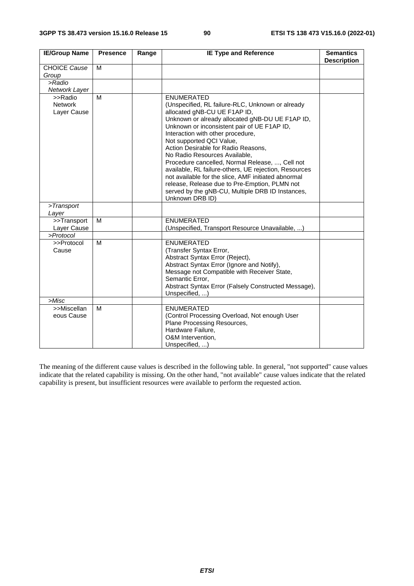| <b>IE/Group Name</b>                     | <b>Presence</b> | Range | <b>IE Type and Reference</b>                                                                                                                                                                                                                                                                                                                                                                                                                                                                                                                                                                                                                | <b>Semantics</b><br><b>Description</b> |
|------------------------------------------|-----------------|-------|---------------------------------------------------------------------------------------------------------------------------------------------------------------------------------------------------------------------------------------------------------------------------------------------------------------------------------------------------------------------------------------------------------------------------------------------------------------------------------------------------------------------------------------------------------------------------------------------------------------------------------------------|----------------------------------------|
| <b>CHOICE Cause</b>                      | M               |       |                                                                                                                                                                                                                                                                                                                                                                                                                                                                                                                                                                                                                                             |                                        |
| Group                                    |                 |       |                                                                                                                                                                                                                                                                                                                                                                                                                                                                                                                                                                                                                                             |                                        |
| $>$ Radio                                |                 |       |                                                                                                                                                                                                                                                                                                                                                                                                                                                                                                                                                                                                                                             |                                        |
| Network Layer                            |                 |       |                                                                                                                                                                                                                                                                                                                                                                                                                                                                                                                                                                                                                                             |                                        |
| >>Radio<br><b>Network</b><br>Layer Cause | M               |       | <b>ENUMERATED</b><br>(Unspecified, RL failure-RLC, Unknown or already<br>allocated gNB-CU UE F1AP ID,<br>Unknown or already allocated gNB-DU UE F1AP ID,<br>Unknown or inconsistent pair of UE F1AP ID,<br>Interaction with other procedure,<br>Not supported QCI Value,<br>Action Desirable for Radio Reasons,<br>No Radio Resources Available,<br>Procedure cancelled, Normal Release, , Cell not<br>available, RL failure-others, UE rejection, Resources<br>not available for the slice, AMF initiated abnormal<br>release, Release due to Pre-Emption, PLMN not<br>served by the gNB-CU, Multiple DRB ID Instances,<br>Unknown DRB ID) |                                        |
| >Transport<br>Layer                      |                 |       |                                                                                                                                                                                                                                                                                                                                                                                                                                                                                                                                                                                                                                             |                                        |
| >>Transport<br>Layer Cause               | M               |       | <b>ENUMERATED</b><br>(Unspecified, Transport Resource Unavailable, )                                                                                                                                                                                                                                                                                                                                                                                                                                                                                                                                                                        |                                        |
| >Protocol                                |                 |       |                                                                                                                                                                                                                                                                                                                                                                                                                                                                                                                                                                                                                                             |                                        |
| >>Protocol<br>Cause                      | M               |       | <b>ENUMERATED</b><br>(Transfer Syntax Error,<br>Abstract Syntax Error (Reject),<br>Abstract Syntax Error (Ignore and Notify),<br>Message not Compatible with Receiver State,<br>Semantic Error.<br>Abstract Syntax Error (Falsely Constructed Message),<br>Unspecified, )                                                                                                                                                                                                                                                                                                                                                                   |                                        |
| >Misc                                    |                 |       |                                                                                                                                                                                                                                                                                                                                                                                                                                                                                                                                                                                                                                             |                                        |
| >>Miscellan<br>eous Cause                | M               |       | <b>ENUMERATED</b><br>(Control Processing Overload, Not enough User<br>Plane Processing Resources,<br>Hardware Failure,<br>O&M Intervention,<br>Unspecified, )                                                                                                                                                                                                                                                                                                                                                                                                                                                                               |                                        |

The meaning of the different cause values is described in the following table. In general, "not supported" cause values indicate that the related capability is missing. On the other hand, "not available" cause values indicate that the related capability is present, but insufficient resources were available to perform the requested action.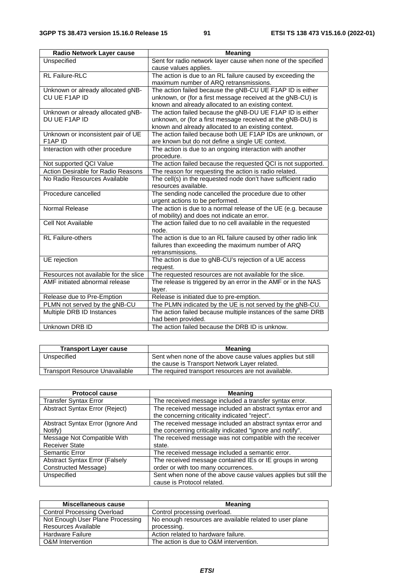| <b>Radio Network Layer cause</b>                   | <b>Meaning</b>                                                                                                                                                                  |  |  |  |
|----------------------------------------------------|---------------------------------------------------------------------------------------------------------------------------------------------------------------------------------|--|--|--|
| Unspecified                                        | Sent for radio network layer cause when none of the specified<br>cause values applies.                                                                                          |  |  |  |
| <b>RL Failure-RLC</b>                              | The action is due to an RL failure caused by exceeding the<br>maximum number of ARQ retransmissions.                                                                            |  |  |  |
| Unknown or already allocated gNB-<br>CU UE F1AP ID | The action failed because the gNB-CU UE F1AP ID is either<br>unknown, or (for a first message received at the gNB-CU) is<br>known and already allocated to an existing context. |  |  |  |
| Unknown or already allocated gNB-<br>DU UE F1AP ID | The action failed because the gNB-DU UE F1AP ID is either<br>unknown, or (for a first message received at the gNB-DU) is<br>known and already allocated to an existing context. |  |  |  |
| Unknown or inconsistent pair of UE<br>F1AP ID      | The action failed because both UE F1AP IDs are unknown, or<br>are known but do not define a single UE context.                                                                  |  |  |  |
| Interaction with other procedure                   | The action is due to an ongoing interaction with another<br>procedure.                                                                                                          |  |  |  |
| Not supported QCI Value                            | The action failed because the requested QCI is not supported.                                                                                                                   |  |  |  |
| Action Desirable for Radio Reasons                 | The reason for requesting the action is radio related.                                                                                                                          |  |  |  |
| No Radio Resources Available                       | The cell(s) in the requested node don't have sufficient radio<br>resources available.                                                                                           |  |  |  |
| Procedure cancelled                                | The sending node cancelled the procedure due to other<br>urgent actions to be performed.                                                                                        |  |  |  |
| Normal Release                                     | The action is due to a normal release of the UE (e.g. because<br>of mobility) and does not indicate an error.                                                                   |  |  |  |
| Cell Not Available                                 | The action failed due to no cell available in the requested<br>node.                                                                                                            |  |  |  |
| <b>RL Failure-others</b>                           | The action is due to an RL failure caused by other radio link<br>failures than exceeding the maximum number of ARQ<br>retransmissions.                                          |  |  |  |
| UE rejection                                       | The action is due to gNB-CU's rejection of a UE access<br>request.                                                                                                              |  |  |  |
| Resources not available for the slice              | The requested resources are not available for the slice.                                                                                                                        |  |  |  |
| AMF initiated abnormal release                     | The release is triggered by an error in the AMF or in the NAS<br>layer.                                                                                                         |  |  |  |
| Release due to Pre-Emption                         | Release is initiated due to pre-emption.                                                                                                                                        |  |  |  |
| PLMN not served by the gNB-CU                      | The PLMN indicated by the UE is not served by the gNB-CU.                                                                                                                       |  |  |  |
| Multiple DRB ID Instances                          | The action failed because multiple instances of the same DRB<br>had been provided.                                                                                              |  |  |  |
| Unknown DRB ID                                     | The action failed because the DRB ID is unknow.                                                                                                                                 |  |  |  |

| <b>Transport Layer cause</b>          | Meaning                                                    |  |  |
|---------------------------------------|------------------------------------------------------------|--|--|
| Unspecified                           | Sent when none of the above cause values applies but still |  |  |
|                                       | the cause is Transport Network Layer related.              |  |  |
| <b>Transport Resource Unavailable</b> | The required transport resources are not available.        |  |  |

| <b>Protocol cause</b>                        | <b>Meaning</b>                                                                                                          |  |  |
|----------------------------------------------|-------------------------------------------------------------------------------------------------------------------------|--|--|
| <b>Transfer Syntax Error</b>                 | The received message included a transfer syntax error.                                                                  |  |  |
| Abstract Syntax Error (Reject)               | The received message included an abstract syntax error and<br>the concerning criticality indicated "reject".            |  |  |
| Abstract Syntax Error (Ignore And<br>Notify) | The received message included an abstract syntax error and<br>the concerning criticality indicated "ignore and notify". |  |  |
| Message Not Compatible With                  | The received message was not compatible with the receiver                                                               |  |  |
| <b>Receiver State</b>                        | state.                                                                                                                  |  |  |
| Semantic Error                               | The received message included a semantic error.                                                                         |  |  |
| <b>Abstract Syntax Error (Falsely</b>        | The received message contained IEs or IE groups in wrong                                                                |  |  |
| Constructed Message)                         | order or with too many occurrences.                                                                                     |  |  |
| Unspecified                                  | Sent when none of the above cause values applies but still the<br>cause is Protocol related.                            |  |  |

| Miscellaneous cause                | Meaning                                                 |  |  |
|------------------------------------|---------------------------------------------------------|--|--|
| <b>Control Processing Overload</b> | Control processing overload.                            |  |  |
| Not Enough User Plane Processing   | No enough resources are available related to user plane |  |  |
| Resources Available                | processing.                                             |  |  |
| <b>Hardware Failure</b>            | Action related to hardware failure.                     |  |  |
| O&M Intervention                   | The action is due to O&M intervention.                  |  |  |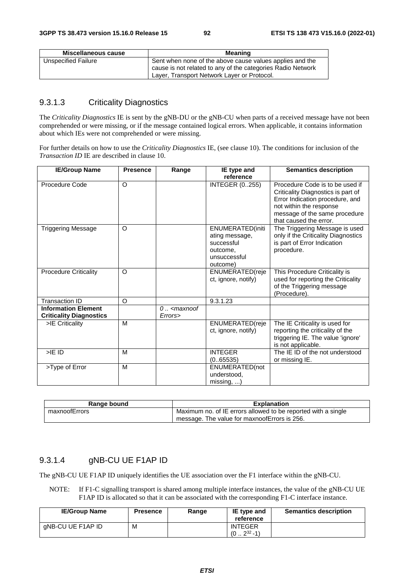| Miscellaneous cause | Meaning                                                                                                                                                                |  |  |
|---------------------|------------------------------------------------------------------------------------------------------------------------------------------------------------------------|--|--|
| Unspecified Failure | Sent when none of the above cause values applies and the<br>cause is not related to any of the categories Radio Network<br>Layer, Transport Network Layer or Protocol. |  |  |

## 9.3.1.3 Criticality Diagnostics

The *Criticality Diagnostics* IE is sent by the gNB-DU or the gNB-CU when parts of a received message have not been comprehended or were missing, or if the message contained logical errors. When applicable, it contains information about which IEs were not comprehended or were missing.

For further details on how to use the *Criticality Diagnostics* IE, (see clause 10). The conditions for inclusion of the *Transaction ID* IE are described in clause 10.

| <b>IE/Group Name</b>                                         | <b>Presence</b> | Range                         | IE type and<br>reference                                                                 | <b>Semantics description</b>                                                                                                                                                                   |
|--------------------------------------------------------------|-----------------|-------------------------------|------------------------------------------------------------------------------------------|------------------------------------------------------------------------------------------------------------------------------------------------------------------------------------------------|
| Procedure Code                                               | O               |                               | <b>INTEGER (0255)</b>                                                                    | Procedure Code is to be used if<br>Criticality Diagnostics is part of<br>Error Indication procedure, and<br>not within the response<br>message of the same procedure<br>that caused the error. |
| <b>Triggering Message</b>                                    | $\circ$         |                               | ENUMERATED(initi<br>ating message,<br>successful<br>outcome,<br>unsuccessful<br>outcome) | The Triggering Message is used<br>only if the Criticality Diagnostics<br>is part of Error Indication<br>procedure.                                                                             |
| <b>Procedure Criticality</b>                                 | $\circ$         |                               | ENUMERATED(reje<br>ct, ignore, notify)                                                   | This Procedure Criticality is<br>used for reporting the Criticality<br>of the Triggering message<br>(Procedure).                                                                               |
| Transaction ID                                               | $\circ$         |                               | 9.3.1.23                                                                                 |                                                                                                                                                                                                |
| <b>Information Element</b><br><b>Criticality Diagnostics</b> |                 | $0$ $\leq$ maxnoof<br>Errors> |                                                                                          |                                                                                                                                                                                                |
| >IE Criticality                                              | M               |                               | <b>ENUMERATED</b> (reje<br>ct, ignore, notify)                                           | The IE Criticality is used for<br>reporting the criticality of the<br>triggering IE. The value 'ignore'<br>is not applicable.                                                                  |
| $>$ IE ID                                                    | M               |                               | <b>INTEGER</b><br>(065535)                                                               | The IE ID of the not understood<br>or missing IE.                                                                                                                                              |
| >Type of Error                                               | M               |                               | ENUMERATED(not<br>understood.<br>missing, )                                              |                                                                                                                                                                                                |

| Range bound   | <b>Explanation</b>                                            |  |  |
|---------------|---------------------------------------------------------------|--|--|
| maxnoofErrors | Maximum no. of IE errors allowed to be reported with a single |  |  |
|               | message. The value for maxnoofErrors is 256.                  |  |  |

## 9.3.1.4 gNB-CU UE F1AP ID

The gNB-CU UE F1AP ID uniquely identifies the UE association over the F1 interface within the gNB-CU.

NOTE: If F1-C signalling transport is shared among multiple interface instances, the value of the gNB-CU UE F1AP ID is allocated so that it can be associated with the corresponding F1-C interface instance.

| <b>IE/Group Name</b> | <b>Presence</b> | Range | IE type and<br>reference     | <b>Semantics description</b> |
|----------------------|-----------------|-------|------------------------------|------------------------------|
| gNB-CU UE F1AP ID    | М               |       | <b>INTEGER</b><br>$232 - 1)$ |                              |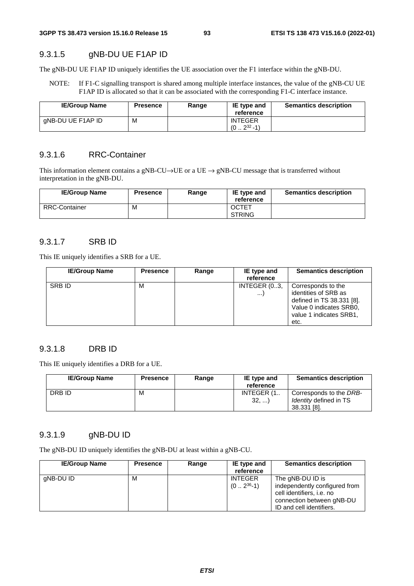## 9.3.1.5 gNB-DU UE F1AP ID

The gNB-DU UE F1AP ID uniquely identifies the UE association over the F1 interface within the gNB-DU.

NOTE: If F1-C signalling transport is shared among multiple interface instances, the value of the gNB-CU UE F1AP ID is allocated so that it can be associated with the corresponding F1-C interface instance.

| <b>IE/Group Name</b> | <b>Presence</b> | Range | IE type and<br>reference         | <b>Semantics description</b> |
|----------------------|-----------------|-------|----------------------------------|------------------------------|
| gNB-DU UE F1AP ID    | м               |       | <b>INTEGER</b><br>$(0.2^{32}-1)$ |                              |

## 9.3.1.6 RRC-Container

This information element contains a gNB-CU→UE or a UE  $\rightarrow$  gNB-CU message that is transferred without interpretation in the gNB-DU.

| <b>IE/Group Name</b> | <b>Presence</b> | Range | IE type and<br>reference      | <b>Semantics description</b> |
|----------------------|-----------------|-------|-------------------------------|------------------------------|
| <b>RRC-Container</b> | M               |       | <b>OCTET</b><br><b>STRING</b> |                              |

# 9.3.1.7 SRB ID

This IE uniquely identifies a SRB for a UE.

| <b>IE/Group Name</b> | <b>Presence</b> | Range | IE type and<br>reference | <b>Semantics description</b>                                                                                                          |
|----------------------|-----------------|-------|--------------------------|---------------------------------------------------------------------------------------------------------------------------------------|
| SRB ID               | М               |       | INTEGER (03,<br>$\cdots$ | Corresponds to the<br>identities of SRB as<br>defined in TS 38.331 [8].<br>Value 0 indicates SRB0,<br>value 1 indicates SRB1,<br>etc. |

## 9.3.1.8 DRB ID

This IE uniquely identifies a DRB for a UE.

| <b>IE/Group Name</b> | <b>Presence</b> | Range | IE type and<br>reference | <b>Semantics description</b>                                            |
|----------------------|-----------------|-------|--------------------------|-------------------------------------------------------------------------|
| DRB ID               | M               |       | INTEGER (1<br>32,        | Corresponds to the DRB-<br><i>Identity</i> defined in TS<br>38.331 [8]. |

#### 9.3.1.9 gNB-DU ID

The gNB-DU ID uniquely identifies the gNB-DU at least within a gNB-CU.

| <b>IE/Group Name</b> | <b>Presence</b> | Range | IE type and<br>reference        | <b>Semantics description</b>                                                                                                            |
|----------------------|-----------------|-------|---------------------------------|-----------------------------------------------------------------------------------------------------------------------------------------|
| gNB-DU ID            | м               |       | <b>INTEGER</b><br>$(02^{36}-1)$ | The gNB-DU ID is<br>independently configured from<br>cell identifiers, i.e. no<br>connection between gNB-DU<br>ID and cell identifiers. |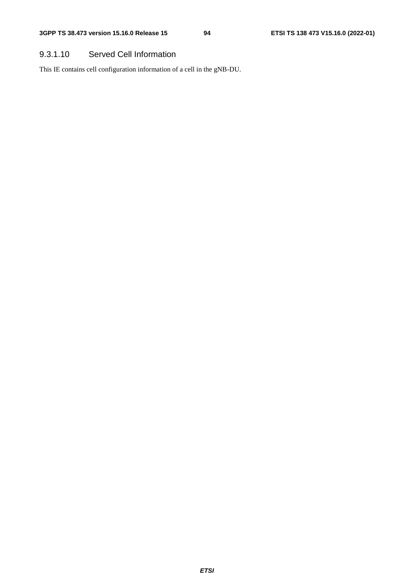# 9.3.1.10 Served Cell Information

This IE contains cell configuration information of a cell in the gNB-DU.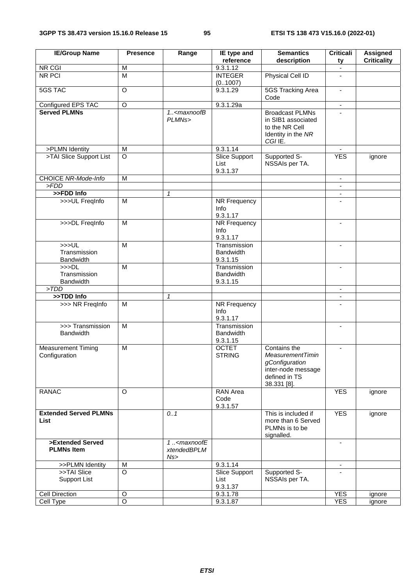| <b>IE/Group Name</b>                        | <b>Presence</b>    | Range                                            | IE type and<br>reference                     | <b>Semantics</b><br>description                                                                                 | <b>Criticali</b><br>ty   | Assigned<br><b>Criticality</b> |
|---------------------------------------------|--------------------|--------------------------------------------------|----------------------------------------------|-----------------------------------------------------------------------------------------------------------------|--------------------------|--------------------------------|
| NR CGI                                      | M                  |                                                  | 9.3.1.12                                     |                                                                                                                 | $\overline{\phantom{a}}$ |                                |
| <b>NR PCI</b>                               | $\overline{M}$     |                                                  | <b>INTEGER</b><br>(01007)                    | Physical Cell ID                                                                                                |                          |                                |
| <b>5GS TAC</b>                              | $\circ$            |                                                  | 9.3.1.29                                     | <b>5GS Tracking Area</b><br>Code                                                                                | $\blacksquare$           |                                |
| Configured EPS TAC                          | $\overline{O}$     |                                                  | 9.3.1.29a                                    |                                                                                                                 | $\overline{\phantom{a}}$ |                                |
| <b>Served PLMNs</b>                         |                    | 1 <maxnoofb<br>PLMNs&gt;</maxnoofb<br>           |                                              | <b>Broadcast PLMNs</b><br>in SIB1 associated<br>to the NR Cell<br>Identity in the NR<br>CGI IE.                 |                          |                                |
| >PLMN Identity                              | M                  |                                                  | 9.3.1.14                                     |                                                                                                                 | $\blacksquare$           |                                |
| >TAI Slice Support List                     | $\overline{O}$     |                                                  | <b>Slice Support</b><br>List<br>9.3.1.37     | Supported S-<br>NSSAIs per TA.                                                                                  | <b>YES</b>               | ignore                         |
| <b>CHOICE NR-Mode-Info</b>                  | M                  |                                                  |                                              |                                                                                                                 | $\blacksquare$           |                                |
| >FDD                                        |                    |                                                  |                                              |                                                                                                                 | $\overline{\phantom{a}}$ |                                |
| >>FDD Info                                  |                    | 1                                                |                                              |                                                                                                                 | $\blacksquare$           |                                |
| >>>UL FreqInfo                              | M                  |                                                  | NR Frequency<br>Info<br>9.3.1.17             |                                                                                                                 |                          |                                |
| >>>DL FreqInfo                              | M                  |                                                  | <b>NR Frequency</b><br>Info<br>9.3.1.17      |                                                                                                                 | $\blacksquare$           |                                |
| >>UL<br>Transmission<br><b>Bandwidth</b>    | $\overline{M}$     |                                                  | Transmission<br><b>Bandwidth</b><br>9.3.1.15 |                                                                                                                 | $\blacksquare$           |                                |
| >>DL<br>Transmission<br><b>Bandwidth</b>    | $\overline{M}$     |                                                  | Transmission<br><b>Bandwidth</b><br>9.3.1.15 |                                                                                                                 |                          |                                |
| >TDD                                        |                    |                                                  |                                              |                                                                                                                 | $\blacksquare$           |                                |
| >>TDD Info                                  |                    | $\mathcal I$                                     |                                              |                                                                                                                 |                          |                                |
| >>> NR FreqInfo                             | M                  |                                                  | NR Frequency<br>Info<br>9.3.1.17             |                                                                                                                 | $\blacksquare$           |                                |
| >>> Transmission<br><b>Bandwidth</b>        | $\overline{M}$     |                                                  | Transmission<br><b>Bandwidth</b><br>9.3.1.15 |                                                                                                                 |                          |                                |
| <b>Measurement Timing</b><br>Configuration  | $\overline{M}$     |                                                  | <b>OCTET</b><br><b>STRING</b>                | Contains the<br><b>MeasurementTimin</b><br>gConfiguration<br>inter-node message<br>defined in TS<br>38.331 [8]. | $\blacksquare$           |                                |
| <b>RANAC</b>                                | $\Omega$           |                                                  | RAN Area<br>Code<br>9.3.1.57                 |                                                                                                                 | <b>YES</b>               | ignore                         |
| <b>Extended Served PLMNs</b><br><b>List</b> |                    | 0.1                                              |                                              | This is included if<br>more than 6 Served<br>PLMNs is to be<br>signalled.                                       | <b>YES</b>               | ignore                         |
| >Extended Served<br><b>PLMNs Item</b>       |                    | 1. <maxnoofe<br>xtendedBPLM<br/>Ns</maxnoofe<br> |                                              |                                                                                                                 |                          |                                |
| >>PLMN Identity                             | M                  |                                                  | 9.3.1.14                                     |                                                                                                                 | $\blacksquare$           |                                |
| >>TAI Slice<br><b>Support List</b>          | $\circ$            |                                                  | Slice Support<br>List<br>9.3.1.37            | Supported S-<br>NSSAIs per TA.                                                                                  |                          |                                |
| Cell Direction                              | $\circ$            |                                                  | 9.3.1.78                                     |                                                                                                                 | <b>YES</b>               | ignore                         |
| Cell Type                                   | $\overline{\circ}$ |                                                  | 9.3.1.87                                     |                                                                                                                 | <b>YES</b>               | ignore                         |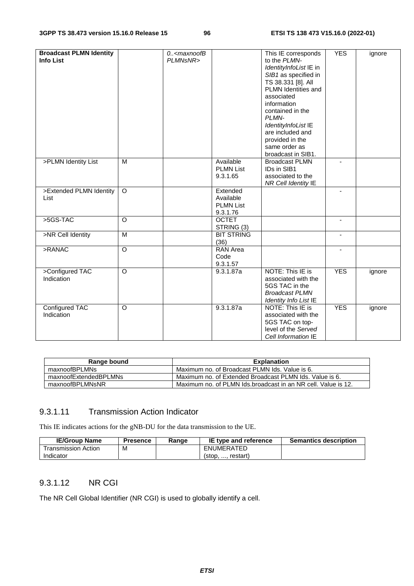| <b>Broadcast PLMN Identity</b><br><b>Info List</b> |         | $0. -$ <maxnoofb<br>PLMNsNR&gt;</maxnoofb<br> |                                                       | This IE corresponds<br>to the PLMN-<br>IdentityInfoList IE in<br>SIB1 as specified in<br>TS 38.331 [8]. All<br>PLMN Identities and<br>associated<br>information<br>contained in the<br>PLMN-<br>IdentityInfoList IE<br>are included and<br>provided in the<br>same order as<br>broadcast in SIB1. | <b>YES</b>               | ignore |
|----------------------------------------------------|---------|-----------------------------------------------|-------------------------------------------------------|---------------------------------------------------------------------------------------------------------------------------------------------------------------------------------------------------------------------------------------------------------------------------------------------------|--------------------------|--------|
| >PLMN Identity List                                | M       |                                               | Available<br><b>PLMN List</b><br>9.3.1.65             | <b>Broadcast PLMN</b><br>IDs in SIB1<br>associated to the<br>NR Cell Identity IE                                                                                                                                                                                                                  |                          |        |
| >Extended PLMN Identity<br>List                    | $\circ$ |                                               | Extended<br>Available<br><b>PLMN List</b><br>9.3.1.76 |                                                                                                                                                                                                                                                                                                   | $\overline{\phantom{a}}$ |        |
| >5GS-TAC                                           | O       |                                               | <b>OCTET</b><br>STRING (3)                            |                                                                                                                                                                                                                                                                                                   |                          |        |
| >NR Cell Identity                                  | M       |                                               | <b>BIT STRING</b><br>(36)                             |                                                                                                                                                                                                                                                                                                   | $\blacksquare$           |        |
| >RANAC                                             | O       |                                               | RAN Area<br>Code<br>9.3.1.57                          |                                                                                                                                                                                                                                                                                                   | $\overline{\phantom{a}}$ |        |
| >Configured TAC<br>Indication                      | $\circ$ |                                               | 9.3.1.87a                                             | NOTE: This IE is<br>associated with the<br>5GS TAC in the<br><b>Broadcast PLMN</b><br><b>Identity Info List IE</b>                                                                                                                                                                                | <b>YES</b>               | ignore |
| <b>Configured TAC</b><br>Indication                | O       |                                               | 9.3.1.87a                                             | <b>NOTE: This IE is</b><br>associated with the<br>5GS TAC on top-<br>level of the Served<br>Cell Information IE                                                                                                                                                                                   | <b>YES</b>               | ignore |

| Range bound           | <b>Explanation</b>                                            |
|-----------------------|---------------------------------------------------------------|
| maxnoofBPLMNs         | Maximum no. of Broadcast PLMN Ids. Value is 6.                |
| maxnoofExtendedBPLMNs | Maximum no. of Extended Broadcast PLMN Ids. Value is 6.       |
| maxnoofBPLMNsNR       | Maximum no. of PLMN Ids.broadcast in an NR cell. Value is 12. |

# 9.3.1.11 Transmission Action Indicator

This IE indicates actions for the gNB-DU for the data transmission to the UE.

| <b>IE/Group Name</b> | Presence | Range | IE type and reference   | <b>Semantics description</b> |
|----------------------|----------|-------|-------------------------|------------------------------|
| Transmission Action. | М        |       | ENUMERATED              |                              |
| Indicator            |          |       | restart)<br>(stop.<br>. |                              |

# 9.3.1.12 NR CGI

The NR Cell Global Identifier (NR CGI) is used to globally identify a cell.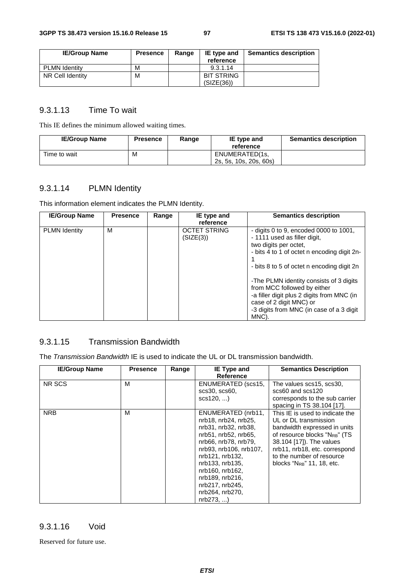| <b>IE/Group Name</b> | <b>Presence</b> | Range | IE type and<br>reference | <b>Semantics description</b> |
|----------------------|-----------------|-------|--------------------------|------------------------------|
| <b>PLMN Identity</b> | M               |       | 9.3.1.14                 |                              |
| NR Cell Identity     | M               |       | <b>BIT STRING</b>        |                              |
|                      |                 |       | (SIZE(36))               |                              |

# 9.3.1.13 Time To wait

This IE defines the minimum allowed waiting times.

| <b>IE/Group Name</b> | <b>Presence</b> | Range | IE type and<br>reference                 | <b>Semantics description</b> |
|----------------------|-----------------|-------|------------------------------------------|------------------------------|
| Time to wait         | M               |       | ENUMERATED(1s,<br>2s. 5s. 10s. 20s. 60s) |                              |

# 9.3.1.14 PLMN Identity

This information element indicates the PLMN Identity.

| <b>IE/Group Name</b> | <b>Presence</b> | Range | IE type and<br>reference         | <b>Semantics description</b>                                                                                                                                                                                                                                                                                                                                                                           |
|----------------------|-----------------|-------|----------------------------------|--------------------------------------------------------------------------------------------------------------------------------------------------------------------------------------------------------------------------------------------------------------------------------------------------------------------------------------------------------------------------------------------------------|
| <b>PLMN Identity</b> | м               |       | <b>OCTET STRING</b><br>(SIZE(3)) | - digits 0 to 9, encoded 0000 to $1001$ ,<br>- 1111 used as filler digit,<br>two digits per octet,<br>- bits 4 to 1 of octet n encoding digit 2n-<br>- bits 8 to 5 of octet n encoding digit 2n<br>-The PLMN identity consists of 3 digits<br>from MCC followed by either<br>-a filler digit plus 2 digits from MNC (in<br>case of 2 digit MNC) or<br>-3 digits from MNC (in case of a 3 digit<br>MNC) |

## 9.3.1.15 Transmission Bandwidth

The *Transmission Bandwidth* IE is used to indicate the UL or DL transmission bandwidth.

| <b>IE/Group Name</b> | <b>Presence</b> | Range | <b>IE Type and</b><br>Reference                                                                                                                                                                                                                                           | <b>Semantics Description</b>                                                                                                                                                                                                                                 |
|----------------------|-----------------|-------|---------------------------------------------------------------------------------------------------------------------------------------------------------------------------------------------------------------------------------------------------------------------------|--------------------------------------------------------------------------------------------------------------------------------------------------------------------------------------------------------------------------------------------------------------|
| NR SCS               | м               |       | ENUMERATED (scs15,<br>scs30, scs60,<br>$scs120$ ,                                                                                                                                                                                                                         | The values scs15, scs30,<br>scs60 and scs120<br>corresponds to the sub carrier<br>spacing in TS 38.104 [17].                                                                                                                                                 |
| <b>NRB</b>           | м               |       | ENUMERATED (nrb11,<br>nrb18, nrb24, nrb25,<br>nrb31, nrb32, nrb38,<br>nrb51, nrb52, nrb65,<br>nrb66, nrb78, nrb79,<br>nrb93, nrb106, nrb107,<br>nrb121, nrb132,<br>nrb133, nrb135,<br>nrb160, nrb162,<br>nrb189, nrb216,<br>nrb217, nrb245,<br>nrb264, nrb270,<br>nrb273, | This IE is used to indicate the<br>UL or DL transmission<br>bandwidth expressed in units<br>of resource blocks "NRB" (TS<br>38.104 [17]). The values<br>nrb11, nrb18, etc. correspond<br>to the number of resource<br>blocks "N <sub>RB</sub> " 11, 18, etc. |

## 9.3.1.16 Void

Reserved for future use.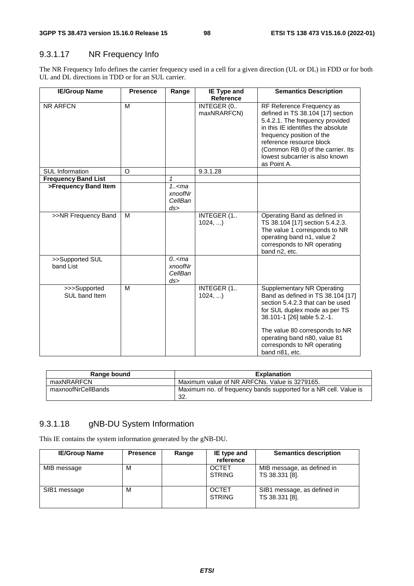# 9.3.1.17 NR Frequency Info

The NR Frequency Info defines the carrier frequency used in a cell for a given direction (UL or DL) in FDD or for both UL and DL directions in TDD or for an SUL carrier.

| <b>IE/Group Name</b>          | <b>Presence</b> | Range                                 | <b>IE Type and</b><br><b>Reference</b> | <b>Semantics Description</b>                                                                                                                                                                                                                                                                  |
|-------------------------------|-----------------|---------------------------------------|----------------------------------------|-----------------------------------------------------------------------------------------------------------------------------------------------------------------------------------------------------------------------------------------------------------------------------------------------|
| NR ARFCN                      | M               |                                       | INTEGER (0<br>maxNRARFCN)              | RF Reference Frequency as<br>defined in TS 38.104 [17] section<br>5.4.2.1. The frequency provided<br>in this IE identifies the absolute<br>frequency position of the<br>reference resource block<br>(Common RB 0) of the carrier. Its<br>lowest subcarrier is also known<br>as Point A.       |
| <b>SUL Information</b>        | O               |                                       | 9.3.1.28                               |                                                                                                                                                                                                                                                                                               |
| <b>Frequency Band List</b>    |                 | $\mathbf{1}$                          |                                        |                                                                                                                                                                                                                                                                                               |
| >Frequency Band Item          |                 | 1.5<br>xnoofNr<br>CellBan<br>ds       |                                        |                                                                                                                                                                                                                                                                                               |
| >>NR Frequency Band           | M               |                                       | INTEGER (1<br>1024,                    | Operating Band as defined in<br>TS 38.104 [17] section 5.4.2.3.<br>The value 1 corresponds to NR<br>operating band n1, value 2<br>corresponds to NR operating<br>band n2, etc.                                                                                                                |
| >>Supported SUL<br>band List  |                 | $0.5$ cma<br>xnoofNr<br>CellBan<br>ds |                                        |                                                                                                                                                                                                                                                                                               |
| >>>Supported<br>SUL band Item | M               |                                       | INTEGER (1<br>1024,                    | <b>Supplementary NR Operating</b><br>Band as defined in TS 38.104 [17]<br>section 5.4.2.3 that can be used<br>for SUL duplex mode as per TS<br>38.101-1 [26] table 5.2.-1.<br>The value 80 corresponds to NR<br>operating band n80, value 81<br>corresponds to NR operating<br>band n81, etc. |

| Range bound        | <b>Explanation</b>                                                       |
|--------------------|--------------------------------------------------------------------------|
| maxNRARFCN         | Maximum value of NR ARFCNs. Value is 3279165.                            |
| maxnoofNrCellBands | Maximum no. of frequency bands supported for a NR cell. Value is<br>-32. |

# 9.3.1.18 gNB-DU System Information

This IE contains the system information generated by the gNB-DU.

| <b>IE/Group Name</b> | <b>Presence</b> | Range | IE type and<br>reference      | <b>Semantics description</b>                  |
|----------------------|-----------------|-------|-------------------------------|-----------------------------------------------|
| MIB message          | м               |       | <b>OCTET</b><br><b>STRING</b> | MIB message, as defined in<br>TS 38.331 [8].  |
| SIB1 message         | м               |       | <b>OCTET</b><br><b>STRING</b> | SIB1 message, as defined in<br>TS 38.331 [8]. |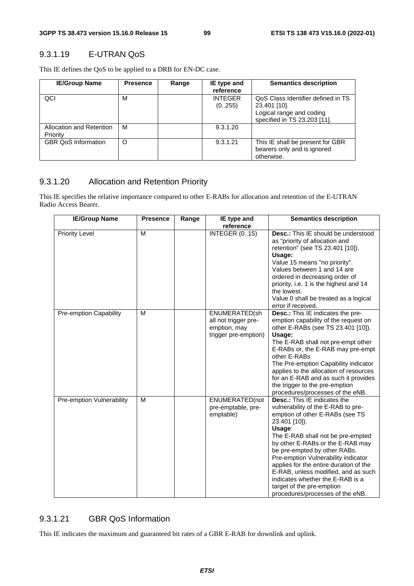# 9.3.1.19 E-UTRAN QoS

This IE defines the QoS to be applied to a DRB for EN-DC case.

| <b>IE/Group Name</b>                 | <b>Presence</b> | Range | IE type and<br>reference | <b>Semantics description</b>                                                                                   |
|--------------------------------------|-----------------|-------|--------------------------|----------------------------------------------------------------------------------------------------------------|
| QCI                                  | М               |       | <b>INTEGER</b><br>(0255) | QoS Class Identifier defined in TS<br>23.401 [10].<br>Logical range and coding<br>specified in TS 23.203 [11]. |
| Allocation and Retention<br>Priority | M               |       | 9.3.1.20                 |                                                                                                                |
| <b>GBR QoS Information</b>           | O               |       | 9.3.1.21                 | This IE shall be present for GBR<br>bearers only and is ignored<br>otherwise.                                  |

## 9.3.1.20 Allocation and Retention Priority

This IE specifies the relative importance compared to other E-RABs for allocation and retention of the E-UTRAN Radio Access Bearer.

| <b>IE/Group Name</b>      | <b>Presence</b> | Range | IE type and<br>reference                                                      | <b>Semantics description</b>                                                                                                                                                                                                                                                                                                                                                                                                                                                  |
|---------------------------|-----------------|-------|-------------------------------------------------------------------------------|-------------------------------------------------------------------------------------------------------------------------------------------------------------------------------------------------------------------------------------------------------------------------------------------------------------------------------------------------------------------------------------------------------------------------------------------------------------------------------|
| <b>Priority Level</b>     | M               |       | <b>INTEGER (015)</b>                                                          | <b>Desc.:</b> This IE should be understood<br>as "priority of allocation and<br>retention" (see TS 23.401 [10]).<br>Usage:<br>Value 15 means "no priority".<br>Values between 1 and 14 are<br>ordered in decreasing order of<br>priority, i.e. 1 is the highest and 14<br>the lowest.<br>Value 0 shall be treated as a logical<br>error if received.                                                                                                                          |
| Pre-emption Capability    | M               |       | ENUMERATED(sh<br>all not trigger pre-<br>emption, may<br>trigger pre-emption) | Desc.: This IE indicates the pre-<br>emption capability of the request on<br>other E-RABs (see TS 23.401 [10]).<br>Usage:<br>The E-RAB shall not pre-empt other<br>E-RABs or, the E-RAB may pre-empt<br>other E-RABs<br>The Pre-emption Capability indicator<br>applies to the allocation of resources<br>for an E-RAB and as such it provides<br>the trigger to the pre-emption<br>procedures/processes of the eNB.                                                          |
| Pre-emption Vulnerability | M               |       | ENUMERATED(not<br>pre-emptable, pre-<br>emptable)                             | <b>Desc.:</b> This IE indicates the<br>vulnerability of the E-RAB to pre-<br>emption of other E-RABs (see TS<br>23.401 [10]).<br>Usage:<br>The E-RAB shall not be pre-empted<br>by other E-RABs or the E-RAB may<br>be pre-empted by other RABs.<br>Pre-emption Vulnerability indicator<br>applies for the entire duration of the<br>E-RAB, unless modified, and as such<br>indicates whether the E-RAB is a<br>target of the pre-emption<br>procedures/processes of the eNB. |

# 9.3.1.21 GBR QoS Information

This IE indicates the maximum and guaranteed bit rates of a GBR E-RAB for downlink and uplink.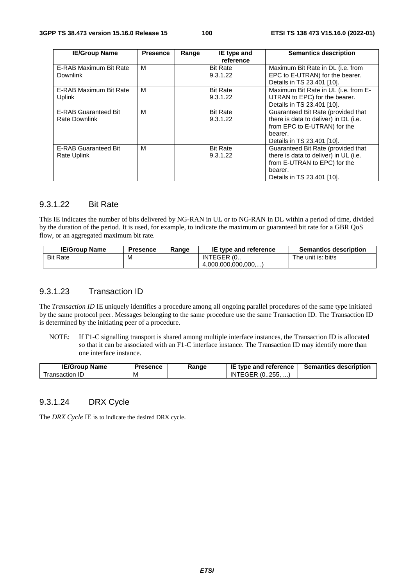| <b>IE/Group Name</b>                                | <b>Presence</b> | Range | IE type and<br>reference    | <b>Semantics description</b>                                                                                                                         |
|-----------------------------------------------------|-----------------|-------|-----------------------------|------------------------------------------------------------------------------------------------------------------------------------------------------|
| E-RAB Maximum Bit Rate<br><b>Downlink</b>           | M               |       | <b>Bit Rate</b><br>9.3.1.22 | Maximum Bit Rate in DL (i.e. from<br>EPC to E-UTRAN) for the bearer.<br>Details in TS 23.401 [10].                                                   |
| E-RAB Maximum Bit Rate<br><b>Uplink</b>             | М               |       | <b>Bit Rate</b><br>9.3.1.22 | Maximum Bit Rate in UL (i.e. from E-<br>UTRAN to EPC) for the bearer.<br>Details in TS 23.401 [10].                                                  |
| <b>E-RAB Guaranteed Bit</b><br><b>Rate Downlink</b> | M               |       | <b>Bit Rate</b><br>9.3.1.22 | Guaranteed Bit Rate (provided that<br>there is data to deliver) in DL (i.e.<br>from EPC to E-UTRAN) for the<br>bearer.<br>Details in TS 23.401 [10]. |
| <b>E-RAB Guaranteed Bit</b><br>Rate Uplink          | M               |       | <b>Bit Rate</b><br>9.3.1.22 | Guaranteed Bit Rate (provided that<br>there is data to deliver) in UL (i.e.<br>from E-UTRAN to EPC) for the<br>bearer.<br>Details in TS 23.401 [10]. |

#### 9.3.1.22 Bit Rate

This IE indicates the number of bits delivered by NG-RAN in UL or to NG-RAN in DL within a period of time, divided by the duration of the period. It is used, for example, to indicate the maximum or guaranteed bit rate for a GBR QoS flow, or an aggregated maximum bit rate.

| <b>IE/Group Name</b> | Presence | Range | <b>IE type and reference</b> | <b>Semantics description</b> |
|----------------------|----------|-------|------------------------------|------------------------------|
| <b>Bit Rate</b>      | M        |       | INTEGER (0                   | The unit is: bit/s           |
|                      |          |       | (4.000.000.000.000)          |                              |

#### 9.3.1.23 Transaction ID

The *Transaction ID* IE uniquely identifies a procedure among all ongoing parallel procedures of the same type initiated by the same protocol peer. Messages belonging to the same procedure use the same Transaction ID. The Transaction ID is determined by the initiating peer of a procedure.

NOTE: If F1-C signalling transport is shared among multiple interface instances, the Transaction ID is allocated so that it can be associated with an F1-C interface instance. The Transaction ID may identify more than one interface instance.

| 'E/Group<br>Name  | Presence | Range | IE<br>tvpe and<br>' reference                         | <b>Semantics description</b> |
|-------------------|----------|-------|-------------------------------------------------------|------------------------------|
| ransaction<br>1 L | . M      |       | つらり<br>$\Omega$<br>ΙN<br>. <i>.</i><br>. U. . Z J J 1 |                              |

## 9.3.1.24 DRX Cycle

The *DRX Cycle* IE is to indicate the desired DRX cycle.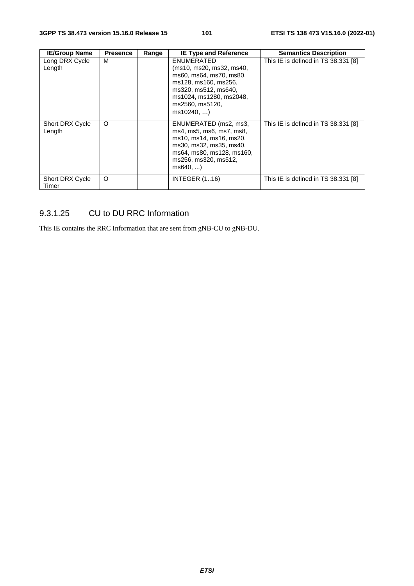| <b>IE/Group Name</b>            | <b>Presence</b> | Range | <b>IE Type and Reference</b>                                                                                                                                                 | <b>Semantics Description</b>        |
|---------------------------------|-----------------|-------|------------------------------------------------------------------------------------------------------------------------------------------------------------------------------|-------------------------------------|
| Long DRX Cycle<br>Length        | м               |       | ENUMERATED<br>(ms10, ms20, ms32, ms40,<br>ms60, ms64, ms70, ms80,<br>ms128, ms160, ms256,<br>ms320, ms512, ms640,<br>ms1024, ms1280, ms2048,<br>ms2560, ms5120,<br>ms10240,) | This IE is defined in TS 38.331 [8] |
| Short DRX Cycle<br>Length       | $\circ$         |       | ENUMERATED (ms2, ms3,<br>ms4, ms5, ms6, ms7, ms8,<br>ms10, ms14, ms16, ms20,<br>ms30, ms32, ms35, ms40,<br>ms64, ms80, ms128, ms160,<br>ms256, ms320, ms512,<br>ms640,       | This IE is defined in TS 38.331 [8] |
| <b>Short DRX Cycle</b><br>Timer | O               |       | <b>INTEGER (116)</b>                                                                                                                                                         | This IE is defined in TS 38.331 [8] |

# 9.3.1.25 CU to DU RRC Information

This IE contains the RRC Information that are sent from gNB-CU to gNB-DU.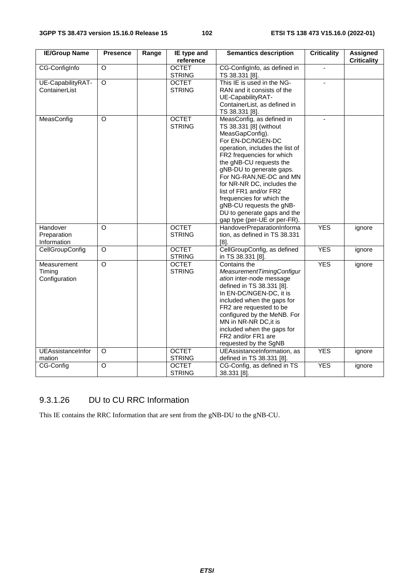| <b>IE/Group Name</b> | <b>Presence</b>    | Range | IE type and   | <b>Semantics description</b>                          | <b>Criticality</b> | <b>Assigned</b>    |
|----------------------|--------------------|-------|---------------|-------------------------------------------------------|--------------------|--------------------|
|                      |                    |       | reference     |                                                       |                    | <b>Criticality</b> |
| CG-ConfigInfo        | $\circ$            |       | <b>OCTET</b>  | CG-ConfigInfo, as defined in                          | $\mathbf{r}$       |                    |
|                      |                    |       | <b>STRING</b> | TS 38.331 [8].                                        |                    |                    |
| UE-CapabilityRAT-    | $\overline{\circ}$ |       | <b>OCTET</b>  | This IE is used in the NG-                            |                    |                    |
| ContainerList        |                    |       | <b>STRING</b> | RAN and it consists of the                            |                    |                    |
|                      |                    |       |               | UE-CapabilityRAT-                                     |                    |                    |
|                      |                    |       |               | ContainerList, as defined in                          |                    |                    |
| MeasConfig           | O                  |       | <b>OCTET</b>  | TS 38.331 [8].<br>MeasConfig, as defined in           |                    |                    |
|                      |                    |       | <b>STRING</b> | TS 38.331 [8] (without                                |                    |                    |
|                      |                    |       |               | MeasGapConfig).                                       |                    |                    |
|                      |                    |       |               | For EN-DC/NGEN-DC                                     |                    |                    |
|                      |                    |       |               | operation, includes the list of                       |                    |                    |
|                      |                    |       |               | FR2 frequencies for which                             |                    |                    |
|                      |                    |       |               | the gNB-CU requests the                               |                    |                    |
|                      |                    |       |               | gNB-DU to generate gaps.                              |                    |                    |
|                      |                    |       |               | For NG-RAN, NE-DC and MN                              |                    |                    |
|                      |                    |       |               | for NR-NR DC, includes the                            |                    |                    |
|                      |                    |       |               | list of FR1 and/or FR2                                |                    |                    |
|                      |                    |       |               | frequencies for which the                             |                    |                    |
|                      |                    |       |               | gNB-CU requests the gNB-                              |                    |                    |
|                      |                    |       |               | DU to generate gaps and the                           |                    |                    |
|                      |                    |       |               | gap type (per-UE or per-FR).                          |                    |                    |
| Handover             | $\circ$            |       | <b>OCTET</b>  | HandoverPreparationInforma                            | <b>YES</b>         | ignore             |
| Preparation          |                    |       | <b>STRING</b> | tion, as defined in TS 38.331                         |                    |                    |
| Information          |                    |       |               | $[8]$ .                                               |                    |                    |
| CellGroupConfig      | $\circ$            |       | <b>OCTET</b>  | CellGroupConfig, as defined                           | <b>YES</b>         | ignore             |
|                      |                    |       | <b>STRING</b> | in TS 38.331 [8].                                     |                    |                    |
| Measurement          | $\circ$            |       | <b>OCTET</b>  | Contains the                                          | <b>YES</b>         | ignore             |
| Timing               |                    |       | <b>STRING</b> | MeasurementTimingConfigur                             |                    |                    |
| Configuration        |                    |       |               | ation inter-node message<br>defined in TS 38.331 [8]. |                    |                    |
|                      |                    |       |               | In EN-DC/NGEN-DC, it is                               |                    |                    |
|                      |                    |       |               | included when the gaps for                            |                    |                    |
|                      |                    |       |               | FR2 are requested to be                               |                    |                    |
|                      |                    |       |               | configured by the MeNB. For                           |                    |                    |
|                      |                    |       |               | MN in NR-NR DC, it is                                 |                    |                    |
|                      |                    |       |               | included when the gaps for                            |                    |                    |
|                      |                    |       |               | FR2 and/or FR1 are                                    |                    |                    |
|                      |                    |       |               | requested by the SgNB                                 |                    |                    |
| UEAssistanceInfor    | $\circ$            |       | <b>OCTET</b>  | UEAssistanceInformation, as                           | <b>YES</b>         | ignore             |
| mation               |                    |       | <b>STRING</b> | defined in TS 38.331 [8].                             |                    |                    |
| CG-Config            | $\circ$            |       | <b>OCTET</b>  | CG-Config, as defined in TS                           | <b>YES</b>         | ignore             |
|                      |                    |       | <b>STRING</b> | 38.331 [8].                                           |                    |                    |

# 9.3.1.26 DU to CU RRC Information

This IE contains the RRC Information that are sent from the gNB-DU to the gNB-CU.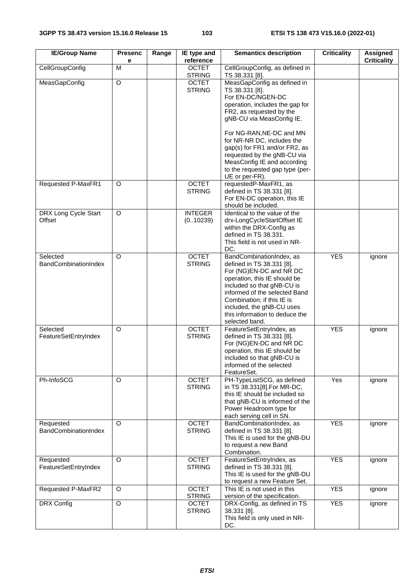| <b>IE/Group Name</b>                    | <b>Presenc</b><br>е | Range | IE type and<br>reference      | <b>Semantics description</b>                                                                                                                                                                                                                                                                   | <b>Criticality</b> | Assigned<br><b>Criticality</b> |
|-----------------------------------------|---------------------|-------|-------------------------------|------------------------------------------------------------------------------------------------------------------------------------------------------------------------------------------------------------------------------------------------------------------------------------------------|--------------------|--------------------------------|
| CellGroupConfig                         | M                   |       | <b>OCTET</b><br><b>STRING</b> | CellGroupConfig, as defined in<br>TS 38.331 [8].                                                                                                                                                                                                                                               |                    |                                |
| MeasGapConfig                           | O                   |       | <b>OCTET</b><br><b>STRING</b> | MeasGapConfig as defined in<br>TS 38.331 [8].<br>For EN-DC/NGEN-DC<br>operation, includes the gap for<br>FR2, as requested by the<br>gNB-CU via MeasConfig IE.                                                                                                                                 |                    |                                |
|                                         |                     |       |                               | For NG-RAN, NE-DC and MN<br>for NR-NR DC, includes the<br>gap(s) for FR1 and/or FR2, as<br>requested by the gNB-CU via<br>MeasConfig IE and according<br>to the requested gap type (per-<br>UE or per-FR).                                                                                     |                    |                                |
| Requested P-MaxFR1                      | O                   |       | <b>OCTET</b><br><b>STRING</b> | requestedP-MaxFR1, as<br>defined in TS 38.331 [8].<br>For EN-DC operation, this IE<br>should be included.                                                                                                                                                                                      |                    |                                |
| DRX Long Cycle Start<br>Offset          | O                   |       | <b>INTEGER</b><br>(0.10239)   | Identical to the value of the<br>drx-LongCycleStartOffset IE<br>within the DRX-Config as<br>defined in TS 38.331.<br>This field is not used in NR-<br>DC.                                                                                                                                      |                    |                                |
| Selected<br><b>BandCombinationIndex</b> | O                   |       | <b>OCTET</b><br><b>STRING</b> | BandCombinationIndex, as<br>defined in TS 38.331 [8].<br>For (NG)EN-DC and NR DC<br>operation, this IE should be<br>included so that gNB-CU is<br>informed of the selected Band<br>Combination; if this IE is<br>included, the gNB-CU uses<br>this information to deduce the<br>selected band. | <b>YES</b>         | ignore                         |
| Selected<br>FeatureSetEntryIndex        | O                   |       | <b>OCTET</b><br><b>STRING</b> | FeatureSetEntryIndex, as<br>defined in TS 38.331 [8].<br>For (NG)EN-DC and NR DC<br>operation, this IE should be<br>included so that gNB-CU is<br>informed of the selected<br>FeatureSet.                                                                                                      | <b>YES</b>         | ignore                         |
| Ph-InfoSCG                              | O                   |       | <b>OCTET</b><br><b>STRING</b> | PH-TypeListSCG, as defined<br>in TS 38.331[8].For MR-DC,<br>this IE should be included so<br>that gNB-CU is informed of the<br>Power Headroom type for<br>each serving cell in SN.                                                                                                             | $\overline{Yes}$   | ignore                         |
| Requested<br>BandCombinationIndex       | O                   |       | <b>OCTET</b><br><b>STRING</b> | BandCombinationIndex, as<br>defined in TS 38.331 [8].<br>This IE is used for the gNB-DU<br>to request a new Band<br>Combination.                                                                                                                                                               | <b>YES</b>         | ignore                         |
| Requested<br>FeatureSetEntryIndex       | O                   |       | <b>OCTET</b><br><b>STRING</b> | FeatureSetEntryIndex, as<br>defined in TS 38.331 [8].<br>This IE is used for the gNB-DU<br>to request a new Feature Set.                                                                                                                                                                       | <b>YES</b>         | ignore                         |
| Requested P-MaxFR2                      | O                   |       | <b>OCTET</b><br><b>STRING</b> | This IE is not used in this<br>version of the specification.                                                                                                                                                                                                                                   | <b>YES</b>         | ignore                         |
| DRX Config                              | $\circ$             |       | <b>OCTET</b><br><b>STRING</b> | DRX-Config, as defined in TS<br>38.331 [8].<br>This field is only used in NR-<br>DC.                                                                                                                                                                                                           | <b>YES</b>         | ignore                         |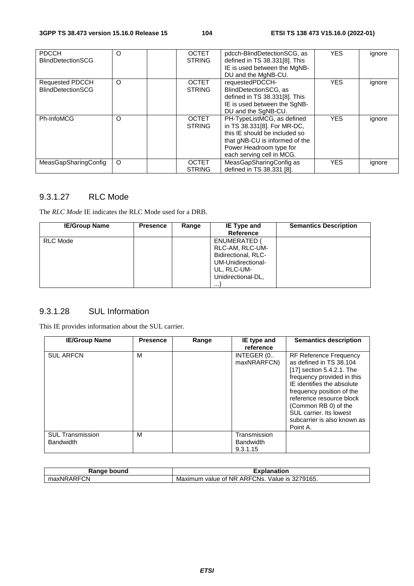| <b>PDCCH</b><br><b>BlindDetectionSCG</b>           | O | <b>OCTET</b><br><b>STRING</b> | pdcch-BlindDetectionSCG, as<br>defined in TS 38.331[8]. This<br>IE is used between the MgNB-<br>DU and the MgNB-CU.                                                                  | <b>YES</b> | ignore |
|----------------------------------------------------|---|-------------------------------|--------------------------------------------------------------------------------------------------------------------------------------------------------------------------------------|------------|--------|
| <b>Requested PDCCH</b><br><b>BlindDetectionSCG</b> | O | <b>OCTET</b><br><b>STRING</b> | requestedPDCCH-<br>BlindDetectionSCG, as<br>defined in TS 38.331[8]. This<br>IE is used between the SgNB-<br>DU and the SqNB-CU.                                                     | <b>YES</b> | ignore |
| <b>Ph-InfoMCG</b>                                  | O | <b>OCTET</b><br><b>STRING</b> | PH-TypeListMCG, as defined<br>in TS 38.331[8]. For MR-DC,<br>this IE should be included so<br>that gNB-CU is informed of the<br>Power Headroom type for<br>each serving cell in MCG. | <b>YES</b> | ignore |
| MeasGapSharingConfig                               | O | <b>OCTET</b><br><b>STRING</b> | MeasGapSharingConfig as<br>defined in TS 38.331 [8].                                                                                                                                 | YES.       | ignore |

# 9.3.1.27 RLC Mode

The *RLC Mode* IE indicates the RLC Mode used for a DRB.

| <b>IE/Group Name</b> | <b>Presence</b> | Range | IE Type and         | <b>Semantics Description</b> |
|----------------------|-----------------|-------|---------------------|------------------------------|
|                      |                 |       | Reference           |                              |
| <b>RLC Mode</b>      |                 |       | ENUMERATED (        |                              |
|                      |                 |       | RLC-AM, RLC-UM-     |                              |
|                      |                 |       | Bidirectional, RLC- |                              |
|                      |                 |       | UM-Unidirectional-  |                              |
|                      |                 |       | UL, RLC-UM-         |                              |
|                      |                 |       | Unidirectional-DL,  |                              |
|                      |                 |       |                     |                              |

# 9.3.1.28 SUL Information

This IE provides information about the SUL carrier.

| <b>IE/Group Name</b>                        | <b>Presence</b> | Range | IE type and                                  | <b>Semantics description</b>                                                                                                                                                                                                                                                                             |
|---------------------------------------------|-----------------|-------|----------------------------------------------|----------------------------------------------------------------------------------------------------------------------------------------------------------------------------------------------------------------------------------------------------------------------------------------------------------|
|                                             |                 |       | reference                                    |                                                                                                                                                                                                                                                                                                          |
| <b>SUL ARFCN</b>                            | M               |       | INTEGER (0<br>maxNRARFCN)                    | <b>RF Reference Frequency</b><br>as defined in TS 38.104<br>[17] section 5.4.2.1. The<br>frequency provided in this<br>IE identifies the absolute<br>frequency position of the<br>reference resource block<br>(Common RB 0) of the<br>SUL carrier. Its lowest<br>subcarrier is also known as<br>Point A. |
| <b>SUL Transmission</b><br><b>Bandwidth</b> | М               |       | Transmission<br><b>Bandwidth</b><br>9.3.1.15 |                                                                                                                                                                                                                                                                                                          |

| Range bound | <b>Explanation</b>                                               |
|-------------|------------------------------------------------------------------|
| maxNRARFCN  | ' ARFCNs.<br>Value is 3279165.<br>$\cdot$ value of NR<br>Maximum |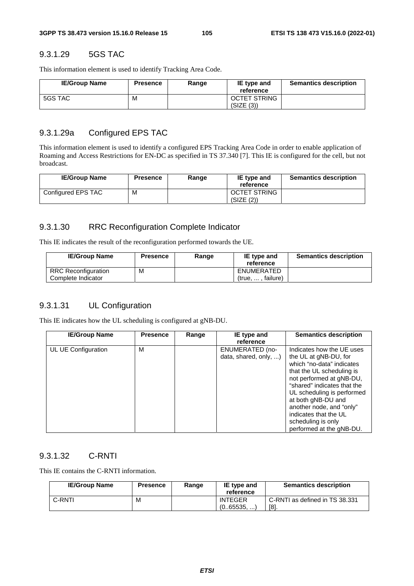## 9.3.1.29 5GS TAC

This information element is used to identify Tracking Area Code.

| <b>IE/Group Name</b> | <b>Presence</b> | Range | IE type and<br>reference   | <b>Semantics description</b> |
|----------------------|-----------------|-------|----------------------------|------------------------------|
| 5GS TAC              | М               |       | OCTET STRING<br>(SIZE (3)) |                              |

#### 9.3.1.29a Configured EPS TAC

This information element is used to identify a configured EPS Tracking Area Code in order to enable application of Roaming and Access Restrictions for EN-DC as specified in TS 37.340 [7]. This IE is configured for the cell, but not broadcast.

| <b>IE/Group Name</b> | <b>Presence</b> | Range | IE type and<br>reference   | <b>Semantics description</b> |
|----------------------|-----------------|-------|----------------------------|------------------------------|
| Configured EPS TAC   | M               |       | OCTET STRING<br>(SIZE (2)) |                              |

## 9.3.1.30 RRC Reconfiguration Complete Indicator

This IE indicates the result of the reconfiguration performed towards the UE.

| <b>IE/Group Name</b>       | <b>Presence</b> | Range | IE type and                  | <b>Semantics description</b> |
|----------------------------|-----------------|-------|------------------------------|------------------------------|
|                            |                 |       | reference                    |                              |
| <b>RRC Reconfiguration</b> | М               |       | ENUMERATED                   |                              |
| Complete Indicator         |                 |       | failure)<br>(true. $\dots$ . |                              |

#### 9.3.1.31 UL Configuration

This IE indicates how the UL scheduling is configured at gNB-DU.

| <b>IE/Group Name</b> | <b>Presence</b> | Range | IE type and<br>reference                 | <b>Semantics description</b>                                                                                                                                                                                                                                                                                                       |
|----------------------|-----------------|-------|------------------------------------------|------------------------------------------------------------------------------------------------------------------------------------------------------------------------------------------------------------------------------------------------------------------------------------------------------------------------------------|
| UL UE Configuration  | М               |       | ENUMERATED (no-<br>data, shared, only, ) | Indicates how the UE uses<br>the UL at gNB-DU, for<br>which "no-data" indicates<br>that the UL scheduling is<br>not performed at gNB-DU,<br>"shared" indicates that the<br>UL scheduling is performed<br>at both gNB-DU and<br>another node, and "only"<br>indicates that the UL<br>scheduling is only<br>performed at the gNB-DU. |

## 9.3.1.32 C-RNTI

This IE contains the C-RNTI information.

| <b>IE/Group Name</b> | <b>Presence</b> | Range | IE type and<br>reference   | <b>Semantics description</b>           |
|----------------------|-----------------|-------|----------------------------|----------------------------------------|
| C-RNTI               | м               |       | <b>INTEGER</b><br>(065535) | C-RNTI as defined in TS 38.331<br>[8]. |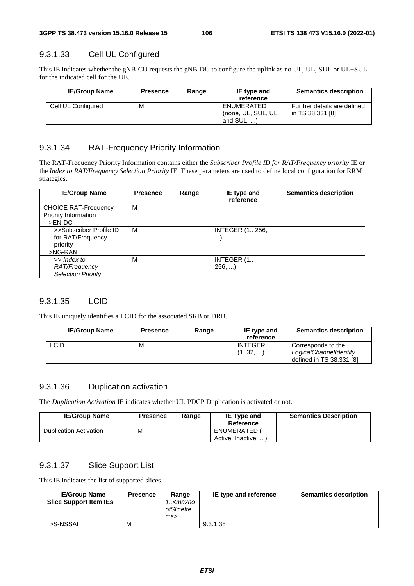# 9.3.1.33 Cell UL Configured

This IE indicates whether the gNB-CU requests the gNB-DU to configure the uplink as no UL, UL, SUL or UL+SUL for the indicated cell for the UE.

| <b>IE/Group Name</b> | <b>Presence</b> | Range | IE type and<br>reference                           | <b>Semantics description</b>                    |
|----------------------|-----------------|-------|----------------------------------------------------|-------------------------------------------------|
| Cell UL Configured   | м               |       | ENUMERATED<br>(none, UL, SUL, UL)<br>and $SUL$ , ) | Further details are defined<br>in TS 38.331 [8] |

## 9.3.1.34 RAT-Frequency Priority Information

The RAT-Frequency Priority Information contains either the *Subscriber Profile ID for RAT/Frequency priority* IE or the *Index to RAT/Frequency Selection Priority* IE. These parameters are used to define local configuration for RRM strategies.

| <b>IE/Group Name</b>        | <b>Presence</b> | Range | IE type and<br>reference | <b>Semantics description</b> |
|-----------------------------|-----------------|-------|--------------------------|------------------------------|
| <b>CHOICE RAT-Frequency</b> | м               |       |                          |                              |
| Priority Information        |                 |       |                          |                              |
| >EN-DC                      |                 |       |                          |                              |
| >>Subscriber Profile ID     | м               |       | <b>INTEGER (1., 256,</b> |                              |
| for RAT/Frequency           |                 |       |                          |                              |
| priority                    |                 |       |                          |                              |
| $>NG-RAN$                   |                 |       |                          |                              |
| >> Index to                 | М               |       | INTEGER (1.              |                              |
| RAT/Frequency               |                 |       | 256,                     |                              |
| <b>Selection Priority</b>   |                 |       |                          |                              |

## 9.3.1.35 LCID

This IE uniquely identifies a LCID for the associated SRB or DRB.

| <b>IE/Group Name</b> | <b>Presence</b> | Range | IE type and<br>reference  | <b>Semantics description</b>                                              |
|----------------------|-----------------|-------|---------------------------|---------------------------------------------------------------------------|
| ∟CID                 | M               |       | <b>INTEGER</b><br>(132, ) | Corresponds to the<br>LogicalChannelIdentity<br>defined in TS 38.331 [8]. |

## 9.3.1.36 Duplication activation

The *Duplication Activation* IE indicates whether UL PDCP Duplication is activated or not.

| <b>IE/Group Name</b>          | <b>Presence</b> | Range | <b>IE Type and</b><br>Reference          | <b>Semantics Description</b> |
|-------------------------------|-----------------|-------|------------------------------------------|------------------------------|
| <b>Duplication Activation</b> | M               |       | <b>ENUMERATED</b><br>Active, Inactive, ) |                              |

# 9.3.1.37 Slice Support List

This IE indicates the list of supported slices.

| <b>IE/Group Name</b>          | <b>Presence</b> | Range                                    | IE type and reference | <b>Semantics description</b> |
|-------------------------------|-----------------|------------------------------------------|-----------------------|------------------------------|
| <b>Slice Support Item IEs</b> |                 | 1 <maxno<br>ofSliceIte<br/>ms</maxno<br> |                       |                              |
| >S-NSSAI                      | M               |                                          | 9.3.1.38              |                              |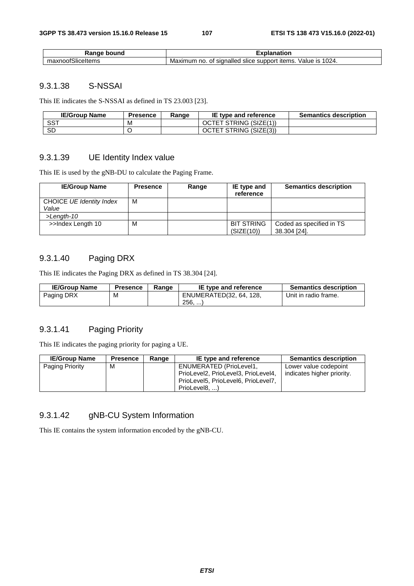| bound<br>ле                      | ınation                                                                            |  |
|----------------------------------|------------------------------------------------------------------------------------|--|
| $\sim$<br>tSliceItems<br>naxnoor | 1024.<br>signalled<br>items<br>support ?<br>Value<br>Maximum<br>slice<br>no.<br>Οt |  |

## 9.3.1.38 S-NSSAI

This IE indicates the S-NSSAI as defined in TS 23.003 [23].

| <b>IE/Group Name</b> | <b>Presence</b> | Range | IE type and reference  | <b>Semantics description</b> |
|----------------------|-----------------|-------|------------------------|------------------------------|
| <b>SST</b>           | м               |       | OCTET STRING (SIZE(1)) |                              |
| <b>SD</b>            |                 |       | OCTET STRING (SIZE(3)) |                              |

# 9.3.1.39 UE Identity Index value

This IE is used by the gNB-DU to calculate the Paging Frame.

| <b>IE/Group Name</b>              | <b>Presence</b> | Range | IE type and<br>reference        | <b>Semantics description</b>             |
|-----------------------------------|-----------------|-------|---------------------------------|------------------------------------------|
| CHOICE UE Identity Index<br>Value | м               |       |                                 |                                          |
| $>$ Length-10                     |                 |       |                                 |                                          |
| >>Index Length 10                 | M               |       | <b>BIT STRING</b><br>(SIZE(10)) | Coded as specified in TS<br>38.304 [24]. |

# 9.3.1.40 Paging DRX

This IE indicates the Paging DRX as defined in TS 38.304 [24].

| <b>IE/Group Name</b> | <b>Presence</b> | Range | IE type and reference   | <b>Semantics description</b> |
|----------------------|-----------------|-------|-------------------------|------------------------------|
| Paging DRX           | M               |       | ENUMERATED(32, 64, 128, | Unit in radio frame.         |
|                      |                 |       | 256,                    |                              |

## 9.3.1.41 Paging Priority

This IE indicates the paging priority for paging a UE.

| <b>IE/Group Name</b> | <b>Presence</b> | Range | IE type and reference                                                                                                  | <b>Semantics description</b>                        |
|----------------------|-----------------|-------|------------------------------------------------------------------------------------------------------------------------|-----------------------------------------------------|
| Paging Priority      | М               |       | ENUMERATED (PrioLevel1,<br>PrioLevel2, PrioLevel3, PrioLevel4,<br>PrioLevel5, PrioLevel6, PrioLevel7,<br>PrioLevel8. ) | Lower value codepoint<br>indicates higher priority. |

## 9.3.1.42 gNB-CU System Information

This IE contains the system information encoded by the gNB-CU.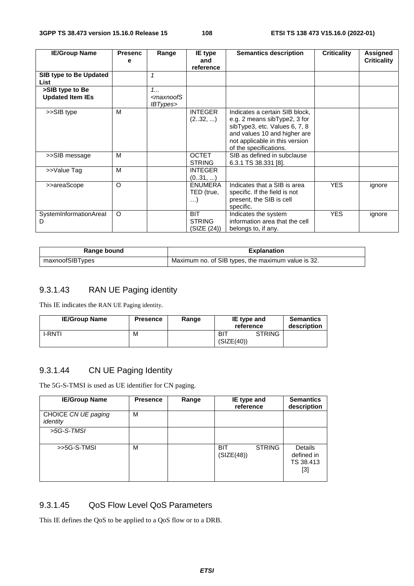| <b>IE/Group Name</b>                       | <b>Presenc</b> | Range                                                    | <b>IE</b> type                             | <b>Semantics description</b>                                                                                                                                                                | <b>Criticality</b> | Assigned           |
|--------------------------------------------|----------------|----------------------------------------------------------|--------------------------------------------|---------------------------------------------------------------------------------------------------------------------------------------------------------------------------------------------|--------------------|--------------------|
|                                            | е              |                                                          | and<br>reference                           |                                                                                                                                                                                             |                    | <b>Criticality</b> |
| SIB type to Be Updated<br>List             |                | 1                                                        |                                            |                                                                                                                                                                                             |                    |                    |
| >SIB type to Be<br><b>Updated Item IEs</b> |                | 1<br><i><maxnoofs< i=""><br/>IBTypes&gt;</maxnoofs<></i> |                                            |                                                                                                                                                                                             |                    |                    |
| >>SIB type                                 | M              |                                                          | <b>INTEGER</b><br>(232, )                  | Indicates a certain SIB block,<br>e.g. 2 means sibType2, 3 for<br>sibType3, etc. Values 6, 7, 8<br>and values 10 and higher are<br>not applicable in this version<br>of the specifications. |                    |                    |
| >>SIB message                              | M              |                                                          | <b>OCTET</b><br><b>STRING</b>              | SIB as defined in subclause<br>6.3.1 TS 38.331 [8].                                                                                                                                         |                    |                    |
| >>Value Tag                                | M              |                                                          | <b>INTEGER</b><br>(031, )                  |                                                                                                                                                                                             |                    |                    |
| >>areaScope                                | $\Omega$       |                                                          | <b>ENUMERA</b><br>TED (true,<br>$\ldots$   | Indicates that a SIB is area<br>specific. If the field is not<br>present, the SIB is cell<br>specific.                                                                                      | <b>YES</b>         | ignore             |
| SystemInformationAreal<br>D                | O              |                                                          | <b>BIT</b><br><b>STRING</b><br>(SIZE (24)) | Indicates the system<br>information area that the cell<br>belongs to, if any.                                                                                                               | <b>YES</b>         | ignore             |

| Range bound     | <b>Explanation</b>                                 |
|-----------------|----------------------------------------------------|
| maxnoofSIBTypes | Maximum no. of SIB types, the maximum value is 32. |

# 9.3.1.43 RAN UE Paging identity

This IE indicates the RAN UE Paging identity.

| <b>IE/Group Name</b> | <b>Presence</b> | Range | IE type and<br>reference           | <b>Semantics</b><br>description |
|----------------------|-----------------|-------|------------------------------------|---------------------------------|
| <b>I-RNTI</b>        | M               |       | <b>STRING</b><br>BIT<br>(SIZE(40)) |                                 |

## 9.3.1.44 CN UE Paging Identity

The 5G-S-TMSI is used as UE identifier for CN paging.

| <b>IE/Group Name</b>            | <b>Presence</b> | Range | IE type and<br>reference                  | <b>Semantics</b><br>description                    |
|---------------------------------|-----------------|-------|-------------------------------------------|----------------------------------------------------|
| CHOICE CN UE paging<br>identity | М               |       |                                           |                                                    |
| $>5G-S-TMSI$                    |                 |       |                                           |                                                    |
| >>5G-S-TMSI                     | М               |       | <b>STRING</b><br><b>BIT</b><br>(SIZE(48)) | <b>Details</b><br>defined in<br>TS 38.413<br>$[3]$ |

## 9.3.1.45 QoS Flow Level QoS Parameters

This IE defines the QoS to be applied to a QoS flow or to a DRB.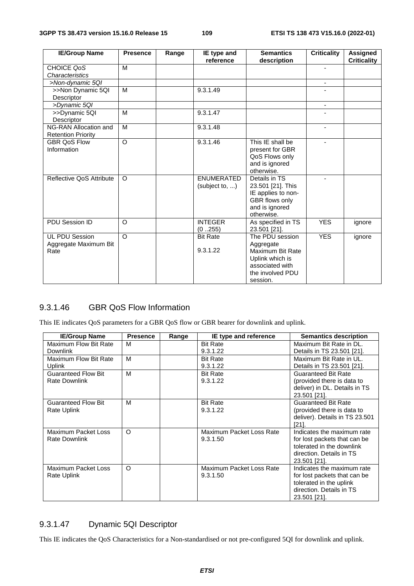| <b>IE/Group Name</b>      | <b>Presence</b> | Range | IE type and       | <b>Semantics</b>   | <b>Criticality</b>       | Assigned           |
|---------------------------|-----------------|-------|-------------------|--------------------|--------------------------|--------------------|
|                           |                 |       | reference         | description        |                          | <b>Criticality</b> |
| CHOICE QoS                | M               |       |                   |                    |                          |                    |
| Characteristics           |                 |       |                   |                    |                          |                    |
| >Non-dynamic 5QI          |                 |       |                   |                    | $\overline{\phantom{a}}$ |                    |
| >>Non Dynamic 5QI         | M               |       | 9.3.1.49          |                    |                          |                    |
| Descriptor                |                 |       |                   |                    |                          |                    |
| >Dynamic 5QI              |                 |       |                   |                    | $\overline{\phantom{a}}$ |                    |
| >>Dynamic 5QI             | M               |       | 9.3.1.47          |                    |                          |                    |
| Descriptor                |                 |       |                   |                    |                          |                    |
| NG-RAN Allocation and     | M               |       | 9.3.1.48          |                    | ٠                        |                    |
| <b>Retention Priority</b> |                 |       |                   |                    |                          |                    |
| <b>GBR QoS Flow</b>       | $\circ$         |       | 9.3.1.46          | This IE shall be   | ä,                       |                    |
| Information               |                 |       |                   | present for GBR    |                          |                    |
|                           |                 |       |                   | QoS Flows only     |                          |                    |
|                           |                 |       |                   | and is ignored     |                          |                    |
|                           |                 |       |                   | otherwise.         |                          |                    |
| Reflective QoS Attribute  | $\Omega$        |       | <b>ENUMERATED</b> | Details in TS      |                          |                    |
|                           |                 |       | (subject to, )    | 23.501 [21]. This  |                          |                    |
|                           |                 |       |                   | IE applies to non- |                          |                    |
|                           |                 |       |                   | GBR flows only     |                          |                    |
|                           |                 |       |                   | and is ignored     |                          |                    |
|                           |                 |       |                   | otherwise.         |                          |                    |
| PDU Session ID            | $\circ$         |       | <b>INTEGER</b>    | As specified in TS | <b>YES</b>               | ignore             |
|                           |                 |       | (0.255)           | 23.501 [21].       |                          |                    |
| <b>UL PDU Session</b>     | $\circ$         |       | <b>Bit Rate</b>   | The PDU session    | <b>YES</b>               | ignore             |
| Aggregate Maximum Bit     |                 |       |                   | Aggregate          |                          |                    |
| Rate                      |                 |       | 9.3.1.22          | Maximum Bit Rate   |                          |                    |
|                           |                 |       |                   | Uplink which is    |                          |                    |
|                           |                 |       |                   | associated with    |                          |                    |
|                           |                 |       |                   | the involved PDU   |                          |                    |
|                           |                 |       |                   | session.           |                          |                    |

#### 9.3.1.46 GBR QoS Flow Information

This IE indicates QoS parameters for a GBR QoS flow or GBR bearer for downlink and uplink.

| <b>IE/Group Name</b>       | <b>Presence</b> | Range | IE type and reference    | <b>Semantics description</b>   |
|----------------------------|-----------------|-------|--------------------------|--------------------------------|
| Maximum Flow Bit Rate      | M               |       | <b>Bit Rate</b>          | Maximum Bit Rate in DL.        |
| <b>Downlink</b>            |                 |       | 9.3.1.22                 | Details in TS 23.501 [21].     |
| Maximum Flow Bit Rate      | M               |       | <b>Bit Rate</b>          | Maximum Bit Rate in UL.        |
| <b>Uplink</b>              |                 |       | 9.3.1.22                 | Details in TS 23.501 [21].     |
| <b>Guaranteed Flow Bit</b> | M               |       | <b>Bit Rate</b>          | <b>Guaranteed Bit Rate</b>     |
| <b>Rate Downlink</b>       |                 |       | 9.3.1.22                 | (provided there is data to     |
|                            |                 |       |                          | deliver) in DL. Details in TS  |
|                            |                 |       |                          | 23.501 [21].                   |
| <b>Guaranteed Flow Bit</b> | м               |       | <b>Bit Rate</b>          | <b>Guaranteed Bit Rate</b>     |
| Rate Uplink                |                 |       | 9.3.1.22                 | (provided there is data to     |
|                            |                 |       |                          | deliver). Details in TS 23.501 |
|                            |                 |       |                          | $[21]$ .                       |
| Maximum Packet Loss        | O               |       | Maximum Packet Loss Rate | Indicates the maximum rate     |
| <b>Rate Downlink</b>       |                 |       | 9.3.1.50                 | for lost packets that can be   |
|                            |                 |       |                          | tolerated in the downlink      |
|                            |                 |       |                          | direction. Details in TS       |
|                            |                 |       |                          | 23.501 [21].                   |
| Maximum Packet Loss        | O               |       | Maximum Packet Loss Rate | Indicates the maximum rate     |
| Rate Uplink                |                 |       | 9.3.1.50                 | for lost packets that can be   |
|                            |                 |       |                          | tolerated in the uplink        |
|                            |                 |       |                          | direction. Details in TS       |
|                            |                 |       |                          | 23.501 [21].                   |

## 9.3.1.47 Dynamic 5QI Descriptor

This IE indicates the QoS Characteristics for a Non-standardised or not pre-configured 5QI for downlink and uplink.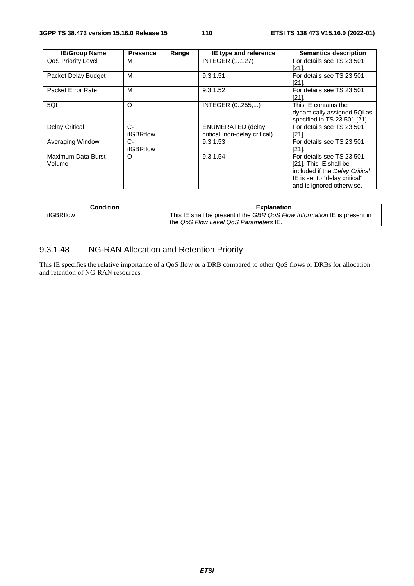| <b>IE/Group Name</b>      | <b>Presence</b>  | Range | IE type and reference         | <b>Semantics description</b>   |
|---------------------------|------------------|-------|-------------------------------|--------------------------------|
| <b>QoS Priority Level</b> | м                |       | <b>INTEGER (1127)</b>         | For details see TS 23.501      |
|                           |                  |       |                               | $[21]$ .                       |
| Packet Delay Budget       | м                |       | 9.3.1.51                      | For details see TS 23.501      |
|                           |                  |       |                               | [21].                          |
| Packet Error Rate         | М                |       | 9.3.1.52                      | For details see TS 23.501      |
|                           |                  |       |                               | [21]                           |
| 5QI                       | O                |       | INTEGER (0255,)               | This IE contains the           |
|                           |                  |       |                               | dynamically assigned 5QI as    |
|                           |                  |       |                               | specified in TS 23.501 [21].   |
| <b>Delay Critical</b>     | $C-$             |       | <b>ENUMERATED (delay</b>      | For details see TS 23.501      |
|                           | <b>ifGBRflow</b> |       | critical, non-delay critical) | [21].                          |
| Averaging Window          | $C-$             |       | 9.3.1.53                      | For details see TS 23.501      |
|                           | <b>ifGBRflow</b> |       |                               | [21].                          |
| Maximum Data Burst        | O                |       | 9.3.1.54                      | For details see TS 23.501      |
| Volume                    |                  |       |                               | [21]. This IE shall be         |
|                           |                  |       |                               | included if the Delay Critical |
|                           |                  |       |                               | IE is set to "delay critical"  |
|                           |                  |       |                               | and is ignored otherwise.      |

| Condition | <b>Explanation</b>                                                        |
|-----------|---------------------------------------------------------------------------|
| ifGBRflow | This IE shall be present if the GBR QoS Flow Information IE is present in |
|           | the QoS Flow Level QoS Parameters IE.                                     |

## 9.3.1.48 NG-RAN Allocation and Retention Priority

This IE specifies the relative importance of a QoS flow or a DRB compared to other QoS flows or DRBs for allocation and retention of NG-RAN resources.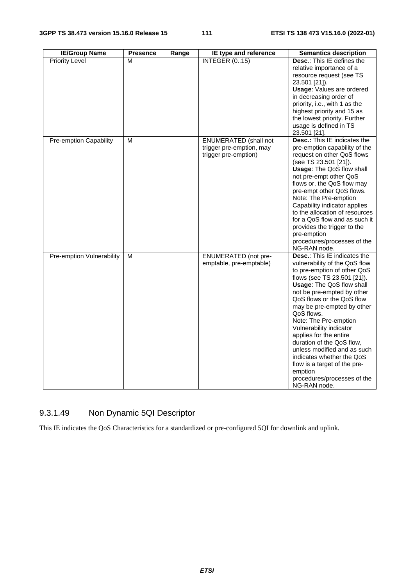| <b>IE/Group Name</b>             | <b>Presence</b> | Range | IE type and reference                                                            | <b>Semantics description</b>                                                                                                                                                                                                                                                                                                                                                                                                                                                                                                            |
|----------------------------------|-----------------|-------|----------------------------------------------------------------------------------|-----------------------------------------------------------------------------------------------------------------------------------------------------------------------------------------------------------------------------------------------------------------------------------------------------------------------------------------------------------------------------------------------------------------------------------------------------------------------------------------------------------------------------------------|
| <b>Priority Level</b>            | М               |       | <b>INTEGER (015)</b>                                                             | Desc.: This IE defines the<br>relative importance of a<br>resource request (see TS<br>23.501 [21]).<br><b>Usage: Values are ordered</b><br>in decreasing order of<br>priority, i.e., with 1 as the<br>highest priority and 15 as<br>the lowest priority. Further<br>usage is defined in TS<br>23.501 [21].                                                                                                                                                                                                                              |
| Pre-emption Capability           | М               |       | <b>ENUMERATED</b> (shall not<br>trigger pre-emption, may<br>trigger pre-emption) | <b>Desc.:</b> This IE indicates the<br>pre-emption capability of the<br>request on other QoS flows<br>(see TS 23.501 [21]).<br><b>Usage: The QoS flow shall</b><br>not pre-empt other QoS<br>flows or, the QoS flow may<br>pre-empt other QoS flows.<br>Note: The Pre-emption<br>Capability indicator applies<br>to the allocation of resources<br>for a QoS flow and as such it<br>provides the trigger to the<br>pre-emption<br>procedures/processes of the<br>NG-RAN node.                                                           |
| <b>Pre-emption Vulnerability</b> | м               |       | <b>ENUMERATED</b> (not pre-<br>emptable, pre-emptable)                           | <b>Desc.: This IE indicates the</b><br>vulnerability of the QoS flow<br>to pre-emption of other QoS<br>flows (see TS 23.501 [21]).<br>Usage: The QoS flow shall<br>not be pre-empted by other<br>QoS flows or the QoS flow<br>may be pre-empted by other<br>QoS flows.<br>Note: The Pre-emption<br>Vulnerability indicator<br>applies for the entire<br>duration of the QoS flow,<br>unless modified and as such<br>indicates whether the QoS<br>flow is a target of the pre-<br>emption<br>procedures/processes of the<br>NG-RAN node. |

# 9.3.1.49 Non Dynamic 5QI Descriptor

This IE indicates the QoS Characteristics for a standardized or pre-configured 5QI for downlink and uplink.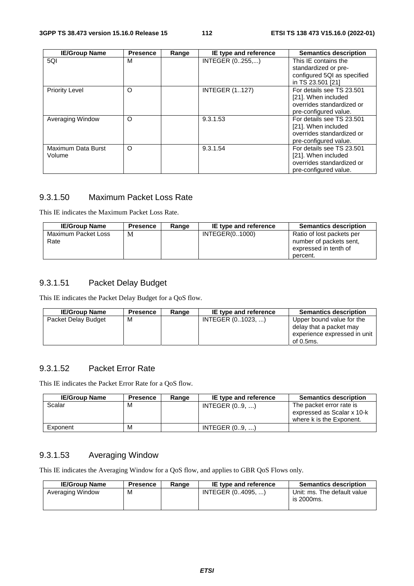| <b>IE/Group Name</b>         | <b>Presence</b> | Range | IE type and reference | <b>Semantics description</b>                                                                           |
|------------------------------|-----------------|-------|-----------------------|--------------------------------------------------------------------------------------------------------|
| 5QI                          | M               |       | INTEGER (0255,)       | This IE contains the<br>standardized or pre-<br>configured 5QI as specified                            |
|                              |                 |       |                       | in TS 23.501 [21]                                                                                      |
| <b>Priority Level</b>        | O               |       | <b>INTEGER (1127)</b> | For details see TS 23.501<br>[21]. When included<br>overrides standardized or<br>pre-configured value. |
| Averaging Window             | $\circ$         |       | 9.3.1.53              | For details see TS 23.501<br>[21]. When included<br>overrides standardized or<br>pre-configured value. |
| Maximum Data Burst<br>Volume | O               |       | 9.3.1.54              | For details see TS 23.501<br>[21]. When included<br>overrides standardized or<br>pre-configured value. |

#### 9.3.1.50 Maximum Packet Loss Rate

This IE indicates the Maximum Packet Loss Rate.

| <b>IE/Group Name</b>        | <b>Presence</b> | Range | IE type and reference | <b>Semantics description</b>                                                              |
|-----------------------------|-----------------|-------|-----------------------|-------------------------------------------------------------------------------------------|
| Maximum Packet Loss<br>Rate | M               |       | INTEGER(01000)        | Ratio of lost packets per<br>number of packets sent.<br>expressed in tenth of<br>percent. |

## 9.3.1.51 Packet Delay Budget

This IE indicates the Packet Delay Budget for a QoS flow.

| <b>IE/Group Name</b> | <b>Presence</b> | Range | IE type and reference | <b>Semantics description</b>                                                                      |
|----------------------|-----------------|-------|-----------------------|---------------------------------------------------------------------------------------------------|
| Packet Delay Budget  | м               |       | INTEGER (01023, )     | Upper bound value for the<br>delay that a packet may<br>experience expressed in unit<br>of 0.5ms. |

#### 9.3.1.52 Packet Error Rate

This IE indicates the Packet Error Rate for a QoS flow.

| <b>IE/Group Name</b> | <b>Presence</b> | Range | IE type and reference | <b>Semantics description</b>                                                       |
|----------------------|-----------------|-------|-----------------------|------------------------------------------------------------------------------------|
| Scalar               | м               |       | INTEGR (0., 9, )      | The packet error rate is<br>expressed as Scalar x 10-k<br>where k is the Exponent. |
| Exponent             | м               |       | INTEGER $(09, )$      |                                                                                    |

#### 9.3.1.53 Averaging Window

This IE indicates the Averaging Window for a QoS flow, and applies to GBR QoS Flows only.

| <b>IE/Group Name</b> | <b>Presence</b> | Range | IE type and reference | <b>Semantics description</b>              |
|----------------------|-----------------|-------|-----------------------|-------------------------------------------|
| Averaging Window     | M               |       | INTEGER (04095. )     | Unit: ms. The default value<br>is 2000ms. |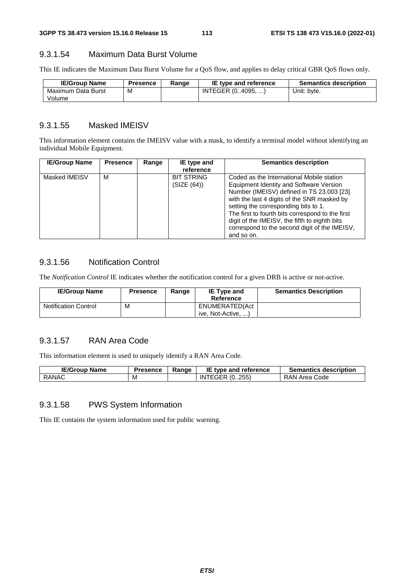#### 9.3.1.54 Maximum Data Burst Volume

This IE indicates the Maximum Data Burst Volume for a QoS flow, and applies to delay critical GBR QoS flows only.

| <b>IE/Group Name</b> | Presence | Range | IE type and reference | <b>Semantics description</b> |
|----------------------|----------|-------|-----------------------|------------------------------|
| Maximum Data Burst   | м        |       | INTEGER (04095. )     | Unit: byte.                  |
| Volume               |          |       |                       |                              |

#### 9.3.1.55 Masked IMEISV

This information element contains the IMEISV value with a mask, to identify a terminal model without identifying an individual Mobile Equipment.

| <b>IE/Group Name</b> | <b>Presence</b> | Range | IE type and                                   | <b>Semantics description</b>                                                                                                                                                                                                                            |
|----------------------|-----------------|-------|-----------------------------------------------|---------------------------------------------------------------------------------------------------------------------------------------------------------------------------------------------------------------------------------------------------------|
| Masked IMEISV        | М               |       | reference<br><b>BIT STRING</b><br>(SIZE (64)) | Coded as the International Mobile station<br>Equipment Identity and Software Version<br>Number (IMEISV) defined in TS 23.003 [23]                                                                                                                       |
|                      |                 |       |                                               | with the last 4 digits of the SNR masked by<br>setting the corresponding bits to 1.<br>The first to fourth bits correspond to the first<br>digit of the IMEISV, the fifth to eighth bits<br>correspond to the second digit of the IMEISV,<br>and so on. |

#### 9.3.1.56 Notification Control

The *Notification Control* IE indicates whether the notification control for a given DRB is active or not-active.

| <b>IE/Group Name</b>        | <b>Presence</b> | Range | <b>IE Type and</b><br>Reference      | <b>Semantics Description</b> |
|-----------------------------|-----------------|-------|--------------------------------------|------------------------------|
| <b>Notification Control</b> | M               |       | ENUMERATED(Act<br>ive, Not-Active, ) |                              |

#### 9.3.1.57 RAN Area Code

This information element is used to uniquely identify a RAN Area Code.

| <b>IE/Group Name</b> | Presence | Range | IE type and reference             | <b>Semantics description</b> |
|----------------------|----------|-------|-----------------------------------|------------------------------|
| <b>RANAC</b>         | М        |       | .255)<br><b>FGER</b><br>(0)<br>ΙN | RAN Area Code                |

#### 9.3.1.58 PWS System Information

This IE contains the system information used for public warning.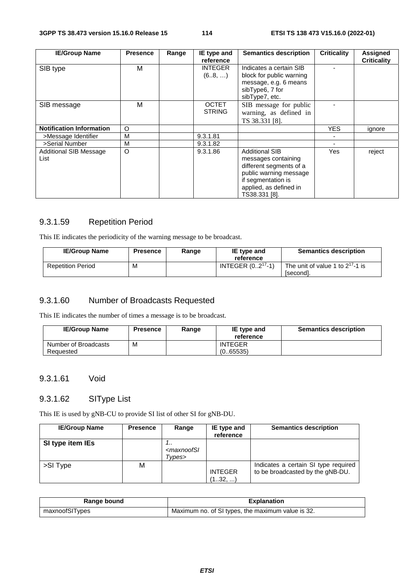| <b>IE/Group Name</b>            | <b>Presence</b> | Range | IE type and    | <b>Semantics description</b> | <b>Criticality</b> | <b>Assigned</b>    |
|---------------------------------|-----------------|-------|----------------|------------------------------|--------------------|--------------------|
|                                 |                 |       | reference      |                              |                    | <b>Criticality</b> |
| SIB type                        | м               |       | <b>INTEGER</b> | Indicates a certain SIB      |                    |                    |
|                                 |                 |       | (68, )         | block for public warning     |                    |                    |
|                                 |                 |       |                | message, e.g. 6 means        |                    |                    |
|                                 |                 |       |                | sibType6, 7 for              |                    |                    |
|                                 |                 |       |                | sibType7, etc.               |                    |                    |
| SIB message                     | м               |       | <b>OCTET</b>   | SIB message for public       |                    |                    |
|                                 |                 |       | <b>STRING</b>  | warning, as defined in       |                    |                    |
|                                 |                 |       |                | TS 38.331 [8].               |                    |                    |
| <b>Notification Information</b> | O               |       |                |                              | <b>YES</b>         | ignore             |
| >Message Identifier             | M               |       | 9.3.1.81       |                              |                    |                    |
| >Serial Number                  | M               |       | 9.3.1.82       |                              |                    |                    |
| Additional SIB Message          | $\circ$         |       | 9.3.1.86       | <b>Additional SIB</b>        | Yes                | reject             |
| List                            |                 |       |                | messages containing          |                    |                    |
|                                 |                 |       |                | different segments of a      |                    |                    |
|                                 |                 |       |                | public warning message       |                    |                    |
|                                 |                 |       |                | if segmentation is           |                    |                    |
|                                 |                 |       |                | applied, as defined in       |                    |                    |
|                                 |                 |       |                | TS38.331 [8].                |                    |                    |

## 9.3.1.59 Repetition Period

This IE indicates the periodicity of the warning message to be broadcast.

| <b>IE/Group Name</b>     | <b>Presence</b> | Range | IE type and<br>reference | <b>Semantics description</b>                       |
|--------------------------|-----------------|-------|--------------------------|----------------------------------------------------|
| <b>Repetition Period</b> | M               |       | INTEGER $(02^{17}-1)$    | The unit of value 1 to $2^{17}$ -1 is<br>[second]. |

## 9.3.1.60 Number of Broadcasts Requested

This IE indicates the number of times a message is to be broadcast.

| <b>IE/Group Name</b> | <b>Presence</b> | Range | IE type and<br>reference | <b>Semantics description</b> |
|----------------------|-----------------|-------|--------------------------|------------------------------|
| Number of Broadcasts | м               |       | <b>INTEGER</b>           |                              |
| Requested            |                 |       | (0.65535)                |                              |

## 9.3.1.61 Void

#### 9.3.1.62 SIType List

This IE is used by gNB-CU to provide SI list of other SI for gNB-DU.

| <b>IE/Group Name</b> | <b>Presence</b> | Range                                      | IE type and<br>reference  | <b>Semantics description</b>                                             |
|----------------------|-----------------|--------------------------------------------|---------------------------|--------------------------------------------------------------------------|
| SI type item IEs     |                 | <br><maxnoofsl<br>Types&gt;</maxnoofsl<br> |                           |                                                                          |
| >SI Type             | М               |                                            | <b>INTEGER</b><br>(132, ) | Indicates a certain SI type required<br>to be broadcasted by the gNB-DU. |

| Range bound    | <b>Explanation</b>                                |
|----------------|---------------------------------------------------|
| maxnoofSITypes | Maximum no. of SI types, the maximum value is 32. |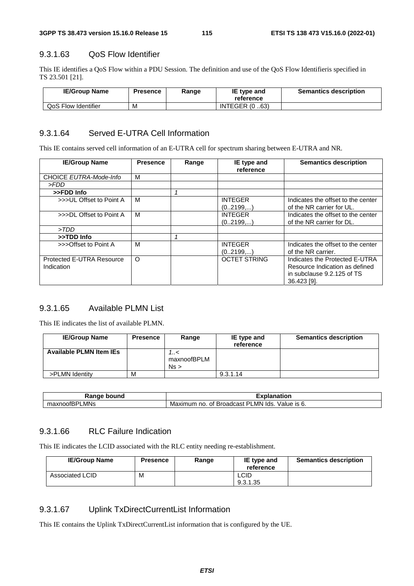#### 9.3.1.63 QoS Flow Identifier

This IE identifies a QoS Flow within a PDU Session. The definition and use of the QoS Flow Identifieris specified in TS 23.501 [21].

| <b>IE/Group Name</b> | Presence | Range | IE type and<br>reference | <b>Semantics description</b> |
|----------------------|----------|-------|--------------------------|------------------------------|
| QoS Flow Identifier  | M        |       | <b>INTEGER (0.63)</b>    |                              |

#### 9.3.1.64 Served E-UTRA Cell Information

This IE contains served cell information of an E-UTRA cell for spectrum sharing between E-UTRA and NR.

| <b>IE/Group Name</b>      | <b>Presence</b> | Range | IE type and<br>reference | <b>Semantics description</b>       |
|---------------------------|-----------------|-------|--------------------------|------------------------------------|
| CHOICE EUTRA-Mode-Info    | м               |       |                          |                                    |
| > FDD                     |                 |       |                          |                                    |
| >>FDD Info                |                 |       |                          |                                    |
| >>>UL Offset to Point A   | м               |       | <b>INTEGER</b>           | Indicates the offset to the center |
|                           |                 |       | (02199)                  | of the NR carrier for UL.          |
| >>>DL Offset to Point A   | м               |       | <b>INTEGER</b>           | Indicates the offset to the center |
|                           |                 |       | (02199,)                 | of the NR carrier for DL.          |
| >TDD                      |                 |       |                          |                                    |
| >>TDD Info                |                 |       |                          |                                    |
| >>>Offset to Point A      | м               |       | <b>INTEGER</b>           | Indicates the offset to the center |
|                           |                 |       | (02199,)                 | of the NR carrier.                 |
| Protected E-UTRA Resource | $\Omega$        |       | <b>OCTET STRING</b>      | Indicates the Protected E-UTRA     |
| Indication                |                 |       |                          | Resource Indication as defined     |
|                           |                 |       |                          | in subclause 9.2.125 of TS         |
|                           |                 |       |                          | 36.423 [9].                        |

## 9.3.1.65 Available PLMN List

This IE indicates the list of available PLMN.

| <b>IE/Group Name</b>           | <b>Presence</b> | Range                   | IE type and<br>reference | <b>Semantics description</b> |
|--------------------------------|-----------------|-------------------------|--------------------------|------------------------------|
| <b>Available PLMN Item IEs</b> |                 | >/<br>maxnoofBPLM<br>Ns |                          |                              |
| >PLMN Identity                 | M               |                         | 9.3.1.14                 |                              |

| Range                       | - 300                                                                 |
|-----------------------------|-----------------------------------------------------------------------|
| bound                       | nation                                                                |
| LMNs<br>$\sim$<br>naxnoorBF | _MN_<br>≒lds.<br>Value is 6.<br>Broadcast<br>Maximum<br>no<br>Οt<br>້ |

### 9.3.1.66 RLC Failure Indication

This IE indicates the LCID associated with the RLC entity needing re-establishment.

| <b>IE/Group Name</b>   | <b>Presence</b> | Range | IE type and<br>reference | <b>Semantics description</b> |
|------------------------|-----------------|-------|--------------------------|------------------------------|
| <b>Associated LCID</b> | M               |       | LCID<br>9.3.1.35         |                              |

### 9.3.1.67 Uplink TxDirectCurrentList Information

This IE contains the Uplink TxDirectCurrentList information that is configured by the UE.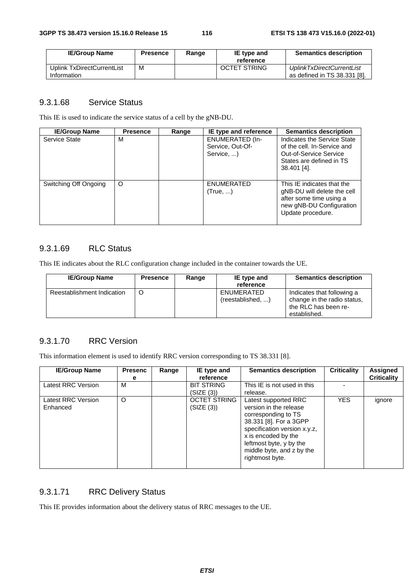| <b>IE/Group Name</b>                      | <b>Presence</b> | Range | IE type and<br>reference | <b>Semantics description</b>                              |
|-------------------------------------------|-----------------|-------|--------------------------|-----------------------------------------------------------|
| Uplink TxDirectCurrentList<br>Information | M               |       | <b>OCTET STRING</b>      | UplinkTxDirectCurrentList<br>as defined in TS 38.331 [8]. |

#### 9.3.1.68 Service Status

This IE is used to indicate the service status of a cell by the gNB-DU.

| <b>IE/Group Name</b>  | <b>Presence</b> | Range | IE type and reference                                    | <b>Semantics description</b>                                                                                                          |
|-----------------------|-----------------|-------|----------------------------------------------------------|---------------------------------------------------------------------------------------------------------------------------------------|
| Service State         | М               |       | <b>ENUMERATED (In-</b><br>Service, Out-Of-<br>Service, ) | Indicates the Service State<br>of the cell. In-Service and<br>Out-of-Service Service<br>States are defined in TS<br>$38.401$ [4].     |
| Switching Off Ongoing | O               |       | ENUMERATED<br>(True, )                                   | This IE indicates that the<br>gNB-DU will delete the cell<br>after some time using a<br>new gNB-DU Configuration<br>Update procedure. |

## 9.3.1.69 RLC Status

This IE indicates about the RLC configuration change included in the container towards the UE.

| <b>IE/Group Name</b>       | <b>Presence</b> | Range | IE type and<br>reference        | <b>Semantics description</b>                                                                      |
|----------------------------|-----------------|-------|---------------------------------|---------------------------------------------------------------------------------------------------|
| Reestablishment Indication |                 |       | ENUMERATED<br>(reestablished, ) | Indicates that following a<br>change in the radio status,<br>the RLC has been re-<br>established. |

## 9.3.1.70 RRC Version

This information element is used to identify RRC version corresponding to TS 38.331 [8].

| <b>IE/Group Name</b>           | <b>Presenc</b><br>е | Range | IE type and<br>reference          | <b>Semantics description</b>                                                                                                                                                                                                      | <b>Criticality</b> | Assigned<br><b>Criticality</b> |
|--------------------------------|---------------------|-------|-----------------------------------|-----------------------------------------------------------------------------------------------------------------------------------------------------------------------------------------------------------------------------------|--------------------|--------------------------------|
| Latest RRC Version             | М                   |       | <b>BIT STRING</b><br>(SIZE (3))   | This IE is not used in this<br>release.                                                                                                                                                                                           |                    |                                |
| Latest RRC Version<br>Enhanced | O                   |       | <b>OCTET STRING</b><br>(SIZE (3)) | Latest supported RRC<br>version in the release<br>corresponding to TS<br>38.331 [8]. For a 3GPP<br>specification version x.y.z,<br>x is encoded by the<br>leftmost byte, y by the<br>middle byte, and z by the<br>rightmost byte. | <b>YES</b>         | ignore                         |

## 9.3.1.71 RRC Delivery Status

This IE provides information about the delivery status of RRC messages to the UE.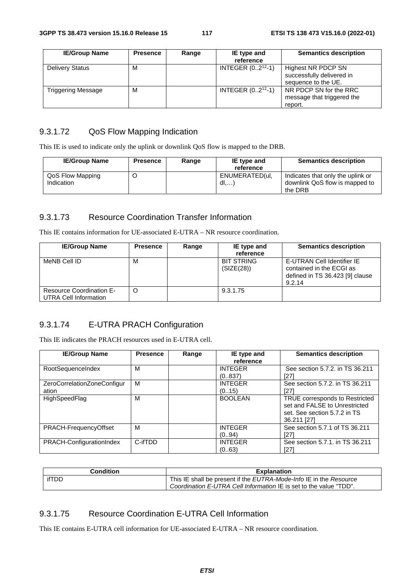| <b>IE/Group Name</b>   | <b>Presence</b> | Range | IE type and           | <b>Semantics description</b>                                    |
|------------------------|-----------------|-------|-----------------------|-----------------------------------------------------------------|
|                        |                 |       | reference             |                                                                 |
| <b>Delivery Status</b> | м               |       | INTEGER $(02^{12}-1)$ | Highest NR PDCP SN                                              |
|                        |                 |       |                       | successfully delivered in<br>sequence to the UE.                |
| Triggering Message     | M               |       | INTEGER $(02^{12}-1)$ | NR PDCP SN for the RRC<br>message that triggered the<br>report. |

## 9.3.1.72 QoS Flow Mapping Indication

This IE is used to indicate only the uplink or downlink QoS flow is mapped to the DRB.

| <b>IE/Group Name</b>           | <b>Presence</b> | Range | IE type and<br>reference | <b>Semantics description</b>                                                   |
|--------------------------------|-----------------|-------|--------------------------|--------------------------------------------------------------------------------|
| QoS Flow Mapping<br>Indication |                 |       | ENUMERATED(ul.<br>dl,    | Indicates that only the uplink or<br>downlink QoS flow is mapped to<br>the DRB |

## 9.3.1.73 Resource Coordination Transfer Information

This IE contains information for UE-associated E-UTRA – NR resource coordination.

| <b>IE/Group Name</b>                                     | <b>Presence</b> | Range | IE type and<br>reference        | <b>Semantics description</b>                                                                        |
|----------------------------------------------------------|-----------------|-------|---------------------------------|-----------------------------------------------------------------------------------------------------|
| MeNB Cell ID                                             | M               |       | <b>BIT STRING</b><br>(SIZE(28)) | E-UTRAN Cell Identifier IE<br>contained in the ECGI as<br>defined in TS 36.423 [9] clause<br>9.2.14 |
| <b>Resource Coordination E-</b><br>UTRA Cell Information | C               |       | 9.3.1.75                        |                                                                                                     |

## 9.3.1.74 E-UTRA PRACH Configuration

This IE indicates the PRACH resources used in E-UTRA cell.

| <b>IE/Group Name</b>                 | <b>Presence</b> | Range | IE type and<br>reference  | <b>Semantics description</b>                                                                                   |
|--------------------------------------|-----------------|-------|---------------------------|----------------------------------------------------------------------------------------------------------------|
| RootSequenceIndex                    | M               |       | <b>INTEGER</b><br>(0837)  | See section 5.7.2, in TS 36.211<br>[27]                                                                        |
| ZeroCorrelationZoneConfigur<br>ation | M               |       | <b>INTEGER</b><br>(015)   | See section 5.7.2. in TS 36.211<br>[27]                                                                        |
| HighSpeedFlag                        | M               |       | <b>BOOLEAN</b>            | TRUE corresponds to Restricted<br>set and FALSE to Unrestricted<br>set. See section 5.7.2 in TS<br>36.211 [27] |
| PRACH-FrequencyOffset                | м               |       | <b>INTEGER</b><br>(0.,94) | See section 5.7.1 of TS 36.211<br>[27]                                                                         |
| PRACH-ConfigurationIndex             | C-ifTDD         |       | <b>INTEGER</b><br>(0.,63) | See section 5.7.1, in TS 36.211<br>[27]                                                                        |

| <b>Condition</b><br><b>Explanation</b> |       |                                                                                  |
|----------------------------------------|-------|----------------------------------------------------------------------------------|
|                                        | ifTDD | This IE shall be present if the <i>EUTRA-Mode-Info</i> IE in the <i>Resource</i> |
|                                        |       | Coordination E-UTRA Cell Information IE is set to the value "TDD".               |

#### 9.3.1.75 Resource Coordination E-UTRA Cell Information

This IE contains E-UTRA cell information for UE-associated E-UTRA – NR resource coordination.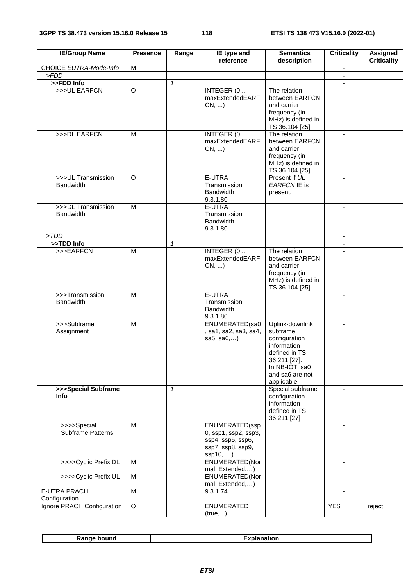| <b>IE/Group Name</b>                   | <b>Presence</b> | Range        | IE type and<br>reference                                                                   | <b>Semantics</b><br>description                                                                                                                  | <b>Criticality</b>       | <b>Assigned</b><br><b>Criticality</b> |
|----------------------------------------|-----------------|--------------|--------------------------------------------------------------------------------------------|--------------------------------------------------------------------------------------------------------------------------------------------------|--------------------------|---------------------------------------|
| CHOICE EUTRA-Mode-Info                 | M               |              |                                                                                            |                                                                                                                                                  | $\overline{\phantom{a}}$ |                                       |
| >FDD                                   |                 |              |                                                                                            |                                                                                                                                                  | $\blacksquare$           |                                       |
| >>FDD Info                             |                 | $\mathcal I$ |                                                                                            |                                                                                                                                                  | $\blacksquare$           |                                       |
| >>>UL EARFCN                           | $\overline{O}$  |              | INTEGER (0<br>maxExtendedEARF<br>CN,                                                       | The relation<br>between EARFCN<br>and carrier<br>frequency (in<br>MHz) is defined in<br>TS 36.104 [25].                                          |                          |                                       |
| >>>DL EARFCN                           | M               |              | INTEGER (0<br>maxExtendedEARF<br>CN,                                                       | The relation<br>between EARFCN<br>and carrier<br>frequency (in<br>MHz) is defined in<br>TS 36.104 [25].                                          |                          |                                       |
| >>>UL Transmission<br><b>Bandwidth</b> | O               |              | E-UTRA<br>Transmission<br><b>Bandwidth</b><br>9.3.1.80                                     | Present if UL<br><b>EARFCNIE</b> is<br>present.                                                                                                  |                          |                                       |
| >>>DL Transmission<br><b>Bandwidth</b> | M               |              | E-UTRA<br>Transmission<br><b>Bandwidth</b><br>9.3.1.80                                     |                                                                                                                                                  |                          |                                       |
| > TDD                                  |                 |              |                                                                                            |                                                                                                                                                  | $\overline{\phantom{a}}$ |                                       |
| >>TDD Info                             |                 | $\mathbf{1}$ |                                                                                            |                                                                                                                                                  |                          |                                       |
| >>>EARFCN                              | M               |              | INTEGER (0<br>maxExtendedEARF<br>$CN, $ )                                                  | The relation<br>between EARFCN<br>and carrier<br>frequency (in<br>MHz) is defined in<br>TS 36.104 [25].                                          |                          |                                       |
| >>>Transmission<br><b>Bandwidth</b>    | M               |              | E-UTRA<br>Transmission<br><b>Bandwidth</b><br>9.3.1.80                                     |                                                                                                                                                  |                          |                                       |
| >>>Subframe<br>Assignment              | M               |              | ENUMERATED(sa0<br>, sa1, sa2, sa3, sa4,<br>sa $5,$ sa $6,$                                 | Uplink-downlink<br>subframe<br>configuration<br>information<br>defined in TS<br>36.211 [27].<br>In NB-IOT, sa0<br>and sa6 are not<br>applicable. |                          |                                       |
| >>>Special Subframe<br>Info            |                 | $\mathcal I$ |                                                                                            | Special subframe<br>configuration<br>information<br>defined in TS<br>36.211 [27]                                                                 |                          |                                       |
| >>>>Special<br>Subframe Patterns       | M               |              | ENUMERATED(ssp<br>0, ssp1, ssp2, ssp3,<br>ssp4, ssp5, ssp6,<br>ssp7, ssp8, ssp9,<br>ssp10, |                                                                                                                                                  |                          |                                       |
| >>>>Cyclic Prefix DL                   | M               |              | ENUMERATED(Nor<br>mal, Extended,)                                                          |                                                                                                                                                  | $\blacksquare$           |                                       |
| >>>>Cyclic Prefix UL                   | M               |              | ENUMERATED(Nor<br>mal, Extended,)                                                          |                                                                                                                                                  |                          |                                       |
| <b>E-UTRA PRACH</b><br>Configuration   | M               |              | 9.3.1.74                                                                                   |                                                                                                                                                  |                          |                                       |
| Ignore PRACH Configuration             | $\circ$         |              | ENUMERATED<br>(true,)                                                                      |                                                                                                                                                  | <b>YES</b>               | reject                                |

| <b>Demand</b><br>งund<br><br>⊼aı<br> | - - --<br>$ -$ |
|--------------------------------------|----------------|
|--------------------------------------|----------------|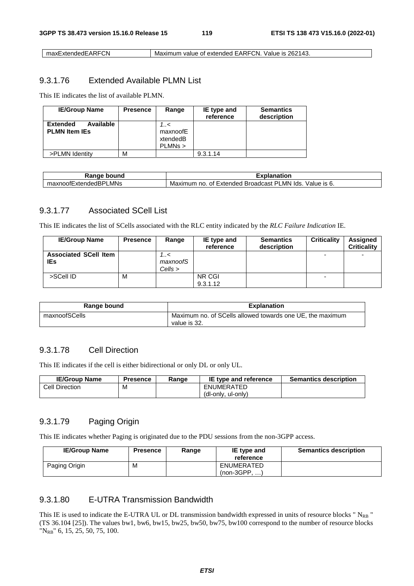maxExtendedEARFCN Maximum value of extended EARFCN. Value is 262143.

#### 9.3.1.76 Extended Available PLMN List

This IE indicates the list of available PLMN.

| <b>IE/Group Name</b>                                 | <b>Presence</b> | Range                                 | IE type and<br>reference | <b>Semantics</b><br>description |
|------------------------------------------------------|-----------------|---------------------------------------|--------------------------|---------------------------------|
| Available<br><b>Extended</b><br><b>PLMN Item IEs</b> |                 | 1.1<<br>maxnoofE<br>xtendedB<br>PLMNs |                          |                                 |
| >PLMN Identity                                       | М               |                                       | 9.3.1.14                 |                                 |

| Rangr<br>bound<br>.                                           | Explanation                                                                           |
|---------------------------------------------------------------|---------------------------------------------------------------------------------------|
| _MNs<br>$\overline{\phantom{0}}$<br>maxnoofExtende⊾<br>"adBP" | ∟MN<br>lds<br>וכן<br>Value<br>≅IS 6.<br>Broadcast<br>Extended<br>Maximum<br>no.<br>Οt |

## 9.3.1.77 Associated SCell List

This IE indicates the list of SCells associated with the RLC entity indicated by the *RLC Failure Indication* IE.

| <b>IE/Group Name</b>                       | <b>Presence</b> | Range                       | IE type and<br>reference | <b>Semantics</b><br>description | <b>Criticality</b>       | Assigned<br><b>Criticality</b> |
|--------------------------------------------|-----------------|-----------------------------|--------------------------|---------------------------------|--------------------------|--------------------------------|
| <b>Associated SCell Item</b><br><b>IEs</b> |                 | 7<<br>maxnoofS<br>$Cells$ > |                          |                                 | $\overline{\phantom{0}}$ | -                              |
| >SCell ID                                  | м               |                             | NR CGI<br>9.3.1.12       |                                 | $\overline{\phantom{0}}$ |                                |

| Range bound   | <b>Explanation</b>                                                        |  |  |
|---------------|---------------------------------------------------------------------------|--|--|
| maxnoofSCells | Maximum no. of SCells allowed towards one UE, the maximum<br>value is 32. |  |  |

## 9.3.1.78 Cell Direction

This IE indicates if the cell is either bidirectional or only DL or only UL.

| <b>IE/Group Name</b> | <b>Presence</b> | Range | <b>IE type and reference</b> | <b>Semantics description</b> |
|----------------------|-----------------|-------|------------------------------|------------------------------|
| Cell Direction       | M               |       | ENUMERATED                   |                              |
|                      |                 |       | (dl-only, ul-only)           |                              |

#### 9.3.1.79 Paging Origin

This IE indicates whether Paging is originated due to the PDU sessions from the non-3GPP access.

| <b>IE/Group Name</b> | <b>Presence</b> | Range | IE type and<br>reference      | <b>Semantics description</b> |
|----------------------|-----------------|-------|-------------------------------|------------------------------|
| Paging Origin        | M               |       | ENUMERATED<br>(non-3GPP.<br>. |                              |

### 9.3.1.80 E-UTRA Transmission Bandwidth

This IE is used to indicate the E-UTRA UL or DL transmission bandwidth expressed in units of resource blocks " $N_{RB}$ " (TS 36.104 [25]). The values bw1, bw6, bw15, bw25, bw50, bw75, bw100 correspond to the number of resource blocks "NRB" 6, 15, 25, 50, 75, 100.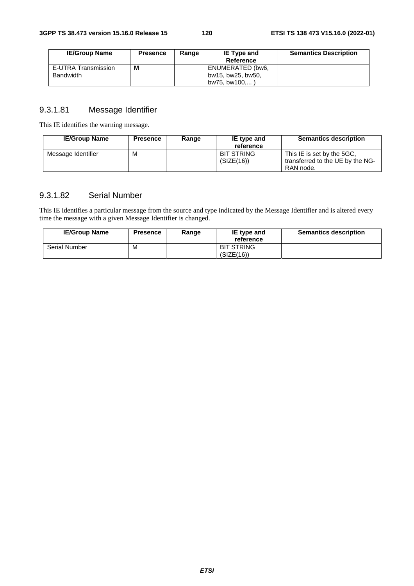| <b>IE/Group Name</b>             | <b>Presence</b> | Range | <b>IE Type and</b><br>Reference       | <b>Semantics Description</b> |
|----------------------------------|-----------------|-------|---------------------------------------|------------------------------|
| E-UTRA Transmission<br>Bandwidth | M               |       | ENUMERATED (bw6,<br>bw15, bw25, bw50, |                              |
|                                  |                 |       | bw75. bw100                           |                              |

### 9.3.1.81 Message Identifier

This IE identifies the warning message.

| <b>IE/Group Name</b> | <b>Presence</b> | Range | IE type and<br>reference        | <b>Semantics description</b>                                                |
|----------------------|-----------------|-------|---------------------------------|-----------------------------------------------------------------------------|
| Message Identifier   | м               |       | <b>BIT STRING</b><br>(SIZE(16)) | This IE is set by the 5GC,<br>transferred to the UE by the NG-<br>RAN node. |

## 9.3.1.82 Serial Number

This IE identifies a particular message from the source and type indicated by the Message Identifier and is altered every time the message with a given Message Identifier is changed.

| <b>IE/Group Name</b> | Presence | Range | IE type and<br>reference        | <b>Semantics description</b> |
|----------------------|----------|-------|---------------------------------|------------------------------|
| <b>Serial Number</b> | M        |       | <b>BIT STRING</b><br>(SIZE(16)) |                              |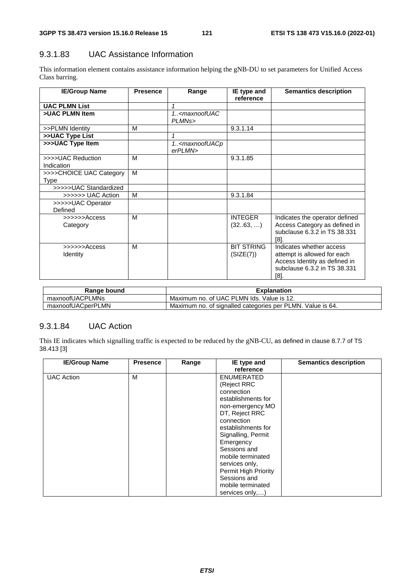## 9.3.1.83 UAC Assistance Information

This information element contains assistance information helping the gNB-DU to set parameters for Unified Access Class barring.

| <b>IE/Group Name</b>                   | <b>Presence</b> | Range                                                 | IE type and<br>reference       | <b>Semantics description</b>                                                                                                     |
|----------------------------------------|-----------------|-------------------------------------------------------|--------------------------------|----------------------------------------------------------------------------------------------------------------------------------|
| <b>UAC PLMN List</b>                   |                 | 1                                                     |                                |                                                                                                                                  |
| >UAC PLMN Item                         |                 | 1 <maxnoofuac<br>PLMN<sub>s</sub>&gt;</maxnoofuac<br> |                                |                                                                                                                                  |
| >>PLMN Identity                        | M               |                                                       | 9.3.1.14                       |                                                                                                                                  |
| >>UAC Type List                        |                 | $\mathbf 1$                                           |                                |                                                                                                                                  |
| >>>UAC Type Item                       |                 | 1 <maxnoofuacp<br>erPLMN&gt;</maxnoofuacp<br>         |                                |                                                                                                                                  |
| >>>>UAC Reduction<br>Indication        | M               |                                                       | 9.3.1.85                       |                                                                                                                                  |
| >>>>CHOICE UAC Category<br>Type        | M               |                                                       |                                |                                                                                                                                  |
| >>>>>UAC Standardized                  |                 |                                                       |                                |                                                                                                                                  |
| >>>>>> UAC Action                      | M               |                                                       | 9.3.1.84                       |                                                                                                                                  |
| >>>>>UAC Operator<br>Defined           |                 |                                                       |                                |                                                                                                                                  |
| $\gg >> > >$ Access<br>Category        | M               |                                                       | <b>INTEGER</b><br>(3263, )     | Indicates the operator defined<br>Access Category as defined in<br>subclause 6.3.2 in TS 38.331<br>$[8]$ .                       |
| $\gg >> > >$ Access<br><b>Identity</b> | M               |                                                       | <b>BIT STRING</b><br>(SIZE(7)) | Indicates whether access<br>attempt is allowed for each<br>Access Identity as defined in<br>subclause 6.3.2 in TS 38.331<br>[8]. |

| Range bound       | <b>Explanation</b>                                         |
|-------------------|------------------------------------------------------------|
| maxnoofUACPLMNs   | Maximum no. of UAC PLMN Ids. Value is 12.                  |
| maxnoofUACperPLMN | Maximum no. of signalled categories per PLMN. Value is 64. |

## 9.3.1.84 UAC Action

This IE indicates which signalling traffic is expected to be reduced by the gNB-CU, as defined in clause 8.7.7 of TS 38.413 [3]

| <b>IE/Group Name</b> | <b>Presence</b> | Range | IE type and          | <b>Semantics description</b> |
|----------------------|-----------------|-------|----------------------|------------------------------|
|                      |                 |       | reference            |                              |
| <b>UAC Action</b>    | M               |       | <b>ENUMERATED</b>    |                              |
|                      |                 |       | (Reject RRC          |                              |
|                      |                 |       | connection           |                              |
|                      |                 |       | establishments for   |                              |
|                      |                 |       | non-emergency MO     |                              |
|                      |                 |       | DT, Reject RRC       |                              |
|                      |                 |       | connection           |                              |
|                      |                 |       | establishments for   |                              |
|                      |                 |       | Signalling, Permit   |                              |
|                      |                 |       | Emergency            |                              |
|                      |                 |       | Sessions and         |                              |
|                      |                 |       | mobile terminated    |                              |
|                      |                 |       | services only,       |                              |
|                      |                 |       | Permit High Priority |                              |
|                      |                 |       | Sessions and         |                              |
|                      |                 |       | mobile terminated    |                              |
|                      |                 |       | services only,)      |                              |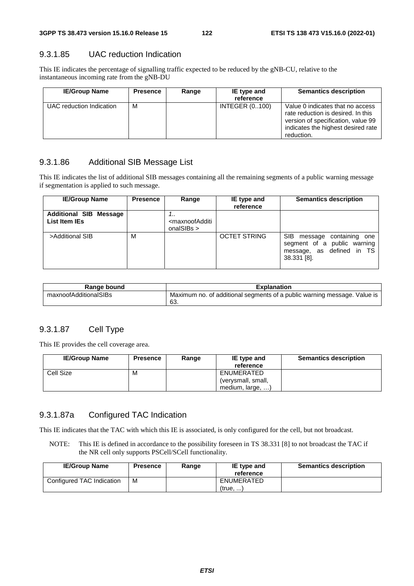#### 9.3.1.85 UAC reduction Indication

This IE indicates the percentage of signalling traffic expected to be reduced by the gNB-CU, relative to the instantaneous incoming rate from the gNB-DU

| <b>IE/Group Name</b>     | <b>Presence</b> | Range | IE type and<br>reference | <b>Semantics description</b>                                                                                                                                     |
|--------------------------|-----------------|-------|--------------------------|------------------------------------------------------------------------------------------------------------------------------------------------------------------|
| UAC reduction Indication | м               |       | <b>INTEGER (0100)</b>    | Value 0 indicates that no access<br>rate reduction is desired. In this<br>version of specification, value 99<br>indicates the highest desired rate<br>reduction. |

### 9.3.1.86 Additional SIB Message List

This IE indicates the list of additional SIB messages containing all the remaining segments of a public warning message if segmentation is applied to such message.

| <b>IE/Group Name</b>                           | <b>Presence</b> | Range                                                               | IE type and<br>reference | <b>Semantics description</b>                                                                          |
|------------------------------------------------|-----------------|---------------------------------------------------------------------|--------------------------|-------------------------------------------------------------------------------------------------------|
| <b>Additional SIB Message</b><br>List Item IEs |                 | <br><maxnoofadditi<br>onalSIBs <math>&gt;</math></maxnoofadditi<br> |                          |                                                                                                       |
| >Additional SIB                                | M               |                                                                     | <b>OCTET STRING</b>      | SIB message containing one<br>segment of a public warning<br>message, as defined in TS<br>38.331 [8]. |

| Range bound           | <b>Explanation</b>                                                              |
|-----------------------|---------------------------------------------------------------------------------|
| maxnoofAdditionalSIBs | Maximum no. of additional segments of a public warning message. Value is<br>63. |

## 9.3.1.87 Cell Type

This IE provides the cell coverage area.

| <b>IE/Group Name</b> | <b>Presence</b> | Range | <b>IE</b> type and<br>reference  | <b>Semantics description</b> |
|----------------------|-----------------|-------|----------------------------------|------------------------------|
| Cell Size            | M               |       | ENUMERATED<br>(verysmall, small, |                              |
|                      |                 |       | medium, large, )                 |                              |

## 9.3.1.87a Configured TAC Indication

This IE indicates that the TAC with which this IE is associated, is only configured for the cell, but not broadcast.

NOTE: This IE is defined in accordance to the possibility foreseen in TS 38.331 [8] to not broadcast the TAC if the NR cell only supports PSCell/SCell functionality.

| <b>IE/Group Name</b>      | <b>Presence</b> | Range | IE type and<br>reference | <b>Semantics description</b> |
|---------------------------|-----------------|-------|--------------------------|------------------------------|
| Configured TAC Indication | M               |       | ENUMERATED<br>(true.     |                              |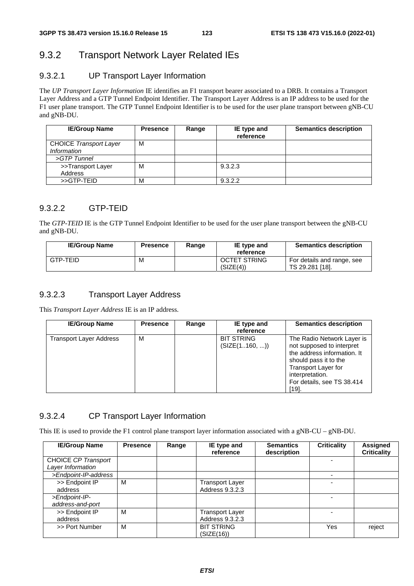# 9.3.2 Transport Network Layer Related IEs

### 9.3.2.1 UP Transport Layer Information

The *UP Transport Layer Information* IE identifies an F1 transport bearer associated to a DRB. It contains a Transport Layer Address and a GTP Tunnel Endpoint Identifier. The Transport Layer Address is an IP address to be used for the F1 user plane transport. The GTP Tunnel Endpoint Identifier is to be used for the user plane transport between gNB-CU and gNB-DU.

| <b>IE/Group Name</b>                                | <b>Presence</b> | Range | IE type and<br>reference | <b>Semantics description</b> |
|-----------------------------------------------------|-----------------|-------|--------------------------|------------------------------|
| <b>CHOICE Transport Layer</b><br><i>Information</i> | м               |       |                          |                              |
| >GTP Tunnel                                         |                 |       |                          |                              |
| >>Transport Layer<br>Address                        | M               |       | 9.3.2.3                  |                              |
| >>GTP-TEID                                          | м               |       | 9.3.2.2                  |                              |

### 9.3.2.2 GTP-TEID

The *GTP-TEID* IE is the GTP Tunnel Endpoint Identifier to be used for the user plane transport between the gNB-CU and gNB-DU.

| <b>IE/Group Name</b> | <b>Presence</b> | Range | IE type and<br>reference         | <b>Semantics description</b>                  |
|----------------------|-----------------|-------|----------------------------------|-----------------------------------------------|
| GTP-TEID             | М               |       | <b>OCTET STRING</b><br>(SIZE(4)) | For details and range, see<br>TS 29.281 [18]. |

## 9.3.2.3 Transport Layer Address

This *Transport Layer Address* IE is an IP address.

| <b>IE/Group Name</b>    | <b>Presence</b> | Range | IE type and<br>reference           | <b>Semantics description</b>                                                                                                                                                                               |
|-------------------------|-----------------|-------|------------------------------------|------------------------------------------------------------------------------------------------------------------------------------------------------------------------------------------------------------|
| Transport Layer Address | M               |       | <b>BIT STRING</b><br>(SIZE(1160, ) | The Radio Network Layer is<br>not supposed to interpret<br>the address information. It<br>should pass it to the<br><b>Transport Layer for</b><br>interpretation.<br>For details, see TS 38.414<br>$[19]$ . |

#### 9.3.2.4 CP Transport Layer Information

This IE is used to provide the F1 control plane transport layer information associated with a gNB-CU – gNB-DU.

| <b>IE/Group Name</b> | <b>Presence</b> | Range | IE type and<br>reference | <b>Semantics</b><br>description | <b>Criticality</b> | Assigned<br><b>Criticality</b> |
|----------------------|-----------------|-------|--------------------------|---------------------------------|--------------------|--------------------------------|
| CHOICE CP Transport  |                 |       |                          |                                 |                    |                                |
| Layer Information    |                 |       |                          |                                 |                    |                                |
| >Endpoint-IP-address |                 |       |                          |                                 |                    |                                |
| >> Endpoint IP       | M               |       | <b>Transport Layer</b>   |                                 |                    |                                |
| address              |                 |       | Address 9.3.2.3          |                                 |                    |                                |
| >Endpoint-IP-        |                 |       |                          |                                 |                    |                                |
| address-and-port     |                 |       |                          |                                 |                    |                                |
| >> Endpoint IP       | M               |       | <b>Transport Layer</b>   |                                 |                    |                                |
| address              |                 |       | Address 9.3.2.3          |                                 |                    |                                |
| >> Port Number       | M               |       | <b>BIT STRING</b>        |                                 | Yes                | reject                         |
|                      |                 |       | (SIZE(16))               |                                 |                    |                                |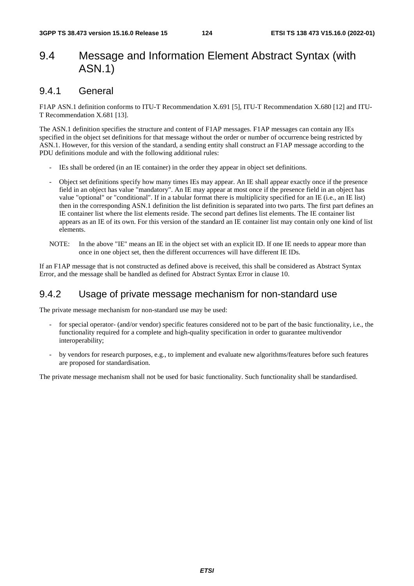# 9.4 Message and Information Element Abstract Syntax (with ASN.1)

## 9.4.1 General

F1AP ASN.1 definition conforms to ITU-T Recommendation X.691 [5], ITU-T Recommendation X.680 [12] and ITU-T Recommendation X.681 [13].

The ASN.1 definition specifies the structure and content of F1AP messages. F1AP messages can contain any IEs specified in the object set definitions for that message without the order or number of occurrence being restricted by ASN.1. However, for this version of the standard, a sending entity shall construct an F1AP message according to the PDU definitions module and with the following additional rules:

- IEs shall be ordered (in an IE container) in the order they appear in object set definitions.
- Object set definitions specify how many times IEs may appear. An IE shall appear exactly once if the presence field in an object has value "mandatory". An IE may appear at most once if the presence field in an object has value "optional" or "conditional". If in a tabular format there is multiplicity specified for an IE (i.e., an IE list) then in the corresponding ASN.1 definition the list definition is separated into two parts. The first part defines an IE container list where the list elements reside. The second part defines list elements. The IE container list appears as an IE of its own. For this version of the standard an IE container list may contain only one kind of list elements.
- NOTE: In the above "IE" means an IE in the object set with an explicit ID. If one IE needs to appear more than once in one object set, then the different occurrences will have different IE IDs.

If an F1AP message that is not constructed as defined above is received, this shall be considered as Abstract Syntax Error, and the message shall be handled as defined for Abstract Syntax Error in clause 10.

## 9.4.2 Usage of private message mechanism for non-standard use

The private message mechanism for non-standard use may be used:

- for special operator- (and/or vendor) specific features considered not to be part of the basic functionality, i.e., the functionality required for a complete and high-quality specification in order to guarantee multivendor interoperability;
- by vendors for research purposes, e.g., to implement and evaluate new algorithms/features before such features are proposed for standardisation.

The private message mechanism shall not be used for basic functionality. Such functionality shall be standardised.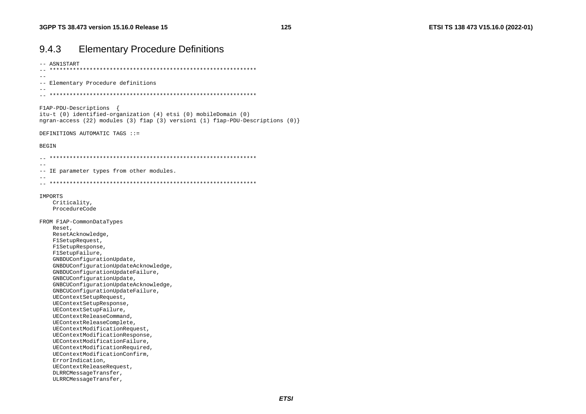| 9.4.3        | <b>Elementary Procedure Definitions</b> |  |
|--------------|-----------------------------------------|--|
| -- ASN1START |                                         |  |

 $\sim$ -- Elementary Procedure definitions  $\sim$   $-$ FlAP-PDU-Descriptions itu-t (0) identified-organization (4) etsi (0) mobileDomain (0) ngran-access (22) modules (3) flap (3) version1 (1) flap-PDU-Descriptions (0) } DEFINITIONS AUTOMATIC TAGS ::= **BEGIN**  $\sim$   $-$ -- IE parameter types from other modules.  $-$ IMPORTS Criticality, ProcedureCode FROM F1AP-CommonDataTypes Reset, ResetAcknowledge, F1SetupRequest, F1SetupResponse, FlSetupFailure, GNBDUConfigurationUpdate, GNBDUConfigurationUpdateAcknowledge, GNBDUConfigurationUpdateFailure, GNBCUConfigurationUpdate, GNBCUConfigurationUpdateAcknowledge, GNBCUConfigurationUpdateFailure, UEContextSetupRequest, UEContextSetupResponse, UEContextSetupFailure, UEContextReleaseCommand, UEContextReleaseComplete, UEContextModificationRequest, UEContextModificationResponse, UEContextModificationFailure, UEContextModificationRequired. UEContextModificationConfirm, ErrorIndication, UEContextReleaseRequest, DLRRCMessageTransfer,

ULRRCMessageTransfer,

125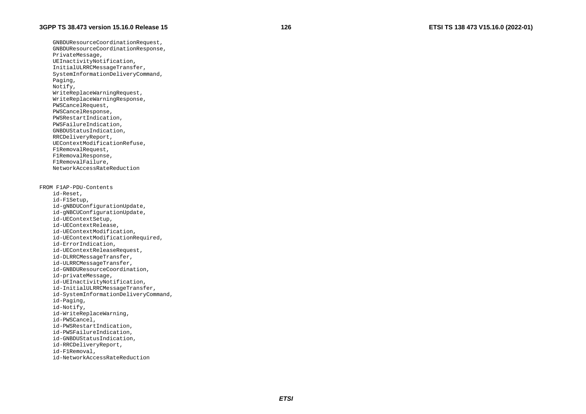GNBDUResourceCoordinationRequest, GNBDUResourceCoordinationResponse, PrivateMessage, UEInactivityNotification, InitialULRRCMessageTransfer, SystemInformationDeliveryCommand, Paging, Notify, WriteReplaceWarningRequest, WriteReplaceWarningResponse, PWSCancelRequest, PWSCancelResponse, PWSRestartIndication, PWSFailureIndication, GNBDUStatusIndication, RRCDeliveryReport, UEContextModificationRefuse, F1RemovalRequest, F1RemovalResponse, F1RemovalFailure, NetworkAccessRateReduction FROM F1AP-PDU-Contents id-Reset, id-F1Setup, id-gNBDUConfigurationUpdate, id-gNBCUConfigurationUpdate, id-UEContextSetup, id-UEContextRelease, id-UEContextModification, id-UEContextModificationRequired, id-ErrorIndication, id-UEContextReleaseRequest, id-DLRRCMessageTransfer, id-ULRRCMessageTransfer, id-GNBDUResourceCoordination, id-privateMessage, id-UEInactivityNotification, id-InitialULRRCMessageTransfer, id-SystemInformationDeliveryCommand, id-Paging, id-Notify, id-WriteReplaceWarning, id-PWSCancel, id-PWSRestartIndication, id-PWSFailureIndication, id-GNBDUStatusIndication,

 id-RRCDeliveryReport, id-F1Removal,

id-NetworkAccessRateReduction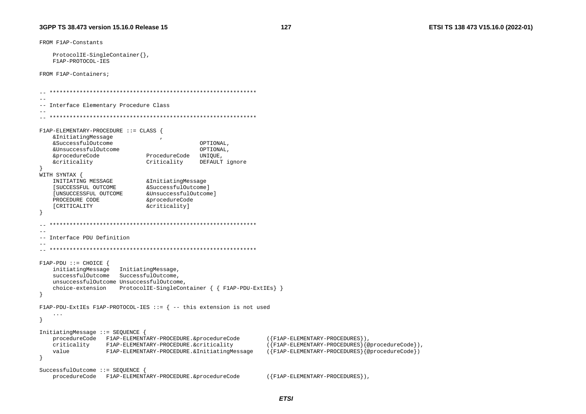FROM F1AP-Constants ProtocolIE-SingleContainer{}, F1AP-PROTOCOL-IES FROM F1AP-Containers; -- Interface Elementary Procedure Class  $\sim$   $-$ F1AP-ELEMENTARY-PROCEDURE ::= CLASS { &InitiatingMessage &SuccessfulOutcome OPTIONAL, &UnsuccessfulOutcome OPTIONAL. &procedureCode ProcedureCode UNIOUE, *<u>&criticality</u>* Criticality DEFAULT ignore WITH SYNTAX { INITIATING MESSAGE & Initiating Message [SUCCESSFUL OUTCOME &SuccessfulOutcomel [UNSUCCESSFUL OUTCOME &UnsuccessfulOutcome] PROCEDURE CODE &procedureCode [CRITICALITY &criticality]  $\rightarrow$ -- Interface PDU Definition  $F1AP-PDU ::= CHOICE$  { initiatingMessage InitiatingMessage, successfulOutcome SuccessfulOutcome. unsuccessfulOutcome UnsuccessfulOutcome, choice-extension ProtocolIE-SingleContainer  $\{ \}$  FIAP-PDU-ExtIEs $\}$  $\rightarrow$ FlAP-PDU-ExtIEs FlAP-PROTOCOL-IES ::=  $\{-$  this extension is not used  $\sim$   $\sim$   $\sim$  $\rightarrow$ InitiatingMessage ::= SEQUENCE procedureCode F1AP-ELEMENTARY-PROCEDURE. &procedureCode  $({F1AP-ELEMENTARY-PROCEDURES})$ , criticality F1AP-ELEMENTARY-PROCEDURE.&criticality  $({\{F1AP - ELEMENTARY - PROCEDURES} \{@procedureCode\}})$ , value F1AP-ELEMENTARY-PROCEDURE.&InitiatingMessage  $({}$  F1AP-ELEMENTARY-PROCEDURES  ${}$  {@procedureCode})  $\mathcal{F}$ SuccessfulOutcome ::= SEQUENCE procedureCode F1AP-ELEMENTARY-PROCEDURE. &procedureCode  $({F1AP-ELEMENTARY-PROCEDURES})$ ,

127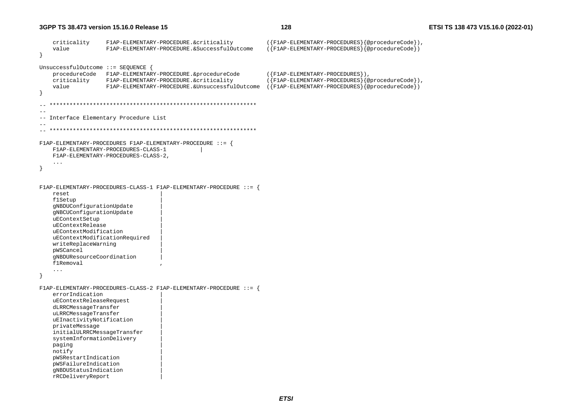```
 criticality F1AP-ELEMENTARY-PROCEDURE.&criticality ({F1AP-ELEMENTARY-PROCEDURES}{@procedureCode}), 
     value F1AP-ELEMENTARY-PROCEDURE.&SuccessfulOutcome ({F1AP-ELEMENTARY-PROCEDURES}{@procedureCode}) 
} 
UnsuccessfulOutcome ::= SEQUENCE { 
     procedureCode F1AP-ELEMENTARY-PROCEDURE.&procedureCode ({F1AP-ELEMENTARY-PROCEDURES}), 
     criticality F1AP-ELEMENTARY-PROCEDURE.&criticality ({F1AP-ELEMENTARY-PROCEDURES}{@procedureCode}), 
     value F1AP-ELEMENTARY-PROCEDURE.&UnsuccessfulOutcome ({F1AP-ELEMENTARY-PROCEDURES}{@procedureCode}) 
} 
   -- ************************************************************** -- -- Interface Elementary Procedure List 
-- 
-- ************************************************************** F1AP-ELEMENTARY-PROCEDURES F1AP-ELEMENTARY-PROCEDURE ::= { 
     F1AP-ELEMENTARY-PROCEDURES-CLASS-1 | 
     F1AP-ELEMENTARY-PROCEDURES-CLASS-2, 
     ... } 
F1AP-ELEMENTARY-PROCEDURES-CLASS-1 F1AP-ELEMENTARY-PROCEDURE ::= { 
     reset | 
     f1Setup | 
     gNBDUConfigurationUpdate | 
     gNBCUConfigurationUpdate | 
     uEContextSetup | 
     uEContextRelease | 
     uEContextModification | 
     uEContextModificationRequired | 
     writeReplaceWarning | 
     pWSCancel | 
     gNBDUResourceCoordination | 
     f1Removal , 
     ... } 
F1AP-ELEMENTARY-PROCEDURES-CLASS-2 F1AP-ELEMENTARY-PROCEDURE ::= { 
     errorIndication | 
     uEContextReleaseRequest | 
     dLRRCMessageTransfer | 
     uLRRCMessageTransfer | 
     uEInactivityNotification | 
     privateMessage | 
     initialULRRCMessageTransfer | 
     systemInformationDelivery | 
     paging | 
     notify | 
     pWSRestartIndication | 
     pWSFailureIndication | 
     gNBDUStatusIndication | 
     rRCDeliveryReport |
```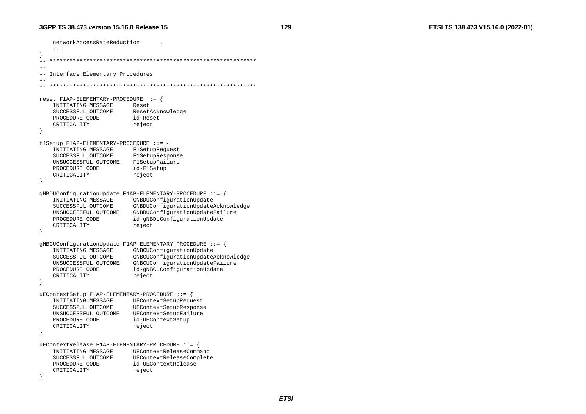networkAccessRateReduction , ... } -- \*\*\*\*\*\*\*\*\*\*\*\*\*\*\*\*\*\*\*\*\*\*\*\*\*\*\*\*\*\*\*\*\*\*\*\*\*\*\*\*\*\*\*\*\*\*\*\*\*\*\*\*\*\*\*\*\*\*\*\*\*\* -- -- Interface Elementary Procedures -- -- \*\*\*\*\*\*\*\*\*\*\*\*\*\*\*\*\*\*\*\*\*\*\*\*\*\*\*\*\*\*\*\*\*\*\*\*\*\*\*\*\*\*\*\*\*\*\*\*\*\*\*\*\*\*\*\*\*\*\*\*\*\* reset F1AP-ELEMENTARY-PROCEDURE ::= { INITIATING MESSAGE Reset SUCCESSFUL OUTCOME ResetAcknowledge PROCEDURE CODE id-Reset CRITICALITY reject } f1Setup F1AP-ELEMENTARY-PROCEDURE ::= { INITIATING MESSAGE F1SetupRequest SUCCESSFUL OUTCOME F1SetupResponse UNSUCCESSFUL OUTCOME F1SetupFailure PROCEDURE CODE id-F1Setup CRITICALITY reject } gNBDUConfigurationUpdate F1AP-ELEMENTARY-PROCEDURE ::= { INITIATING MESSAGE GNBDUConfigurationUpdate SUCCESSFUL OUTCOME GNBDUConfigurationUpdateAcknowledge UNSUCCESSFUL OUTCOME GNBDUConfigurationUpdateFailure PROCEDURE CODE id-gNBDUConfigurationUpdate CRITICALITY reject } gNBCUConfigurationUpdate F1AP-ELEMENTARY-PROCEDURE ::= { INITIATING MESSAGE GNBCUConfigurationUpdate SUCCESSFUL OUTCOME GNBCUConfigurationUpdateAcknowledge UNSUCCESSFUL OUTCOME GNBCUConfigurationUpdateFailure PROCEDURE CODE id-gNBCUConfigurationUpdate CRITICALITY reject } uEContextSetup F1AP-ELEMENTARY-PROCEDURE ::= { INITIATING MESSAGE UEContextSetupRequest SUCCESSFUL OUTCOME UEContextSetupResponse UNSUCCESSFUL OUTCOME UEContextSetupFailure PROCEDURE CODE id-UEContextSetup CRITICALITY reject } uEContextRelease F1AP-ELEMENTARY-PROCEDURE ::= { INITIATING MESSAGE UEContextReleaseCommand SUCCESSFUL OUTCOME UEContextReleaseComplete PROCEDURE CODE id-UEContextRelease CRITICALITY reject }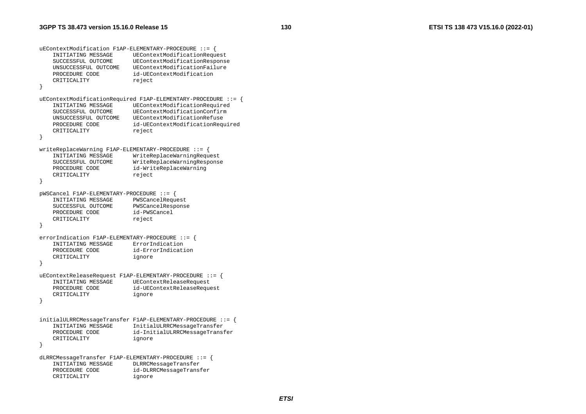```
uEContextModification F1AP-ELEMENTARY-PROCEDURE ::= { 
    INITIATING MESSAGE UEContextModificationRequest 
    SUCCESSFUL OUTCOME UEContextModificationResponse 
    UNSUCCESSFUL OUTCOME UEContextModificationFailure PROCEDURE CODE id-UEContextModification
   CRITICALITY reject
} 
uEContextModificationRequired F1AP-ELEMENTARY-PROCEDURE ::= { 
                         UEContextModificationRequired
    SUCCESSFUL OUTCOME UEContextModificationConfirm  UNSUCCESSFUL OUTCOME UEContextModificationRefuse  PROCEDURE CODE id-UEContextModificationRequired 
   CRITICALITY reject
} 
writeReplaceWarning F1AP-ELEMENTARY-PROCEDURE ::= { 
    INITIATING MESSAGE WriteReplaceWarningRequest 
    SUCCESSFUL OUTCOME WriteReplaceWarningResponse 
   PROCEDURE CODE id-WriteReplaceWarning
   CRITICALITY reject
} 
pWSCancel F1AP-ELEMENTARY-PROCEDURE ::= { 
    INITIATING MESSAGE PWSCancelRequest 
    SUCCESSFUL OUTCOME PWSCancelResponse 
    PROCEDURE CODE id-PWSCancel CRITICALITY reject
} 
errorIndication F1AP-ELEMENTARY-PROCEDURE ::= { 
    INITIATING MESSAGE ErrorIndication  PROCEDURE CODE id-ErrorIndication 
    CRITICALITY ignore 
} 
uEContextReleaseRequest F1AP-ELEMENTARY-PROCEDURE ::= { 
                         UEContextReleaseRequest
    PROCEDURE CODE id-UEContextReleaseRequest 
    CRITICALITY ignore 
} 
initialULRRCMessageTransfer F1AP-ELEMENTARY-PROCEDURE ::= { 
    INITIATING MESSAGE InitialULRRCMessageTransfer 
   PROCEDURE CODE id-InitialULRRCMessageTransfer
    CRITICALITY ignore 
} 
dLRRCMessageTransfer F1AP-ELEMENTARY-PROCEDURE ::= { 
    INITIATING MESSAGE DLRRCMessageTransfer 
    PROCEDURE CODE id-DLRRCMessageTransfer 
    CRITICALITY ignore
```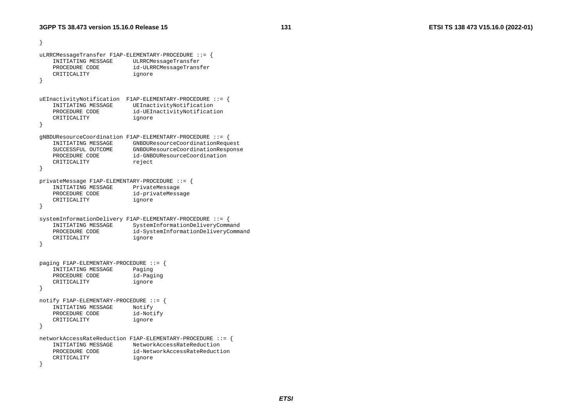```
} 
uLRRCMessageTransfer F1AP-ELEMENTARY-PROCEDURE ::= { 
    INITIATING MESSAGE ULRRCMessageTransfer 
    PROCEDURE CODE id-ULRRCMessageTransfer 
    CRITICALITY ignore 
} 
uEInactivityNotification F1AP-ELEMENTARY-PROCEDURE ::= {<br>INITIATING MESSAGE UEInactivityNotification
                          UEInactivityNotification
   PROCEDURE CODE id-UEInactivityNotification
    CRITICALITY ignore 
} 
gNBDUResourceCoordination F1AP-ELEMENTARY-PROCEDURE ::= { 
    INITIATING MESSAGE GNBDUResourceCoordinationRequest 
    SUCCESSFUL OUTCOME GNBDUResourceCoordinationResponse 
   PROCEDURE CODE id-GNBDUResourceCoordination
   CRITICALITY reject
} 
privateMessage F1AP-ELEMENTARY-PROCEDURE ::= { 
    INITIATING MESSAGE PrivateMessage 
   PROCEDURE CODE id-privateMessage
    CRITICALITY ignore 
} 
systemInformationDelivery F1AP-ELEMENTARY-PROCEDURE ::= { 
    INITIATING MESSAGE SystemInformationDeliveryCommand 
    PROCEDURE CODE id-SystemInformationDeliveryCommand 
    CRITICALITY ignore 
} 
paging F1AP-ELEMENTARY-PROCEDURE ::= { 
    INITIATING MESSAGE Paging 
    PROCEDURE CODE id-Paging 
    CRITICALITY ignore 
} 
notify F1AP-ELEMENTARY-PROCEDURE ::= { 
    INITIATING MESSAGE Notify 
   PROCEDURE CODE id-Notify
    CRITICALITY ignore 
} 
networkAccessRateReduction F1AP-ELEMENTARY-PROCEDURE ::= { 
    INITIATING MESSAGE NetworkAccessRateReduction 
 PROCEDURE CODE id-NetworkAccessRateReduction  CRITICALITY ignore 
\lambda
```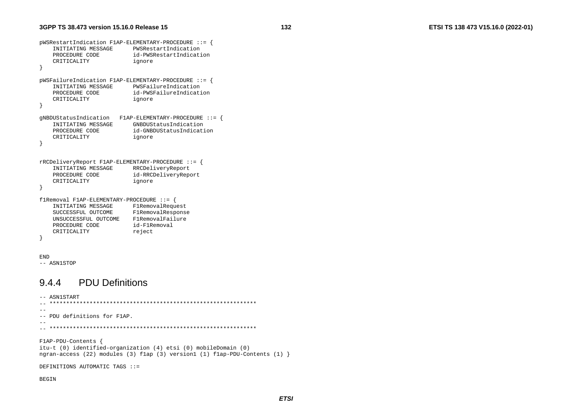```
pWSRestartIndication F1AP-ELEMENTARY-PROCEDURE ::= {
    INITIATING MESSAGE
                            PWSRestartIndication
    PROCEDURE CODE
                             id-PWSRestartIndication
    CRITICALITY
                             ignore
\mathcal{F}pWSFailureIndication F1AP-ELEMENTARY-PROCEDURE ::= {
    INITIATING MESSAGE
                             PWSFailureIndication
    PROCEDURE CODE
                             id-PWSFailureIndication
    CRITICALITY
                             ignore
\left\{ \right\}gNBDUStatusIndication F1AP-ELEMENTARY-PROCEDURE ::= {
    INITIATING MESSAGE
                             GNBDUStatusIndication
    PROCEDURE CODE
                             id-GNBDUStatusIndication
    CRITICALITY
                             ignore
\rightarrowrRCDeliveryReport F1AP-ELEMENTARY-PROCEDURE ::= {
    INITIATING MESSAGE
                             RRCDeliveryReport
    PROCEDURE CODE
                             id-RRCDeliveryReport
    CRITICALITY
                             ignore
\rightarrowflRemoval F1AP-ELEMENTARY-PROCEDURE ::= {
    INITIATING MESSAGE
                             FlRemovalRequest
    SUCCESSFUL OUTCOME
                             FlRemovalResponse
    UNSUCCESSFUL OUTCOME F1RemovalFailure
    PROCEDURE CODE
                            id-F1Removal
    CRITICALITY
                            reject
- }
```

```
END
```
-- ASN1STOP

#### **PDU Definitions** 944

-- ASN1START  $-$ -- PDU definitions for F1AP.  $-$ F1AP-PDU-Contents { itu-t (0) identified-organization (4) etsi (0) mobileDomain (0) ngran-access (22) modules (3) flap (3) version1 (1) flap-PDU-Contents (1) } DEFINITIONS AUTOMATIC TAGS ::= **BEGIN** 

132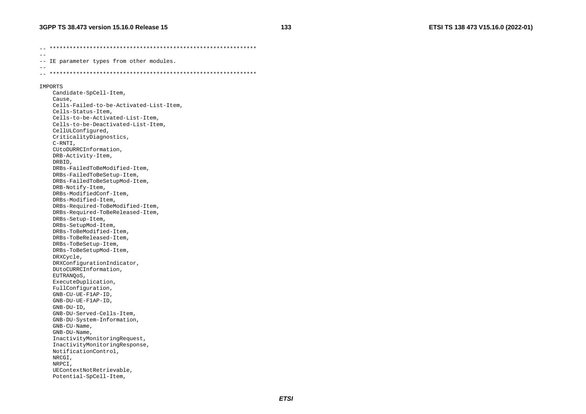-- \*\*\*\*\*\*\*\*\*\*\*\*\*\*\*\*\*\*\*\*\*\*\*\*\*\*\*\*\*\*\*\*\*\*\*\*\*\*\*\*\*\*\*\*\*\*\*\*\*\*\*\*\*\*\*\*\*\*\*\*\*\*  $-$ -- IE parameter types from other modules. -- -- \*\*\*\*\*\*\*\*\*\*\*\*\*\*\*\*\*\*\*\*\*\*\*\*\*\*\*\*\*\*\*\*\*\*\*\*\*\*\*\*\*\*\*\*\*\*\*\*\*\*\*\*\*\*\*\*\*\*\*\*\*\* IMPORTS Candidate-SpCell-Item, Cause, Cells-Failed-to-be-Activated-List-Item, Cells-Status-Item, Cells-to-be-Activated-List-Item, Cells-to-be-Deactivated-List-Item, CellULConfigured, CriticalityDiagnostics, C-RNTI, CUtoDURRCInformation, DRB-Activity-Item, DRBID, DRBs-FailedToBeModified-Item, DRBs-FailedToBeSetup-Item, DRBs-FailedToBeSetupMod-Item, DRB-Notify-Item, DRBs-ModifiedConf-Item, DRBs-Modified-Item, DRBs-Required-ToBeModified-Item, DRBs-Required-ToBeReleased-Item, DRBs-Setup-Item, DRBs-SetupMod-Item, DRBs-ToBeModified-Item, DRBs-ToBeReleased-Item, DRBs-ToBeSetup-Item, DRBs-ToBeSetupMod-Item, DRXCycle, DRXConfigurationIndicator, DUtoCURRCInformation, EUTRANQoS, ExecuteDuplication, FullConfiguration, GNB-CU-UE-F1AP-ID, GNB-DU-UE-F1AP-ID, GNB-DU-ID, GNB-DU-Served-Cells-Item, GNB-DU-System-Information, GNB-CU-Name, GNB-DU-Name, InactivityMonitoringRequest, InactivityMonitoringResponse, NotificationControl, NRCGI, NRPCI, UEContextNotRetrievable, Potential-SpCell-Item,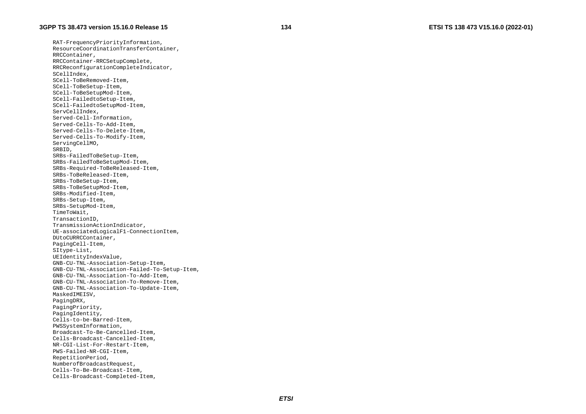RAT-FrequencyPriorityInformation, ResourceCoordinationTransferContainer, RRCContainer, RRCContainer-RRCSetupComplete, RRCReconfigurationCompleteIndicator, SCellIndex, SCell-ToBeRemoved-Item, SCell-ToBeSetup-Item, SCell-ToBeSetupMod-Item, SCell-FailedtoSetup-Item, SCell-FailedtoSetupMod-Item, ServCellIndex, Served-Cell-Information, Served-Cells-To-Add-Item, Served-Cells-To-Delete-Item, Served-Cells-To-Modify-Item, ServingCellMO, SRBID, SRBs-FailedToBeSetup-Item, SRBs-FailedToBeSetupMod-Item, SRBs-Required-ToBeReleased-Item, SRBs-ToBeReleased-Item, SRBs-ToBeSetup-Item, SRBs-ToBeSetupMod-Item, SRBs-Modified-Item, SRBs-Setup-Item, SRBs-SetupMod-Item, TimeToWait, TransactionID, TransmissionActionIndicator, UE-associatedLogicalF1-ConnectionItem, DUtoCURRCContainer, PagingCell-Item, SItype-List, UEIdentityIndexValue, GNB-CU-TNL-Association-Setup-Item, GNB-CU-TNL-Association-Failed-To-Setup-Item, GNB-CU-TNL-Association-To-Add-Item, GNB-CU-TNL-Association-To-Remove-Item, GNB-CU-TNL-Association-To-Update-Item, MaskedIMEISV, PagingDRX, PagingPriority, PagingIdentity, Cells-to-be-Barred-Item, PWSSystemInformation, Broadcast-To-Be-Cancelled-Item, Cells-Broadcast-Cancelled-Item, NR-CGI-List-For-Restart-Item, PWS-Failed-NR-CGI-Item, RepetitionPeriod, NumberofBroadcastRequest, Cells-To-Be-Broadcast-Item, Cells-Broadcast-Completed-Item,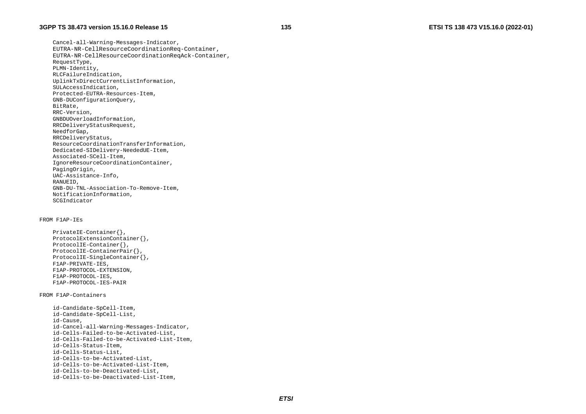Cancel-all-Warning-Messages-Indicator, EUTRA-NR-CellResourceCoordinationReq-Container, EUTRA-NR-CellResourceCoordinationReqAck-Container, RequestType, PLMN-Identity, RLCFailureIndication, UplinkTxDirectCurrentListInformation, SULAccessIndication, Protected-EUTRA-Resources-Item, GNB-DUConfigurationQuery, BitRate, RRC-Version, GNBDUOverloadInformation, RRCDeliveryStatusRequest, NeedforGap, RRCDeliveryStatus, ResourceCoordinationTransferInformation, Dedicated-SIDelivery-NeededUE-Item, Associated-SCell-Item, IgnoreResourceCoordinationContainer, PagingOrigin, UAC-Assistance-Info, RANUEID, GNB-DU-TNL-Association-To-Remove-Item, NotificationInformation, SCGIndicator

#### FROM F1AP-IEs

 PrivateIE-Container{}, ProtocolExtensionContainer{}, ProtocolIE-Container{}, ProtocolIE-ContainerPair{}, ProtocolIE-SingleContainer{}, F1AP-PRIVATE-IES, F1AP-PROTOCOL-EXTENSION, F1AP-PROTOCOL-IES, F1AP-PROTOCOL-IES-PAIR

#### FROM F1AP-Containers

 id-Candidate-SpCell-Item, id-Candidate-SpCell-List, id-Cause, id-Cancel-all-Warning-Messages-Indicator, id-Cells-Failed-to-be-Activated-List, id-Cells-Failed-to-be-Activated-List-Item, id-Cells-Status-Item, id-Cells-Status-List, id-Cells-to-be-Activated-List, id-Cells-to-be-Activated-List-Item, id-Cells-to-be-Deactivated-List, id-Cells-to-be-Deactivated-List-Item,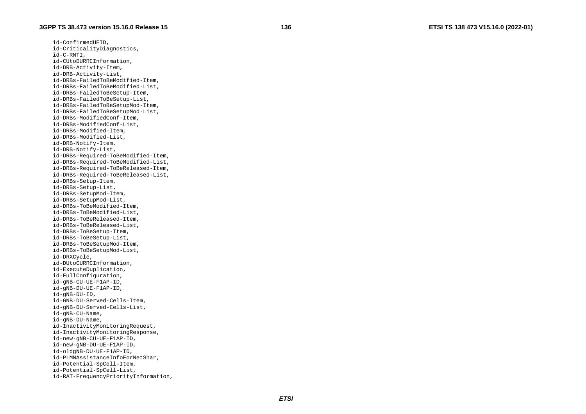id-ConfirmedUEID, id-CriticalityDiagnostics, id-C-RNTI, id-CUtoDURRCInformation, id-DRB-Activity-Item, id-DRB-Activity-List, id-DRBs-FailedToBeModified-Item, id-DRBs-FailedToBeModified-List, id-DRBs-FailedToBeSetup-Item, id-DRBs-FailedToBeSetup-List, id-DRBs-FailedToBeSetupMod-Item, id-DRBs-FailedToBeSetupMod-List, id-DRBs-ModifiedConf-Item, id-DRBs-ModifiedConf-List, id-DRBs-Modified-Item, id-DRBs-Modified-List, id-DRB-Notify-Item, id-DRB-Notify-List, id-DRBs-Required-ToBeModified-Item, id-DRBs-Required-ToBeModified-List, id-DRBs-Required-ToBeReleased-Item, id-DRBs-Required-ToBeReleased-List, id-DRBs-Setup-Item, id-DRBs-Setup-List, id-DRBs-SetupMod-Item, id-DRBs-SetupMod-List, id-DRBs-ToBeModified-Item, id-DRBs-ToBeModified-List, id-DRBs-ToBeReleased-Item, id-DRBs-ToBeReleased-List, id-DRBs-ToBeSetup-Item, id-DRBs-ToBeSetup-List, id-DRBs-ToBeSetupMod-Item, id-DRBs-ToBeSetupMod-List, id-DRXCycle, id-DUtoCURRCInformation, id-ExecuteDuplication, id-FullConfiguration, id-gNB-CU-UE-F1AP-ID, id-gNB-DU-UE-F1AP-ID, id-gNB-DU-ID, id-GNB-DU-Served-Cells-Item, id-gNB-DU-Served-Cells-List, id-gNB-CU-Name, id-gNB-DU-Name, id-InactivityMonitoringRequest, id-InactivityMonitoringResponse, id-new-gNB-CU-UE-F1AP-ID, id-new-gNB-DU-UE-F1AP-ID, id-oldgNB-DU-UE-F1AP-ID, id-PLMNAssistanceInfoForNetShar, id-Potential-SpCell-Item, id-Potential-SpCell-List, id-RAT-FrequencyPriorityInformation,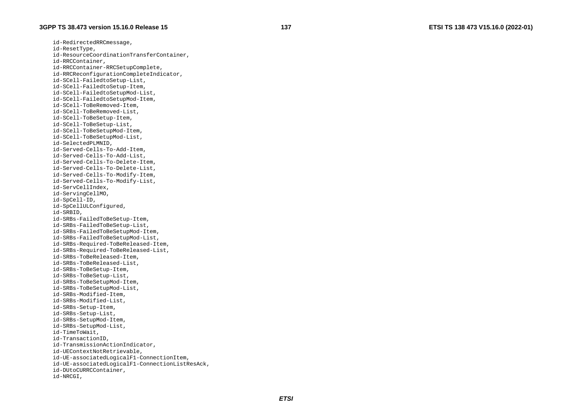id-RedirectedRRCmessage, id-ResetType, id-ResourceCoordinationTransferContainer, id-RRCContainer, id-RRCContainer-RRCSetupComplete, id-RRCReconfigurationCompleteIndicator, id-SCell-FailedtoSetup-List, id-SCell-FailedtoSetup-Item, id-SCell-FailedtoSetupMod-List, id-SCell-FailedtoSetupMod-Item, id-SCell-ToBeRemoved-Item, id-SCell-ToBeRemoved-List, id-SCell-ToBeSetup-Item, id-SCell-ToBeSetup-List, id-SCell-ToBeSetupMod-Item, id-SCell-ToBeSetupMod-List, id-SelectedPLMNID, id-Served-Cells-To-Add-Item, id-Served-Cells-To-Add-List, id-Served-Cells-To-Delete-Item, id-Served-Cells-To-Delete-List, id-Served-Cells-To-Modify-Item, id-Served-Cells-To-Modify-List, id-ServCellIndex, id-ServingCellMO, id-SpCell-ID, id-SpCellULConfigured, id-SRBID, id-SRBs-FailedToBeSetup-Item, id-SRBs-FailedToBeSetup-List, id-SRBs-FailedToBeSetupMod-Item, id-SRBs-FailedToBeSetupMod-List, id-SRBs-Required-ToBeReleased-Item, id-SRBs-Required-ToBeReleased-List, id-SRBs-ToBeReleased-Item, id-SRBs-ToBeReleased-List, id-SRBs-ToBeSetup-Item, id-SRBs-ToBeSetup-List, id-SRBs-ToBeSetupMod-Item, id-SRBs-ToBeSetupMod-List, id-SRBs-Modified-Item, id-SRBs-Modified-List, id-SRBs-Setup-Item, id-SRBs-Setup-List, id-SRBs-SetupMod-Item, id-SRBs-SetupMod-List, id-TimeToWait, id-TransactionID, id-TransmissionActionIndicator, id-UEContextNotRetrievable, id-UE-associatedLogicalF1-ConnectionItem, id-UE-associatedLogicalF1-ConnectionListResAck, id-DUtoCURRCContainer, id-NRCGI,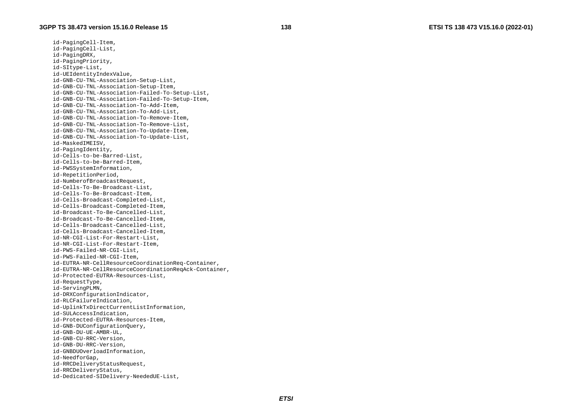id-PagingCell-Item, id-PagingCell-List, id-PagingDRX, id-PagingPriority, id-SItype-List, id-UEIdentityIndexValue, id-GNB-CU-TNL-Association-Setup-List, id-GNB-CU-TNL-Association-Setup-Item, id-GNB-CU-TNL-Association-Failed-To-Setup-List, id-GNB-CU-TNL-Association-Failed-To-Setup-Item, id-GNB-CU-TNL-Association-To-Add-Item, id-GNB-CU-TNL-Association-To-Add-List, id-GNB-CU-TNL-Association-To-Remove-Item, id-GNB-CU-TNL-Association-To-Remove-List, id-GNB-CU-TNL-Association-To-Update-Item, id-GNB-CU-TNL-Association-To-Update-List, id-MaskedIMEISV, id-PagingIdentity, id-Cells-to-be-Barred-List, id-Cells-to-be-Barred-Item, id-PWSSystemInformation, id-RepetitionPeriod, id-NumberofBroadcastRequest, id-Cells-To-Be-Broadcast-List, id-Cells-To-Be-Broadcast-Item, id-Cells-Broadcast-Completed-List, id-Cells-Broadcast-Completed-Item, id-Broadcast-To-Be-Cancelled-List, id-Broadcast-To-Be-Cancelled-Item, id-Cells-Broadcast-Cancelled-List, id-Cells-Broadcast-Cancelled-Item, id-NR-CGI-List-For-Restart-List, id-NR-CGI-List-For-Restart-Item, id-PWS-Failed-NR-CGI-List, id-PWS-Failed-NR-CGI-Item, id-EUTRA-NR-CellResourceCoordinationReq-Container, id-EUTRA-NR-CellResourceCoordinationReqAck-Container, id-Protected-EUTRA-Resources-List, id-RequestType, id-ServingPLMN, id-DRXConfigurationIndicator, id-RLCFailureIndication, id-UplinkTxDirectCurrentListInformation, id-SULAccessIndication, id-Protected-EUTRA-Resources-Item, id-GNB-DUConfigurationQuery, id-GNB-DU-UE-AMBR-UL, id-GNB-CU-RRC-Version, id-GNB-DU-RRC-Version, id-GNBDUOverloadInformation, id-NeedforGap, id-RRCDeliveryStatusRequest, id-RRCDeliveryStatus, id-Dedicated-SIDelivery-NeededUE-List,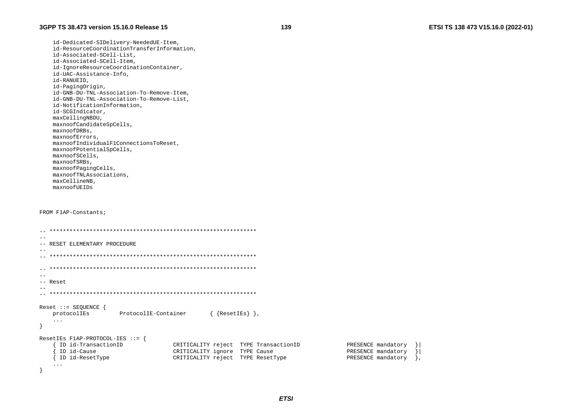id-Dedicated-SIDelivery-NeededUE-Item, id-ResourceCoordinationTransferInformation, id-Associated-SCell-List. id-Associated-SCell-Item, id-IqnoreResourceCoordinationContainer, id-UAC-Assistance-Info, id-RANUEID, id-PagingOrigin, id-GNB-DU-TNL-Association-To-Remove-Item, id-GNB-DU-TNL-Association-To-Remove-List, id-NotificationInformation, id-SCGIndicator, maxCellingNBDU, maxnoofCandidateSpCells, maxnoofDRBs, maxnoofErrors. maxnoofIndividualF1ConnectionsToReset, maxnoofPotentialSpCells, maxnoofSCells, maxnoofSRBs, maxnoofPagingCells, maxnoofTNLAssociations, maxCellineNB, maxnoofUEIDs

#### FROM F1AP-Constants;

 $\left\{ \right\}$ 

| -- RESET ELEMENTARY PROCEDURE                                                    |                                       |                    |  |  |  |
|----------------------------------------------------------------------------------|---------------------------------------|--------------------|--|--|--|
|                                                                                  |                                       |                    |  |  |  |
|                                                                                  |                                       |                    |  |  |  |
|                                                                                  |                                       |                    |  |  |  |
|                                                                                  |                                       |                    |  |  |  |
| -- Reset                                                                         |                                       |                    |  |  |  |
|                                                                                  |                                       |                    |  |  |  |
|                                                                                  |                                       |                    |  |  |  |
| Reset $::=$ SEQUENCE {<br>$\{$ {ResetIEs} },<br>protocolIEs ProtocolIE-Container |                                       |                    |  |  |  |
| $\cdot\cdot\cdot$                                                                |                                       |                    |  |  |  |
| ResetIEs F1AP-PROTOCOL-IES ::= {                                                 |                                       |                    |  |  |  |
| ID id-TransactionID                                                              | CRITICALITY reject TYPE TransactionID | PRESENCE mandatory |  |  |  |
| ID id-Cause                                                                      | CRITICALITY ignore TYPE Cause         | PRESENCE mandatory |  |  |  |
| ID id-ResetType                                                                  | CRITICALITY reject TYPE ResetType     | PRESENCE mandatory |  |  |  |
| $\cdots$                                                                         |                                       |                    |  |  |  |

139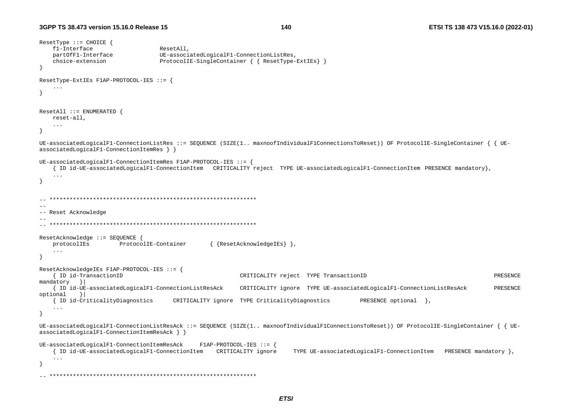140

```
ResetType :: CHOICE {
   f1-Interface
                                ResetAll.
   partOfF1-Interface
                                UE-associatedLogicalF1-ConnectionListRes,
   choice-extension
                                ProtocolIE-SingleContainer { { ResetType-ExtIEs} }
ResetType-ExtIEs F1AP-PROTOCOL-IES ::= {
    \ddotscResetAll :: = ENUMERATED {
   reset-all,
   \mathbf{1}UE-associatedLogicalF1-ConnectionListRes ::= SEOUENCE (SIZE(1.. maxnoofIndividualF1ConnectionsToReset)) OF ProtocolIE-SingleContainer { { UE-
associatedLogicalF1-ConnectionItemRes } }
UE-associatedLogicalF1-ConnectionItemRes F1AP-PROTOCOL-IES ::= {
   { ID id-UE-associatedLogicalF1-ConnectionItem CRITICALITY reject TYPE UE-associatedLogicalF1-ConnectionItem PRESENCE mandatory},
   \ldots\rightarrow--- Reset Acknowledge
-ResetAcknowledge ::= SEQUENCE {
                     ProtocolIE-Container
                                              { {ResetAcknowledgeIEs} },
   protocolIEs
   \cdotsResetAcknowledgeIEs F1AP-PROTOCOL-IES ::= {
   { ID id-TransactionID
                                                      CRITICALITY reject TYPE TransactionID
                                                                                                                           PRESENCE
mandatory }
   { ID id-UE-associatedLogicalF1-ConnectionListResAck
                                                      CRITICALITY ignore TYPE UE-associatedLogicalF1-ConnectionListResAck
                                                                                                                           PRESENCE
optional }
   { ID id-CriticalityDiagnostics
                                CRITICALITY ignore TYPE CriticalityDiagnostics
                                                                                      PRESENCE optional },
   \sim . .
- }
UE-associatedLogicalF1-ConnectionListResAck ::= SEQUENCE (SIZE(1.. maxnoofIndividualF1ConnectionsToReset)) OF ProtocolIE-SingleContainer { { UE-
associatedLogicalF1-ConnectionItemResAck } }
UE-associatedLogicalF1-ConnectionItemResAck
                                         F1AP-PROTOCOL-IES :: = \{{ ID id-UE-associatedLogicalF1-ConnectionItem CRITICALITY ignore
                                                                    TYPE UE-associatedLogicalF1-ConnectionItem PRESENCE mandatory },
   \sim \sim \sim\lambda
```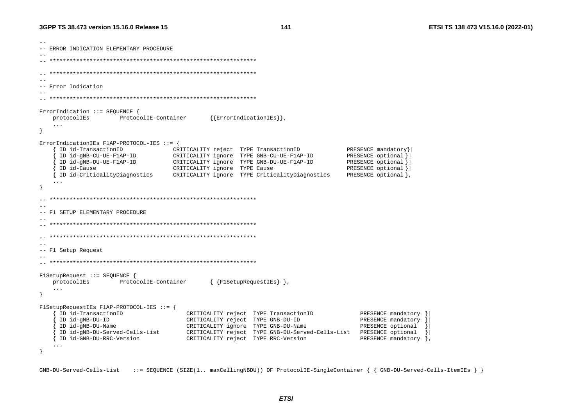$141$ 

-- ERROR INDICATION ELEMENTARY PROCEDURE  $\sim$   $-$ -- Error Indication ErrorIndication ::= SEQUENCE { protocolIEs ProtocolIE-Container  ${|ErrorIndicationIES|},$  $\mathbf{1}$ - } ErrorIndicationIEs F1AP-PROTOCOL-IES ::= { ID id-TransactionID CRITICALITY reject TYPE TransactionID PRESENCE mandatory} --<br>ID id-gNB-CU-UE-F1AP-ID<br>ID id-gNB-DU-UE-F1AP-ID CRITICALITY ignore TYPE GNB-CU-UE-F1AP-ID PRESENCE optional } CRITICALITY ignore TYPE GNB-DU-UE-F1AP-ID PRESENCE optional } ID id-Cause CRITICALITY ignore TYPE Cause PRESENCE optional } { ID id-CriticalityDiagnostics PRESENCE optional }, CRITICALITY ignore TYPE CriticalityDiagnostics  $-$ -- F1 SETUP ELEMENTARY PROCEDURE  $\sim$   $-$ -- F1 Setup Request F1SetupRequest ::= SEQUENCE { { {F1SetupRequestIEs} }, protocolIEs ProtocolIE-Container  $\cdots$  $\mathcal{E}$ F1SetupRequestIEs F1AP-PROTOCOL-IES ::= { ID id-TransactionID CRITICALITY reject TYPE TransactionID PRESENCE mandatory } ID id-gNB-DU-ID CRITICALITY reject TYPE GNB-DU-ID PRESENCE mandatory ID id-gNB-DU-Name CRITICALITY ignore TYPE GNB-DU-Name PRESENCE optional ID id-gNB-DU-Served-Cells-List CRITICALITY reject TYPE GNB-DU-Served-Cells-List PRESENCE optional  $\rightarrow$ { ID id-GNB-DU-RRC-Version CRITICALITY reject TYPE RRC-Version PRESENCE mandatory },  $\lambda$ 

GNB-DU-Served-Cells-List ::= SEOUENCE (SIZE(1.. maxCellingNBDU)) OF ProtocolIE-SingleContainer { { GNB-DU-Served-Cells-ItemIEs } }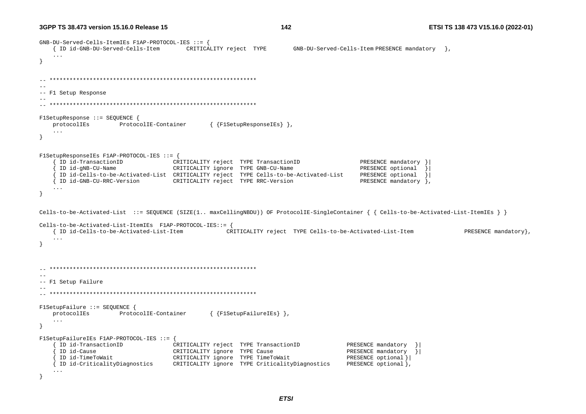**3GPP TS 38.473 version 15.16.0 Release 15**

```
GNB-DU-Served-Cells-ItemIEs F1AP-PROTOCOL-IES ::= { 
    { ID id-GNB-DU-Served-Cells-Item CRITICALITY reject TYPE GNB-DU-Served-Cells-Item PRESENCE mandatory }, 
    ... } 
  -- ************************************************************** -- -- F1 Setup Response 
-- -- ************************************************************** F1SetupResponse ::= SEQUENCE { 
    protocolIEs ProtocolIE-Container { {F1SetupResponseIEs} }, 
    ... } 
F1SetupResponseIEs F1AP-PROTOCOL-IES ::= { 
 { ID id-TransactionID CRITICALITY reject TYPE TransactionID PRESENCE mandatory }| 
 { ID id-gNB-CU-Name CRITICALITY ignore TYPE GNB-CU-Name PRESENCE optional }| 
      { ID id-Cells-to-be-Activated-List CRITICALITY reject TYPE Cells-to-be-Activated-List PRESENCE optional }| 
    { ID id-GNB-CU-RRC-Version CRITICALITY reject TYPE RRC-Version PRESENCE mandatory }, 
    ... } 
Cells-to-be-Activated-List ::= SEQUENCE (SIZE(1.. maxCellingNBDU)) OF ProtocolIE-SingleContainer { { Cells-to-be-Activated-List-ItemIEs } } 
Cells-to-be-Activated-List-ItemIEs F1AP-PROTOCOL-IES::= { 
    { ID id-Cells-to-be-Activated-List-Item CRITICALITY reject TYPE Cells-to-be-Activated-List-Item PRESENCE mandatory}, 
    ... } 
-- ************************************************************** -- -- F1 Setup Failure 
-- 
-- ************************************************************** F1SetupFailure ::= SEQUENCE { 
    protocolIEs ProtocolIE-Container { {F1SetupFailureIEs} }, 
    ... } 
F1SetupFailureIEs F1AP-PROTOCOL-IES ::= { 
      { ID id-TransactionID CRITICALITY reject TYPE TransactionID PRESENCE mandatory }| 
 { ID id-Cause CRITICALITY ignore TYPE Cause PRESENCE mandatory }| 
 { ID id-TimeToWait CRITICALITY ignore TYPE TimeToWait PRESENCE optional }| 
    { ID id-CriticalityDiagnostics CRITICALITY ignore TYPE CriticalityDiagnostics PRESENCE optional }, 
    ... }
```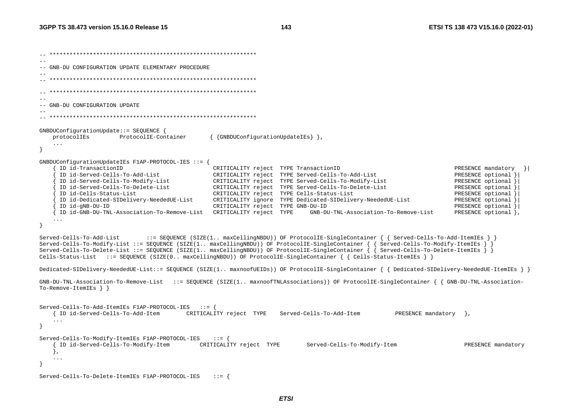```
-- ************************************************************** -- -- GNB-DU CONFIGURATION UPDATE ELEMENTARY PROCEDURE -- -- ************************************************************** -- ************************************************************** -- -- GNB-DU CONFIGURATION UPDATE 
-- 
-- ************************************************************** GNBDUConfigurationUpdate::= SEQUENCE { 
    protocolIEs ProtocolIE-Container { {GNBDUConfigurationUpdateIEs} }, 
    ... } 
GNBDUConfigurationUpdateIEs F1AP-PROTOCOL-IES ::= { 
     ID id-TransactionID \begin{array}{c} \text{CRITICALITY reject} \\ \text{TPE TransactionID} \end{array} PRESENCE mandatory \{\} { ID id-Served-Cells-To-Add-List CRITICALITY reject TYPE Served-Cells-To-Add-List PRESENCE optional }| 
      { ID id-Served-Cells-To-Modify-List CRITICALITY reject TYPE Served-Cells-To-Modify-List PRESENCE optional }| 
      { ID id-Served-Cells-To-Delete-List CRITICALITY reject TYPE Served-Cells-To-Delete-List PRESENCE optional }| 
      { ID id-Cells-Status-List CRITICALITY reject TYPE Cells-Status-List PRESENCE optional }| 
      { ID id-Dedicated-SIDelivery-NeededUE-List CRITICALITY ignore TYPE Dedicated-SIDelivery-NeededUE-List PRESENCE optional }| 
      { ID id-gNB-DU-ID CRITICALITY reject TYPE GNB-DU-ID PRESENCE optional }| 
     { ID id-GNB-DU-TNL-Association-To-Remove-List CRITICALITY reject TYPE GNB-DU-TNL-Association-To-Remove-List PRESENCE optional }, 
    ... } 
Served-Cells-To-Add-List ::= SEQUENCE (SIZE(1.. maxCellingNBDU)) OF ProtocolIE-SingleContainer { { Served-Cells-To-Add-ItemIEs } } 
Served-Cells-To-Modify-List ::= SEQUENCE (SIZE(1.. maxCellingNBDU)) OF ProtocolIE-SingleContainer { { Served-Cells-To-Modify-ItemIEs } }
Served-Cells-To-Delete-List ::= SEQUENCE (SIZE(1.. maxCellingNBDU)) OF ProtocolIE-SingleContainer { { Served-Cells-To-Delete-ItemIEs } }
Cells-Status-List ::= SEQUENCE (SIZE(0.. maxCellingNBDU)) OF ProtocolIE-SingleContainer { { Cells-Status-ItemIEs } }
Dedicated-SIDelivery-NeededUE-List::= SEQUENCE (SIZE(1.. maxnoofUEIDs)) OF ProtocolIE-SingleContainer { { Dedicated-SIDelivery-NeededUE-ItemIEs } } 
GNB-DU-TNL-Association-To-Remove-List ::= SEQUENCE (SIZE(1.. maxnoofTNLAssociations)) OF ProtocolIE-SingleContainer { { GNB-DU-TNL-Association-
To-Remove-ItemIEs } } 
Served-Cells-To-Add-ItemIEs F1AP-PROTOCOL-IES ::= { 
    { ID id-Served-Cells-To-Add-Item CRITICALITY reject TYPE Served-Cells-To-Add-Item PRESENCE mandatory }, 
    ... } 
Served-Cells-To-Modify-ItemIEs F1AP-PROTOCOL-IES ::= { 
   { ID id-Served-Cells-To-Modify-Item CRITICALITY reject TYPE Served-Cells-To-Modify-Item PRESENCE mandatory
    }, 
    ... } 
Served-Cells-To-Delete-ItemIEs F1AP-PROTOCOL-IES ::= {
```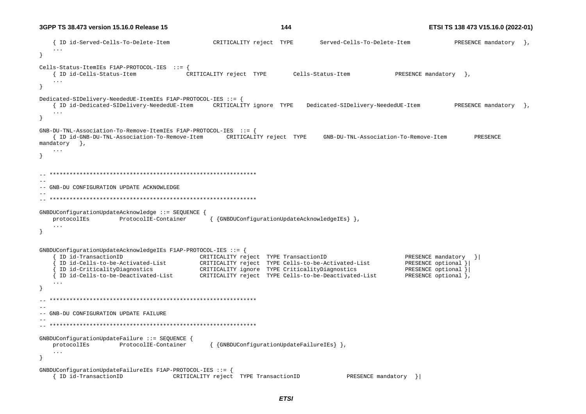```
{ ID id-Served-Cells-To-Delete-Item
                                             CRITICALITY reject TYPE
                                                                         Served-Cells-To-Delete-Item
                                                                                                             PRESENCE mandatory \},
Cells-Status-ItemIES F1AP-PROTOCOL-IES :: = \{{ ID id-Cells-Status-Item
                                      CRITICALITY reject TYPE
                                                              Cells-Status-Item
                                                                                             PRESENCE mandatory },
   \sim \sim \sim\rightarrowDedicated-SIDelivery-NeededUE-ItemIEs F1AP-PROTOCOL-IES ::= {
   { ID id-Dedicated-SIDelivery-NeededUE-Item CRITICALITY ignore TYPE Dedicated-SIDelivery-NeededUE-Item
                                                                                                             PRESENCE mandatory \},
   \sim 100\rightarrowGNB-DU-TNL-Association-To-Remove-ItemIEs F1AP-PROTOCOL-IES ::= {
   { ID id-GNB-DU-TNL-Association-To-Remove-Item CRITICALITY reject TYPE GNB-DU-TNL-Association-To-Remove-Item
                                                                                                                  PRESENCE
mandatory },
   \ddots\left\{ \right.- --- GNB-DU CONFIGURATION UPDATE ACKNOWLEDGE
-GNBDUConfigurationUpdateAcknowledge ::= SEQUENCE {
                                            { {GNBDUConfigurationUpdateAcknowledgeIEs} },
   protocolIEs
               ProtocolIE-Container
   \sim \sim \simGNBDUConfigurationUpdateAcknowledgeIEs F1AP-PROTOCOL-IES ::= {
                                      CRITICALITY reject TYPE TransactionID<br>CRITICALITY reject TYPE Cells-to-be-Activated-List
     ID id-TransactionID
                                                                                                PRESENCE mandatory }
     ID id-Cells-to-be-Activated-List
                                                                                                PRESENCE optional }
     ID id-CriticalityDiagnostics
                                       CRITICALITY ignore TYPE CriticalityDiagnostics
                                                                                                PRESENCE optional }
                                    CRITICALITY reject TYPE Cells-to-be-Deactivated-List
     ID id-Cells-to-be-Deactivated-List
                                                                                                PRESENCE optional },
  --- GNB-DU CONFIGURATION UPDATE FAILURE
GNBDUConfigurationUpdateFailure ::= SEQUENCE {
   protocolIEs
                    ProtocolIE-Container
                                            { {GNBDUConfigurationUpdateFailureIEs} },
   \ddots\mathcal{F}GNBDUConfigurationUpdateFailureIEs F1AP-PROTOCOL-IES ::= {
   { ID id-TransactionID
                                  CRITICALITY reject TYPE TransactionID
                                                                                PRESENCE mandatory }
```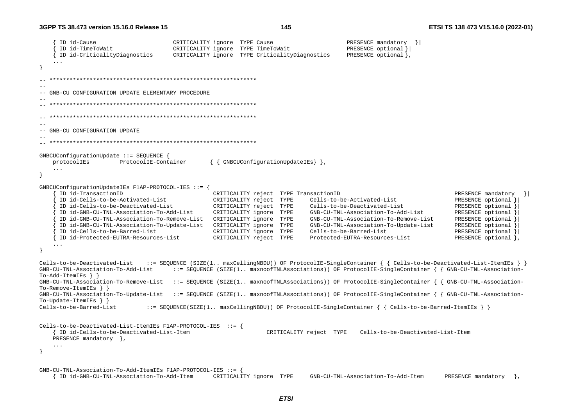```
ID id-Cause
                                    CRITICALITY ignore TYPE Cause
                                                                                  PRESENCE mandatory }
     ID id-TimeToWait
                                   CRITICALITY ignore TYPE TimeToWait
                                                                                  PRESENCE optional } |
                                                                                  PRESENCE optional },
     ID id-CriticalityDiagnostics
                                   CRITICALITY ignore TYPE CriticalityDiagnostics
  -- GNB-CU CONFIGURATION UPDATE ELEMENTARY PROCEDURE
--- GNB-CU CONFIGURATION UPDATE
GNBCUConfigurationUpdate ::= SEOUENCE {
                                             { { GNBCUConfigurationUpdateIEs } },
   protocolIEs
                     ProtocolIE-Container
   \ddots .
GNBCUConfigurationUpdateIEs F1AP-PROTOCOL-IES ::= {
     ID id-TransactionID
                                              CRITICALITY reject TYPE TransactionID
                                                                                                               PRESENCE mandatory }
     ID id-Cells-to-be-Activated-List
                                              CRITICALITY reject TYPE
                                                                        Cells-to-be-Activated-List
                                                                                                               PRESENCE optional }
     ID id-Cells-to-be-Deactivated-List
                                              CRITICALITY reject TYPE
                                                                        Cells-to-be-Deactivated-List
                                                                                                               PRESENCE optional
     ID id-GNB-CU-TNL-Association-To-Add-List
                                              CRITICALITY ignore TYPE
                                                                        GNB-CU-TNL-Association-To-Add-List
                                                                                                               PRESENCE optional
                                                                                                               PRESENCE optional
     ID id-GNB-CU-TNL-Association-To-Remove-List CRITICALITY ignore TYPE
                                                                        GNB-CU-TNL-Association-To-Remove-List
     ID id-GNB-CU-TNL-Association-To-Update-List CRITICALITY ignore TYPE
                                                                        GNB-CU-TNL-Association-To-Update-List
                                                                                                               PRESENCE optional
     ID id-Cells-to-be-Barred-List
                                              CRITICALITY ignore TYPE
                                                                        Cells-to-be-Barred-List
                                                                                                               PRESENCE optional }
                                                                        Protected-EUTRA-Resources-List
     ID id-Protected-EUTRA-Resources-List
                                                                                                               PRESENCE optional },
                                              CRITICALITY reject TYPE
   \cdot .
\rightarrowCells-to-be-Deactivated-List ::= SEQUENCE (SIZE(1.. maxCellingNBDU)) OF ProtocolIE-SingleContainer { { Cells-to-be-Deactivated-List-ItemIEs } }
GNB-CU-TNL-Association-To-Add-List
                                   ::= SEOUENCE (SIZE(1.. maxnoofTNLAssociations)) OF ProtocolIE-SingleContainer { { GNB-CU-TNL-Association-
To-Add-ItemIES } }
GNB-CU-TNL-Association-To-Remove-List ::= SEQUENCE (SIZE(1.. maxnoofTNLAssociations)) OF ProtocolIE-SingleContainer { { GNB-CU-TNL-Association-
To-Remove-ItemIEs \}GNB-CU-TNL-Association-To-Update-List ::= SEOUENCE (SIZE(1.. maxnoofTNLAssociations)) OF ProtocolIE-SingleContainer { { GNB-CU-TNL-Association-
To-Update-ItemIEs \}Cells-to-be-Barred-List
                            ::= SEQUENCE(SIZE(1.. maxCellingNBDU)) OF ProtocolIE-SingleContainer { { Cells-to-be-Barred-ItemIEs } }
Cells-to-be-Deactivated-List-ItemIEs F1AP-PROTOCOL-IES ::= {
   { ID id-Cells-to-be-Deactivated-List-Item
                                                             CRITICALITY reject TYPE Cells-to-be-Deactivated-List-Item
   PRESENCE mandatory },
   \cdot .
GNB-CU-TNL-Association-To-Add-ItemIES F1AP-PROTOCOL-IES :: ={ ID id-GNB-CU-TNL-Association-To-Add-Item
                                              CRITICALITY ignore TYPE
                                                                        GNB-CU-TNL-Association-To-Add-Item
                                                                                                             PRESENCE mandatory \},
```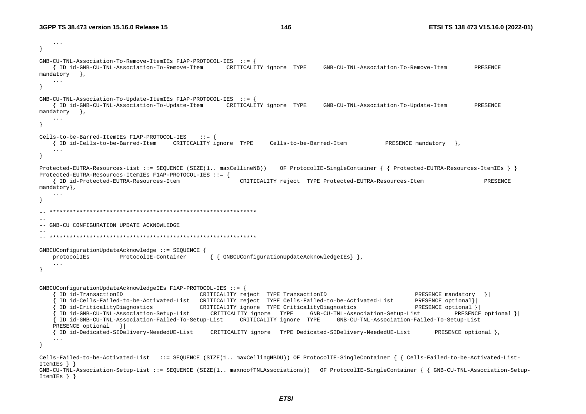```
\ddots\rightarrowGNB-CU-TNL-Association-To-Remove-ItemIES F1AP-PROTOCOL-IES :: ={ ID id-GNB-CU-TNL-Association-To-Remove-Item  CRITICALITY ignore TYPE  GNB-CU-TNL-Association-To-Remove-Item
                                                                                                                         PRESENCE
mandatory },
   \ddots\rightarrowGNB-CU-TNL-Association-TO-Update-ItemIES F1AP-PROTOCOL-IES :: ={ ID id-GNB-CU-TNL-Association-To-Update-Item CRITICALITY ignore TYPE GNB-CU-TNL-Association-To-Update-Item
                                                                                                                         PRESENCE
mandatory },
   \sim \sim \simCells-to-be-Barred-ItemIES F1AP-PROTOCOL-IRS ::= {{ ID id-Cells-to-be-Barred-Item CRITICALITY ignore TYPE Cells-to-be-Barred-Item
                                                                                                PRESENCE mandatory },
   \ddots\mathcal{F}Protected-EUTRA-Resources-List ::= SEQUENCE (SIZE(1.. maxCellineNB)) OF ProtocolIE-SingleContainer { { Protected-EUTRA-Resources-ItemIEs } }
Protected-EUTRA-Resources-ItemIEs F1AP-PROTOCOL-IES ::= {
                                                        CRITICALITY reject TYPE Protected-EUTRA-Resources-Item
   { ID id-Protected-EUTRA-Resources-Item
                                                                                                                            PRESENCE
mandatory },
  --- GNB-CU CONFIGURATION UPDATE ACKNOWLEDGE
GNBCUConfigurationUpdateAcknowledge ::= SEQUENCE {
   protocolIEs
                     ProtocolIE-Container
                                               { { GNBCUConfigurationUpdateAcknowledgeIEs } },
    \ldots\overline{\mathbf{1}}GNBCUConfigurationUpdateAcknowledgeIEs F1AP-PROTOCOL-IES ::= {
     ID id-TransactionID
                                          CRITICALITY reject TYPE TransactionID
                                                                                                        PRESENCE mandatory }|
     ID id-Cells-Failed-to-be-Activated-List CRITICALITY reject TYPE Cells-Failed-to-be-Activated-List
                                                                                                        PRESENCE optional}
     ID id-CriticalityDiagnostics CRITICALITY ignore TYPE CriticalityDiagnostics
                                                                                                        PRESENCE optional }|
     ID id-GNB-CU-TNL-Association-Setup-List CRITICALITY ignore TYPE
                                                                           GNB-CU-TNL-Association-Setup-List
                                                                                                                   PRESENCE optional }
     ID id-GNB-CU-TNL-Association-Failed-To-Setup-List CRITICALITY ignore TYPE GNB-CU-TNL-Association-Failed-To-Setup-List
   PRESENCE optional } |
   [ID id-Dedicated-SIDelivery-NeededUE-List CRITICALITY ignore TYPE Dedicated-SIDelivery-NeededUE-List
                                                                                                              PRESENCE optional },
    \ldotsCells-Failed-to-be-Activated-List ::= SEOUENCE (SIZE(1.. maxCellingNBDU)) OF ProtocolIE-SingleContainer { { Cells-Failed-to-be-Activated-List-
ItemIES } }
GNB-CU-TNL-Association-Setup-List :: = SEOUENCE (SIZE(1.. maxnoof TNLASSociations)) OF ProtocollE-SingleContainer { { GNB-CU-TNL-Association-Setup-
ItemIES } }
```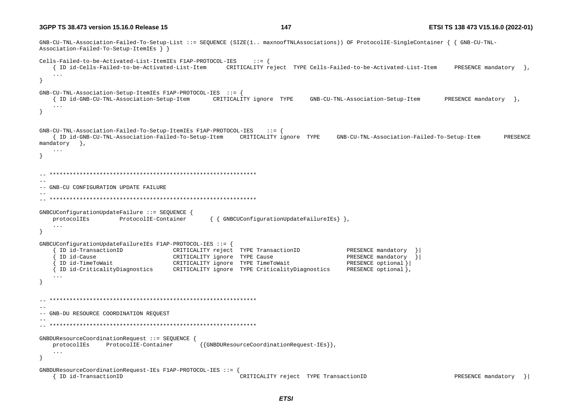GNB-CU-TNL-Association-Failed-To-Setup-List ::= SEOUENCE (SIZE(1.. maxnoofTNLAssociations)) OF ProtocolIE-SingleContainer { { GNB-CU-TNL-Association-Failed-To-Setup-ItemIEs } } Cells-Failed-to-be-Activated-List-ItemIEs F1AP-PROTOCOL-IES  $\therefore$  :  $=$  { { ID id-Cells-Failed-to-be-Activated-List-Item CRITICALITY reject TYPE Cells-Failed-to-be-Activated-List-Item PRESENCE mandatory  $\}$ .  $\mathbf{1}$  $\lambda$  $GNB-CU-TNL-Association-Setup-ItemIES F1AP-PROTOCOL-IES :: = \{$ { ID id-GNB-CU-TNL-Association-Setup-Item CRITICALITY ignore TYPE PRESENCE mandatory }, GNB-CU-TNL-Association-Setup-Item  $\sim$  . <br> .  $\rightarrow$  $GNB-CU-TNL-Association-Failed-To-Setup-ItemIES F1AP-PROTOCOL-IES :: = \{$ { ID id-GNB-CU-TNL-Association-Failed-To-Setup-Item CRITICALITY ignore TYPE GNB-CU-TNL-Association-Failed-To-Setup-Item PRESENCE  $mandatory$  },  $\ddots$  $\left\{ \right.$  $-$ -- GNB-CU CONFIGURATION UPDATE FAILURE  $-$ GNBCUConfigurationUpdateFailure ::= SEOUENCE { { { GNBCUConfigurationUpdateFailureIEs } }, protocolIEs ProtocolIE-Container  $\sim$   $\sim$   $\sim$ GNBCUConfigurationUpdateFailureIEs F1AP-PROTOCOL-IES ::= { ID id-TransactionID CRITICALITY reject TYPE TransactionID PRESENCE mandatory ID id-Cause CRITICALITY ignore TYPE Cause PRESENCE mandatory  $\rightarrow$ ID id-TimeToWait CRITICALITY ignore TYPE TimeToWait PRESENCE optional } { ID id-CriticalityDiagnostics CRITICALITY ignore TYPE CriticalityDiagnostics PRESENCE optional },  $\sim$   $-$ -- GNB-DU RESOURCE COORDINATION REQUEST GNBDUResourceCoordinationRequest ::= SEQUENCE { protocolIEs ProtocolIE-Container {{GNBDUResourceCoordinationRequest-IEs}}  $\ddots$  $\rightarrow$ GNBDUResourceCoordinationRequest-IEs F1AP-PROTOCOL-IES ::= . CRITICALITY reject TYPE TransactionID { ID id-TransactionID PRESENCE mandatory  $\vert$  } ]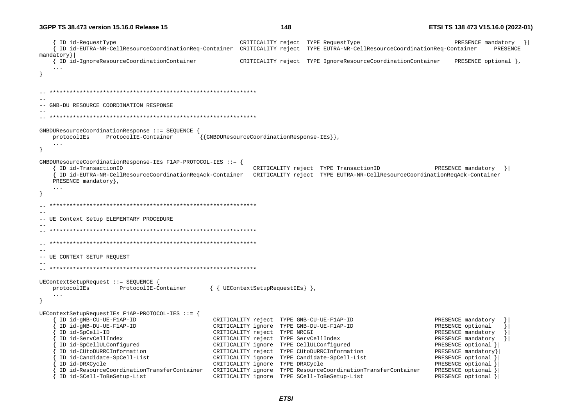ID id-RequestType extending the CRITICALITY reject TYPE RequestType  $\{ | \}$  { ID id-EUTRA-NR-CellResourceCoordinationReq-Container CRITICALITY reject TYPE EUTRA-NR-CellResourceCoordinationReq-Container PRESENCE mandatory}| { ID id-IgnoreResourceCoordinationContainer CRITICALITY reject TYPE IgnoreResourceCoordinationContainer PRESENCE optional }, ... } -- \*\*\*\*\*\*\*\*\*\*\*\*\*\*\*\*\*\*\*\*\*\*\*\*\*\*\*\*\*\*\*\*\*\*\*\*\*\*\*\*\*\*\*\*\*\*\*\*\*\*\*\*\*\*\*\*\*\*\*\*\*\* -- -- GNB-DU RESOURCE COORDINATION RESPONSE -- -- \*\*\*\*\*\*\*\*\*\*\*\*\*\*\*\*\*\*\*\*\*\*\*\*\*\*\*\*\*\*\*\*\*\*\*\*\*\*\*\*\*\*\*\*\*\*\*\*\*\*\*\*\*\*\*\*\*\*\*\*\*\* GNBDUResourceCoordinationResponse ::= SEQUENCE { protocolIEs ProtocolIE-Container {{GNBDUResourceCoordinationResponse-IEs}}, ... } GNBDUResourceCoordinationResponse-IEs F1AP-PROTOCOL-IES ::= { { ID id-TransactionID CRITICALITY reject TYPE TransactionID PRESENCE mandatory }| { ID id-EUTRA-NR-CellResourceCoordinationReqAck-Container CRITICALITY reject TYPE EUTRA-NR-CellResourceCoordinationReqAck-Container PRESENCE mandatory}, ... } -- \*\*\*\*\*\*\*\*\*\*\*\*\*\*\*\*\*\*\*\*\*\*\*\*\*\*\*\*\*\*\*\*\*\*\*\*\*\*\*\*\*\*\*\*\*\*\*\*\*\*\*\*\*\*\*\*\*\*\*\*\*\* -- -- UE Context Setup ELEMENTARY PROCEDURE -- -- \*\*\*\*\*\*\*\*\*\*\*\*\*\*\*\*\*\*\*\*\*\*\*\*\*\*\*\*\*\*\*\*\*\*\*\*\*\*\*\*\*\*\*\*\*\*\*\*\*\*\*\*\*\*\*\*\*\*\*\*\*\*  $\hspace{1.3cm} - \hspace{1.3cm} - \hspace{1.3cm}$  $-$ -- UE CONTEXT SETUP REQUEST -- -- \*\*\*\*\*\*\*\*\*\*\*\*\*\*\*\*\*\*\*\*\*\*\*\*\*\*\*\*\*\*\*\*\*\*\*\*\*\*\*\*\*\*\*\*\*\*\*\*\*\*\*\*\*\*\*\*\*\*\*\*\*\* UEContextSetupRequest ::= SEQUENCE { protocolIEs ProtocolIE-Container { { UEContextSetupRequestIEs } }, ... } UEContextSetupRequestIEs F1AP-PROTOCOL-IES ::= { { ID id-gNB-CU-UE-F1AP-ID CRITICALITY reject TYPE GNB-CU-UE-F1AP-ID PRESENCE mandatory }| { ID id-gNB-DU-UE-F1AP-ID CRITICALITY ignore TYPE GNB-DU-UE-F1AP-ID PRESENCE optional }| { ID id-SpCell-ID CRITICALITY reject TYPE NRCGI PRESENCE mandatory }| { ID id-ServCellIndex CRITICALITY reject TYPE ServCellIndex PRESENCE mandatory }| { ID id-SpCellULConfigured CRITICALITY ignore TYPE CellULConfigured PRESENCE optional }| ID id-CUtoDURRCInformation  $CRITICALITY$  reject TYPE CUtoDURRCInformation PRESENCE mandatory PRESENCE mandatory { ID id-Candidate-SpCell-List CRITICALITY ignore TYPE Candidate-SpCell-List PRESENCE optional }| { ID id-DRXCycle CRITICALITY ignore TYPE DRXCycle PRESENCE optional }| { ID id-ResourceCoordinationTransferContainer CRITICALITY ignore TYPE ResourceCoordinationTransferContainer PRESENCE optional }| { ID id-SCell-ToBeSetup-List CRITICALITY ignore TYPE SCell-ToBeSetup-List PRESENCE optional }|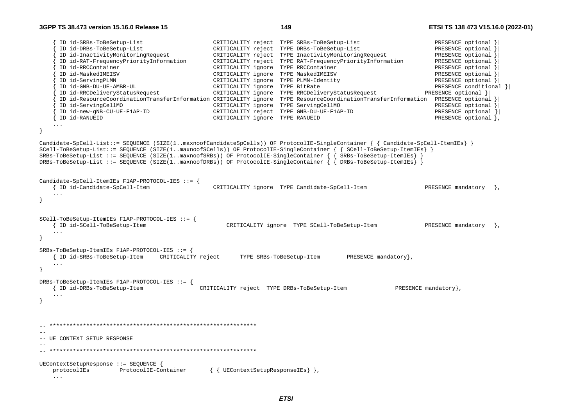```
 { ID id-SRBs-ToBeSetup-List CRITICALITY reject TYPE SRBs-ToBeSetup-List PRESENCE optional }| 
       { ID id-DRBs-ToBeSetup-List CRITICALITY reject TYPE DRBs-ToBeSetup-List PRESENCE optional }| 
       { ID id-InactivityMonitoringRequest CRITICALITY reject TYPE InactivityMonitoringRequest PRESENCE optional }| 
       { ID id-RAT-FrequencyPriorityInformation CRITICALITY reject TYPE RAT-FrequencyPriorityInformation PRESENCE optional }| 
      {\small \hbox{\tt ID} \ id-RRCContainer} \hspace{2.2cm} {\small \hbox{\tt PRESENCE} \hspace{2.2cm} {\small \hbox{\tt CD} id-MaskedIMEISV} } \hspace{2.2cm} {\small \hbox{\tt PRESENCE} \hspace{2.2cm} {\small \hbox{\tt CD} id-MaskedIMEISV} } \hspace{2.2cm} {\small \hbox{\tt PRESENCE} \hspace{2.2cm} {\small \hbox{\tt CD} id-MaskedIMEISV} } \hspace{2.2cm} {\small \hbox{\tt PRESENCE} \hspace{2.2cm} {\small \hbox{\tt CD} id-MaskedIMEISV} } \hspace{2.2cm}{\small \begin{array}{l} \text{ID} \text{ id-MaskedIMEISV} \end{array} \begin{array}{c} \text{PRESENCE} \text{ optimal} \end{array} } {\small \begin{array}{l} \text{CRITICALITY} \text{ ignore} \end{array} } {\small \begin{array}{l} \text{PRPE} \text{ PLMN-Identity} \end{array} }CRITICALITY ignore TYPE PLMN-Identity
       { ID id-GNB-DU-UE-AMBR-UL CRITICALITY ignore TYPE BitRate PRESENCE conditional }| 
                                                    CRITICALITY ignore TYPE RRCDeliveryStatusRequest PRESENCE optional }
       { ID id-ResourceCoordinationTransferInformation CRITICALITY ignore TYPE ResourceCoordinationTransferInformation PRESENCE optional }| 
       { ID id-ServingCellMO CRITICALITY ignore TYPE ServingCellMO PRESENCE optional }| 
       { ID id-new-gNB-CU-UE-F1AP-ID CRITICALITY reject TYPE GNB-DU-UE-F1AP-ID PRESENCE optional }| 
     { ID id-RANUEID CRITICALITY ignore TYPE RANUEID PRESENCE optional }, 
     ... } 
Candidate-SpCell-List::= SEQUENCE (SIZE(1..maxnoofCandidateSpCells)) OF ProtocolIE-SingleContainer { { Candidate-SpCell-ItemIEs} } 
SCell-ToBeSetup-List::= SEQUENCE (SIZE(1..maxnoofSCells)) OF ProtocolIE-SingleContainer { { SCell-ToBeSetup-ItemIEs} } 
SRBs-ToBeSetup-List ::= SEQUENCE (SIZE(1..maxnoofSRBs)) OF ProtocolIE-SingleContainer { { SRBs-ToBeSetup-ItemIEs} } 
DRBs-ToBeSetup-List ::= SEQUENCE (SIZE(1..maxnoofDRBs)) OF ProtocolIE-SingleContainer { { DRBs-ToBeSetup-ItemIEs} } 
Candidate-SpCell-ItemIEs F1AP-PROTOCOL-IES ::= { 
    { ID id-Candidate-SpCell-Item CRITICALITY ignore TYPE Candidate-SpCell-Item PRESENCE mandatory }, 
     ... } 
SCell-ToBeSetup-ItemIEs F1AP-PROTOCOL-IES ::= { 
    { ID id-SCell-ToBeSetup-Item CRITICALITY ignore TYPE SCell-ToBeSetup-Item PRESENCE mandatory }, 
} 
SRBs-ToBeSetup-ItemIEs F1AP-PROTOCOL-IES ::= { 
    { ID id-SRBs-ToBeSetup-Item CRITICALITY reject TYPE SRBs-ToBeSetup-Item PRESENCE mandatory}, 
 ... 
} 
DRBs-ToBeSetup-ItemIEs F1AP-PROTOCOL-IES ::= { 
     { ID id-DRBs-ToBeSetup-Item CRITICALITY reject TYPE DRBs-ToBeSetup-Item PRESENCE mandatory}, 
     ... } 
-- ************************************************************** -- -- UE CONTEXT SETUP RESPONSE -- 
-- ************************************************************** UEContextSetupResponse ::= SEQUENCE { 
    protocolIEs ProtocolIE-Container { { UEContextSetupResponseIEs} }, 
     ...
```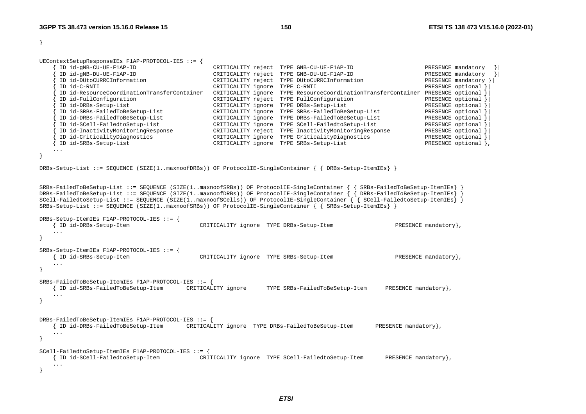UEContextSetupResponseIEs F1AP-PROTOCOL-IES ::= {

| ID id-gNB-CU-UE-F1AP-ID                     | CRITICALITY reject | TYPE GNB-CU-UE-F1AP-ID                     | PRESENCE mandatory   |
|---------------------------------------------|--------------------|--------------------------------------------|----------------------|
| ID id-gNB-DU-UE-F1AP-ID                     | CRITICALITY reject | TYPE GNB-DU-UE-F1AP-ID                     | PRESENCE mandatory   |
| ID id-DUtoCURRCInformation                  | CRITICALITY reject | TYPE DUtoCURRCInformation                  | PRESENCE mandatory } |
| ID id-C-RNTI                                | CRITICALITY ignore | TYPE C-RNTI                                | PRESENCE optional    |
| ID id-ResourceCoordinationTransferContainer | CRITICALITY ignore | TYPE ResourceCoordinationTransferContainer | PRESENCE optional    |
| ID id-FullConfiguration                     | CRITICALITY reject | TYPE FullConfiguration                     | PRESENCE optional    |
| ID id-DRBs-Setup-List                       | CRITICALITY ignore | TYPE DRBs-Setup-List                       | PRESENCE optional }  |
| ID id-SRBs-FailedToBeSetup-List             | CRITICALITY ignore | TYPE SRBs-FailedToBeSetup-List             | PRESENCE optional }  |
| ID id-DRBs-FailedToBeSetup-List             | CRITICALITY ignore | TYPE DRBs-FailedToBeSetup-List             | PRESENCE optional }  |
| ID id-SCell-FailedtoSetup-List              | CRITICALITY ignore | TYPE SCell-FailedtoSetup-List              | PRESENCE optional    |
| ID id-InactivityMonitoringResponse          | CRITICALITY reject | TYPE InactivityMonitoringResponse          | PRESENCE optional    |
| ID id-CriticalityDiagnostics                | CRITICALITY ignore | TYPE CriticalityDiagnostics                | PRESENCE optional    |
| ID id-SRBs-Setup-List                       | CRITICALITY ignore | TYPE SRBs-Setup-List                       | PRESENCE optional }, |
| $\cdots$                                    |                    |                                            |                      |

}

}

DRBs-Setup-List ::= SEQUENCE (SIZE(1..maxnoofDRBs)) OF ProtocolIE-SingleContainer { { DRBs-Setup-ItemIEs} }

SRBs-FailedToBeSetup-List ::= SEQUENCE (SIZE(1..maxnoofSRBs)) OF ProtocolIE-SingleContainer { { SRBs-FailedToBeSetup-ItemIEs} } DRBs-FailedToBeSetup-List ::= SEQUENCE (SIZE(1..maxnoofDRBs)) OF ProtocolIE-SingleContainer { { DRBs-FailedToBeSetup-ItemIEs} } SCell-FailedtoSetup-List ::= SEQUENCE (SIZE(1..maxnoofSCells)) OF ProtocolIE-SingleContainer { { SCell-FailedtoSetup-ItemIEs} } SRBs-Setup-List ::= SEQUENCE (SIZE(1..maxnoofSRBs)) OF ProtocolIE-SingleContainer { { SRBs-Setup-ItemIEs} }

```
DRBs-Setup-ItemIEs F1AP-PROTOCOL-IES ::= { 
    { ID id-DRBs-Setup-Item CRITICALITY ignore TYPE DRBs-Setup-Item PRESENCE mandatory}, 
    ... } 
SRBs-Setup-ItemIEs F1AP-PROTOCOL-IES ::= { 
    { ID id-SRBs-Setup-Item CRITICALITY ignore TYPE SRBs-Setup-Item PRESENCE mandatory}, 
 ... 
} 
SRBs-FailedToBeSetup-ItemIEs F1AP-PROTOCOL-IES ::= { 
    { ID id-SRBs-FailedToBeSetup-Item CRITICALITY ignore TYPE SRBs-FailedToBeSetup-Item PRESENCE mandatory}, 
    ... } 
DRBs-FailedToBeSetup-ItemIEs F1AP-PROTOCOL-IES ::= { 
    { ID id-DRBs-FailedToBeSetup-Item CRITICALITY ignore TYPE DRBs-FailedToBeSetup-Item PRESENCE mandatory}, 
 ... 
} 
SCell-FailedtoSetup-ItemIEs F1AP-PROTOCOL-IES ::= { 
    { ID id-SCell-FailedtoSetup-Item CRITICALITY ignore TYPE SCell-FailedtoSetup-Item PRESENCE mandatory}, 
    ... }
```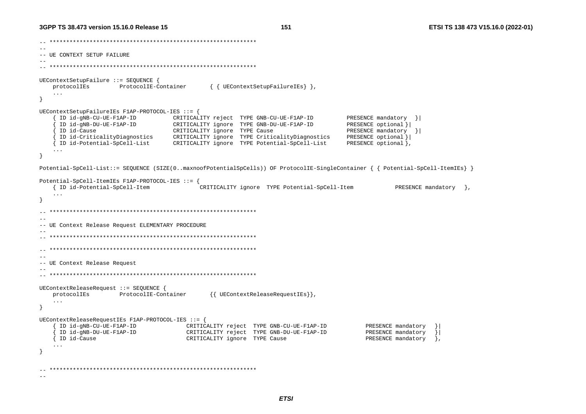```
\hspace{1.3cm} - \hspace{1.3cm} - \hspace{1.3cm} - \hspace{1.3cm} - \hspace{1.3cm} - \hspace{1.3cm} - \hspace{1.3cm} - \hspace{1.3cm} - \hspace{1.3cm} - \hspace{1.3cm} - \hspace{1.3cm} - \hspace{1.3cm} - \hspace{1.3cm} - \hspace{1.3cm} - \hspace{1.3cm} - \hspace{1.3cm} - \hspace{1.3cm} - \hspace{1.3cm} - \hspace{1.3cm} - \hspace{1.3cm} - \hspace{1.3cm} - \hspace{1.3cm} --- -- UE CONTEXT SETUP FAILURE -- 
-- ************************************************************** UEContextSetupFailure ::= SEQUENCE { 
    protocolIEs ProtocolIE-Container { { UEContextSetupFailureIEs } },
     ... } 
UEContextSetupFailureIEs F1AP-PROTOCOL-IES ::= { 
       { ID id-gNB-CU-UE-F1AP-ID CRITICALITY reject TYPE GNB-CU-UE-F1AP-ID PRESENCE mandatory }| 
                                        { ID id-gNB-DU-UE-F1AP-ID CRITICALITY ignore TYPE GNB-DU-UE-F1AP-ID PRESENCE optional }| 
       { ID id-Cause CRITICALITY ignore TYPE Cause PRESENCE mandatory }| 
     { ID id-CriticalityDiagnostics CRITICALITY ignore TYPE CriticalityDiagnostics PRESENCE optional }| 
     { ID id-Potential-SpCell-List CRITICALITY ignore TYPE Potential-SpCell-List PRESENCE optional }, 
     ... } 
Potential-SpCell-List::= SEQUENCE (SIZE(0..maxnoofPotentialSpCells)) OF ProtocolIE-SingleContainer { { Potential-SpCell-ItemIEs} } 
Potential-SpCell-ItemIEs F1AP-PROTOCOL-IES ::= { 
     { ID id-Potential-SpCell-Item CRITICALITY ignore TYPE Potential-SpCell-Item PRESENCE mandatory }, 
     ... } 
   -- ************************************************************** --- UE Context Release Request ELEMENTARY PROCEDURE 
-- -- ************************************************************** -- ************************************************************** --- UE Context Release Request 
-- 
-- ************************************************************** UEContextReleaseRequest ::= SEQUENCE { 
     protocolIEs ProtocolIE-Container {{ UEContextReleaseRequestIEs}}, 
     ... } 
UEContextReleaseRequestIEs F1AP-PROTOCOL-IES ::= { 
       { ID id-gNB-CU-UE-F1AP-ID CRITICALITY reject TYPE GNB-CU-UE-F1AP-ID PRESENCE mandatory }| 
       { ID id-gNB-DU-UE-F1AP-ID CRITICALITY reject TYPE GNB-DU-UE-F1AP-ID PRESENCE mandatory }| 
     { ID id-Cause CRITICALITY ignore TYPE Cause PRESENCE mandatory }, 
     ... } 
-- ************************************************************** -
```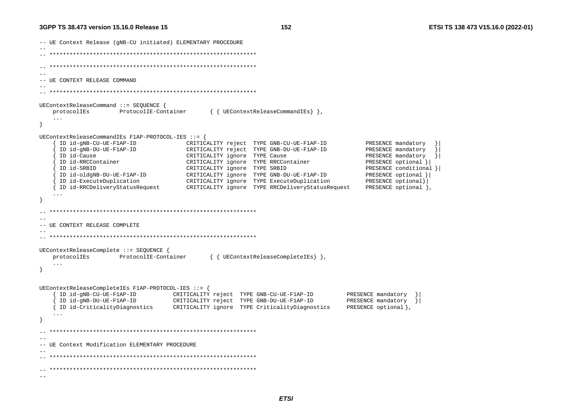```
-- UE Context Release (qNB-CU initiated) ELEMENTARY PROCEDURE
---- UE CONTEXT RELEASE COMMAND
  UEContextReleaseCommand :: = SEQUENCE{ { UEContextReleaseCommandIEs } },
   protocolIEs
                 ProtocolIE-Container
   \ldotsUEContextReleaseCommandIEs F1AP-PROTOCOL-IES ::= {
    ID id-gNB-CU-UE-F1AP-ID
                        CRITICALITY reject TYPE GNB-CU-UE-F1AP-ID
                                                                         PRESENCE mandatory
    ID id-qNB-DU-UE-F1AP-ID
                              CRITICALITY reject TYPE GNB-DU-UE-F1AP-ID
                                                                         PRESENCE mandatory
    ID id-Cause
                              CRITICALITY ignore TYPE Cause
                                                                         PRESENCE mandatory
    ID id-RRCContainer
                              CRITICALITY ignore TYPE RRCContainer
                                                                         PRESENCE optional }
    ID id-SRBID
                              CRITICALITY ignore TYPE SRBID
                                                                         PRESENCE conditional }
    ID id-oldgNB-DU-UE-F1AP-ID
                              CRITICALITY ignore TYPE GNB-DU-UE-F1AP-ID
                                                                         PRESENCE optional }
    ID id-ExecuteDuplication
                                CRITICALITY ignore TYPE ExecuteDuplication
                                                                         PRESENCE optional}
                                                                         PRESENCE optional },
   { ID id-RRCDeliveryStatusRequest
                                CRITICALITY ignore TYPE RRCDeliveryStatusRequest
   \sim \sim \sim--- UE CONTEXT RELEASE COMPLETE
UEContextReleaseComplete ::= SEQUENCE {
   protocolIEs
                 ProtocolIE-Container
                                      { { UEContextReleaseCompleteIEs } },
   \ldots\rightarrowUEContextReleaseCompleteIEs F1AP-PROTOCOL-IES ::=ID id-gNB-CU-UE-F1AP-ID CRITICALITY reject TYPE GNB-CU-UE-F1AP-ID<br>ID id-gNB-DU-UE-F1AP-ID CRITICALITY reject TYPE GNB-DU-UE-F1AP-ID
                                                                     PRESENCE mandatory }
                                                                     PRESENCE mandatory
                                                                                    \rightarrow{ ID id-CriticalityDiagnostics
                                                                     PRESENCE optional },
                              CRITICALITY ignore TYPE CriticalityDiagnostics
  - --- UE Context Modification ELEMENTARY PROCEDURE
-\sim -
```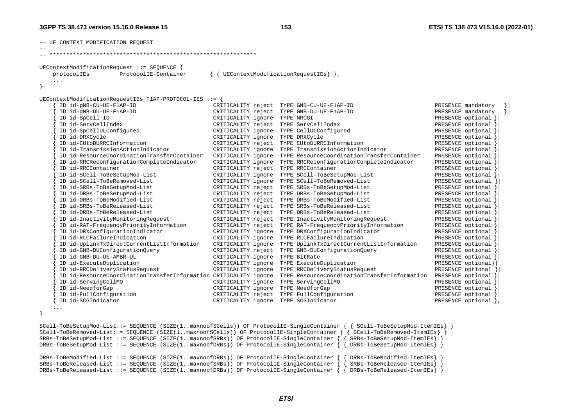| UEContextModificationRequest ::= SEQUENCE {                                        |                                      |                                                               |                      |  |  |  |  |  |
|------------------------------------------------------------------------------------|--------------------------------------|---------------------------------------------------------------|----------------------|--|--|--|--|--|
| ProtocolIE-Container<br>protocolIEs                                                |                                      | UEContextModificationRequestIEs $\}$ },                       |                      |  |  |  |  |  |
| $\sim$ $\sim$ $\sim$                                                               |                                      |                                                               |                      |  |  |  |  |  |
|                                                                                    |                                      |                                                               |                      |  |  |  |  |  |
|                                                                                    |                                      |                                                               |                      |  |  |  |  |  |
| UEContextModificationRequestIEs F1AP-PROTOCOL-IES ::= {<br>ID id-gNB-CU-UE-F1AP-ID | CRITICALITY reject                   | TYPE GNB-CU-UE-F1AP-ID                                        | PRESENCE mandatory   |  |  |  |  |  |
| ID id-gNB-DU-UE-F1AP-ID                                                            | CRITICALITY reject                   | TYPE GNB-DU-UE-F1AP-ID                                        | PRESENCE mandatory   |  |  |  |  |  |
| ID id-SpCell-ID                                                                    | CRITICALITY ignore                   | TYPE NRCGI                                                    | PRESENCE optional }  |  |  |  |  |  |
| ID id-ServCellIndex                                                                |                                      | CRITICALITY reject TYPE ServCellIndex                         | PRESENCE optional }  |  |  |  |  |  |
|                                                                                    |                                      |                                                               | PRESENCE optional }  |  |  |  |  |  |
| ID id-SpCellULConfigured                                                           |                                      | CRITICALITY ignore TYPE CellULConfigured                      |                      |  |  |  |  |  |
| ID id-DRXCycle<br>ID id-CUtoDURRCInformation                                       | CRITICALITY ignore                   | TYPE DRXCycle                                                 | PRESENCE optional }  |  |  |  |  |  |
| ID id-TransmissionActionIndicator                                                  | CRITICALITY reject                   | TYPE CUtoDURRCInformation<br>TYPE TransmissionActionIndicator | PRESENCE optional }  |  |  |  |  |  |
| ID id-ResourceCoordinationTransferContainer                                        | CRITICALITY ignore                   | TYPE ResourceCoordinationTransferContainer                    | PRESENCE optional }  |  |  |  |  |  |
|                                                                                    | CRITICALITY ignore                   |                                                               | PRESENCE optional }  |  |  |  |  |  |
| ID id-RRCReconfigurationCompleteIndicator                                          | CRITICALITY ignore                   | TYPE RRCReconfigurationCompleteIndicator                      | PRESENCE optional }  |  |  |  |  |  |
| ID id-RRCContainer                                                                 | CRITICALITY reject TYPE RRCContainer |                                                               | PRESENCE optional }  |  |  |  |  |  |
| ID id-SCell-ToBeSetupMod-List                                                      | CRITICALITY ignore                   | TYPE SCell-ToBeSetupMod-List                                  | PRESENCE optional }  |  |  |  |  |  |
| ID id-SCell-ToBeRemoved-List                                                       | CRITICALITY ignore                   | TYPE SCell-ToBeRemoved-List                                   | PRESENCE optional }  |  |  |  |  |  |
| ID id-SRBs-ToBeSetupMod-List                                                       | CRITICALITY reject                   | TYPE SRBs-ToBeSetupMod-List                                   | PRESENCE optional }  |  |  |  |  |  |
| ID id-DRBs-ToBeSetupMod-List                                                       | CRITICALITY reject                   | TYPE DRBs-ToBeSetupMod-List                                   | PRESENCE optional }  |  |  |  |  |  |
| ID id-DRBs-ToBeModified-List                                                       | CRITICALITY reject                   | TYPE DRBs-ToBeModified-List                                   | PRESENCE optional }  |  |  |  |  |  |
| ID id-SRBs-ToBeReleased-List                                                       | CRITICALITY reject                   | TYPE SRBs-ToBeReleased-List                                   | PRESENCE optional }  |  |  |  |  |  |
| ID id-DRBs-ToBeReleased-List                                                       | CRITICALITY reject                   | TYPE DRBs-ToBeReleased-List                                   | PRESENCE optional }  |  |  |  |  |  |
| ID id-InactivityMonitoringRequest                                                  | CRITICALITY reject                   | TYPE InactivityMonitoringRequest                              | PRESENCE optional }  |  |  |  |  |  |
| ID id-RAT-FrequencyPriorityInformation                                             | CRITICALITY reject                   | TYPE RAT-FrequencyPriorityInformation                         | PRESENCE optional }  |  |  |  |  |  |
| ID id-DRXConfigurationIndicator                                                    | CRITICALITY ignore                   | TYPE DRXConfigurationIndicator                                | PRESENCE optional }  |  |  |  |  |  |
| ID id-RLCFailureIndication                                                         | CRITICALITY ignore                   | TYPE RLCFailureIndication                                     | PRESENCE optional }  |  |  |  |  |  |
| ID id-UplinkTxDirectCurrentListInformation                                         | CRITICALITY ignore                   | TYPE UplinkTxDirectCurrentListInformation                     | PRESENCE optional }  |  |  |  |  |  |
| ID id-GNB-DUConfigurationOuery                                                     | CRITICALITY reject                   | TYPE GNB-DUConfigurationQuery                                 | PRESENCE optional }  |  |  |  |  |  |
| ID id-GNB-DU-UE-AMBR-UL                                                            | CRITICALITY ignore                   | TYPE BitRate                                                  | PRESENCE optional }  |  |  |  |  |  |
| ID id-ExecuteDuplication                                                           | CRITICALITY ignore                   | TYPE ExecuteDuplication                                       | PRESENCE optional}   |  |  |  |  |  |
| ID id-RRCDeliveryStatusRequest                                                     | CRITICALITY ignore                   | TYPE RRCDeliveryStatusRequest                                 | PRESENCE optional }  |  |  |  |  |  |
| ID id-ResourceCoordinationTransferInformation CRITICALITY ignore                   |                                      | TYPE ResourceCoordinationTransferInformation                  | PRESENCE optional }  |  |  |  |  |  |
| ID id-ServingCellMO                                                                | CRITICALITY ignore                   | TYPE ServingCellMO                                            | PRESENCE optional }  |  |  |  |  |  |
| ID id-NeedforGap                                                                   | CRITICALITY ignore                   | TYPE NeedforGap                                               | PRESENCE optional }  |  |  |  |  |  |
| ID id-FullConfiguration                                                            | CRITICALITY reject                   | TYPE FullConfiguration                                        | PRESENCE optional }  |  |  |  |  |  |
| ID id-SCGIndicator                                                                 | CRITICALITY ignore                   | TYPE SCGIndicator                                             | PRESENCE optional }, |  |  |  |  |  |

SCell-ToBeSetupMod-List::= SEQUENCE (SIZE(1..maxnoofSCells)) OF ProtocolIE-SingleContainer { { SCell-ToBeSetupMod-ItemIEs} } SCell-ToBeRemoved-List::= SEQUENCE (SIZE(1..maxnoofSCells)) OF ProtocolIE-SingleContainer { { SCell-ToBeRemoved-ItemIEs} } SRBs-ToBeSetupMod-List ::= SEQUENCE (SIZE(1..maxnoofSRBs)) OF ProtocolIE-SingleContainer { { SRBs-ToBeSetupMod-ItemIEs} } DRBs-ToBeSetupMod-List ::= SEQUENCE (SIZE(1..maxnoofDRBs)) OF ProtocolIE-SingleContainer { { DRBs-ToBeSetupMod-ItemIEs} } DRBs-ToBeModified-List ::= SEQUENCE (SIZE(1..maxnoofDRBs)) OF ProtocolIE-SingleContainer { { DRBs-ToBeModified-ItemIEs} } SRBs-ToBeReleased-List ::= SEQUENCE (SIZE(1..maxnoofSRBs)) OF ProtocolIE-SingleContainer DRBs-ToBeReleased-List ::= SEQUENCE (SIZE(1..maxnoofDRBs)) OF ProtocolIE-SingleContainer  $\int \int$  DRBs-ToBeReleased-ItemIEs}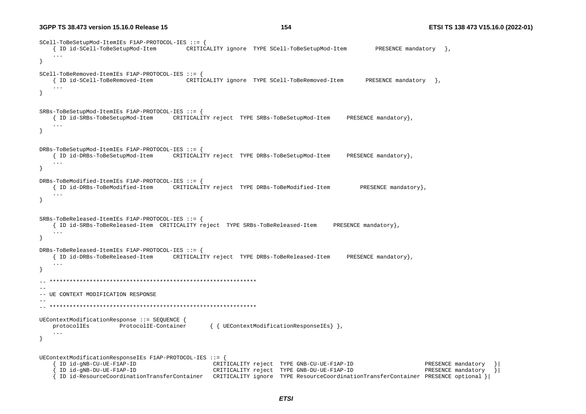SCell-ToBeSetupMod-ItemIEs F1AP-PROTOCOL-IES ::= { { ID id-SCell-ToBeSetupMod-Item CRITICALITY ignore TYPE SCell-ToBeSetupMod-Item PRESENCE mandatory }, ... } SCell-ToBeRemoved-ItemIEs F1AP-PROTOCOL-IES ::= { { ID id-SCell-ToBeRemoved-Item CRITICALITY ignore TYPE SCell-ToBeRemoved-Item PRESENCE mandatory }, ... } SRBs-ToBeSetupMod-ItemIEs F1AP-PROTOCOL-IES ::= { { ID id-SRBs-ToBeSetupMod-Item CRITICALITY reject TYPE SRBs-ToBeSetupMod-Item PRESENCE mandatory}, ... } DRBs-ToBeSetupMod-ItemIEs F1AP-PROTOCOL-IES ::= { { ID id-DRBs-ToBeSetupMod-Item CRITICALITY reject TYPE DRBs-ToBeSetupMod-Item PRESENCE mandatory}, ... } DRBs-ToBeModified-ItemIEs F1AP-PROTOCOL-IES ::= { { ID id-DRBs-ToBeModified-Item CRITICALITY reject TYPE DRBs-ToBeModified-Item PRESENCE mandatory}, ... } SRBs-ToBeReleased-ItemIEs F1AP-PROTOCOL-IES ::= { { ID id-SRBs-ToBeReleased-Item CRITICALITY reject TYPE SRBs-ToBeReleased-Item PRESENCE mandatory}, ... } DRBs-ToBeReleased-ItemIEs F1AP-PROTOCOL-IES ::= { { ID id-DRBs-ToBeReleased-Item CRITICALITY reject TYPE DRBs-ToBeReleased-Item PRESENCE mandatory}, ... }  $\hspace{1.3cm} - \hspace{1.3cm} - \hspace{1.3cm} - \hspace{1.3cm} - \hspace{1.3cm} - \hspace{1.3cm} - \hspace{1.3cm} - \hspace{1.3cm} - \hspace{1.3cm} - \hspace{1.3cm} - \hspace{1.3cm} - \hspace{1.3cm} - \hspace{1.3cm} - \hspace{1.3cm} - \hspace{1.3cm} - \hspace{1.3cm} - \hspace{1.3cm} - \hspace{1.3cm} - \hspace{1.3cm} - \hspace{1.3cm} - \hspace{1.3cm} - \hspace{1.3cm} -$ -- -- UE CONTEXT MODIFICATION RESPONSE -- -- \*\*\*\*\*\*\*\*\*\*\*\*\*\*\*\*\*\*\*\*\*\*\*\*\*\*\*\*\*\*\*\*\*\*\*\*\*\*\*\*\*\*\*\*\*\*\*\*\*\*\*\*\*\*\*\*\*\*\*\*\*\* UEContextModificationResponse ::= SEQUENCE { protocolIEs ProtocolIE-Container { { UEContextModificationResponseIEs} }, ... } UEContextModificationResponseIEs F1AP-PROTOCOL-IES ::= { { ID id-gNB-CU-UE-F1AP-ID CRITICALITY reject TYPE GNB-CU-UE-F1AP-ID PRESENCE mandatory }| CRITICALITY reject TYPE GNB-DU-UE-F1AP-ID { ID id-ResourceCoordinationTransferContainer CRITICALITY ignore TYPE ResourceCoordinationTransferContainer PRESENCE optional }|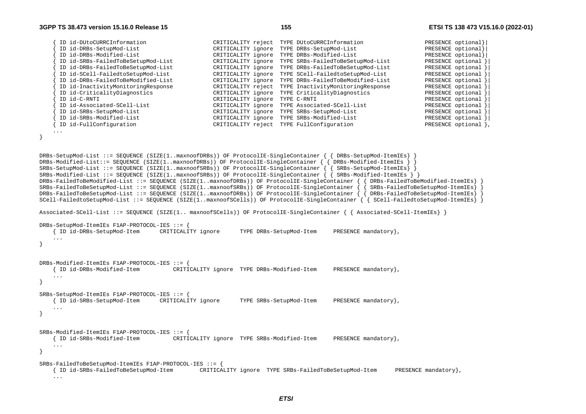| ID id-DUtoCURRCInformation         | CRITICALITY reject | TYPE DUtoCURRCInformation         | PRESENCE optional}  |
|------------------------------------|--------------------|-----------------------------------|---------------------|
| ID id-DRBs-SetupMod-List           | CRITICALITY ignore | TYPE DRBs-SetupMod-List           | PRESENCE optional}  |
| ID id-DRBs-Modified-List           | CRITICALITY ignore | TYPE DRBs-Modified-List           | PRESENCE optional}  |
| ID id-SRBs-FailedToBeSetupMod-List | CRITICALITY ignore | TYPE SRBs-FailedToBeSetupMod-List | PRESENCE optional   |
| ID id-DRBs-FailedToBeSetupMod-List | CRITICALITY ignore | TYPE DRBs-FailedToBeSetupMod-List | PRESENCE optional   |
| ID id-SCell-FailedtoSetupMod-List  | CRITICALITY ignore | TYPE SCell-FailedtoSetupMod-List  | PRESENCE optional   |
| ID id-DRBs-FailedToBeModified-List | CRITICALITY ignore | TYPE DRBs-FailedToBeModified-List | PRESENCE optional   |
| ID id-InactivityMonitoringResponse | CRITICALITY reject | TYPE InactivityMonitoringResponse | PRESENCE optional   |
| ID id-CriticalityDiagnostics       | CRITICALITY ignore | TYPE CriticalityDiagnostics       | PRESENCE optional   |
| ID id-C-RNTI                       | CRITICALITY ignore | TYPE C-RNTI                       | PRESENCE optional   |
| ID id-Associated-SCell-List        | CRITICALITY ignore | TYPE Associated-SCell-List        | PRESENCE optional   |
| ID id-SRBs-SetupMod-List           | CRITICALITY ignore | TYPE SRBs-SetupMod-List           | PRESENCE optional   |
| ID id-SRBs-Modified-List           | CRITICALITY ignore | TYPE SRBs-Modified-List           | PRESENCE optional   |
| ID id-FullConfiguration            | CRITICALITY reject | TYPE FullConfiguration            | PRESENCE optional } |

```
}
```
...

```
DRBs-SetupMod-List ::= SEQUENCE (SIZE(1..maxnoofDRBs)) OF ProtocolIE-SingleContainer { { DRBs-SetupMod-ItemIEs} } 
DRBs-Modified-List::= SEQUENCE (SIZE(1..maxnoofDRBs)) OF ProtocolIE-SingleContainer { { DRBs-Modified-ItemIEs } } 
SRBs-SetupMod-List ::= SEQUENCE (SIZE(1..maxnoofSRBs)) OF ProtocolIE-SingleContainer { { SRBs-SetupMod-ItemIEs} } 
SRBs-Modified-List ::= SEQUENCE (SIZE(1..maxnoofSRBs)) OF ProtocolIE-SingleContainer { { SRBs-Modified-ItemIEs } } 
DRBs-FailedToBeModified-List ::= SEQUENCE (SIZE(1..maxnoofDRBs)) OF ProtocolIE-SingleContainer { { DRBs-FailedToBeModified-ItemIEs} } 
SRBs-FailedToBeSetupMod-List ::= SEQUENCE (SIZE(1..maxnoofSRBs)) OF ProtocolIE-SingleContainer { { SRBs-FailedToBeSetupMod-ItemIEs} } 
DRBs-FailedToBeSetupMod-List ::= SEQUENCE (SIZE(1..maxnoofDRBs)) OF ProtocolIE-SingleContainer { { DRBs-FailedToBeSetupMod-ItemIEs} } 
SCell-FailedtoSetupMod-List ::= SEQUENCE (SIZE(1..maxnoofSCells)) OF ProtocolIE-SingleContainer { { SCell-FailedtoSetupMod-ItemIEs} }
```
Associated-SCell-List ::= SEQUENCE (SIZE(1.. maxnoofSCells)) OF ProtocolIE-SingleContainer { { Associated-SCell-ItemIEs} }

```
DRBs-SetupMod-ItemIEs F1AP-PROTOCOL-IES ::= { 
    { ID id-DRBs-SetupMod-Item CRITICALITY ignore TYPE DRBs-SetupMod-Item PRESENCE mandatory}, 
    ... } 
DRBs-Modified-ItemIEs F1AP-PROTOCOL-IES ::= { 
    { ID id-DRBs-Modified-Item CRITICALITY ignore TYPE DRBs-Modified-Item PRESENCE mandatory}, 
    ... } 
SRBs-SetupMod-ItemIEs F1AP-PROTOCOL-IES ::= { 
    { ID id-SRBs-SetupMod-Item CRITICALITY ignore TYPE SRBs-SetupMod-Item PRESENCE mandatory}, 
     ... } 
SRBs-Modified-ItemIEs F1AP-PROTOCOL-IES ::= { 
    { ID id-SRBs-Modified-Item CRITICALITY ignore TYPE SRBs-Modified-Item PRESENCE mandatory}, 
    ... } 
SRBs-FailedToBeSetupMod-ItemIEs F1AP-PROTOCOL-IES ::= { 
    { ID id-SRBs-FailedToBeSetupMod-Item CRITICALITY ignore TYPE SRBs-FailedToBeSetupMod-Item PRESENCE mandatory},
```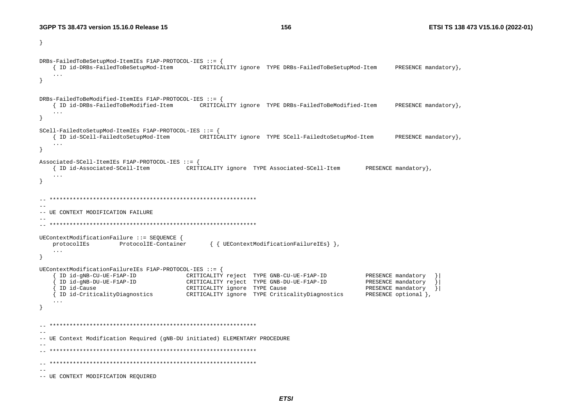```
\mathcal{F}DRBs-FailedToBeSetupMod-ItemIEs F1AP-PROTOCOL-IES ::= {
   { ID id-DRBs-FailedToBeSetupMod-Item CRITICALITY ignore TYPE DRBs-FailedToBeSetupMod-Item
                                                                                      PRESENCE mandatory },
   \ldots\overline{\mathbf{1}}DRBs-FailedToBeModified-ItemIEs F1AP-PROTOCOL-IES ::= {
   { ID id-DRBs-FailedToBeModified-Item CRITICALITY ignore TYPE DRBs-FailedToBeModified-Item
                                                                                      PRESENCE mandatory},
   \sim \sim \sim\rightarrowSCell-FailedtoSetupMod-ItemIEs F1AP-PROTOCOL-IES ::= {
   { ID id-SCell-FailedtoSetupMod-Item CRITICALITY ignore TYPE SCell-FailedtoSetupMod-Item
                                                                                       PRESENCE mandatory },
   \sim \sim \sim\rightarrowAssociated-SCell-ItemIEs F1AP-PROTOCOL-IES ::= {
   { ID id-Associated-SCell-Item CRITICALITY ignore TYPE Associated-SCell-Item PRESENCE mandatory},
   \cdot .
\mathcal{E}--- UE CONTEXT MODIFICATION FAILURE
-UEContextModificationFailure ::= SEQUENCE {
   protocolIEs
              ProtocolIE-Container
                                         { { UEContextModificationFailureIEs} },
   \sim 100\rightarrowUEContextModificationFailureIEs F1AP-PROTOCOL-IES ::= {
   { ID id-gNB-CU-UE-F1AP-ID CRITICALITY reject TYPE GNB-CU-UE-F1AP-ID
                                                                                PRESENCE mandatory
                          CRITICALITY reject TYPE GNB-DU-UE-F1AP-ID
    ID id-gNB-DU-UE-F1AP-ID
                                                                               PRESENCE mandatory
    ID id-Cause
                                 CRITICALITY ignore TYPE Cause
                                                                                PRESENCE mandatory }
   ID id-CriticalityDiagnostics CRITICALITY ignore TYPE CriticalityDiagnostics
                                                                                PRESENCE optional },
   \sim \sim \sim\}\sim --- UE Context Modification Required (gNB-DU initiated) ELEMENTARY PROCEDURE
- ---- UE CONTEXT MODIFICATION REQUIRED
```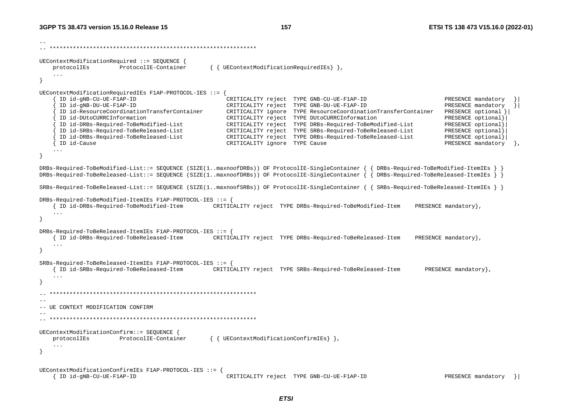-- -- \*\*\*\*\*\*\*\*\*\*\*\*\*\*\*\*\*\*\*\*\*\*\*\*\*\*\*\*\*\*\*\*\*\*\*\*\*\*\*\*\*\*\*\*\*\*\*\*\*\*\*\*\*\*\*\*\*\*\*\*\*\* UEContextModificationRequired ::= SEQUENCE { protocolIEs ProtocolIE-Container { { UEContextModificationRequiredIEs} }, ... } UEContextModificationRequiredIEs F1AP-PROTOCOL-IES ::= { { ID id-gNB-CU-UE-F1AP-ID CRITICALITY reject TYPE GNB-CU-UE-F1AP-ID PRESENCE mandatory }| { ID id-gNB-DU-UE-F1AP-ID CRITICALITY reject TYPE GNB-DU-UE-F1AP-ID PRESENCE mandatory }| { ID id-ResourceCoordinationTransferContainer CRITICALITY ignore TYPE ResourceCoordinationTransferContainer PRESENCE optional }| { ID id-DUtoCURRCInformation CRITICALITY reject TYPE DUtoCURRCInformation PRESENCE optional}| { ID id-DRBs-Required-ToBeModified-List CRITICALITY reject TYPE DRBs-Required-ToBeModified-List PRESENCE optional}| { ID id-SRBs-Required-ToBeReleased-List CRITICALITY reject TYPE SRBs-Required-ToBeReleased-List PRESENCE optional}| { ID id-DRBs-Required-ToBeReleased-List CRITICALITY reject TYPE DRBs-Required-ToBeReleased-List PRESENCE optional}| { ID id-Cause CRITICALITY ignore TYPE Cause PRESENCE mandatory }, ... } DRBs-Required-ToBeModified-List::= SEQUENCE (SIZE(1..maxnoofDRBs)) OF ProtocolIE-SingleContainer { { DRBs-Required-ToBeModified-ItemIEs } } DRBs-Required-ToBeReleased-List::= SEQUENCE (SIZE(1..maxnoofDRBs)) OF ProtocolIE-SingleContainer { { DRBs-Required-ToBeReleased-ItemIEs } } SRBs-Required-ToBeReleased-List::= SEQUENCE (SIZE(1..maxnoofSRBs)) OF ProtocolIE-SingleContainer { { SRBs-Required-ToBeReleased-ItemIEs } } DRBs-Required-ToBeModified-ItemIEs F1AP-PROTOCOL-IES ::= { { ID id-DRBs-Required-ToBeModified-Item CRITICALITY reject TYPE DRBs-Required-ToBeModified-Item PRESENCE mandatory}, ... } DRBs-Required-ToBeReleased-ItemIEs F1AP-PROTOCOL-IES ::= { { ID id-DRBs-Required-ToBeReleased-Item CRITICALITY reject TYPE DRBs-Required-ToBeReleased-Item PRESENCE mandatory}, ... } SRBs-Required-ToBeReleased-ItemIEs F1AP-PROTOCOL-IES ::= { { ID id-SRBs-Required-ToBeReleased-Item CRITICALITY reject TYPE SRBs-Required-ToBeReleased-Item PRESENCE mandatory}, ... } -- \*\*\*\*\*\*\*\*\*\*\*\*\*\*\*\*\*\*\*\*\*\*\*\*\*\*\*\*\*\*\*\*\*\*\*\*\*\*\*\*\*\*\*\*\*\*\*\*\*\*\*\*\*\*\*\*\*\*\*\*\*\* -- -- UE CONTEXT MODIFICATION CONFIRM -- -- \*\*\*\*\*\*\*\*\*\*\*\*\*\*\*\*\*\*\*\*\*\*\*\*\*\*\*\*\*\*\*\*\*\*\*\*\*\*\*\*\*\*\*\*\*\*\*\*\*\*\*\*\*\*\*\*\*\*\*\*\*\* UEContextModificationConfirm::= SEQUENCE { protocolIEs ProtocolIE-Container { { UEContextModificationConfirmIEs } }, ... } UEContextModificationConfirmIEs F1AP-PROTOCOL-IES ::= { { ID id-gNB-CU-UE-F1AP-ID CRITICALITY reject TYPE GNB-CU-UE-F1AP-ID PRESENCE mandatory }|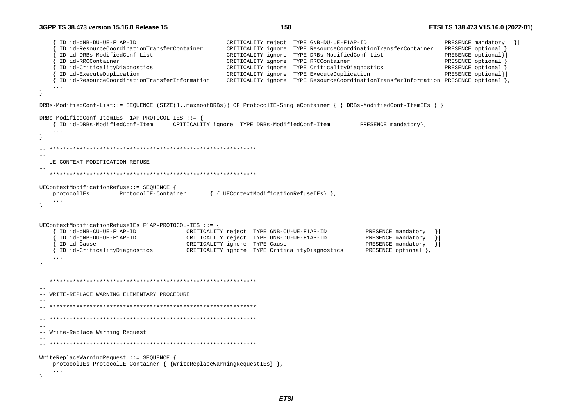```
 { ID id-gNB-DU-UE-F1AP-ID CRITICALITY reject TYPE GNB-DU-UE-F1AP-ID PRESENCE mandatory }| 
      { ID id-ResourceCoordinationTransferContainer CRITICALITY ignore TYPE ResourceCoordinationTransferContainer PRESENCE optional }| 
      { ID id-DRBs-ModifiedConf-List CRITICALITY ignore TYPE DRBs-ModifiedConf-List PRESENCE optional}| 
      { ID id-RRCContainer CRITICALITY ignore TYPE RRCContainer PRESENCE optional }| 
      { ID id-CriticalityDiagnostics CRITICALITY ignore TYPE CriticalityDiagnostics PRESENCE optional }| 
      { ID id-ExecuteDuplication CRITICALITY ignore TYPE ExecuteDuplication PRESENCE optional}| 
                                                  CRITICALITY ignore TYPE ResourceCoordinationTransferInformation PRESENCE optional },
    ... } 
DRBs-ModifiedConf-List::= SEQUENCE (SIZE(1..maxnoofDRBs)) OF ProtocolIE-SingleContainer { { DRBs-ModifiedConf-ItemIEs } } 
DRBs-ModifiedConf-ItemIEs F1AP-PROTOCOL-IES ::= { 
    { ID id-DRBs-ModifiedConf-Item CRITICALITY ignore TYPE DRBs-ModifiedConf-Item PRESENCE mandatory}, 
    ... } 
  -- ************************************************************** -- -- UE CONTEXT MODIFICATION REFUSE 
-- 
-- ************************************************************** UEContextModificationRefuse::= SEQUENCE { 
    protocolIEs ProtocolIE-Container { { UEContextModificationRefuseIEs} }, 
    ... } 
UEContextModificationRefuseIEs F1AP-PROTOCOL-IES ::= { 
      { ID id-gNB-CU-UE-F1AP-ID CRITICALITY reject TYPE GNB-CU-UE-F1AP-ID PRESENCE mandatory }| 
                                       CRITICALITY reject TYPE GNB-DU-UE-F1AP-ID PRESENCE mandatory
     ID id-Cause extending the CRITICALITY ignore TYPE Cause CRITICALITY ignore PRESENCE mandatory }
     { ID id-CriticalityDiagnostics CRITICALITY ignore TYPE CriticalityDiagnostics PRESENCE optional }, 
     ... } 
  -- ************************************************************** -- -- WRITE-REPLACE WARNING ELEMENTARY PROCEDURE -- -- ************************************************************** -- ************************************************************** -- -- Write-Replace Warning Request 
-- 
-- ************************************************************** WriteReplaceWarningRequest ::= SEQUENCE { 
    protocolIEs ProtocolIE-Container { {WriteReplaceWarningRequestIEs} }, 
    ... }
```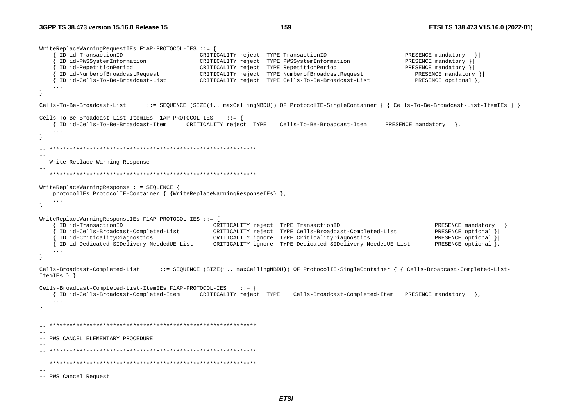WriteReplaceWarningRequestIEs F1AP-PROTOCOL-IES ::= { ID id-TransactionID  $\qquad \qquad \qquad \text{CRITICALITY reject}$  TYPE TransactionID  $\qquad \qquad \text{PRESENT}$  PRESENCE mandatory { ID id-PWSSystemInformation CRITICALITY reject TYPE PWSSystemInformation PRESENCE mandatory }| { ID id-RepetitionPeriod CRITICALITY reject TYPE RepetitionPeriod PRESENCE mandatory }| { ID id-NumberofBroadcastRequest CRITICALITY reject TYPE NumberofBroadcastRequest PRESENCE mandatory }| CRITICALITY reject TYPE Cells-To-Be-Broadcast-List ... } Cells-To-Be-Broadcast-List ::= SEQUENCE (SIZE(1.. maxCellingNBDU)) OF ProtocolIE-SingleContainer { { Cells-To-Be-Broadcast-List-ItemIEs } } Cells-To-Be-Broadcast-List-ItemIEs F1AP-PROTOCOL-IES ::= { { ID id-Cells-To-Be-Broadcast-Item CRITICALITY reject TYPE Cells-To-Be-Broadcast-Item PRESENCE mandatory }, ... } -- \*\*\*\*\*\*\*\*\*\*\*\*\*\*\*\*\*\*\*\*\*\*\*\*\*\*\*\*\*\*\*\*\*\*\*\*\*\*\*\*\*\*\*\*\*\*\*\*\*\*\*\*\*\*\*\*\*\*\*\*\*\* -- -- Write-Replace Warning Response -- -- \*\*\*\*\*\*\*\*\*\*\*\*\*\*\*\*\*\*\*\*\*\*\*\*\*\*\*\*\*\*\*\*\*\*\*\*\*\*\*\*\*\*\*\*\*\*\*\*\*\*\*\*\*\*\*\*\*\*\*\*\*\* WriteReplaceWarningResponse ::= SEQUENCE { protocolIEs ProtocolIE-Container { {WriteReplaceWarningResponseIEs} }, ... } WriteReplaceWarningResponseIEs F1AP-PROTOCOL-IES ::= { ID id-TransactionID  $\left.\begin{array}{ccc} \text{CRITICALITY reject} & \text{TPE TransactionID} \end{array}\right\}$  PRESENCE mandatory  $\left.\begin{array}{ccc} \text{PRESENCE} & \text{mandatory} & \end{array}\right\}$  { ID id-Cells-Broadcast-Completed-List CRITICALITY reject TYPE Cells-Broadcast-Completed-List PRESENCE optional }| { ID id-CriticalityDiagnostics CRITICALITY ignore TYPE CriticalityDiagnostics PRESENCE optional }| { ID id-Dedicated-SIDelivery-NeededUE-List CRITICALITY ignore TYPE Dedicated-SIDelivery-NeededUE-List PRESENCE optional }, ... } Cells-Broadcast-Completed-List ::= SEQUENCE (SIZE(1.. maxCellingNBDU)) OF ProtocolIE-SingleContainer { { Cells-Broadcast-Completed-List-ItemIEs } } Cells-Broadcast-Completed-List-ItemIEs F1AP-PROTOCOL-IES ::= { { ID id-Cells-Broadcast-Completed-Item CRITICALITY reject TYPE Cells-Broadcast-Completed-Item PRESENCE mandatory }, ... } -- \*\*\*\*\*\*\*\*\*\*\*\*\*\*\*\*\*\*\*\*\*\*\*\*\*\*\*\*\*\*\*\*\*\*\*\*\*\*\*\*\*\*\*\*\*\*\*\*\*\*\*\*\*\*\*\*\*\*\*\*\*\* -- -- PWS CANCEL ELEMENTARY PROCEDURE -- -- \*\*\*\*\*\*\*\*\*\*\*\*\*\*\*\*\*\*\*\*\*\*\*\*\*\*\*\*\*\*\*\*\*\*\*\*\*\*\*\*\*\*\*\*\*\*\*\*\*\*\*\*\*\*\*\*\*\*\*\*\*\* -- \*\*\*\*\*\*\*\*\*\*\*\*\*\*\*\*\*\*\*\*\*\*\*\*\*\*\*\*\*\*\*\*\*\*\*\*\*\*\*\*\*\*\*\*\*\*\*\*\*\*\*\*\*\*\*\*\*\*\*\*\*\* -- -- PWS Cancel Request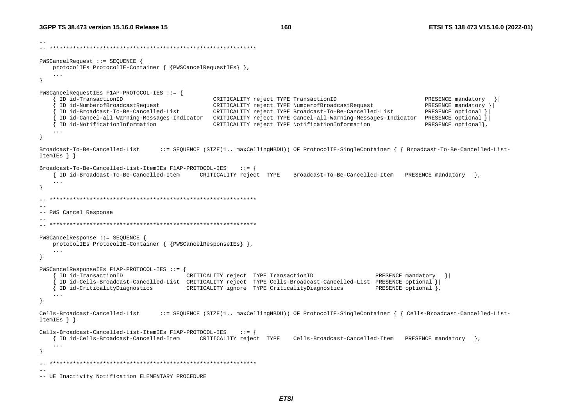```
-- -- ************************************************************** PWSCancelRequest ::= SEQUENCE { 
    protocolIEs ProtocolIE-Container { {PWSCancelRequestIEs} }, 
    ... } 
PWSCancelRequestIEs F1AP-PROTOCOL-IES ::= { 
      { ID id-TransactionID CRITICALITY reject TYPE TransactionID PRESENCE mandatory }| 
                                                CRITICALITY reject TYPE NumberofBroadcastRequest PRESENCE mandatory }
      { ID id-Broadcast-To-Be-Cancelled-List CRITICALITY reject TYPE Broadcast-To-Be-Cancelled-List PRESENCE optional }| 
      { ID id-Cancel-all-Warning-Messages-Indicator CRITICALITY reject TYPE Cancel-all-Warning-Messages-Indicator PRESENCE optional }| 
     { ID id-NotificationInformation CRITICALITY reject TYPE NotificationInformation PRESENCE optional}, 
    ... } 
Broadcast-To-Be-Cancelled-List ::= SEQUENCE (SIZE(1.. maxCellingNBDU)) OF ProtocolIE-SingleContainer { { Broadcast-To-Be-Cancelled-List-
ItemIEs } } 
Broadcast-To-Be-Cancelled-List-ItemIEs F1AP-PROTOCOL-IES ::= { 
    { ID id-Broadcast-To-Be-Cancelled-Item CRITICALITY reject TYPE Broadcast-To-Be-Cancelled-Item PRESENCE mandatory }, 
     ... } 
-- ************************************************************** -- -- PWS Cancel Response 
-- 
-- ************************************************************** PWSCancelResponse ::= SEQUENCE { 
    protocolIEs ProtocolIE-Container { {PWSCancelResponseIEs} }, 
    ... } 
PWSCancelResponseIEs F1AP-PROTOCOL-IES ::= { 
    { ID id-TransactionID CRITICALITY reject TYPE TransactionID PRESENCE mandatory }| 
      { ID id-Cells-Broadcast-Cancelled-List CRITICALITY reject TYPE Cells-Broadcast-Cancelled-List PRESENCE optional }| 
    { ID id-CriticalityDiagnostics CRITICALITY ignore TYPE CriticalityDiagnostics PRESENCE optional }, 
     ... } 
Cells-Broadcast-Cancelled-List ::= SEQUENCE (SIZE(1.. maxCellingNBDU)) OF ProtocolIE-SingleContainer { { Cells-Broadcast-Cancelled-List-
ItemIEs } } 
Cells-Broadcast-Cancelled-List-ItemIEs F1AP-PROTOCOL-IES ::= { 
    { ID id-Cells-Broadcast-Cancelled-Item CRITICALITY reject TYPE Cells-Broadcast-Cancelled-Item PRESENCE mandatory }, 
 ... } 
   -- ************************************************************** -- -- UE Inactivity Notification ELEMENTARY PROCEDURE
```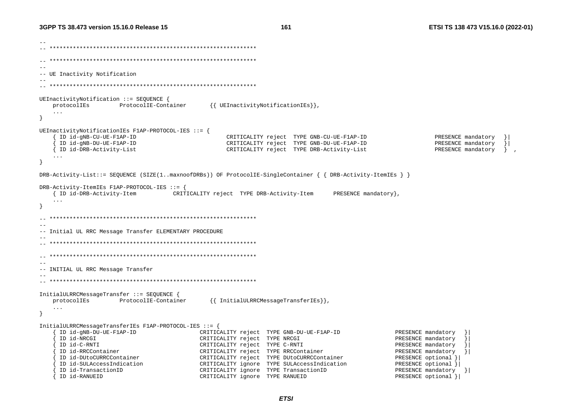161

-- UE Inactivity Notification UEInactivityNotification ::= SEQUENCE { protocolIEs ProtocolIE-Container {{ UEInactivityNotificationIEs}},  $\sim$   $\sim$   $\sim$  $\rightarrow$ UEInactivityNotificationIEs F1AP-PROTOCOL-IES ::= { ID id-gNB-CU-UE-F1AP-ID CRITICALITY reject TYPE GNB-CU-UE-F1AP-ID PRESENCE mandatory ID id-gNB-DU-UE-F1AP-ID CRITICALITY reject TYPE GNB-DU-UE-F1AP-ID PRESENCE mandatory  $\vert$ { ID id-DRB-Activity-List CRITICALITY reject TYPE DRB-Activity-List PRESENCE mandatory }  $\sim$   $\sim$   $\sim$  $\rightarrow$ DRB-Activity-List::= SEQUENCE (SIZE(1..maxnoofDRBs)) OF ProtocolIE-SingleContainer { { DRB-Activity-ItemIEs } } DRB-Activity-ItemIEs F1AP-PROTOCOL-IES ::= { { ID id-DRB-Activity-Item CRITICALITY reject TYPE DRB-Activity-Item PRESENCE mandatory },  $\sim$   $\sim$   $\sim$  $\overline{\mathbf{1}}$ -- Initial UL RRC Message Transfer ELEMENTARY PROCEDURE  $-$ -- INITIAL UL RRC Message Transfer InitialULRRCMessageTransfer ::= SEOUENCE { {{ InitialULRRCMessageTransferIEs}}, protocolIEs ProtocolIE-Container  $\sim$  . .  $\}$ InitialULRRCMessageTransferIEs F1AP-PROTOCOL-IES ::= { ID id-gNB-DU-UE-F1AP-ID CRITICALITY reject TYPE GNB-DU-UE-F1AP-ID PRESENCE mandatory ID id-NRCGI CRITICALITY reject TYPE NRCGI PRESENCE mandatory ID id-C-RNTI CRITICALITY reject TYPE C-RNTI PRESENCE mandatory ID id-RRCContainer CRITICALITY reject TYPE RRCContainer PRESENCE mandatory <sup>}</sup> ID id-DUtoCURRCContainer CRITICALITY reject TYPE DUtoCURRCContainer PRESENCE optional } ID id-SULAccessIndication CRITICALITY ignore TYPE SULAccessIndication PRESENCE optional } ID id-TransactionID CRITICALITY ignore TYPE TransactionID PRESENCE mandatory } { ID id-RANUEID CRITICALITY ignore TYPE RANUEID PRESENCE optional } |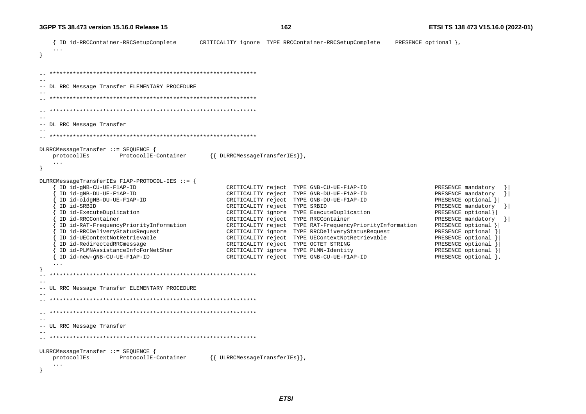```
PRESENCE optional },
   { ID id-RRCContainer-RRCSetupComplete
                                     CRITICALITY ignore TYPE RRCContainer-RRCSetupComplete
\rightarrow\sim --- DL RRC Message Transfer ELEMENTARY PROCEDURE
  - --- DL RRC Message Transfer
-DLRRCMessageTransfer ::= SEQUENCE {
   protocolIEs
              ProtocolIE-Container
                                       \{\{\n{\n{\n    DLRRCMessageTransferIES}\}\}\n\}\ldotsDLRRCMessageTransferIEs F1AP-PROTOCOL-IES ::= {
    ID id-gNB-CU-UE-F1AP-ID
                                           CRITICALITY reject TYPE GNB-CU-UE-F1AP-ID
                                                                                            PRESENCE mandatory
    ID id-gNB-DU-UE-F1AP-ID
                                           CRITICALITY reject TYPE GNB-DU-UE-F1AP-ID
                                                                                            PRESENCE mandatory
                                                                                                            \vert \cdot \vertID id-oldgNB-DU-UE-F1AP-ID
                                           CRITICALITY reject TYPE GNB-DU-UE-F1AP-ID
                                                                                            PRESENCE optional } |
    ID id-SRBID
                                           CRITICALITY reject TYPE SRBID
                                                                                            PRESENCE mandatory }
    ID id-ExecuteDuplication
                                           CRITICALITY ignore TYPE ExecuteDuplication
                                                                                            PRESENCE optional}
                                                                                            PRESENCE mandatory } |
    ID id-RRCContainer
                                           CRITICALITY reject TYPE RRCContainer
    ID id-RAT-FrequencyPriorityInformation
                                           CRITICALITY reject TYPE RAT-FrequencyPriorityInformation
                                                                                            PRESENCE optional } |
    ID id-RRCDeliveryStatusRequest
                                           CRITICALITY ignore TYPE RRCDeliveryStatusRequest
                                                                                            PRESENCE optional }
    ID id-UEContextNotRetrievable
                                           CRITICALITY reject TYPE UEContextNotRetrievable
                                                                                            PRESENCE optional }
    ID id-RedirectedRRCmessage
                                           CRITICALITY reject TYPE OCTET STRING
                                                                                            PRESENCE optional }
    ID id-PLMNAssistanceInfoForNetShar
                                           CRITICALITY ignore TYPE PLMN-Identity
                                                                                            PRESENCE optional }
    ID id-new-gNB-CU-UE-F1AP-ID
                                           CRITICALITY reject TYPE GNB-CU-UE-F1AP-ID
                                                                                            PRESENCE optional },
  --- UL RRC Message Transfer ELEMENTARY PROCEDURE
-\sim --- UL RRC Message Transfer
ULRRCMessageTransfer ::= SEOUENCE {
                                       {{ ULRRCMessageTransferIEs}},
   protocolIEs
                 ProtocolIE-Container
   \sim \sim \sim
```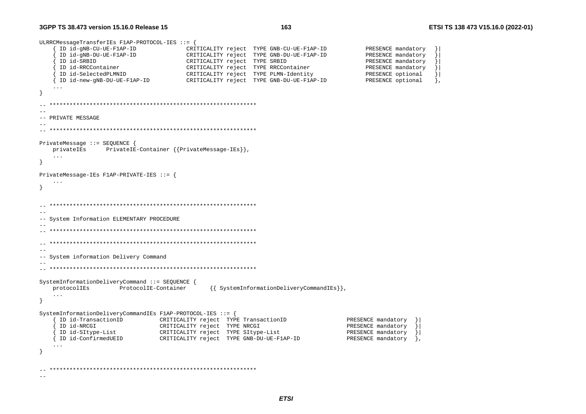--

```
ULRRCMessageTransferIEs F1AP-PROTOCOL-IES ::= { 
      { ID id-gNB-CU-UE-F1AP-ID CRITICALITY reject TYPE GNB-CU-UE-F1AP-ID PRESENCE mandatory }| 
      { ID id-gNB-DU-UE-F1AP-ID CRITICALITY reject TYPE GNB-DU-UE-F1AP-ID PRESENCE mandatory }| 
      { ID id-SRBID CRITICALITY reject TYPE SRBID PRESENCE mandatory }| 
     ID id-RRCContainer CRITICALITY reject TYPE RRCContainer PRESENCE mandatory
     { ID id-SelectedPLMNID CRITICALITY reject TYPE PLMN-Identity PRESENCE optional }| 
                                       {\tt CRITICALITY} reject TYPE GNB-DU-UE-F1AP-ID PRESENCE optional },
    ... } 
-- ************************************************************** -- -- PRIVATE MESSAGE -- 
-- ************************************************************** PrivateMessage ::= SEQUENCE { 
    privateIEs PrivateIE-Container {{PrivateMessage-IEs}}, 
    ... } 
PrivateMessage-IEs F1AP-PRIVATE-IES ::= { 
    ... } 
-- ************************************************************** -- -- System Information ELEMENTARY PROCEDURE 
-- 
-- ************************************************************** \hspace{1.3cm} - \hspace{1.3cm} - \hspace{1.3cm}--- System information Delivery Command 
-- 
-- ************************************************************** SystemInformationDeliveryCommand ::= SEQUENCE { 
    protocolIEs ProtocolIE-Container {{ SystemInformationDeliveryCommandIEs}}, 
    ... } 
SystemInformationDeliveryCommandIEs F1AP-PROTOCOL-IES ::= { 
     ID id-TransactionID CRITICALITY reject TYPE TransactionID PRESENCE mandatory
     ID id-NRCGI                         CRITICALITY reject TYPE NRCGI                           PRESENCE mandatory
      { ID id-SItype-List CRITICALITY reject TYPE SItype-List PRESENCE mandatory }| 
     { ID id-ConfirmedUEID CRITICALITY reject TYPE GNB-DU-UE-F1AP-ID PRESENCE mandatory }, 
     ... } 
-- **************************************************************
```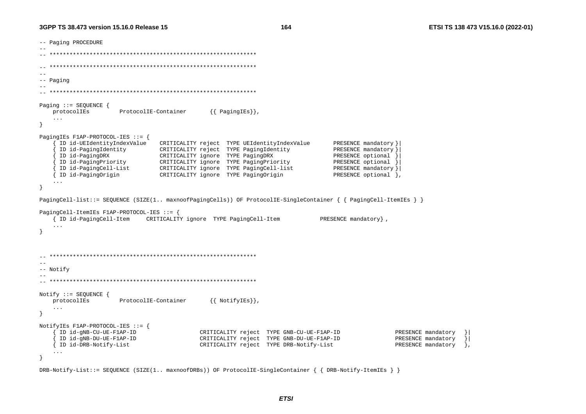164

```
-- Paging PROCEDURE
---- Paging
Paging ::= SEQUENCE {
                                            \{\{\right. Paging IEs\},
   protocolIEs
                    ProtocolIE-Container
   \ldotsPagingIEs F1AP-PROTOCOL-IES ::= {
     ID id-UEIdentityIndexValue
                               CRITICALITY reject TYPE UEIdentityIndexValue
                                                                            PRESENCE mandatory }
     ID id-PagingIdentity
                               CRITICALITY reject TYPE PagingIdentity
                                                                            PRESENCE mandatory }
     ID id-PagingDRX
                               CRITICALITY ignore TYPE PagingDRX
                                                                            PRESENCE optional }
    ID Id-PagingPriority<br>
ID id-PagingPriority<br>
ID id-PagingCell-List CRITICALITY ignore TYPE PagingCell-list<br>
CRITICALITY ignore TYPE PagingCell-list
                                                                            PRESENCE optional }
                                                                            PRESENCE mandatory } |
                                                                            PRESENCE optional },
   { ID id-PagingOrigin
                            CRITICALITY ignore TYPE PagingOrigin
\rightarrowPagingCell-list::= SEOUENCE (SIZE(1.. maxnoofPagingCells)) OF ProtocolIE-SingleContainer { { PagingCell-ItemIEs } }
PagingCell-ItemIEs F1AP-PROTOCOL-IES ::= {
   { ID id-PagingCell-Item CRITICALITY ignore TYPE PagingCell-Item
                                                                         PRESENCE mandatory },
   \overline{1}\left\{ \right\}- --- Notify
Notify ::= SEQUENCE \{{{ NotifyIEs}},
   protocolIEs
                    ProtocolIE-Container
   \sim . .
\}NotifyIEs F1AP-PROTOCOL-IES ::= {
     ID id-gNB-CU-UE-F1AP-ID
                                         CRITICALITY reject TYPE GNB-CU-UE-F1AP-ID
                                                                                           PRESENCE mandatory
     ID id-gNB-DU-UE-F1AP-ID
                                        CRITICALITY reject TYPE GNB-DU-UE-F1AP-ID
                                                                                           PRESENCE mandatory
                                                                                                               \vert{ ID id-DRB-Notify-List
                                         CRITICALITY reject TYPE DRB-Notify-List
                                                                                            PRESENCE mandatory
                                                                                                               \cdot\ddots\mathcal{F}
```
DRB-Notify-List::= SEQUENCE (SIZE(1.. maxnoofDRBs)) OF ProtocolIE-SingleContainer { { DRB-Notify-ItemIEs } }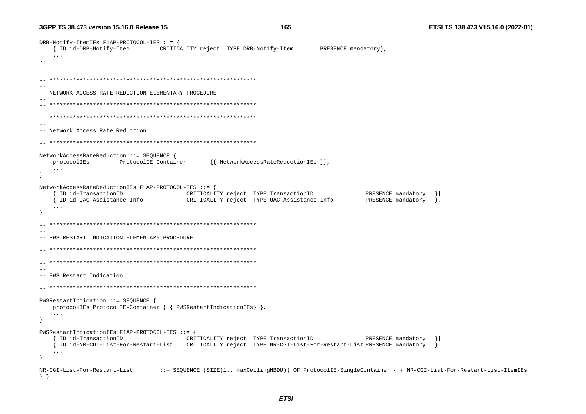165

DRB-Notify-ItemIEs F1AP-PROTOCOL-IES ::= { { ID id-DRB-Notify-Item CRITICALITY reject TYPE DRB-Notify-Item PRESENCE mandatory },  $\sim$   $\sim$   $\sim$ -- NETWORK ACCESS RATE REDUCTION ELEMENTARY PROCEDURE  $-$ -- Network Access Rate Reduction NetworkAccessRateReduction ::= SEOUENCE { ProtocolIE-Container {{ NetworkAccessRateReductionIEs }}, protocolIEs  $\sim$   $\sim$   $\sim$ - 1 NetworkAccessRateReductionIEs F1AP-PROTOCOL-IES ::= { ID id-TransactionID (CRITICALITY reject TYPE TransactionID PRESENCE mandatory } { ID id-UAC-Assistance-Info  $\qquad$  CRITICALITY reject TYPE UAC-Assistance-Info PRESENCE mandatory }  $\ddots$  $\rightarrow$ -- PWS RESTART INDICATION ELEMENTARY PROCEDURE  $- -$ -- PWS Restart Indication  $-$ PWSRestartIndication ::= SEQUENCE { protocolIEs ProtocolIE-Container  $\{ \}$  PWSRestartIndicationIEs $\}$ ,  $\sim$   $\sim$   $\sim$  $\rightarrow$ PWSRestartIndicationIEs F1AP-PROTOCOL-IES ::= { { ID id-TransactionID CRITICALITY reject TYPE TransactionID PRESENCE mandatory } [ ID id-NR-CGI-List-For-Restart-List CRITICALITY reject TYPE NR-CGI-List-For-Restart-List PRESENCE mandatory  $\cdot$  .  $\ddots$  $\mathcal{F}$ NR-CGI-List-For-Restart-List ::= SEQUENCE (SIZE(1.. maxCellingNBDU)) OF ProtocolIE-SingleContainer { { NR-CGI-List-For-Restart-List-ItemIEs  $\}$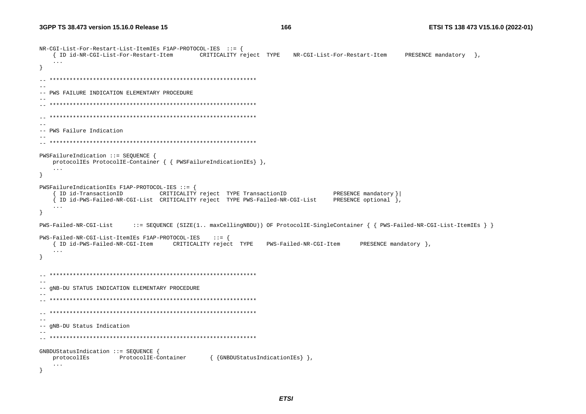```
NR-CGI-List-For-Restart-List-ItemIES Flap-PROTOCOL-IES ::={ ID id-NR-CGI-List-For-Restart-Item CRITICALITY reject TYPE NR-CGI-List-For-Restart-Item
                                                                           PRESENCE mandatory }.
  \sim \sim \sim\rightarrow--- PWS FAILURE INDICATION ELEMENTARY PROCEDURE
--- PWS Failure Indication
-PWSFailureIndication ::= SEOUENCE {
  protocolIEs ProtocolIE-Container { { PWSFailureIndicationIEs} },
  \ddots .
\rightarrowPWSFailureIndicationIEs F1AP-PROTOCOL-IES ::= {
   { ID id-TransactionID CRITICALITY reject TYPE TransactionID
                                                           PRESENCE mandatory } |
  { ID id-PWS-Failed-NR-CGI-List CRITICALITY reject TYPE PWS-Failed-NR-CGI-List PRESENCE optional },
  \ddots\rightarrowPWS-Failed-NR-CGI-List
                 ::= SEOUENCE (SIZE(1.. maxCellingNBDU)) OF ProtocolIE-SingleContainer { { PWS-Failed-NR-CGI-List-ItemIEs } }
PWS-Failed-NR-CGI-List-ItemIEs F1AP-PROTOCOL-IES ::= {
  { ID id-PWS-Failed-NR-CGI-Item CRITICALITY reject TYPE PWS-Failed-NR-CGI-Item
                                                                PRESENCE mandatory },
  \cdots\rightarrow--- GNB-DU STATUS INDICATION ELEMENTARY PROCEDURE
\sim -\sim --- qNB-DU Status Indication
GNBDUStatusIndication ::= SEQUENCE {
            ProtocolIE-Container
                                  { {GNBDUStatusIndicationIEs} },
  protocolIEs
   \ddots\rightarrow
```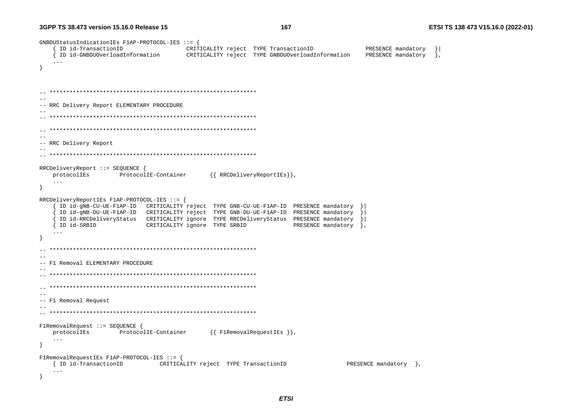GNBDUStatusIndicationIEs F1AP-PROTOCOL-IES ::= { { ID id-TransactionID CRITICALITY reject TYPE TransactionID PRESENCE mandatory  $\vert$ ID id-GNBDUOverloadInformation CRITICALITY reject TYPE GNBDUOverloadInformation PRESENCE mandatory  $\cdot$  $\sim$   $\sim$   $\sim$  $\lambda$ -- RRC Delivery Report ELEMENTARY PROCEDURE  $\sim$   $-$ -- RRC Delivery Report  $\sim$   $-$ RRCDeliveryReport ::= SEQUENCE { {{ RRCDeliveryReportIEs}}, protocolIEs ProtocolIE-Container  $\ddots$ - } RRCDeliveryReportIEs F1AP-PROTOCOL-IES ::= { ID id-qNB-CU-UE-F1AP-ID CRITICALITY reject TYPE GNB-CU-UE-F1AP-ID PRESENCE mandatory ID id-qNB-DU-UE-F1AP-ID CRITICALITY reject TYPE GNB-DU-UE-F1AP-ID PRESENCE mandatory ID id-RRCDeliveryStatus CRITICALITY ignore TYPE RRCDeliveryStatus PRESENCE mandatory  $\rightarrow$ CRITICALITY ignore TYPE SRBID PRESENCE mandatory }, { ID id-SRBID  $\ldots$  $-$ -- F1 Removal ELEMENTARY PROCEDURE  $\sim$   $\sim$ -- F1 Removal Request  $\sim$   $-$ F1RemovalRequest ::= SEQUENCE { protocolIEs ProtocolIE-Container  $\{\{\text{FIRemovalRequestIES }\}\}\,$  $\sim$   $\sim$   $\sim$  $\rightarrow$ F1RemovalRequestIEs F1AP-PROTOCOL-IES ::= { { ID id-TransactionID CRITICALITY reject TYPE TransactionID PRESENCE mandatory },  $\mathbf{1}$ - }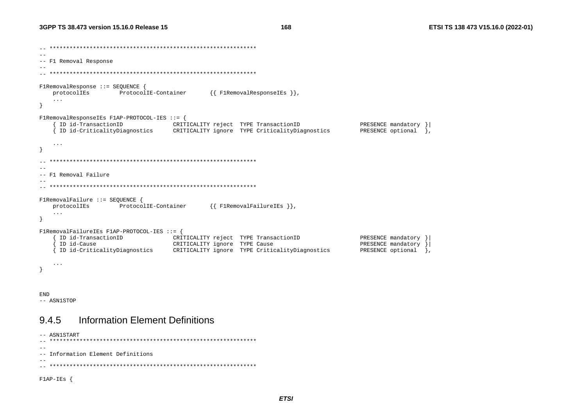$-$ -- F1 Removal Response  $\sim$   $FlRemovalResponse :: = SEOUENCE$ protocolIEs ProtocolIE-Container  $\{\{\text{FlRemovalResponseIES }\}\}\,$  $\mathbf{1}$  $\left\{ \right\}$ FlRemovalResponseIEs F1AP-PROTOCOL-IES ::= { ID id-TransactionID CRITICALITY reject TYPE TransactionID PRESENCE mandatory } { ID id-CriticalityDiagnostics CRITICALITY ignore TYPE CriticalityDiagnostics PRESENCE optional },  $\sim$   $\sim$   $\sim$  $\rightarrow$  $\sim$   $-$ -- F1 Removal Failure  $FlRemovalFailure :: = SEOUENCE$  { protocolIEs ProtocolIE-Container {{F1RemovalFailureIEs }},  $\sim$   $\sim$   $\sim$  $\rightarrow$ F1RemovalFailureIEs F1AP-PROTOCOL-IES ::= { { ID id-TransactionID CRITICALITY reject TYPE TransactionID PRESENCE mandatory } { ID id-Cause CRITICALITY ignore TYPE Cause PRESENCE mandatory } { ID id-CriticalityDiagnostics CRITICALITY ignore TYPE CriticalityDiagnostics PRESENCE optional },  $\ldots$  $\rightarrow$ 

**END** -- ASN1STOP

### **Information Element Definitions** 945

```
-- ASN1START
--- Information Element Definitions
-F1AP-IES {
```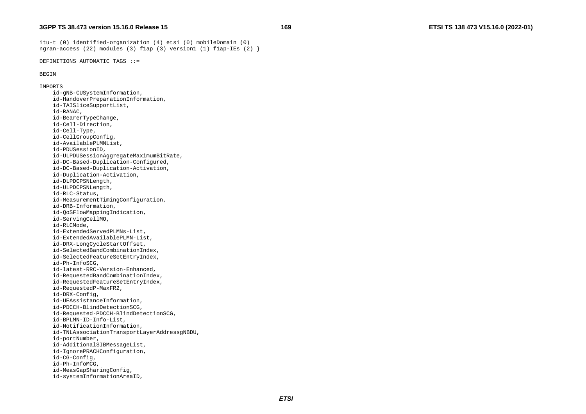itu-t (0) identified-organization (4) etsi (0) mobileDomain (0) ngran-access (22) modules (3) flap (3) version1 (1) flap-IEs (2)  $\}$ 

DEFINITIONS AUTOMATIC TAGS ::=

### BEGIN

IMPORTS

 id-gNB-CUSystemInformation, id-HandoverPreparationInformation, id-TAISliceSupportList, id-RANAC, id-BearerTypeChange, id-Cell-Direction, id-Cell-Type, id-CellGroupConfig, id-AvailablePLMNList, id-PDUSessionID, id-ULPDUSessionAggregateMaximumBitRate, id-DC-Based-Duplication-Configured, id-DC-Based-Duplication-Activation, id-Duplication-Activation, id-DLPDCPSNLength, id-ULPDCPSNLength, id-RLC-Status, id-MeasurementTimingConfiguration, id-DRB-Information, id-QoSFlowMappingIndication, id-ServingCellMO, id-RLCMode, id-ExtendedServedPLMNs-List, id-ExtendedAvailablePLMN-List, id-DRX-LongCycleStartOffset, id-SelectedBandCombinationIndex, id-SelectedFeatureSetEntryIndex, id-Ph-InfoSCG, id-latest-RRC-Version-Enhanced, id-RequestedBandCombinationIndex, id-RequestedFeatureSetEntryIndex, id-RequestedP-MaxFR2, id-DRX-Config, id-UEAssistanceInformation, id-PDCCH-BlindDetectionSCG, id-Requested-PDCCH-BlindDetectionSCG, id-BPLMN-ID-Info-List, id-NotificationInformation, id-TNLAssociationTransportLayerAddressgNBDU, id-portNumber, id-AdditionalSIBMessageList, id-IgnorePRACHConfiguration, id-CG-Config, id-Ph-InfoMCG, id-MeasGapSharingConfig, id-systemInformationAreaID,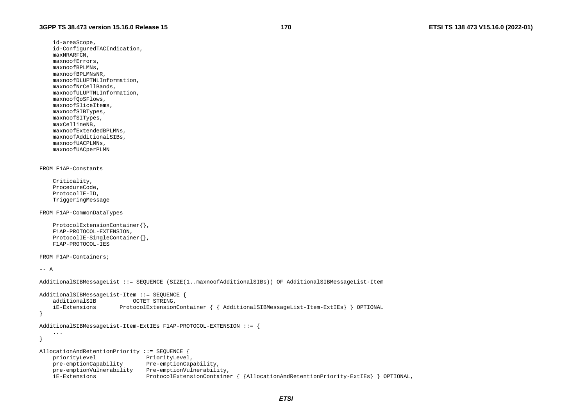id-areaScope, id-ConfiguredTACIndication, maxNRARFCN, maxnoofErrors, maxnoofBPLMNs, maxnoofBPLMNsNR, maxnoofDLUPTNLInformation, maxnoofNrCellBands, maxnoofULUPTNLInformation, maxnoofQoSFlows, maxnoofSliceItems, maxnoofSIBTypes, maxnoofSITypes, maxCellineNB, maxnoofExtendedBPLMNs, maxnoofAdditionalSIBs, maxnoofUACPLMNs, maxnoofUACperPLMN FROM F1AP-Constants

 Criticality, ProcedureCode, ProtocolIE-ID, TriggeringMessage

FROM F1AP-CommonDataTypes

```
 ProtocolExtensionContainer{}, 
 F1AP-PROTOCOL-EXTENSION, 
 ProtocolIE-SingleContainer{}, 
 F1AP-PROTOCOL-IES
```
FROM F1AP-Containers;

 $--- A$ 

```
AdditionalSIBMessageList ::= SEQUENCE (SIZE(1..maxnoofAdditionalSIBs)) OF AdditionalSIBMessageList-Item 
AdditionalSIBMessageList-Item ::= SEQUENCE { 
    additionalSIB OCTET STRING, 
     iE-Extensions ProtocolExtensionContainer { { AdditionalSIBMessageList-Item-ExtIEs} } OPTIONAL 
} 
AdditionalSIBMessageList-Item-ExtIEs F1AP-PROTOCOL-EXTENSION ::= { 
     ... } 
AllocationAndRetentionPriority ::= SEQUENCE { 
   priorityLevel PriorityLevel,
    pre-emptionCapability Pre-emptionCapability, 
    pre-emptionVulnerability Pre-emptionVulnerability, 
     iE-Extensions ProtocolExtensionContainer { {AllocationAndRetentionPriority-ExtIEs} } OPTIONAL,
```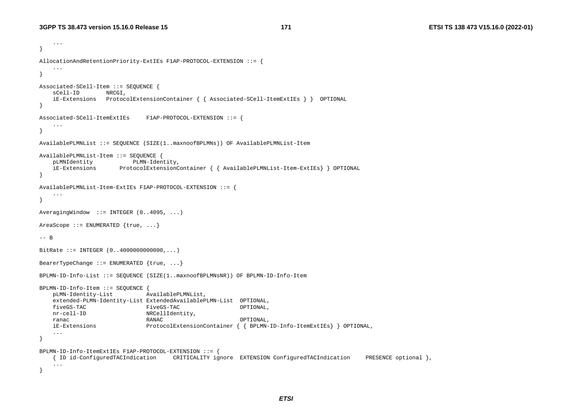```
 ... } 
AllocationAndRetentionPriority-ExtIEs F1AP-PROTOCOL-EXTENSION ::= { 
 ... 
} 
Associated-SCell-Item ::= SEQUENCE { 
   sCell-ID NRCGI,
    iE-Extensions ProtocolExtensionContainer { { Associated-SCell-ItemExtIEs } } OPTIONAL 
} 
Associated-SCell-ItemExtIEs F1AP-PROTOCOL-EXTENSION ::= { 
    ... } 
AvailablePLMNList ::= SEQUENCE (SIZE(1..maxnoofBPLMNs)) OF AvailablePLMNList-Item 
AvailablePLMNList-Item ::= SEQUENCE { 
    pLMNIdentity PLMN-Identity, 
    iE-Extensions ProtocolExtensionContainer { { AvailablePLMNList-Item-ExtIEs} } OPTIONAL 
} 
AvailablePLMNList-Item-ExtIEs F1AP-PROTOCOL-EXTENSION ::= { 
    ... } 
AveragingWindow ::= INTER (0..4095, ...)AreaScope  ::= ENUMERATED \{true, ... \}-- B BitRate ::= INTEGER (0..40000000000000,...)
BearerTypeChange ::= ENUMERATED \{true, ... \}BPLMN-ID-Info-List ::= SEQUENCE (SIZE(1..maxnoofBPLMNsNR)) OF BPLMN-ID-Info-Item 
BPLMN-ID-Info-Item ::= SEQUENCE { 
    pLMN-Identity-List AvailablePLMNList, 
    extended-PLMN-Identity-List ExtendedAvailablePLMN-List OPTIONAL, 
    fiveGS-TAC FiveGS-TAC OPTIONAL, 
   nr-cell-ID NRCellIdentity,
    ranac RANAC OPTIONAL, 
    iE-Extensions ProtocolExtensionContainer { { BPLMN-ID-Info-ItemExtIEs} } OPTIONAL, 
     ... } 
BPLMN-ID-Info-ItemExtIEs F1AP-PROTOCOL-EXTENSION ::= { 
    { ID id-ConfiguredTACIndication CRITICALITY ignore EXTENSION ConfiguredTACIndication PRESENCE optional }, 
     ... }
```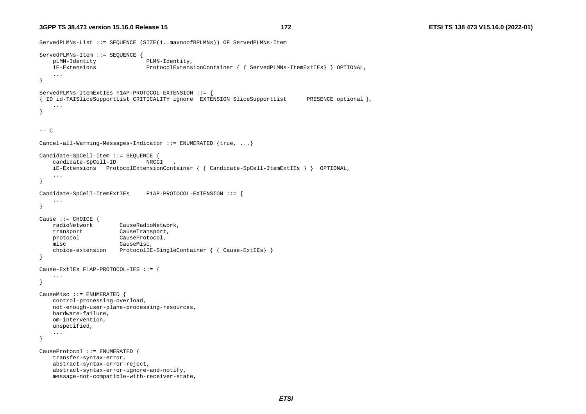### **3GPP TS 38.473 version**

```
ServedPLMNs-List ::= SEQUENCE (SIZE(1..maxnoofBPLMNs)) OF ServedPLMNs-Item 
ServedPLMNs-Item ::= SEQUENCE { 
     pLMN-Identity PLMN-Identity, 
     iE-Extensions ProtocolExtensionContainer { { ServedPLMNs-ItemExtIEs} } OPTIONAL, 
     ... } 
ServedPLMNs-ItemExtIEs F1AP-PROTOCOL-EXTENSION ::= { 
{ ID id-TAISliceSupportList CRITICALITY ignore EXTENSION SliceSupportList PRESENCE optional }, 
     ... } 
--- CCancel-all-Warning-Messages-Indicator ::= ENUMERATED {true, ...} 
Candidate-SpCell-Item ::= SEQUENCE { 
    candidate-SpCell-ID NRCGI,
     iE-Extensions ProtocolExtensionContainer { { Candidate-SpCell-ItemExtIEs } } OPTIONAL, 
     ... } 
Candidate-SpCell-ItemExtIEs F1AP-PROTOCOL-EXTENSION ::= { 
     ... } 
Cause ::= CHOICE { 
    radioNetwork CauseRadioNetwork, 
     transport CauseTransport, 
    protocol CauseProtocol, 
     misc CauseMisc, 
     choice-extension ProtocolIE-SingleContainer { { Cause-ExtIEs} } 
} 
Cause-ExtIEs F1AP-PROTOCOL-IES ::= { 
     ... } 
CauseMisc ::= ENUMERATED { 
     control-processing-overload, 
     not-enough-user-plane-processing-resources, 
    hardware-failure, 
     om-intervention, 
     unspecified, 
 ... 
} 
CauseProtocol ::= ENUMERATED { 
     transfer-syntax-error, 
     abstract-syntax-error-reject, 
     abstract-syntax-error-ignore-and-notify, 
     message-not-compatible-with-receiver-state,
```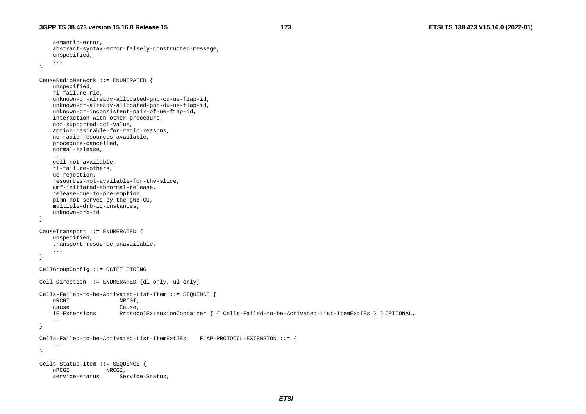semantic-error,

```
 abstract-syntax-error-falsely-constructed-message, 
     unspecified, 
 ... 
} 
CauseRadioNetwork ::= ENUMERATED { 
     unspecified, 
     rl-failure-rlc, 
     unknown-or-already-allocated-gnb-cu-ue-f1ap-id, 
     unknown-or-already-allocated-gnb-du-ue-f1ap-id, 
     unknown-or-inconsistent-pair-of-ue-f1ap-id, 
     interaction-with-other-procedure, 
     not-supported-qci-Value, 
     action-desirable-for-radio-reasons, 
     no-radio-resources-available, 
     procedure-cancelled, 
     normal-release, 
     ..., 
     cell-not-available, 
     rl-failure-others, 
     ue-rejection, 
     resources-not-available-for-the-slice, 
     amf-initiated-abnormal-release, 
     release-due-to-pre-emption, 
     plmn-not-served-by-the-gNB-CU, 
     multiple-drb-id-instances, 
     unknown-drb-id } 
CauseTransport ::= ENUMERATED { 
     unspecified, 
     transport-resource-unavailable, 
 ... 
} 
CellGroupConfig ::= OCTET STRING 
Cell-Direction ::= ENUMERATED {dl-only, ul-only} 
Cells-Failed-to-be-Activated-List-Item ::= SEQUENCE { 
     nRCGI NRCGI, 
     cause Cause, 
     iE-Extensions ProtocolExtensionContainer { { Cells-Failed-to-be-Activated-List-ItemExtIEs } } OPTIONAL, 
     ... } 
Cells-Failed-to-be-Activated-List-ItemExtIEs F1AP-PROTOCOL-EXTENSION ::= { 
 ... } 
Cells-Status-Item ::= SEQUENCE { 
     nRCGI NRCGI, 
    service-status Service-Status,
```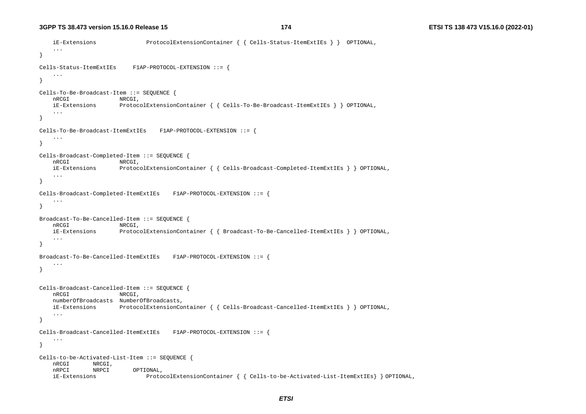```
 iE-Extensions ProtocolExtensionContainer { { Cells-Status-ItemExtIEs } } OPTIONAL, 
     ... } 
Cells-Status-ItemExtIEs F1AP-PROTOCOL-EXTENSION ::= { 
    ... } 
Cells-To-Be-Broadcast-Item ::= SEQUENCE { 
   nRCGI NRCGI,
    iE-Extensions ProtocolExtensionContainer { { Cells-To-Be-Broadcast-ItemExtIEs } } OPTIONAL, 
 ... 
} 
Cells-To-Be-Broadcast-ItemExtIEs F1AP-PROTOCOL-EXTENSION ::= { 
     ... } 
Cells-Broadcast-Completed-Item ::= SEQUENCE { 
    nRCGI NRCGI, 
    iE-Extensions ProtocolExtensionContainer { { Cells-Broadcast-Completed-ItemExtIEs } } OPTIONAL, 
    ... } 
Cells-Broadcast-Completed-ItemExtIEs F1AP-PROTOCOL-EXTENSION ::= { 
 ... 
} 
Broadcast-To-Be-Cancelled-Item ::= SEQUENCE { 
   nRCGI NRCGI,
    iE-Extensions ProtocolExtensionContainer { { Broadcast-To-Be-Cancelled-ItemExtIEs } } OPTIONAL, 
 ... 
} 
Broadcast-To-Be-Cancelled-ItemExtIEs F1AP-PROTOCOL-EXTENSION ::= { 
     ... } 
Cells-Broadcast-Cancelled-Item ::= SEQUENCE { 
   nRCGI NRCGI,
    numberOfBroadcasts NumberOfBroadcasts, 
    iE-Extensions ProtocolExtensionContainer { { Cells-Broadcast-Cancelled-ItemExtIEs } } OPTIONAL, 
     ... } 
Cells-Broadcast-Cancelled-ItemExtIEs F1AP-PROTOCOL-EXTENSION ::= { 
    ... } 
Cells-to-be-Activated-List-Item ::= SEQUENCE { 
    nRCGI NRCGI, 
    nRPCI NRPCI OPTIONAL, 
    iE-Extensions ProtocolExtensionContainer { { Cells-to-be-Activated-List-ItemExtIEs} } OPTIONAL,
```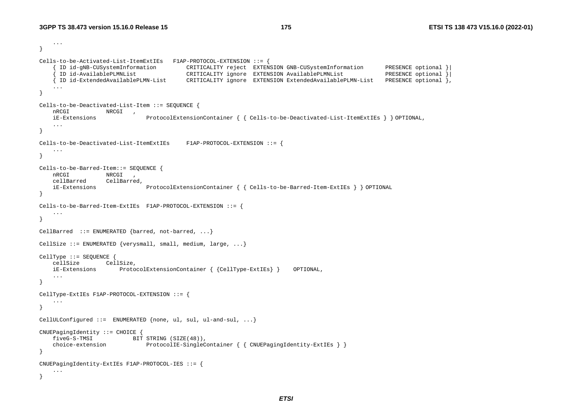...

```
} 
Cells-to-be-Activated-List-ItemExtIEs F1AP-PROTOCOL-EXTENSION ::= { 
      { ID id-gNB-CUSystemInformation CRITICALITY reject EXTENSION GNB-CUSystemInformation PRESENCE optional }| 
                                          CRITICALITY ignore EXTENSION AvailablePLMNList
     { ID id-ExtendedAvailablePLMN-List CRITICALITY ignore EXTENSION ExtendedAvailablePLMN-List PRESENCE optional }, 
     ... } 
Cells-to-be-Deactivated-List-Item ::= SEQUENCE { 
    nRCGI NRCGI , 
    iE-Extensions ProtocolExtensionContainer { { Cells-to-be-Deactivated-List-ItemExtIEs } } OPTIONAL, 
     ... } 
Cells-to-be-Deactivated-List-ItemExtIEs F1AP-PROTOCOL-EXTENSION ::= { 
     ... } 
Cells-to-be-Barred-Item::= SEQUENCE { 
    nRCGI NRCGI , 
    cellBarred CellBarred, 
    iE-Extensions ProtocolExtensionContainer { { Cells-to-be-Barred-Item-ExtIEs } } OPTIONAL 
} 
Cells-to-be-Barred-Item-ExtIEs F1AP-PROTOCOL-EXTENSION ::= { 
     ... } 
CellBarred ::= ENUMERATED {barred, not-barred, ...} 
CellSize ::= ENUMERATED {verysmall, small, medium, large, ...}
CellType ::= SEQUENCE { 
    cellSize CellSize, 
    iE-Extensions ProtocolExtensionContainer { {CellType-ExtIEs} } OPTIONAL, 
     ... } 
CellType-ExtIEs F1AP-PROTOCOL-EXTENSION ::= { 
     ... } 
CellULConfigured ::= ENUMERATED {none, ul, sul, ul-and-sul, ...} 
CNUEPagingIdentity ::= CHOICE { 
    fiveG-S-TMSI BIT STRING (SIZE(48)), 
    choice-extension ProtocolIE-SingleContainer { { CNUEPagingIdentity-ExtIEs } }
} 
CNUEPagingIdentity-ExtIEs F1AP-PROTOCOL-IES ::= { 
     ... }
```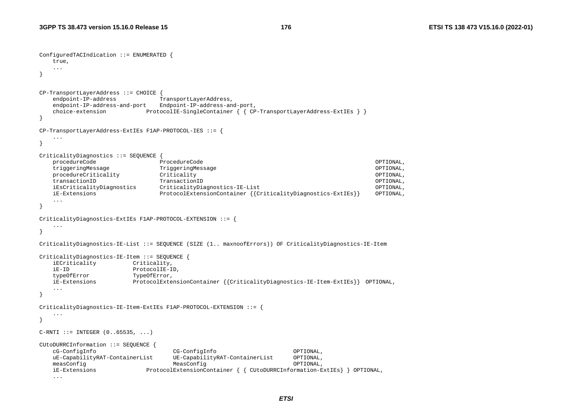```
ConfiguredTACIndication ::= ENUMERATED { 
    true, 
    ... \lambdaCP-TransportLayerAddress ::= CHOICE { 
   endpoint-IP-address TransportLayerAddress,
    endpoint-IP-address-and-port Endpoint-IP-address-and-port, 
    choice-extension ProtocolIE-SingleContainer { { CP-TransportLayerAddress-ExtIEs } } 
} 
CP-TransportLayerAddress-ExtIEs F1AP-PROTOCOL-IES ::= { 
    ... } 
CriticalityDiagnostics ::= SEQUENCE { 
    procedureCode ProcedureCode OPTIONAL, 
    triggeringMessage TriggeringMessage OPTIONAL, 
   procedureCriticality \qquad Criticality \qquad transactionID TransactionID OPTIONAL, 
    iEsCriticalityDiagnostics CriticalityDiagnostics-IE-List OPTIONAL, 
    iE-Extensions ProtocolExtensionContainer {{CriticalityDiagnostics-ExtIEs}} OPTIONAL, 
    ... } 
CriticalityDiagnostics-ExtIEs F1AP-PROTOCOL-EXTENSION ::= { 
    ... } 
CriticalityDiagnostics-IE-List ::= SEQUENCE (SIZE (1.. maxnoofErrors)) OF CriticalityDiagnostics-IE-Item 
CriticalityDiagnostics-IE-Item ::= SEQUENCE { 
    iECriticality Criticality, 
    iE-ID ProtocolIE-ID, 
    typeOfError TypeOfError, 
    iE-Extensions ProtocolExtensionContainer {{CriticalityDiagnostics-IE-Item-ExtIEs}} OPTIONAL, 
    ... } 
CriticalityDiagnostics-IE-Item-ExtIEs F1AP-PROTOCOL-EXTENSION ::= { 
 ... } 
C-RTI ::= INTEGER (0..65535, ...)CUtoDURRCInformation ::= SEQUENCE { 
    cG-ConfigInfo CG-ConfigInfo OPTIONAL, 
    uE-CapabilityRAT-ContainerList UE-CapabilityRAT-ContainerList OPTIONAL, 
   measConfig MeasConfig MeasConfig MeasConfig MeasConfig OPTIONAL,
    iE-Extensions ProtocolExtensionContainer { { CUtoDURRCInformation-ExtIEs} } OPTIONAL, 
    ...
```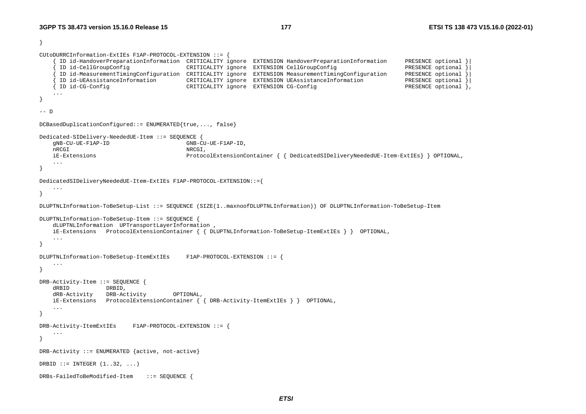```
} 
CUtoDURRCInformation-ExtIEs F1AP-PROTOCOL-EXTENSION ::= { 
       { ID id-HandoverPreparationInformation CRITICALITY ignore EXTENSION HandoverPreparationInformation PRESENCE optional }| 
       { ID id-CellGroupConfig CRITICALITY ignore EXTENSION CellGroupConfig PRESENCE optional }| 
       { ID id-MeasurementTimingConfiguration CRITICALITY ignore EXTENSION MeasurementTimingConfiguration PRESENCE optional }| 
      ID id-UEAssistanceInformation CRITICALITY ignore EXTENSION UEAssistanceInformation
     { ID id-CG-Config CRITICALITY ignore EXTENSION CG-Config PRESENCE optional }, 
     ... } 
-- D DCBasedDuplicationConfigured::= ENUMERATED{true,..., false} 
Dedicated-SIDelivery-NeededUE-Item ::= SEQUENCE { 
     gNB-CU-UE-F1AP-ID GNB-CU-UE-F1AP-ID, 
    nRCGI, NRCGI, NRCGI, NRCGI, NRCGI, NRCGI, NRCGI, NRCGI, NRCGI, NRCGI, NRCGI, NRCGI, NRCGI, NRCGI, NRCGI, NRCGI, NRCGI, NRCGI, NRCGI, NRCGI, NRCGI, NRCGI, NRCGI, NRCGI, NRCGI, NRCGI, NRCGI, NRCGI, NRCGI, NRCGI, NRCGI, NRCGI iE-Extensions ProtocolExtensionContainer { { DedicatedSIDeliveryNeededUE-Item-ExtIEs} } OPTIONAL, 
     ... } 
DedicatedSIDeliveryNeededUE-Item-ExtIEs F1AP-PROTOCOL-EXTENSION::={ 
     ... } 
DLUPTNLInformation-ToBeSetup-List ::= SEQUENCE (SIZE(1..maxnoofDLUPTNLInformation)) OF DLUPTNLInformation-ToBeSetup-Item 
DLUPTNLInformation-ToBeSetup-Item ::= SEQUENCE { 
     dLUPTNLInformation UPTransportLayerInformation , 
     iE-Extensions ProtocolExtensionContainer { { DLUPTNLInformation-ToBeSetup-ItemExtIEs } } OPTIONAL, 
     ... } 
DLUPTNLInformation-ToBeSetup-ItemExtIEs F1AP-PROTOCOL-EXTENSION ::= { 
     ... } 
DRB-Activity-Item ::= SEQUENCE { 
     dRBID DRBID, 
     dRB-Activity DRB-Activity OPTIONAL, 
     iE-Extensions ProtocolExtensionContainer { { DRB-Activity-ItemExtIEs } } OPTIONAL, 
     ... } 
DRB-Activity-ItemExtIEs F1AP-PROTOCOL-EXTENSION ::= { 
     ... } 
DRB-Activity ::= ENUMERATED {active, not-active} 
DRBID ::= INTEGER (1..32, ...)
```

```
DRBs-FailedToBeModified-Item ::= SEQUENCE {
```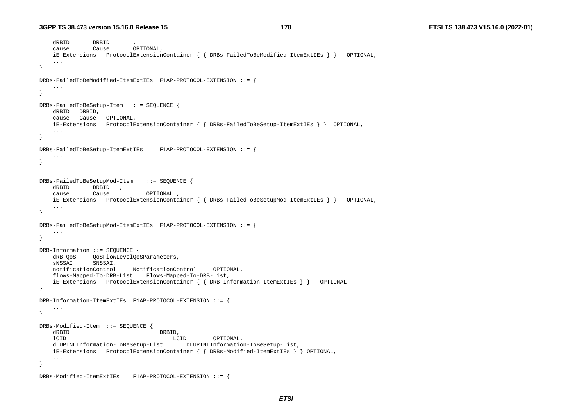```
 dRBID DRBID , 
    cause Cause OPTIONAL, 
    iE-Extensions ProtocolExtensionContainer { { DRBs-FailedToBeModified-ItemExtIEs } } OPTIONAL, 
    ... } 
DRBs-FailedToBeModified-ItemExtIEs F1AP-PROTOCOL-EXTENSION ::= { 
     ... } 
DRBs-FailedToBeSetup-Item ::= SEQUENCE { 
    dRBID DRBID, 
    cause Cause OPTIONAL, 
    iE-Extensions ProtocolExtensionContainer { { DRBs-FailedToBeSetup-ItemExtIEs } } OPTIONAL, 
    ... } 
DRBs-FailedToBeSetup-ItemExtIEs F1AP-PROTOCOL-EXTENSION ::= { 
    ... } 
DRBs-FailedToBeSetupMod-Item ::= SEQUENCE { 
    dRBID DRBID , 
    cause Cause OPTIONAL , 
    iE-Extensions ProtocolExtensionContainer { { DRBs-FailedToBeSetupMod-ItemExtIEs } } OPTIONAL, 
    ... } 
DRBs-FailedToBeSetupMod-ItemExtIEs F1AP-PROTOCOL-EXTENSION ::= { 
    ... } 
DRB-Information ::= SEQUENCE { 
    dRB-QoS QoSFlowLevelQoSParameters, 
    sNSSAI SNSSAI, 
    notificationControl NotificationControl OPTIONAL, 
    flows-Mapped-To-DRB-List Flows-Mapped-To-DRB-List, 
    iE-Extensions ProtocolExtensionContainer { { DRB-Information-ItemExtIEs } } OPTIONAL 
} 
DRB-Information-ItemExtIEs F1AP-PROTOCOL-EXTENSION ::= { 
    ... } 
DRBs-Modified-Item ::= SEQUENCE { 
   dRBID DRBID,
    lCID LCID OPTIONAL, 
    dLUPTNLInformation-ToBeSetup-List DLUPTNLInformation-ToBeSetup-List, 
    iE-Extensions ProtocolExtensionContainer { { DRBs-Modified-ItemExtIEs } } OPTIONAL, 
    ... } 
DRBs-Modified-ItemExtIEs F1AP-PROTOCOL-EXTENSION ::= {
```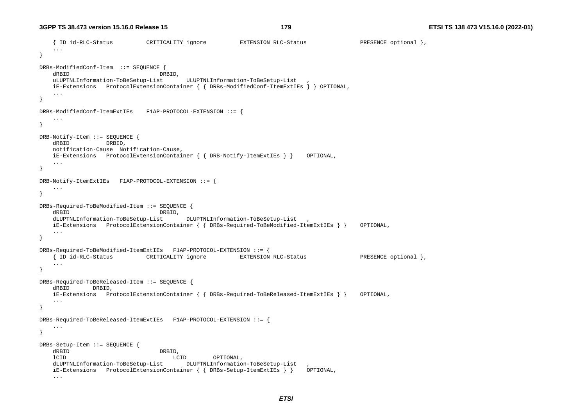```
 { ID id-RLC-Status CRITICALITY ignore EXTENSION RLC-Status PRESENCE optional }, 
    ... } 
DRBs-ModifiedConf-Item ::= SEQUENCE
   dRBID DRBID,
   uLUPTNLInformation-ToBeSetup-List ULUPTNLInformation-ToBeSetup-List ,
    iE-Extensions ProtocolExtensionContainer { { DRBs-ModifiedConf-ItemExtIEs } } OPTIONAL, 
    ... } 
DRBs-ModifiedConf-ItemExtIEs F1AP-PROTOCOL-EXTENSION ::= { 
    ... } 
DRB-Notify-Item ::= SEQUENCE { 
    dRBID DRBID, 
    notification-Cause Notification-Cause, 
    iE-Extensions ProtocolExtensionContainer { { DRB-Notify-ItemExtIEs } } OPTIONAL, 
    ... } 
DRB-Notify-ItemExtIEs F1AP-PROTOCOL-EXTENSION ::= { 
    ... } 
DRBs-Required-ToBeModified-Item ::= SEQUENCE { 
    dRBID DRBID, 
    dLUPTNLInformation-ToBeSetup-List DLUPTNLInformation-ToBeSetup-List , 
    iE-Extensions ProtocolExtensionContainer { { DRBs-Required-ToBeModified-ItemExtIEs } } OPTIONAL, 
    ... } 
DRBs-Required-ToBeModified-ItemExtIEs F1AP-PROTOCOL-EXTENSION ::= { 
    { ID id-RLC-Status CRITICALITY ignore EXTENSION RLC-Status PRESENCE optional }, 
 ... 
} 
DRBs-Required-ToBeReleased-Item ::= SEQUENCE { 
    dRBID DRBID, 
    iE-Extensions ProtocolExtensionContainer { { DRBs-Required-ToBeReleased-ItemExtIEs } } OPTIONAL, 
    ... } 
DRBs-Required-ToBeReleased-ItemExtIEs F1AP-PROTOCOL-EXTENSION ::= { 
    ... } 
DRBs-Setup-Item ::= SEQUENCE { 
    dRBID DRBID, 
    lCID LCID OPTIONAL, 
    dLUPTNLInformation-ToBeSetup-List DLUPTNLInformation-ToBeSetup-List , 
    iE-Extensions ProtocolExtensionContainer { { DRBs-Setup-ItemExtIEs } } OPTIONAL, 
    ...
```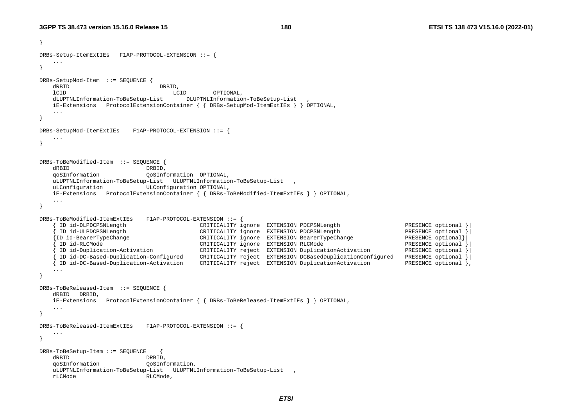}

**180 ETSI TS 138 473 V15.16.0 (2022-01)**

```
DRBs-Setup-ItemExtIEs F1AP-PROTOCOL-EXTENSION ::= { 
    ... } 
DRBs-SetupMod-Item ::= SEQUENCE { 
   dRBID DRBID,
    lCID LCID OPTIONAL, 
    dLUPTNLInformation-ToBeSetup-List DLUPTNLInformation-ToBeSetup-List , 
    iE-Extensions ProtocolExtensionContainer { { DRBs-SetupMod-ItemExtIEs } } OPTIONAL, 
 ... 
} 
DRBs-SetupMod-ItemExtIEs F1AP-PROTOCOL-EXTENSION ::= { 
    ... } 
DRBs-ToBeModified-Item ::= SEQUENCE { 
   dRBID DRBID,<br>qoSInformation QoSInf
                          qoSInformation QoSInformation OPTIONAL, 
    uLUPTNLInformation-ToBeSetup-List ULUPTNLInformation-ToBeSetup-List , 
    uLConfiguration ULConfiguration OPTIONAL, 
    iE-Extensions ProtocolExtensionContainer { { DRBs-ToBeModified-ItemExtIEs } } OPTIONAL, 
    ... } 
DRBs-ToBeModified-ItemExtIEs F1AP-PROTOCOL-EXTENSION ::= { 
 { ID id-DLPDCPSNLength CRITICALITY ignore EXTENSION PDCPSNLength PRESENCE optional }| 
 { ID id-ULPDCPSNLength CRITICALITY ignore EXTENSION PDCPSNLength PRESENCE optional }| 
 {ID id-BearerTypeChange CRITICALITY ignore EXTENSION BearerTypeChange PRESENCE optional}| 
 { ID id-RLCMode CRITICALITY ignore EXTENSION RLCMode PRESENCE optional }| 
 { ID id-Duplication-Activation CRITICALITY reject EXTENSION DuplicationActivation PRESENCE optional }| 
 { ID id-DC-Based-Duplication-Configured CRITICALITY reject EXTENSION DCBasedDuplicationConfigured PRESENCE optional }| 
    { ID id-DC-Based-Duplication-Activation CRITICALITY reject EXTENSION DuplicationActivation PRESENCE optional }, 
    ... } 
DRBs-ToBeReleased-Item ::= SEQUENCE { 
    dRBID DRBID, 
    iE-Extensions ProtocolExtensionContainer { { DRBs-ToBeReleased-ItemExtIEs } } OPTIONAL, 
    ... } 
DRBs-ToBeReleased-ItemExtIEs F1AP-PROTOCOL-EXTENSION ::= { 
    ... } 
DRBs-ToBeSetup-Item ::= SEQUENCE { 
    dRBID DRBID, 
    qoSInformation QoSInformation, 
    uLUPTNLInformation-ToBeSetup-List ULUPTNLInformation-ToBeSetup-List , 
    rLCMode RLCMode,
```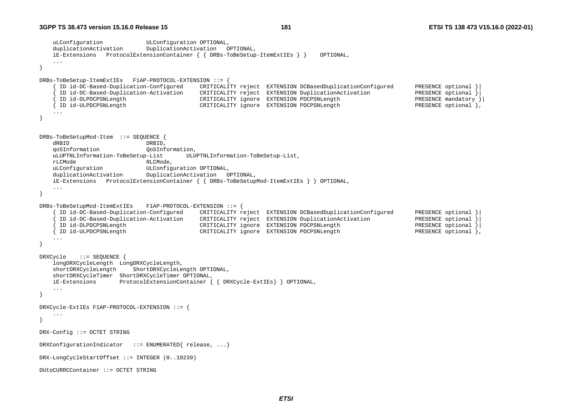```
 uLConfiguration ULConfiguration OPTIONAL, 
     duplicationActivation DuplicationActivation OPTIONAL, 
     iE-Extensions ProtocolExtensionContainer { { DRBs-ToBeSetup-ItemExtIEs } } OPTIONAL, 
 ... } 
DRBs-ToBeSetup-ItemExtIEs F1AP-PROTOCOL-EXTENSION ::= { 
       { ID id-DC-Based-Duplication-Configured CRITICALITY reject EXTENSION DCBasedDuplicationConfigured PRESENCE optional }| 
       { ID id-DC-Based-Duplication-Activation CRITICALITY reject EXTENSION DuplicationActivation PRESENCE optional }| 
       { ID id-DLPDCPSNLength CRITICALITY ignore EXTENSION PDCPSNLength PRESENCE mandatory }| 
    \{ ID id-ULPDCPSNLength CRITICALITY ignore EXTENSION PDCPSNLength
     ... } 
DRBs-ToBeSetupMod-Item ::= SEQUENCE { 
    dRBID DRBID, 
     qoSInformation QoSInformation, 
     uLUPTNLInformation-ToBeSetup-List ULUPTNLInformation-ToBeSetup-List, 
     rLCMode RLCMode, 
    uLConfiguration ULConfiguration OPTIONAL, 
     duplicationActivation DuplicationActivation OPTIONAL, 
     iE-Extensions ProtocolExtensionContainer { { DRBs-ToBeSetupMod-ItemExtIEs } } OPTIONAL, 
     ... } 
DRBs-ToBeSetupMod-ItemExtIEs F1AP-PROTOCOL-EXTENSION ::= { 
      { ID id-DC-Based-Duplication-Configured CRITICALITY reject EXTENSION DCBasedDuplicationConfigured PRESENCE optional }| 
     {10} \quad \text{Id-DC-Based-Application-Action} \quad \text{CRITICALITY reject} \quad \text{EXTENSION DuplicationAction} \quad \text{PRESENCE optional } \Big\{\begin{matrix} 1 & 0 & 0 & 0 \\ 0 & 0 & 0 & 0 \\ 0 & 0 & 0 & 0 \\ 0 & 0 & 0 & 0 \\ 0 & 0 & 0 & 0 \\ 0 & 0 & 0 & 0 \\ 0 & 0 & 0 & 0 \\ 0 & 0 & 0 & 0 \\ 0 & 0 & 0 & 0 \\ 0 & 0 & 0 & 0 \\ 0 & 0 & 0 & 0 \\ 0 & 0 & 0 & 0 \\ 0 & 0 & 0 & 0 \\ 0 & 0 & { ID id-DLPDCPSNLength CRITICALITY ignore EXTENSION PDCPSNLength PRESENCE optional }| 
 { ID id-ULPDCPSNLength CRITICALITY ignore EXTENSION PDCPSNLength PRESENCE optional }, 
     ... } 
DRXCycle ::= SEQUENCE { 
     longDRXCycleLength LongDRXCycleLength, 
     shortDRXCycleLength ShortDRXCycleLength OPTIONAL, 
     shortDRXCycleTimer ShortDRXCycleTimer OPTIONAL, 
     iE-Extensions ProtocolExtensionContainer { { DRXCycle-ExtIEs} } OPTIONAL, 
     ... } 
DRXCycle-ExtIEs F1AP-PROTOCOL-EXTENSION ::= { 
 ... } 
DRX-Config ::= OCTET STRING 
DRXConfigurationIndicator ::= ENUMERATED{ release, ...} 
DRX-LongCycleStartOffset ::= INTEGER (0..10239) 
DUtoCURRCContainer ::= OCTET STRING
```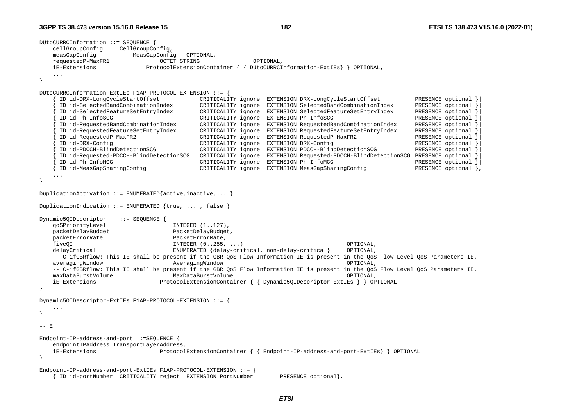```
DUtoCURRCInformation ::= SEQUENCE { 
    cellGroupConfig CellGroupConfig, 
    measGapConfig MeasGapConfig OPTIONAL, 
    requestedP-MaxFR1 OCTET STRING OPTIONAL, 
    iE-Extensions ProtocolExtensionContainer { { DUtoCURRCInformation-ExtIEs} } OPTIONAL, 
    ... } 
DUtoCURRCInformation-ExtIEs F1AP-PROTOCOL-EXTENSION ::= { 
     { ID id-DRX-LongCycleStartOffset CRITICALITY ignore EXTENSION DRX-LongCycleStartOffset PRESENCE optional }| 
     { ID id-SelectedBandCombinationIndex CRITICALITY ignore EXTENSION SelectedBandCombinationIndex PRESENCE optional }| 
     { ID id-SelectedFeatureSetEntryIndex CRITICALITY ignore EXTENSION SelectedFeatureSetEntryIndex PRESENCE optional }| 
     { ID id-Ph-InfoSCG CRITICALITY ignore EXTENSION Ph-InfoSCG PRESENCE optional }| 
      { ID id-RequestedBandCombinationIndex CRITICALITY ignore EXTENSION RequestedBandCombinationIndex PRESENCE optional }| 
     { ID id-RequestedFeatureSetEntryIndex CRITICALITY ignore EXTENSION RequestedFeatureSetEntryIndex PRESENCE optional }| 
     { ID id-RequestedP-MaxFR2 CRITICALITY ignore EXTENSION RequestedP-MaxFR2 PRESENCE optional }| 
    ID id-DRX-Config CRTICALITY ignore EXTENSION DRX-Config PRESENCE optional
     { ID id-PDCCH-BlindDetectionSCG CRITICALITY ignore EXTENSION PDCCH-BlindDetectionSCG PRESENCE optional }| 
     { ID id-Requested-PDCCH-BlindDetectionSCG CRITICALITY ignore EXTENSION Requested-PDCCH-BlindDetectionSCG PRESENCE optional }| 
     { ID id-Ph-InfoMCG CRITICALITY ignore EXTENSION Ph-InfoMCG PRESENCE optional }| 
     { ID id-MeasGapSharingConfig CRITICALITY ignore EXTENSION MeasGapSharingConfig PRESENCE optional }, 
    ... } 
DuplicationActivation ::= ENUMERATED{active,inactive,... }
DuplicationIndication ::= ENUMERATED {true, ..., false }
Dynamic5QIDescriptor ::= SEQUENCE { 
   qoSPriorityLevel INTEGER (1.127),
    packetDelayBudget PacketDelayBudget, 
    packetErrorRate PacketErrorRate, 
    fiveQI INTEGER (0..255, ...) OPTIONAL, 
   delayCritical ENUMERATED {delay-critical, non-delay-critical OPTIONAL,
    -- C-ifGBRflow: This IE shall be present if the GBR QoS Flow Information IE is present in the QoS Flow Level QoS Parameters IE. 
    averagingWindow AveragingWindow OPTIONAL, 
    -- C-ifGBRflow: This IE shall be present if the GBR QoS Flow Information IE is present in the QoS Flow Level QoS Parameters IE. 
    maxDataBurstVolume MaxDataBurstVolume OPTIONAL, 
    iE-Extensions ProtocolExtensionContainer { { Dynamic5QIDescriptor-ExtIEs } } OPTIONAL 
} 
Dynamic5QIDescriptor-ExtIEs F1AP-PROTOCOL-EXTENSION ::= { 
 ... } 
-- F
Endpoint-IP-address-and-port ::=SEQUENCE { 
    endpointIPAddress TransportLayerAddress, 
    iE-Extensions ProtocolExtensionContainer { { Endpoint-IP-address-and-port-ExtIEs} } OPTIONAL 
} 
Endpoint-IP-address-and-port-ExtIEs F1AP-PROTOCOL-EXTENSION ::= { 
    { ID id-portNumber CRITICALITY reject EXTENSION PortNumber PRESENCE optional},
```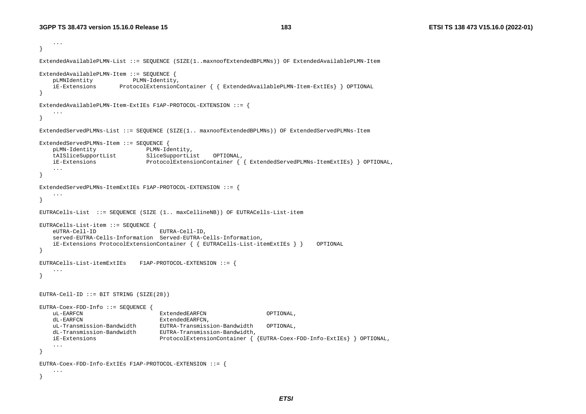```
 ... } 
ExtendedAvailablePLMN-List ::= SEQUENCE (SIZE(1..maxnoofExtendedBPLMNs)) OF ExtendedAvailablePLMN-Item 
ExtendedAvailablePLMN-Item ::= SEQUENCE { 
    pLMNIdentity PLMN-Identity, 
    iE-Extensions ProtocolExtensionContainer { { ExtendedAvailablePLMN-Item-ExtIEs} } OPTIONAL 
} 
ExtendedAvailablePLMN-Item-ExtIEs F1AP-PROTOCOL-EXTENSION ::= { 
     ... } 
ExtendedServedPLMNs-List ::= SEQUENCE (SIZE(1.. maxnoofExtendedBPLMNs)) OF ExtendedServedPLMNs-Item 
ExtendedServedPLMNs-Item ::= SEQUENCE { 
    pLMN-Identity PLMN-Identity, 
    tAISliceSupportList SliceSupportList OPTIONAL, 
    iE-Extensions ProtocolExtensionContainer { { ExtendedServedPLMNs-ItemExtIEs} } OPTIONAL, 
     ... } 
ExtendedServedPLMNs-ItemExtIEs F1AP-PROTOCOL-EXTENSION ::= { 
     ... } 
EUTRACells-List ::= SEQUENCE (SIZE (1.. maxCellineNB)) OF EUTRACells-List-item 
EUTRACells-List-item ::= SEQUENCE { 
    eUTRA-Cell-ID EUTRA-Cell-ID, 
    served-EUTRA-Cells-Information Served-EUTRA-Cells-Information, 
    iE-Extensions ProtocolExtensionContainer { { EUTRACells-List-itemExtIEs } } OPTIONAL 
} 
EUTRACells-List-itemExtIEs F1AP-PROTOCOL-EXTENSION ::= { 
     ... } 
EUTRA-Cell-ID ::= BIT STRING (SIZE(28)) 
EUTRA-Coex-FDD-Info ::= SEQUENCE {
    uL-EARFCN ExtendedEARFCN OPTIONAL, 
   dL-EARFCN ExtendedEARFCN
    uL-Transmission-Bandwidth EUTRA-Transmission-Bandwidth OPTIONAL, 
    dL-Transmission-Bandwidth EUTRA-Transmission-Bandwidth, 
    iE-Extensions ProtocolExtensionContainer { {EUTRA-Coex-FDD-Info-ExtIEs} } OPTIONAL, 
     ... } 
EUTRA-Coex-FDD-Info-ExtIEs F1AP-PROTOCOL-EXTENSION ::= { 
    ... }
```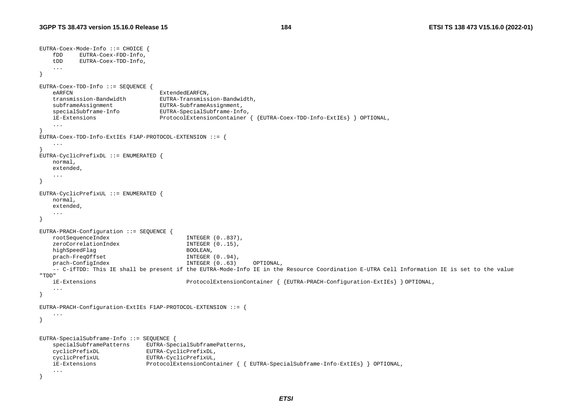```
EUTRA-Coex-Mode-Info ::= CHOICE { 
    fDD EUTRA-Coex-FDD-Info, 
    tDD EUTRA-Coex-TDD-Info, 
    ... } 
EUTRA-Coex-TDD-Info ::= SEQUENCE { 
   eARFCN ExtendedEARFCN
    transmission-Bandwidth EUTRA-Transmission-Bandwidth, 
    subframeAssignment EUTRA-SubframeAssignment, 
    specialSubframe-Info EUTRA-SpecialSubframe-Info, 
    iE-Extensions ProtocolExtensionContainer { {EUTRA-Coex-TDD-Info-ExtIEs} } OPTIONAL, 
    ... } 
EUTRA-Coex-TDD-Info-ExtIEs F1AP-PROTOCOL-EXTENSION ::= { 
    ... } 
EUTRA-CyclicPrefixDL ::= ENUMERATED { 
    normal, 
    extended, 
    ... } 
EUTRA-CyclicPrefixUL ::= ENUMERATED { 
    normal, 
    extended, 
    ... } 
EUTRA-PRACH-Configuration ::= SEQUENCE { 
    rootSequenceIndex INTEGER (0..837), 
   zeroCorrelationIndex INTEGER (0..15),
   highSpeedFlag BOOLEAN,
    prach-FreqOffset INTEGER (0..94), 
    prach-ConfigIndex INTEGER (0..63) OPTIONAL, 
    -- C-ifTDD: This IE shall be present if the EUTRA-Mode-Info IE in the Resource Coordination E-UTRA Cell Information IE is set to the value 
"TDD"  iE-Extensions ProtocolExtensionContainer { {EUTRA-PRACH-Configuration-ExtIEs} } OPTIONAL, 
    ... } 
EUTRA-PRACH-Configuration-ExtIEs F1AP-PROTOCOL-EXTENSION ::= { 
    ... } 
EUTRA-SpecialSubframe-Info ::= SEQUENCE { 
    specialSubframePatterns EUTRA-SpecialSubframePatterns, 
    cyclicPrefixDL EUTRA-CyclicPrefixDL, 
    cyclicPrefixUL EUTRA-CyclicPrefixUL, 
    iE-Extensions ProtocolExtensionContainer { { EUTRA-SpecialSubframe-Info-ExtIEs} } OPTIONAL, 
    ... }
```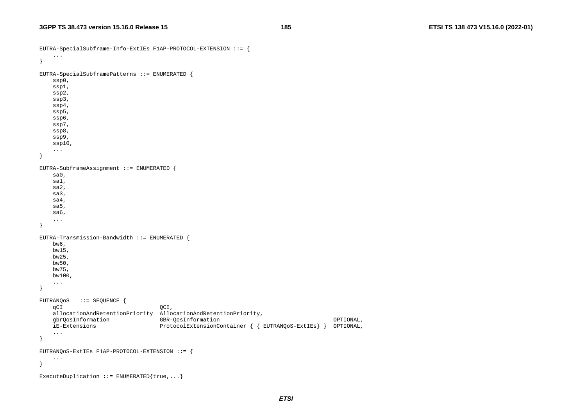```
EUTRA-SpecialSubframe-Info-ExtIEs F1AP-PROTOCOL-EXTENSION ::= { 
 ... 
} 
EUTRA-SpecialSubframePatterns ::= ENUMERATED { 
    ssp0, 
    ssp1, 
    ssp2, 
     ssp3, 
     ssp4, 
    ssp5, 
     ssp6, 
    ssp7, 
    ssp8, 
     ssp9, 
     ssp10, 
 ... 
} 
EUTRA-SubframeAssignment ::= ENUMERATED { 
    sa0, 
    sa1, 
     sa2, 
    sa3, 
    sa4, 
    sa5, 
    sa6, 
     ... } 
EUTRA-Transmission-Bandwidth ::= ENUMERATED { 
    bw6, 
    bw15, 
    bw25, 
    bw50, 
    bw75, 
    bw100, 
 ... 
} 
EUTRANQoS ::= SEQUENCE { 
    qCI QCI,
    allocationAndRetentionPriority AllocationAndRetentionPriority, 
     gbrQosInformation GBR-QosInformation OPTIONAL, 
    iE-Extensions ProtocolExtensionContainer { { EUTRANQoS-ExtIEs} } OPTIONAL, 
 ... 
} 
EUTRANQoS-ExtIEs F1AP-PROTOCOL-EXTENSION ::= { 
     ... } 
ExecuteDuplication ::= ENUMERATED{true,...}
```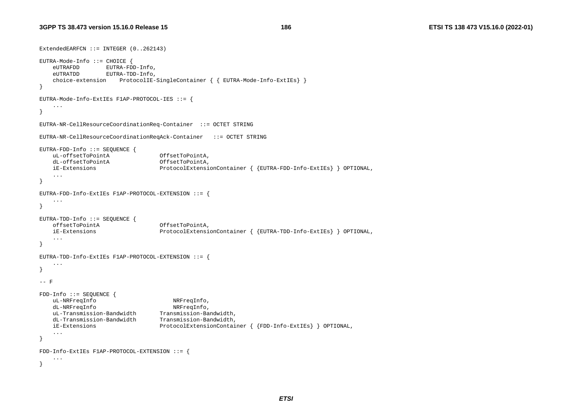```
ExtendedEARFCN ::= INTEGER (0..262143) 
EUTRA-Mode-Info ::= CHOICE { 
    eUTRAFDD EUTRA-FDD-Info, 
    eUTRATDD EUTRA-TDD-Info, 
    choice-extension ProtocolIE-SingleContainer { { EUTRA-Mode-Info-ExtIEs} } 
} 
EUTRA-Mode-Info-ExtIEs F1AP-PROTOCOL-IES ::= { 
 ... 
} 
EUTRA-NR-CellResourceCoordinationReq-Container ::= OCTET STRING 
EUTRA-NR-CellResourceCoordinationReqAck-Container ::= OCTET STRING 
EUTRA-FDD-Info ::= SEQUENCE { 
    uL-offsetToPointA OffsetToPointA, 
    dL-offsetToPointA OffsetToPointA, 
    iE-Extensions ProtocolExtensionContainer { {EUTRA-FDD-Info-ExtIEs} } OPTIONAL, 
    ... } 
EUTRA-FDD-Info-ExtIEs F1AP-PROTOCOL-EXTENSION ::= { 
 ... 
} 
EUTRA-TDD-Info ::= SEQUENCE { 
    offsetToPointA OffsetToPointA, 
    iE-Extensions ProtocolExtensionContainer { {EUTRA-TDD-Info-ExtIEs} } OPTIONAL, 
 ... 
} 
EUTRA-TDD-Info-ExtIEs F1AP-PROTOCOL-EXTENSION ::= { 
    ... } 
-- F
FDD-Info ::= SEQUENCE { 
    uL-NRFreqInfo NRFreqInfo, 
   dL-NRFreqInfo NRFreqInfo,
    uL-Transmission-Bandwidth Transmission-Bandwidth, 
    dL-Transmission-Bandwidth Transmission-Bandwidth, 
    iE-Extensions ProtocolExtensionContainer { {FDD-Info-ExtIEs} } OPTIONAL, 
    ... } 
FDD-Info-ExtIEs F1AP-PROTOCOL-EXTENSION ::= { 
    ... }
```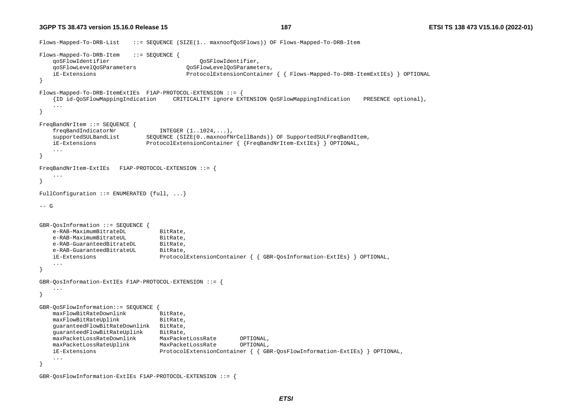**3GPP TS 38.473 version 15.16.0 Release 15**

```
Flows-Mapped-To-DRB-List ::= SEQUENCE (SIZE(1.. maxnoofOoSFlows)) OF Flows-Mapped-To-DRB-Item
Flows-Mapped-To-DRB-Item ::= SEQUENCE { 
    qoSFlowIdentifier QoSFlowIdentifier, 
    qoSFlowLevelQoSParameters QoSFlowLevelQoSParameters, 
    iE-Extensions ProtocolExtensionContainer { { Flows-Mapped-To-DRB-ItemExtIEs} } OPTIONAL 
} 
Flows-Mapped-To-DRB-ItemExtIEs F1AP-PROTOCOL-EXTENSION ::= { 
    {ID id-QoSFlowMappingIndication CRITICALITY ignore EXTENSION QoSFlowMappingIndication PRESENCE optional}, 
    ... } 
FreqBandNrItem ::= SEQUENCE { 
   freqBandIndicatorNr INTEGER (1..1024, ...) supportedSULBandList SEQUENCE (SIZE(0..maxnoofNrCellBands)) OF SupportedSULFreqBandItem, 
    iE-Extensions ProtocolExtensionContainer { {FreqBandNrItem-ExtIEs} } OPTIONAL, 
    ... } 
FreqBandNrItem-ExtIEs F1AP-PROTOCOL-EXTENSION ::= { 
    ... } 
FullConfiguration ::= ENUMERATED \{full, \ldots\}--- G
GBR-QosInformation ::= SEQUENCE { 
   e-RAB-MaximumBitrateDL BitRate,
   e-RAB-MaximumBitrateUL BitRate,
   e-RAB-GuaranteedBitrateDL BitRate,
   e-RAB-GuaranteedBitrateUL BitRate,
    iE-Extensions ProtocolExtensionContainer { { GBR-QosInformation-ExtIEs} } OPTIONAL, 
    ... } 
GBR-QosInformation-ExtIEs F1AP-PROTOCOL-EXTENSION ::= { 
    ... } 
GBR-QoSFlowInformation::= SEQUENCE { 
   maxFlowBitRateDownlink BitRate,
   maxFlowBitRateUplink BitRate,
    guaranteedFlowBitRateDownlink BitRate, 
    guaranteedFlowBitRateUplink BitRate, 
    maxPacketLossRateDownlink MaxPacketLossRate OPTIONAL, 
    maxPacketLossRateUplink MaxPacketLossRate OPTIONAL, 
    iE-Extensions ProtocolExtensionContainer { { GBR-QosFlowInformation-ExtIEs} } OPTIONAL, 
     ... }
```
GBR-QosFlowInformation-ExtIEs F1AP-PROTOCOL-EXTENSION ::= {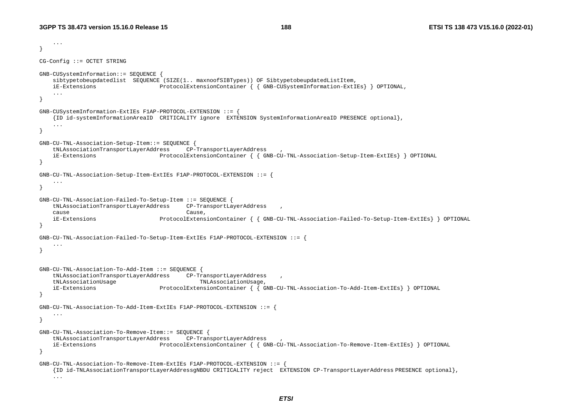...

```
} 
CG-Config ::= OCTET STRING 
GNB-CUSystemInformation::= SEQUENCE { 
    sibtypetobeupdatedlist SEQUENCE (SIZE(1.. maxnoofSIBTypes)) OF SibtypetobeupdatedListItem, 
    iE-Extensions ProtocolExtensionContainer { { GNB-CUSystemInformation-ExtIEs} } OPTIONAL, 
     ... } 
GNB-CUSystemInformation-ExtIEs F1AP-PROTOCOL-EXTENSION ::= }
     {ID id-systemInformationAreaID CRITICALITY ignore EXTENSION SystemInformationAreaID PRESENCE optional}, 
     ... } 
GNB-CU-TNL-Association-Setup-Item::= SEQUENCE { 
    tNLAssociationTransportLayerAddress CP-TransportLayerAddress , 
    iE-Extensions ProtocolExtensionContainer { { GNB-CU-TNL-Association-Setup-Item-ExtIEs} } OPTIONAL 
} 
GNB-CU-TNL-Association-Setup-Item-ExtIEs F1AP-PROTOCOL-EXTENSION ::= { 
     ... } 
GNB-CU-TNL-Association-Failed-To-Setup-Item ::= SEQUENCE { 
     tNLAssociationTransportLayerAddress CP-TransportLayerAddress , 
 cause Cause, 
    iE-Extensions ProtocolExtensionContainer { { GNB-CU-TNL-Association-Failed-To-Setup-Item-ExtIEs} } OPTIONAL 
} 
GNB-CU-TNL-Association-Failed-To-Setup-Item-ExtIEs F1AP-PROTOCOL-EXTENSION ::= { 
     ... } 
GNB-CU-TNL-Association-To-Add-Item ::= SEQUENCE { 
     tNLAssociationTransportLayerAddress CP-TransportLayerAddress , 
    tNLAssociationUsage TNLAssociationUsage, 
    iE-Extensions ProtocolExtensionContainer { { GNB-CU-TNL-Association-To-Add-Item-ExtIEs} } OPTIONAL 
} 
GNB-CU-TNL-Association-To-Add-Item-ExtIEs F1AP-PROTOCOL-EXTENSION ::= { 
     ... } 
GNB-CU-TNL-Association-To-Remove-Item::= SEQUENCE { 
     tNLAssociationTransportLayerAddress CP-TransportLayerAddress , 
     iE-Extensions ProtocolExtensionContainer { { GNB-CU-TNL-Association-To-Remove-Item-ExtIEs} } OPTIONAL 
} 
GNB-CU-TNL-Association-To-Remove-Item-ExtIEs F1AP-PROTOCOL-EXTENSION ::= { 
     {ID id-TNLAssociationTransportLayerAddressgNBDU CRITICALITY reject EXTENSION CP-TransportLayerAddress PRESENCE optional}, 
     ...
```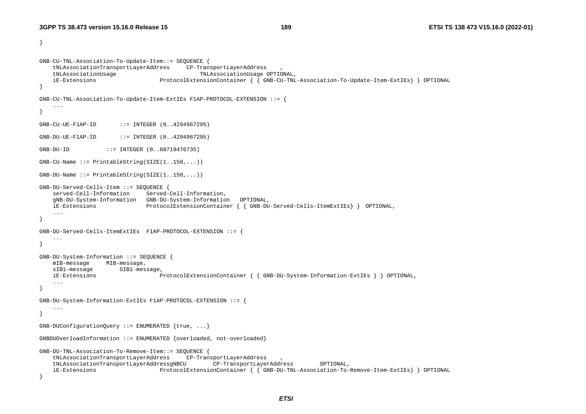}

```
GNB-CU-TNL-Association-To-Update-Item::= SEQUENCE { 
     tNLAssociationTransportLayerAddress CP-TransportLayerAddress , 
     tNLAssociationUsage TNLAssociationUsage OPTIONAL, 
     iE-Extensions ProtocolExtensionContainer { { GNB-CU-TNL-Association-To-Update-Item-ExtIEs} } OPTIONAL 
} 
GNB-CU-TNL-Association-To-Update-Item-ExtIEs F1AP-PROTOCOL-EXTENSION ::= { 
     ... } 
GNB-CU-UE-F1AP-ID ::= INTEGER (0..4294967295) 
GNB-DU-UE-F1AP-ID ::= INTEGER (0..4294967295) 
GNB-DU-ID ::= INTEGER (0..68719476735) 
GNB-CU-Name ::= PrintableString(SIZE(1..150, ...))GNB-DU-Name ::= PrintableString(SIZE(1..150,...))GNB-DU-Served-Cells-Item ::= SEQUENCE { 
     served-Cell-Information Served-Cell-Information, 
     gNB-DU-System-Information GNB-DU-System-Information OPTIONAL, 
    iE-Extensions ProtocolExtensionContainer { { GNB-DU-Served-Cells-ItemExtIEs} } OPTIONAL, 
     ... } 
GNB-DU-Served-Cells-ItemExtIEs F1AP-PROTOCOL-EXTENSION ::= { 
     ... } 
GNB-DU-System-Information ::= SEQUENCE { 
    mIB-message MIB-message, 
   sIB1-message SIB1-message,
    iE-Extensions ProtocolExtensionContainer { { GNB-DU-System-Information-ExtIEs } } OPTIONAL, 
     ... } 
GNB-DU-System-Information-ExtIEs F1AP-PROTOCOL-EXTENSION ::= { 
     ... } 
GNB-DUConfigurationQuery ::= ENUMERATED {true, ...} 
GNBDUOverloadInformation ::= ENUMERATED {overloaded, not-overloaded} 
GNB-DU-TNL-Association-To-Remove-Item::= SEQUENCE { 
     tNLAssociationTransportLayerAddress CP-TransportLayerAddress , 
     tNLAssociationTransportLayerAddressgNBCU CP-TransportLayerAddress OPTIONAL, 
     iE-Extensions ProtocolExtensionContainer { { GNB-DU-TNL-Association-To-Remove-Item-ExtIEs} } OPTIONAL 
}
```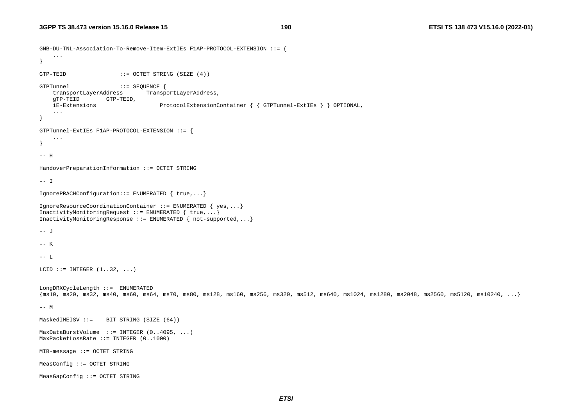```
GNB-DU-TNL-Association-To-Remove-Item-ExtIEs F1AP-PROTOCOL-EXTENSION ::= { 
     ... } 
GTP-TEID ::= OCTET STRING (SIZE (4))
GTPTunnel ::= SEQUENCE { 
   transportLayerAddress TransportLayerAddress,
    gTP-TEID GTP-TEID, 
    iE-Extensions ProtocolExtensionContainer { { GTPTunnel-ExtIEs } } OPTIONAL, 
 ... 
} 
GTPTunnel-ExtIEs F1AP-PROTOCOL-EXTENSION ::= { 
     ... } 
-- H HandoverPreparationInformation ::= OCTET STRING 
-- I IgnorePRACHConfiguration::= ENUMERATED { true,...} 
IgnoreResourceCoordinationContainer ::= ENUMERATED { yes,...} 
InactivityMonitoringRequest ::= ENUMERATED { true,...}
InactivityMonitoringResponse ::= ENUMERATED { not-supported,...} 
-- J -- K -- L LCID ::= INTEGER (1..32, ...)LongDRXCycleLength ::= ENUMERATED 
\{\text{ms10, ms20, ms32, ms40, ms60, ms64, ms70, ms80, ms128, ms160, ms256, ms320, ms512, ms640, ms1024, ms1280, ms2048, ms2560, ms5120, ms10240, ...\}-- M 
MaskedIMEISV ::= BIT STRING (SIZE (64))
MaxDataBurstVolume ::= INTEGER (0..4095, ...) 
MaxPacketLossRate ::= INTEGER (0..1000) 
MIB-message ::= OCTET STRING 
MeasConfig ::= OCTET STRING 
MeasGapConfig ::= OCTET STRING
```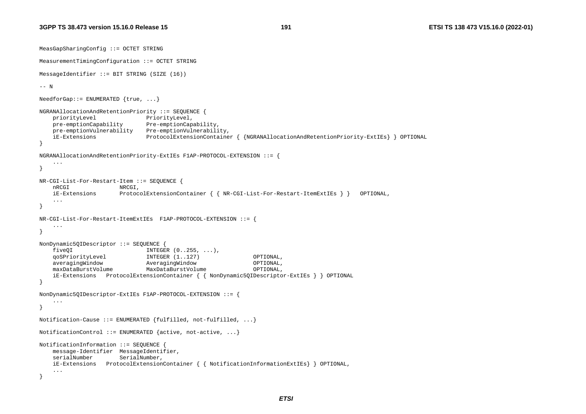MeasGapSharingConfig ::= OCTET STRING

**191 ETSI TS 138 473 V15.16.0 (2022-01)**

```
MeasurementTimingConfiguration ::= OCTET STRING 
MessageIdentifier ::= BIT STRING (SIZE (16)) 
-- N NeedforGap::= ENUMERATED \{true, ... \}NGRANAllocationAndRetentionPriority ::= SEQUENCE { 
   priorityLevel PriorityLevel,
    pre-emptionCapability Pre-emptionCapability, 
    pre-emptionVulnerability Pre-emptionVulnerability, 
    iE-Extensions ProtocolExtensionContainer { {NGRANAllocationAndRetentionPriority-ExtIEs} } OPTIONAL 
} 
NGRANAllocationAndRetentionPriority-ExtIEs F1AP-PROTOCOL-EXTENSION ::= { 
     ... } 
NR-CGI-List-For-Restart-Item ::= SEQUENCE { 
   nRCGI NRCGI,
    iE-Extensions ProtocolExtensionContainer { { NR-CGI-List-For-Restart-ItemExtIEs } } OPTIONAL, 
     ... } 
NR-CGI-List-For-Restart-ItemExtIEs F1AP-PROTOCOL-EXTENSION ::= { 
     ... } 
NonDynamic5QIDescriptor ::= SEQUENCE { 
    fiveQI INTEGER (0..255, ...), 
    qoSPriorityLevel INTEGER (1..127) OPTIONAL, 
    averagingWindow AveragingWindow OPTIONAL, 
    maxDataBurstVolume MaxDataBurstVolume OPTIONAL, 
    iE-Extensions ProtocolExtensionContainer { { NonDynamic5QIDescriptor-ExtIEs } } OPTIONAL 
} 
NonDynamic5QIDescriptor-ExtIEs F1AP-PROTOCOL-EXTENSION ::= { 
     ... } 
Notification-Cause ::= ENUMERATED {fulfilled, not-fulfilled, \ldots}
NotificationControl ::= ENUMERATED {active, not-active, ...}
NotificationInformation ::= SEQUENCE
    message-Identifier MessageIdentifier, 
   serialNumber SerialNumber,
    iE-Extensions ProtocolExtensionContainer { { NotificationInformationExtIEs} } OPTIONAL, 
     ... }
```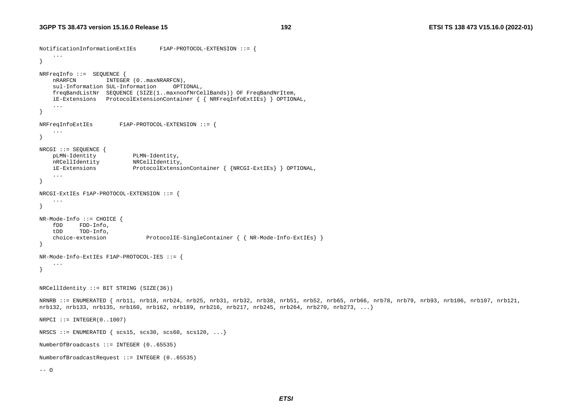```
NotificationInformationExtIEs F1AP-PROTOCOL-EXTENSION ::= { 
     ... } 
NRFreqInfo ::= SEQUENCE { 
   nRARFCN INTEGER (0..maxNRARFCN),
    sul-Information SUL-Information OPTIONAL, 
    freqBandListNr SEQUENCE (SIZE(1..maxnoofNrCellBands)) OF FreqBandNrItem, 
    iE-Extensions ProtocolExtensionContainer { { NRFreqInfoExtIEs} } OPTIONAL, 
 ... 
} 
NRFreqInfoExtIEs F1AP-PROTOCOL-EXTENSION ::= { 
 ... 
} 
NRCGI ::= SEQUENCE { 
    pLMN-Identity PLMN-Identity, 
    nRCellIdentity NRCellIdentity, 
    iE-Extensions ProtocolExtensionContainer { {NRCGI-ExtIEs} } OPTIONAL, 
     ... } 
NRCGI-ExtIEs F1AP-PROTOCOL-EXTENSION ::= { 
 ... 
} 
NR-Mode-Info ::= CHOICE { 
    fDD FDD-Info, 
    tDD TDD-Info, 
   choice-extension ProtocolIE-SingleContainer { { NR-Mode-Info-ExtIEs} }
} 
NR-Mode-Info-ExtIEs F1AP-PROTOCOL-IES ::= { 
     ... } 
NRCellIdentity ::= BIT STRING (SIZE(36))NRNRB ::= ENUMERATED { nrb11, nrb18, nrb24, nrb25, nrb31, nrb32, nrb38, nrb51, nrb52, nrb65, nrb66, nrb78, nrb79, nrb93, nrb106, nrb107, nrb121, 
nrb132, nrb133, nrb135, nrb160, nrb162, nrb189, nrb216, nrb217, nrb245, nrb264, nrb270, nrb273, ...} 
NRPCI := INTEGR(0..1007)NRSCS ::= ENUMERATED \{ \text{scs15, scs30, scs60, scs120, ...} \}NumberOfBroadcasts ::= INTEGER (0..65535) 
NumberofBroadcastRequest ::= INTEGER (0..65535) 
--- 0
```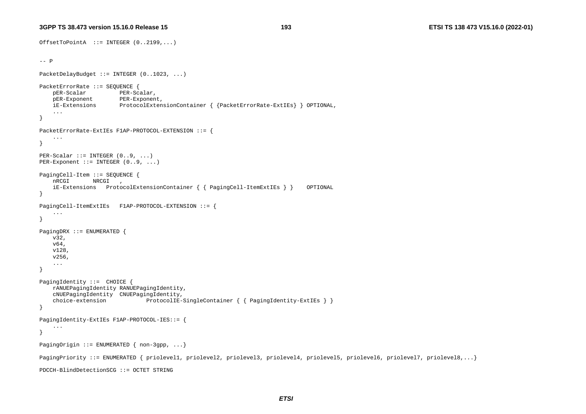**193 ETSI TS 138 473 V15.16.0 (2022-01)**

```
OffsetToPointA ::= INTEGER (0..2199,...) 
-- P
PacketDelayBudget ::= INTEGER (0..1023, ...) 
PacketErrorRate ::= SEQUENCE { 
   pER-Scalar PER-Scalar,
    pER-Exponent PER-Exponent, 
     iE-Extensions ProtocolExtensionContainer { {PacketErrorRate-ExtIEs} } OPTIONAL, 
 ... 
} 
PacketErrorRate-ExtIEs F1AP-PROTOCOL-EXTENSION ::= { 
     ... } 
PER-Scalar ::= INTER-ScalarPER-Exponent ::= INTERGEN (0..9, ...)PagingCell-Item ::= SEQUENCE { 
    nRCGI NRCGI , 
     iE-Extensions ProtocolExtensionContainer { { PagingCell-ItemExtIEs } } OPTIONAL 
} 
PagingCell-ItemExtIEs F1AP-PROTOCOL-EXTENSION ::= { 
     ... } 
PagingDRX ::= ENUMERATED { 
     v32, 
     v64, 
     v128, 
     v256, 
     ... } 
PagingIdentity ::= CHOICE { 
     rANUEPagingIdentity RANUEPagingIdentity, 
     cNUEPagingIdentity CNUEPagingIdentity, 
     choice-extension ProtocolIE-SingleContainer { { PagingIdentity-ExtIEs } } 
} 
PagingIdentity-ExtIEs F1AP-PROTOCOL-IES::= { 
     ... } 
PagingOrigin ::= ENUMERATED { non-3gpp, ...}
PagingPriority ::= ENUMERATED { priolevel1, priolevel2, priolevel3, priolevel4, priolevel5, priolevel6, priolevel7, priolevel8,...} 
PDCCH-BlindDetectionSCG ::= OCTET STRING
```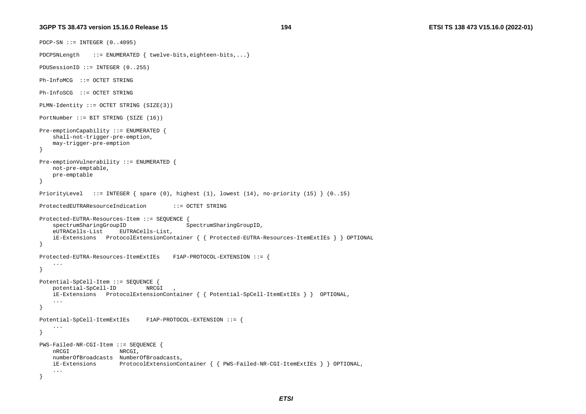```
PDCP-SN ::= INTEGER (0..4095) 
PDCPSNLength ::= ENUMERATED \{ twelve-bits,eighteen-bits,...\}PDUSessionID ::= INTEGER (0..255) 
Ph-InfoMCG ::= OCTET STRING Ph-InfoSCG ::= OCTET STRING 
PLMN-Identity ::= OCTET STRING (SIZE(3)) 
PortNumber ::= BIT STRING (SIZE (16)) 
Pre-emptionCapability ::= ENUMERATED { 
     shall-not-trigger-pre-emption, 
     may-trigger-pre-emption 
} 
Pre-emptionVulnerability ::= ENUMERATED { 
    not-pre-emptable, 
    pre-emptable 
} 
PriorityLevel ::= INTEGER { spare (0), highest (1), lowest (14), no-priority (15) } (0..15) 
ProtectedEUTRAResourceIndication ::= OCTET STRING Protected-EUTRA-Resources-Item ::= SEQUENCE { 
    spectrumSharingGroupID SpectrumSharingGroupID,
     eUTRACells-List EUTRACells-List, 
     iE-Extensions ProtocolExtensionContainer { { Protected-EUTRA-Resources-ItemExtIEs } } OPTIONAL 
} 
Protected-EUTRA-Resources-ItemExtIEs F1AP-PROTOCOL-EXTENSION ::= { 
     ... } 
Potential-SpCell-Item ::= SEQUENCE { 
    potential-SpCell-ID NRCGI , 
    iE-Extensions ProtocolExtensionContainer { { Potential-SpCell-ItemExtIEs } } OPTIONAL, 
     ... } 
Potential-SpCell-ItemExtIEs F1AP-PROTOCOL-EXTENSION ::= { 
     ... } 
PWS-Failed-NR-CGI-Item ::= SEQUENCE { 
     nRCGI NRCGI, 
    numberOfBroadcasts NumberOfBroadcasts, 
    iE-Extensions ProtocolExtensionContainer { { PWS-Failed-NR-CGI-ItemExtIEs } } OPTIONAL, 
     ... }
```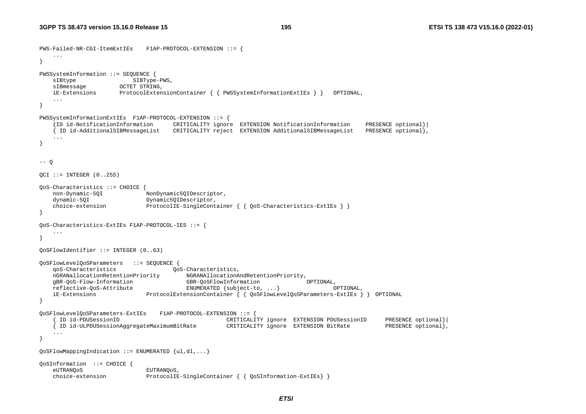```
PWS-Failed-NR-CGI-ItemExtIEs F1AP-PROTOCOL-EXTENSION ::= { 
    ... } 
PWSSystemInformation ::= SEQUENCE { 
   sIBtype SIBType-PWS,
   sIBmessage OCTET STRING,
    iE-Extensions ProtocolExtensionContainer { { PWSSystemInformationExtIEs } } OPTIONAL, 
    ... } 
PWSSystemInformationExtIEs F1AP-PROTOCOL-EXTENSION ::= { 
     {ID id-NotificationInformation CRITICALITY ignore EXTENSION NotificationInformation PRESENCE optional}| 
    { ID id-AdditionalSIBMessageList CRITICALITY reject EXTENSION AdditionalSIBMessageList PRESENCE optional}, 
    ... } 
-- Q
QCI ::= INTEGER (0..255)QoS-Characteristics ::= CHOICE { 
    non-Dynamic-5QI NonDynamic5QIDescriptor, 
   dynamic-50I Dynamic50IDescriptor,
   choice-extension ProtocolIE-SingleContainer { { 0oS-Characteristics-ExtIEs } }
} 
QoS-Characteristics-ExtIEs F1AP-PROTOCOL-IES ::= { 
    ... } 
QoSFlowIdentifier ::= INTEGER (0..63) 
QoSFlowLevelQoSParameters ::= SEQUENCE { 
    qoS-Characteristics QoS-Characteristics, 
    nGRANallocationRetentionPriority NGRANAllocationAndRetentionPriority, 
    gBR-QoS-Flow-Information GBR-QoSFlowInformation OPTIONAL, 
    reflective-QoS-Attribute ENUMERATED {subject-to, ...} OPTIONAL, 
    iE-Extensions ProtocolExtensionContainer { { QoSFlowLevelQoSParameters-ExtIEs } } OPTIONAL 
} 
QoSFlowLevelQoSParameters-ExtIEs F1AP-PROTOCOL-EXTENSION ::= { 
      { ID id-PDUSessionID CRITICALITY ignore EXTENSION PDUSessionID PRESENCE optional}| 
      { ID id-ULPDUSessionAggregateMaximumBitRate CRITICALITY ignore EXTENSION BitRate PRESENCE optional}, 
    ... } 
OoSFlowMappingIndication ::= ENUMERATED {ul,dl, ...}QoSInformation ::= CHOICE { 
    eUTRANQoS EUTRANQoS, 
   choice-extension ProtocolIE-SingleContainer { { QoSInformation-ExtIEs }
```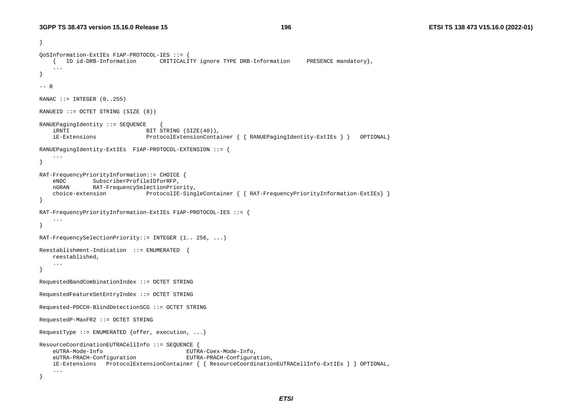```
} 
QoSInformation-ExtIEs F1AP-PROTOCOL-IES ::= { 
    { ID id-DRB-Information CRITICALITY ignore TYPE DRB-Information PRESENCE mandatory}, 
     ... } 
-- R RANAC ::= INTEGER (0..255)RANUEID ::= OCTET STRING (SIZE (8)) 
RANUEPagingIdentity ::= SEQUENCE { 
   iRNTI BIT STRING (SIZE(40)),
    iE-Extensions ProtocolExtensionContainer { { RANUEPagingIdentity-ExtIEs } } OPTIONAL} 
RANUEPagingIdentity-ExtIEs F1AP-PROTOCOL-EXTENSION ::= { 
     ... } 
RAT-FrequencyPriorityInformation::= CHOICE { 
     eNDC SubscriberProfileIDforRFP, 
    nGRAN RAT-FrequencySelectionPriority, 
     choice-extension ProtocolIE-SingleContainer { { RAT-FrequencyPriorityInformation-ExtIEs} } 
} 
RAT-FrequencyPriorityInformation-ExtIEs F1AP-PROTOCOL-IES ::= { 
     ... } 
RAT-FrequencySelectionPriority::= INTEGER (1.. 256, ...) 
Reestablishment-Indication ::= ENUMERATED { 
    reestablished, 
     ... } 
RequestedBandCombinationIndex ::= OCTET STRING 
RequestedFeatureSetEntryIndex ::= OCTET STRING 
Requested-PDCCH-BlindDetectionSCG ::= OCTET STRING 
RequestedP-MaxFR2 ::= OCTET STRING 
RequestType ::= ENUMERATED {offer, execution, ...}
ResourceCoordinationEUTRACellInfo ::= SEQUENCE { 
    eUTRA-Mode-Info EUTRA-Coex-Mode-Info, 
    eUTRA-PRACH-Configuration EUTRA-PRACH-Configuration, 
    iE-Extensions ProtocolExtensionContainer { { ResourceCoordinationEUTRACellInfo-ExtIEs } } OPTIONAL, 
     ... }
```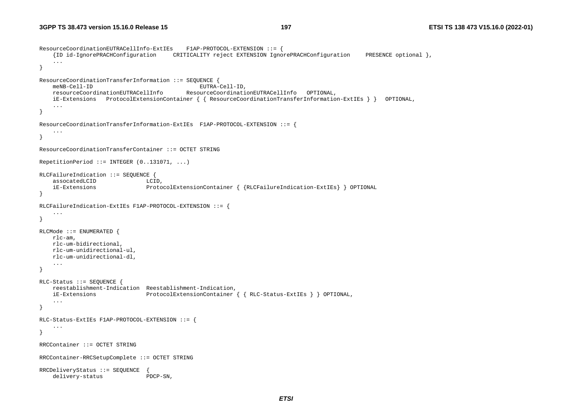```
ResourceCoordinationEUTRACellInfo-ExtIEs F1AP-PROTOCOL-EXTENSION ::= { 
     {ID id-IgnorePRACHConfiguration CRITICALITY reject EXTENSION IgnorePRACHConfiguration PRESENCE optional }, 
     ... } 
ResourceCoordinationTransferInformation ::= SEQUENCE { 
    meNB-Cell-ID EUTRA-Cell-ID, 
    resourceCoordinationEUTRACellInfo ResourceCoordinationEUTRACellInfo OPTIONAL, 
    iE-Extensions ProtocolExtensionContainer { { ResourceCoordinationTransferInformation-ExtIEs } } OPTIONAL, 
     ... } 
ResourceCoordinationTransferInformation-ExtIEs F1AP-PROTOCOL-EXTENSION ::= { 
     ... } 
ResourceCoordinationTransferContainer ::= OCTET STRING RepetitionPeriod  ::= INTEGER (0..131071, ...)RLCFailureIndication ::= SEQUENCE { 
   assocatedLCID LCID,
     iE-Extensions ProtocolExtensionContainer { {RLCFailureIndication-ExtIEs} } OPTIONAL 
} 
RLCFailureIndication-ExtIEs F1AP-PROTOCOL-EXTENSION ::= { 
     ... } 
RLCMode ::= ENUMERATED { 
    rlc-am, 
    rlc-um-bidirectional, 
    rlc-um-unidirectional-ul, 
    rlc-um-unidirectional-dl, 
     ... } 
RLC-Status ::= SEQUENCE { 
    reestablishment-Indication Reestablishment-Indication, 
    iE-Extensions ProtocolExtensionContainer { { RLC-Status-ExtIEs } } OPTIONAL, 
     ... } 
RLC-Status-ExtIEs F1AP-PROTOCOL-EXTENSION ::= { 
     ... } 
RRCContainer ::= OCTET STRING RRCContainer-RRCSetupComplete ::= OCTET STRING 
RRCDeliveryStatus ::= SEQUENCE { 
    delivery-status PDCP-SN,
```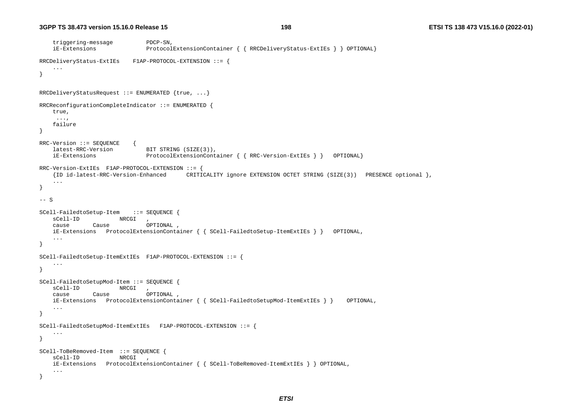```
 triggering-message PDCP-SN, 
    iE-Extensions ProtocolExtensionContainer { { RRCDeliveryStatus-ExtIEs } } OPTIONAL} 
RRCDeliveryStatus-ExtIEs F1AP-PROTOCOL-EXTENSION ::= { 
     ... } 
RRCDeliveryStatusRequest ::= ENUMERATED \{true, ... \}RRCReconfigurationCompleteIndicator ::= ENUMERATED { 
    true, 
     ..., 
    failure } 
RRC-Version ::= SEQUENCE { 
    latest-RRC-Version BIT STRING (SIZE(3)), 
    iE-Extensions ProtocolExtensionContainer { { RRC-Version-ExtIEs } } OPTIONAL} 
RRC-Version-ExtIEs F1AP-PROTOCOL-EXTENSION ::= { 
    {ID id-latest-RRC-Version-Enhanced CRITICALITY ignore EXTENSION OCTET STRING (SIZE(3)) PRESENCE optional }, 
    ... } 
-- S
SCell-FailedtoSetup-Item ::= SEQUENCE { 
   sCell-ID NRCGI,
    cause Cause OPTIONAL , 
    iE-Extensions ProtocolExtensionContainer { { SCell-FailedtoSetup-ItemExtIEs } } OPTIONAL, 
 ... 
} 
SCell-FailedtoSetup-ItemExtIEs F1AP-PROTOCOL-EXTENSION ::= { 
    ... } 
SCell-FailedtoSetupMod-Item ::= SEQUENCE { 
   sCell-ID NRCGI,
    cause Cause OPTIONAL , 
    iE-Extensions ProtocolExtensionContainer { { SCell-FailedtoSetupMod-ItemExtIEs } } OPTIONAL, 
 ... 
} 
SCell-FailedtoSetupMod-ItemExtIEs F1AP-PROTOCOL-EXTENSION ::= { 
 ... 
} 
SCell-ToBeRemoved-Item ::= SEQUENCE { 
   sCell-ID NRCGI,
    iE-Extensions ProtocolExtensionContainer { { SCell-ToBeRemoved-ItemExtIEs } } OPTIONAL, 
    ... }
```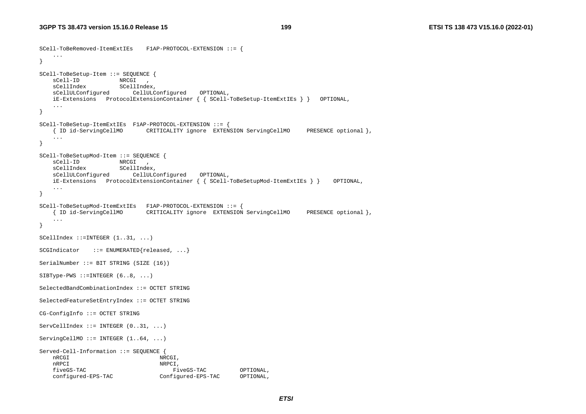```
SCell-ToBeRemoved-ItemExtIEs F1AP-PROTOCOL-EXTENSION ::= { 
    ... } 
SCell-ToBeSetup-Item ::= SEQUENCE { 
 sCell-ID NRCGI , 
 sCellIndex SCellIndex, 
    sCellULConfigured CellULConfigured OPTIONAL, 
    iE-Extensions ProtocolExtensionContainer { { SCell-ToBeSetup-ItemExtIEs } } OPTIONAL, 
 ... 
} 
SCell-ToBeSetup-ItemExtIEs F1AP-PROTOCOL-EXTENSION ::= { 
    { ID id-ServingCellMO CRITICALITY ignore EXTENSION ServingCellMO PRESENCE optional }, 
    ... } 
SCell-ToBeSetupMod-Item ::= SEQUENCE { 
 sCell-ID NRCGI , 
 sCellIndex SCellIndex, 
    sCellULConfigured CellULConfigured OPTIONAL, 
    iE-Extensions ProtocolExtensionContainer { { SCell-ToBeSetupMod-ItemExtIEs } } OPTIONAL, 
    ... } 
SCell-ToBeSetupMod-ItemExtIEs F1AP-PROTOCOL-EXTENSION ::= { 
    { ID id-ServingCellMO CRITICALITY ignore EXTENSION ServingCellMO PRESENCE optional }, 
    ... } 
SCellIndex ::=INTER (1..31, ...)SCGIndicator ::= ENUMERATED{released, ...}
SerialNumber ::= BIT STRING (SIZE (16)) 
SIBType-PWS ::=INTER (6..8, ...)SelectedBandCombinationIndex ::= OCTET STRING SelectedFeatureSetEntryIndex ::= OCTET STRING 
CG-ConfigInfo ::= OCTET STRING 
ServCellIndex ::= INTEGER (0..31, ...)ServingCellMO ::= INTEGER (1..64, ...)Served-Cell-Information ::= SEQUENCE { 
   nRCGI, NRCGI,
   nRPCI,
    fiveGS-TAC FiveGS-TAC OPTIONAL, 
    configured-EPS-TAC Configured-EPS-TAC OPTIONAL,
```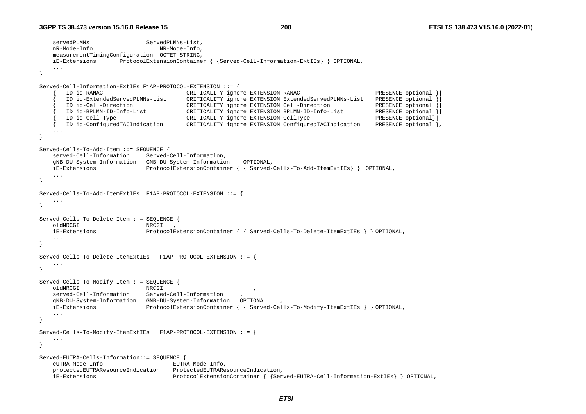```
servedPLMNs ServedPLMNs-List,
   nR-Mode-Info NR-Mode-Info,
    measurementTimingConfiguration OCTET STRING, 
    iE-Extensions ProtocolExtensionContainer { {Served-Cell-Information-ExtIEs} } OPTIONAL, 
    ... } 
Served-Cell-Information-ExtIEs F1AP-PROTOCOL-EXTENSION ::= { 
      { ID id-RANAC CRITICALITY ignore EXTENSION RANAC PRESENCE optional }| 
       { ID id-ExtendedServedPLMNs-List CRITICALITY ignore EXTENSION ExtendedServedPLMNs-List PRESENCE optional }| 
 { ID id-Cell-Direction CRITICALITY ignore EXTENSION Cell-Direction PRESENCE optional }| 
 { ID id-BPLMN-ID-Info-List CRITICALITY ignore EXTENSION BPLMN-ID-Info-List PRESENCE optional }| 
 { ID id-Cell-Type CRITICALITY ignore EXTENSION CellType PRESENCE optional}| 
 { ID id-ConfiguredTACIndication CRITICALITY ignore EXTENSION ConfiguredTACIndication PRESENCE optional }, 
    ... } 
Served-Cells-To-Add-Item ::= SEQUENCE { 
    served-Cell-Information Served-Cell-Information, 
    gNB-DU-System-Information GNB-DU-System-Information OPTIONAL, 
    iE-Extensions ProtocolExtensionContainer { { Served-Cells-To-Add-ItemExtIEs} } OPTIONAL, 
    ... } 
Served-Cells-To-Add-ItemExtIEs F1AP-PROTOCOL-EXTENSION ::= { 
    ... } 
Served-Cells-To-Delete-Item ::= SEQUENCE { 
    oldNRCGI NRCGI , 
    iE-Extensions ProtocolExtensionContainer { { Served-Cells-To-Delete-ItemExtIEs } } OPTIONAL, 
    ... } 
Served-Cells-To-Delete-ItemExtIEs F1AP-PROTOCOL-EXTENSION ::= { 
    ... } 
Served-Cells-To-Modify-Item ::= SEQUENCE { 
    oldNRCGI NRCGI , 
   served-Cell-Information Served-Cell-Information
    gNB-DU-System-Information GNB-DU-System-Information OPTIONAL , 
    iE-Extensions ProtocolExtensionContainer { { Served-Cells-To-Modify-ItemExtIEs } } OPTIONAL, 
    ... } 
Served-Cells-To-Modify-ItemExtIEs F1AP-PROTOCOL-EXTENSION ::= { 
    ... } 
Served-EUTRA-Cells-Information::= SEQUENCE { 
    eUTRA-Mode-Info EUTRA-Mode-Info, 
    protectedEUTRAResourceIndication ProtectedEUTRAResourceIndication, 
    iE-Extensions ProtocolExtensionContainer { {Served-EUTRA-Cell-Information-ExtIEs} } OPTIONAL,
```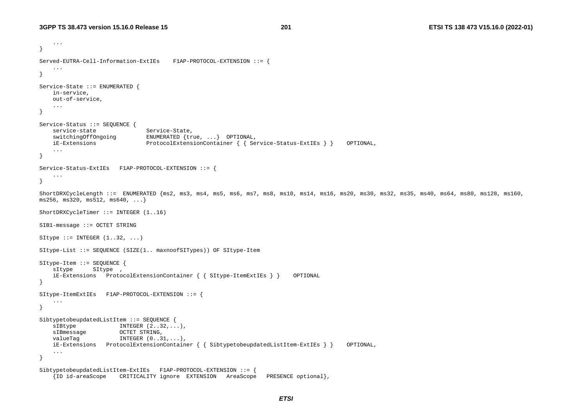...

```
} 
Served-EUTRA-Cell-Information-ExtIEs F1AP-PROTOCOL-EXTENSION ::= { 
 ... 
} 
Service-State ::= ENUMERATED { 
    in-service, 
    out-of-service, 
 ... 
} 
Service-Status ::= SEQUENCE { 
   service-state Service-State,
    switchingOffOngoing ENUMERATED {true, ...} OPTIONAL, 
    iE-Extensions ProtocolExtensionContainer { { Service-Status-ExtIEs } } OPTIONAL, 
     ... } 
Service-Status-ExtIEs F1AP-PROTOCOL-EXTENSION ::= { 
 ... 
} 
ShortDRXCycleLength ::= ENUMERATED {ms2, ms3, ms4, ms5, ms6, ms7, ms8, ms10, ms14, ms16, ms20, ms30, ms32, ms35, ms40, ms64, ms80, ms128, ms160, 
ms256, ms320, ms512, ms640, ...} 
ShortDRXCycleTimer ::= INTEGER (1..16) 
SIB1-message ::= OCTET STRING 
SItype  ::= INTEGER (1..32, ...)SItype-List ::= SEQUENCE (SIZE(1.. maxnoofSITypes)) OF SItype-Item 
SItype-Item ::= SEQUENCE { 
    sItype SItype , 
    iE-Extensions ProtocolExtensionContainer { { SItype-ItemExtIEs } } OPTIONAL 
} 
SItype-ItemExtIEs F1AP-PROTOCOL-EXTENSION ::= { 
     ... } 
SibtypetobeupdatedListItem ::= SEQUENCE { 
   sIBtype INTEGER (2..32,...),sIBmessage OCTET STRING,
   valueTag INTEGER (0..31,...),
    iE-Extensions ProtocolExtensionContainer { { SibtypetobeupdatedListItem-ExtIEs } } OPTIONAL, 
     ... } 
SibtypetobeupdatedListItem-ExtIEs F1AP-PROTOCOL-EXTENSION ::= { 
     {ID id-areaScope CRITICALITY ignore EXTENSION AreaScope PRESENCE optional},
```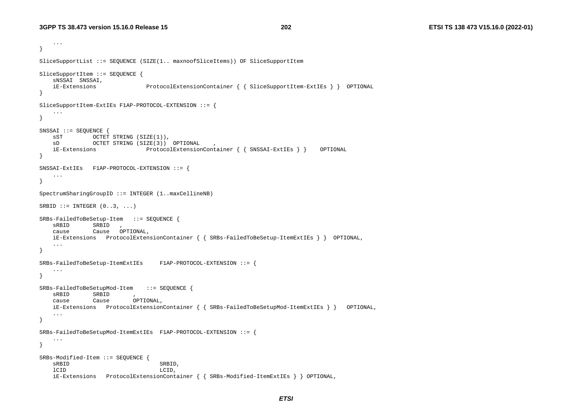```
 ... } 
SliceSupportList ::= SEQUENCE (SIZE(1.. maxnoofSliceItems)) OF SliceSupportItem 
SliceSupportItem ::= SEQUENCE { 
    sNSSAI SNSSAI, 
    iE-Extensions ProtocolExtensionContainer { { SliceSupportItem-ExtIEs } } OPTIONAL 
} 
SliceSupportItem-ExtIEs F1AP-PROTOCOL-EXTENSION ::= { 
 ... 
} 
SNSSAI ::= SEQUENCE { 
   sST OCTET STRING (SIZE(1)),
   sD OCTET STRING (SIZE(3)) OPTIONAL
    iE-Extensions ProtocolExtensionContainer { { SNSSAI-ExtIEs } } OPTIONAL 
} 
SNSSAI-ExtIEs F1AP-PROTOCOL-EXTENSION ::= { 
    ... } 
SpectrumSharingGroupID ::= INTEGER (1..maxCellineNB) 
SRBID ::= INTEGER (0..3, ...)SRBs-FailedToBeSetup-Item ::= SEQUENCE { 
    sRBID SRBID , 
    cause Cause OPTIONAL, 
    iE-Extensions ProtocolExtensionContainer { { SRBs-FailedToBeSetup-ItemExtIEs } } OPTIONAL, 
 ... 
} 
SRBs-FailedToBeSetup-ItemExtIEs F1AP-PROTOCOL-EXTENSION ::= { 
     ... } 
SRBs-FailedToBeSetupMod-Item ::= SEQUENCE { 
    sRBID SRBID , 
    cause Cause OPTIONAL, 
    iE-Extensions ProtocolExtensionContainer { { SRBs-FailedToBeSetupMod-ItemExtIEs } } OPTIONAL, 
     ... } 
SRBs-FailedToBeSetupMod-ItemExtIEs F1AP-PROTOCOL-EXTENSION ::= { 
 ... 
} 
SRBs-Modified-Item ::= SEQUENCE { 
   sRBID SRBID,
    lCID LCID, 
    iE-Extensions ProtocolExtensionContainer { { SRBs-Modified-ItemExtIEs } } OPTIONAL,
```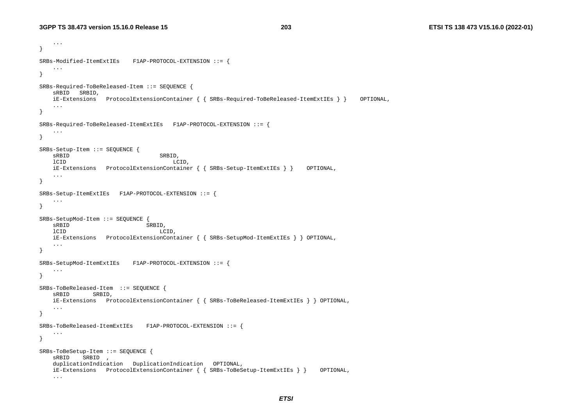```
 ... 
} 
SRBs-Modified-ItemExtIEs F1AP-PROTOCOL-EXTENSION ::= { 
 ... 
} 
SRBs-Required-ToBeReleased-Item ::= SEQUENCE { 
    sRBID SRBID, 
    iE-Extensions ProtocolExtensionContainer { { SRBs-Required-ToBeReleased-ItemExtIEs } } OPTIONAL, 
 ... 
} 
SRBs-Required-ToBeReleased-ItemExtIEs F1AP-PROTOCOL-EXTENSION ::= { 
    ... } 
SRBs-Setup-Item ::= SEQUENCE { 
   sRBID SRBID,
    lCID LCID, 
    iE-Extensions ProtocolExtensionContainer { { SRBs-Setup-ItemExtIEs } } OPTIONAL, 
 ... 
} 
SRBs-Setup-ItemExtIEs F1AP-PROTOCOL-EXTENSION ::= { 
 ... 
} 
SRBs-SetupMod-Item ::= SEQUENCE { 
   sRBID SRBID,
    lCID LCID, 
    iE-Extensions ProtocolExtensionContainer { { SRBs-SetupMod-ItemExtIEs } } OPTIONAL, 
 ... 
} 
SRBs-SetupMod-ItemExtIEs F1AP-PROTOCOL-EXTENSION ::= { 
 ... 
} 
SRBs-ToBeReleased-Item ::= SEQUENCE { 
    sRBID SRBID, 
    iE-Extensions ProtocolExtensionContainer { { SRBs-ToBeReleased-ItemExtIEs } } OPTIONAL, 
    ... } 
SRBs-ToBeReleased-ItemExtIEs F1AP-PROTOCOL-EXTENSION ::= { 
    ... } 
SRBs-ToBeSetup-Item ::= SEQUENCE { 
    sRBID SRBID , 
   duplicationIndication DuplicationIndication OPTIONAL,
    iE-Extensions ProtocolExtensionContainer { { SRBs-ToBeSetup-ItemExtIEs } } OPTIONAL, 
    ...
```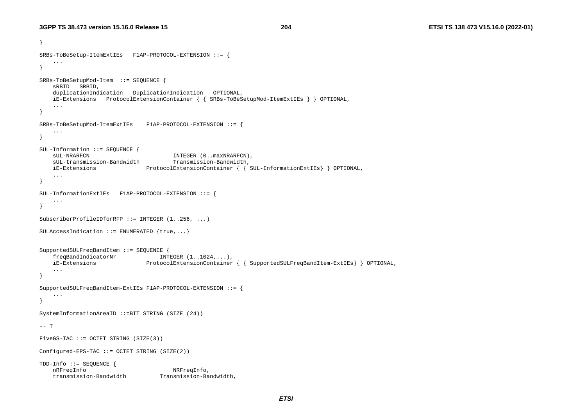```
} 
SRBs-ToBeSetup-ItemExtIEs F1AP-PROTOCOL-EXTENSION ::= { 
 ... 
} 
SRBs-ToBeSetupMod-Item ::= SEQUENCE { 
    sRBID SRBID, 
   duplicationIndication DuplicationIndication OPTIONAL,
    iE-Extensions ProtocolExtensionContainer { { SRBs-ToBeSetupMod-ItemExtIEs } } OPTIONAL, 
 ... 
} 
SRBs-ToBeSetupMod-ItemExtIEs F1AP-PROTOCOL-EXTENSION ::= { 
    ... } 
SUL-Information ::= SEQUENCE { 
   sUL-NRARFCN INTEGER (0..maxNRARFCN),
    sUL-transmission-Bandwidth Transmission-Bandwidth, 
    iE-Extensions ProtocolExtensionContainer { { SUL-InformationExtIEs} } OPTIONAL, 
    ... } 
SUL-InformationExtIEs F1AP-PROTOCOL-EXTENSION ::= { 
     ... } 
SubscriberProfileIDforRFP ::= INTEGER (1..256, ...) 
SULAccessIndication ::= ENUMERATED \{true, ...\}SupportedSULFreqBandItem ::= SEQUENCE { 
   freqBandIndicatorNr INTEGER (1..1024,...), iE-Extensions ProtocolExtensionContainer { { SupportedSULFreqBandItem-ExtIEs} } OPTIONAL, 
    ... } 
SupportedSULFreqBandItem-ExtIEs F1AP-PROTOCOL-EXTENSION ::= { 
    ... } 
SystemInformationAreaID ::=BIT STRING (SIZE (24)) 
-- T
FiveGS-TAC ::= OCTET STRING (SIZE(3)) 
Configured-EPS-TAC ::= OCTET STRING (SIZE(2)) 
TDD-Info ::= SEQUENCE { 
   nRFreqInfo NRFreqInfo,
    transmission-Bandwidth Transmission-Bandwidth,
```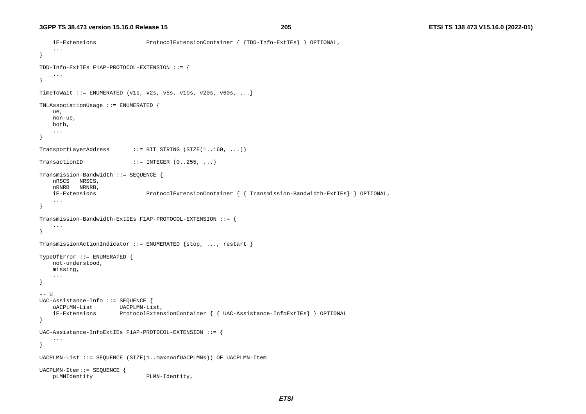```
 iE-Extensions ProtocolExtensionContainer { {TDD-Info-ExtIEs} } OPTIONAL, 
     ... } 
TDD-Info-ExtIEs F1AP-PROTOCOL-EXTENSION ::= { 
     ... } 
TimeToWait ::= ENUMERATED \{v1s, v2s, v5s, v10s, v20s, v60s, ... \}TNLAssociationUsage ::= ENUMERATED { 
     ue, 
    non-ue, 
    both, 
     ... } 
TransportLayerAddress ::= BIT STRING (SIZE(1..160, ...)) 
TransactionID :=[NTEGER (0..255, ...)]Transmission-Bandwidth ::= SEQUENCE { 
    nRSCS NRSCS, 
    nRNRB NRNRB, 
    iE-Extensions ProtocolExtensionContainer { { Transmission-Bandwidth-ExtIEs} } OPTIONAL, 
     ... } 
Transmission-Bandwidth-ExtIEs F1AP-PROTOCOL-EXTENSION ::= { 
     ... } 
TransmissionActionIndicator ::= ENUMERATED {stop, ..., restart } 
TypeOfError ::= ENUMERATED { 
    not-understood, 
    missing, 
     ... } 
-- U
UAC-Assistance-Info ::= SEQUENCE { 
     uACPLMN-List UACPLMN-List, 
     iE-Extensions ProtocolExtensionContainer { { UAC-Assistance-InfoExtIEs} } OPTIONAL 
} 
UAC-Assistance-InfoExtIEs F1AP-PROTOCOL-EXTENSION ::= { 
 ... 
} 
UACPLMN-List ::= SEQUENCE (SIZE(1..maxnoofUACPLMNs)) OF UACPLMN-Item 
UACPLMN-Item::= SEQUENCE { 
    pLMNIdentity PLMN-Identity,
```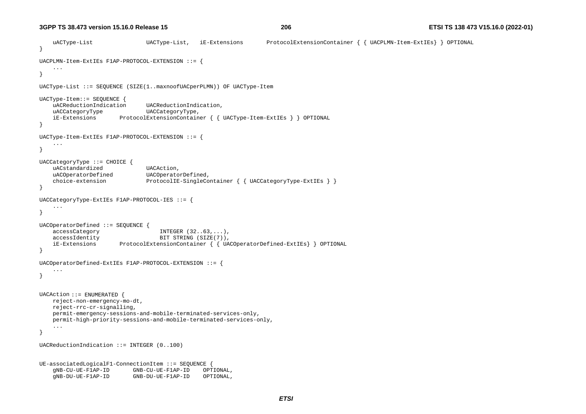**3GPP TS 38.473 version 15.16.0 Release 15**

```
 uACType-List UACType-List, iE-Extensions ProtocolExtensionContainer { { UACPLMN-Item-ExtIEs} } OPTIONAL 
} 
UACPLMN-Item-ExtIEs F1AP-PROTOCOL-EXTENSION ::= { 
     ... } 
UACType-List ::= SEQUENCE (SIZE(1..maxnoofUACperPLMN)) OF UACType-Item 
UACType-Item::= SEQUENCE { 
    uACReductionIndication UACReductionIndication, 
     uACCategoryType UACCategoryType, 
    iE-Extensions ProtocolExtensionContainer { { UACType-Item-ExtIEs } } OPTIONAL 
} 
UACType-Item-ExtIEs F1AP-PROTOCOL-EXTENSION ::= { 
     ... } 
UACCategoryType ::= CHOICE { 
   uACstandardized UACAction,
    uACOperatorDefined UACOperatorDefined,
    choice-extension ProtocolIE-SingleContainer { { UACCategoryType-ExtIEs } }
} 
UACCategoryType-ExtIEs F1AP-PROTOCOL-IES ::= { 
     ... } 
UACOperatorDefined ::= SEQUENCE { 
    accessCategory INTEGER (32..63,...),
   accessIdentity BIT STRING (SIZE(7)),
     iE-Extensions ProtocolExtensionContainer { { UACOperatorDefined-ExtIEs} } OPTIONAL 
} 
UACOperatorDefined-ExtIEs F1AP-PROTOCOL-EXTENSION ::= { 
     ... } 
UACAction ::= ENUMERATED { 
     reject-non-emergency-mo-dt, 
     reject-rrc-cr-signalling, 
    permit-emergency-sessions-and-mobile-terminated-services-only, 
    permit-high-priority-sessions-and-mobile-terminated-services-only, 
     ... } 
UACReductionIndication ::= INTEGER (0..100) 
UE-associatedLogicalF1-ConnectionItem ::= SEQUENCE { 
     gNB-CU-UE-F1AP-ID GNB-CU-UE-F1AP-ID OPTIONAL, 
     gNB-DU-UE-F1AP-ID GNB-DU-UE-F1AP-ID OPTIONAL,
```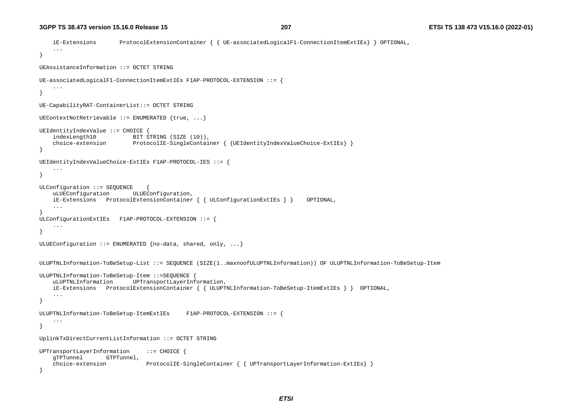```
 iE-Extensions ProtocolExtensionContainer { { UE-associatedLogicalF1-ConnectionItemExtIEs} } OPTIONAL, 
     ... } 
UEAssistanceInformation ::= OCTET STRING UE-associatedLogicalF1-ConnectionItemExtIEs F1AP-PROTOCOL-EXTENSION ::= { 
     ... } 
UE-CapabilityRAT-ContainerList::= OCTET STRING 
UEContextNotRetrievable ::= ENUMERATED {true, ...} 
UEIdentityIndexValue ::= CHOICE { 
    indexLength10 BIT STRING (SIZE (10)),
     choice-extension ProtocolIE-SingleContainer { {UEIdentityIndexValueChoice-ExtIEs} } 
} 
UEIdentityIndexValueChoice-ExtIEs F1AP-PROTOCOL-IES ::= { 
 ... } 
ULConfiguration ::= SEQUENCE
     uLUEConfiguration ULUEConfiguration, 
     iE-Extensions ProtocolExtensionContainer { { ULConfigurationExtIEs } } OPTIONAL, 
     ... } 
ULConfigurationExtIEs F1AP-PROTOCOL-EXTENSION ::= { 
     ... } 
ULUEConfiguration ::= ENUMERATED {no-data, shared, only, ...}ULUPTNLInformation-ToBeSetup-List ::= SEQUENCE (SIZE(1..maxnoofULUPTNLInformation)) OF ULUPTNLInformation-ToBeSetup-Item 
ULUPTNLInformation-ToBeSetup-Item ::=SEQUENCE { 
     uLUPTNLInformation UPTransportLayerInformation, 
     iE-Extensions ProtocolExtensionContainer { { ULUPTNLInformation-ToBeSetup-ItemExtIEs } } OPTIONAL, 
     ... } 
ULUPTNLInformation-ToBeSetup-ItemExtIEs F1AP-PROTOCOL-EXTENSION ::= { 
     ... } 
UplinkTxDirectCurrentListInformation ::= OCTET STRING 
UPTransportLayerInformation ::= CHOICE { 
     gTPTunnel GTPTunnel, 
     choice-extension ProtocolIE-SingleContainer { { UPTransportLayerInformation-ExtIEs} } 
}
```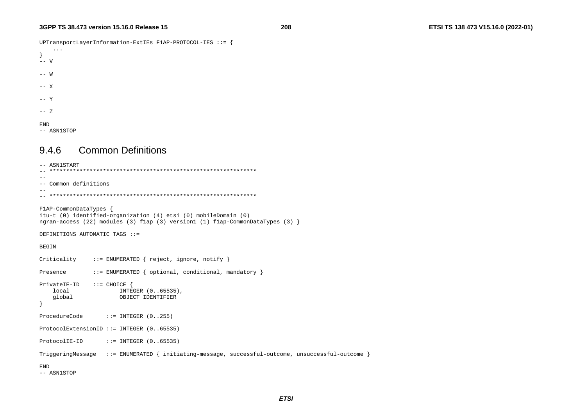UPTransportLayerInformation-ExtIEs F1AP-PROTOCOL-IES ::= {

```
 ... } 
-- V
-- W -- X -- Y -- Z
```
END

-- ASN1STOP

## 9.4.6 Common Definitions

```
-- ASN1START 
-- ************************************************************** --- Common definitions -- 
-- ************************************************************** F1AP-CommonDataTypes { 
itu-t (0) identified-organization (4) etsi (0) mobileDomain (0) 
ngran-access (22) modules (3) f1ap (3) version1 (1) f1ap-CommonDataTypes (3) } 
DEFINITIONS AUTOMATIC TAGS ::= BEGIN Criticality ::= ENUMERATED { reject, ignore, notify }
Presence ::= ENUMERATED { optional, conditional, mandatory }
PrivateIE-ID ::= CHOICE { 
    local INTEGER (0..65535), 
     global OBJECT IDENTIFIER 
} 
ProcedureCode ::= INTEGER (0..255)
ProtocolExtensionID ::= INTEGER (0..65535) 
ProtocolIE-ID ::= INTEGER (0..65535)
TriggeringMessage ::= ENUMERATED { initiating-message, successful-outcome, unsuccessful-outcome } 
END
```
-- ASN1STOP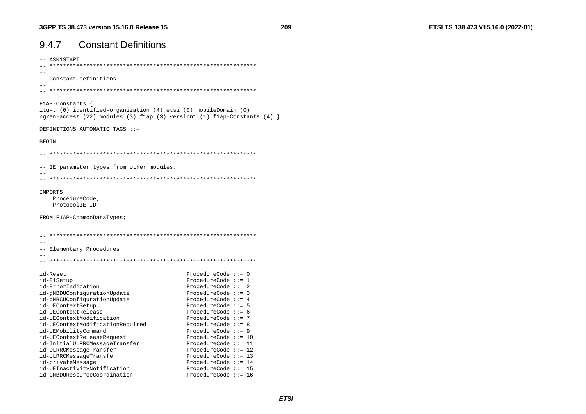# 9.4.7 Constant Definitions

-- ASN1START -- \*\*\*\*\*\*\*\*\*\*\*\*\*\*\*\*\*\*\*\*\*\*\*\*\*\*\*\*\*\*\*\*\*\*\*\*\*\*\*\*\*\*\*\*\*\*\*\*\*\*\*\*\*\*\*\*\*\*\*\*\*\* -- -- Constant definitions -- -- \*\*\*\*\*\*\*\*\*\*\*\*\*\*\*\*\*\*\*\*\*\*\*\*\*\*\*\*\*\*\*\*\*\*\*\*\*\*\*\*\*\*\*\*\*\*\*\*\*\*\*\*\*\*\*\*\*\*\*\*\*\* F1AP-Constants { itu-t (0) identified-organization (4) etsi (0) mobileDomain (0) ngran-access (22) modules (3) f1ap (3) version1 (1) f1ap-Constants (4) } DEFINITIONS AUTOMATIC TAGS ::= **BEGIN**  $\hspace{1.3cm} - \hspace{1.3cm} - \hspace{1.3cm} - \hspace{1.3cm}$  $-$ -- IE parameter types from other modules. -- -- \*\*\*\*\*\*\*\*\*\*\*\*\*\*\*\*\*\*\*\*\*\*\*\*\*\*\*\*\*\*\*\*\*\*\*\*\*\*\*\*\*\*\*\*\*\*\*\*\*\*\*\*\*\*\*\*\*\*\*\*\*\* IMPORTS ProcedureCode, ProtocolIE-ID FROM F1AP-CommonDataTypes; -- \*\*\*\*\*\*\*\*\*\*\*\*\*\*\*\*\*\*\*\*\*\*\*\*\*\*\*\*\*\*\*\*\*\*\*\*\*\*\*\*\*\*\*\*\*\*\*\*\*\*\*\*\*\*\*\*\*\*\*\*\*\*  $-$ -- Elementary Procedures -- -- \*\*\*\*\*\*\*\*\*\*\*\*\*\*\*\*\*\*\*\*\*\*\*\*\*\*\*\*\*\*\*\*\*\*\*\*\*\*\*\*\*\*\*\*\*\*\*\*\*\*\*\*\*\*\*\*\*\*\*\*\*\* id-Reset ProcedureCode ::= 0 id-F1Setup ProcedureCode ::= 1 id-ErrorIndication ProcedureCode ::= 2 id-gNBDUConfigurationUpdate ProcedureCode ::= 3 id-gNBCUConfigurationUpdate ProcedureCode ::= 4 id-UEContextSetup entitled and the ProcedureCode ::= 5 id-UEContextRelease ProcedureCode ::= 6 id-UEContextModification ProcedureCode ::= 7 id-UEContextModificationRequired ProcedureCode ::= 8 id-UEMobilityCommand ProcedureCode ::= 9 id-UEContextReleaseRequest ProcedureCode ::= 10 id-InitialULRRCMessageTransfer ProcedureCode ::= 11 id-DLRRCMessageTransfer ProcedureCode ::= 12 id-ULRRCMessageTransfer ProcedureCode ::= 13 id-privateMessage ProcedureCode ::= 14 id-UEInactivityNotification ProcedureCode ::= 15

id-GNBDUResourceCoordination ProcedureCode ::= 16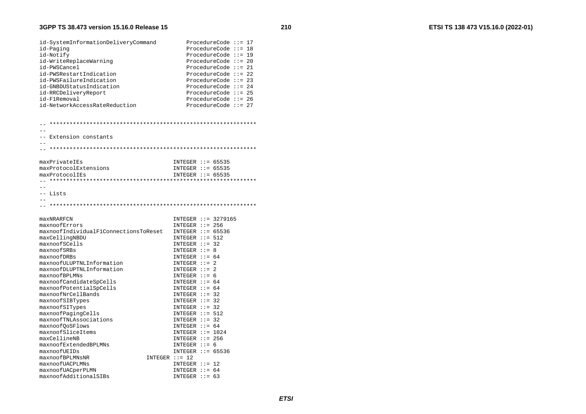### **3GPP TS 38.473 version 15.16.0 Release 15**

| id-SystemInformationDeliveryCommand<br>id-Paging<br>id-Notify<br>id-WriteReplaceWarning<br>id-PWSCancel<br>id-PWSRestartIndication<br>id-PWSFailureIndication<br>id-GNBDUStatusIndication<br>id-RRCDeliveryReport<br>id-F1Removal<br>id-NetworkAccessRateReduction | ProcedureCode $::= 17$<br>ProcedureCode $::= 18$<br>ProcedureCode $::= 19$<br>ProcedureCode $::= 20$<br>ProcedureCode $::= 21$<br>ProcedureCode $::= 22$<br>ProcedureCode $::= 23$<br>ProcedureCode $::= 24$<br>ProcedureCode $::= 25$<br>ProcedureCode $:= 26$<br>ProcedureCode $:= 27$ |
|--------------------------------------------------------------------------------------------------------------------------------------------------------------------------------------------------------------------------------------------------------------------|------------------------------------------------------------------------------------------------------------------------------------------------------------------------------------------------------------------------------------------------------------------------------------------|
| -- Extension constants                                                                                                                                                                                                                                             |                                                                                                                                                                                                                                                                                          |
| maxPrivateIEs<br>maxProtocolExtensions<br>maxProtocolIEs<br>-- Lists<br>- -                                                                                                                                                                                        | INTEGER $::= 65535$<br>INTEGER $::= 65535$<br>INTEGER $::= 65535$                                                                                                                                                                                                                        |
| maxNRARFCN<br>maxnoofErrors<br>maxnoofIndividualF1ConnectionsToReset<br>maxCellingNBDU<br>maxnoofSCells<br>maxnoofSRBs<br>maxnoofDRBs<br>maxnoofULUPTNLInformation<br>maxnoofDLUPTNLInformation                                                                    | INTEGER $::=$ 3279165<br>INTEGER $::= 256$<br>INTEGER $::= 65536$<br>INTEGER $:= 512$<br>INTEGER $::=$ 32<br>INTEGER $::= 8$<br>INTEGER $::= 64$<br>INTEGER $::= 2$<br>INTEGER $::= 2$                                                                                                   |

 $maxnoof$ BPLMNs  $INTEGR$  ::= 6

maxnoofPotentialSpCells INTEGER ::= 64 maxnoofNrCellBands INTEGER ::= 32

 $maxnoofC and idates pCells$ 

| maxnoofSIBTypes        |                 | INTEGER $::=$ 32    |  |
|------------------------|-----------------|---------------------|--|
| maxnoofSITypes         |                 | INTEGER $::=$ 32    |  |
| maxnoofPaqinqCells     |                 | INTEGER $::= 512$   |  |
| maxnoofTNLAssociations |                 | INTEGER $::=$ 32    |  |
| maxnoof0oSFlows        |                 | INTEGER $::= 64$    |  |
| maxnoofSliceItems      |                 | INTEGER $::= 1024$  |  |
| maxCellineNB           |                 | $INTER : := 256$    |  |
| maxnoofExtendedBPLMNs  |                 | INTEGER $: = 6$     |  |
| maxnoofUEIDs           |                 | INTEGER $::= 65536$ |  |
| maxnoofBPLMNsNR        | $INTER :: = 12$ |                     |  |
| maxnoofUACPLMNs        |                 | INTEGER $::= 12$    |  |
| maxnoofUACperPLMN      |                 | INTEGER $::= 64$    |  |
| maxnoofAdditionalSIBs  |                 | INTEGER $::= 63$    |  |
|                        |                 |                     |  |
|                        |                 |                     |  |
|                        |                 |                     |  |

 $INTER :: = 64$ 

 $INTER : := 32$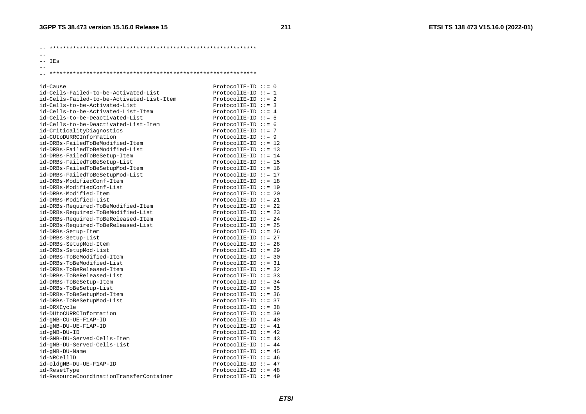-- \*\*\*\*\*\*\*\*\*\*\*\*\*\*\*\*\*\*\*\*\*\*\*\*\*\*\*\*\*\*\*\*\*\*\*\*\*\*\*\*\*\*\*\*\*\*\*\*\*\*\*\*\*\*\*\*\*\*\*\*\*\*

- $-$
- -- IEs

 $-$ -- \*\*\*\*\*\*\*\*\*\*\*\*\*\*\*\*\*\*\*\*\*\*\*\*\*\*\*\*\*\*\*\*\*\*\*\*\*\*\*\*\*\*\*\*\*\*\*\*\*\*\*\*\*\*\*\*\*\*\*\*\*\*

id-Cause ProtocolIE-ID ::= 0

| id-Cells-Failed-to-be-Activated-List      | $ProtocolIE-ID ::= 1$   |
|-------------------------------------------|-------------------------|
| id-Cells-Failed-to-be-Activated-List-Item | $ProtocolIE-ID ::= 2$   |
| id-Cells-to-be-Activated-List             | $ProtocolIE-ID ::= 3$   |
| id-Cells-to-be-Activated-List-Item        | ProtocolIE-ID ::= $4$   |
| id-Cells-to-be-Deactivated-List           | ProtocolIE-ID $::= 5$   |
| id-Cells-to-be-Deactivated-List-Item      | $ProtocolIE-ID :: = 6$  |
| id-CriticalityDiagnostics                 | $ProtocolIE-ID :: = 7$  |
| id-CUtoDURRCInformation                   | ProtocolIE-ID ::= $9$   |
| id-DRBs-FailedToBeModified-Item           | ProtocolIE-ID ::= 12    |
| id-DRBs-FailedToBeModified-List           | $ProtocolIE-ID :: = 13$ |
| id-DRBs-FailedToBeSetup-Item              | ProtocolIE-ID ::= 14    |
| id-DRBs-FailedToBeSetup-List              | $ProtocolIE-ID :: = 15$ |
| id-DRBs-FailedToBeSetupMod-Item           | $ProtocolIE-ID :: = 16$ |
| id-DRBs-FailedToBeSetupMod-List           | ProtocolIE-ID ::= 17    |
| id-DRBs-ModifiedConf-Item                 | $ProtocolIE-ID :: = 18$ |
| id-DRBs-ModifiedConf-List                 | $ProtocolIE-ID :: = 19$ |
| id-DRBs-Modified-Item                     | $ProtocolIE-ID ::= 20$  |
| id-DRBs-Modified-List                     | $ProtocolIE-ID ::= 21$  |
| id-DRBs-Required-ToBeModified-Item        | ProtocolIE-ID ::= 22    |
| id-DRBs-Required-ToBeModified-List        | $ProtocolIE-ID :: = 23$ |
| id-DRBs-Required-ToBeReleased-Item        | ProtocolIE-ID ::= 24    |
| id-DRBs-Required-ToBeReleased-List        | ProtocolIE-ID ::= 25    |
| id-DRBs-Setup-Item                        | $ProtocolIE-ID :: = 26$ |
| id-DRBs-Setup-List                        | $ProtocolIE-ID :: = 27$ |
| id-DRBs-SetupMod-Item                     | ProtocolIE-ID ::= 28    |
| id-DRBs-SetupMod-List                     | $ProtocolIE-ID :: = 29$ |
| id-DRBs-ToBeModified-Item                 | $ProtocolIE-ID ::= 30$  |
| id-DRBs-ToBeModified-List                 | $ProtocolIE-ID :: = 31$ |
| id-DRBs-ToBeReleased-Item                 | $ProtocolIE-ID :: = 32$ |
| id-DRBs-ToBeReleased-List                 | $ProtocolIE-ID :: = 33$ |
| id-DRBs-ToBeSetup-Item                    | ProtocolIE-ID ::= $34$  |
| id-DRBs-ToBeSetup-List                    | $ProtocolIE-ID :: = 35$ |
| id-DRBs-ToBeSetupMod-Item                 | ProtocolIE-ID $:= 36$   |
| id-DRBs-ToBeSetupMod-List                 | $ProtocolIE-ID :: = 37$ |
| id-DRXCycle                               | $ProtocolIE-ID :: = 38$ |
| id-DUtoCURRCInformation                   | $ProtocolIE-ID ::= 39$  |
| id-gNB-CU-UE-F1AP-ID                      | ProtocolIE-ID ::= $40$  |
| id-gNB-DU-UE-F1AP-ID                      | ProtocolIE-ID ::= $41$  |
| id-gNB-DU-ID                              | ProtocolIE-ID ::= $42$  |
| id-GNB-DU-Served-Cells-Item               | ProtocolIE-ID ::= $43$  |
| id-gNB-DU-Served-Cells-List               | ProtocolIE-ID ::= $44$  |
| id-gNB-DU-Name                            | ProtocolIE-ID ::= $45$  |
| id-NRCellID                               | $ProtocolIE-ID ::= 46$  |
| id-oldgNB-DU-UE-F1AP-ID                   | ProtocolIE-ID ::= $47$  |
| id-ResetType                              | ProtocolIE-ID ::= $48$  |
| id-ResourceCoordinationTransferContainer  | $ProtocolIE-ID ::= 49$  |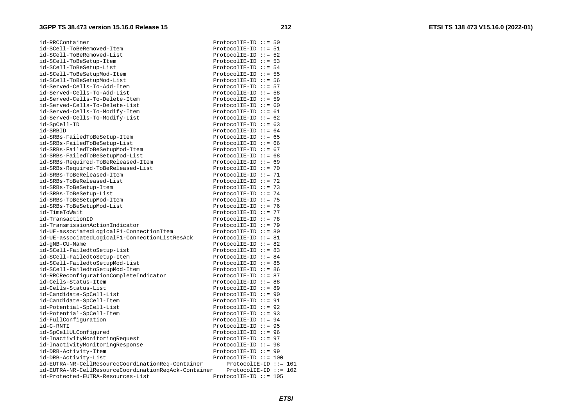| id-RRCContainer                                      | $ProtocolIE-ID :: = 50$ |  |  |
|------------------------------------------------------|-------------------------|--|--|
| id-SCell-ToBeRemoved-Item                            | ProtocolIE-ID ::= $51$  |  |  |
| id-SCell-ToBeRemoved-List                            | ProtocolIE-ID ::= 52    |  |  |
| id-SCell-ToBeSetup-Item                              | $ProtocolIE-ID :: = 53$ |  |  |
| id-SCell-ToBeSetup-List                              | ProtocolIE-ID ::= $54$  |  |  |
| id-SCell-ToBeSetupMod-Item                           | $ProtocolIE-ID :: = 55$ |  |  |
| id-SCell-ToBeSetupMod-List                           | ProtocolIE-ID $:= 56$   |  |  |
| id-Served-Cells-To-Add-Item                          | $ProtocolIE-ID :: = 57$ |  |  |
| id-Served-Cells-To-Add-List                          | ProtocolIE-ID $:= 58$   |  |  |
| id-Served-Cells-To-Delete-Item                       | ProtocolIE-ID $:= 59$   |  |  |
| id-Served-Cells-To-Delete-List                       | ProtocolIE-ID $:= 60$   |  |  |
| id-Served-Cells-To-Modify-Item                       | ProtocolIE-ID ::= $61$  |  |  |
| id-Served-Cells-To-Modify-List                       | ProtocolIE-ID $:= 62$   |  |  |
| id-SpCell-ID                                         | ProtocolIE-ID $:= 63$   |  |  |
| id-SRBID                                             | ProtocolIE-ID ::= $64$  |  |  |
| id-SRBs-FailedToBeSetup-Item                         | ProtocolIE-ID ::= 65    |  |  |
| id-SRBs-FailedToBeSetup-List                         | $ProtocolIE-ID ::= 66$  |  |  |
| id-SRBs-FailedToBeSetupMod-Item                      | ProtocolIE-ID ::= $67$  |  |  |
| id-SRBs-FailedToBeSetupMod-List                      | ProtocolIE-ID ::= $68$  |  |  |
| id-SRBs-Required-ToBeReleased-Item                   | ProtocolIE-ID ::= $69$  |  |  |
| id-SRBs-Required-ToBeReleased-List                   | ProtocolIE-ID ::= 70    |  |  |
| id-SRBs-ToBeReleased-Item                            | $ProtocolIE-ID :: = 71$ |  |  |
| id-SRBs-ToBeReleased-List                            | $ProtocolIE-ID ::= 72$  |  |  |
| id-SRBs-ToBeSetup-Item                               | $ProtocolIE-ID ::= 73$  |  |  |
| id-SRBs-ToBeSetup-List                               | ProtocolIE-ID ::= $74$  |  |  |
| id-SRBs-ToBeSetupMod-Item                            | ProtocolIE-ID ::= 75    |  |  |
| id-SRBs-ToBeSetupMod-List                            | $ProtocolIE-ID :: = 76$ |  |  |
| id-TimeToWait                                        | ProtocolIE-ID ::= 77    |  |  |
| id-TransactionID                                     | $ProtocolIE-ID ::= 78$  |  |  |
| id-TransmissionActionIndicator                       | ProtocolIE-ID ::= 79    |  |  |
| id-UE-associatedLogicalF1-ConnectionItem             | ProtocolIE-ID $:= 80$   |  |  |
| id-UE-associatedLogicalF1-ConnectionListResAck       | ProtocolIE-ID ::= 81    |  |  |
| id-gNB-CU-Name                                       | ProtocolIE-ID ::= 82    |  |  |
| id-SCell-FailedtoSetup-List                          | $ProtocolIE-ID ::= 83$  |  |  |
| id-SCell-FailedtoSetup-Item                          | ProtocolIE-ID ::= 84    |  |  |
| id-SCell-FailedtoSetupMod-List                       | ProtocolIE-ID ::= 85    |  |  |
| id-SCell-FailedtoSetupMod-Item                       | $ProtocolIE-ID :: = 86$ |  |  |
| id-RRCReconfigurationCompleteIndicator               | ProtocolIE-ID ::= 87    |  |  |
| id-Cells-Status-Item                                 | $ProtocolIE-ID ::= 88$  |  |  |
| id-Cells-Status-List                                 | $ProtocolIE-ID ::= 89$  |  |  |
| id-Candidate-SpCell-List                             | ProtocolIE-ID $::= 90$  |  |  |
| id-Candidate-SpCell-Item                             | $ProtocolIE-ID ::= 91$  |  |  |
| id-Potential-SpCell-List                             | ProtocolIE-ID $:= 92$   |  |  |
| id-Potential-SpCell-Item                             | ProtocolIE-ID ::= 93    |  |  |
| id-FullConfiguration                                 | ProtocolIE-ID ::= 94    |  |  |
| id-C-RNTI                                            | $ProtocolIE-ID ::= 95$  |  |  |
| id-SpCellULConfigured                                | ProtocolIE-ID $:= 96$   |  |  |
| id-InactivityMonitoringRequest                       | ProtocolIE-ID ::= 97    |  |  |
| id-InactivityMonitoringResponse                      | ProtocolIE-ID $:= 98$   |  |  |
| id-DRB-Activity-Item                                 | $ProtocolIE-ID ::= 99$  |  |  |
| id-DRB-Activity-List                                 | $ProtocolIE-ID ::= 100$ |  |  |
| id-EUTRA-NR-CellResourceCoordinationReq-Container    | ProtocolIE-ID $::= 101$ |  |  |
| id-EUTRA-NR-CellResourceCoordinationReqAck-Container | ProtocolIE-ID $::= 102$ |  |  |
| id-Protected-EUTRA-Resources-List                    | $ProtocolIE-ID ::= 105$ |  |  |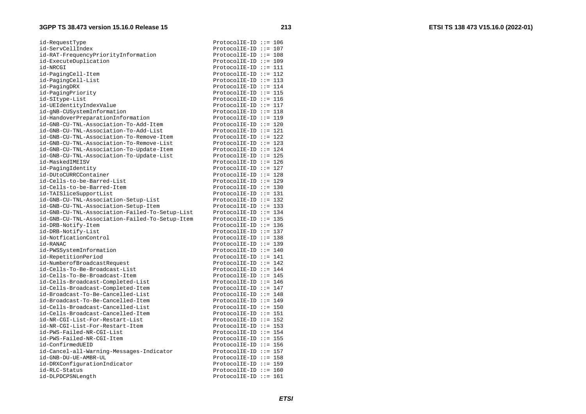| id-RequestType                                 | $ProtocolIE-ID ::= 106$                          |
|------------------------------------------------|--------------------------------------------------|
| id-ServCellIndex                               | $ProtocolIE-ID :: = 107$                         |
| id-RAT-FrequencyPriorityInformation            | ProtocolIE-ID $::= 108$                          |
| id-ExecuteDuplication                          | $ProtocolIE-ID :: = 109$                         |
| id-NRCGI                                       | $ProtocolIE-ID ::= 111$                          |
| id-PagingCell-Item                             | ProtocolIE-ID ::= 112                            |
| id-PagingCell-List                             | $ProtocolIE-ID :: = 113$                         |
| id-PagingDRX                                   | ProtocolIE-ID ::= 114                            |
| id-PagingPriority                              | ProtocolIE-ID ::= 115                            |
| id-SItype-List                                 | $ProtocolIE-ID :: = 116$                         |
| id-UEIdentityIndexValue                        | ProtocolIE-ID ::= $117$                          |
| id-gNB-CUSystemInformation                     | $ProtocolIE-ID ::= 118$                          |
| id-HandoverPreparationInformation              | $ProtocolIE-ID ::= 119$                          |
| id-GNB-CU-TNL-Association-To-Add-Item          | ProtocolIE-ID $::= 120$                          |
| id-GNB-CU-TNL-Association-To-Add-List          | ProtocolIE-ID ::= 121                            |
| id-GNB-CU-TNL-Association-To-Remove-Item       | $ProtocolIE-ID ::= 122$                          |
| id-GNB-CU-TNL-Association-To-Remove-List       | $ProtocolIE-ID ::= 123$                          |
| id-GNB-CU-TNL-Association-To-Update-Item       | ProtocolIE-ID ::= $124$                          |
| id-GNB-CU-TNL-Association-To-Update-List       | $ProtocolIE-ID ::= 125$                          |
| id-MaskedIMEISV                                | ProtocolIE-ID ::= 126                            |
| id-PagingIdentity                              | ProtocolIE-ID ::= 127                            |
| id-DUtoCURRCContainer                          | ProtocolIE-ID ::= 128                            |
| id-Cells-to-be-Barred-List                     | $ProtocolIE-ID ::= 129$                          |
| id-Cells-to-be-Barred-Item                     | $ProtocolIE-ID ::= 130$                          |
| id-TAISliceSupportList                         | $ProtocolIE-ID :: = 131$                         |
| id-GNB-CU-TNL-Association-Setup-List           | $ProtocolIE-ID :: = 132$                         |
| id-GNB-CU-TNL-Association-Setup-Item           | $ProtocolIE-ID ::= 133$                          |
| id-GNB-CU-TNL-Association-Failed-To-Setup-List | ProtocolIE-ID ::= 134                            |
| id-GNB-CU-TNL-Association-Failed-To-Setup-Item | $ProtocolIE-ID ::= 135$                          |
| id-DRB-Notify-Item                             | $ProtocolIE-ID :: = 136$                         |
| id-DRB-Notify-List                             |                                                  |
| id-NotficationControl                          | ProtocolIE-ID ::= 137<br>ProtocolIE-ID $::= 138$ |
| id-RANAC                                       | $ProtocolIE-ID :: = 139$                         |
|                                                |                                                  |
| id-PWSSystemInformation                        | ProtocolIE-ID ::= 140                            |
| id-RepetitionPeriod                            | ProtocolIE-ID ::= 141                            |
| id-NumberofBroadcastRequest                    | $ProtocolIE-ID ::= 142$                          |
| id-Cells-To-Be-Broadcast-List                  | ProtocolIE-ID ::= $144$                          |
| id-Cells-To-Be-Broadcast-Item                  | $ProtocolIE-ID ::= 145$                          |
| id-Cells-Broadcast-Completed-List              | ProtocolIE-ID ::= 146                            |
| id-Cells-Broadcast-Completed-Item              | ProtocolIE-ID ::= $147$                          |
| id-Broadcast-To-Be-Cancelled-List              | ProtocolIE-ID ::= 148                            |
| id-Broadcast-To-Be-Cancelled-Item              | $ProtocolIE-ID ::= 149$                          |
| id-Cells-Broadcast-Cancelled-List              | $ProtocolIE-ID :: = 150$                         |
| id-Cells-Broadcast-Cancelled-Item              | $ProtocolIE-ID ::= 151$                          |
| id-NR-CGI-List-For-Restart-List                | ProtocolIE-ID ::= 152                            |
| id-NR-CGI-List-For-Restart-Item                | ProtocolIE-ID ::= 153                            |
| id-PWS-Failed-NR-CGI-List                      | ProtocolIE-ID ::= 154                            |
| id-PWS-Failed-NR-CGI-Item                      | $ProtocolIE-ID ::= 155$                          |
| id-ConfirmedUEID                               | $ProtocolIE-ID :: = 156$                         |
| id-Cancel-all-Warning-Messages-Indicator       | ProtocolIE-ID ::= 157                            |
| id-GNB-DU-UE-AMBR-UL                           | ProtocolIE-ID ::= 158                            |
| id-DRXConfigurationIndicator                   | $ProtocolIE-ID ::= 159$                          |
| id-RLC-Status                                  | $ProtocolIE-ID ::= 160$                          |
| id-DLPDCPSNLength                              | ProtocolIE-ID ::= $161$                          |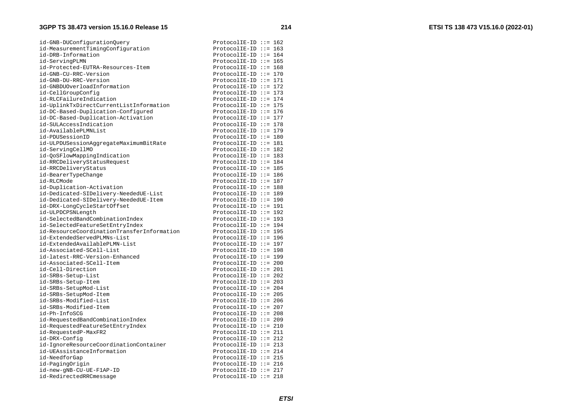| id-GNB-DUConfigurationQuery                | ProtocolIE-ID ::= $162$  |
|--------------------------------------------|--------------------------|
| id-MeasurementTimingConfiguration          | ProtocolIE-ID $::= 163$  |
| id-DRB-Information                         | ProtocolIE-ID ::= $164$  |
| id-ServingPLMN                             | $ProtocolIE-ID :: = 165$ |
| id-Protected-EUTRA-Resources-Item          | ProtocolIE-ID $::= 168$  |
| id-GNB-CU-RRC-Version                      | ProtocolIE-ID ::= 170    |
| id-GNB-DU-RRC-Version                      | $ProtocolIE-ID ::= 171$  |
| id-GNBDUOverloadInformation                | ProtocolIE-ID ::= $172$  |
| id-CellGroupConfig                         | $ProtocolIE-ID :: = 173$ |
| id-RLCFailureIndication                    | ProtocolIE-ID ::= $174$  |
| id-UplinkTxDirectCurrentListInformation    | ProtocolIE-ID ::= 175    |
| id-DC-Based-Duplication-Configured         | $ProtocolIE-ID ::= 176$  |
| id-DC-Based-Duplication-Activation         | $ProtocolIE-ID ::= 177$  |
| id-SULAccessIndication                     | $ProtocolIE-ID ::= 178$  |
| id-AvailablePLMNList                       | $ProtocolIE-ID ::= 179$  |
| id-PDUSessionID                            | ProtocolIE-ID $::= 180$  |
| id-ULPDUSessionAggregateMaximumBitRate     | $ProtocolIE-ID ::= 181$  |
| id-ServingCellMO                           | ProtocolIE-ID $::= 182$  |
| id-QoSFlowMappingIndication                | ProtocolIE-ID ::= 183    |
| id-RRCDeliveryStatusRequest                | ProtocolIE-ID ::= $184$  |
| id-RRCDeliveryStatus                       | ProtocolIE-ID ::= 185    |
| id-BearerTypeChange                        | $ProtocolIE-ID ::= 186$  |
| id-RLCMode                                 | ProtocolIE-ID ::= 187    |
| id-Duplication-Activation                  | ProtocolIE-ID $::= 188$  |
| id-Dedicated-SIDelivery-NeededUE-List      | $ProtocolIE-ID ::= 189$  |
| id-Dedicated-SIDelivery-NeededUE-Item      | $ProtocolIE-ID ::= 190$  |
| id-DRX-LongCycleStartOffset                | $ProtocolIE-ID ::= 191$  |
| id-ULPDCPSNLength                          | ProtocolIE-ID ::= 192    |
| id-SelectedBandCombinationIndex            | ProtocolIE-ID ::= 193    |
| id-SelectedFeatureSetEntryIndex            | $ProtocolIE-ID ::= 194$  |
| id-ResourceCoordinationTransferInformation | $ProtocolIE-ID ::= 195$  |
| id-ExtendedServedPLMNs-List                | $ProtocolIE-ID ::= 196$  |
| id-ExtendedAvailablePLMN-List              | ProtocolIE-ID ::= 197    |
| id-Associated-SCell-List                   | ProtocolIE-ID $::= 198$  |
| id-latest-RRC-Version-Enhanced             | $ProtocolIE-ID ::= 199$  |
| id-Associated-SCell-Item                   | $ProtocolIE-ID :: = 200$ |
| id-Cell-Direction                          | ProtocolIE-ID ::= 201    |
| id-SRBs-Setup-List                         | ProtocolIE-ID ::= 202    |
| id-SRBs-Setup-Item                         | ProtocolIE-ID ::= 203    |
| id-SRBs-SetupMod-List                      | $ProtocolIE-ID ::= 204$  |
| id-SRBs-SetupMod-Item                      | $ProtocolIE-ID ::= 205$  |
| id-SRBs-Modified-List                      | ProtocolIE-ID $::= 206$  |
| id-SRBs-Modified-Item                      | ProtocolIE-ID ::= 207    |
| id-Ph-InfoSCG                              | ProtocolIE-ID ::= 208    |
| id-RequestedBandCombinationIndex           | $ProtocolIE-ID ::= 209$  |
| id-RequestedFeatureSetEntryIndex           | ProtocolIE-ID ::= 210    |
| id-RequestedP-MaxFR2                       | ProtocolIE-ID ::= $211$  |
| id-DRX-Config                              | $ProtocolIE-ID ::= 212$  |
| id-IgnoreResourceCoordinationContainer     | ProtocolIE-ID ::= 213    |
| id-UEAssistanceInformation                 | ProtocolIE-ID ::= $214$  |
| id-NeedforGap                              | $ProtocolIE-ID ::= 215$  |
| id-PagingOrigin                            | ProtocolIE-ID ::= 216    |
| id-new-gNB-CU-UE-F1AP-ID                   | ProtocolIE-ID ::= $217$  |
| id-RedirectedRRCmessage                    | $ProtocolIE-ID ::= 218$  |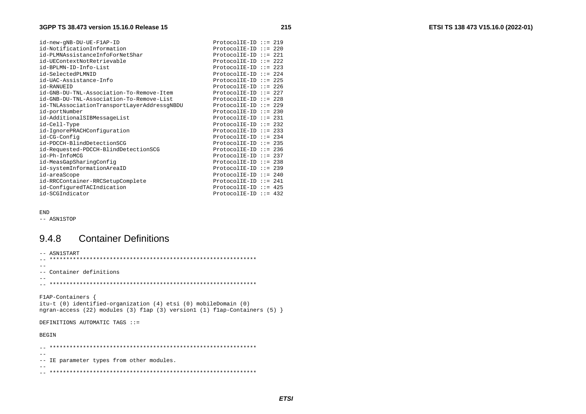| id-new-gNB-DU-UE-F1AP-ID                    | $ProtocolIE-ID :: = 219$ |
|---------------------------------------------|--------------------------|
| id-NotificationInformation                  | $ProtocolIE-ID :: = 220$ |
| id-PLMNAssistanceInfoForNetShar             | $ProtocolIE-ID ::= 221$  |
| id-UEContextNotRetrievable                  | $ProtocolIE-ID :: = 222$ |
| id-BPLMN-ID-Info-List                       | $ProtocolIE-ID :: = 223$ |
| id-SelectedPLMNID                           | ProtocolIE-ID ::= $224$  |
| id-UAC-Assistance-Info                      | $ProtocolIE-ID :: = 225$ |
| id-RANUEID                                  | ProtocolIE-ID ::= 226    |
| id-GNB-DU-TNL-Association-To-Remove-Item    | ProtocolIE-ID ::= 227    |
| id-GNB-DU-TNL-Association-To-Remove-List    | $ProtocolIE-ID :: = 228$ |
| id-TNLAssociationTransportLayerAddressgNBDU | ProtocolIE-ID ::= 229    |
| id-portNumber                               | ProtocolIE-ID $:= 230$   |
| id-AdditionalSIBMessageList                 | ProtocolIE-ID ::= $231$  |
| id-Cell-Type                                | $ProtocolIE-ID :: = 232$ |
| id-IgnorePRACHConfiguration                 | $ProtocolIE-ID :: = 233$ |
| id-CG-Config                                | ProtocolIE-ID ::= $234$  |
| id-PDCCH-BlindDetectionSCG                  | ProtocolIE-ID $::= 235$  |
| id-Requested-PDCCH-BlindDetectionSCG        | ProtocolIE-ID ::= 236    |
| id-Ph-InfoMCG                               | ProtocolIE-ID ::= 237    |
| id-MeasGapSharingConfig                     | ProtocolIE-ID ::= 238    |
| id-systemInformationAreaID                  | $ProtocolIE-ID :: = 239$ |
| id-areaScope                                | ProtocolIE-ID ::= 240    |
| id-RRCContainer-RRCSetupComplete            | ProtocolIE-ID ::= $241$  |
| id-ConfiguredTACIndication                  | ProtocolIE-ID ::= $425$  |
| id-SCGIndicator                             | ProtocolIE-ID ::= $432$  |

#### END

-- ASN1STOP

## 9.4.8 Container Definitions

| -- ASN1START                                                                                                                                                           |
|------------------------------------------------------------------------------------------------------------------------------------------------------------------------|
|                                                                                                                                                                        |
|                                                                                                                                                                        |
| -- Container definitions                                                                                                                                               |
|                                                                                                                                                                        |
|                                                                                                                                                                        |
|                                                                                                                                                                        |
| $F1AP-Containers$ {<br>itu-t (0) identified-organization (4) etsi (0) mobileDomain (0)<br>ngran-access (22) modules (3) flap (3) version1 (1) flap-Containers (5) $\}$ |
| DEFINITIONS AUTOMATIC TAGS ::=                                                                                                                                         |
|                                                                                                                                                                        |
| <b>BEGIN</b>                                                                                                                                                           |
|                                                                                                                                                                        |
| IE parameter types from other modules.<br>$--$                                                                                                                         |
|                                                                                                                                                                        |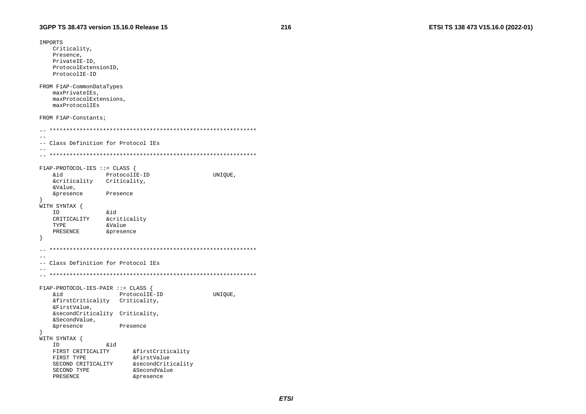```
IMPORTS
   Criticality,
   Presence.
   PrivateIE-ID,
   ProtocolExtensionID.
   ProtocolIE-ID
FROM F1AP-CommonDataTypes
   maxPrivateIEs,
   maxProtocolExtensions,
   maxProtocolIEs
FROM F1AP-Constants;
\sim-- Class Definition for Protocol IEs
-F1AP-PROTOCOL-IES :: = CLASS&id
               ProtocolIE-ID
                                        UNIQUE,
   &criticality Criticality,
   &Value,
   &presence
               Presence
WITH SYNTAX {
   ID
               bia
   CRITICALITY
               <u>&criticality</u>
  TYPE
               &Value
   PRESENCE
               &presence
\rightarrow\equiv \equiv-- Class Definition for Protocol IEs
-F1AP-PROTOCOL-IES-PAIR ::= CLASS {
   bia
                 ProtocolIE-ID
                                        UNIOUE,
   &firstCriticality Criticality,
   &FirstValue,
   &secondCriticality Criticality,
   &SecondValue,
   &presence
                  Presence
WITH SYNTAX {
   ID
               .<br>&id
   FIRST CRITICALITY
                     &firstCriticality
   FIRST TYPE
                     &FirstValue
                     &secondCriticality
   SECOND CRITICALITY
   SECOND TYPE
                     &SecondValue
   PRESENCE
                     &presence
```
216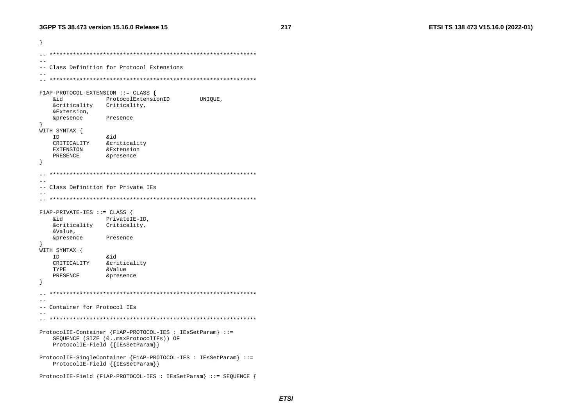```
- }
  ---- Class Definition for Protocol Extensions
-F1AP-PROTOCOL-EXTENSION ::= CLASS {
  &id
             ProtocolExtensionID
                                UNIQUE,
  &criticality Criticality,
  &Extension,
  &presence
             Presence
WITH SYNTAX {
  ID
             biŵ
  CRITICALITY
            &criticality
  EXTENSION
            &Extension
  PRESENCE
             &presence
\rightarrow\sim --- Class Definition for Private IEs
-F1AP-PRIVATE-IES :: = CLASSPrivateIE-ID,
  &id
  &criticality Criticality,
  &Value,
  &presence
            Presence
WITH SYNTAX {
  ID
             &id
  CRITICALITY & criticality
  TYPE
             &Value
  PRESENCE
             &presence
\sim-- Container for Protocol IEs
- -ProtocolIE-Container {F1AP-PROTOCOL-IES : IESSetParam} : :=
  SEQUENCE (SIZE (0..maxProtocolIEs)) OF
  ProtocolIE-Field { { IESSetParam} }
ProtocolIE-SingleContainer {F1AP-PROTOCOL-IES : IEsSetParam} ::=
  ProtocolIE-Field { { IEsSetParam} }
ProtocolIE-Field {F1AP-PROTOCOL-IES : IEsSetParam} ::= SEQUENCE {
```
217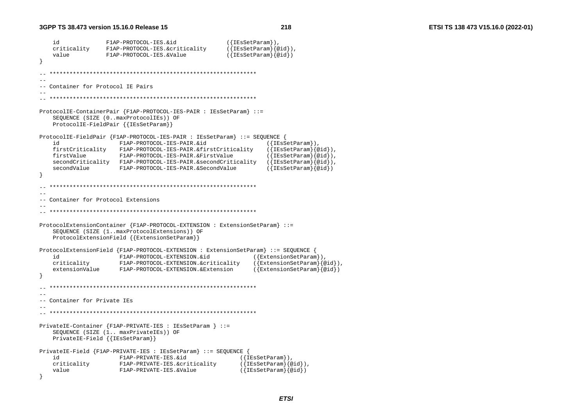218

```
F1AP-PROTOCOL-IES.&id
                                              ({[IEsSetParam]}),id
   criticality F1AP-PROTOCOL-IES.&criticality
                                              (\{IEsSetParam\}\{@id\}),
   value
                F1AP-PROTOCOL-IES.&Value
                                              ({\{IEsSetParam\}}\{qid\})Container for Protocol IE Pairs
ProtocolIE-ContainerPair {F1AP-PROTOCOL-IES-PAIR : IESSetParam} ::=
   SEQUENCE (SIZE (0..maxProtocolIEs)) OF
   ProtocolIE-FieldPair {{IEsSetParam}}
ProtocolIE-FieldPair {F1AP-PROTOCOL-IES-PAIR : IESSetParam} ::= SEOUENCE {
                  F1AP-PROTOCOL-IES-PAIR.&id
                                                       ({[IEsSetParam]}),id
                                                       (\{\texttt{IESSetParam}\}\{ \text{Qid}\}),
   firstCriticality F1AP-PROTOCOL-IES-PAIR. & firstCriticality
                                                       ({IEsSetParam}{@id}),
   firstValue F1AP-PROTOCOL-IES-PAIR.&FirstValue
   secondCriticality F1AP-PROTOCOL-IES-PAIR. & secondCriticality
                                                       ({EssetParam}@id),
   secondValue
                F1AP-PROTOCOL-IES-PAIR.&SecondValue
                                                       (\{IEsSetParam\}\{@id\})--- Container for Protocol Extensions
ProtocolExtensionContainer {F1AP-PROTOCOL-EXTENSION : ExtensionSetParam} ::=
   SEQUENCE (SIZE (1..maxProtocolExtensions)) OF
   ProtocolExtensionField {{ExtensionSetParam}}
ProtocolExtensionField {F1AP-PROTOCOL-EXTENSION : ExtensionSetParam} ::= SEQUENCE
   id
                  F1AP-PROTOCOL-EXTENSION.&id
                                                    ({[ExtensionSetParam}),
   criticality
                 F1AP-PROTOCOL-EXTENSION.&criticality
                                                    ({[ExtensionSetParam}{@id}),
   extensionValue
                F1AP-PROTOCOL-EXTENSION.&Extension
                                                    ({[ExtensionSetParam}{@id}]
  --- Container for Private IEs
PrivateIE-Container {F1AP-PRIVATE-IES : IEsSetParam } : =
   SEOUENCE (SIZE (1.. maxPrivateIEs)) OF
   PrivateIE-Field { {IESSetParam}}
PrivateIE-Field {F1AP-PRIVATE-IES : IEsSetParam} ::= SEOUENCE {
                 F1AP-PRIVATE-IES.&id
                                                 ({[IEsSetParam]}),id
                                                 (\{IEsSetParam\}\{@id\}),
   criticality
                 F1AP-PRIVATE-IES.&criticality
   value
                  FlAP-PRIVATE-IES.&Value
                                                 ({\{IEsSetParam\}}\{@id\})
```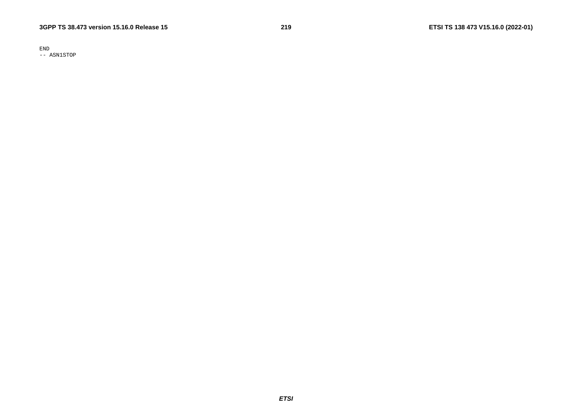END -- ASN1STOP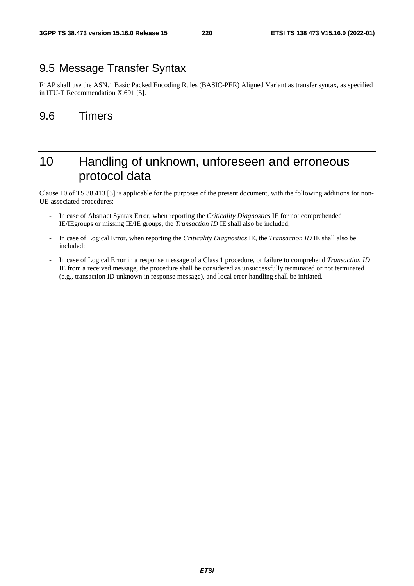## 9.5 Message Transfer Syntax

F1AP shall use the ASN.1 Basic Packed Encoding Rules (BASIC-PER) Aligned Variant as transfer syntax, as specified in ITU-T Recommendation X.691 [5].

## 9.6 Timers

# 10 Handling of unknown, unforeseen and erroneous protocol data

Clause 10 of TS 38.413 [3] is applicable for the purposes of the present document, with the following additions for non-UE-associated procedures:

- In case of Abstract Syntax Error, when reporting the *Criticality Diagnostics* IE for not comprehended IE/IEgroups or missing IE/IE groups, the *Transaction ID* IE shall also be included;
- In case of Logical Error, when reporting the *Criticality Diagnostics* IE, the *Transaction ID* IE shall also be included;
- In case of Logical Error in a response message of a Class 1 procedure, or failure to comprehend *Transaction ID* IE from a received message, the procedure shall be considered as unsuccessfully terminated or not terminated (e.g., transaction ID unknown in response message), and local error handling shall be initiated.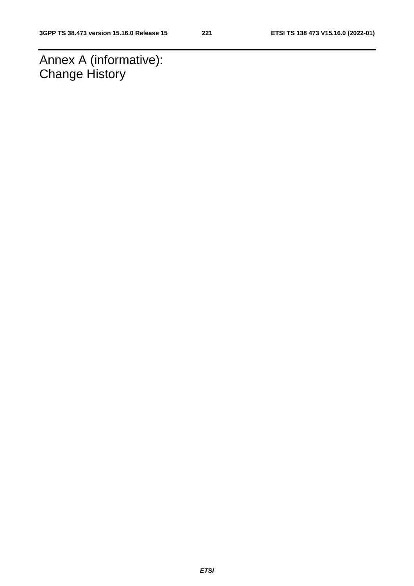Annex A (informative): **Change History**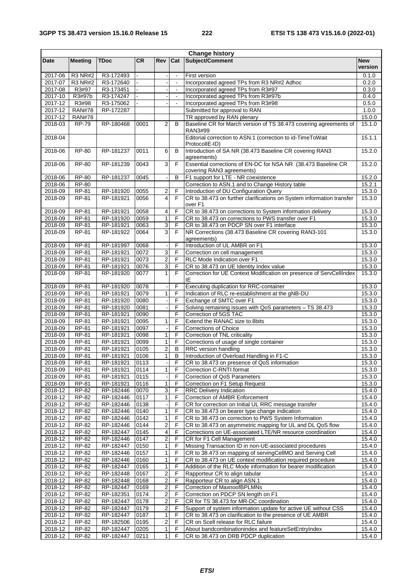| <b>Change history</b> |                               |                        |              |                         |                |                                                                                                 |                  |
|-----------------------|-------------------------------|------------------------|--------------|-------------------------|----------------|-------------------------------------------------------------------------------------------------|------------------|
| Date                  | <b>Meeting</b>                | TDoc                   | <b>CR</b>    | <b>Rev</b>              | Cat            | Subject/Comment                                                                                 | <b>New</b>       |
|                       |                               |                        |              |                         |                |                                                                                                 | version          |
| 2017-06               | <b>R3 NR#2</b>                | R3-172493              |              |                         | $\blacksquare$ | First version                                                                                   | 0.1.0            |
| 2017-07               | <b>R3 NR#2</b>                | R3-172640              |              |                         | $\blacksquare$ | Incorporated agreed TPs from R3 NR#2 Adhoc                                                      | 0.2.0            |
| 2017-08               | R3#97                         | R3-173451              |              |                         | $\blacksquare$ | Incorporated agreed TPs from R3#97                                                              | 0.3.0            |
| 2017-10               | R3#97b                        | R3-174247              |              |                         | $\blacksquare$ | Incorporated agreed TPs from R3#97b                                                             | 0.4.0            |
| 2017-12               | R3#98                         | R3-175062              |              |                         |                | Incorporated agreed TPs from R3#98                                                              | 0.5.0            |
| 2017-12               | <b>RAN#78</b>                 | RP-172287              |              |                         |                | Submitted for approval to RAN                                                                   | 1.0.0            |
| 2017-12<br>2018-03    | <b>RAN#78</b><br><b>RP-79</b> | RP-180468              | 0001         | $\overline{2}$          | B              | TR approved by RAN plenary<br>Baseline CR for March version of TS 38.473 covering agreements of | 15.0.0<br>15.1.0 |
|                       |                               |                        |              |                         |                | RAN3#99                                                                                         |                  |
| 2018-04               |                               |                        |              |                         |                | Editorial correction to ASN.1 (correction to id-TimeToWait<br>ProtocollE-ID)                    | 15.1.1           |
| 2018-06               | <b>RP-80</b>                  | RP-181237              | 0011         | 6                       | B              | Introduction of SA NR (38.473 Baseline CR covering RAN3<br>agreements)                          | 15.2.0           |
| 2018-06               | <b>RP-80</b>                  | RP-181239              | 0043         | 3                       | F              | Essential corrections of EN-DC for NSA NR (38.473 Baseline CR<br>covering RAN3 agreements)      | 15.2.0           |
| $2018 - 06$           | <b>RP-80</b>                  | RP-181237              | 0045         |                         | B              | F1 support for LTE - NR coexistence                                                             | 15.2.0           |
| 2018-06               | <b>RP-80</b>                  |                        |              |                         |                | Correction to ASN.1 and to Change History table                                                 | 15.2.1           |
| 2018-09               | RP-81                         | RP-181920              | 0055         | 2                       | F              | Introduction of DU Configuration Query                                                          | 15.3.0           |
| 2018-09               | RP-81                         | RP-181921              | 0056         | 4                       | F              | CR to 38.473 on further clarifications on System information transfer<br>over F1                | 15.3.0           |
| 2018-09               | RP-81                         | RP-181921              | 0058         | 4                       | F              | CR to 38.473 on corrections to System information delivery                                      | 15.3.0           |
| 2018-09               | RP-81                         | RP-181920              | 0059         | $\mathbf{1}$            | F              | CR to 38.473 on corrections to PWS transfer over F1                                             | 15.3.0           |
| 2018-09               | RP-81                         | RP-181921              | 0063         | 3                       | F              | CR to 38.473 on PDCP SN over F1 interface                                                       | 15.3.0           |
| 2018-09               | RP-81                         | RP-181922              | 0064         | $\mathbf{3}$            | F              | NR Corrections (38.473 Baseline CR covering RAN3-101                                            | 15.3.0           |
|                       |                               |                        |              |                         |                | agreements)                                                                                     |                  |
| 2018-09               | RP-81                         | RP-181997              | 0068         |                         | F              | Introduction of UL AMBR on F1                                                                   | 15.3.0           |
| 2018-09               | <b>RP-81</b>                  | RP-181921              | 0072         | 3                       | F              | Correction on cell management                                                                   | 15.3.0           |
| 2018-09               | RP-81                         | RP-181921              | 0073         | $\overline{\mathbf{c}}$ | F              | RLC Mode Indication over F1                                                                     | 15.3.0           |
| 2018-09               | RP-81                         | RP-181921              | 0076         | 3                       | F              | CR to 38.473 on UE Identity Index value                                                         | 15.3.0           |
| 2018-09               | RP-81                         | RP-181920              | 0077         | 1                       | F              | Correction for UE Context Modification on presence of ServCellIndex<br>ΙE                       | 15.3.0           |
| 2018-09               | RP-81                         | RP-181920              | 0078         |                         | F              | Executing duplication for RRC-container                                                         | 15.3.0           |
| 2018-09               | RP-81                         | RP-181921              | 0079         | 1                       | F              | Indication of RLC re-establishment at the gNB-DU                                                | 15.3.0           |
| 2018-09               | RP-81                         | RP-181920              | 0080         |                         | F              | Exchange of SMTC over F1                                                                        | 15.3.0           |
| 2018-09               | RP-81                         | RP-181920              | 0081         |                         | F              | Solving remaining issues with QoS parameters - TS 38.473                                        | 15.3.0           |
| 2018-09               | RP-81                         | RP-181921              | 0090         |                         | F              | Correction of 5GS TAC                                                                           | 15.3.0           |
| 2018-09               | RP-81                         | RP-181921              | 0095         | 1                       | F              | Extend the RANAC size to 8bits                                                                  | 15.3.0           |
| 2018-09               | RP-81                         | RP-181921              | 0097         |                         | F              | <b>Corrections of Choice</b>                                                                    | 15.3.0           |
| 2018-09               | RP-81                         | RP-181921              | 0098         | 1                       | F              | Correction of TNL criticality                                                                   | 15.3.0           |
| 2018-09               | RP-81                         | RP-181921              | 0099         | 1                       | F              | Corrections of usage of single container                                                        | 15.3.0           |
| 2018-09               | RP-81                         | RP-181921              | 0105         | $\overline{2}$          | B              | RRC version handling                                                                            | 15.3.0           |
| 2018-09               | RP-81                         | RP-181921              | 0106         | $\mathbf{1}$            | B              | Introduction of Overload Handling in F1-C                                                       | 15.3.0           |
| 2018-09               | <b>RP-81</b>                  | RP-181921              | 0113         |                         |                | F CR to 38.473 on presence of QoS information                                                   | 15.3.0           |
| 2018-09               | RP-81                         | RP-181921              | 0114         | 1                       | F              | Correction C-RNTI format                                                                        | 15.3.0           |
| 2018-09               | RP-81                         | RP-181921              | 0115         |                         | F              | Correction of QoS Parameters                                                                    | 15.3.0           |
| 2018-09<br>2018-12    | RP-81                         | RP-181921              | 0116         | $\mathbf{1}$            | F<br>F         | Correction on F1 Setup Request                                                                  | 15.3.0<br>15.4.0 |
| 2018-12               | RP-82                         | RP-182446<br>RP-182446 | 0070<br>0117 | 3<br>1                  | F              | <b>RRC Delivery Indication</b><br>Correction of AMBR Enforcement                                | 15.4.0           |
| 2018-12               | RP-82<br>RP-82                | RP-182446              | 0138         |                         | F              | CR for correction on Initial UL RRC message transfer                                            | 15.4.0           |
| 2018-12               | RP-82                         | RP-182446              | 0140         | 1                       | F              | CR to 38.473 on bearer type change indication                                                   | 15.4.0           |
| 2018-12               | RP-82                         | RP-182446              | 0142         | 1                       | F              | CR to 38.473 on correction to PWS System Information                                            | 15.4.0           |
| 2018-12               | RP-82                         | RP-182446              | 0144         | 2                       | F              | CR to 38.473 on asymmetric mapping for UL and DL QoS flow                                       | 15.4.0           |
| 2018-12               | RP-82                         | RP-182447              | 0145         | 4                       | F              | Corrections on UE-associated LTE/NR resource coordination                                       | 15.4.0           |
| 2018-12               | RP-82                         | RP-182446              | 0147         | $\mathbf 2$             | $\overline{F}$ | CR for F1 Cell Management                                                                       | 15.4.0           |
| 2018-12               | RP-82                         | RP-182447              | 0150         | 1                       | F              | Missing Transaction ID in non-UE-associated procedures                                          | 15.4.0           |
| 2018-12               | RP-82                         | RP-182446              | 0157         | 1                       | F              | CR to 38.473 on mapping of servingCellMO and Serving Cell                                       | 15.4.0           |
| 2018-12               | RP-82                         | RP-182446              | 0160         | $\mathbf{1}$            | F              | CR to 38.473 on UE context modification required procedure                                      | 15.4.0           |
| 2018-12               | RP-82                         | RP-182447              | 0165         | 1                       | F              | Addition of the RLC Mode information for bearer modification                                    | 15.4.0           |
| 2018-12               | RP-82                         | RP-182448              | 0167         | $\boldsymbol{2}$        | F              | Rapporteur CR to align tabular                                                                  | 15.4.0           |
| 2018-12               | RP-82                         | RP-182448              | 0168         | $\overline{\mathbf{c}}$ | F              | Rapporteur CR to align ASN.1                                                                    | 15.4.0           |
| 2018-12               | RP-82                         | RP-182447              | 0169         | 2                       | F              | Correction of MaxnoofBPLMNs                                                                     | 15.4.0           |
| 2018-12               | RP-82                         | RP-182351              | 0174         | 2                       | F              | Correction on PDCP SN length on F1                                                              | 15.4.0           |
| 2018-12               | RP-82                         | RP-182447              | 0178         | $\overline{\mathbf{c}}$ | F              | CR for TS 38.473 for MR-DC coordination                                                         | 15.4.0           |
| 2018-12               | RP-82                         | RP-182447              | 0179         | 2                       | F              | Support of system information update for active UE without CSS                                  | 15.4.0           |
| 2018-12               | RP-82                         | RP-182447              | 0187         | 1                       | F              | CR to 38.473 on clarification to the presence of UE AMBR                                        | 15.4.0           |
| 2018-12               | RP-82                         | RP-182506              | 0195         | 2                       | F              | CR on Scell release for RLC failure                                                             | 15.4.0           |
| 2018-12               | RP-82                         | RP-182447              | 0205         | 1                       | F              | About bandcombinationindex and featureSetEntryIndex                                             | 15.4.0           |
| 2018-12               | RP-82                         | RP-182447              | 0211         | 1                       | F              | CR to 38.473 on DRB PDCP duplication                                                            | 15.4.0           |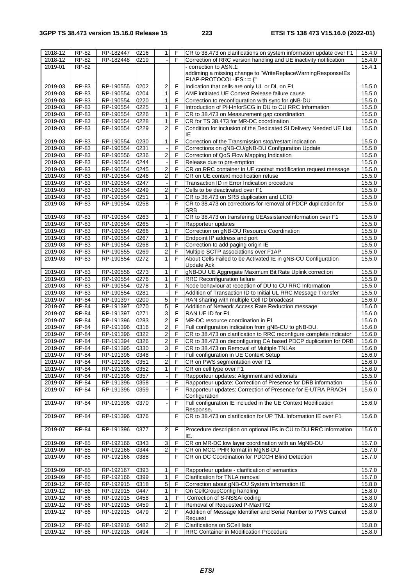### **3GPP TS 38.473 version 15.16.0 Release 15 223 ETSI TS 138 473 V15.16.0 (2022-01)**

| $2018 - 12$ | RP-82        | RP-182447 | 0216 | $\mathbf{1}$            | F              | CR to 38.473 on clarifications on system information update over F1 | 15.4.0 |
|-------------|--------------|-----------|------|-------------------------|----------------|---------------------------------------------------------------------|--------|
| 2018-12     | RP-82        | RP-182448 | 0219 |                         | F              | Correction of RRC version handling and UE inactivity notification   | 15.4.0 |
|             |              |           |      |                         |                | - correction to ASN.1:                                              |        |
| 2019-01     | RP-82        |           |      |                         |                |                                                                     | 15.4.1 |
|             |              |           |      |                         |                | addiming a missing change to "WriteReplaceWarningResponselEs        |        |
|             |              |           |      |                         |                | F1AP-PROTOCOL-IES ::= {"                                            |        |
| 2019-03     | RP-83        | RP-190555 | 0202 | $\overline{\mathbf{c}}$ | F              | Indication that cells are only UL or DL on F1                       | 15.5.0 |
| 2019-03     | RP-83        | RP-190554 | 0204 | 1                       | F              | AMF intitiated UE Context Release failure cause                     | 15.5.0 |
| 2019-03     | RP-83        | RP-190554 | 0220 | 1                       | F              | Correction to reconfiguration with sync for gNB-DU                  | 15.5.0 |
| 2019-03     | RP-83        | RP-190554 | 0225 | 1                       | F              | Introduction of PH-InforSCG in DU to CU RRC Information             | 15.5.0 |
| 2019-03     | RP-83        | RP-190554 | 0226 | 1                       | F              | CR to 38.473 on Measurement gap coordination                        | 15.5.0 |
| 2019-03     | RP-83        | RP-190554 | 0228 | 1                       | F              | CR for TS 38.473 for MR-DC coordination                             | 15.5.0 |
|             |              |           |      |                         |                |                                                                     |        |
| 2019-03     | RP-83        | RP-190554 | 0229 | $\overline{2}$          | F              | Condition for inclusion of the Dedicated SI Delivery Needed UE List | 15.5.0 |
|             |              |           |      |                         |                | ΙE                                                                  |        |
| 2019-03     | RP-83        | RP-190554 | 0230 | 1                       | F              | Correction of the Transmission stop/restart indication              | 15.5.0 |
| 2019-03     | RP-83        | RP-190554 | 0231 |                         | F              | Corrections on gNB-CU/gNB-DU Configuration Update                   | 15.5.0 |
| 2019-03     | RP-83        | RP-190556 | 0236 | $\overline{\mathbf{c}}$ | F              | Correction of QoS Flow Mapping Indication                           | 15.5.0 |
| 2019-03     | RP-83        | RP-190554 | 0244 |                         | F              | Release due to pre-emption                                          | 15.5.0 |
| 2019-03     | RP-83        | RP-190554 | 0245 | $\overline{2}$          | F              | CR on RRC container in UE context modification request message      | 15.5.0 |
| 2019-03     | RP-83        | RP-190554 | 0246 | $\overline{c}$          | F              | CR on UE context modification refuse                                | 15.5.0 |
| 2019-03     | RP-83        | RP-190554 | 0247 |                         | F              | Transaction ID in Error Indication procedure                        | 15.5.0 |
|             |              |           |      |                         | F              |                                                                     |        |
| 2019-03     | RP-83        | RP-190554 | 0249 | $\overline{\mathbf{c}}$ |                | Cells to be deactivated over F1                                     | 15.5.0 |
| 2019-03     | RP-83        | RP-190554 | 0251 | 1                       | F              | CR to 38.473 on SRB duplication and LCID                            | 15.5.0 |
| 2019-03     | <b>RP-83</b> | RP-190554 | 0258 |                         | F              | CR to 38.473 on corrections for removal of PDCP duplication for     | 15.5.0 |
|             |              |           |      |                         |                | <b>SRB</b>                                                          |        |
| 2019-03     | RP-83        | RP-190554 | 0263 | 1                       | F              | CR to 38.473 on transfering UEAssistanceInformation over F1         | 15.5.0 |
| 2019-03     | RP-83        | RP-190554 | 0265 |                         | F              | Rapporteur updates                                                  | 15.5.0 |
| 2019-03     | RP-83        | RP-190554 | 0266 | $\mathbf{1}$            | F              | Correction on gNB-DU Resource Coordination                          | 15.5.0 |
| 2019-03     | RP-83        | RP-190554 | 0267 | 1                       | F              | Endpoint IP address and port                                        | 15.5.0 |
| 2019-03     | RP-83        | RP-190554 | 0268 | 1                       | F              | Correction to add paging origin IE                                  | 15.5.0 |
| 2019-03     | RP-83        | RP-190555 | 0269 | $\overline{2}$          | F              | Multiple SCTP associations over F1AP                                | 15.5.0 |
| 2019-03     | RP-83        | RP-190554 | 0272 | 1                       | F              | About Cells Failed to be Activated IE in gNB-CU Configuration       | 15.5.0 |
|             |              |           |      |                         |                | <b>Update Ack</b>                                                   |        |
| 2019-03     | $RP-83$      | RP-190556 | 0273 | 1                       | F              | gNB-DU UE Aggregate Maximum Bit Rate Uplink correction              | 15.5.0 |
|             |              |           |      | $\mathbf{1}$            | F              |                                                                     |        |
| 2019-03     | RP-83        | RP-190554 | 0276 |                         | F              | RRC Reconfiguration failure                                         | 15.5.0 |
| 2019-03     | RP-83        | RP-190554 | 0278 | 1                       |                | Node behaviour at reception of DU to CU RRC Information             | 15.5.0 |
| 2019-03     | RP-83        | RP-190554 | 0281 |                         | F              | Addition of Transaction ID to Initial UL RRC Message Transfer       | 15.5.0 |
| 2019-07     | RP-84        | RP-191397 | 0200 | 5                       | F              | RAN sharing with multiple Cell ID broadcast                         | 15.6.0 |
| 2019-07     | <b>RP-84</b> | RP-191397 | 0270 | 5                       | F              | Addition of Network Access Rate Reduction message                   | 15.6.0 |
| 2019-07     | <b>RP-84</b> | RP-191397 | 0271 | 3                       | F              | RAN UE ID for F1                                                    | 15.6.0 |
| 2019-07     | RP-84        | RP-191396 | 0283 | $\overline{\mathbf{c}}$ | F              | MR-DC resource coordination in F1                                   | 15.6.0 |
| 2019-07     | <b>RP-84</b> | RP-191396 | 0316 | $\overline{\mathbf{c}}$ | F              | Full configuration indication from gNB-CU to gNB-DU.                | 15.6.0 |
| 2019-07     | <b>RP-84</b> | RP-191396 | 0322 | $\overline{2}$          | F              | CR to 38.473 on clarification to RRC reconfigure complete indicator | 15.6.0 |
| 2019-07     | <b>RP-84</b> | RP-191394 | 0326 | $\overline{\mathbf{c}}$ | F              | CR to 38.473 on deconfiguring CA based PDCP duplication for DRB     | 15.6.0 |
| 2019-07     | <b>RP-84</b> | RP-191395 | 0330 | 3                       | F              | CR to 38.473 on Removal of Multiple TNLAs                           | 15.6.0 |
| 2019-07     | <b>RP-84</b> | RP-191396 | 0348 |                         | F              | Full configuration in UE Context Setup                              | 15.6.0 |
| 2019-07     | <b>RP-84</b> | RP-191396 |      |                         | F              | CR on PWS segmentation over F1                                      | 15.6.0 |
|             | <b>RP-84</b> |           | 0351 | $\mathbf{z}$            | F              | CR on cell type over F1                                             |        |
| 2019-07     |              | RP-191396 | 0352 | 1                       |                |                                                                     | 15.6.0 |
| 2019-07     | RP-84        | RP-191396 | 0357 |                         | F              | Rapporteur updates: Alignment and editorials                        | 15.5.0 |
| 2019-07     | RP-84        | RP-191396 | 0358 |                         | $\overline{F}$ | Rapporteur update: Correction of Presence for DRB information       | 15.6.0 |
| 2019-07     | RP-84        | RP-191396 | 0359 |                         | F              | Rapporteur updates: Correction of Presence for E-UTRA PRACH         | 15.6.0 |
|             |              |           |      |                         |                | Configuration                                                       |        |
| 2019-07     | RP-84        | RP-191396 | 0370 |                         | F              | Full configuration IE included in the UE Context Modification       | 15.6.0 |
|             |              |           |      |                         |                | Response.                                                           |        |
| 2019-07     | RP-84        | RP-191396 | 0376 |                         | F              | CR to 38.473 on clarification for UP TNL Information IE over F1     | 15.6.0 |
|             |              |           |      |                         |                |                                                                     |        |
| 2019-07     | RP-84        | RP-191396 | 0377 | $\overline{2}$          | F              | Procedure description on optional IEs in CU to DU RRC information   | 15.6.0 |
|             |              |           |      |                         |                | IE.                                                                 |        |
| 2019-09     | RP-85        | RP-192166 | 0343 | 3                       | F              | CR on MR-DC low layer coordination with an MgNB-DU                  | 15.7.0 |
| 2019-09     | RP-85        | RP-192166 | 0344 | 2                       | F              | CR on MCG PHR format in MgNB-DU                                     | 15.7.0 |
| 2019-09     | <b>RP-85</b> | RP-192166 | 0388 |                         | F              | CR on DC Coordination for PDCCH Blind Detection                     | 15.7.0 |
|             |              |           |      |                         |                |                                                                     |        |
| 2019-09     | RP-85        | RP-192167 | 0393 | 1                       | F              | Rapporteur update - clarification of semantics                      | 15.7.0 |
| 2019-09     | RP-85        | RP-192166 | 0399 | 1                       | F              | Clarification for TNLA removal                                      | 15.7.0 |
|             |              |           |      |                         |                |                                                                     |        |
| 2019-12     | <b>RP-86</b> | RP-192915 | 0318 | 5                       | F              | Correction about gNB-CU System Information IE                       | 15.8.0 |
| 2019-12     | RP-86        | RP-192915 | 0447 | 1                       | F              | On CellGroupConfig handling                                         | 15.8.0 |
| 2019-12     | RP-86        | RP-192915 | 0458 | 1                       | F              | Correction of S-NSSAI coding                                        | 15.8.0 |
| 2019-12     | RP-86        | RP-192915 | 0459 | 1                       | F              | Removal of Requested P-MaxFR2                                       | 15.8.0 |
| 2019-12     | RP-86        | RP-192915 | 0479 | $\mathbf 2$             | F              | Addition of Message Identifier and Serial Number to PWS Cancel      | 15.8.0 |
|             |              |           |      |                         |                | Request                                                             |        |
| 2019-12     | RP-86        | RP-192916 | 0482 | 2                       | F              | <b>Clarifications on SCell lists</b>                                | 15.8.0 |
| 2019-12     | RP-86        | RP-192916 | 0494 |                         | F              | RRC Container in Modification Procedure                             | 15.8.0 |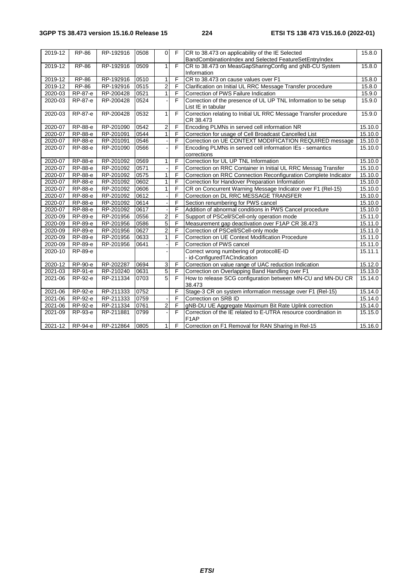| 2019-12 | <b>RP-86</b> | RP-192916 | 0508 | $\mathbf{0}$   | F              | CR to 38.473 on applicability of the IE Selected<br>BandCombinationIndex and Selected FeatureSetEntryIndex | 15.8.0  |
|---------|--------------|-----------|------|----------------|----------------|------------------------------------------------------------------------------------------------------------|---------|
| 2019-12 | <b>RP-86</b> | RP-192916 | 0509 | $\mathbf{1}$   | F              | CR to 38.473 on MeasGapSharingConfig and gNB-CU System                                                     | 15.8.0  |
|         |              |           |      |                |                | Information                                                                                                |         |
| 2019-12 | <b>RP-86</b> | RP-192916 | 0510 | $\mathbf{1}$   | F              | CR to 38.473 on cause values over F1                                                                       | 15.8.0  |
| 2019-12 | <b>RP-86</b> | RP-192916 | 0515 | $\overline{2}$ | F              | Clarification on Initial UL RRC Message Transfer procedure                                                 | 15.8.0  |
| 2020-03 | RP-87-e      | RP-200428 | 0521 | $\mathbf{1}$   | F              | Correction of PWS Failure Indication                                                                       | 15.9.0  |
| 2020-03 | RP-87-e      | RP-200428 | 0524 |                | F              | Correction of the presence of UL UP TNL Information to be setup<br>List IE in tabular                      | 15.9.0  |
| 2020-03 | RP-87-e      | RP-200428 | 0532 | $\mathbf{1}$   | $\overline{F}$ | Correction relating to Initial UL RRC Message Transfer procedure<br>CR 38.473                              | 15.9.0  |
| 2020-07 | RP-88-e      | RP-201090 | 0542 | $\overline{2}$ | F              | Encoding PLMNs in served cell information NR                                                               | 15.10.0 |
| 2020-07 | RP-88-e      | RP-201091 | 0544 | $\mathbf{1}$   | F              | Correction for usage of Cell Broadcast Cancelled List                                                      | 15.10.0 |
| 2020-07 | RP-88-e      | RP-201091 | 0546 |                | F              | Correction on UE CONTEXT MODIFICATION REQUIRED message                                                     | 15.10.0 |
| 2020-07 | RP-88-e      | RP-201090 | 0566 |                | F              | Encoding PLMNs in served cell information IEs - semantics<br>corrections                                   | 15.10.0 |
| 2020-07 | RP-88-e      | RP-201092 | 0569 | 1              | F              | Correction for UL UP TNL Information                                                                       | 15.10.0 |
| 2020-07 | RP-88-e      | RP-201092 | 0571 |                | F              | Correction on RRC Container in Initial UL RRC Messag Transfer                                              | 15.10.0 |
| 2020-07 | RP-88-e      | RP-201092 | 0575 | $\mathbf{1}$   | F              | Correction on RRC Connection Reconfiguration Complete Indicator                                            | 15.10.0 |
| 2020-07 | RP-88-e      | RP-201092 | 0602 | $\mathbf{1}$   | F              | Correction for Handover Preparation Information                                                            | 15.10.0 |
| 2020-07 | RP-88-e      | RP-201092 | 0606 | $\mathbf{1}$   | F              | CR on Concurrent Warning Message Indicator over F1 (Rel-15)                                                | 15.10.0 |
| 2020-07 | RP-88-e      | RP-201092 | 0612 |                | F              | Correction on DL RRC MESSAGE TRANSFER                                                                      | 15.10.0 |
| 2020-07 | RP-88-e      | RP-201092 | 0614 |                | F              | Section renumbering for PWS cancel                                                                         | 15.10.0 |
| 2020-07 | RP-88-e      | RP-201092 | 0617 |                | F              | Addition of abnormal conditions in PWS Cancel procedure                                                    | 15.10.0 |
| 2020-09 | RP-89-e      | RP-201956 | 0556 | $\overline{2}$ | F              | Support of PSCell/SCell-only operation mode                                                                | 15.11.0 |
| 2020-09 | RP-89-e      | RP-201956 | 0586 | 5              | F              | Measurement gap deactivation over F1AP CR 38.473                                                           | 15.11.0 |
| 2020-09 | RP-89-e      | RP-201956 | 0627 | $\overline{2}$ | F              | Correction of PSCell/SCell-only mode                                                                       | 15.11.0 |
| 2020-09 | RP-89-e      | RP-201956 | 0633 | 1              | F              | Correction on UE Context Modification Procedure                                                            | 15.11.0 |
| 2020-09 | RP-89-e      | RP-201956 | 0641 |                | F              | Correction of PWS cancel                                                                                   | 15.11.0 |
| 2020-10 | RP-89-e      |           |      |                |                | Correct wrong numbering of protocollE-ID<br>- id-ConfiguredTACIndication                                   | 15.11.1 |
| 2020-12 | RP-90-e      | RP-202287 | 0694 | 3              | F              | Correction on value range of UAC reduction Indication                                                      | 15.12.0 |
| 2021-03 | RP-91-e      | RP-210240 | 0631 | 5              | $\overline{F}$ | Correction on Overlapping Band Handling over F1                                                            | 15.13.0 |
| 2021-06 | RP-92-e      | RP-211334 | 0703 | 5              | F              | How to release SCG configuration between MN-CU and MN-DU CR<br>38.473                                      | 15.14.0 |
| 2021-06 | RP-92-e      | RP-211333 | 0752 |                | F              | Stage-3 CR on system information message over F1 (Rel-15)                                                  | 15.14.0 |
| 2021-06 | RP-92-e      | RP-211333 | 0759 |                | F              | Correction on SRB ID                                                                                       | 15.14.0 |
| 2021-06 | RP-92-e      | RP-211334 | 0761 | $\overline{2}$ | F              | gNB-DU UE Aggregate Maximum Bit Rate Uplink correction                                                     | 15.14.0 |
| 2021-09 | RP-93-e      | RP-211881 | 0799 |                | F              | Correction of the IE related to E-UTRA resource coordination in<br>F <sub>1</sub> AP                       | 15.15.0 |
| 2021-12 | RP-94-e      | RP-212864 | 0805 | $\mathbf{1}$   | F              | Correction on F1 Removal for RAN Sharing in Rel-15                                                         | 15.16.0 |